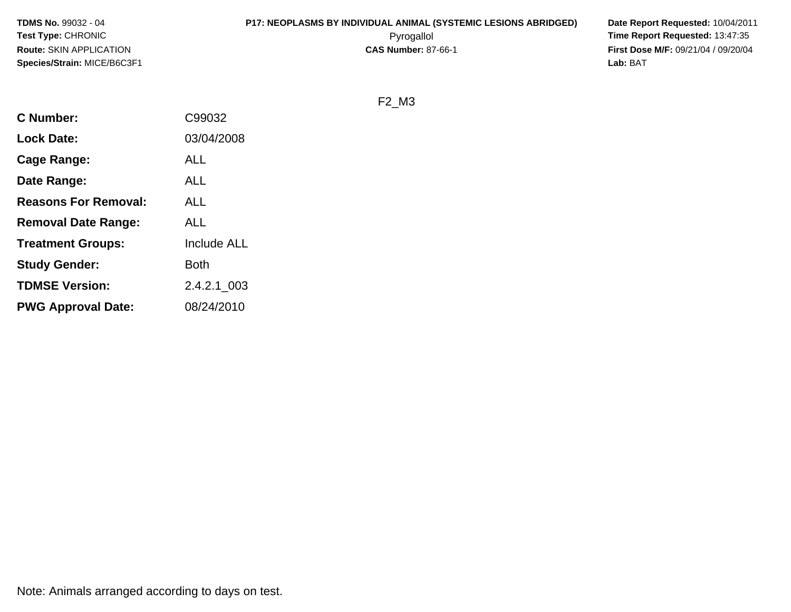### **P17: NEOPLASMS BY INDIVIDUAL ANIMAL (SYSTEMIC LESIONS ABRIDGED) Date Report Requested:** 10/04/2011

 Pyrogallol **Time Report Requested:** 13:47:35 **First Dose M/F:** 09/21/04 / 09/20/04<br>Lab: BAT **Lab:** BAT

F2\_M3

| <b>C</b> Number:            | C99032             |
|-----------------------------|--------------------|
| <b>Lock Date:</b>           | 03/04/2008         |
| Cage Range:                 | ALL                |
| Date Range:                 | <b>ALL</b>         |
| <b>Reasons For Removal:</b> | ALL                |
| <b>Removal Date Range:</b>  | ALL                |
| <b>Treatment Groups:</b>    | <b>Include ALL</b> |
| <b>Study Gender:</b>        | Both               |
| <b>TDMSE Version:</b>       | 2.4.2.1 003        |
| <b>PWG Approval Date:</b>   | 08/24/2010         |
|                             |                    |

Note: Animals arranged according to days on test.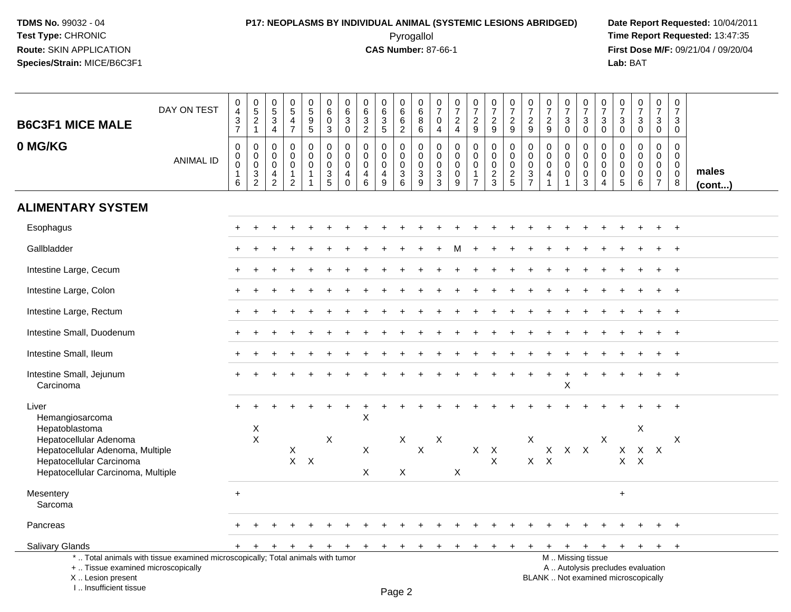### **P17: NEOPLASMS BY INDIVIDUAL ANIMAL (SYSTEMIC LESIONS ABRIDGED) Date Report Requested:** 10/04/2011 Pyrogallol **Time Report Requested:** 13:47:35

**First Dose M/F:** 09/21/04 / 09/20/04<br>Lab: BAT **Lab:** BAT

| <b>B6C3F1 MICE MALE</b>                                                                                                                        | DAY ON TEST                                                                     | 0<br>4<br>$\ensuremath{\mathsf{3}}$<br>$\overline{7}$   | $\begin{array}{c} 0 \\ 5 \\ 2 \end{array}$<br>$\mathbf{1}$ | $\pmb{0}$<br>$\,$ 5 $\,$<br>$\overline{3}$<br>$\overline{4}$ | $\begin{array}{c} 0 \\ 5 \end{array}$<br>$\overline{4}$<br>$\overline{7}$ | 0<br>$\overline{5}$<br>$\overline{9}$<br>$\sqrt{5}$ | $\mathbf 0$<br>$\,6\,$<br>$\mathbf 0$<br>3                 | 0<br>$\,6\,$<br>$\sqrt{3}$<br>$\mathbf 0$        | 0<br>$\,6\,$<br>$\sqrt{3}$<br>$\overline{2}$           | $\pmb{0}$<br>$\,6\,$<br>$\overline{3}$<br>5                    | $\pmb{0}$<br>$6\phantom{1}$<br>$\,6\,$<br>2                           | 0<br>$\,6\,$<br>8<br>6                               | 0<br>$\overline{7}$<br>$\mathbf 0$<br>4           | $\pmb{0}$<br>$\overline{7}$<br>$\sqrt{2}$<br>$\overline{4}$   | $\frac{0}{7}$<br>$\overline{c}$<br>$\boldsymbol{9}$             | 0<br>$\overline{7}$<br>$\overline{a}$<br>9               | $\pmb{0}$<br>$\overline{7}$<br>$\boldsymbol{2}$<br>9 | 0<br>$\overline{7}$<br>$\overline{2}$<br>9                                | 0<br>$\overline{7}$<br>$\overline{2}$<br>9                                    | 0<br>$\overline{7}$<br>3<br>$\mathbf 0$        | 0<br>$\overline{7}$<br>3<br>$\mathbf 0$             | $\pmb{0}$<br>$\overline{7}$<br>$\mathbf{3}$<br>$\mathbf 0$                 | $\boldsymbol{0}$<br>$\overline{7}$<br>3<br>$\mathbf 0$   | $\pmb{0}$<br>$\overline{7}$<br>$\sqrt{3}$<br>$\mathbf 0$                 | $\pmb{0}$<br>$\overline{7}$<br>$\mathbf{3}$<br>$\mathbf 0$       | $\pmb{0}$<br>$\overline{7}$<br>$\mathbf{3}$<br>$\mathbf 0$         |                       |
|------------------------------------------------------------------------------------------------------------------------------------------------|---------------------------------------------------------------------------------|---------------------------------------------------------|------------------------------------------------------------|--------------------------------------------------------------|---------------------------------------------------------------------------|-----------------------------------------------------|------------------------------------------------------------|--------------------------------------------------|--------------------------------------------------------|----------------------------------------------------------------|-----------------------------------------------------------------------|------------------------------------------------------|---------------------------------------------------|---------------------------------------------------------------|-----------------------------------------------------------------|----------------------------------------------------------|------------------------------------------------------|---------------------------------------------------------------------------|-------------------------------------------------------------------------------|------------------------------------------------|-----------------------------------------------------|----------------------------------------------------------------------------|----------------------------------------------------------|--------------------------------------------------------------------------|------------------------------------------------------------------|--------------------------------------------------------------------|-----------------------|
| 0 MG/KG                                                                                                                                        | <b>ANIMAL ID</b>                                                                | $\boldsymbol{0}$<br>0<br>$\pmb{0}$<br>$\mathbf{1}$<br>6 | 0<br>0<br>$\mathbf 0$<br>3<br>$\overline{2}$               | $\mathbf 0$<br>$\mathbf 0$<br>0<br>4<br>$\overline{c}$       | $\pmb{0}$<br>$\mathbf 0$<br>$\mathbf 0$<br>$\mathbf{1}$<br>2              | 0<br>$\mathbf 0$<br>$\mathsf 0$<br>$\overline{1}$   | $\mathbf 0$<br>$\mathbf 0$<br>$\pmb{0}$<br>$\sqrt{3}$<br>5 | 0<br>$\mathbf 0$<br>$\mathbf 0$<br>4<br>$\Omega$ | $\mathbf 0$<br>$\mathbf 0$<br>0<br>$\overline{4}$<br>6 | $\mathbf 0$<br>$\mathbf 0$<br>$\pmb{0}$<br>$\overline{4}$<br>9 | $\mathbf 0$<br>$\mathbf 0$<br>$\mathsf{O}\xspace$<br>$\mathsf 3$<br>6 | 0<br>$\mathbf 0$<br>$\mathbf 0$<br>$\mathbf{3}$<br>9 | $\mathbf 0$<br>$\mathbf 0$<br>$\pmb{0}$<br>3<br>3 | $\mathbf 0$<br>$\mathbf 0$<br>$\mathbf 0$<br>$\mathbf 0$<br>9 | 0<br>$\mathbf 0$<br>$\pmb{0}$<br>$\mathbf{1}$<br>$\overline{7}$ | 0<br>$\mathbf 0$<br>$\mathsf{O}\xspace$<br>$\frac{2}{3}$ | $\pmb{0}$<br>$\pmb{0}$<br>$\pmb{0}$<br>$\frac{2}{5}$ | $\mathbf 0$<br>$\mathbf 0$<br>$\mathbf 0$<br>$\sqrt{3}$<br>$\overline{7}$ | $\mathbf 0$<br>$\mathbf 0$<br>$\mathbf 0$<br>$\overline{4}$<br>$\overline{1}$ | 0<br>$\mathbf 0$<br>$\mathbf 0$<br>$\mathbf 0$ | 0<br>$\mathbf 0$<br>$\mathbf 0$<br>$\mathbf 0$<br>3 | $\mathbf 0$<br>$\mathbf 0$<br>$\mathbf 0$<br>$\mathsf 0$<br>$\overline{4}$ | $\mathbf 0$<br>$\mathbf 0$<br>0<br>$\boldsymbol{0}$<br>5 | $\mathbf 0$<br>$\Omega$<br>$\Omega$<br>$\mathbf 0$<br>6                  | 0<br>$\mathbf 0$<br>$\mathbf 0$<br>$\mathbf 0$<br>$\overline{7}$ | $\mathbf 0$<br>$\mathbf 0$<br>$\boldsymbol{0}$<br>$\mathbf 0$<br>8 | males<br>$($ cont $)$ |
| <b>ALIMENTARY SYSTEM</b>                                                                                                                       |                                                                                 |                                                         |                                                            |                                                              |                                                                           |                                                     |                                                            |                                                  |                                                        |                                                                |                                                                       |                                                      |                                                   |                                                               |                                                                 |                                                          |                                                      |                                                                           |                                                                               |                                                |                                                     |                                                                            |                                                          |                                                                          |                                                                  |                                                                    |                       |
| Esophagus                                                                                                                                      |                                                                                 |                                                         |                                                            |                                                              |                                                                           |                                                     |                                                            |                                                  |                                                        |                                                                |                                                                       |                                                      |                                                   |                                                               |                                                                 |                                                          |                                                      |                                                                           |                                                                               |                                                |                                                     |                                                                            |                                                          |                                                                          |                                                                  |                                                                    |                       |
| Gallbladder                                                                                                                                    |                                                                                 |                                                         |                                                            |                                                              |                                                                           |                                                     |                                                            |                                                  |                                                        |                                                                |                                                                       |                                                      |                                                   |                                                               |                                                                 |                                                          |                                                      |                                                                           |                                                                               |                                                |                                                     |                                                                            |                                                          |                                                                          |                                                                  |                                                                    |                       |
| Intestine Large, Cecum                                                                                                                         |                                                                                 |                                                         |                                                            |                                                              |                                                                           |                                                     |                                                            |                                                  |                                                        |                                                                |                                                                       |                                                      |                                                   |                                                               |                                                                 |                                                          |                                                      |                                                                           |                                                                               |                                                |                                                     |                                                                            |                                                          |                                                                          |                                                                  | $\overline{+}$                                                     |                       |
| Intestine Large, Colon                                                                                                                         |                                                                                 |                                                         |                                                            |                                                              |                                                                           |                                                     |                                                            |                                                  |                                                        |                                                                |                                                                       |                                                      |                                                   |                                                               |                                                                 |                                                          |                                                      |                                                                           |                                                                               |                                                |                                                     |                                                                            |                                                          |                                                                          |                                                                  | $\overline{+}$                                                     |                       |
| Intestine Large, Rectum                                                                                                                        |                                                                                 |                                                         |                                                            |                                                              |                                                                           |                                                     |                                                            |                                                  |                                                        |                                                                |                                                                       |                                                      |                                                   |                                                               |                                                                 |                                                          |                                                      |                                                                           |                                                                               |                                                |                                                     |                                                                            |                                                          |                                                                          | $\div$                                                           | $\overline{+}$                                                     |                       |
| Intestine Small, Duodenum                                                                                                                      |                                                                                 |                                                         |                                                            |                                                              |                                                                           |                                                     |                                                            |                                                  |                                                        |                                                                |                                                                       |                                                      |                                                   |                                                               |                                                                 |                                                          |                                                      |                                                                           |                                                                               |                                                |                                                     |                                                                            |                                                          |                                                                          |                                                                  | $\overline{+}$                                                     |                       |
| Intestine Small, Ileum                                                                                                                         |                                                                                 |                                                         |                                                            |                                                              |                                                                           |                                                     |                                                            |                                                  |                                                        |                                                                |                                                                       |                                                      |                                                   |                                                               |                                                                 |                                                          |                                                      |                                                                           |                                                                               |                                                |                                                     |                                                                            |                                                          |                                                                          |                                                                  |                                                                    |                       |
| Intestine Small, Jejunum<br>Carcinoma                                                                                                          |                                                                                 |                                                         |                                                            |                                                              |                                                                           |                                                     |                                                            |                                                  |                                                        |                                                                |                                                                       |                                                      |                                                   |                                                               |                                                                 |                                                          |                                                      |                                                                           |                                                                               | X                                              |                                                     |                                                                            |                                                          |                                                                          |                                                                  | $\ddot{}$                                                          |                       |
| Liver<br>Hemangiosarcoma                                                                                                                       |                                                                                 |                                                         |                                                            |                                                              |                                                                           |                                                     |                                                            |                                                  | X                                                      |                                                                |                                                                       |                                                      |                                                   |                                                               |                                                                 |                                                          |                                                      |                                                                           |                                                                               |                                                |                                                     |                                                                            |                                                          |                                                                          |                                                                  |                                                                    |                       |
| Hepatoblastoma<br>Hepatocellular Adenoma<br>Hepatocellular Adenoma, Multiple<br>Hepatocellular Carcinoma<br>Hepatocellular Carcinoma, Multiple |                                                                                 |                                                         | X<br>$\mathsf{x}$                                          |                                                              | X<br>$X$ $X$                                                              |                                                     | $\mathsf X$                                                |                                                  | $\mathsf X$<br>$\mathsf{X}$                            |                                                                | X<br>X                                                                | $\mathsf X$                                          | X                                                 | X                                                             |                                                                 | $X$ $X$<br>X                                             |                                                      | $\mathsf X$                                                               | $X$ $X$                                                                       | $X$ $X$ $X$                                    |                                                     | $\pmb{\times}$                                                             | X<br>$\mathsf{X}$                                        | X<br>$\mathsf{X}$<br>$\sf X$                                             | $\boldsymbol{\mathsf{X}}$                                        | X                                                                  |                       |
| Mesentery<br>Sarcoma                                                                                                                           |                                                                                 | $\ddot{}$                                               |                                                            |                                                              |                                                                           |                                                     |                                                            |                                                  |                                                        |                                                                |                                                                       |                                                      |                                                   |                                                               |                                                                 |                                                          |                                                      |                                                                           |                                                                               |                                                |                                                     |                                                                            | $\ddot{}$                                                |                                                                          |                                                                  |                                                                    |                       |
| Pancreas                                                                                                                                       |                                                                                 |                                                         |                                                            |                                                              |                                                                           |                                                     |                                                            |                                                  |                                                        |                                                                |                                                                       |                                                      |                                                   |                                                               |                                                                 |                                                          |                                                      |                                                                           |                                                                               |                                                |                                                     |                                                                            |                                                          |                                                                          |                                                                  | $\overline{+}$                                                     |                       |
| Salivary Glands                                                                                                                                |                                                                                 |                                                         |                                                            |                                                              |                                                                           |                                                     |                                                            |                                                  | $+$                                                    | $\ddot{}$                                                      | $\ddot{}$                                                             | $\ddot{}$                                            |                                                   |                                                               |                                                                 |                                                          |                                                      |                                                                           |                                                                               | $\ddot{}$                                      | $+$                                                 | $+$                                                                        | $+$                                                      | $+$                                                                      | $+$                                                              | $+$                                                                |                       |
| +  Tissue examined microscopically<br>X Lesion present<br>I Insufficient tissue                                                                | *  Total animals with tissue examined microscopically; Total animals with tumor |                                                         |                                                            |                                                              |                                                                           |                                                     |                                                            |                                                  |                                                        |                                                                | $D_{200}$                                                             |                                                      |                                                   |                                                               |                                                                 |                                                          |                                                      |                                                                           |                                                                               | M  Missing tissue                              |                                                     |                                                                            |                                                          | A  Autolysis precludes evaluation<br>BLANK  Not examined microscopically |                                                                  |                                                                    |                       |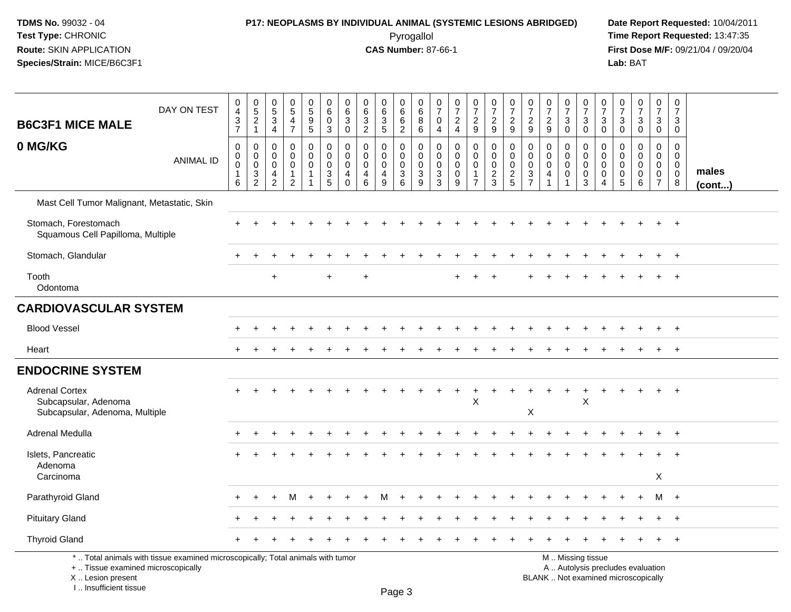I .. Insufficient tissue

# **P17: NEOPLASMS BY INDIVIDUAL ANIMAL (SYSTEMIC LESIONS ABRIDGED) Date Report Requested:** 10/04/2011

 Pyrogallol **Time Report Requested:** 13:47:35 **First Dose M/F:** 09/21/04 / 09/20/04<br>Lab: BAT **Lab:** BAT

| <b>B6C3F1 MICE MALE</b>                                                         | DAY ON TEST                                                                     | $\pmb{0}$<br>$\overline{4}$<br>$\ensuremath{\mathsf{3}}$<br>$\overline{7}$ | $\mathbf 0$<br>$\sqrt{5}$<br>$\sqrt{2}$<br>$\mathbf{1}$ | $\begin{array}{c} 0 \\ 5 \end{array}$<br>$\mathbf{3}$<br>4       | $\begin{matrix} 0 \\ 5 \end{matrix}$<br>$\overline{4}$<br>$\overline{7}$ | $\begin{array}{c} 0 \\ 5 \end{array}$<br>$\overline{9}$<br>5 | $\pmb{0}$<br>$\,6\,$<br>$\mathbf 0$<br>3                   | 0<br>6<br>$\mathbf{3}$<br>$\mathbf 0$                   | $\pmb{0}$<br>$6\phantom{1}$<br>$\mathbf{3}$<br>$\overline{2}$ | 0<br>$\,6$<br>$\overline{3}$<br>$\sqrt{5}$ | 0<br>6<br>$\,6\,$<br>$\overline{2}$                 | 0<br>$\,6\,$<br>$\,8\,$<br>$\,6\,$                           | 0<br>$\overline{7}$<br>$\mathbf 0$<br>$\overline{4}$       | $\begin{smallmatrix}0\\7\end{smallmatrix}$<br>$\boldsymbol{2}$<br>$\overline{4}$ | $\frac{0}{7}$<br>$\sqrt{2}$<br>9                       | $\begin{smallmatrix}0\\7\end{smallmatrix}$<br>$\overline{c}$<br>9 | $\begin{smallmatrix}0\\7\end{smallmatrix}$<br>$\overline{c}$<br>9 | $\pmb{0}$<br>$\overline{7}$<br>$\overline{2}$<br>9                                       | $\frac{0}{7}$<br>$\sqrt{2}$<br>9                                  | $\frac{0}{7}$<br>$\mathbf{3}$<br>$\mathbf 0$         | $\frac{0}{7}$<br>$\mathbf{3}$<br>$\mathsf 0$                             | 0<br>$\overline{7}$<br>$\mathbf{3}$<br>$\mathbf 0$      | $\frac{0}{7}$<br>3<br>0                                  | $\frac{0}{7}$<br>$\sqrt{3}$<br>$\pmb{0}$                                 | $\pmb{0}$<br>$\overline{7}$<br>$\mathbf{3}$<br>$\mathbf 0$                 | $\pmb{0}$<br>$\overline{7}$<br>3<br>$\mathbf 0$         |                       |
|---------------------------------------------------------------------------------|---------------------------------------------------------------------------------|----------------------------------------------------------------------------|---------------------------------------------------------|------------------------------------------------------------------|--------------------------------------------------------------------------|--------------------------------------------------------------|------------------------------------------------------------|---------------------------------------------------------|---------------------------------------------------------------|--------------------------------------------|-----------------------------------------------------|--------------------------------------------------------------|------------------------------------------------------------|----------------------------------------------------------------------------------|--------------------------------------------------------|-------------------------------------------------------------------|-------------------------------------------------------------------|------------------------------------------------------------------------------------------|-------------------------------------------------------------------|------------------------------------------------------|--------------------------------------------------------------------------|---------------------------------------------------------|----------------------------------------------------------|--------------------------------------------------------------------------|----------------------------------------------------------------------------|---------------------------------------------------------|-----------------------|
| 0 MG/KG                                                                         | <b>ANIMAL ID</b>                                                                | $\mathbf 0$<br>$\mathbf 0$<br>$\mathbf 0$<br>$\mathbf{1}$<br>6             | 0<br>$\mathbf 0$<br>$\mathbf 0$<br>3<br>$\overline{2}$  | $\mathbf 0$<br>$\mathbf 0$<br>$\mathbf 0$<br>4<br>$\overline{2}$ | $\mathbf 0$<br>$\mathbf 0$<br>$\mathbf 0$<br>$\overline{2}$              | $\mathbf 0$<br>$\overline{0}$<br>$\mathbf 0$                 | $\mathbf 0$<br>$\mathbf 0$<br>$\mathbf 0$<br>$\frac{3}{5}$ | $\mathbf 0$<br>$\mathbf 0$<br>$\Omega$<br>4<br>$\Omega$ | $\mathbf 0$<br>$\Omega$<br>$\mathbf 0$<br>$\overline{4}$<br>6 | 0<br>$\mathbf 0$<br>$\mathbf 0$<br>4<br>9  | $\mathbf 0$<br>0<br>$\mathbf 0$<br>$\mathsf 3$<br>6 | $\mathbf 0$<br>$\mathbf 0$<br>$\mathsf 0$<br>$\sqrt{3}$<br>9 | $\mathbf 0$<br>$\mathbf 0$<br>$\mathbf 0$<br>$\frac{3}{3}$ | $\mathbf 0$<br>$\Omega$<br>$\Omega$<br>$\mathbf 0$<br>9                          | $\mathbf 0$<br>0<br>$\mathbf 0$<br>1<br>$\overline{7}$ | $\mathbf 0$<br>$\mathbf 0$<br>$\frac{0}{2}$                       | $\mathbf 0$<br>$\mathbf 0$<br>$\mathbf 0$<br>$rac{2}{5}$          | $\mathbf 0$<br>$\mathbf 0$<br>$\mathbf 0$<br>$\ensuremath{\mathsf{3}}$<br>$\overline{7}$ | $\mathbf 0$<br>$\mathbf 0$<br>$\mathbf 0$<br>$\overline{4}$<br>-1 | 0<br>$\mathbf 0$<br>$\mathbf 0$<br>$\mathbf{0}$<br>1 | $\mathbf 0$<br>$\mathbf 0$<br>$\mathbf 0$<br>$\mathbf 0$<br>$\mathbf{3}$ | $\Omega$<br>$\mathbf 0$<br>$\Omega$<br>$\mathbf 0$<br>4 | $\Omega$<br>$\mathbf{0}$<br>$\Omega$<br>$\mathbf 0$<br>5 | $\mathbf 0$<br>$\mathbf 0$<br>$\mathbf 0$<br>0<br>6                      | $\mathbf 0$<br>$\mathbf 0$<br>$\mathbf 0$<br>$\mathbf 0$<br>$\overline{7}$ | $\Omega$<br>$\Omega$<br>$\mathbf 0$<br>$\mathbf 0$<br>8 | males<br>$($ cont $)$ |
| Mast Cell Tumor Malignant, Metastatic, Skin                                     |                                                                                 |                                                                            |                                                         |                                                                  |                                                                          |                                                              |                                                            |                                                         |                                                               |                                            |                                                     |                                                              |                                                            |                                                                                  |                                                        |                                                                   |                                                                   |                                                                                          |                                                                   |                                                      |                                                                          |                                                         |                                                          |                                                                          |                                                                            |                                                         |                       |
| Stomach, Forestomach<br>Squamous Cell Papilloma, Multiple                       |                                                                                 |                                                                            |                                                         |                                                                  |                                                                          |                                                              |                                                            |                                                         |                                                               |                                            |                                                     |                                                              |                                                            |                                                                                  |                                                        |                                                                   |                                                                   |                                                                                          |                                                                   |                                                      |                                                                          |                                                         |                                                          |                                                                          |                                                                            |                                                         |                       |
| Stomach, Glandular                                                              |                                                                                 |                                                                            |                                                         |                                                                  |                                                                          |                                                              |                                                            |                                                         |                                                               |                                            |                                                     |                                                              |                                                            |                                                                                  |                                                        |                                                                   |                                                                   |                                                                                          |                                                                   |                                                      |                                                                          |                                                         |                                                          |                                                                          |                                                                            | $\ddot{}$                                               |                       |
| Tooth<br>Odontoma                                                               |                                                                                 |                                                                            |                                                         | $\ddot{}$                                                        |                                                                          |                                                              |                                                            |                                                         |                                                               |                                            |                                                     |                                                              |                                                            |                                                                                  |                                                        |                                                                   |                                                                   |                                                                                          |                                                                   |                                                      |                                                                          |                                                         |                                                          |                                                                          |                                                                            | $+$                                                     |                       |
| <b>CARDIOVASCULAR SYSTEM</b>                                                    |                                                                                 |                                                                            |                                                         |                                                                  |                                                                          |                                                              |                                                            |                                                         |                                                               |                                            |                                                     |                                                              |                                                            |                                                                                  |                                                        |                                                                   |                                                                   |                                                                                          |                                                                   |                                                      |                                                                          |                                                         |                                                          |                                                                          |                                                                            |                                                         |                       |
| <b>Blood Vessel</b>                                                             |                                                                                 |                                                                            |                                                         |                                                                  |                                                                          |                                                              |                                                            |                                                         |                                                               |                                            |                                                     |                                                              |                                                            |                                                                                  |                                                        |                                                                   |                                                                   |                                                                                          |                                                                   |                                                      |                                                                          |                                                         |                                                          |                                                                          |                                                                            |                                                         |                       |
| Heart                                                                           |                                                                                 |                                                                            |                                                         |                                                                  |                                                                          |                                                              |                                                            |                                                         |                                                               |                                            |                                                     |                                                              |                                                            |                                                                                  |                                                        |                                                                   |                                                                   |                                                                                          |                                                                   |                                                      |                                                                          |                                                         |                                                          |                                                                          |                                                                            |                                                         |                       |
| <b>ENDOCRINE SYSTEM</b>                                                         |                                                                                 |                                                                            |                                                         |                                                                  |                                                                          |                                                              |                                                            |                                                         |                                                               |                                            |                                                     |                                                              |                                                            |                                                                                  |                                                        |                                                                   |                                                                   |                                                                                          |                                                                   |                                                      |                                                                          |                                                         |                                                          |                                                                          |                                                                            |                                                         |                       |
| <b>Adrenal Cortex</b><br>Subcapsular, Adenoma<br>Subcapsular, Adenoma, Multiple |                                                                                 |                                                                            |                                                         |                                                                  |                                                                          |                                                              |                                                            |                                                         |                                                               |                                            |                                                     |                                                              |                                                            | $\ddot{}$                                                                        | $+$<br>X                                               |                                                                   | $\ddot{}$                                                         | X                                                                                        |                                                                   | $+$                                                  | $\ddot{}$<br>X                                                           | $\ddot{}$                                               |                                                          |                                                                          | $\ddot{}$                                                                  | $+$                                                     |                       |
| Adrenal Medulla                                                                 |                                                                                 |                                                                            |                                                         |                                                                  |                                                                          |                                                              |                                                            |                                                         |                                                               |                                            |                                                     |                                                              |                                                            |                                                                                  |                                                        |                                                                   |                                                                   |                                                                                          |                                                                   |                                                      |                                                                          |                                                         |                                                          |                                                                          |                                                                            | $+$                                                     |                       |
| Islets, Pancreatic<br>Adenoma                                                   |                                                                                 |                                                                            |                                                         |                                                                  |                                                                          |                                                              |                                                            |                                                         |                                                               |                                            |                                                     |                                                              |                                                            |                                                                                  |                                                        |                                                                   |                                                                   |                                                                                          |                                                                   |                                                      |                                                                          |                                                         |                                                          |                                                                          |                                                                            |                                                         |                       |
| Carcinoma                                                                       |                                                                                 |                                                                            |                                                         |                                                                  |                                                                          |                                                              |                                                            |                                                         |                                                               |                                            |                                                     |                                                              |                                                            |                                                                                  |                                                        |                                                                   |                                                                   |                                                                                          |                                                                   |                                                      |                                                                          |                                                         |                                                          |                                                                          | X                                                                          |                                                         |                       |
| Parathyroid Gland                                                               |                                                                                 |                                                                            |                                                         |                                                                  | M                                                                        |                                                              |                                                            |                                                         |                                                               |                                            |                                                     |                                                              |                                                            |                                                                                  |                                                        |                                                                   |                                                                   |                                                                                          |                                                                   |                                                      |                                                                          |                                                         |                                                          |                                                                          | м                                                                          | $+$                                                     |                       |
| <b>Pituitary Gland</b>                                                          |                                                                                 |                                                                            |                                                         |                                                                  |                                                                          |                                                              |                                                            |                                                         |                                                               |                                            |                                                     |                                                              |                                                            |                                                                                  |                                                        |                                                                   |                                                                   |                                                                                          |                                                                   |                                                      |                                                                          |                                                         |                                                          |                                                                          |                                                                            |                                                         |                       |
| <b>Thyroid Gland</b>                                                            |                                                                                 |                                                                            |                                                         |                                                                  |                                                                          |                                                              |                                                            |                                                         |                                                               |                                            |                                                     |                                                              |                                                            |                                                                                  |                                                        |                                                                   |                                                                   |                                                                                          |                                                                   |                                                      |                                                                          |                                                         |                                                          |                                                                          |                                                                            | $^{+}$                                                  |                       |
| +  Tissue examined microscopically<br>X Lesion present                          | *  Total animals with tissue examined microscopically; Total animals with tumor |                                                                            |                                                         |                                                                  |                                                                          |                                                              |                                                            |                                                         |                                                               |                                            |                                                     |                                                              |                                                            |                                                                                  |                                                        |                                                                   |                                                                   |                                                                                          |                                                                   |                                                      | M  Missing tissue                                                        |                                                         |                                                          | A  Autolysis precludes evaluation<br>BLANK  Not examined microscopically |                                                                            |                                                         |                       |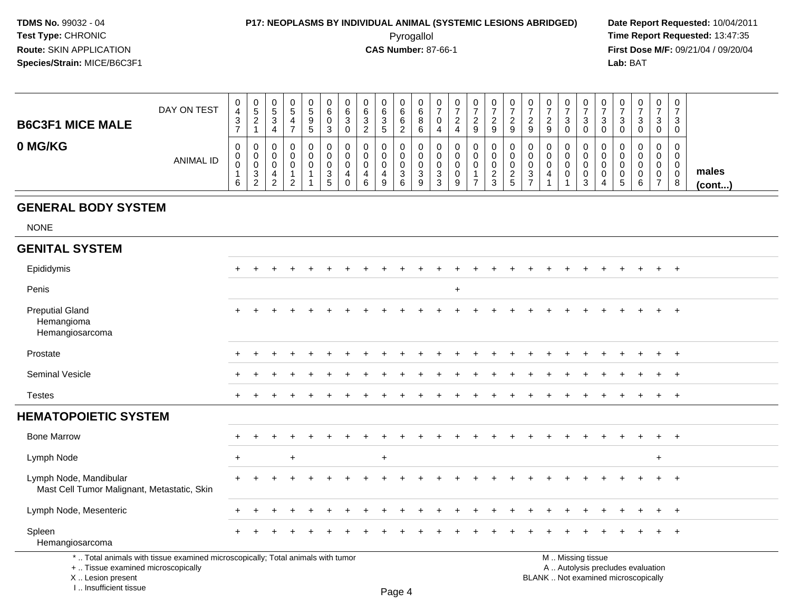### **P17: NEOPLASMS BY INDIVIDUAL ANIMAL (SYSTEMIC LESIONS ABRIDGED) Date Report Requested:** 10/04/2011

 Pyrogallol **Time Report Requested:** 13:47:35 **First Dose M/F:** 09/21/04 / 09/20/04<br>Lab: BAT **Lab:** BAT

| <b>B6C3F1 MICE MALE</b> | DAY ON TEST      | U<br>4<br>3       | U<br>$\mathbf{p}$<br>ി             | ັ | u | 0<br><sub>5</sub><br>9<br>$\mathbf b$ | U<br>6<br>◡<br>3            | 0<br>6<br>3<br>0 | ບ      | 6<br>3 | 0<br>6<br>6<br>◠<br><u>_</u> | U<br>6<br>O<br>6 | U<br>U<br>4           | 0<br><sup>o</sup>     | ∼<br>9         | 0<br>◠<br><u>_</u><br>9           | υ<br><u>_</u><br>9       | 0<br>ົ<br><u>.</u><br>9           | 0<br>ົ<br><u>_</u><br>9 | ບ | ت      | v<br>J | <b>U</b><br>-3<br>0         | ◡<br>◡            | 0<br>3<br>$\mathbf 0$             | ت<br>◡ |                 |
|-------------------------|------------------|-------------------|------------------------------------|---|---|---------------------------------------|-----------------------------|------------------|--------|--------|------------------------------|------------------|-----------------------|-----------------------|----------------|-----------------------------------|--------------------------|-----------------------------------|-------------------------|---|--------|--------|-----------------------------|-------------------|-----------------------------------|--------|-----------------|
| 0 MG/KG                 | <b>ANIMAL ID</b> | U<br>v.<br>◡<br>6 | U<br>J.<br>v<br>3<br>$\mathcal{D}$ |   | u | O                                     | U<br>ົ<br>ত<br>$\mathbf{p}$ | U<br>U<br>U<br>0 | 4<br>6 | 9      | U<br>U<br>U<br>ົ<br>د<br>6   | U<br>ູບ<br>9     | v<br>ν<br>U<br>3<br>3 | 0<br>0<br>0<br>0<br>9 | $\overline{ }$ | 0<br>0<br>0<br>ົ<br><u>_</u><br>3 | U<br><u>.</u><br>Б.<br>J | 0<br>0<br>U<br>3<br>$\rightarrow$ | 0<br>0<br>0             |   | ົ<br>ت | v<br>ν | 0<br>0<br>0<br><sub>5</sub> | ັ<br>◡<br>A.<br>v | 0<br>0<br>0<br>0<br>$\rightarrow$ |        | males<br>(cont) |

#### **GENERAL BODY SYSTEM**

NONE

| <b>GENITAL SYSTEM</b>                                                                                                 |           |  |     |  |  |     |  |     |  |  |  |                   |  |                                   |     |         |  |
|-----------------------------------------------------------------------------------------------------------------------|-----------|--|-----|--|--|-----|--|-----|--|--|--|-------------------|--|-----------------------------------|-----|---------|--|
| Epididymis                                                                                                            | $+$       |  |     |  |  |     |  |     |  |  |  |                   |  |                                   | $+$ | $+$     |  |
| Penis                                                                                                                 |           |  |     |  |  |     |  | $+$ |  |  |  |                   |  |                                   |     |         |  |
| <b>Preputial Gland</b><br>Hemangioma<br>Hemangiosarcoma                                                               | $\ddot{}$ |  |     |  |  |     |  |     |  |  |  |                   |  |                                   |     | $+$     |  |
| Prostate                                                                                                              | $+$       |  |     |  |  |     |  |     |  |  |  |                   |  |                                   |     | $+$ $+$ |  |
| Seminal Vesicle                                                                                                       |           |  |     |  |  |     |  |     |  |  |  |                   |  |                                   |     | $+$     |  |
| <b>Testes</b>                                                                                                         | $\ddot{}$ |  |     |  |  |     |  |     |  |  |  |                   |  |                                   |     | $+$ $+$ |  |
| <b>HEMATOPOIETIC SYSTEM</b>                                                                                           |           |  |     |  |  |     |  |     |  |  |  |                   |  |                                   |     |         |  |
| <b>Bone Marrow</b>                                                                                                    |           |  |     |  |  |     |  |     |  |  |  |                   |  |                                   |     | $+$     |  |
| Lymph Node                                                                                                            | $+$       |  | $+$ |  |  | $+$ |  |     |  |  |  |                   |  |                                   | $+$ |         |  |
| Lymph Node, Mandibular<br>Mast Cell Tumor Malignant, Metastatic, Skin                                                 | $\ddot{}$ |  |     |  |  |     |  |     |  |  |  |                   |  |                                   |     | $+$     |  |
| Lymph Node, Mesenteric                                                                                                |           |  |     |  |  |     |  |     |  |  |  |                   |  |                                   |     | $+$ $+$ |  |
| Spleen<br>Hemangiosarcoma                                                                                             | $+$       |  |     |  |  |     |  |     |  |  |  |                   |  |                                   |     | $+$     |  |
| *  Total animals with tissue examined microscopically; Total animals with tumor<br>+  Tissue examined microscopically |           |  |     |  |  |     |  |     |  |  |  | M  Missing tissue |  | A  Autolysis precludes evaluation |     |         |  |

 Lesion present BLANK .. Not examined microscopicallyX .. Lesion present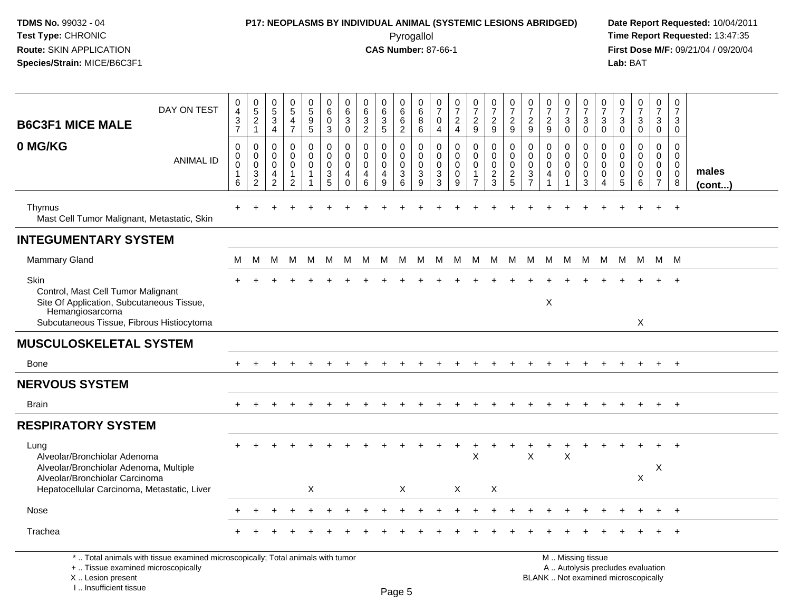I .. Insufficient tissue

# **P17: NEOPLASMS BY INDIVIDUAL ANIMAL (SYSTEMIC LESIONS ABRIDGED) Date Report Requested:** 10/04/2011

 Pyrogallol **Time Report Requested:** 13:47:35 **First Dose M/F:** 09/21/04 / 09/20/04<br>Lab: BAT **Lab:** BAT

| <b>B6C3F1 MICE MALE</b>                                                                                                                                         | DAY ON TEST                                                                     | $\pmb{0}$<br>$\overline{4}$<br>3<br>$\overline{7}$ | $\begin{array}{c} 0 \\ 5 \\ 2 \end{array}$<br>$\mathbf{1}$ | $\begin{array}{c} 0 \\ 5 \end{array}$<br>$\ensuremath{\mathsf{3}}$<br>$\overline{4}$ | $\begin{array}{c} 0 \\ 5 \end{array}$<br>4<br>$\overline{7}$ | $\begin{array}{c} 0 \\ 5 \end{array}$<br>$\boldsymbol{9}$<br>5  | 0<br>$\overline{6}$<br>$\mathbf 0$<br>3 | 0<br>6<br>$\mathfrak{S}$<br>0 | $\mathbf 0$<br>$\overline{6}$<br>$\sqrt{3}$<br>$\overline{2}$ | $\pmb{0}$<br>$6\phantom{a}$<br>$\sqrt{3}$<br>$\overline{5}$        | 0<br>$6\phantom{1}$<br>6<br>$\overline{c}$                          | 0<br>$\,6\,$<br>8<br>6                              | 0<br>$\overline{7}$<br>$\mathbf 0$<br>4                        | $\frac{0}{7}$<br>$\overline{a}$<br>4 | $\begin{smallmatrix}0\\7\end{smallmatrix}$<br>$\frac{2}{9}$ | $\frac{0}{7}$<br>$\frac{2}{9}$                             | $\begin{array}{c} 0 \\ 7 \end{array}$<br>$\frac{2}{9}$     | $\begin{array}{c} 0 \\ 7 \end{array}$<br>$\frac{2}{9}$      | $\frac{0}{7}$<br>$\frac{2}{9}$ | $\frac{0}{7}$<br>$\ensuremath{\mathsf{3}}$<br>$\pmb{0}$                | $\frac{0}{7}$<br>3<br>$\mathbf 0$             | $\frac{0}{7}$<br>3<br>$\pmb{0}$            | $\frac{0}{7}$<br>3<br>$\mathbf 0$                                        | $\begin{array}{c} 0 \\ 7 \end{array}$<br>$\mathbf{3}$<br>$\overline{0}$ | $\pmb{0}$<br>$\overline{7}$<br>3<br>$\mathbf 0$                         | $\mathbf 0$<br>$\overline{7}$<br>3<br>$\mathbf 0$   |                 |
|-----------------------------------------------------------------------------------------------------------------------------------------------------------------|---------------------------------------------------------------------------------|----------------------------------------------------|------------------------------------------------------------|--------------------------------------------------------------------------------------|--------------------------------------------------------------|-----------------------------------------------------------------|-----------------------------------------|-------------------------------|---------------------------------------------------------------|--------------------------------------------------------------------|---------------------------------------------------------------------|-----------------------------------------------------|----------------------------------------------------------------|--------------------------------------|-------------------------------------------------------------|------------------------------------------------------------|------------------------------------------------------------|-------------------------------------------------------------|--------------------------------|------------------------------------------------------------------------|-----------------------------------------------|--------------------------------------------|--------------------------------------------------------------------------|-------------------------------------------------------------------------|-------------------------------------------------------------------------|-----------------------------------------------------|-----------------|
| 0 MG/KG                                                                                                                                                         | <b>ANIMAL ID</b>                                                                | $\mathbf 0$<br>0<br>0<br>6                         | 0<br>0<br>$\pmb{0}$<br>$\frac{3}{2}$                       | $\Omega$<br>$\mathbf{0}$<br>$\mathbf 0$<br>4<br>$\overline{2}$                       | 0<br>$\mathbf 0$<br>$\mathbf 0$<br>1<br>$\overline{c}$       | 0<br>$\mathbf 0$<br>$\mathbf 0$<br>$\mathbf{1}$<br>$\mathbf{1}$ | 0<br>0<br>0<br>3<br>5                   | 0<br>0<br>0<br>4<br>$\Omega$  | $\mathbf{0}$<br>$\mathbf{0}$<br>$\mathbf 0$<br>4<br>$\,6\,$   | $\mathbf 0$<br>$\mathbf 0$<br>$\mathbf 0$<br>4<br>$\boldsymbol{9}$ | $\mathbf{0}$<br>$\mathbf 0$<br>$\mathbf 0$<br>$\sqrt{3}$<br>$\,6\,$ | $\mathbf 0$<br>$\mathbf 0$<br>$\mathbf 0$<br>3<br>9 | $\mathbf 0$<br>$\mathbf 0$<br>$\mathbf 0$<br>3<br>$\mathbf{3}$ | $\Omega$<br>$\Omega$<br>0<br>0<br>9  | 0<br>0<br>$\pmb{0}$<br>$\mathbf{1}$<br>$\overline{7}$       | $\mathbf 0$<br>$\mathbf 0$<br>$\mathbf 0$<br>$\frac{2}{3}$ | $\mathbf 0$<br>$\mathbf 0$<br>$\mathbf 0$<br>$\frac{2}{5}$ | $\mathbf{0}$<br>$\mathbf 0$<br>$\mathbf 0$<br>$\frac{3}{7}$ | $\Omega$<br>0<br>0<br>4<br>1   | $\mathbf 0$<br>$\mathbf 0$<br>$\mathbf 0$<br>$\pmb{0}$<br>$\mathbf{1}$ | $\Omega$<br>$\Omega$<br>$\mathbf 0$<br>0<br>3 | 0<br>0<br>0<br>$\pmb{0}$<br>$\overline{4}$ | $\mathbf 0$<br>$\Omega$<br>$\mathbf 0$<br>0<br>$\sqrt{5}$                | $\mathbf 0$<br>$\mathbf 0$<br>$\mathbf 0$<br>$\mathbf 0$<br>6           | $\Omega$<br>$\mathbf 0$<br>$\mathbf 0$<br>$\mathbf 0$<br>$\overline{7}$ | $\Omega$<br>0<br>$\overline{0}$<br>$\mathbf 0$<br>8 | males<br>(cont) |
| Thymus<br>Mast Cell Tumor Malignant, Metastatic, Skin                                                                                                           |                                                                                 |                                                    |                                                            |                                                                                      |                                                              |                                                                 |                                         |                               |                                                               |                                                                    |                                                                     |                                                     |                                                                |                                      |                                                             |                                                            |                                                            |                                                             |                                |                                                                        |                                               |                                            |                                                                          |                                                                         |                                                                         | $\ddot{}$                                           |                 |
| <b>INTEGUMENTARY SYSTEM</b>                                                                                                                                     |                                                                                 |                                                    |                                                            |                                                                                      |                                                              |                                                                 |                                         |                               |                                                               |                                                                    |                                                                     |                                                     |                                                                |                                      |                                                             |                                                            |                                                            |                                                             |                                |                                                                        |                                               |                                            |                                                                          |                                                                         |                                                                         |                                                     |                 |
| <b>Mammary Gland</b>                                                                                                                                            |                                                                                 | м                                                  | м                                                          | м                                                                                    | M                                                            | M                                                               | M                                       | M                             | M                                                             | M                                                                  | M                                                                   | M                                                   | M                                                              | M                                    | M                                                           | M                                                          | M                                                          | M                                                           | M                              | M                                                                      | M                                             | M                                          | M                                                                        | - M                                                                     |                                                                         | M M                                                 |                 |
| Skin<br>Control, Mast Cell Tumor Malignant<br>Site Of Application, Subcutaneous Tissue,<br>Hemangiosarcoma<br>Subcutaneous Tissue, Fibrous Histiocytoma         |                                                                                 |                                                    |                                                            |                                                                                      |                                                              |                                                                 |                                         |                               |                                                               |                                                                    |                                                                     |                                                     |                                                                |                                      |                                                             |                                                            |                                                            |                                                             | Χ                              |                                                                        |                                               |                                            |                                                                          | X                                                                       |                                                                         |                                                     |                 |
| <b>MUSCULOSKELETAL SYSTEM</b>                                                                                                                                   |                                                                                 |                                                    |                                                            |                                                                                      |                                                              |                                                                 |                                         |                               |                                                               |                                                                    |                                                                     |                                                     |                                                                |                                      |                                                             |                                                            |                                                            |                                                             |                                |                                                                        |                                               |                                            |                                                                          |                                                                         |                                                                         |                                                     |                 |
| <b>Bone</b>                                                                                                                                                     |                                                                                 | $+$                                                |                                                            |                                                                                      |                                                              |                                                                 |                                         |                               |                                                               |                                                                    |                                                                     |                                                     |                                                                |                                      |                                                             |                                                            |                                                            |                                                             |                                |                                                                        |                                               |                                            | $\div$                                                                   | $\pm$                                                                   | $+$                                                                     | $+$                                                 |                 |
| <b>NERVOUS SYSTEM</b>                                                                                                                                           |                                                                                 |                                                    |                                                            |                                                                                      |                                                              |                                                                 |                                         |                               |                                                               |                                                                    |                                                                     |                                                     |                                                                |                                      |                                                             |                                                            |                                                            |                                                             |                                |                                                                        |                                               |                                            |                                                                          |                                                                         |                                                                         |                                                     |                 |
| <b>Brain</b>                                                                                                                                                    |                                                                                 | $\pm$                                              | $\pm$                                                      |                                                                                      |                                                              |                                                                 |                                         |                               |                                                               |                                                                    |                                                                     |                                                     |                                                                |                                      |                                                             |                                                            |                                                            |                                                             |                                |                                                                        |                                               |                                            | $\ddot{}$                                                                | $\pm$                                                                   | $\ddot{}$                                                               | $+$                                                 |                 |
| <b>RESPIRATORY SYSTEM</b>                                                                                                                                       |                                                                                 |                                                    |                                                            |                                                                                      |                                                              |                                                                 |                                         |                               |                                                               |                                                                    |                                                                     |                                                     |                                                                |                                      |                                                             |                                                            |                                                            |                                                             |                                |                                                                        |                                               |                                            |                                                                          |                                                                         |                                                                         |                                                     |                 |
| Lung<br>Alveolar/Bronchiolar Adenoma<br>Alveolar/Bronchiolar Adenoma, Multiple<br>Alveolar/Bronchiolar Carcinoma<br>Hepatocellular Carcinoma, Metastatic, Liver |                                                                                 |                                                    |                                                            |                                                                                      |                                                              | X                                                               |                                         |                               |                                                               |                                                                    | X                                                                   |                                                     |                                                                | X                                    | X                                                           | X                                                          |                                                            | $\times$                                                    |                                | X                                                                      |                                               |                                            |                                                                          | X                                                                       | X                                                                       |                                                     |                 |
| Nose                                                                                                                                                            |                                                                                 |                                                    |                                                            |                                                                                      |                                                              |                                                                 |                                         |                               |                                                               |                                                                    |                                                                     |                                                     |                                                                |                                      |                                                             |                                                            |                                                            |                                                             |                                |                                                                        |                                               |                                            |                                                                          |                                                                         |                                                                         | $\ddot{}$                                           |                 |
| Trachea                                                                                                                                                         |                                                                                 |                                                    |                                                            |                                                                                      |                                                              |                                                                 |                                         |                               |                                                               |                                                                    |                                                                     |                                                     |                                                                |                                      |                                                             |                                                            |                                                            |                                                             |                                |                                                                        |                                               |                                            |                                                                          |                                                                         |                                                                         |                                                     |                 |
| +  Tissue examined microscopically<br>X  Lesion present                                                                                                         | *  Total animals with tissue examined microscopically; Total animals with tumor |                                                    |                                                            |                                                                                      |                                                              |                                                                 |                                         |                               |                                                               |                                                                    |                                                                     |                                                     |                                                                |                                      |                                                             |                                                            |                                                            |                                                             |                                |                                                                        | M  Missing tissue                             |                                            | A  Autolysis precludes evaluation<br>BLANK  Not examined microscopically |                                                                         |                                                                         |                                                     |                 |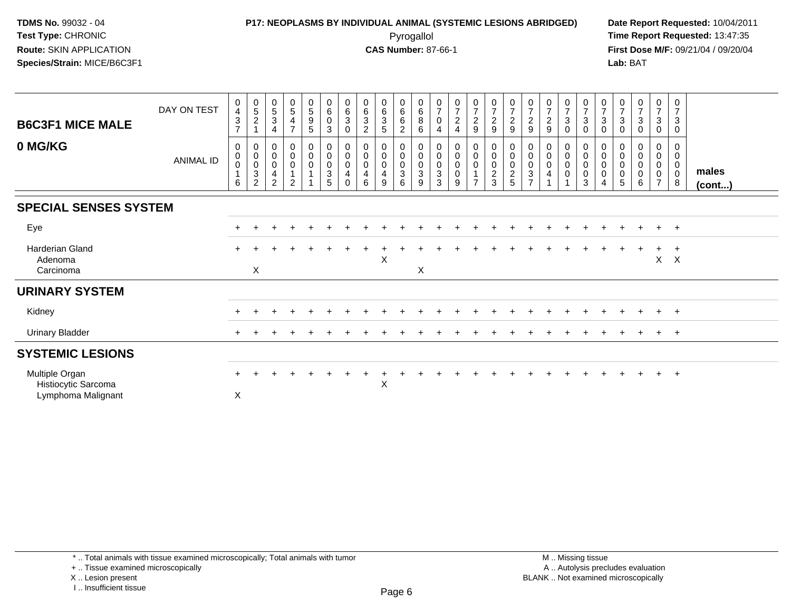### **P17: NEOPLASMS BY INDIVIDUAL ANIMAL (SYSTEMIC LESIONS ABRIDGED) Date Report Requested:** 10/04/2011 Pyrogallol **Time Report Requested:** 13:47:35

**First Dose M/F:** 09/21/04 / 09/20/04<br>Lab: BAT **Lab:** BAT

| <b>B6C3F1 MICE MALE</b><br>0 MG/KG                          | DAY ON TEST<br><b>ANIMAL ID</b> | 0<br>$\overline{\mathbf{4}}$<br>$\ensuremath{\mathsf{3}}$<br>$\overline{ }$<br>0<br>$\pmb{0}$<br>$\pmb{0}$<br>6 | $\begin{array}{c} 0 \\ 5 \end{array}$<br>$\boldsymbol{2}$<br>0<br>$\pmb{0}$<br>$\frac{0}{3}$<br>$\overline{2}$ | $\begin{array}{c} 0 \\ 5 \end{array}$<br>$\sqrt{3}$<br>$\overline{4}$<br>$\mathbf 0$<br>$\pmb{0}$<br>$\pmb{0}$<br>$\overline{\mathbf{4}}$<br>$\overline{2}$ | $\begin{matrix} 0 \\ 5 \end{matrix}$<br>4<br>$\overline{ }$<br>0<br>$\mathbf 0$<br>$\mathbf 0$<br>$\mathfrak{D}$ | $\begin{array}{c} 0 \\ 5 \end{array}$<br>$\begin{array}{c} 9 \\ 5 \end{array}$<br>0<br>$\pmb{0}$<br>$\pmb{0}$<br>$\mathbf{1}$ | $\begin{array}{c} 0 \\ 6 \end{array}$<br>$\pmb{0}$<br>$\sqrt{3}$<br>0<br>$\mathsf 0$<br>$\pmb{0}$<br>$\overline{3}$<br>5 | $\begin{array}{c} 0 \\ 6 \end{array}$<br>$\ensuremath{\mathsf{3}}$<br>$\mathbf 0$<br>0<br>$\mathbf 0$<br>0<br>4<br>$\Omega$ | $\begin{array}{c} 0 \\ 6 \end{array}$<br>$\sqrt{3}$<br>$\overline{2}$<br>0<br>$\boldsymbol{0}$<br>$\pmb{0}$<br>$\overline{\mathbf{4}}$<br>6 | $_{6}^{\rm 0}$<br>$\mathbf{3}$<br>5<br>0<br>0<br>$\mathbf 0$<br>$\overline{\mathbf{4}}$<br>9 | $_{6}^{\rm 0}$<br>6<br>$\overline{c}$<br>0<br>$\pmb{0}$<br>$\mathbf 0$<br>$\ensuremath{\mathsf{3}}$<br>6 | $\begin{array}{c} 0 \\ 6 \end{array}$<br>$\bf 8$<br>$\,6\,$<br>0<br>$_{\rm 0}^{\rm 0}$<br>$\overline{3}$<br>9 | $\frac{0}{7}$<br>$\pmb{0}$<br>$\overline{4}$<br>0<br>$\pmb{0}$<br>$\pmb{0}$<br>$\ensuremath{\mathsf{3}}$<br>3 | $\begin{array}{c} 0 \\ 7 \\ 2 \end{array}$<br>$\overline{4}$<br>0<br>$\pmb{0}$<br>$\pmb{0}$<br>$\pmb{0}$<br>9 | $\frac{0}{7}$<br>$\overline{c}$<br>$\boldsymbol{9}$<br>0<br>$\mathbf 0$<br>$\mathbf 0$<br>$\overline{ }$ | $\frac{0}{7}$<br>$\frac{2}{9}$<br>0<br>$\pmb{0}$<br>$\pmb{0}$<br>$\frac{2}{3}$ | $\frac{0}{7}$<br>$\frac{2}{9}$<br>0<br>$\mathbf 0$<br>$\begin{array}{c} 0 \\ 2 \\ 5 \end{array}$ | $\frac{0}{7}$<br>$\frac{2}{9}$<br>0<br>$\mathbf 0$<br>$\mathbf 0$<br>$\ensuremath{\mathsf{3}}$<br>$\overline{z}$ | $\begin{array}{c} 0 \\ 7 \\ 2 \end{array}$<br>$\boldsymbol{9}$<br>0<br>$\pmb{0}$<br>$\pmb{0}$<br>4 | $\frac{0}{7}$<br>$\mathbf{3}$<br>$\mathbf 0$<br>$\mathbf{0}$<br>0<br>$\mathbf 0$<br>$\mathbf 0$ | $\begin{array}{c} 0 \\ 7 \\ 3 \end{array}$<br>$\pmb{0}$<br>0<br>$\mathsf{O}\xspace$<br>$\pmb{0}$<br>0<br>3 | $\frac{0}{7}$<br>$\mathbf 3$<br>$\mathsf 0$<br>0<br>$\pmb{0}$<br>$\pmb{0}$<br>$\pmb{0}$<br>$\overline{4}$ | $\frac{0}{7}$<br>$_{0}^{3}$<br>0<br>$\mathbf 0$<br>$\pmb{0}$<br>$\pmb{0}$<br>5 | $\frac{0}{7}$<br>$\mathbf{3}$<br>$\mathbf 0$<br>$\pmb{0}$<br>$\pmb{0}$<br>$\pmb{0}$<br>6 | $\frac{0}{7}$<br>$\mathbf{3}$<br>0<br>0<br>$\mathbf 0$<br>$\mathbf 0$<br>$\mathbf 0$<br>$\overline{7}$ | $\begin{array}{c} 0 \\ 7 \end{array}$<br>$\sqrt{3}$<br>$\mathbf 0$<br>$\mathbf 0$<br>0<br>0<br>$\pmb{0}$<br>8 | males<br>(cont) |
|-------------------------------------------------------------|---------------------------------|-----------------------------------------------------------------------------------------------------------------|----------------------------------------------------------------------------------------------------------------|-------------------------------------------------------------------------------------------------------------------------------------------------------------|------------------------------------------------------------------------------------------------------------------|-------------------------------------------------------------------------------------------------------------------------------|--------------------------------------------------------------------------------------------------------------------------|-----------------------------------------------------------------------------------------------------------------------------|---------------------------------------------------------------------------------------------------------------------------------------------|----------------------------------------------------------------------------------------------|----------------------------------------------------------------------------------------------------------|---------------------------------------------------------------------------------------------------------------|---------------------------------------------------------------------------------------------------------------|---------------------------------------------------------------------------------------------------------------|----------------------------------------------------------------------------------------------------------|--------------------------------------------------------------------------------|--------------------------------------------------------------------------------------------------|------------------------------------------------------------------------------------------------------------------|----------------------------------------------------------------------------------------------------|-------------------------------------------------------------------------------------------------|------------------------------------------------------------------------------------------------------------|-----------------------------------------------------------------------------------------------------------|--------------------------------------------------------------------------------|------------------------------------------------------------------------------------------|--------------------------------------------------------------------------------------------------------|---------------------------------------------------------------------------------------------------------------|-----------------|
| <b>SPECIAL SENSES SYSTEM</b>                                |                                 |                                                                                                                 |                                                                                                                |                                                                                                                                                             |                                                                                                                  |                                                                                                                               |                                                                                                                          |                                                                                                                             |                                                                                                                                             |                                                                                              |                                                                                                          |                                                                                                               |                                                                                                               |                                                                                                               |                                                                                                          |                                                                                |                                                                                                  |                                                                                                                  |                                                                                                    |                                                                                                 |                                                                                                            |                                                                                                           |                                                                                |                                                                                          |                                                                                                        |                                                                                                               |                 |
| Eye                                                         |                                 |                                                                                                                 |                                                                                                                |                                                                                                                                                             |                                                                                                                  |                                                                                                                               |                                                                                                                          |                                                                                                                             |                                                                                                                                             |                                                                                              |                                                                                                          |                                                                                                               |                                                                                                               |                                                                                                               |                                                                                                          |                                                                                |                                                                                                  |                                                                                                                  |                                                                                                    |                                                                                                 |                                                                                                            |                                                                                                           |                                                                                |                                                                                          | $\ddot{}$                                                                                              | $+$                                                                                                           |                 |
| <b>Harderian Gland</b><br>Adenoma<br>Carcinoma              |                                 |                                                                                                                 | X                                                                                                              |                                                                                                                                                             |                                                                                                                  |                                                                                                                               |                                                                                                                          |                                                                                                                             |                                                                                                                                             | X                                                                                            |                                                                                                          | X                                                                                                             |                                                                                                               |                                                                                                               |                                                                                                          |                                                                                |                                                                                                  |                                                                                                                  |                                                                                                    |                                                                                                 |                                                                                                            |                                                                                                           |                                                                                |                                                                                          | $\ddot{}$<br>X                                                                                         | $\overline{+}$<br>$\mathsf{X}$                                                                                |                 |
| <b>URINARY SYSTEM</b>                                       |                                 |                                                                                                                 |                                                                                                                |                                                                                                                                                             |                                                                                                                  |                                                                                                                               |                                                                                                                          |                                                                                                                             |                                                                                                                                             |                                                                                              |                                                                                                          |                                                                                                               |                                                                                                               |                                                                                                               |                                                                                                          |                                                                                |                                                                                                  |                                                                                                                  |                                                                                                    |                                                                                                 |                                                                                                            |                                                                                                           |                                                                                |                                                                                          |                                                                                                        |                                                                                                               |                 |
| Kidney                                                      |                                 |                                                                                                                 |                                                                                                                |                                                                                                                                                             |                                                                                                                  |                                                                                                                               |                                                                                                                          |                                                                                                                             |                                                                                                                                             |                                                                                              |                                                                                                          |                                                                                                               |                                                                                                               |                                                                                                               |                                                                                                          |                                                                                |                                                                                                  |                                                                                                                  |                                                                                                    |                                                                                                 |                                                                                                            |                                                                                                           |                                                                                |                                                                                          | $\ddot{}$                                                                                              | $+$                                                                                                           |                 |
| <b>Urinary Bladder</b>                                      |                                 | $\pm$                                                                                                           |                                                                                                                |                                                                                                                                                             |                                                                                                                  |                                                                                                                               |                                                                                                                          |                                                                                                                             |                                                                                                                                             |                                                                                              |                                                                                                          |                                                                                                               |                                                                                                               |                                                                                                               |                                                                                                          |                                                                                |                                                                                                  |                                                                                                                  |                                                                                                    |                                                                                                 |                                                                                                            |                                                                                                           |                                                                                |                                                                                          | $\ddot{}$                                                                                              | $+$                                                                                                           |                 |
| <b>SYSTEMIC LESIONS</b>                                     |                                 |                                                                                                                 |                                                                                                                |                                                                                                                                                             |                                                                                                                  |                                                                                                                               |                                                                                                                          |                                                                                                                             |                                                                                                                                             |                                                                                              |                                                                                                          |                                                                                                               |                                                                                                               |                                                                                                               |                                                                                                          |                                                                                |                                                                                                  |                                                                                                                  |                                                                                                    |                                                                                                 |                                                                                                            |                                                                                                           |                                                                                |                                                                                          |                                                                                                        |                                                                                                               |                 |
| Multiple Organ<br>Histiocytic Sarcoma<br>Lymphoma Malignant |                                 | X                                                                                                               |                                                                                                                |                                                                                                                                                             |                                                                                                                  |                                                                                                                               |                                                                                                                          |                                                                                                                             |                                                                                                                                             | $\pmb{\times}$                                                                               |                                                                                                          |                                                                                                               |                                                                                                               |                                                                                                               |                                                                                                          |                                                                                |                                                                                                  |                                                                                                                  |                                                                                                    |                                                                                                 |                                                                                                            |                                                                                                           |                                                                                |                                                                                          |                                                                                                        | $+$                                                                                                           |                 |

\* .. Total animals with tissue examined microscopically; Total animals with tumor

+ .. Tissue examined microscopically

X .. Lesion present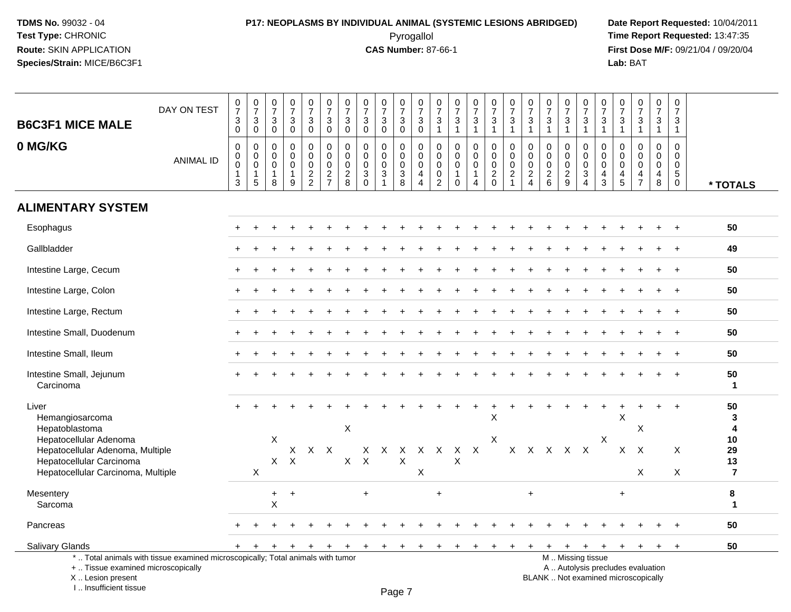I .. Insufficient tissue

# **P17: NEOPLASMS BY INDIVIDUAL ANIMAL (SYSTEMIC LESIONS ABRIDGED) Date Report Requested:** 10/04/2011

 Pyrogallol **Time Report Requested:** 13:47:35 **First Dose M/F:** 09/21/04 / 09/20/04<br>Lab: BAT **Lab:** BAT

| <b>B6C3F1 MICE MALE</b>                                                                                                              | DAY ON TEST                                                                     | $\begin{array}{c} 0 \\ 7 \end{array}$<br>$\mathsf 3$<br>$\mathbf 0$ | $\begin{matrix}0\\7\\3\\0\end{matrix}$                                   | $\begin{matrix} 0 \\ 7 \end{matrix}$<br>$\sqrt{3}$<br>$\mathbf 0$ | $\frac{0}{7}$<br>$\sqrt{3}$<br>$\mathbf 0$          | $\frac{0}{7}$<br>3<br>$\mathbf 0$                 | $\begin{array}{c} 0 \\ 7 \end{array}$<br>$\mathbf{3}$<br>$\mathbf 0$ | $\frac{0}{7}$<br>$\sqrt{3}$<br>$\mathbf 0$             | $\begin{array}{c} 0 \\ 7 \end{array}$<br>$\mathbf{3}$<br>$\mathbf 0$ | $\frac{0}{7}$<br>$\mathbf{3}$<br>$\mathsf 0$                              | $\frac{0}{7}$<br>3<br>$\mathbf 0$                                 | $\frac{0}{7}$<br>$\mathbf{3}$<br>$\mathbf 0$                           | $\frac{0}{7}$<br>$\ensuremath{\mathsf{3}}$<br>$\mathbf{1}$                     | $\begin{smallmatrix}0\\7\end{smallmatrix}$<br>$\sqrt{3}$<br>$\mathbf{1}$ | $\frac{0}{7}$<br>$\sqrt{3}$<br>$\overline{1}$                               | $\begin{array}{c} 0 \\ 7 \end{array}$<br>$\sqrt{3}$<br>$\mathbf{1}$ | $\begin{smallmatrix}0\\7\end{smallmatrix}$<br>$\overline{3}$<br>$\mathbf{1}$ | $\frac{0}{7}$<br>$\mathbf{3}$<br>$\mathbf{1}$             | $\frac{0}{7}$<br>$\sqrt{3}$<br>$\mathbf{1}$                         | $\begin{array}{c} 0 \\ 7 \end{array}$<br>$\sqrt{3}$<br>$\mathbf{1}$ | $\frac{0}{7}$<br>$\mathbf{3}$<br>$\overline{1}$       | $\frac{0}{7}$<br>$\overline{3}$<br>$\overline{1}$                           | 0<br>$\overline{7}$<br>3<br>$\mathbf{1}$               | $\frac{0}{7}$<br>$\sqrt{3}$<br>$\mathbf{1}$                              | $\begin{array}{c} 0 \\ 7 \end{array}$<br>$\sqrt{3}$<br>$\mathbf{1}$  | $\begin{array}{c} 0 \\ 7 \end{array}$<br>$\mathbf{3}$<br>$\mathbf{1}$             |                                |
|--------------------------------------------------------------------------------------------------------------------------------------|---------------------------------------------------------------------------------|---------------------------------------------------------------------|--------------------------------------------------------------------------|-------------------------------------------------------------------|-----------------------------------------------------|---------------------------------------------------|----------------------------------------------------------------------|--------------------------------------------------------|----------------------------------------------------------------------|---------------------------------------------------------------------------|-------------------------------------------------------------------|------------------------------------------------------------------------|--------------------------------------------------------------------------------|--------------------------------------------------------------------------|-----------------------------------------------------------------------------|---------------------------------------------------------------------|------------------------------------------------------------------------------|-----------------------------------------------------------|---------------------------------------------------------------------|---------------------------------------------------------------------|-------------------------------------------------------|-----------------------------------------------------------------------------|--------------------------------------------------------|--------------------------------------------------------------------------|----------------------------------------------------------------------|-----------------------------------------------------------------------------------|--------------------------------|
| 0 MG/KG                                                                                                                              | <b>ANIMAL ID</b>                                                                | 0<br>0<br>$\pmb{0}$<br>1<br>3                                       | $\mathbf 0$<br>$\pmb{0}$<br>$\overline{0}$<br>$\mathbf{1}$<br>$\sqrt{5}$ | $\mathbf 0$<br>$\mathbf 0$<br>$\mathbf 0$<br>1<br>8               | $\mathbf 0$<br>$\mathbf 0$<br>$\mathbf 0$<br>1<br>9 | 0<br>$\mathsf{O}$<br>$\mathbf 0$<br>$\frac{2}{2}$ | 0<br>$\mathbf 0$<br>$\pmb{0}$<br>$\frac{2}{7}$                       | $\mathbf 0$<br>$\pmb{0}$<br>$\pmb{0}$<br>$\frac{2}{8}$ | $\mathbf 0$<br>0<br>$\mathbf 0$<br>$\sqrt{3}$<br>$\mathbf{0}$        | $\mathbf 0$<br>$\mathbf 0$<br>$\mathsf 0$<br>$\sqrt{3}$<br>$\overline{1}$ | 0<br>$\mathbf 0$<br>$\mathbf 0$<br>$\ensuremath{\mathsf{3}}$<br>8 | 0<br>$\mathbf 0$<br>$\overline{0}$<br>$\overline{4}$<br>$\overline{4}$ | $\mathbf 0$<br>$\pmb{0}$<br>$\mathsf{O}\xspace$<br>$\pmb{0}$<br>$\overline{2}$ | $\mathbf 0$<br>0<br>0<br>$\mathbf{1}$<br>$\mathbf 0$                     | $\mathbf 0$<br>$\mathbf 0$<br>$\mathbf 0$<br>$\mathbf{1}$<br>$\overline{4}$ | $\mathbf 0$<br>$\mathsf{O}\xspace$<br>$\pmb{0}$<br>$^2_{\rm 0}$     | 0<br>$\mathbf 0$<br>$\pmb{0}$<br>$\frac{2}{1}$                               | 0<br>0<br>$\mathbf 0$<br>$\overline{c}$<br>$\overline{4}$ | $\mathbf 0$<br>0<br>$\mathbf 0$<br>$\overline{c}$<br>$6\phantom{a}$ | $\mathbf 0$<br>$\mathbf 0$<br>$\pmb{0}$<br>$\frac{2}{9}$            | 0<br>0<br>$\mathsf 0$<br>$\sqrt{3}$<br>$\overline{4}$ | $\mathbf 0$<br>$\mathbf 0$<br>$\mathbf 0$<br>$\overline{a}$<br>$\mathbf{3}$ | 0<br>$\mathbf 0$<br>$\mathbf 0$<br>$\overline{4}$<br>5 | 0<br>$\mathbf 0$<br>$\mathbf 0$<br>4<br>$\overline{7}$                   | $\mathbf 0$<br>$\mathbf 0$<br>$\pmb{0}$<br>$\overline{4}$<br>$\,8\,$ | $\mathbf 0$<br>$\mathbf 0$<br>$\mathsf{O}\xspace$<br>$\sqrt{5}$<br>$\overline{0}$ | * TOTALS                       |
| <b>ALIMENTARY SYSTEM</b>                                                                                                             |                                                                                 |                                                                     |                                                                          |                                                                   |                                                     |                                                   |                                                                      |                                                        |                                                                      |                                                                           |                                                                   |                                                                        |                                                                                |                                                                          |                                                                             |                                                                     |                                                                              |                                                           |                                                                     |                                                                     |                                                       |                                                                             |                                                        |                                                                          |                                                                      |                                                                                   |                                |
| Esophagus                                                                                                                            |                                                                                 |                                                                     |                                                                          |                                                                   |                                                     |                                                   |                                                                      |                                                        |                                                                      |                                                                           |                                                                   |                                                                        |                                                                                |                                                                          |                                                                             |                                                                     |                                                                              |                                                           |                                                                     |                                                                     |                                                       |                                                                             |                                                        |                                                                          |                                                                      |                                                                                   | 50                             |
| Gallbladder                                                                                                                          |                                                                                 |                                                                     |                                                                          |                                                                   |                                                     |                                                   |                                                                      |                                                        |                                                                      |                                                                           |                                                                   |                                                                        |                                                                                |                                                                          |                                                                             |                                                                     |                                                                              |                                                           |                                                                     |                                                                     |                                                       |                                                                             |                                                        |                                                                          |                                                                      |                                                                                   | 49                             |
| Intestine Large, Cecum                                                                                                               |                                                                                 |                                                                     |                                                                          |                                                                   |                                                     |                                                   |                                                                      |                                                        |                                                                      |                                                                           |                                                                   |                                                                        |                                                                                |                                                                          |                                                                             |                                                                     |                                                                              |                                                           |                                                                     |                                                                     |                                                       |                                                                             |                                                        |                                                                          |                                                                      |                                                                                   | 50                             |
| Intestine Large, Colon                                                                                                               |                                                                                 |                                                                     |                                                                          |                                                                   |                                                     |                                                   |                                                                      |                                                        |                                                                      |                                                                           |                                                                   |                                                                        |                                                                                |                                                                          |                                                                             |                                                                     |                                                                              |                                                           |                                                                     |                                                                     |                                                       |                                                                             |                                                        |                                                                          |                                                                      |                                                                                   | 50                             |
| Intestine Large, Rectum                                                                                                              |                                                                                 |                                                                     |                                                                          |                                                                   |                                                     |                                                   |                                                                      |                                                        |                                                                      |                                                                           |                                                                   |                                                                        |                                                                                |                                                                          |                                                                             |                                                                     |                                                                              |                                                           |                                                                     |                                                                     |                                                       |                                                                             |                                                        |                                                                          |                                                                      |                                                                                   | 50                             |
| Intestine Small, Duodenum                                                                                                            |                                                                                 |                                                                     |                                                                          |                                                                   |                                                     |                                                   |                                                                      |                                                        |                                                                      |                                                                           |                                                                   |                                                                        |                                                                                |                                                                          |                                                                             |                                                                     |                                                                              |                                                           |                                                                     |                                                                     |                                                       |                                                                             |                                                        |                                                                          |                                                                      |                                                                                   | 50                             |
| Intestine Small, Ileum                                                                                                               |                                                                                 |                                                                     |                                                                          |                                                                   |                                                     |                                                   |                                                                      |                                                        |                                                                      |                                                                           |                                                                   |                                                                        |                                                                                |                                                                          |                                                                             |                                                                     |                                                                              |                                                           |                                                                     |                                                                     |                                                       |                                                                             |                                                        |                                                                          |                                                                      |                                                                                   | 50                             |
| Intestine Small, Jejunum<br>Carcinoma                                                                                                |                                                                                 |                                                                     |                                                                          |                                                                   |                                                     |                                                   |                                                                      |                                                        |                                                                      |                                                                           |                                                                   |                                                                        |                                                                                |                                                                          |                                                                             |                                                                     |                                                                              |                                                           |                                                                     |                                                                     |                                                       |                                                                             |                                                        |                                                                          |                                                                      |                                                                                   | 50<br>$\mathbf{1}$             |
| Liver<br>Hemangiosarcoma<br>Hepatoblastoma<br>Hepatocellular Adenoma<br>Hepatocellular Adenoma, Multiple<br>Hepatocellular Carcinoma |                                                                                 |                                                                     |                                                                          | $\boldsymbol{\mathsf{X}}$<br>X                                    | $\boldsymbol{\mathsf{X}}$                           | X X X                                             |                                                                      | X<br>$\mathsf{X}$                                      | X<br>$\boldsymbol{\mathsf{X}}$                                       | X                                                                         | X<br>X                                                            | $\mathsf{X}$                                                           | $\mathsf{X}$                                                                   | X<br>X                                                                   | $\mathsf{X}$                                                                | X<br>$\boldsymbol{\mathsf{X}}$                                      |                                                                              |                                                           | x x x x x                                                           |                                                                     |                                                       | $\boldsymbol{\mathsf{X}}$                                                   | X<br>X                                                 | $\times$<br>$\mathsf{X}$                                                 |                                                                      | X                                                                                 | 50<br>3<br>4<br>10<br>29<br>13 |
| Hepatocellular Carcinoma, Multiple                                                                                                   |                                                                                 |                                                                     | X                                                                        |                                                                   |                                                     |                                                   |                                                                      |                                                        |                                                                      |                                                                           |                                                                   | X                                                                      |                                                                                |                                                                          |                                                                             |                                                                     |                                                                              |                                                           |                                                                     |                                                                     |                                                       |                                                                             |                                                        | X                                                                        |                                                                      | X                                                                                 | $\overline{7}$                 |
| Mesentery<br>Sarcoma                                                                                                                 |                                                                                 |                                                                     |                                                                          | +<br>X                                                            | $\ddot{}$                                           |                                                   |                                                                      |                                                        | $\ddot{}$                                                            |                                                                           |                                                                   |                                                                        | $\ddot{}$                                                                      |                                                                          |                                                                             |                                                                     |                                                                              | $\ddot{}$                                                 |                                                                     |                                                                     |                                                       |                                                                             | $\ddot{}$                                              |                                                                          |                                                                      |                                                                                   | 8<br>$\blacktriangleleft$      |
| Pancreas                                                                                                                             |                                                                                 |                                                                     |                                                                          |                                                                   |                                                     |                                                   |                                                                      |                                                        |                                                                      |                                                                           |                                                                   |                                                                        |                                                                                |                                                                          |                                                                             |                                                                     |                                                                              |                                                           |                                                                     |                                                                     |                                                       |                                                                             |                                                        |                                                                          |                                                                      |                                                                                   | 50                             |
| Salivary Glands                                                                                                                      |                                                                                 | ÷.                                                                  | $+$                                                                      | $\ddot{}$                                                         | $\pm$                                               | $\overline{+}$                                    | $\ddot{}$                                                            | $\ddot{}$                                              | $+$                                                                  | $+$                                                                       | $+$                                                               | $+$                                                                    | $+$                                                                            | $+$                                                                      | $+$                                                                         | $+$                                                                 | $+$                                                                          | $+$                                                       | $+$                                                                 |                                                                     | $+$ $+$                                               | $+$                                                                         | $+$                                                    | $+$                                                                      | $\ddot{}$                                                            | $+$                                                                               | 50                             |
| +  Tissue examined microscopically<br>X Lesion present                                                                               | *  Total animals with tissue examined microscopically; Total animals with tumor |                                                                     |                                                                          |                                                                   |                                                     |                                                   |                                                                      |                                                        |                                                                      |                                                                           |                                                                   |                                                                        |                                                                                |                                                                          |                                                                             |                                                                     |                                                                              |                                                           |                                                                     | M  Missing tissue                                                   |                                                       |                                                                             |                                                        | A  Autolysis precludes evaluation<br>BLANK  Not examined microscopically |                                                                      |                                                                                   |                                |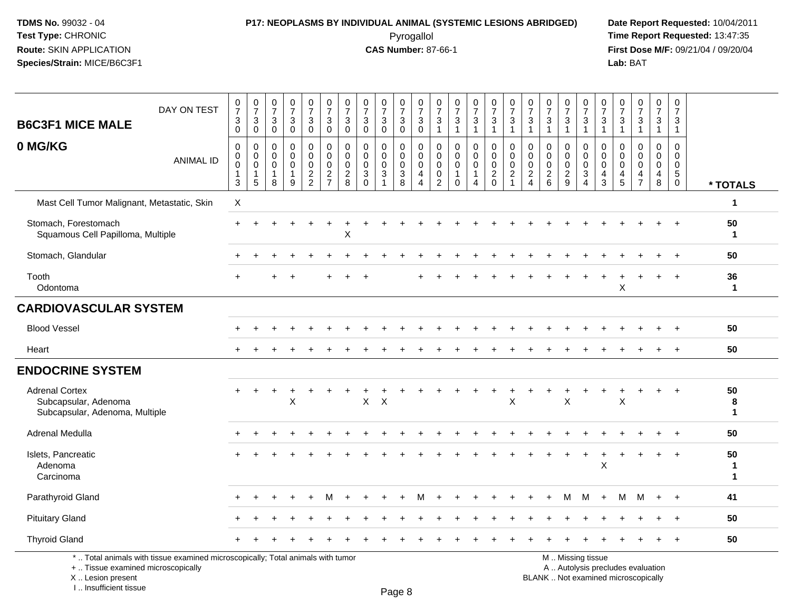# **P17: NEOPLASMS BY INDIVIDUAL ANIMAL (SYSTEMIC LESIONS ABRIDGED) Date Report Requested:** 10/04/2011

 Pyrogallol **Time Report Requested:** 13:47:35 **First Dose M/F:** 09/21/04 / 09/20/04<br>Lab: BAT **Lab:** BAT

| 0<br>$\frac{0}{7}$<br>$\frac{0}{7}$<br>$\frac{0}{7}$<br>$\frac{0}{7}$<br>$\frac{0}{7}$<br>$\frac{0}{7}$<br>$\frac{0}{7}$<br>0<br>$\frac{0}{7}$<br>$\frac{0}{7}$<br>$\overline{7}$<br>$\overline{7}$<br>$\sqrt{3}$<br>$\mathbf{3}$<br>$\ensuremath{\mathsf{3}}$<br>$\sqrt{3}$<br>3<br>$_0^3$<br>$\ensuremath{\mathsf{3}}$<br>$\mathbf{3}$<br>$\ensuremath{\mathsf{3}}$<br>$\mathbf{3}$<br>3<br>$\overline{0}$<br>$\ddot{\mathbf{0}}$<br>$\overline{0}$<br>$\overline{0}$<br>$\overline{1}$<br>$\mathbf{0}$<br>$\mathbf 0$<br>$\mathbf{1}$<br>$\mathbf{1}$<br>$\overline{1}$<br>0<br>$\mathbf 0$<br>$\mathbf 0$<br>$\mathbf 0$<br>$\mathbf 0$<br>$\mathbf 0$<br>$\pmb{0}$<br>0<br>0<br>0<br>0<br>$\pmb{0}$<br>$\mathsf{O}\xspace$<br>$\mathbf 0$<br>0<br>$\mathbf 0$<br>$\mathbf 0$<br>$\mathbf 0$<br>$\mathbf 0$<br>$\mathbf 0$<br>$\mathbf 0$<br>$\mathbf 0$<br>$\ddot{\mathbf{0}}$<br>$\mathsf{O}\xspace$<br>$\mathbf 0$<br>$\pmb{0}$<br>$\mathsf{O}\xspace$<br>$\mathbf 0$<br>$\mathbf 0$<br>$\mathbf 0$<br>$\mathbf 0$<br>$\mathbf 0$<br>$\mathbf 0$<br>$\frac{2}{2}$<br>$\overline{\mathbf{c}}$<br>$\mathbf{3}$<br>$\ensuremath{\mathsf{3}}$<br>$\overline{c}$<br>$\frac{2}{8}$<br>3<br>$\mathbf 0$<br>4<br>$\mathbf{1}$<br>1<br>$\overline{7}$<br>$\mathbf 0$<br>$\Omega$<br>8<br>$\overline{2}$<br>$\Omega$<br>4<br>4<br>X | $\frac{0}{7}$<br>$\frac{0}{7}$<br>0<br>$\frac{0}{7}$<br>$\pmb{0}$<br>$\pmb{0}$<br>0<br>0<br>0<br>0<br>$\overline{7}$<br>$\overline{7}$<br>$\overline{7}$<br>$\overline{7}$<br>$\overline{7}$<br>$\overline{7}$<br>$\overline{7}$<br>$\frac{3}{1}$<br>$\mathbf{3}$<br>$\ensuremath{\mathsf{3}}$<br>$\mathbf 3$<br>3<br>$\sqrt{3}$<br>$\sqrt{3}$<br>3<br>3<br>3<br>$\overline{1}$<br>$\overline{1}$<br>$\overline{1}$<br>$\mathbf{1}$<br>$\mathbf{1}$<br>$\mathbf{1}$<br>$\mathbf{1}$<br>$\overline{1}$<br>$\mathbf{1}$<br>0<br>$\mathbf 0$<br>$\mathbf 0$<br>0<br>0<br>0<br>0<br>0<br>0<br>0<br>$\mathbf 0$<br>$\mathbf 0$<br>$\mathbf 0$<br>$\mathbf 0$<br>$\mathbf 0$<br>$\Omega$<br>$\mathbf 0$<br>$\mathbf 0$<br>$\mathbf 0$<br>$\mathbf 0$<br>$\mathsf 0$<br>$\pmb{0}$<br>$\mathbf 0$<br>$\mathsf{O}$<br>$\mathbf 0$<br>$\mathbf 0$<br>$\mathbf 0$<br>0<br>0<br>0<br>$\overline{c}$<br>$\boldsymbol{2}$<br>$\frac{2}{9}$<br>$\overline{c}$<br>$\ensuremath{\mathsf{3}}$<br>$\sqrt{5}$<br>$\overline{4}$<br>4<br>4<br>$\frac{4}{5}$<br>6<br>3<br>8<br>$\overline{4}$<br>$\overline{4}$<br>$\overline{7}$<br>$\mathbf 0$<br>1<br>* TOTALS<br>$\mathbf{1}$<br>50<br>$\ddot{}$<br>1<br>50<br>36<br>X<br>$\mathbf 1$<br>50<br>50<br>$+$ |
|----------------------------------------------------------------------------------------------------------------------------------------------------------------------------------------------------------------------------------------------------------------------------------------------------------------------------------------------------------------------------------------------------------------------------------------------------------------------------------------------------------------------------------------------------------------------------------------------------------------------------------------------------------------------------------------------------------------------------------------------------------------------------------------------------------------------------------------------------------------------------------------------------------------------------------------------------------------------------------------------------------------------------------------------------------------------------------------------------------------------------------------------------------------------------------------------------------------------------------------------------------------------------------------------------------------------------------|----------------------------------------------------------------------------------------------------------------------------------------------------------------------------------------------------------------------------------------------------------------------------------------------------------------------------------------------------------------------------------------------------------------------------------------------------------------------------------------------------------------------------------------------------------------------------------------------------------------------------------------------------------------------------------------------------------------------------------------------------------------------------------------------------------------------------------------------------------------------------------------------------------------------------------------------------------------------------------------------------------------------------------------------------------------------------------------------------------------------------------------------------------------------------------------------------------------------------------------|
|                                                                                                                                                                                                                                                                                                                                                                                                                                                                                                                                                                                                                                                                                                                                                                                                                                                                                                                                                                                                                                                                                                                                                                                                                                                                                                                                  |                                                                                                                                                                                                                                                                                                                                                                                                                                                                                                                                                                                                                                                                                                                                                                                                                                                                                                                                                                                                                                                                                                                                                                                                                                        |
|                                                                                                                                                                                                                                                                                                                                                                                                                                                                                                                                                                                                                                                                                                                                                                                                                                                                                                                                                                                                                                                                                                                                                                                                                                                                                                                                  |                                                                                                                                                                                                                                                                                                                                                                                                                                                                                                                                                                                                                                                                                                                                                                                                                                                                                                                                                                                                                                                                                                                                                                                                                                        |
|                                                                                                                                                                                                                                                                                                                                                                                                                                                                                                                                                                                                                                                                                                                                                                                                                                                                                                                                                                                                                                                                                                                                                                                                                                                                                                                                  |                                                                                                                                                                                                                                                                                                                                                                                                                                                                                                                                                                                                                                                                                                                                                                                                                                                                                                                                                                                                                                                                                                                                                                                                                                        |
|                                                                                                                                                                                                                                                                                                                                                                                                                                                                                                                                                                                                                                                                                                                                                                                                                                                                                                                                                                                                                                                                                                                                                                                                                                                                                                                                  |                                                                                                                                                                                                                                                                                                                                                                                                                                                                                                                                                                                                                                                                                                                                                                                                                                                                                                                                                                                                                                                                                                                                                                                                                                        |
|                                                                                                                                                                                                                                                                                                                                                                                                                                                                                                                                                                                                                                                                                                                                                                                                                                                                                                                                                                                                                                                                                                                                                                                                                                                                                                                                  |                                                                                                                                                                                                                                                                                                                                                                                                                                                                                                                                                                                                                                                                                                                                                                                                                                                                                                                                                                                                                                                                                                                                                                                                                                        |
|                                                                                                                                                                                                                                                                                                                                                                                                                                                                                                                                                                                                                                                                                                                                                                                                                                                                                                                                                                                                                                                                                                                                                                                                                                                                                                                                  |                                                                                                                                                                                                                                                                                                                                                                                                                                                                                                                                                                                                                                                                                                                                                                                                                                                                                                                                                                                                                                                                                                                                                                                                                                        |
|                                                                                                                                                                                                                                                                                                                                                                                                                                                                                                                                                                                                                                                                                                                                                                                                                                                                                                                                                                                                                                                                                                                                                                                                                                                                                                                                  |                                                                                                                                                                                                                                                                                                                                                                                                                                                                                                                                                                                                                                                                                                                                                                                                                                                                                                                                                                                                                                                                                                                                                                                                                                        |
|                                                                                                                                                                                                                                                                                                                                                                                                                                                                                                                                                                                                                                                                                                                                                                                                                                                                                                                                                                                                                                                                                                                                                                                                                                                                                                                                  |                                                                                                                                                                                                                                                                                                                                                                                                                                                                                                                                                                                                                                                                                                                                                                                                                                                                                                                                                                                                                                                                                                                                                                                                                                        |
|                                                                                                                                                                                                                                                                                                                                                                                                                                                                                                                                                                                                                                                                                                                                                                                                                                                                                                                                                                                                                                                                                                                                                                                                                                                                                                                                  |                                                                                                                                                                                                                                                                                                                                                                                                                                                                                                                                                                                                                                                                                                                                                                                                                                                                                                                                                                                                                                                                                                                                                                                                                                        |
|                                                                                                                                                                                                                                                                                                                                                                                                                                                                                                                                                                                                                                                                                                                                                                                                                                                                                                                                                                                                                                                                                                                                                                                                                                                                                                                                  |                                                                                                                                                                                                                                                                                                                                                                                                                                                                                                                                                                                                                                                                                                                                                                                                                                                                                                                                                                                                                                                                                                                                                                                                                                        |
| $\mathsf X$<br>$\sf X$                                                                                                                                                                                                                                                                                                                                                                                                                                                                                                                                                                                                                                                                                                                                                                                                                                                                                                                                                                                                                                                                                                                                                                                                                                                                                                           | 50<br>$+$<br>$+$<br>$\ddot{}$<br>$\div$<br>+<br>$\pmb{\mathsf{X}}$<br>X<br>X<br>8<br>$\mathbf{1}$                                                                                                                                                                                                                                                                                                                                                                                                                                                                                                                                                                                                                                                                                                                                                                                                                                                                                                                                                                                                                                                                                                                                      |
|                                                                                                                                                                                                                                                                                                                                                                                                                                                                                                                                                                                                                                                                                                                                                                                                                                                                                                                                                                                                                                                                                                                                                                                                                                                                                                                                  | 50                                                                                                                                                                                                                                                                                                                                                                                                                                                                                                                                                                                                                                                                                                                                                                                                                                                                                                                                                                                                                                                                                                                                                                                                                                     |
|                                                                                                                                                                                                                                                                                                                                                                                                                                                                                                                                                                                                                                                                                                                                                                                                                                                                                                                                                                                                                                                                                                                                                                                                                                                                                                                                  | 50<br>X<br>$\mathbf{1}$<br>$\blacktriangleleft$                                                                                                                                                                                                                                                                                                                                                                                                                                                                                                                                                                                                                                                                                                                                                                                                                                                                                                                                                                                                                                                                                                                                                                                        |
|                                                                                                                                                                                                                                                                                                                                                                                                                                                                                                                                                                                                                                                                                                                                                                                                                                                                                                                                                                                                                                                                                                                                                                                                                                                                                                                                  | 41<br>M<br>м<br>М<br>M<br>$+$<br>$\ddot{}$<br>$+$                                                                                                                                                                                                                                                                                                                                                                                                                                                                                                                                                                                                                                                                                                                                                                                                                                                                                                                                                                                                                                                                                                                                                                                      |
|                                                                                                                                                                                                                                                                                                                                                                                                                                                                                                                                                                                                                                                                                                                                                                                                                                                                                                                                                                                                                                                                                                                                                                                                                                                                                                                                  | 50<br>$\pm$                                                                                                                                                                                                                                                                                                                                                                                                                                                                                                                                                                                                                                                                                                                                                                                                                                                                                                                                                                                                                                                                                                                                                                                                                            |
|                                                                                                                                                                                                                                                                                                                                                                                                                                                                                                                                                                                                                                                                                                                                                                                                                                                                                                                                                                                                                                                                                                                                                                                                                                                                                                                                  | 50                                                                                                                                                                                                                                                                                                                                                                                                                                                                                                                                                                                                                                                                                                                                                                                                                                                                                                                                                                                                                                                                                                                                                                                                                                     |
|                                                                                                                                                                                                                                                                                                                                                                                                                                                                                                                                                                                                                                                                                                                                                                                                                                                                                                                                                                                                                                                                                                                                                                                                                                                                                                                                  |                                                                                                                                                                                                                                                                                                                                                                                                                                                                                                                                                                                                                                                                                                                                                                                                                                                                                                                                                                                                                                                                                                                                                                                                                                        |

+ .. Tissue examined microscopically

X .. Lesion present

I .. Insufficient tissue

y the contract of the contract of the contract of the contract of the contract of  $\mathsf A$  . Autolysis precludes evaluation

Lesion present BLANK .. Not examined microscopically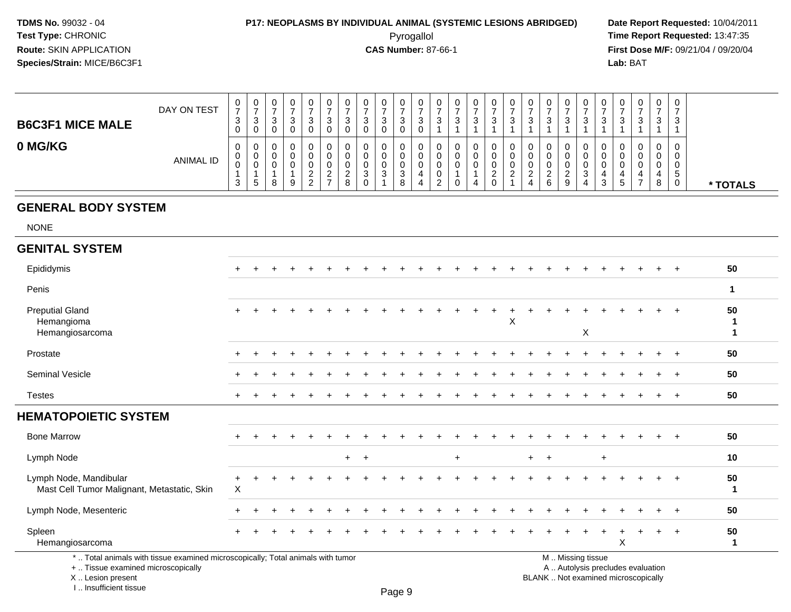### **P17: NEOPLASMS BY INDIVIDUAL ANIMAL (SYSTEMIC LESIONS ABRIDGED) Date Report Requested:** 10/04/2011

 Pyrogallol **Time Report Requested:** 13:47:35 **First Dose M/F:** 09/21/04 / 09/20/04<br>Lab: BAT **Lab:** BAT

| <b>B6C3F1 MICE MALE</b> | DAY ON TEST | U<br>$\rightarrow$<br>3 | U<br>◠<br>۰J<br>U | 0<br>$\sqrt{2}$<br>ູບ<br>0 | 0<br>-<br>3<br>0 | 0<br>ົ<br>ັ<br>0           | ◠ |          | υ<br>3      | 0<br>3<br>0      | $\mathbf 0$<br>-<br>3<br>0            | 0<br>3<br>0 | U<br><sup>o</sup><br>ັ | 0<br>- 0 | 0<br>3 | U<br>າ | 0<br>3      | <b>U</b><br>ົ | 0<br>3                | . . |                | 0<br>◠<br>د      | U<br>◠ | 0<br>3           | 0<br>-<br>ົ<br>ت      | 0<br>-3                                           |          |
|-------------------------|-------------|-------------------------|-------------------|----------------------------|------------------|----------------------------|---|----------|-------------|------------------|---------------------------------------|-------------|------------------------|----------|--------|--------|-------------|---------------|-----------------------|-----|----------------|------------------|--------|------------------|-----------------------|---------------------------------------------------|----------|
| 0 MG/KG                 | ANIMAL ID   | 0<br>υ<br>U<br>3        | U<br>U<br>U<br>đ  | 0<br>0<br>0<br>8           | 0<br>0<br>9      | 0<br>0<br>0<br>ົ<br>_<br>ົ | ∼ | <u>_</u> | U<br>J<br>U | 0<br>0<br>0<br>3 | $\mathbf{0}$<br>0<br>0<br>ີ<br>ত<br>8 | U<br>U<br>U | υ<br>υ                 |          | 0      |        | 0<br>0<br>0 | <u>_</u><br>4 | 0<br>0<br>0<br>ົ<br>6 | 9   | $\overline{ }$ | U<br>0<br>υ<br>৩ | 5      | 0<br>0<br>0<br>4 | U<br>v<br>v<br>4<br>8 | 0<br><b>U</b><br>$\ddot{\phantom{1}}$<br>ູບ<br>J. | * TOTALS |

#### **GENERAL BODY SYSTEM**

NONE

| $\ddot{}$ |                                                                                                                 |  |  |                                                                                                                 |         |  |     |  |   |  |         |             |           |                |       |                                                                          | $\ddot{}$ |                       | 50                |
|-----------|-----------------------------------------------------------------------------------------------------------------|--|--|-----------------------------------------------------------------------------------------------------------------|---------|--|-----|--|---|--|---------|-------------|-----------|----------------|-------|--------------------------------------------------------------------------|-----------|-----------------------|-------------------|
|           |                                                                                                                 |  |  |                                                                                                                 |         |  |     |  |   |  |         |             |           |                |       |                                                                          |           |                       | 1                 |
| $+$       |                                                                                                                 |  |  |                                                                                                                 |         |  |     |  | X |  |         | $\mathsf X$ |           |                |       |                                                                          | $\ddot{}$ |                       | 50                |
| $+$       |                                                                                                                 |  |  |                                                                                                                 |         |  |     |  |   |  |         |             |           |                |       |                                                                          | $+$       |                       | 50                |
| $\ddot{}$ |                                                                                                                 |  |  |                                                                                                                 |         |  |     |  |   |  |         |             |           |                |       | $\ddot{}$                                                                |           |                       | 50                |
| $\ddot{}$ |                                                                                                                 |  |  |                                                                                                                 |         |  |     |  |   |  |         |             |           |                |       | $\ddot{}$                                                                |           |                       | 50                |
|           |                                                                                                                 |  |  |                                                                                                                 |         |  |     |  |   |  |         |             |           |                |       |                                                                          |           |                       |                   |
| $+$       |                                                                                                                 |  |  |                                                                                                                 |         |  |     |  |   |  |         |             |           |                |       |                                                                          | $+$       |                       | 50                |
|           |                                                                                                                 |  |  |                                                                                                                 |         |  | $+$ |  |   |  |         |             | $\ddot{}$ |                |       |                                                                          |           |                       | 10                |
| $+$<br>X  |                                                                                                                 |  |  |                                                                                                                 |         |  |     |  |   |  |         |             |           |                |       | $+$                                                                      | $+$       |                       | 50<br>$\mathbf 1$ |
|           |                                                                                                                 |  |  |                                                                                                                 |         |  |     |  |   |  |         |             |           |                |       |                                                                          | $+$       |                       | 50                |
| $+$       |                                                                                                                 |  |  |                                                                                                                 |         |  |     |  |   |  |         |             | $\ddot{}$ | $\ddot{}$<br>X | $\pm$ |                                                                          |           |                       | 50                |
|           | the contract of the contract of the contract of the contract of the contract of the contract of the contract of |  |  | the contract of the contract of the contract of the contract of the contract of the contract of the contract of | $+$ $+$ |  |     |  |   |  | $+$ $+$ |             |           |                |       | $\mathbf{r}$ , $\mathbf{r}$ , $\mathbf{r}$ , $\mathbf{r}$ , $\mathbf{r}$ |           | $+$<br>$+$<br>$+$ $+$ |                   |

\* .. Total animals with tissue examined microscopically; Total animals with tumor

+ .. Tissue examined microscopically

 Lesion present BLANK .. Not examined microscopicallyX .. Lesion present

I .. Insufficient tissue

M .. Missing tissue

y the contract of the contract of the contract of the contract of the contract of  $\mathsf A$  . Autolysis precludes evaluation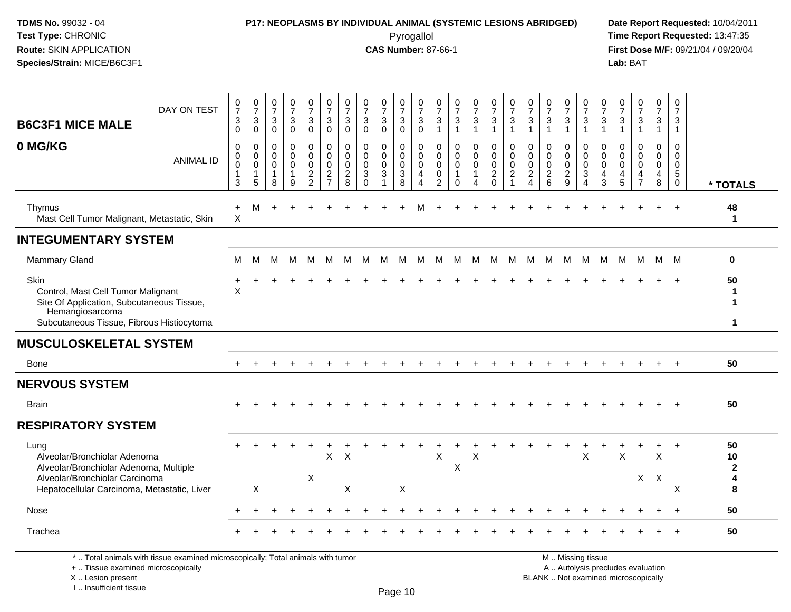# **P17: NEOPLASMS BY INDIVIDUAL ANIMAL (SYSTEMIC LESIONS ABRIDGED) Date Report Requested:** 10/04/2011

 Pyrogallol **Time Report Requested:** 13:47:35 **First Dose M/F:** 09/21/04 / 09/20/04<br>Lab: BAT **Lab:** BAT

| DAY ON TEST<br><b>B6C3F1 MICE MALE</b>                                                                                                                  | $\frac{0}{7}$<br>$\ensuremath{\mathsf{3}}$<br>$\mathbf 0$               | $\frac{0}{7}$<br>$\mathbf{3}$<br>$\mathsf 0$                   | $\frac{0}{7}$<br>$\mathbf{3}$<br>$\pmb{0}$    | $\frac{0}{7}$<br>$\frac{3}{0}$                    | $\begin{smallmatrix}0\\7\end{smallmatrix}$<br>$_0^3$     | $\frac{0}{7}$<br>$\sqrt{3}$<br>$\overline{0}$            | $\begin{array}{c} 0 \\ 7 \end{array}$<br>3<br>$\mathbf 0$ | $\frac{0}{7}$<br>$\sqrt{3}$<br>$\mathbf 0$                              | $\frac{0}{7}$<br>3<br>$\mathbf 0$  | $\frac{0}{7}$<br>$_0^3$                                       | $\begin{array}{c} 0 \\ 7 \end{array}$<br>$_{0}^{3}$                    | $\frac{0}{7}$<br>$\frac{3}{1}$                                                  | $\frac{0}{7}$<br>$\frac{3}{1}$                                   | $\frac{0}{7}$<br>$\mathbf{3}$<br>$\mathbf{1}$      | $\frac{0}{7}$<br>$\frac{3}{1}$                         | $\frac{0}{7}$<br>$\mathbf{3}$<br>$\mathbf{1}$                                       | $\frac{0}{7}$<br>$\mathbf{3}$<br>$\mathbf{1}$     | $\frac{0}{7}$<br>$\mathbf{3}$<br>$\overline{1}$            | $\frac{0}{7}$<br>$\mathbf 3$<br>$\mathbf{1}$     | 0<br>$\overline{7}$<br>3<br>$\mathbf{1}$            | $\frac{0}{7}$<br>3<br>$\mathbf{1}$                  | $\frac{0}{7}$<br>$\mathbf{3}$<br>$\mathbf{1}$     | $\begin{array}{c} 0 \\ 7 \end{array}$<br>$\frac{3}{1}$        | $\begin{smallmatrix}0\\7\end{smallmatrix}$<br>3<br>$\mathbf{1}$ | $\pmb{0}$<br>$\overline{7}$<br>3<br>$\mathbf{1}$                            |                                         |
|---------------------------------------------------------------------------------------------------------------------------------------------------------|-------------------------------------------------------------------------|----------------------------------------------------------------|-----------------------------------------------|---------------------------------------------------|----------------------------------------------------------|----------------------------------------------------------|-----------------------------------------------------------|-------------------------------------------------------------------------|------------------------------------|---------------------------------------------------------------|------------------------------------------------------------------------|---------------------------------------------------------------------------------|------------------------------------------------------------------|----------------------------------------------------|--------------------------------------------------------|-------------------------------------------------------------------------------------|---------------------------------------------------|------------------------------------------------------------|--------------------------------------------------|-----------------------------------------------------|-----------------------------------------------------|---------------------------------------------------|---------------------------------------------------------------|-----------------------------------------------------------------|-----------------------------------------------------------------------------|-----------------------------------------|
| 0 MG/KG<br><b>ANIMAL ID</b>                                                                                                                             | $\mathbf 0$<br>$\mathbf 0$<br>$\pmb{0}$<br>$\mathbf{1}$<br>$\mathbf{3}$ | $\mathbf 0$<br>$\mathbf 0$<br>$\mathsf 0$<br>$\mathbf{1}$<br>5 | $\mathbf 0$<br>$\Omega$<br>$\Omega$<br>1<br>8 | 0<br>$\mathbf 0$<br>$\Omega$<br>$\mathbf{1}$<br>9 | 0<br>$\mathbf 0$<br>$\mathsf{O}\xspace$<br>$\frac{2}{2}$ | $\mathbf 0$<br>$\mathbf 0$<br>$\pmb{0}$<br>$\frac{2}{7}$ | 0<br>$\mathbf 0$<br>$\mathsf{O}\xspace$<br>$\frac{2}{8}$  | $\mathbf 0$<br>$\mathbf 0$<br>$\pmb{0}$<br>$\sqrt{3}$<br>$\overline{0}$ | 0<br>$\mathbf 0$<br>$\pmb{0}$<br>3 | 0<br>$\mathbf 0$<br>$\pmb{0}$<br>$\sqrt{3}$<br>$\overline{8}$ | $\mathbf 0$<br>$\pmb{0}$<br>$\mathsf{O}\xspace$<br>4<br>$\overline{4}$ | $\mathbf 0$<br>$\mathbf 0$<br>$\boldsymbol{0}$<br>$\mathbf 0$<br>$\overline{2}$ | $\mathbf 0$<br>$\Omega$<br>$\pmb{0}$<br>$\mathbf{1}$<br>$\Omega$ | 0<br>$\mathbf 0$<br>$\pmb{0}$<br>$\mathbf{1}$<br>4 | $\mathbf 0$<br>$\bar{0}$<br>$\pmb{0}$<br>$\frac{2}{0}$ | $\mathbf 0$<br>$\mathsf{O}\xspace$<br>$\mathbf 0$<br>$\overline{2}$<br>$\mathbf{1}$ | $\mathbf 0$<br>$\mathbf 0$<br>$\pmb{0}$<br>$_4^2$ | $\mathbf 0$<br>$\mathbf 0$<br>$\mathbf 0$<br>$\frac{2}{6}$ | 0<br>$\mathbf 0$<br>$\mathbf 0$<br>$\frac{2}{9}$ | $\mathbf 0$<br>$\mathbf 0$<br>$\mathsf 0$<br>3<br>4 | 0<br>$\Omega$<br>$\mathbf 0$<br>4<br>$\overline{3}$ | 0<br>$\Omega$<br>$\pmb{0}$<br>$\overline{4}$<br>5 | $\mathbf 0$<br>$\Omega$<br>$\mathbf 0$<br>4<br>$\overline{7}$ | 0<br>$\mathbf{0}$<br>$\mathbf 0$<br>4<br>8                      | $\mathbf 0$<br>$\mathbf 0$<br>$\mathbf 0$<br>$5\phantom{.0}$<br>$\mathbf 0$ | * TOTALS                                |
| Thymus<br>Mast Cell Tumor Malignant, Metastatic, Skin                                                                                                   | $\ddot{}$<br>$\boldsymbol{\mathsf{X}}$                                  | M                                                              |                                               |                                                   |                                                          |                                                          |                                                           |                                                                         |                                    |                                                               |                                                                        |                                                                                 |                                                                  |                                                    |                                                        |                                                                                     |                                                   |                                                            |                                                  |                                                     |                                                     |                                                   |                                                               |                                                                 |                                                                             | 48<br>$\mathbf{1}$                      |
| <b>INTEGUMENTARY SYSTEM</b>                                                                                                                             |                                                                         |                                                                |                                               |                                                   |                                                          |                                                          |                                                           |                                                                         |                                    |                                                               |                                                                        |                                                                                 |                                                                  |                                                    |                                                        |                                                                                     |                                                   |                                                            |                                                  |                                                     |                                                     |                                                   |                                                               |                                                                 |                                                                             |                                         |
| Mammary Gland                                                                                                                                           | м                                                                       | м                                                              | M                                             | M                                                 | M                                                        | M                                                        | M                                                         | М                                                                       | M                                  | M                                                             | M                                                                      | М                                                                               | М                                                                | M                                                  | M                                                      | M                                                                                   | M                                                 | M                                                          | M                                                | M                                                   | M                                                   | M                                                 | M                                                             |                                                                 | M M                                                                         | $\bf{0}$                                |
| Skin<br>Control, Mast Cell Tumor Malignant<br>Site Of Application, Subcutaneous Tissue,<br>Hemangiosarcoma<br>Subcutaneous Tissue, Fibrous Histiocytoma | X                                                                       |                                                                |                                               |                                                   |                                                          |                                                          |                                                           |                                                                         |                                    |                                                               |                                                                        |                                                                                 |                                                                  |                                                    |                                                        |                                                                                     |                                                   |                                                            |                                                  |                                                     |                                                     |                                                   |                                                               |                                                                 |                                                                             | 50<br>1<br>$\mathbf{1}$<br>$\mathbf{1}$ |
| <b>MUSCULOSKELETAL SYSTEM</b>                                                                                                                           |                                                                         |                                                                |                                               |                                                   |                                                          |                                                          |                                                           |                                                                         |                                    |                                                               |                                                                        |                                                                                 |                                                                  |                                                    |                                                        |                                                                                     |                                                   |                                                            |                                                  |                                                     |                                                     |                                                   |                                                               |                                                                 |                                                                             |                                         |
| <b>Bone</b>                                                                                                                                             |                                                                         |                                                                |                                               |                                                   |                                                          |                                                          |                                                           |                                                                         |                                    |                                                               |                                                                        |                                                                                 |                                                                  |                                                    |                                                        |                                                                                     |                                                   |                                                            |                                                  |                                                     |                                                     |                                                   |                                                               |                                                                 |                                                                             | 50                                      |
| <b>NERVOUS SYSTEM</b>                                                                                                                                   |                                                                         |                                                                |                                               |                                                   |                                                          |                                                          |                                                           |                                                                         |                                    |                                                               |                                                                        |                                                                                 |                                                                  |                                                    |                                                        |                                                                                     |                                                   |                                                            |                                                  |                                                     |                                                     |                                                   |                                                               |                                                                 |                                                                             |                                         |
| <b>Brain</b>                                                                                                                                            | $+$                                                                     | $+$                                                            |                                               |                                                   |                                                          |                                                          |                                                           |                                                                         |                                    |                                                               |                                                                        |                                                                                 | ÷                                                                | $\ddot{}$                                          |                                                        | $\div$                                                                              |                                                   |                                                            |                                                  |                                                     |                                                     |                                                   |                                                               | $+$                                                             | $+$                                                                         | 50                                      |
| <b>RESPIRATORY SYSTEM</b>                                                                                                                               |                                                                         |                                                                |                                               |                                                   |                                                          |                                                          |                                                           |                                                                         |                                    |                                                               |                                                                        |                                                                                 |                                                                  |                                                    |                                                        |                                                                                     |                                                   |                                                            |                                                  |                                                     |                                                     |                                                   |                                                               |                                                                 |                                                                             |                                         |
| Lung<br>Alveolar/Bronchiolar Adenoma<br>Alveolar/Bronchiolar Adenoma, Multiple<br>Alveolar/Bronchiolar Carcinoma                                        |                                                                         |                                                                |                                               |                                                   | $\sf X$                                                  | Χ                                                        | Χ                                                         |                                                                         |                                    |                                                               |                                                                        | X                                                                               | X                                                                | Χ                                                  |                                                        |                                                                                     |                                                   |                                                            |                                                  | $\sf X$                                             |                                                     | X                                                 | X                                                             | $\pmb{\times}$<br>$\boldsymbol{\mathsf{X}}$                     |                                                                             | 50<br>10<br>$\mathbf{2}$<br>4           |
| Hepatocellular Carcinoma, Metastatic, Liver                                                                                                             |                                                                         | $\times$                                                       |                                               |                                                   |                                                          |                                                          | $\mathsf X$                                               |                                                                         |                                    | X                                                             |                                                                        |                                                                                 |                                                                  |                                                    |                                                        |                                                                                     |                                                   |                                                            |                                                  |                                                     |                                                     |                                                   |                                                               |                                                                 | X                                                                           | 8                                       |
| <b>Nose</b>                                                                                                                                             |                                                                         |                                                                |                                               |                                                   |                                                          |                                                          |                                                           |                                                                         |                                    |                                                               |                                                                        |                                                                                 |                                                                  |                                                    |                                                        |                                                                                     |                                                   |                                                            |                                                  |                                                     |                                                     |                                                   |                                                               |                                                                 |                                                                             | 50                                      |
| Trachea                                                                                                                                                 |                                                                         |                                                                |                                               |                                                   |                                                          |                                                          |                                                           |                                                                         |                                    |                                                               |                                                                        |                                                                                 |                                                                  |                                                    |                                                        |                                                                                     |                                                   |                                                            |                                                  |                                                     |                                                     |                                                   |                                                               |                                                                 |                                                                             | 50                                      |
| *  Total animals with tissue examined microscopically; Total animals with tumor<br>+  Tissue examined microscopically                                   |                                                                         |                                                                |                                               |                                                   |                                                          |                                                          |                                                           |                                                                         |                                    |                                                               |                                                                        |                                                                                 |                                                                  |                                                    |                                                        |                                                                                     |                                                   |                                                            |                                                  | M  Missing tissue                                   |                                                     |                                                   | A  Autolysis precludes evaluation                             |                                                                 |                                                                             |                                         |

X .. Lesion present

I .. Insufficient tissue

Lesion present BLANK .. Not examined microscopically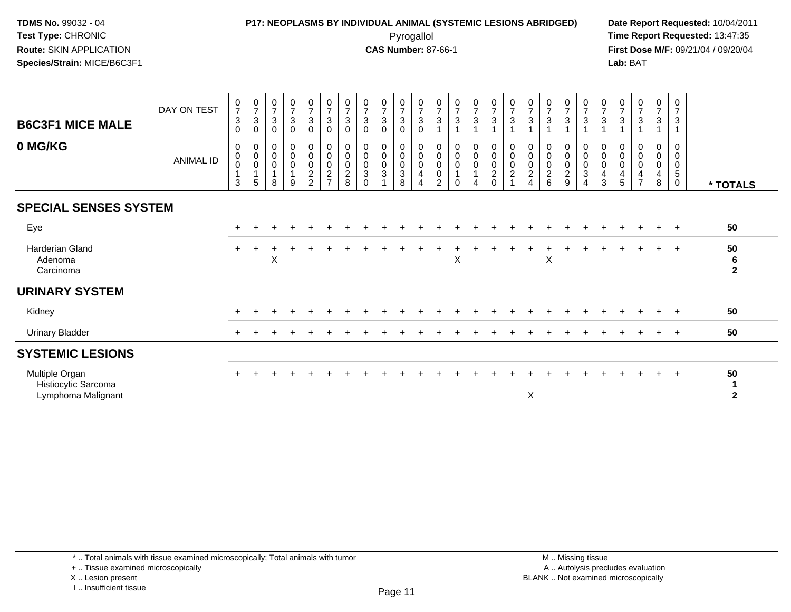#### **P17: NEOPLASMS BY INDIVIDUAL ANIMAL (SYSTEMIC LESIONS ABRIDGED) Date Report Requested:** 10/04/2011 Pyrogallol **Time Report Requested:** 13:47:35

**First Dose M/F:** 09/21/04 / 09/20/04<br>Lab: BAT **Lab:** BAT

| <b>B6C3F1 MICE MALE</b><br>0 MG/KG                          | DAY ON TEST      | 0<br>$\overline{7}$<br>3<br>0<br>0 | $\frac{0}{7}$<br>$\mathbf{3}$<br>$\pmb{0}$<br>$\pmb{0}$ | $\begin{array}{c} 0 \\ 7 \end{array}$<br>$\sqrt{3}$<br>$\pmb{0}$<br>0 | $\frac{0}{7}$<br>$\mathsf 3$<br>$\pmb{0}$<br>$\mathbf 0$ | $\frac{0}{7}$<br>$\mathbf{3}$<br>$\pmb{0}$<br>$\begin{smallmatrix} 0\\0 \end{smallmatrix}$ | $\frac{0}{7}$<br>$\mathbf{3}$<br>$\pmb{0}$<br>0                | $\frac{0}{7}$<br>$\sqrt{3}$<br>0<br>0               | $\frac{0}{7}$<br>$\overline{3}$<br>0<br>0        | $\frac{0}{7}$<br>$\mathbf{3}$<br>0<br>0    | $\begin{array}{c} 0 \\ 7 \end{array}$<br>$\mathbf{3}$<br>$\pmb{0}$<br>0 | $\frac{0}{7}$<br>$\ensuremath{\mathsf{3}}$<br>$\mathbf 0$<br>0           | $\frac{0}{7}$<br>$\sqrt{3}$<br>0         | $\frac{0}{7}$<br>3<br>0                   | $\frac{0}{7}$<br>$\overline{3}$<br>0                    | $\begin{array}{c} 0 \\ 7 \end{array}$<br>3<br>$\boldsymbol{0}$           | $\frac{0}{7}$<br>$\mathfrak{S}$<br>0 | $\begin{array}{c} 0 \\ 7 \end{array}$<br>$\overline{3}$<br>0 | $\frac{0}{7}$<br>$\mathbf{3}$<br>0              | $\begin{array}{c} 0 \\ 7 \end{array}$<br>$\overline{3}$<br>0     | $\frac{0}{7}$<br>$\mathbf{3}$<br>0      | $\frac{0}{7}$<br>$\mathbf{3}$<br>0            | $\frac{0}{7}$<br>$\sqrt{3}$<br>0 | $\frac{0}{7}$<br>3<br>1<br>0                                 | $\frac{0}{7}$<br>$\mathbf{3}$<br>$\mathbf{1}$<br>0       | 0<br>$\overline{7}$<br>3<br>0 |                           |
|-------------------------------------------------------------|------------------|------------------------------------|---------------------------------------------------------|-----------------------------------------------------------------------|----------------------------------------------------------|--------------------------------------------------------------------------------------------|----------------------------------------------------------------|-----------------------------------------------------|--------------------------------------------------|--------------------------------------------|-------------------------------------------------------------------------|--------------------------------------------------------------------------|------------------------------------------|-------------------------------------------|---------------------------------------------------------|--------------------------------------------------------------------------|--------------------------------------|--------------------------------------------------------------|-------------------------------------------------|------------------------------------------------------------------|-----------------------------------------|-----------------------------------------------|----------------------------------|--------------------------------------------------------------|----------------------------------------------------------|-------------------------------|---------------------------|
|                                                             | <b>ANIMAL ID</b> | $\pmb{0}$<br>0<br>3                | $\pmb{0}$<br>$\pmb{0}$<br>$\mathbf{1}$<br>5             | $\pmb{0}$<br>$\mathsf{O}\xspace$<br>$\mathbf{1}$<br>8                 | $\pmb{0}$<br>$\pmb{0}$<br>$\overline{1}$<br>9            | $\begin{smallmatrix} 0\\2 \end{smallmatrix}$<br>$\overline{2}$                             | $\mathbf 0$<br>$\mathbf 0$<br>$\overline{2}$<br>$\overline{ }$ | $\mathbf 0$<br>$\mathbf 0$<br>$\boldsymbol{2}$<br>8 | $\pmb{0}$<br>$\pmb{0}$<br>$\sqrt{3}$<br>$\Omega$ | $\mathbf 0$<br>$\mathbf 0$<br>$\mathbf{3}$ | $\mathbf 0$<br>$_{3}^{\rm 0}$<br>8                                      | $\boldsymbol{0}$<br>$\boldsymbol{0}$<br>$\overline{4}$<br>$\overline{4}$ | $\pmb{0}$<br>$\pmb{0}$<br>$\pmb{0}$<br>2 | $\bar{0}$<br>$\boldsymbol{0}$<br>$\Omega$ | $\pmb{0}$<br>$\pmb{0}$<br>$\mathbf 1$<br>$\overline{4}$ | $\pmb{0}$<br>$\begin{smallmatrix} 0\\2 \end{smallmatrix}$<br>$\mathbf 0$ | $\pmb{0}$<br>0<br>$\overline{c}$     | $\mathbf 0$<br>$\pmb{0}$<br>$\overline{c}$<br>$\overline{4}$ | $\mathbf 0$<br>$\pmb{0}$<br>$\overline{2}$<br>6 | $\mathsf 0$<br>$\begin{smallmatrix} 0\\2 \end{smallmatrix}$<br>9 | $\mathbf 0$<br>$_3^0$<br>$\overline{4}$ | $\,0\,$<br>$\mathbf 0$<br>$\overline{4}$<br>3 | $\pmb{0}$<br>$\,0\,$<br>4<br>5   | $\mathbf 0$<br>$\pmb{0}$<br>$\overline{4}$<br>$\overline{7}$ | $\mathbf 0$<br>$\pmb{0}$<br>$\overline{\mathbf{4}}$<br>8 | 0<br>0<br>5<br>$\mathbf 0$    | * TOTALS                  |
| <b>SPECIAL SENSES SYSTEM</b>                                |                  |                                    |                                                         |                                                                       |                                                          |                                                                                            |                                                                |                                                     |                                                  |                                            |                                                                         |                                                                          |                                          |                                           |                                                         |                                                                          |                                      |                                                              |                                                 |                                                                  |                                         |                                               |                                  |                                                              |                                                          |                               |                           |
| Eye                                                         |                  | $\ddot{}$                          |                                                         |                                                                       |                                                          |                                                                                            |                                                                |                                                     |                                                  |                                            |                                                                         |                                                                          |                                          |                                           |                                                         |                                                                          |                                      |                                                              |                                                 |                                                                  |                                         |                                               |                                  | $\ddot{}$                                                    | $+$                                                      | $+$                           | 50                        |
| <b>Harderian Gland</b><br>Adenoma<br>Carcinoma              |                  | $\ddot{}$                          | $\ddot{}$                                               | $\div$<br>X                                                           | $\ddot{}$                                                |                                                                                            |                                                                |                                                     | $\ddot{}$                                        |                                            |                                                                         |                                                                          |                                          | $\ddot{}$<br>X                            | $\ddot{}$                                               |                                                                          |                                      |                                                              | $\ddot{}$<br>X                                  | $\ddot{}$                                                        |                                         |                                               | $\ddot{}$                        | $\ddot{}$                                                    | $+$                                                      | $+$                           | 50<br>6<br>$\overline{2}$ |
| <b>URINARY SYSTEM</b>                                       |                  |                                    |                                                         |                                                                       |                                                          |                                                                                            |                                                                |                                                     |                                                  |                                            |                                                                         |                                                                          |                                          |                                           |                                                         |                                                                          |                                      |                                                              |                                                 |                                                                  |                                         |                                               |                                  |                                                              |                                                          |                               |                           |
| Kidney                                                      |                  |                                    |                                                         |                                                                       |                                                          |                                                                                            |                                                                |                                                     |                                                  |                                            |                                                                         |                                                                          |                                          |                                           |                                                         |                                                                          |                                      |                                                              |                                                 |                                                                  |                                         |                                               |                                  |                                                              |                                                          | $+$                           | 50                        |
| <b>Urinary Bladder</b>                                      |                  | $\ddot{}$                          |                                                         |                                                                       |                                                          |                                                                                            |                                                                |                                                     |                                                  |                                            |                                                                         |                                                                          |                                          |                                           |                                                         |                                                                          |                                      |                                                              |                                                 |                                                                  |                                         |                                               |                                  | $\div$                                                       | $+$                                                      | $+$                           | 50                        |
| <b>SYSTEMIC LESIONS</b>                                     |                  |                                    |                                                         |                                                                       |                                                          |                                                                                            |                                                                |                                                     |                                                  |                                            |                                                                         |                                                                          |                                          |                                           |                                                         |                                                                          |                                      |                                                              |                                                 |                                                                  |                                         |                                               |                                  |                                                              |                                                          |                               |                           |
| Multiple Organ<br>Histiocytic Sarcoma<br>Lymphoma Malignant |                  | $\ddot{}$                          |                                                         |                                                                       |                                                          |                                                                                            |                                                                |                                                     |                                                  |                                            |                                                                         |                                                                          |                                          |                                           |                                                         |                                                                          |                                      | X                                                            |                                                 |                                                                  |                                         |                                               |                                  |                                                              |                                                          | $+$                           | 50<br>$\mathbf{2}$        |

+ .. Tissue examined microscopically

X .. Lesion present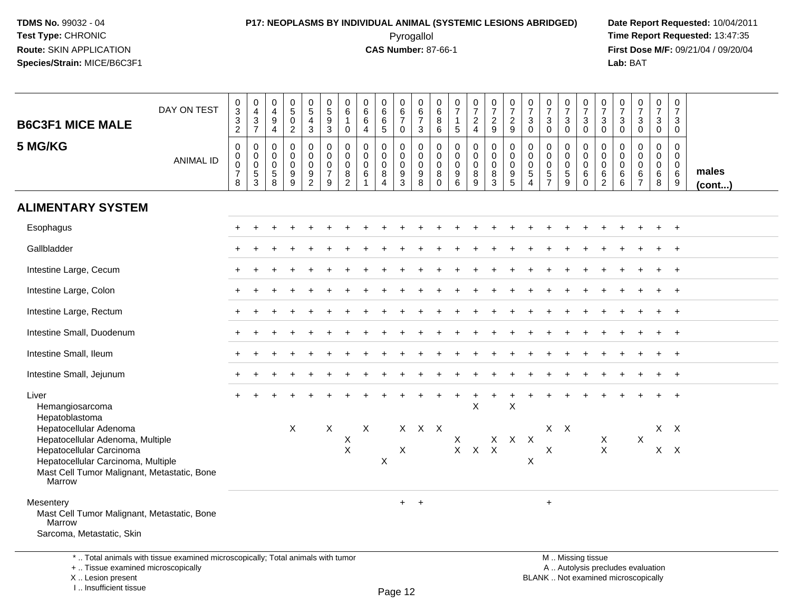# **P17: NEOPLASMS BY INDIVIDUAL ANIMAL (SYSTEMIC LESIONS ABRIDGED) Date Report Requested:** 10/04/2011

 Pyrogallol **Time Report Requested:** 13:47:35 **First Dose M/F:** 09/21/04 / 09/20/04<br>Lab: BAT **Lab:** BAT

| <b>B6C3F1 MICE MALE</b>                                                                                                 | DAY ON TEST      | $\pmb{0}$<br>$\overline{3}$<br>$\ensuremath{\mathsf{3}}$<br>$\overline{2}$ | $\mathbf 0$<br>$\begin{array}{c} 4 \\ 3 \\ 7 \end{array}$ | $\pmb{0}$<br>$\overline{4}$<br>$\begin{array}{c} 9 \\ 4 \end{array}$     | $\begin{array}{c} 0 \\ 5 \end{array}$<br>$\pmb{0}$<br>$\overline{2}$ | $\begin{array}{c} 0 \\ 5 \end{array}$<br>$\overline{4}$<br>$\mathbf{3}$ | $\begin{array}{c} 0 \\ 5 \end{array}$<br>$9\,$<br>$\overline{3}$ | 0<br>$\,6\,$<br>$\mathbf 0$                                      | $\pmb{0}$<br>$\,6\,$<br>$\,6\,$<br>$\overline{4}$                | $\pmb{0}$<br>$\,6\,$<br>$\frac{6}{5}$                                | 0<br>$6\overline{6}$<br>$\overline{7}$<br>$\mathbf 0$            | $\begin{array}{c} 0 \\ 6 \\ 7 \end{array}$<br>$\mathbf{3}$            | $\mathbf 0$<br>$\,6\,$<br>$\, 8$<br>6                      | $\begin{array}{c} 0 \\ 7 \end{array}$<br>1<br>$5\phantom{.0}$ | $\frac{0}{7}$<br>$\frac{2}{4}$            | 0729                                                     | 0729                                                                             | $\frac{0}{7}$<br>$\sqrt{3}$<br>$\mathbf 0$                       | $\frac{0}{7}$<br>$\mathbf{3}$<br>$\mathbf 0$                              | $\frac{0}{7}$<br>$\mathbf{3}$<br>$\mathbf 0$ | $\frac{0}{7}$<br>$_0^3$                                | $\begin{array}{c} 0 \\ 7 \end{array}$<br>$_{0}^{3}$   | $\begin{smallmatrix}0\\7\end{smallmatrix}$<br>$\mathbf{3}$<br>$\mathbf 0$ | $\frac{0}{7}$<br>$\ensuremath{\mathsf{3}}$<br>$\mathbf 0$        | $\frac{0}{7}$<br>$\mathbf{3}$<br>$\overline{0}$ | $\pmb{0}$<br>$\overline{7}$<br>$\mathbf{3}$<br>$\mathbf 0$ |                 |
|-------------------------------------------------------------------------------------------------------------------------|------------------|----------------------------------------------------------------------------|-----------------------------------------------------------|--------------------------------------------------------------------------|----------------------------------------------------------------------|-------------------------------------------------------------------------|------------------------------------------------------------------|------------------------------------------------------------------|------------------------------------------------------------------|----------------------------------------------------------------------|------------------------------------------------------------------|-----------------------------------------------------------------------|------------------------------------------------------------|---------------------------------------------------------------|-------------------------------------------|----------------------------------------------------------|----------------------------------------------------------------------------------|------------------------------------------------------------------|---------------------------------------------------------------------------|----------------------------------------------|--------------------------------------------------------|-------------------------------------------------------|---------------------------------------------------------------------------|------------------------------------------------------------------|-------------------------------------------------|------------------------------------------------------------|-----------------|
| 5 MG/KG                                                                                                                 | <b>ANIMAL ID</b> | $\mathsf 0$<br>0<br>$\mathbf 0$<br>$\overline{7}$<br>8                     | 0<br>$\mathbf 0$<br>$\mathsf 0$<br>$\frac{5}{3}$          | $\mathbf 0$<br>$\mathbf 0$<br>0<br>$\begin{array}{c} 5 \\ 8 \end{array}$ | $\pmb{0}$<br>$\mathbf 0$<br>$\pmb{0}$<br>$^9_9$                      | 0<br>$\mathbf 0$<br>$\mathbf 0$<br>$\frac{9}{2}$                        | $\pmb{0}$<br>$\mathbf 0$<br>$\mathbf 0$<br>$\overline{7}$<br>9   | $\mathbf 0$<br>$\mathbf 0$<br>$\mathbf 0$<br>8<br>$\overline{2}$ | $\mathbf 0$<br>$\mathbf 0$<br>$\mathbf 0$<br>6<br>$\overline{1}$ | $\mathbf 0$<br>$\mathbf 0$<br>$\pmb{0}$<br>$\bf 8$<br>$\overline{4}$ | $\mathbf 0$<br>$\mathbf 0$<br>$\mathsf 0$<br>9<br>$\overline{3}$ | $\mathbf 0$<br>$\mathbf 0$<br>$\mathsf{O}$<br>$9\,$<br>$\overline{8}$ | $\mathbf 0$<br>$\mathbf 0$<br>$\mathbf 0$<br>8<br>$\Omega$ | $\mathbf 0$<br>$\mathbf 0$<br>$\mathbf 0$<br>9<br>6           | 0<br>$\mathbf 0$<br>$\mathbf 0$<br>$^8_9$ | $\pmb{0}$<br>$\mathbf 0$<br>$\mathbf 0$<br>$\frac{8}{3}$ | $\mathbf 0$<br>$\mathbf 0$<br>$\pmb{0}$<br>$\begin{array}{c} 9 \\ 5 \end{array}$ | $\mathbf 0$<br>$\mathbf 0$<br>$\mathbf 0$<br>5<br>$\overline{4}$ | $\mathbf 0$<br>$\mathbf 0$<br>$\mathbf 0$<br>$\sqrt{5}$<br>$\overline{7}$ | 0<br>$\mathbf 0$<br>0<br>5<br>$\overline{9}$ | $\pmb{0}$<br>$\mathbf 0$<br>$\pmb{0}$<br>6<br>$\Omega$ | 0<br>$\mathbf 0$<br>$\boldsymbol{0}$<br>$\frac{6}{2}$ | 0<br>$\mathbf 0$<br>$\mathbf 0$<br>6<br>$6\phantom{a}$                    | $\mathbf 0$<br>$\mathbf 0$<br>$\mathbf 0$<br>6<br>$\overline{7}$ | $\mathbf 0$<br>$\mathbf 0$<br>0<br>$\,6\,$<br>8 | $\mathbf 0$<br>$\mathbf 0$<br>$\mathbf 0$<br>6<br>9        | males<br>(cont) |
| <b>ALIMENTARY SYSTEM</b>                                                                                                |                  |                                                                            |                                                           |                                                                          |                                                                      |                                                                         |                                                                  |                                                                  |                                                                  |                                                                      |                                                                  |                                                                       |                                                            |                                                               |                                           |                                                          |                                                                                  |                                                                  |                                                                           |                                              |                                                        |                                                       |                                                                           |                                                                  |                                                 |                                                            |                 |
| Esophagus                                                                                                               |                  |                                                                            |                                                           |                                                                          |                                                                      |                                                                         |                                                                  |                                                                  |                                                                  |                                                                      |                                                                  |                                                                       |                                                            |                                                               |                                           |                                                          |                                                                                  |                                                                  |                                                                           |                                              |                                                        |                                                       |                                                                           |                                                                  |                                                 | $\ddot{}$                                                  |                 |
| Gallbladder                                                                                                             |                  |                                                                            |                                                           |                                                                          |                                                                      |                                                                         |                                                                  |                                                                  |                                                                  |                                                                      |                                                                  |                                                                       |                                                            |                                                               |                                           |                                                          |                                                                                  |                                                                  |                                                                           |                                              |                                                        |                                                       |                                                                           |                                                                  |                                                 |                                                            |                 |
| Intestine Large, Cecum                                                                                                  |                  |                                                                            |                                                           |                                                                          |                                                                      |                                                                         |                                                                  |                                                                  |                                                                  |                                                                      |                                                                  |                                                                       |                                                            |                                                               |                                           |                                                          |                                                                                  |                                                                  |                                                                           |                                              |                                                        |                                                       |                                                                           |                                                                  |                                                 |                                                            |                 |
| Intestine Large, Colon                                                                                                  |                  |                                                                            |                                                           |                                                                          |                                                                      |                                                                         |                                                                  |                                                                  |                                                                  |                                                                      |                                                                  |                                                                       |                                                            |                                                               |                                           |                                                          |                                                                                  |                                                                  |                                                                           |                                              |                                                        |                                                       |                                                                           |                                                                  |                                                 |                                                            |                 |
| Intestine Large, Rectum                                                                                                 |                  |                                                                            |                                                           |                                                                          |                                                                      |                                                                         |                                                                  |                                                                  |                                                                  |                                                                      |                                                                  |                                                                       |                                                            |                                                               |                                           |                                                          |                                                                                  |                                                                  |                                                                           |                                              |                                                        |                                                       |                                                                           |                                                                  |                                                 |                                                            |                 |
| Intestine Small, Duodenum                                                                                               |                  |                                                                            |                                                           |                                                                          |                                                                      |                                                                         |                                                                  |                                                                  |                                                                  |                                                                      |                                                                  |                                                                       |                                                            |                                                               |                                           |                                                          |                                                                                  |                                                                  |                                                                           |                                              |                                                        |                                                       |                                                                           |                                                                  |                                                 |                                                            |                 |
| Intestine Small, Ileum                                                                                                  |                  |                                                                            |                                                           |                                                                          |                                                                      |                                                                         |                                                                  |                                                                  |                                                                  |                                                                      |                                                                  |                                                                       |                                                            |                                                               |                                           |                                                          |                                                                                  |                                                                  |                                                                           |                                              |                                                        |                                                       |                                                                           |                                                                  |                                                 |                                                            |                 |
| Intestine Small, Jejunum                                                                                                |                  |                                                                            |                                                           |                                                                          |                                                                      |                                                                         |                                                                  |                                                                  |                                                                  |                                                                      |                                                                  |                                                                       |                                                            |                                                               |                                           |                                                          |                                                                                  |                                                                  |                                                                           |                                              |                                                        |                                                       |                                                                           |                                                                  |                                                 |                                                            |                 |
| Liver<br>Hemangiosarcoma<br>Hepatoblastoma                                                                              |                  |                                                                            |                                                           |                                                                          |                                                                      |                                                                         |                                                                  |                                                                  |                                                                  |                                                                      |                                                                  |                                                                       |                                                            |                                                               | X                                         |                                                          | $\boldsymbol{\mathsf{X}}$                                                        |                                                                  |                                                                           |                                              |                                                        |                                                       |                                                                           |                                                                  |                                                 |                                                            |                 |
| Hepatocellular Adenoma<br>Hepatocellular Adenoma, Multiple                                                              |                  |                                                                            |                                                           |                                                                          | $\mathsf{X}$                                                         |                                                                         | $\sf X$                                                          | X                                                                | X                                                                |                                                                      |                                                                  | X X X                                                                 |                                                            | $\mathsf{X}$                                                  |                                           |                                                          | X X X                                                                            |                                                                  | $X \times$                                                                |                                              |                                                        | $\boldsymbol{X}$                                      |                                                                           | X                                                                |                                                 | $X$ $X$                                                    |                 |
| Hepatocellular Carcinoma<br>Hepatocellular Carcinoma, Multiple<br>Mast Cell Tumor Malignant, Metastatic, Bone<br>Marrow |                  |                                                                            |                                                           |                                                                          |                                                                      |                                                                         |                                                                  | $\mathsf{X}$                                                     |                                                                  | X                                                                    | X                                                                |                                                                       |                                                            |                                                               | $X$ $X$ $X$                               |                                                          |                                                                                  | $\times$                                                         | X                                                                         |                                              |                                                        | $\mathsf{X}$                                          |                                                                           |                                                                  |                                                 | $X$ $X$                                                    |                 |
| Mesentery                                                                                                               |                  |                                                                            |                                                           |                                                                          |                                                                      |                                                                         |                                                                  |                                                                  |                                                                  |                                                                      | $+$                                                              | $+$                                                                   |                                                            |                                                               |                                           |                                                          |                                                                                  |                                                                  | $\ddot{}$                                                                 |                                              |                                                        |                                                       |                                                                           |                                                                  |                                                 |                                                            |                 |
| Mast Cell Tumor Malignant, Metastatic, Bone<br>Marrow                                                                   |                  |                                                                            |                                                           |                                                                          |                                                                      |                                                                         |                                                                  |                                                                  |                                                                  |                                                                      |                                                                  |                                                                       |                                                            |                                                               |                                           |                                                          |                                                                                  |                                                                  |                                                                           |                                              |                                                        |                                                       |                                                                           |                                                                  |                                                 |                                                            |                 |
| Sarcoma, Metastatic, Skin                                                                                               |                  |                                                                            |                                                           |                                                                          |                                                                      |                                                                         |                                                                  |                                                                  |                                                                  |                                                                      |                                                                  |                                                                       |                                                            |                                                               |                                           |                                                          |                                                                                  |                                                                  |                                                                           |                                              |                                                        |                                                       |                                                                           |                                                                  |                                                 |                                                            |                 |
| *  Total animals with tissue examined microscopically; Total animals with tumor                                         |                  |                                                                            |                                                           |                                                                          |                                                                      |                                                                         |                                                                  |                                                                  |                                                                  |                                                                      |                                                                  |                                                                       |                                                            |                                                               |                                           |                                                          |                                                                                  |                                                                  |                                                                           |                                              | M  Missing tissue                                      |                                                       |                                                                           |                                                                  |                                                 |                                                            |                 |

+ .. Tissue examined microscopically

X .. Lesion present

I .. Insufficient tissue

 M .. Missing tissuey the contract of the contract of the contract of the contract of the contract of  $\mathsf A$  . Autolysis precludes evaluation Lesion present BLANK .. Not examined microscopically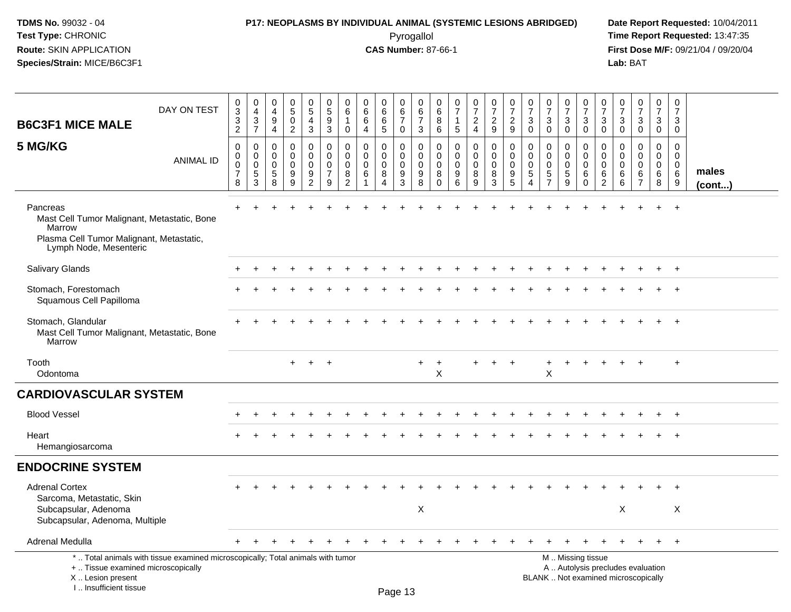### **P17: NEOPLASMS BY INDIVIDUAL ANIMAL (SYSTEMIC LESIONS ABRIDGED) Date Report Requested:** 10/04/2011

 Pyrogallol **Time Report Requested:** 13:47:35 **First Dose M/F:** 09/21/04 / 09/20/04<br>Lab: BAT **Lab:** BAT

| DAY ON TEST<br><b>B6C3F1 MICE MALE</b>                                                                                                                              | 0<br>3<br>3<br>$\overline{2}$                                    | $\mathbf 0$<br>$\overline{4}$<br>3<br>$\overline{7}$ | 0<br>$\overline{4}$<br>$\boldsymbol{9}$<br>$\overline{4}$ | $\begin{array}{c} 0 \\ 5 \end{array}$<br>$\mathbf 0$<br>$\overline{2}$ | $\begin{matrix}0\\5\end{matrix}$<br>$\overline{4}$<br>3 | $\mathbf 0$<br>$\sqrt{5}$<br>9<br>3                              | $\mathbf 0$<br>6<br>$\overline{1}$<br>0                       | $\pmb{0}$<br>$\,6$<br>6<br>$\overline{4}$                           | $\begin{array}{c} 0 \\ 6 \end{array}$<br>6<br>5 | 0<br>6<br>$\overline{7}$<br>0             | $\mathbf 0$<br>6<br>$\overline{7}$<br>3             | 0<br>6<br>8<br>6                                     | $\mathbf 0$<br>$\overline{7}$<br>1<br>5    | $\frac{0}{7}$<br>$\overline{2}$<br>$\overline{4}$   | $\begin{array}{c} 0 \\ 7 \end{array}$<br>$\overline{2}$<br>9 | $\frac{0}{7}$<br>$\overline{2}$<br>9                | 0<br>$\overline{7}$<br>3<br>$\mathbf 0$              | $\begin{array}{c} 0 \\ 7 \end{array}$<br>$\mathbf{3}$<br>$\mathbf 0$    | $\frac{0}{7}$<br>3<br>$\mathbf 0$                         | $\begin{array}{c} 0 \\ 7 \end{array}$<br>3<br>$\mathbf 0$ | 0<br>$\overline{7}$<br>3<br>$\mathbf 0$                             | $\frac{0}{7}$<br>3<br>$\mathbf 0$                | $\begin{array}{c} 0 \\ 7 \end{array}$<br>3<br>$\mathbf 0$                | $\frac{0}{7}$<br>3<br>0                          | $\pmb{0}$<br>$\frac{5}{7}$<br>3<br>$\mathbf 0$ |                       |
|---------------------------------------------------------------------------------------------------------------------------------------------------------------------|------------------------------------------------------------------|------------------------------------------------------|-----------------------------------------------------------|------------------------------------------------------------------------|---------------------------------------------------------|------------------------------------------------------------------|---------------------------------------------------------------|---------------------------------------------------------------------|-------------------------------------------------|-------------------------------------------|-----------------------------------------------------|------------------------------------------------------|--------------------------------------------|-----------------------------------------------------|--------------------------------------------------------------|-----------------------------------------------------|------------------------------------------------------|-------------------------------------------------------------------------|-----------------------------------------------------------|-----------------------------------------------------------|---------------------------------------------------------------------|--------------------------------------------------|--------------------------------------------------------------------------|--------------------------------------------------|------------------------------------------------|-----------------------|
| 5 MG/KG<br><b>ANIMAL ID</b>                                                                                                                                         | $\mathbf 0$<br>$\mathbf 0$<br>$\mathbf 0$<br>$\overline{7}$<br>8 | 0<br>$\mathbf 0$<br>$\mathbf 0$<br>$\sqrt{5}$<br>3   | $\Omega$<br>$\mathbf 0$<br>$\mathbf 0$<br>5<br>8          | $\Omega$<br>0<br>$\mathbf 0$<br>9<br>9                                 | $\mathbf 0$<br>0<br>$\mathbf 0$<br>9<br>$\overline{2}$  | $\mathbf 0$<br>$\mathbf 0$<br>$\mathbf 0$<br>$\overline{7}$<br>9 | $\Omega$<br>$\mathbf 0$<br>$\mathbf 0$<br>8<br>$\overline{2}$ | $\mathbf 0$<br>$\mathbf 0$<br>$\mathbf 0$<br>$\,6\,$<br>$\mathbf 1$ | $\Omega$<br>0<br>$\mathbf 0$<br>8<br>4          | $\mathbf 0$<br>0<br>$\mathbf 0$<br>9<br>3 | $\mathbf 0$<br>$\mathbf 0$<br>$\mathbf 0$<br>9<br>8 | $\Omega$<br>$\Omega$<br>$\mathbf 0$<br>8<br>$\Omega$ | $\Omega$<br>$\Omega$<br>$\Omega$<br>9<br>6 | $\mathbf 0$<br>$\mathbf 0$<br>$\mathbf 0$<br>8<br>9 | 0<br>$\mathbf 0$<br>$\mathbf 0$<br>8<br>$\mathbf{3}$         | $\mathbf 0$<br>$\mathbf 0$<br>$\mathbf 0$<br>9<br>5 | $\mathbf{0}$<br>$\mathbf 0$<br>$\mathbf 0$<br>5<br>4 | $\Omega$<br>$\Omega$<br>$\mathbf 0$<br>$\overline{5}$<br>$\overline{7}$ | $\Omega$<br>$\mathbf 0$<br>$\mathbf 0$<br>$\sqrt{5}$<br>9 | $\Omega$<br>0<br>$\mathbf 0$<br>6<br>$\mathbf 0$          | $\Omega$<br>$\mathbf 0$<br>$\mathbf 0$<br>$\,6\,$<br>$\overline{2}$ | $\Omega$<br>$\mathbf 0$<br>$\mathbf 0$<br>6<br>6 | $\Omega$<br>$\Omega$<br>$\Omega$<br>6<br>$\overline{7}$                  | $\Omega$<br>$\mathbf 0$<br>$\mathbf 0$<br>6<br>8 | $\Omega$<br>0<br>$\mathbf 0$<br>6<br>9         | males<br>$($ cont $)$ |
| Pancreas<br>Mast Cell Tumor Malignant, Metastatic, Bone<br>Marrow<br>Plasma Cell Tumor Malignant, Metastatic,<br>Lymph Node, Mesenteric                             |                                                                  |                                                      |                                                           |                                                                        |                                                         |                                                                  |                                                               |                                                                     |                                                 |                                           |                                                     |                                                      |                                            |                                                     |                                                              |                                                     |                                                      |                                                                         |                                                           |                                                           |                                                                     |                                                  |                                                                          |                                                  |                                                |                       |
| Salivary Glands                                                                                                                                                     |                                                                  |                                                      |                                                           |                                                                        |                                                         |                                                                  |                                                               |                                                                     |                                                 |                                           |                                                     |                                                      |                                            |                                                     |                                                              |                                                     |                                                      |                                                                         |                                                           |                                                           |                                                                     |                                                  |                                                                          |                                                  | $+$                                            |                       |
| Stomach, Forestomach<br>Squamous Cell Papilloma                                                                                                                     |                                                                  |                                                      |                                                           |                                                                        |                                                         |                                                                  |                                                               |                                                                     |                                                 |                                           |                                                     |                                                      |                                            |                                                     |                                                              |                                                     |                                                      |                                                                         |                                                           |                                                           |                                                                     |                                                  |                                                                          |                                                  | $\ddot{}$                                      |                       |
| Stomach, Glandular<br>Mast Cell Tumor Malignant, Metastatic, Bone<br>Marrow                                                                                         |                                                                  |                                                      |                                                           |                                                                        |                                                         |                                                                  |                                                               |                                                                     |                                                 |                                           |                                                     |                                                      |                                            |                                                     |                                                              |                                                     |                                                      |                                                                         |                                                           |                                                           |                                                                     |                                                  |                                                                          |                                                  |                                                |                       |
| Tooth<br>Odontoma                                                                                                                                                   |                                                                  |                                                      |                                                           | $+$                                                                    | $+$                                                     | $+$                                                              |                                                               |                                                                     |                                                 |                                           |                                                     | $\ddot{}$<br>X                                       |                                            |                                                     | $+$                                                          | $\overline{+}$                                      |                                                      | +<br>X                                                                  |                                                           |                                                           |                                                                     |                                                  |                                                                          |                                                  | $\ddot{}$                                      |                       |
| <b>CARDIOVASCULAR SYSTEM</b>                                                                                                                                        |                                                                  |                                                      |                                                           |                                                                        |                                                         |                                                                  |                                                               |                                                                     |                                                 |                                           |                                                     |                                                      |                                            |                                                     |                                                              |                                                     |                                                      |                                                                         |                                                           |                                                           |                                                                     |                                                  |                                                                          |                                                  |                                                |                       |
| <b>Blood Vessel</b>                                                                                                                                                 |                                                                  |                                                      |                                                           |                                                                        |                                                         |                                                                  |                                                               |                                                                     |                                                 |                                           |                                                     |                                                      |                                            |                                                     |                                                              |                                                     |                                                      |                                                                         |                                                           |                                                           |                                                                     |                                                  |                                                                          |                                                  | $\ddot{}$                                      |                       |
| Heart<br>Hemangiosarcoma                                                                                                                                            |                                                                  |                                                      |                                                           |                                                                        |                                                         |                                                                  |                                                               |                                                                     |                                                 |                                           |                                                     |                                                      |                                            |                                                     |                                                              |                                                     |                                                      |                                                                         |                                                           |                                                           |                                                                     |                                                  |                                                                          |                                                  | $^{+}$                                         |                       |
| <b>ENDOCRINE SYSTEM</b>                                                                                                                                             |                                                                  |                                                      |                                                           |                                                                        |                                                         |                                                                  |                                                               |                                                                     |                                                 |                                           |                                                     |                                                      |                                            |                                                     |                                                              |                                                     |                                                      |                                                                         |                                                           |                                                           |                                                                     |                                                  |                                                                          |                                                  |                                                |                       |
| <b>Adrenal Cortex</b><br>Sarcoma, Metastatic, Skin<br>Subcapsular, Adenoma<br>Subcapsular, Adenoma, Multiple                                                        |                                                                  |                                                      |                                                           |                                                                        |                                                         |                                                                  |                                                               |                                                                     |                                                 |                                           | X                                                   |                                                      |                                            |                                                     |                                                              |                                                     |                                                      |                                                                         |                                                           |                                                           |                                                                     | X                                                |                                                                          |                                                  | X                                              |                       |
| Adrenal Medulla                                                                                                                                                     |                                                                  |                                                      |                                                           |                                                                        |                                                         |                                                                  |                                                               |                                                                     |                                                 |                                           |                                                     |                                                      |                                            |                                                     |                                                              |                                                     |                                                      |                                                                         |                                                           |                                                           |                                                                     |                                                  |                                                                          |                                                  | $+$                                            |                       |
| *  Total animals with tissue examined microscopically; Total animals with tumor<br>+  Tissue examined microscopically<br>X  Lesion present<br>I Insufficient tissue |                                                                  |                                                      |                                                           |                                                                        |                                                         |                                                                  |                                                               |                                                                     |                                                 | $D2 \cap 42$                              |                                                     |                                                      |                                            |                                                     |                                                              |                                                     |                                                      |                                                                         |                                                           | M  Missing tissue                                         |                                                                     |                                                  | A  Autolysis precludes evaluation<br>BLANK  Not examined microscopically |                                                  |                                                |                       |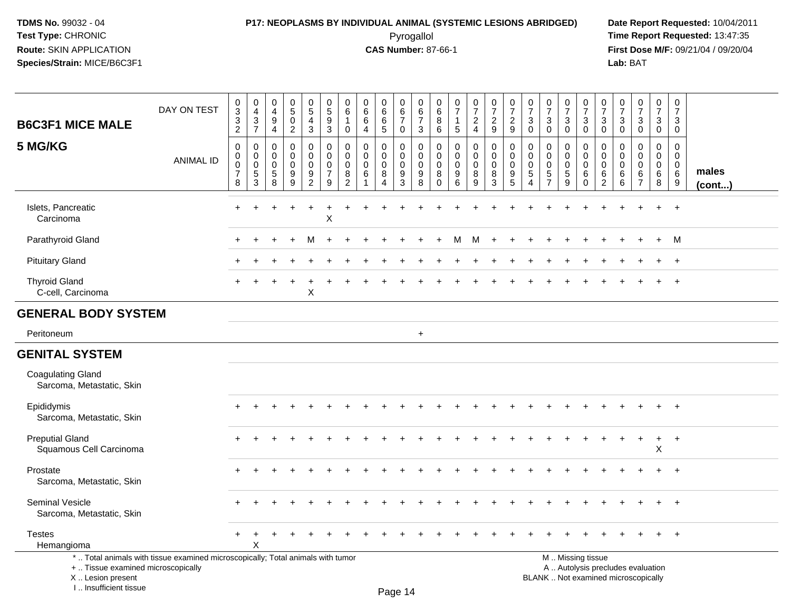I .. Insufficient tissue

### **P17: NEOPLASMS BY INDIVIDUAL ANIMAL (SYSTEMIC LESIONS ABRIDGED) Date Report Requested:** 10/04/2011 Pyrogallol **Time Report Requested:** 13:47:35

**First Dose M/F:** 09/21/04 / 09/20/04<br>Lab: BAT **Lab:** BAT

| <b>B6C3F1 MICE MALE</b>                                | DAY ON TEST                                                                     | $\pmb{0}$<br>$\ensuremath{\mathsf{3}}$<br>$\ensuremath{\mathsf{3}}$<br>$\overline{c}$ | $\pmb{0}$<br>$\overline{4}$<br>$\mathsf 3$<br>$\overline{7}$ | 0<br>$\overline{4}$<br>$\boldsymbol{9}$<br>4 | $\begin{array}{c} 0 \\ 5 \end{array}$<br>$\pmb{0}$<br>$\overline{2}$ | $\begin{array}{c} 0 \\ 5 \\ 4 \end{array}$<br>$\mathbf{3}$ | $\begin{array}{c} 0 \\ 5 \end{array}$<br>9<br>$\sqrt{3}$ | 0<br>$6\phantom{1}6$<br>1<br>0                         | $\begin{array}{c} 0 \\ 6 \end{array}$<br>$\,6\,$<br>$\overline{4}$ | $\begin{array}{c} 0 \\ 6 \end{array}$<br>$\,6$<br>5  | $\begin{array}{c} 0 \\ 6 \\ 7 \end{array}$<br>$\mathsf{O}$ | $\begin{array}{c} 0 \\ 6 \end{array}$<br>$\overline{7}$<br>3 | 0<br>6<br>8<br>6                              | $\frac{0}{7}$<br>$\overline{1}$<br>$\sqrt{5}$    | $\frac{0}{7}$<br>$\overline{a}$<br>4 | $\begin{array}{c} 0 \\ 7 \end{array}$<br>$\overline{c}$<br>9 | $\begin{array}{c} 0 \\ 7 \end{array}$<br>$\sqrt{2}$<br>9 | $\begin{array}{c} 0 \\ 7 \end{array}$<br>$\sqrt{3}$<br>$\mathbf 0$ | $\frac{0}{7}$<br>$\sqrt{3}$<br>$\mathbf 0$                      | $\frac{0}{7}$<br>3<br>0                   | $\frac{0}{7}$<br>$\mathbf{3}$<br>$\mathbf 0$    | $\begin{array}{c} 0 \\ 7 \end{array}$<br>$\mathbf{3}$<br>0 | $\frac{0}{7}$<br>$\mathbf{3}$<br>0 | $\begin{array}{c} 0 \\ 7 \end{array}$<br>$\sqrt{3}$<br>$\mathbf 0$       | $\frac{0}{7}$<br>$\mathbf{3}$<br>$\mathbf 0$           | $\pmb{0}$<br>$\boldsymbol{7}$<br>3<br>$\mathbf 0$                  |                       |
|--------------------------------------------------------|---------------------------------------------------------------------------------|---------------------------------------------------------------------------------------|--------------------------------------------------------------|----------------------------------------------|----------------------------------------------------------------------|------------------------------------------------------------|----------------------------------------------------------|--------------------------------------------------------|--------------------------------------------------------------------|------------------------------------------------------|------------------------------------------------------------|--------------------------------------------------------------|-----------------------------------------------|--------------------------------------------------|--------------------------------------|--------------------------------------------------------------|----------------------------------------------------------|--------------------------------------------------------------------|-----------------------------------------------------------------|-------------------------------------------|-------------------------------------------------|------------------------------------------------------------|------------------------------------|--------------------------------------------------------------------------|--------------------------------------------------------|--------------------------------------------------------------------|-----------------------|
| 5 MG/KG                                                | <b>ANIMAL ID</b>                                                                | $\mathbf 0$<br>$\mathbf 0$<br>$\mathbf 0$<br>$\boldsymbol{7}$<br>8                    | 0<br>0<br>$\mathbf 0$<br>5<br>$\mathsf 3$                    | 0<br>0<br>$\mathbf 0$<br>5<br>8              | 0<br>0<br>$\mathbf 0$<br>9<br>$\boldsymbol{9}$                       | $\mathbf 0$<br>0<br>$\mathbf 0$<br>9<br>$\overline{2}$     | $\mathbf 0$<br>$\mathbf 0$<br>$\mathbf 0$<br>7<br>9      | 0<br>$\mathbf 0$<br>$\mathbf 0$<br>8<br>$\overline{2}$ | 0<br>$\mathbf 0$<br>$\mathbf 0$<br>6<br>1                          | 0<br>0<br>$\mathbf 0$<br>8<br>$\boldsymbol{\Lambda}$ | 0<br>0<br>$\pmb{0}$<br>9<br>3                              | $\mathbf 0$<br>$\mathbf 0$<br>$\pmb{0}$<br>9<br>8            | $\Omega$<br>0<br>$\mathbf 0$<br>8<br>$\Omega$ | $\mathbf 0$<br>$\Omega$<br>$\mathbf 0$<br>9<br>6 | 0<br>0<br>0<br>8<br>9                | 0<br>0<br>$\mathsf{O}\xspace$<br>8<br>3                      | $\mathbf 0$<br>$\mathbf 0$<br>$\mathbf 0$<br>9<br>5      | 0<br>0<br>$\mathbf 0$<br>$\sqrt{5}$<br>$\overline{4}$              | 0<br>$\mathbf 0$<br>$\mathbf 0$<br>$\sqrt{5}$<br>$\overline{7}$ | 0<br>$\mathbf 0$<br>$\mathbf 0$<br>5<br>9 | 0<br>$\pmb{0}$<br>$\pmb{0}$<br>6<br>$\mathbf 0$ | 0<br>$\mathbf 0$<br>0<br>6<br>$\overline{2}$               | 0<br>0<br>$\mathbf 0$<br>6<br>6    | $\mathbf 0$<br>$\mathbf 0$<br>$\mathbf 0$<br>6<br>$\overline{7}$         | $\mathbf 0$<br>$\overline{0}$<br>$\mathbf 0$<br>6<br>8 | $\mathbf 0$<br>$\mathbf 0$<br>$\mathbf 0$<br>6<br>$\boldsymbol{9}$ | males<br>$($ cont $)$ |
| Islets, Pancreatic<br>Carcinoma                        |                                                                                 | $+$                                                                                   |                                                              |                                              | $\ddot{}$                                                            | $\ddot{}$                                                  | $\ddot{}$<br>X                                           |                                                        |                                                                    |                                                      |                                                            |                                                              |                                               |                                                  |                                      |                                                              |                                                          |                                                                    |                                                                 |                                           |                                                 |                                                            |                                    |                                                                          |                                                        | $^+$                                                               |                       |
| Parathyroid Gland                                      |                                                                                 |                                                                                       |                                                              |                                              | $\div$                                                               | м                                                          |                                                          |                                                        |                                                                    |                                                      |                                                            |                                                              |                                               | M                                                | M                                    | $\ddot{}$                                                    |                                                          |                                                                    |                                                                 |                                           |                                                 |                                                            |                                    |                                                                          | $\ddot{}$                                              | M                                                                  |                       |
| <b>Pituitary Gland</b>                                 |                                                                                 |                                                                                       |                                                              |                                              |                                                                      |                                                            |                                                          |                                                        |                                                                    |                                                      |                                                            |                                                              |                                               |                                                  |                                      |                                                              |                                                          |                                                                    |                                                                 |                                           |                                                 |                                                            |                                    |                                                                          |                                                        | $\ddot{}$                                                          |                       |
| <b>Thyroid Gland</b><br>C-cell, Carcinoma              |                                                                                 |                                                                                       |                                                              |                                              |                                                                      | X                                                          |                                                          |                                                        |                                                                    |                                                      |                                                            |                                                              |                                               |                                                  |                                      |                                                              |                                                          |                                                                    |                                                                 |                                           |                                                 |                                                            |                                    |                                                                          |                                                        | $\overline{1}$                                                     |                       |
| <b>GENERAL BODY SYSTEM</b>                             |                                                                                 |                                                                                       |                                                              |                                              |                                                                      |                                                            |                                                          |                                                        |                                                                    |                                                      |                                                            |                                                              |                                               |                                                  |                                      |                                                              |                                                          |                                                                    |                                                                 |                                           |                                                 |                                                            |                                    |                                                                          |                                                        |                                                                    |                       |
| Peritoneum                                             |                                                                                 |                                                                                       |                                                              |                                              |                                                                      |                                                            |                                                          |                                                        |                                                                    |                                                      |                                                            | $+$                                                          |                                               |                                                  |                                      |                                                              |                                                          |                                                                    |                                                                 |                                           |                                                 |                                                            |                                    |                                                                          |                                                        |                                                                    |                       |
| <b>GENITAL SYSTEM</b>                                  |                                                                                 |                                                                                       |                                                              |                                              |                                                                      |                                                            |                                                          |                                                        |                                                                    |                                                      |                                                            |                                                              |                                               |                                                  |                                      |                                                              |                                                          |                                                                    |                                                                 |                                           |                                                 |                                                            |                                    |                                                                          |                                                        |                                                                    |                       |
| <b>Coagulating Gland</b><br>Sarcoma, Metastatic, Skin  |                                                                                 |                                                                                       |                                                              |                                              |                                                                      |                                                            |                                                          |                                                        |                                                                    |                                                      |                                                            |                                                              |                                               |                                                  |                                      |                                                              |                                                          |                                                                    |                                                                 |                                           |                                                 |                                                            |                                    |                                                                          |                                                        |                                                                    |                       |
| Epididymis<br>Sarcoma, Metastatic, Skin                |                                                                                 |                                                                                       |                                                              |                                              |                                                                      |                                                            |                                                          |                                                        |                                                                    |                                                      |                                                            |                                                              |                                               |                                                  |                                      |                                                              |                                                          |                                                                    |                                                                 |                                           |                                                 |                                                            |                                    |                                                                          |                                                        |                                                                    |                       |
| <b>Preputial Gland</b><br>Squamous Cell Carcinoma      |                                                                                 |                                                                                       |                                                              |                                              |                                                                      |                                                            |                                                          |                                                        |                                                                    |                                                      |                                                            |                                                              |                                               |                                                  |                                      |                                                              |                                                          |                                                                    |                                                                 |                                           |                                                 |                                                            |                                    |                                                                          | $\ddot{}$<br>X                                         | $+$                                                                |                       |
| Prostate<br>Sarcoma, Metastatic, Skin                  |                                                                                 |                                                                                       |                                                              |                                              |                                                                      |                                                            |                                                          |                                                        |                                                                    |                                                      |                                                            |                                                              |                                               |                                                  |                                      |                                                              |                                                          |                                                                    |                                                                 |                                           |                                                 |                                                            |                                    |                                                                          |                                                        |                                                                    |                       |
| Seminal Vesicle<br>Sarcoma, Metastatic, Skin           |                                                                                 |                                                                                       |                                                              |                                              |                                                                      |                                                            |                                                          |                                                        |                                                                    |                                                      |                                                            |                                                              |                                               |                                                  |                                      |                                                              |                                                          |                                                                    |                                                                 |                                           |                                                 |                                                            |                                    |                                                                          |                                                        | $+$                                                                |                       |
| <b>Testes</b><br>Hemangioma                            |                                                                                 | $\pm$                                                                                 | $\,^+$<br>X                                                  |                                              |                                                                      |                                                            |                                                          |                                                        |                                                                    |                                                      |                                                            |                                                              |                                               |                                                  |                                      |                                                              |                                                          |                                                                    |                                                                 |                                           |                                                 |                                                            |                                    |                                                                          | $\ddot{}$                                              | $^{+}$                                                             |                       |
| +  Tissue examined microscopically<br>X Lesion present | *  Total animals with tissue examined microscopically; Total animals with tumor |                                                                                       |                                                              |                                              |                                                                      |                                                            |                                                          |                                                        |                                                                    |                                                      |                                                            |                                                              |                                               |                                                  |                                      |                                                              |                                                          |                                                                    |                                                                 |                                           | M  Missing tissue                               |                                                            |                                    | A  Autolysis precludes evaluation<br>BLANK  Not examined microscopically |                                                        |                                                                    |                       |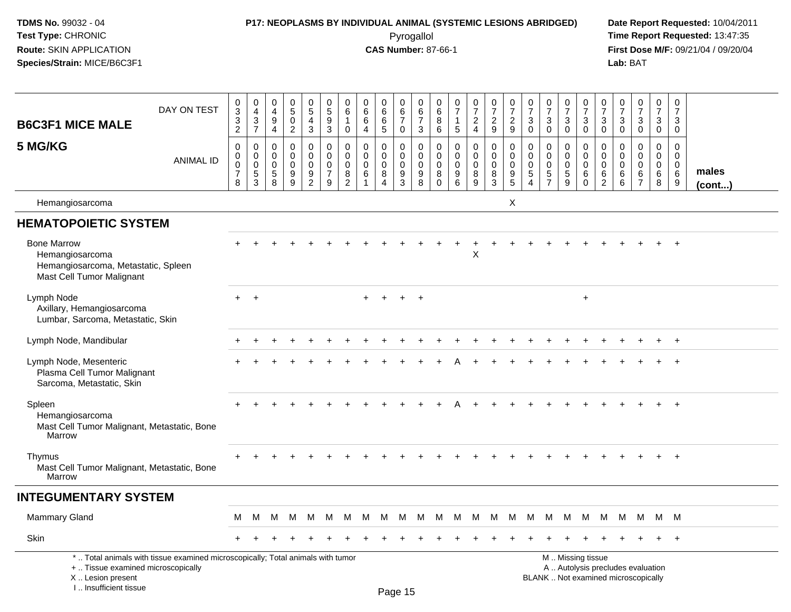### **P17: NEOPLASMS BY INDIVIDUAL ANIMAL (SYSTEMIC LESIONS ABRIDGED) Date Report Requested:** 10/04/2011

 Pyrogallol **Time Report Requested:** 13:47:35 **First Dose M/F:** 09/21/04 / 09/20/04<br>Lab: BAT **Lab:** BAT

| <b>B6C3F1 MICE MALE</b>                                                                                   | DAY ON TEST                                                                     | 0<br>3<br>$\mathbf 3$<br>$\overline{2}$                        | $\pmb{0}$<br>$\overline{4}$<br>$\mathbf{3}$<br>$\overline{7}$         | 0<br>$\overline{4}$<br>9<br>4                      | $\pmb{0}$<br>$\sqrt{5}$<br>$\Omega$<br>$\overline{2}$ | 0<br>$\sqrt{5}$<br>$\overline{4}$<br>3                     | 0<br>5<br>9<br>$\mathbf{3}$                            | 0<br>$\,6\,$<br>$\mathbf 1$<br>0                       | 0<br>$6\phantom{1}$<br>6<br>$\overline{4}$   | 0<br>$\,6\,$<br>6<br>5                    | $\pmb{0}$<br>$6\phantom{a}$<br>$\overline{7}$<br>$\mathbf 0$ | 0<br>$\,6\,$<br>$\overline{7}$<br>$\mathbf{3}$      | $\mathbf 0$<br>6<br>8<br>$\,6\,$                              | 0<br>$\overline{7}$<br>$\mathbf{1}$<br>$\overline{5}$              | $\frac{0}{7}$<br>$\overline{a}$<br>$\overline{4}$ | $\begin{smallmatrix}0\\7\end{smallmatrix}$<br>$\overline{2}$<br>9 | $\frac{0}{7}$<br>$\boldsymbol{2}$<br>9                                          | $\begin{array}{c} 0 \\ 7 \end{array}$<br>$\ensuremath{\mathsf{3}}$<br>$\mathbf 0$ | $\begin{array}{c} 0 \\ 7 \end{array}$<br>$\mathbf{3}$<br>$\mathbf 0$      | $\begin{array}{c} 0 \\ 7 \end{array}$<br>3<br>$\mathbf 0$ | 0<br>$\overline{7}$<br>$\mathbf{3}$<br>$\mathbf 0$ | 0<br>$\overline{7}$<br>3<br>$\mathbf 0$                   | 0<br>$\overline{7}$<br>$\mathbf{3}$<br>$\mathbf 0$ | $\begin{array}{c} 0 \\ 7 \end{array}$<br>$\sqrt{3}$<br>$\mathbf 0$       | $\begin{smallmatrix} 0\\7 \end{smallmatrix}$<br>$\mathbf{3}$<br>$\mathbf 0$ | $\mathbf 0$<br>$\overline{7}$<br>3<br>$\mathbf{0}$  |                      |
|-----------------------------------------------------------------------------------------------------------|---------------------------------------------------------------------------------|----------------------------------------------------------------|-----------------------------------------------------------------------|----------------------------------------------------|-------------------------------------------------------|------------------------------------------------------------|--------------------------------------------------------|--------------------------------------------------------|----------------------------------------------|-------------------------------------------|--------------------------------------------------------------|-----------------------------------------------------|---------------------------------------------------------------|--------------------------------------------------------------------|---------------------------------------------------|-------------------------------------------------------------------|---------------------------------------------------------------------------------|-----------------------------------------------------------------------------------|---------------------------------------------------------------------------|-----------------------------------------------------------|----------------------------------------------------|-----------------------------------------------------------|----------------------------------------------------|--------------------------------------------------------------------------|-----------------------------------------------------------------------------|-----------------------------------------------------|----------------------|
| 5 MG/KG                                                                                                   | <b>ANIMAL ID</b>                                                                | 0<br>$\mathbf 0$<br>$\mathsf{O}\xspace$<br>$\overline{7}$<br>8 | $\,0\,$<br>$\mathbf 0$<br>$\,0\,$<br>$\overline{5}$<br>$\overline{3}$ | 0<br>$\mathbf 0$<br>$\mathbf 0$<br>$\sqrt{5}$<br>8 | $\mathbf 0$<br>$\mathbf 0$<br>$\mathbf 0$<br>9<br>9   | 0<br>$\mathbf 0$<br>$\mathbf 0$<br>$9\,$<br>$\overline{2}$ | 0<br>$\mathbf 0$<br>$\mathbf 0$<br>$\overline{7}$<br>9 | $\mathbf 0$<br>$\mathbf 0$<br>0<br>8<br>$\overline{2}$ | 0<br>$\Omega$<br>$\mathbf 0$<br>$\,6\,$<br>1 | $\mathbf 0$<br>$\mathbf 0$<br>0<br>8<br>Δ | 0<br>$\mathbf 0$<br>$\mathbf 0$<br>9<br>$\mathbf{3}$         | $\mathbf 0$<br>$\mathbf 0$<br>$\mathbf 0$<br>9<br>8 | $\mathbf 0$<br>$\mathbf 0$<br>$\overline{0}$<br>8<br>$\Omega$ | $\mathbf 0$<br>$\mathbf 0$<br>$\mathbf 0$<br>$\boldsymbol{9}$<br>6 | 0<br>$\mathbf 0$<br>$\mathbf 0$<br>8<br>9         | $\pmb{0}$<br>$\pmb{0}$<br>$\mathbf 0$<br>8<br>$\overline{3}$      | $\mathbf 0$<br>$\mathbf 0$<br>$\mathbf 0$<br>$\boldsymbol{9}$<br>$\overline{5}$ | 0<br>$\mathbf 0$<br>0<br>$\sqrt{5}$<br>$\Delta$                                   | $\mathbf 0$<br>$\mathbf 0$<br>$\mathbf 0$<br>$\sqrt{5}$<br>$\overline{7}$ | 0<br>$\mathbf 0$<br>$\mathbf 0$<br>$\sqrt{5}$<br>9        | 0<br>$\mathbf 0$<br>$\mathbf 0$<br>6<br>$\Omega$   | 0<br>$\Omega$<br>$\mathbf 0$<br>$\,6\,$<br>$\overline{2}$ | 0<br>$\mathbf 0$<br>0<br>6<br>6                    | $\mathbf 0$<br>$\mathbf 0$<br>$\mathbf 0$<br>$\,6\,$<br>$\overline{7}$   | $\mathbf 0$<br>$\mathbf 0$<br>$\boldsymbol{0}$<br>$\,6\,$<br>$\,8\,$        | $\mathbf 0$<br>$\mathbf 0$<br>$\mathbf 0$<br>6<br>9 | males<br>$($ cont $$ |
| Hemangiosarcoma                                                                                           |                                                                                 |                                                                |                                                                       |                                                    |                                                       |                                                            |                                                        |                                                        |                                              |                                           |                                                              |                                                     |                                                               |                                                                    |                                                   |                                                                   | X                                                                               |                                                                                   |                                                                           |                                                           |                                                    |                                                           |                                                    |                                                                          |                                                                             |                                                     |                      |
| <b>HEMATOPOIETIC SYSTEM</b>                                                                               |                                                                                 |                                                                |                                                                       |                                                    |                                                       |                                                            |                                                        |                                                        |                                              |                                           |                                                              |                                                     |                                                               |                                                                    |                                                   |                                                                   |                                                                                 |                                                                                   |                                                                           |                                                           |                                                    |                                                           |                                                    |                                                                          |                                                                             |                                                     |                      |
| <b>Bone Marrow</b><br>Hemangiosarcoma<br>Hemangiosarcoma, Metastatic, Spleen<br>Mast Cell Tumor Malignant |                                                                                 |                                                                |                                                                       |                                                    |                                                       |                                                            |                                                        |                                                        |                                              |                                           |                                                              |                                                     |                                                               |                                                                    | X                                                 |                                                                   |                                                                                 |                                                                                   |                                                                           |                                                           |                                                    |                                                           |                                                    |                                                                          |                                                                             | $\ddot{+}$                                          |                      |
| Lymph Node<br>Axillary, Hemangiosarcoma<br>Lumbar, Sarcoma, Metastatic, Skin                              |                                                                                 | $+$                                                            | $+$                                                                   |                                                    |                                                       |                                                            |                                                        |                                                        |                                              | $+$                                       | $+$                                                          | $+$                                                 |                                                               |                                                                    |                                                   |                                                                   |                                                                                 |                                                                                   |                                                                           |                                                           | $\ddot{}$                                          |                                                           |                                                    |                                                                          |                                                                             |                                                     |                      |
| Lymph Node, Mandibular                                                                                    |                                                                                 |                                                                |                                                                       |                                                    |                                                       |                                                            |                                                        |                                                        |                                              |                                           |                                                              |                                                     |                                                               |                                                                    |                                                   |                                                                   |                                                                                 |                                                                                   |                                                                           |                                                           |                                                    |                                                           |                                                    |                                                                          |                                                                             |                                                     |                      |
| Lymph Node, Mesenteric<br>Plasma Cell Tumor Malignant<br>Sarcoma, Metastatic, Skin                        |                                                                                 |                                                                |                                                                       |                                                    |                                                       |                                                            |                                                        |                                                        |                                              |                                           |                                                              |                                                     |                                                               |                                                                    |                                                   |                                                                   |                                                                                 |                                                                                   |                                                                           |                                                           |                                                    |                                                           |                                                    |                                                                          |                                                                             |                                                     |                      |
| Spleen<br>Hemangiosarcoma<br>Mast Cell Tumor Malignant, Metastatic, Bone<br>Marrow                        |                                                                                 |                                                                |                                                                       |                                                    |                                                       |                                                            |                                                        |                                                        |                                              |                                           |                                                              |                                                     |                                                               |                                                                    |                                                   |                                                                   |                                                                                 |                                                                                   |                                                                           |                                                           |                                                    |                                                           |                                                    |                                                                          |                                                                             | $+$                                                 |                      |
| Thymus<br>Mast Cell Tumor Malignant, Metastatic, Bone<br>Marrow                                           |                                                                                 |                                                                |                                                                       |                                                    |                                                       |                                                            |                                                        |                                                        |                                              |                                           |                                                              |                                                     |                                                               |                                                                    |                                                   |                                                                   |                                                                                 |                                                                                   |                                                                           |                                                           |                                                    |                                                           |                                                    |                                                                          | $+$                                                                         | $+$                                                 |                      |
| <b>INTEGUMENTARY SYSTEM</b>                                                                               |                                                                                 |                                                                |                                                                       |                                                    |                                                       |                                                            |                                                        |                                                        |                                              |                                           |                                                              |                                                     |                                                               |                                                                    |                                                   |                                                                   |                                                                                 |                                                                                   |                                                                           |                                                           |                                                    |                                                           |                                                    |                                                                          |                                                                             |                                                     |                      |
| <b>Mammary Gland</b>                                                                                      |                                                                                 | M                                                              | M                                                                     | м                                                  | м                                                     | M                                                          | M                                                      | M                                                      | M                                            | M                                         | M                                                            | M                                                   | M                                                             | M                                                                  | M                                                 | M                                                                 | M                                                                               | M                                                                                 | M                                                                         | M                                                         | M                                                  | M                                                         | M                                                  | M                                                                        |                                                                             | M M                                                 |                      |
| <b>Skin</b>                                                                                               |                                                                                 |                                                                |                                                                       |                                                    |                                                       |                                                            |                                                        |                                                        |                                              |                                           |                                                              |                                                     |                                                               |                                                                    |                                                   |                                                                   |                                                                                 |                                                                                   |                                                                           |                                                           |                                                    |                                                           |                                                    |                                                                          |                                                                             | $+$                                                 |                      |
| +  Tissue examined microscopically<br>X  Lesion present<br>I Insufficient tissue                          | *  Total animals with tissue examined microscopically; Total animals with tumor |                                                                |                                                                       |                                                    |                                                       |                                                            |                                                        |                                                        |                                              |                                           | $D_{200}$ 15                                                 |                                                     |                                                               |                                                                    |                                                   |                                                                   |                                                                                 |                                                                                   |                                                                           |                                                           | M  Missing tissue                                  |                                                           |                                                    | A  Autolysis precludes evaluation<br>BLANK  Not examined microscopically |                                                                             |                                                     |                      |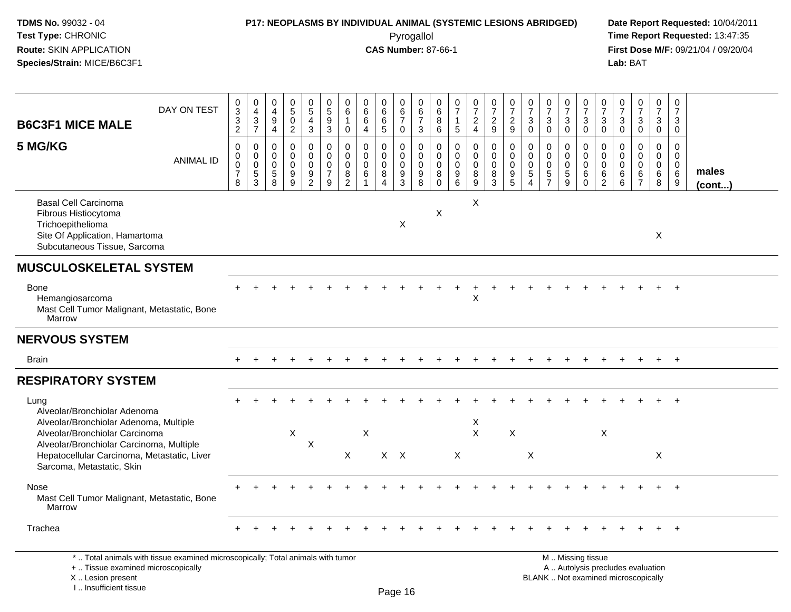### **P17: NEOPLASMS BY INDIVIDUAL ANIMAL (SYSTEMIC LESIONS ABRIDGED) Date Report Requested:** 10/04/2011

 Pyrogallol **Time Report Requested:** 13:47:35 **First Dose M/F:** 09/21/04 / 09/20/04<br>Lab: BAT **Lab:** BAT

| <b>B6C3F1 MICE MALE</b>                                                                                                                    | DAY ON TEST      | 0<br>$\overline{3}$<br>$\frac{3}{2}$                       | 0<br>$\overline{4}$<br>$\frac{3}{7}$      | $\pmb{0}$<br>$\overline{4}$<br>9<br>$\overline{4}$ | $\begin{array}{c} 0 \\ 5 \end{array}$<br>$\pmb{0}$<br>$\overline{2}$ | $\begin{array}{c} 0 \\ 5 \end{array}$<br>$\overline{4}$<br>$\overline{3}$ | 0<br>$\overline{5}$<br>$9\,$<br>$\overline{3}$                     | 0<br>$\,6\,$<br>$\mathbf{1}$<br>$\mathbf 0$                   | $\begin{array}{c} 0 \\ 6 \end{array}$<br>6<br>$\overline{4}$   | 0<br>$\overline{6}$<br>6<br>$\overline{5}$                    | $_{6}^{\rm 0}$<br>$\overline{7}$<br>$\mathbf 0$        | $\mathbf 0$<br>$6\phantom{a}$<br>$\overline{7}$<br>$\mathbf{3}$ | $\begin{array}{c} 0 \\ 6 \end{array}$<br>$^8_6$         | $\frac{0}{7}$<br>$\mathbf{1}$<br>$\sqrt{5}$      | $\frac{0}{7}$<br>$\frac{2}{4}$                                | $\frac{0}{7}$<br>$\frac{2}{9}$                    | $\frac{0}{7}$<br>$\overline{c}$<br>$\overline{9}$ | $\frac{0}{7}$<br>$\mathbf{3}$<br>$\ddot{\mathbf{0}}$             | $\frac{0}{7}$<br>$\mathbf{3}$<br>$\overline{0}$            | $\frac{0}{7}$<br>$_{0}^{3}$              | $\frac{0}{7}$<br>$\mathsf 3$<br>$\overline{0}$             | $\frac{0}{7}$<br>3<br>$\mathsf{O}\xspace$                     | $\frac{0}{7}$<br>$_0^3$                             | $\frac{0}{7}$<br>$\frac{3}{0}$                                | $\frac{0}{7}$<br>$\frac{3}{0}$      | 0<br>$\overline{7}$<br>3<br>$\mathbf 0$                 |                       |
|--------------------------------------------------------------------------------------------------------------------------------------------|------------------|------------------------------------------------------------|-------------------------------------------|----------------------------------------------------|----------------------------------------------------------------------|---------------------------------------------------------------------------|--------------------------------------------------------------------|---------------------------------------------------------------|----------------------------------------------------------------|---------------------------------------------------------------|--------------------------------------------------------|-----------------------------------------------------------------|---------------------------------------------------------|--------------------------------------------------|---------------------------------------------------------------|---------------------------------------------------|---------------------------------------------------|------------------------------------------------------------------|------------------------------------------------------------|------------------------------------------|------------------------------------------------------------|---------------------------------------------------------------|-----------------------------------------------------|---------------------------------------------------------------|-------------------------------------|---------------------------------------------------------|-----------------------|
| 5 MG/KG                                                                                                                                    | <b>ANIMAL ID</b> | $\pmb{0}$<br>$\pmb{0}$<br>$\pmb{0}$<br>$\overline{7}$<br>8 | $\mathbf 0$<br>$\mathbf 0$<br>0<br>5<br>3 | $\pmb{0}$<br>0<br>0<br>$\overline{5}$<br>8         | $\mathbf 0$<br>$\mathbf 0$<br>$\mathbf 0$<br>$^9_9$                  | $\mathbf 0$<br>$\mathbf 0$<br>$\pmb{0}$<br>$\frac{9}{2}$                  | $\mathbf 0$<br>$\mathbf 0$<br>$\mathbf 0$<br>$\boldsymbol{7}$<br>9 | $\mathbf 0$<br>$\Omega$<br>$\mathbf 0$<br>8<br>$\overline{c}$ | $\mathbf 0$<br>$\mathbf 0$<br>$\mathbf 0$<br>6<br>$\mathbf{1}$ | $\mathbf 0$<br>$\Omega$<br>$\mathbf 0$<br>8<br>$\overline{4}$ | 0<br>$\mathsf{O}\xspace$<br>$\pmb{0}$<br>$\frac{9}{3}$ | $\mathbf 0$<br>$\mathbf 0$<br>$\mathbf 0$<br>$_{8}^{\rm 9}$     | $\mathbf 0$<br>$\mathbf 0$<br>$\mathbf 0$<br>$_{0}^{8}$ | $\mathbf 0$<br>$\Omega$<br>$\mathbf 0$<br>9<br>6 | $\mathbf 0$<br>$\mathbf 0$<br>$\mathbf 0$<br>$\bf 8$<br>$9\,$ | $\pmb{0}$<br>$\mathbf 0$<br>$\mathsf 0$<br>8<br>3 | $\boldsymbol{0}$<br>$\Omega$<br>0<br>9<br>5       | $\mathbf 0$<br>$\mathbf 0$<br>0<br>$\,$ 5 $\,$<br>$\overline{4}$ | $\mathbf 0$<br>$\mathbf 0$<br>$\mathbf 0$<br>$\frac{5}{7}$ | 0<br>$\mathbf 0$<br>0<br>$\sqrt{5}$<br>9 | $\mathbf 0$<br>$\mathbf 0$<br>$\mathbf 0$<br>6<br>$\Omega$ | $\mathbf 0$<br>$\Omega$<br>$\mathbf 0$<br>6<br>$\overline{2}$ | $\mathbf 0$<br>$\mathbf 0$<br>$\mathbf 0$<br>6<br>6 | $\mathbf 0$<br>$\Omega$<br>$\mathbf 0$<br>6<br>$\overline{7}$ | $\pmb{0}$<br>0<br>0<br>$\,6\,$<br>8 | $\mathbf 0$<br>$\mathbf 0$<br>$\mathbf 0$<br>6<br>$9\,$ | males<br>$($ cont $)$ |
| <b>Basal Cell Carcinoma</b><br>Fibrous Histiocytoma<br>Trichoepithelioma<br>Site Of Application, Hamartoma<br>Subcutaneous Tissue, Sarcoma |                  |                                                            |                                           |                                                    |                                                                      |                                                                           |                                                                    |                                                               |                                                                |                                                               | X                                                      |                                                                 | X                                                       |                                                  | $\times$                                                      |                                                   |                                                   |                                                                  |                                                            |                                          |                                                            |                                                               |                                                     |                                                               | Χ                                   |                                                         |                       |
| <b>MUSCULOSKELETAL SYSTEM</b>                                                                                                              |                  |                                                            |                                           |                                                    |                                                                      |                                                                           |                                                                    |                                                               |                                                                |                                                               |                                                        |                                                                 |                                                         |                                                  |                                                               |                                                   |                                                   |                                                                  |                                                            |                                          |                                                            |                                                               |                                                     |                                                               |                                     |                                                         |                       |
| <b>Bone</b><br>Hemangiosarcoma<br>Mast Cell Tumor Malignant, Metastatic, Bone<br>Marrow                                                    |                  |                                                            |                                           |                                                    |                                                                      |                                                                           |                                                                    |                                                               |                                                                |                                                               |                                                        |                                                                 |                                                         |                                                  | X                                                             |                                                   |                                                   |                                                                  |                                                            |                                          |                                                            |                                                               |                                                     |                                                               |                                     | $\overline{+}$                                          |                       |
| <b>NERVOUS SYSTEM</b>                                                                                                                      |                  |                                                            |                                           |                                                    |                                                                      |                                                                           |                                                                    |                                                               |                                                                |                                                               |                                                        |                                                                 |                                                         |                                                  |                                                               |                                                   |                                                   |                                                                  |                                                            |                                          |                                                            |                                                               |                                                     |                                                               |                                     |                                                         |                       |
| <b>Brain</b>                                                                                                                               |                  |                                                            |                                           |                                                    |                                                                      |                                                                           |                                                                    |                                                               |                                                                |                                                               |                                                        |                                                                 |                                                         |                                                  |                                                               |                                                   |                                                   |                                                                  |                                                            |                                          |                                                            |                                                               |                                                     |                                                               |                                     | $+$                                                     |                       |
| <b>RESPIRATORY SYSTEM</b>                                                                                                                  |                  |                                                            |                                           |                                                    |                                                                      |                                                                           |                                                                    |                                                               |                                                                |                                                               |                                                        |                                                                 |                                                         |                                                  |                                                               |                                                   |                                                   |                                                                  |                                                            |                                          |                                                            |                                                               |                                                     |                                                               |                                     |                                                         |                       |
| Lung<br>Alveolar/Bronchiolar Adenoma<br>Alveolar/Bronchiolar Adenoma, Multiple<br>Alveolar/Bronchiolar Carcinoma                           |                  |                                                            |                                           |                                                    | X                                                                    |                                                                           |                                                                    |                                                               | X                                                              |                                                               |                                                        |                                                                 |                                                         |                                                  | X<br>$\mathsf{X}$                                             |                                                   | $\sf X$                                           |                                                                  |                                                            |                                          |                                                            | $\times$                                                      |                                                     |                                                               |                                     |                                                         |                       |
| Alveolar/Bronchiolar Carcinoma, Multiple<br>Hepatocellular Carcinoma, Metastatic, Liver<br>Sarcoma, Metastatic, Skin                       |                  |                                                            |                                           |                                                    |                                                                      | $\boldsymbol{\mathsf{X}}$                                                 |                                                                    | $\sf X$                                                       |                                                                |                                                               | $X$ $X$                                                |                                                                 |                                                         | $\mathsf X$                                      |                                                               |                                                   |                                                   | X                                                                |                                                            |                                          |                                                            |                                                               |                                                     |                                                               | X                                   |                                                         |                       |
| Nose<br>Mast Cell Tumor Malignant, Metastatic, Bone<br>Marrow                                                                              |                  |                                                            |                                           |                                                    |                                                                      |                                                                           |                                                                    |                                                               |                                                                |                                                               |                                                        |                                                                 |                                                         |                                                  |                                                               |                                                   |                                                   |                                                                  |                                                            |                                          |                                                            |                                                               |                                                     |                                                               |                                     |                                                         |                       |
| Trachea                                                                                                                                    |                  |                                                            |                                           |                                                    |                                                                      |                                                                           |                                                                    |                                                               |                                                                |                                                               |                                                        |                                                                 |                                                         |                                                  |                                                               |                                                   |                                                   |                                                                  |                                                            |                                          |                                                            |                                                               |                                                     |                                                               |                                     | $^{+}$                                                  |                       |
| *  Total animals with tissue examined microscopically; Total animals with tumor<br>+  Tissue examined microscopically                      |                  |                                                            |                                           |                                                    |                                                                      |                                                                           |                                                                    |                                                               |                                                                |                                                               |                                                        |                                                                 |                                                         |                                                  |                                                               |                                                   |                                                   |                                                                  |                                                            |                                          | M  Missing tissue<br>A  Autolysis precludes evaluation     |                                                               |                                                     |                                                               |                                     |                                                         |                       |

 Lesion present BLANK .. Not examined microscopicallyX .. Lesion present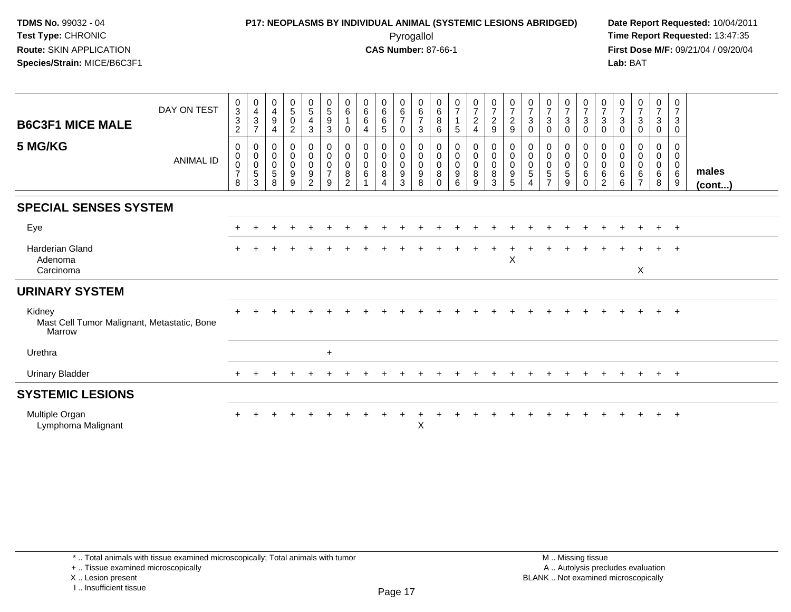# **P17: NEOPLASMS BY INDIVIDUAL ANIMAL (SYSTEMIC LESIONS ABRIDGED) Date Report Requested:** 10/04/2011

 Pyrogallol **Time Report Requested:** 13:47:35 **First Dose M/F:** 09/21/04 / 09/20/04<br>Lab: BAT **Lab:** BAT

| <b>B6C3F1 MICE MALE</b>                                         | DAY ON TEST      | $\frac{0}{3}$<br>$\ensuremath{\mathsf{3}}$<br>$\overline{c}$ | 0<br>$\overline{\mathbf{4}}$<br>$\sqrt{3}$<br>$\overline{7}$  | $\begin{smallmatrix} 0\\4 \end{smallmatrix}$<br>$\boldsymbol{9}$<br>$\overline{4}$ | $\frac{0}{5}$<br>$\mathsf{O}\xspace$<br>$\overline{c}$ | $\begin{array}{c} 0 \\ 5 \end{array}$<br>$\overline{\mathbf{4}}$<br>$\mathbf{3}$ | $\begin{array}{c} 0 \\ 5 \end{array}$<br>$\boldsymbol{9}$<br>$\ensuremath{\mathsf{3}}$ | 0<br>$\,6\,$<br>0                                      | $_{6}^{\rm 0}$<br>$\,6\,$<br>$\overline{4}$ | 0<br>$\,6$<br>$\,6$<br>5                               | 0<br>$\frac{6}{7}$<br>$\mathbf 0$                         | 0<br>$\,6\,$<br>$\overline{7}$<br>$\sqrt{3}$             | 0<br>$\,6$<br>8<br>6                                     | $\frac{0}{7}$<br>$\mathbf{1}$<br>5        | $\frac{0}{7}$<br>$\overline{c}$<br>4 | $\frac{0}{7}$<br>$\sqrt{2}$<br>$\boldsymbol{9}$              | $\frac{0}{7}$<br>$\overline{c}$<br>$\boldsymbol{9}$ | 0<br>$\overline{7}$<br>$\mathbf{3}$<br>0                     | $\frac{0}{7}$<br>$\ensuremath{\mathsf{3}}$<br>$\mathbf 0$ | $\frac{0}{7}$<br>3<br>0         | $\frac{0}{7}$<br>$\mathsf 3$<br>$\mathbf 0$                           | 0<br>$\boldsymbol{7}$<br>$\ensuremath{\mathsf{3}}$<br>$\pmb{0}$ | 0<br>$\overline{7}$<br>3<br>0                    | $\frac{0}{7}$<br>$\mathbf{3}$<br>0                               | $\frac{0}{7}$<br>3<br>$\pmb{0}$ | 0<br>$\boldsymbol{7}$<br>$\sqrt{3}$<br>$\mathbf 0$ |                 |  |
|-----------------------------------------------------------------|------------------|--------------------------------------------------------------|---------------------------------------------------------------|------------------------------------------------------------------------------------|--------------------------------------------------------|----------------------------------------------------------------------------------|----------------------------------------------------------------------------------------|--------------------------------------------------------|---------------------------------------------|--------------------------------------------------------|-----------------------------------------------------------|----------------------------------------------------------|----------------------------------------------------------|-------------------------------------------|--------------------------------------|--------------------------------------------------------------|-----------------------------------------------------|--------------------------------------------------------------|-----------------------------------------------------------|---------------------------------|-----------------------------------------------------------------------|-----------------------------------------------------------------|--------------------------------------------------|------------------------------------------------------------------|---------------------------------|----------------------------------------------------|-----------------|--|
| 5 MG/KG                                                         | <b>ANIMAL ID</b> | 0<br>$\pmb{0}$<br>$\pmb{0}$<br>$\overline{7}$<br>8           | $\mathbf 0$<br>$\mathbf 0$<br>$\mathbf 0$<br>$\,$ 5 $\,$<br>3 | $\mathbf 0$<br>$\mathsf{O}\xspace$<br>$\mathsf 0$<br>5<br>8                        | 0<br>$\mathbf 0$<br>0<br>9<br>9                        | 0<br>$\ddot{\mathbf{0}}$<br>$\ddot{\mathbf{0}}$<br>$\boldsymbol{9}$<br>2         | $_{\rm 0}^{\rm 0}$<br>$\pmb{0}$<br>$\overline{7}$<br>9                                 | 0<br>$\mathbf 0$<br>$\mathbf 0$<br>8<br>$\overline{2}$ | 0<br>$\mathbf 0$<br>$\mathbf 0$<br>6        | 0<br>$\mathbf 0$<br>$\mathbf 0$<br>8<br>$\overline{4}$ | 0<br>$\mathbf 0$<br>$\overline{0}$<br>$\overline{9}$<br>3 | 0<br>$\mathbf 0$<br>$\mathbf 0$<br>$\boldsymbol{9}$<br>8 | 0<br>$\mathsf{O}\xspace$<br>$\mathbf 0$<br>8<br>$\Omega$ | 0<br>$\mathbf 0$<br>$\mathbf 0$<br>9<br>6 | 0<br>$\mathbf 0$<br>0<br>8<br>9      | 0<br>$\overline{0}$<br>$\overline{0}$<br>8<br>$\overline{3}$ | $_{\rm 0}^{\rm 0}$<br>$\pmb{0}$<br>9<br>5           | $\mathbf 0$<br>$\mathbf 0$<br>$\mathbf 0$<br>$\sqrt{5}$<br>4 | 0<br>$\mathbf 0$<br>$\mathbf 0$<br>5<br>$\overline{ }$    | 0<br>$\mathbf 0$<br>0<br>5<br>9 | 0<br>$\boldsymbol{0}$<br>$\overline{0}$<br>$6\phantom{1}$<br>$\Omega$ | 0<br>$\mathsf{O}\xspace$<br>$\mathbf 0$<br>6<br>$\overline{2}$  | $\Omega$<br>$\mathbf 0$<br>$\mathbf 0$<br>6<br>6 | $\mathbf 0$<br>$\mathbf 0$<br>$\mathbf 0$<br>6<br>$\overline{7}$ | 0<br>$\mathbf 0$<br>0<br>6<br>8 | 0<br>$\mathbf 0$<br>$\mathbf 0$<br>$\,6\,$<br>9    | males<br>(cont) |  |
| <b>SPECIAL SENSES SYSTEM</b>                                    |                  |                                                              |                                                               |                                                                                    |                                                        |                                                                                  |                                                                                        |                                                        |                                             |                                                        |                                                           |                                                          |                                                          |                                           |                                      |                                                              |                                                     |                                                              |                                                           |                                 |                                                                       |                                                                 |                                                  |                                                                  |                                 |                                                    |                 |  |
| Eye                                                             |                  |                                                              |                                                               |                                                                                    |                                                        |                                                                                  |                                                                                        |                                                        |                                             |                                                        |                                                           |                                                          |                                                          |                                           |                                      |                                                              |                                                     |                                                              |                                                           |                                 |                                                                       |                                                                 |                                                  |                                                                  | $\ddot{}$                       | $+$                                                |                 |  |
| <b>Harderian Gland</b><br>Adenoma<br>Carcinoma                  |                  |                                                              |                                                               |                                                                                    |                                                        |                                                                                  |                                                                                        |                                                        |                                             |                                                        |                                                           |                                                          |                                                          |                                           |                                      |                                                              | X                                                   |                                                              |                                                           |                                 |                                                                       |                                                                 |                                                  | X                                                                | $\ddot{}$                       | $+$                                                |                 |  |
| <b>URINARY SYSTEM</b>                                           |                  |                                                              |                                                               |                                                                                    |                                                        |                                                                                  |                                                                                        |                                                        |                                             |                                                        |                                                           |                                                          |                                                          |                                           |                                      |                                                              |                                                     |                                                              |                                                           |                                 |                                                                       |                                                                 |                                                  |                                                                  |                                 |                                                    |                 |  |
| Kidney<br>Mast Cell Tumor Malignant, Metastatic, Bone<br>Marrow |                  |                                                              |                                                               |                                                                                    |                                                        |                                                                                  |                                                                                        |                                                        |                                             |                                                        |                                                           |                                                          |                                                          |                                           |                                      |                                                              |                                                     |                                                              |                                                           |                                 |                                                                       |                                                                 |                                                  |                                                                  | $\ddot{}$                       | $+$                                                |                 |  |
| Urethra                                                         |                  |                                                              |                                                               |                                                                                    |                                                        |                                                                                  | $\ddot{}$                                                                              |                                                        |                                             |                                                        |                                                           |                                                          |                                                          |                                           |                                      |                                                              |                                                     |                                                              |                                                           |                                 |                                                                       |                                                                 |                                                  |                                                                  |                                 |                                                    |                 |  |
| <b>Urinary Bladder</b>                                          |                  |                                                              |                                                               |                                                                                    |                                                        |                                                                                  |                                                                                        |                                                        |                                             |                                                        |                                                           |                                                          |                                                          |                                           |                                      |                                                              |                                                     |                                                              |                                                           |                                 |                                                                       |                                                                 |                                                  |                                                                  | $\pm$                           | $+$                                                |                 |  |
| <b>SYSTEMIC LESIONS</b>                                         |                  |                                                              |                                                               |                                                                                    |                                                        |                                                                                  |                                                                                        |                                                        |                                             |                                                        |                                                           |                                                          |                                                          |                                           |                                      |                                                              |                                                     |                                                              |                                                           |                                 |                                                                       |                                                                 |                                                  |                                                                  |                                 |                                                    |                 |  |
| Multiple Organ<br>Lymphoma Malignant                            |                  |                                                              |                                                               |                                                                                    |                                                        |                                                                                  |                                                                                        |                                                        |                                             |                                                        |                                                           | X                                                        |                                                          |                                           |                                      |                                                              |                                                     |                                                              |                                                           |                                 |                                                                       |                                                                 |                                                  |                                                                  |                                 |                                                    |                 |  |

+ .. Tissue examined microscopically

X .. Lesion present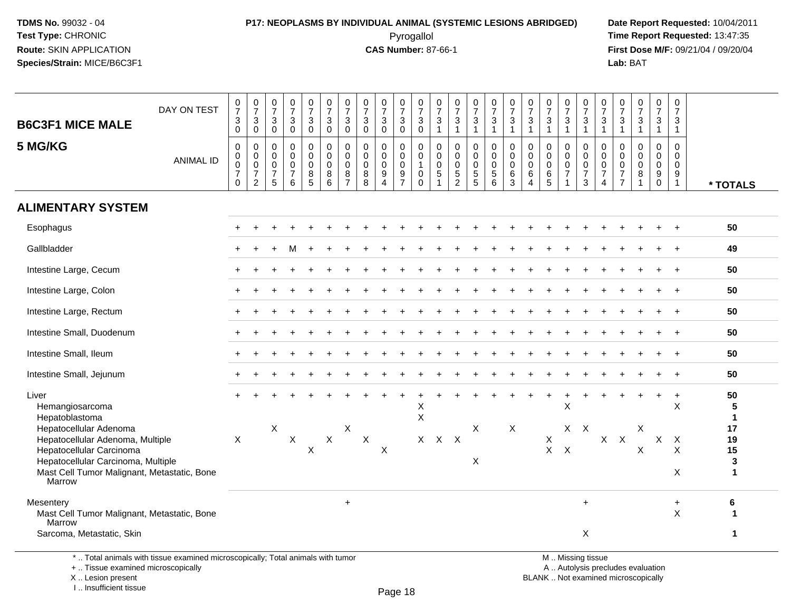## **P17: NEOPLASMS BY INDIVIDUAL ANIMAL (SYSTEMIC LESIONS ABRIDGED) Date Report Requested:** 10/04/2011

 Pyrogallol **Time Report Requested:** 13:47:35 **First Dose M/F:** 09/21/04 / 09/20/04<br>Lab: BAT **Lab:** BAT

| <b>B6C3F1 MICE MALE</b>                                                                                                                                                                                                             | DAY ON TEST      | $\frac{0}{7}$<br>$\mathbf{3}$<br>0                                                         | $\begin{array}{c} 0 \\ 7 \end{array}$<br>3<br>0                     | $\frac{0}{7}$<br>$\mathbf{3}$<br>$\mathbf 0$                 | $\begin{smallmatrix}0\\7\end{smallmatrix}$<br>$\ensuremath{\mathsf{3}}$<br>$\pmb{0}$ | $\frac{0}{7}$<br>3<br>0                 | $\frac{0}{7}$<br>$\sqrt{3}$<br>$\mathbf 0$                    | $\frac{0}{7}$<br>$\mathbf{3}$<br>$\mathbf 0$                     | $\frac{0}{7}$<br>$\mathbf{3}$<br>$\mathbf 0$          | $\begin{array}{c} 0 \\ 7 \end{array}$<br>$\sqrt{3}$<br>$\mathbf 0$       | $\frac{0}{7}$<br>$\mathbf{3}$<br>$\mathbf 0$     | $\frac{0}{7}$<br>$\sqrt{3}$<br>$\mathbf 0$                                              | 0<br>$\overline{7}$<br>3<br>$\mathbf{1}$                                     | $\frac{0}{7}$<br>$\sqrt{3}$<br>$\mathbf{1}$                                | $\frac{0}{7}$<br>$\mathbf{3}$<br>$\mathbf{1}$                    | $\begin{array}{c} 0 \\ 7 \\ 3 \end{array}$<br>$\mathbf{1}$                                 | $\frac{0}{7}$<br>$\ensuremath{\mathsf{3}}$<br>$\mathbf{1}$     | $\begin{array}{c} 0 \\ 7 \end{array}$<br>$\ensuremath{\mathsf{3}}$<br>$\mathbf{1}$ | $\frac{0}{7}$<br>$\frac{3}{1}$                                         | $\frac{0}{7}$<br>$\mathbf{3}$<br>1                                | $\frac{0}{7}$<br>$\sqrt{3}$<br>$\mathbf{1}$                                                  | 0<br>$\overline{7}$<br>3<br>$\mathbf{1}$                                      | $\frac{0}{7}$<br>$\mathbf{3}$<br>$\mathbf{1}$                       | $\begin{smallmatrix}0\\7\end{smallmatrix}$<br>$\ensuremath{\mathsf{3}}$<br>$\mathbf{1}$ | $\frac{0}{7}$<br>$\mathbf{3}$<br>$\overline{1}$                  | $\pmb{0}$<br>$\overline{7}$<br>3<br>$\mathbf{1}$                              |                                                                |
|-------------------------------------------------------------------------------------------------------------------------------------------------------------------------------------------------------------------------------------|------------------|--------------------------------------------------------------------------------------------|---------------------------------------------------------------------|--------------------------------------------------------------|--------------------------------------------------------------------------------------|-----------------------------------------|---------------------------------------------------------------|------------------------------------------------------------------|-------------------------------------------------------|--------------------------------------------------------------------------|--------------------------------------------------|-----------------------------------------------------------------------------------------|------------------------------------------------------------------------------|----------------------------------------------------------------------------|------------------------------------------------------------------|--------------------------------------------------------------------------------------------|----------------------------------------------------------------|------------------------------------------------------------------------------------|------------------------------------------------------------------------|-------------------------------------------------------------------|----------------------------------------------------------------------------------------------|-------------------------------------------------------------------------------|---------------------------------------------------------------------|-----------------------------------------------------------------------------------------|------------------------------------------------------------------|-------------------------------------------------------------------------------|----------------------------------------------------------------|
| 5 MG/KG                                                                                                                                                                                                                             | <b>ANIMAL ID</b> | $\pmb{0}$<br>$\mathsf{O}\xspace$<br>$\mathbf 0$<br>$\boldsymbol{7}$<br>$\mathsf{O}\xspace$ | 0<br>$\mathbf 0$<br>$\mathbf 0$<br>$\overline{7}$<br>$\overline{2}$ | $\mathbf 0$<br>0<br>0<br>$\boldsymbol{7}$<br>$5\phantom{.0}$ | $\mathbf 0$<br>$\pmb{0}$<br>$\pmb{0}$<br>$\overline{7}$<br>6                         | 0<br>$\mathbf 0$<br>$\pmb{0}$<br>$^8$ 5 | $\pmb{0}$<br>$\mathbf 0$<br>$\mathbf 0$<br>$\bf 8$<br>$\,6\,$ | $\mathbf 0$<br>$\mathbf 0$<br>$\mathbf 0$<br>8<br>$\overline{7}$ | $\pmb{0}$<br>$\pmb{0}$<br>$\mathbf 0$<br>$\bf 8$<br>8 | 0<br>$\pmb{0}$<br>$\pmb{0}$<br>$\boldsymbol{9}$<br>$\boldsymbol{\Delta}$ | 0<br>$\mathbf 0$<br>$\mathbf 0$<br>$\frac{9}{7}$ | $\mathbf 0$<br>$\mathsf{O}\xspace$<br>$\overline{1}$<br>$\boldsymbol{0}$<br>$\mathbf 0$ | $\mathbf 0$<br>$\boldsymbol{0}$<br>$\mathbf 0$<br>$\sqrt{5}$<br>$\mathbf{1}$ | $\mathbf 0$<br>$\mathbf 0$<br>$\mathbf 0$<br>$\mathbf 5$<br>$\overline{c}$ | 0<br>$\mathsf{O}\xspace$<br>$\mathsf{O}\xspace$<br>$\frac{5}{5}$ | $\mathsf{O}$<br>$\mathsf{O}\xspace$<br>$\mathsf{O}\xspace$<br>$\sqrt{5}$<br>$6\phantom{1}$ | $\pmb{0}$<br>$\pmb{0}$<br>$\pmb{0}$<br>$\,6\,$<br>$\mathbf{3}$ | $\mathbf 0$<br>$\pmb{0}$<br>$\pmb{0}$<br>$\,6\,$<br>$\overline{4}$                 | $\mathbf 0$<br>$\mathbf 0$<br>$\mathbf 0$<br>$\,6\,$<br>$5\phantom{1}$ | $\mathbf{0}$<br>$\mathbf 0$<br>$\mathbf 0$<br>$\overline{7}$<br>1 | $\boldsymbol{0}$<br>$\mathbf 0$<br>$\mathsf{O}\xspace$<br>$\boldsymbol{7}$<br>$\mathfrak{S}$ | $\mathbf 0$<br>$\mathbf 0$<br>$\mathbf 0$<br>$\overline{7}$<br>$\overline{4}$ | $\mathbf 0$<br>0<br>$\pmb{0}$<br>$\boldsymbol{7}$<br>$\overline{7}$ | $\mathbf 0$<br>$\pmb{0}$<br>$\mathsf{O}\xspace$<br>$\bf 8$<br>$\mathbf{1}$              | 0<br>$\mathbf 0$<br>$\mathbf 0$<br>$\boldsymbol{9}$<br>$\pmb{0}$ | $\mathbf 0$<br>$\mathbf 0$<br>$\mathbf 0$<br>$\boldsymbol{9}$<br>$\mathbf{1}$ | * TOTALS                                                       |
| <b>ALIMENTARY SYSTEM</b>                                                                                                                                                                                                            |                  |                                                                                            |                                                                     |                                                              |                                                                                      |                                         |                                                               |                                                                  |                                                       |                                                                          |                                                  |                                                                                         |                                                                              |                                                                            |                                                                  |                                                                                            |                                                                |                                                                                    |                                                                        |                                                                   |                                                                                              |                                                                               |                                                                     |                                                                                         |                                                                  |                                                                               |                                                                |
| Esophagus                                                                                                                                                                                                                           |                  |                                                                                            |                                                                     |                                                              |                                                                                      |                                         |                                                               |                                                                  |                                                       |                                                                          |                                                  |                                                                                         |                                                                              |                                                                            |                                                                  |                                                                                            |                                                                |                                                                                    |                                                                        |                                                                   |                                                                                              |                                                                               |                                                                     |                                                                                         |                                                                  |                                                                               | 50                                                             |
| Gallbladder                                                                                                                                                                                                                         |                  |                                                                                            |                                                                     |                                                              |                                                                                      |                                         |                                                               |                                                                  |                                                       |                                                                          |                                                  |                                                                                         |                                                                              |                                                                            |                                                                  |                                                                                            |                                                                |                                                                                    |                                                                        |                                                                   |                                                                                              |                                                                               |                                                                     |                                                                                         |                                                                  |                                                                               | 49                                                             |
| Intestine Large, Cecum                                                                                                                                                                                                              |                  |                                                                                            |                                                                     |                                                              |                                                                                      |                                         |                                                               |                                                                  |                                                       |                                                                          |                                                  |                                                                                         |                                                                              |                                                                            |                                                                  |                                                                                            |                                                                |                                                                                    |                                                                        |                                                                   |                                                                                              |                                                                               |                                                                     |                                                                                         |                                                                  |                                                                               | 50                                                             |
| Intestine Large, Colon                                                                                                                                                                                                              |                  |                                                                                            |                                                                     |                                                              |                                                                                      |                                         |                                                               |                                                                  |                                                       |                                                                          |                                                  |                                                                                         |                                                                              |                                                                            |                                                                  |                                                                                            |                                                                |                                                                                    |                                                                        |                                                                   |                                                                                              |                                                                               |                                                                     |                                                                                         |                                                                  |                                                                               | 50                                                             |
| Intestine Large, Rectum                                                                                                                                                                                                             |                  |                                                                                            |                                                                     |                                                              |                                                                                      |                                         |                                                               |                                                                  |                                                       |                                                                          |                                                  |                                                                                         |                                                                              |                                                                            |                                                                  |                                                                                            |                                                                |                                                                                    |                                                                        |                                                                   |                                                                                              |                                                                               |                                                                     |                                                                                         |                                                                  |                                                                               | 50                                                             |
| Intestine Small, Duodenum                                                                                                                                                                                                           |                  |                                                                                            |                                                                     |                                                              |                                                                                      |                                         |                                                               |                                                                  |                                                       |                                                                          |                                                  |                                                                                         |                                                                              |                                                                            |                                                                  |                                                                                            |                                                                |                                                                                    |                                                                        |                                                                   |                                                                                              |                                                                               |                                                                     |                                                                                         |                                                                  |                                                                               | 50                                                             |
| Intestine Small, Ileum                                                                                                                                                                                                              |                  |                                                                                            |                                                                     |                                                              |                                                                                      |                                         |                                                               |                                                                  |                                                       |                                                                          |                                                  |                                                                                         |                                                                              |                                                                            |                                                                  |                                                                                            |                                                                |                                                                                    |                                                                        |                                                                   |                                                                                              |                                                                               |                                                                     |                                                                                         |                                                                  | $\ddot{}$                                                                     | 50                                                             |
| Intestine Small, Jejunum                                                                                                                                                                                                            |                  |                                                                                            |                                                                     |                                                              |                                                                                      |                                         |                                                               |                                                                  |                                                       |                                                                          |                                                  |                                                                                         |                                                                              |                                                                            |                                                                  |                                                                                            |                                                                |                                                                                    |                                                                        |                                                                   |                                                                                              |                                                                               |                                                                     |                                                                                         |                                                                  |                                                                               | 50                                                             |
| Liver<br>Hemangiosarcoma<br>Hepatoblastoma<br>Hepatocellular Adenoma<br>Hepatocellular Adenoma, Multiple<br>Hepatocellular Carcinoma<br>Hepatocellular Carcinoma, Multiple<br>Mast Cell Tumor Malignant, Metastatic, Bone<br>Marrow |                  | X                                                                                          |                                                                     | $\mathsf X$                                                  | $\mathsf X$                                                                          | $\boldsymbol{\mathsf{X}}$               | $\mathsf X$                                                   | X                                                                | $\mathsf X$                                           | X                                                                        |                                                  | Х<br>$\mathsf X$                                                                        | X X X                                                                        |                                                                            | X<br>X                                                           |                                                                                            | X                                                              |                                                                                    | X<br>$X$ $X$                                                           | $\ddot{}$<br>X                                                    | $X$ $X$                                                                                      |                                                                               | $X$ $X$                                                             | $\pmb{\times}$<br>X                                                                     | $\ddot{}$<br>$\mathsf{X}$                                        | $\ddot{}$<br>$\times$<br>$\mathsf{X}$<br>X<br>X                               | 50<br>5<br>$\mathbf{1}$<br>17<br>19<br>15<br>3<br>$\mathbf{1}$ |
| Mesentery<br>Mast Cell Tumor Malignant, Metastatic, Bone<br>Marrow<br>Sarcoma, Metastatic, Skin                                                                                                                                     |                  |                                                                                            |                                                                     |                                                              |                                                                                      |                                         |                                                               | $\ddot{}$                                                        |                                                       |                                                                          |                                                  |                                                                                         |                                                                              |                                                                            |                                                                  |                                                                                            |                                                                |                                                                                    |                                                                        |                                                                   | $+$<br>X                                                                                     |                                                                               |                                                                     |                                                                                         |                                                                  | $\ddot{}$<br>$\boldsymbol{\mathsf{X}}$                                        | 6<br>1<br>$\mathbf 1$                                          |

\* .. Total animals with tissue examined microscopically; Total animals with tumor

+ .. Tissue examined microscopically

X .. Lesion present

I .. Insufficient tissue

 M .. Missing tissuey the contract of the contract of the contract of the contract of the contract of  $\mathsf A$  . Autolysis precludes evaluation Lesion present BLANK .. Not examined microscopically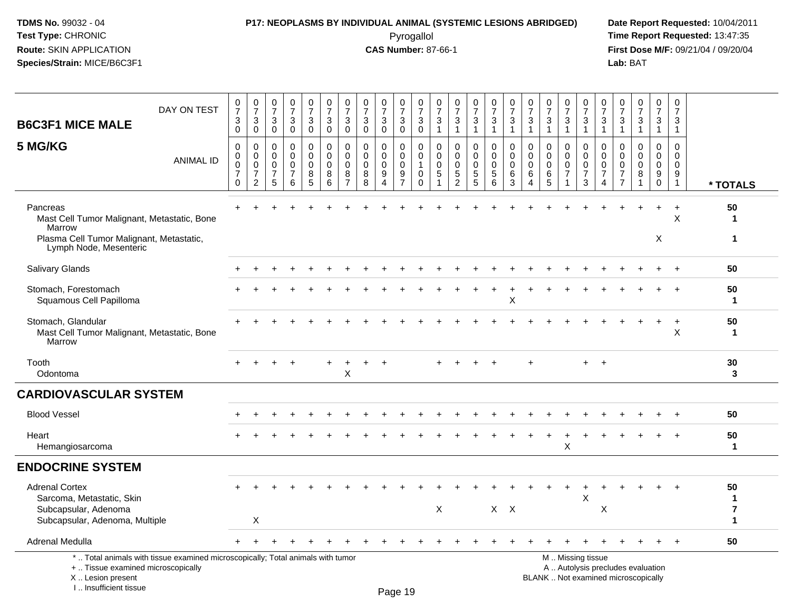### **P17: NEOPLASMS BY INDIVIDUAL ANIMAL (SYSTEMIC LESIONS ABRIDGED) Date Report Requested:** 10/04/2011

 Pyrogallol **Time Report Requested:** 13:47:35 **First Dose M/F:** 09/21/04 / 09/20/04<br>Lab: BAT **Lab:** BAT

| <b>B6C3F1 MICE MALE</b>                                                                                                                    | DAY ON TEST      | 0<br>$\overline{7}$<br>3<br>$\mathbf 0$                                 | 0<br>$\overline{7}$<br>3<br>$\mathbf 0$                   | $\frac{0}{7}$<br>$\mathbf{3}$<br>$\mathsf{O}\xspace$   | $\frac{0}{7}$<br>$\mathbf{3}$<br>$\pmb{0}$             | $\begin{smallmatrix}0\\7\end{smallmatrix}$<br>$\sqrt{3}$<br>$\mathsf{O}\xspace$ | $\pmb{0}$<br>$\overline{7}$<br>$\mathbf{3}$<br>$\mathbf 0$ | 0<br>$\overline{7}$<br>3<br>$\mathbf 0$      | $\begin{array}{c} 0 \\ 7 \end{array}$<br>$\sqrt{3}$<br>$\mathbf 0$ | $\frac{0}{7}$<br>$\mathbf{3}$<br>$\mathbf 0$ | $\begin{array}{c} 0 \\ 7 \end{array}$<br>$\ensuremath{\mathsf{3}}$<br>$\mathbf 0$ | $\pmb{0}$<br>$\overline{7}$<br>$\sqrt{3}$<br>$\mathbf 0$                    | $\pmb{0}$<br>$\overline{7}$<br>$\ensuremath{\mathsf{3}}$<br>$\mathbf{1}$ | $\begin{array}{c} 0 \\ 7 \end{array}$<br>$\ensuremath{\mathsf{3}}$<br>$\mathbf{1}$ | $\frac{0}{7}$<br>$\mathbf{3}$<br>$\mathbf{1}$    | $\begin{smallmatrix}0\\7\end{smallmatrix}$<br>$\mathbf{3}$<br>$\mathbf{1}$ | $\frac{0}{7}$<br>$\sqrt{3}$<br>$\overline{1}$                        | $\pmb{0}$<br>$\overline{7}$<br>$\sqrt{3}$<br>$\mathbf{1}$              | $\frac{0}{7}$<br>$\ensuremath{\mathsf{3}}$<br>$\mathbf{1}$ | $\frac{0}{7}$<br>3<br>$\mathbf{1}$                   | $\begin{array}{c} 0 \\ 7 \end{array}$<br>$\ensuremath{\mathsf{3}}$<br>$\mathbf{1}$            | $\pmb{0}$<br>$\overline{7}$<br>$\sqrt{3}$<br>$\overline{1}$                | $\pmb{0}$<br>$\overline{7}$<br>3<br>$\mathbf{1}$                    | $\begin{smallmatrix}0\\7\end{smallmatrix}$<br>$\ensuremath{\mathsf{3}}$<br>$\mathbf{1}$ | $\frac{0}{7}$<br>3<br>$\mathbf{1}$                                | $\mathbf 0$<br>$\overline{7}$<br>3<br>$\mathbf{1}$               |                                                    |
|--------------------------------------------------------------------------------------------------------------------------------------------|------------------|-------------------------------------------------------------------------|-----------------------------------------------------------|--------------------------------------------------------|--------------------------------------------------------|---------------------------------------------------------------------------------|------------------------------------------------------------|----------------------------------------------|--------------------------------------------------------------------|----------------------------------------------|-----------------------------------------------------------------------------------|-----------------------------------------------------------------------------|--------------------------------------------------------------------------|------------------------------------------------------------------------------------|--------------------------------------------------|----------------------------------------------------------------------------|----------------------------------------------------------------------|------------------------------------------------------------------------|------------------------------------------------------------|------------------------------------------------------|-----------------------------------------------------------------------------------------------|----------------------------------------------------------------------------|---------------------------------------------------------------------|-----------------------------------------------------------------------------------------|-------------------------------------------------------------------|------------------------------------------------------------------|----------------------------------------------------|
| 5 MG/KG                                                                                                                                    | <b>ANIMAL ID</b> | $\mathbf 0$<br>$\mathbf 0$<br>$\mathbf 0$<br>$\overline{7}$<br>$\Omega$ | 0<br>0<br>$\mathbf 0$<br>$\overline{7}$<br>$\overline{c}$ | $\mathbf 0$<br>0<br>$\mathbf 0$<br>$\overline{7}$<br>5 | $\mathbf 0$<br>$\mathsf 0$<br>0<br>$\overline{7}$<br>6 | $\mathbf 0$<br>$\mathbf 0$<br>$\mathbf 0$<br>$\bf 8$<br>$\overline{5}$          | $\mathbf 0$<br>$\mathbf 0$<br>$\mathbf 0$<br>$\,8\,$<br>6  | 0<br>0<br>$\mathbf 0$<br>8<br>$\overline{7}$ | $\mathbf 0$<br>$\pmb{0}$<br>$\mathbf 0$<br>8<br>8                  | 0<br>$\mathbf 0$<br>0<br>9<br>$\overline{4}$ | 0<br>$\mathbf 0$<br>0<br>$\frac{9}{7}$                                            | $\mathbf 0$<br>$\mathbf 0$<br>$\overline{1}$<br>$\mathsf{O}$<br>$\mathbf 0$ | 0<br>$\mathbf 0$<br>$\mathbf 0$<br>$\sqrt{5}$                            | $\mathbf 0$<br>$\mathbf 0$<br>$\mathbf 0$<br>5<br>$\overline{2}$                   | 0<br>$\mathbf 0$<br>$\mathsf 0$<br>$\frac{5}{5}$ | $\mathbf 0$<br>$\overline{0}$<br>$\mathbf 0$<br>5<br>$6^{\circ}$           | $\mathbf 0$<br>$\mathbf 0$<br>$\mathbf 0$<br>$6\,$<br>$\overline{3}$ | $\mathbf 0$<br>$\mathbf 0$<br>$\mathbf 0$<br>$\,6\,$<br>$\overline{4}$ | 0<br>$\pmb{0}$<br>$\mathbf 0$<br>6<br>$\overline{5}$       | 0<br>$\mathbf 0$<br>$\pmb{0}$<br>$\overline{7}$<br>1 | 0<br>$\mathbf 0$<br>$\mathbf 0$<br>$\overline{7}$<br>$\mathbf{3}$                             | $\Omega$<br>$\mathbf 0$<br>$\mathbf 0$<br>$\overline{7}$<br>$\overline{4}$ | 0<br>$\mathbf 0$<br>$\mathbf 0$<br>$\overline{7}$<br>$\overline{7}$ | $\mathbf 0$<br>$\mathbf 0$<br>$\mathbf 0$<br>8                                          | $\mathbf 0$<br>$\mathbf 0$<br>$\mathbf 0$<br>$9\,$<br>$\mathbf 0$ | $\Omega$<br>$\mathbf 0$<br>0<br>$\boldsymbol{9}$<br>$\mathbf{1}$ | * TOTALS                                           |
| Pancreas<br>Mast Cell Tumor Malignant, Metastatic, Bone<br>Marrow                                                                          |                  |                                                                         |                                                           |                                                        |                                                        |                                                                                 |                                                            |                                              |                                                                    |                                              |                                                                                   |                                                                             |                                                                          |                                                                                    |                                                  |                                                                            |                                                                      |                                                                        |                                                            |                                                      |                                                                                               |                                                                            |                                                                     |                                                                                         | $\ddot{}$<br>X                                                    | $\ddot{}$<br>X                                                   | 50<br>$\mathbf 1$<br>1                             |
| Plasma Cell Tumor Malignant, Metastatic,<br>Lymph Node, Mesenteric                                                                         |                  |                                                                         |                                                           |                                                        |                                                        |                                                                                 |                                                            |                                              |                                                                    |                                              |                                                                                   |                                                                             |                                                                          |                                                                                    |                                                  |                                                                            |                                                                      |                                                                        |                                                            |                                                      |                                                                                               |                                                                            |                                                                     |                                                                                         |                                                                   |                                                                  |                                                    |
| Salivary Glands                                                                                                                            |                  |                                                                         |                                                           |                                                        |                                                        |                                                                                 |                                                            |                                              |                                                                    |                                              |                                                                                   |                                                                             |                                                                          |                                                                                    |                                                  |                                                                            |                                                                      |                                                                        |                                                            |                                                      |                                                                                               |                                                                            |                                                                     |                                                                                         |                                                                   |                                                                  | 50                                                 |
| Stomach, Forestomach<br>Squamous Cell Papilloma                                                                                            |                  |                                                                         |                                                           |                                                        |                                                        |                                                                                 |                                                            |                                              |                                                                    |                                              |                                                                                   |                                                                             |                                                                          |                                                                                    |                                                  |                                                                            | $\boldsymbol{\mathsf{X}}$                                            |                                                                        |                                                            |                                                      |                                                                                               |                                                                            |                                                                     |                                                                                         |                                                                   |                                                                  | 50<br>$\mathbf{1}$                                 |
| Stomach, Glandular<br>Mast Cell Tumor Malignant, Metastatic, Bone<br><b>Marrow</b>                                                         |                  |                                                                         |                                                           |                                                        |                                                        |                                                                                 |                                                            |                                              |                                                                    |                                              |                                                                                   |                                                                             |                                                                          |                                                                                    |                                                  |                                                                            |                                                                      |                                                                        |                                                            |                                                      |                                                                                               |                                                                            |                                                                     |                                                                                         |                                                                   | $\ddot{}$<br>X                                                   | 50<br>$\mathbf{1}$                                 |
| Tooth<br>Odontoma                                                                                                                          |                  |                                                                         |                                                           |                                                        |                                                        |                                                                                 |                                                            | X                                            |                                                                    |                                              |                                                                                   |                                                                             |                                                                          |                                                                                    |                                                  |                                                                            |                                                                      |                                                                        |                                                            |                                                      |                                                                                               | $\overline{+}$                                                             |                                                                     |                                                                                         |                                                                   |                                                                  | 30<br>$\mathbf{3}$                                 |
| <b>CARDIOVASCULAR SYSTEM</b>                                                                                                               |                  |                                                                         |                                                           |                                                        |                                                        |                                                                                 |                                                            |                                              |                                                                    |                                              |                                                                                   |                                                                             |                                                                          |                                                                                    |                                                  |                                                                            |                                                                      |                                                                        |                                                            |                                                      |                                                                                               |                                                                            |                                                                     |                                                                                         |                                                                   |                                                                  |                                                    |
| <b>Blood Vessel</b>                                                                                                                        |                  |                                                                         |                                                           |                                                        |                                                        |                                                                                 |                                                            |                                              |                                                                    |                                              |                                                                                   |                                                                             |                                                                          |                                                                                    |                                                  |                                                                            |                                                                      |                                                                        |                                                            |                                                      |                                                                                               |                                                                            |                                                                     |                                                                                         |                                                                   |                                                                  | 50                                                 |
| Heart<br>Hemangiosarcoma                                                                                                                   |                  |                                                                         |                                                           |                                                        |                                                        |                                                                                 |                                                            |                                              |                                                                    |                                              |                                                                                   |                                                                             |                                                                          |                                                                                    |                                                  |                                                                            |                                                                      |                                                                        |                                                            | X                                                    |                                                                                               |                                                                            |                                                                     |                                                                                         |                                                                   |                                                                  | 50<br>$\mathbf{1}$                                 |
| <b>ENDOCRINE SYSTEM</b>                                                                                                                    |                  |                                                                         |                                                           |                                                        |                                                        |                                                                                 |                                                            |                                              |                                                                    |                                              |                                                                                   |                                                                             |                                                                          |                                                                                    |                                                  |                                                                            |                                                                      |                                                                        |                                                            |                                                      |                                                                                               |                                                                            |                                                                     |                                                                                         |                                                                   |                                                                  |                                                    |
| <b>Adrenal Cortex</b><br>Sarcoma, Metastatic, Skin<br>Subcapsular, Adenoma<br>Subcapsular, Adenoma, Multiple                               |                  |                                                                         | X                                                         |                                                        |                                                        |                                                                                 |                                                            |                                              |                                                                    |                                              |                                                                                   |                                                                             | X                                                                        |                                                                                    |                                                  |                                                                            | $X$ $X$                                                              |                                                                        |                                                            |                                                      | X                                                                                             | X                                                                          |                                                                     |                                                                                         |                                                                   |                                                                  | 50<br>$\mathbf{1}$<br>$\overline{\mathbf{r}}$<br>1 |
| Adrenal Medulla                                                                                                                            |                  |                                                                         |                                                           |                                                        |                                                        |                                                                                 |                                                            |                                              |                                                                    |                                              |                                                                                   |                                                                             |                                                                          |                                                                                    |                                                  |                                                                            |                                                                      |                                                                        |                                                            |                                                      |                                                                                               |                                                                            |                                                                     |                                                                                         |                                                                   | $\ddot{}$                                                        | 50                                                 |
| *  Total animals with tissue examined microscopically; Total animals with tumor<br>+  Tissue examined microscopically<br>X  Lesion present |                  |                                                                         |                                                           |                                                        |                                                        |                                                                                 |                                                            |                                              |                                                                    |                                              |                                                                                   |                                                                             |                                                                          |                                                                                    |                                                  |                                                                            |                                                                      |                                                                        |                                                            |                                                      | M  Missing tissue<br>A  Autolysis precludes evaluation<br>BLANK  Not examined microscopically |                                                                            |                                                                     |                                                                                         |                                                                   |                                                                  |                                                    |

I .. Insufficient tissue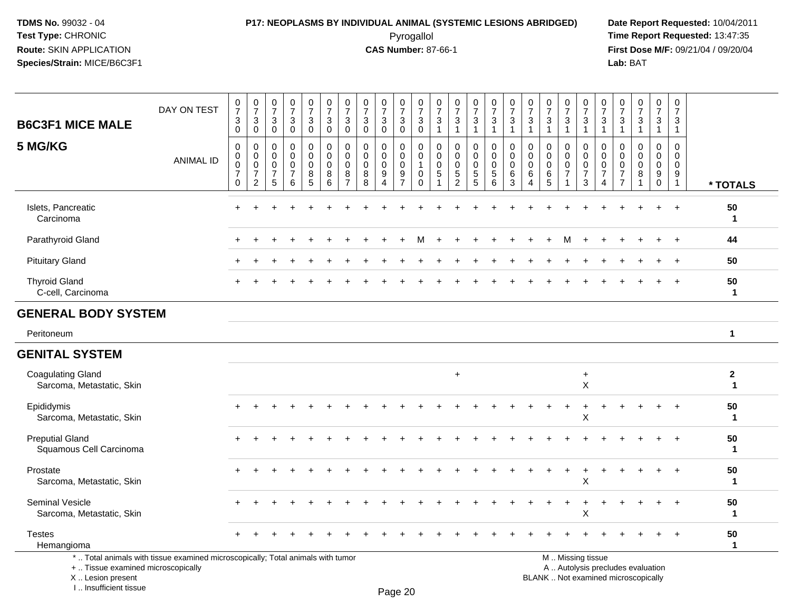#### **P17: NEOPLASMS BY INDIVIDUAL ANIMAL (SYSTEMIC LESIONS ABRIDGED) Date Report Requested:** 10/04/2011 Pyrogallol **Time Report Requested:** 13:47:35

**First Dose M/F:** 09/21/04 / 09/20/04<br>Lab: BAT **Lab:** BAT

| <b>B6C3F1 MICE MALE</b>                               | DAY ON TEST                                                                     | $\frac{0}{7}$<br>3<br>$\mathbf 0$                                | $\frac{0}{7}$<br>$\mathbf{3}$<br>$\overline{0}$                       | $\begin{smallmatrix}0\\7\end{smallmatrix}$<br>$\sqrt{3}$<br>$\mathbf 0$ | $\frac{0}{7}$<br>$\sqrt{3}$<br>$\overline{0}$                    | $\frac{0}{7}$<br>3<br>$\mathbf 0$                              | $\frac{0}{7}$<br>$\sqrt{3}$<br>$\mathbf 0$               | $\frac{0}{7}$<br>3<br>$\mathbf 0$                      | $\frac{0}{7}$<br>$\mathbf{3}$<br>$\Omega$           | $\frac{0}{7}$<br>$\mathbf{3}$<br>$\Omega$                       | $\frac{0}{7}$<br>$_{0}^{3}$                                           | $\frac{0}{7}$<br>3<br>$\mathbf 0$                              | $\frac{0}{7}$<br>3<br>$\overline{1}$          | $\frac{0}{7}$<br>$\mathbf{3}$<br>$\mathbf{1}$                   | $\frac{0}{7}$<br>3<br>$\mathbf{1}$       | $\frac{0}{7}$<br>3<br>$\mathbf{1}$       | $\frac{0}{7}$<br>$\ensuremath{\mathsf{3}}$<br>$\overline{1}$ | $\frac{0}{7}$<br>3<br>$\overline{1}$                   | 0<br>$\overline{7}$<br>$\mathbf{3}$<br>$\mathbf{1}$       | $\frac{0}{7}$<br>3<br>-1                | $\frac{0}{7}$<br>$\ensuremath{\mathsf{3}}$<br>$\mathbf{1}$      | $\begin{array}{c} 0 \\ 7 \end{array}$<br>$\sqrt{3}$<br>$\mathbf{1}$ | $\frac{0}{7}$<br>3<br>$\overline{1}$                                  | $\frac{0}{7}$<br>$\mathbf{3}$<br>$\overline{1}$ | $\frac{0}{7}$<br>3<br>1                                       | 0<br>$\overline{7}$<br>3<br>$\overline{1}$                          |                            |
|-------------------------------------------------------|---------------------------------------------------------------------------------|------------------------------------------------------------------|-----------------------------------------------------------------------|-------------------------------------------------------------------------|------------------------------------------------------------------|----------------------------------------------------------------|----------------------------------------------------------|--------------------------------------------------------|-----------------------------------------------------|-----------------------------------------------------------------|-----------------------------------------------------------------------|----------------------------------------------------------------|-----------------------------------------------|-----------------------------------------------------------------|------------------------------------------|------------------------------------------|--------------------------------------------------------------|--------------------------------------------------------|-----------------------------------------------------------|-----------------------------------------|-----------------------------------------------------------------|---------------------------------------------------------------------|-----------------------------------------------------------------------|-------------------------------------------------|---------------------------------------------------------------|---------------------------------------------------------------------|----------------------------|
| 5 MG/KG                                               | <b>ANIMAL ID</b>                                                                | $\mathbf 0$<br>$\mathbf 0$<br>0<br>$\overline{7}$<br>$\mathbf 0$ | 0<br>$\mathbf 0$<br>$\mathbf 0$<br>$\boldsymbol{7}$<br>$\overline{2}$ | 0<br>$\mathbf 0$<br>0<br>$\overline{7}$<br>$5\phantom{.0}$              | $\mathbf 0$<br>$\mathbf 0$<br>$\mathbf 0$<br>$\overline{7}$<br>6 | 0<br>0<br>$\mathbf 0$<br>$\begin{array}{c} 8 \\ 5 \end{array}$ | $\mathbf 0$<br>$\mathbf 0$<br>$\mathbf 0$<br>$\, 8$<br>6 | 0<br>$\mathbf 0$<br>$\mathbf 0$<br>8<br>$\overline{7}$ | $\mathbf 0$<br>$\mathbf 0$<br>$\mathbf 0$<br>8<br>8 | 0<br>$\mathbf 0$<br>$\mathbf 0$<br>$\boldsymbol{9}$<br>$\Delta$ | 0<br>$\mathbf 0$<br>$\mathbf 0$<br>$\boldsymbol{9}$<br>$\overline{7}$ | 0<br>$\mathbf 0$<br>$\mathbf{1}$<br>$\mathbf 0$<br>$\mathbf 0$ | 0<br>$\mathbf 0$<br>$\mathbf 0$<br>$\sqrt{5}$ | 0<br>$\mathbf 0$<br>$\mathbf 0$<br>$\sqrt{5}$<br>$\overline{2}$ | 0<br>$\mathbf 0$<br>0<br>$\sqrt{5}$<br>5 | 0<br>$\mathbf 0$<br>0<br>$\sqrt{5}$<br>6 | 0<br>$\mathbf 0$<br>$\mathbf 0$<br>$\,6\,$<br>3              | 0<br>$\mathbf 0$<br>$\mathbf 0$<br>6<br>$\overline{4}$ | $\mathbf 0$<br>$\mathbf 0$<br>$\mathbf 0$<br>$\,6\,$<br>5 | 0<br>$\mathbf 0$<br>0<br>$\overline{7}$ | 0<br>$\mathbf 0$<br>$\pmb{0}$<br>$\overline{7}$<br>$\mathbf{3}$ | $\mathbf 0$<br>$\Omega$<br>$\mathbf 0$<br>$\overline{7}$<br>4       | 0<br>$\mathbf{0}$<br>$\mathbf{0}$<br>$\overline{7}$<br>$\overline{7}$ | $\mathbf 0$<br>$\Omega$<br>$\Omega$<br>8<br>1   | $\mathbf 0$<br>$\mathbf 0$<br>$\mathbf 0$<br>9<br>$\mathbf 0$ | $\mathbf 0$<br>$\mathbf 0$<br>0<br>$\boldsymbol{9}$<br>$\mathbf{1}$ | * TOTALS                   |
| Islets, Pancreatic<br>Carcinoma                       |                                                                                 |                                                                  |                                                                       |                                                                         |                                                                  |                                                                |                                                          |                                                        |                                                     |                                                                 |                                                                       |                                                                |                                               |                                                                 |                                          |                                          |                                                              |                                                        |                                                           |                                         |                                                                 |                                                                     |                                                                       |                                                 |                                                               | $\ddot{}$                                                           | 50<br>$\mathbf{1}$         |
| Parathyroid Gland                                     |                                                                                 |                                                                  |                                                                       |                                                                         |                                                                  |                                                                |                                                          |                                                        |                                                     |                                                                 |                                                                       | м                                                              |                                               |                                                                 |                                          |                                          |                                                              |                                                        |                                                           | м                                       |                                                                 |                                                                     |                                                                       |                                                 |                                                               |                                                                     | 44                         |
| <b>Pituitary Gland</b>                                |                                                                                 |                                                                  |                                                                       |                                                                         |                                                                  |                                                                |                                                          |                                                        |                                                     |                                                                 |                                                                       |                                                                |                                               |                                                                 |                                          |                                          |                                                              |                                                        |                                                           |                                         |                                                                 |                                                                     |                                                                       |                                                 |                                                               |                                                                     | 50                         |
| <b>Thyroid Gland</b><br>C-cell, Carcinoma             |                                                                                 |                                                                  |                                                                       |                                                                         |                                                                  |                                                                |                                                          |                                                        |                                                     |                                                                 |                                                                       |                                                                |                                               |                                                                 |                                          |                                          |                                                              |                                                        |                                                           |                                         |                                                                 |                                                                     |                                                                       |                                                 |                                                               |                                                                     | 50<br>$\mathbf{1}$         |
| <b>GENERAL BODY SYSTEM</b>                            |                                                                                 |                                                                  |                                                                       |                                                                         |                                                                  |                                                                |                                                          |                                                        |                                                     |                                                                 |                                                                       |                                                                |                                               |                                                                 |                                          |                                          |                                                              |                                                        |                                                           |                                         |                                                                 |                                                                     |                                                                       |                                                 |                                                               |                                                                     |                            |
| Peritoneum                                            |                                                                                 |                                                                  |                                                                       |                                                                         |                                                                  |                                                                |                                                          |                                                        |                                                     |                                                                 |                                                                       |                                                                |                                               |                                                                 |                                          |                                          |                                                              |                                                        |                                                           |                                         |                                                                 |                                                                     |                                                                       |                                                 |                                                               |                                                                     | $\mathbf{1}$               |
| <b>GENITAL SYSTEM</b>                                 |                                                                                 |                                                                  |                                                                       |                                                                         |                                                                  |                                                                |                                                          |                                                        |                                                     |                                                                 |                                                                       |                                                                |                                               |                                                                 |                                          |                                          |                                                              |                                                        |                                                           |                                         |                                                                 |                                                                     |                                                                       |                                                 |                                                               |                                                                     |                            |
| <b>Coagulating Gland</b><br>Sarcoma, Metastatic, Skin |                                                                                 |                                                                  |                                                                       |                                                                         |                                                                  |                                                                |                                                          |                                                        |                                                     |                                                                 |                                                                       |                                                                |                                               | $+$                                                             |                                          |                                          |                                                              |                                                        |                                                           |                                         | $\ddot{}$<br>X                                                  |                                                                     |                                                                       |                                                 |                                                               |                                                                     | $\mathbf 2$<br>$\mathbf 1$ |
| Epididymis<br>Sarcoma, Metastatic, Skin               |                                                                                 |                                                                  |                                                                       |                                                                         |                                                                  |                                                                |                                                          |                                                        |                                                     |                                                                 |                                                                       |                                                                |                                               |                                                                 |                                          |                                          |                                                              |                                                        |                                                           |                                         | X                                                               |                                                                     |                                                                       |                                                 |                                                               |                                                                     | 50<br>$\mathbf 1$          |
| <b>Preputial Gland</b><br>Squamous Cell Carcinoma     |                                                                                 |                                                                  |                                                                       |                                                                         |                                                                  |                                                                |                                                          |                                                        |                                                     |                                                                 |                                                                       |                                                                |                                               |                                                                 |                                          |                                          |                                                              |                                                        |                                                           |                                         |                                                                 |                                                                     |                                                                       |                                                 |                                                               |                                                                     | 50<br>$\mathbf{1}$         |
| Prostate<br>Sarcoma, Metastatic, Skin                 |                                                                                 |                                                                  |                                                                       |                                                                         |                                                                  |                                                                |                                                          |                                                        |                                                     |                                                                 |                                                                       |                                                                |                                               |                                                                 |                                          |                                          |                                                              |                                                        |                                                           |                                         | X                                                               |                                                                     |                                                                       |                                                 |                                                               |                                                                     | 50<br>$\mathbf{1}$         |
| <b>Seminal Vesicle</b><br>Sarcoma, Metastatic, Skin   |                                                                                 |                                                                  |                                                                       |                                                                         |                                                                  |                                                                |                                                          |                                                        |                                                     |                                                                 |                                                                       |                                                                |                                               |                                                                 |                                          |                                          |                                                              |                                                        |                                                           |                                         | X                                                               |                                                                     |                                                                       |                                                 |                                                               |                                                                     | 50<br>$\mathbf{1}$         |
| <b>Testes</b><br>Hemangioma                           |                                                                                 |                                                                  |                                                                       |                                                                         |                                                                  |                                                                |                                                          |                                                        |                                                     |                                                                 |                                                                       |                                                                |                                               |                                                                 |                                          |                                          |                                                              |                                                        |                                                           |                                         |                                                                 |                                                                     |                                                                       |                                                 |                                                               |                                                                     | 50<br>$\mathbf 1$          |
|                                                       | *  Total animals with tissue examined microscopically; Total animals with tumor |                                                                  |                                                                       |                                                                         |                                                                  |                                                                |                                                          |                                                        |                                                     |                                                                 |                                                                       |                                                                |                                               |                                                                 |                                          |                                          |                                                              |                                                        |                                                           |                                         | M  Missing tissue                                               |                                                                     |                                                                       |                                                 |                                                               |                                                                     |                            |

+ .. Tissue examined microscopically

 Lesion present BLANK .. Not examined microscopicallyX .. Lesion present

I .. Insufficient tissue

y the contract of the contract of the contract of the contract of the contract of  $\mathsf A$  . Autolysis precludes evaluation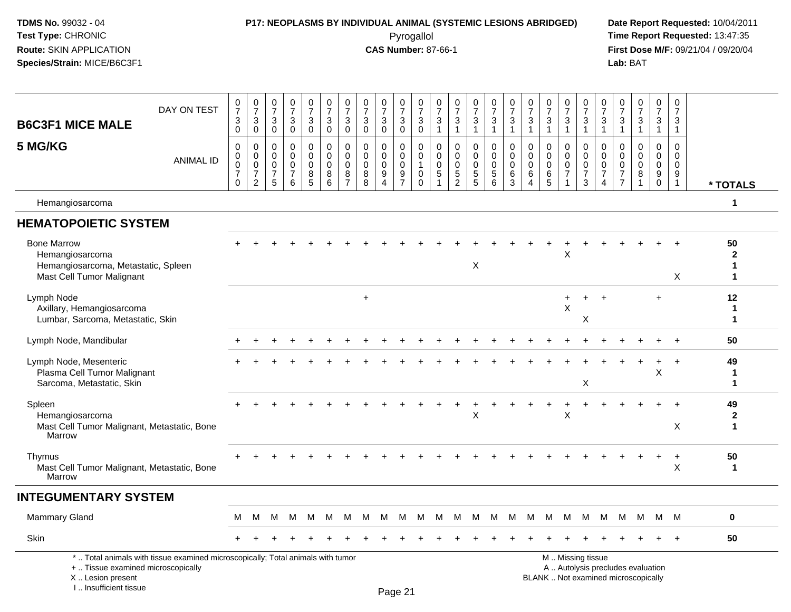### **P17: NEOPLASMS BY INDIVIDUAL ANIMAL (SYSTEMIC LESIONS ABRIDGED) Date Report Requested:** 10/04/2011

 Pyrogallol **Time Report Requested:** 13:47:35 **First Dose M/F:** 09/21/04 / 09/20/04<br>Lab: BAT **Lab:** BAT

| <b>B6C3F1 MICE MALE</b>                                                                                   | DAY ON TEST                                                                     | 0<br>$\overline{7}$<br>$\mathbf{3}$<br>$\pmb{0}$                            | $\frac{0}{7}$<br>$\sqrt{3}$<br>$\pmb{0}$                              | 0<br>$\overline{7}$<br>3<br>0                       | 0<br>$\overline{7}$<br>$\mathbf{3}$<br>0                | $\frac{0}{7}$<br>$\mathbf{3}$<br>$\mathbf 0$ | 0<br>$\boldsymbol{7}$<br>3<br>$\mathbf 0$ | $\frac{0}{7}$<br>$\mathbf{3}$<br>$\pmb{0}$          | 0<br>$\overline{7}$<br>$\mathbf{3}$<br>0             | $\frac{0}{7}$<br>$\sqrt{3}$<br>0                                      | 0<br>$\overline{7}$<br>3<br>$\mathsf 0$             | 0<br>$\overline{7}$<br>$\mathbf{3}$<br>$\mathbf 0$                   | 0<br>$\overline{7}$<br>3<br>$\mathbf{1}$    | 0<br>$\overline{7}$<br>3<br>$\mathbf{1}$                            | $\frac{0}{7}$<br>$\sqrt{3}$<br>$\mathbf{1}$                             | 0<br>$\overline{7}$<br>$\mathbf{3}$<br>$\overline{1}$        | $\frac{0}{7}$<br>$\sqrt{3}$<br>$\mathbf{1}$                 | 0<br>$\boldsymbol{7}$<br>3<br>$\mathbf{1}$                    | 0<br>$\overline{7}$<br>$\mathbf{3}$<br>$\overline{1}$ | $\frac{0}{7}$<br>3<br>1                                        | $\pmb{0}$<br>$\boldsymbol{7}$<br>$\mathbf{3}$<br>$\mathbf{1}$         | 0<br>$\overline{7}$<br>$\sqrt{3}$<br>$\mathbf{1}$                          | 0<br>$\overline{7}$<br>$\mathbf{3}$<br>$\overline{1}$                      | $\begin{smallmatrix}0\\7\end{smallmatrix}$<br>$\sqrt{3}$<br>$\mathbf{1}$ | $\frac{0}{7}$<br>3<br>$\mathbf{1}$                         | 0<br>$\boldsymbol{7}$<br>$\mathbf{3}$<br>$\mathbf{1}$               |                                   |
|-----------------------------------------------------------------------------------------------------------|---------------------------------------------------------------------------------|-----------------------------------------------------------------------------|-----------------------------------------------------------------------|-----------------------------------------------------|---------------------------------------------------------|----------------------------------------------|-------------------------------------------|-----------------------------------------------------|------------------------------------------------------|-----------------------------------------------------------------------|-----------------------------------------------------|----------------------------------------------------------------------|---------------------------------------------|---------------------------------------------------------------------|-------------------------------------------------------------------------|--------------------------------------------------------------|-------------------------------------------------------------|---------------------------------------------------------------|-------------------------------------------------------|----------------------------------------------------------------|-----------------------------------------------------------------------|----------------------------------------------------------------------------|----------------------------------------------------------------------------|--------------------------------------------------------------------------|------------------------------------------------------------|---------------------------------------------------------------------|-----------------------------------|
| 5 MG/KG                                                                                                   | <b>ANIMAL ID</b>                                                                | $\mathbf 0$<br>$\mathsf{O}$<br>$\mathsf 0$<br>$\overline{7}$<br>$\mathbf 0$ | $\mathbf 0$<br>$\boldsymbol{0}$<br>$\mathbf 0$<br>$\overline{7}$<br>2 | $\Omega$<br>0<br>$\mathbf 0$<br>$\overline{7}$<br>5 | $\Omega$<br>$\Omega$<br>$\Omega$<br>$\overline{7}$<br>6 | 0<br>0<br>$\mathbf 0$<br>8<br>5              | $\Omega$<br>0<br>$\mathbf 0$<br>8<br>6    | $\Omega$<br>0<br>$\mathbf 0$<br>8<br>$\overline{7}$ | $\mathbf{0}$<br>$\mathbf 0$<br>$\mathbf 0$<br>8<br>8 | $\Omega$<br>$\mathbf 0$<br>$\mathbf 0$<br>9<br>$\boldsymbol{\Lambda}$ | $\Omega$<br>0<br>$\mathbf 0$<br>9<br>$\overline{7}$ | $\Omega$<br>$\mathbf 0$<br>$\overline{1}$<br>$\mathbf 0$<br>$\Omega$ | $\Omega$<br>$\mathbf 0$<br>$\mathbf 0$<br>5 | $\Omega$<br>$\mathbf 0$<br>$\Omega$<br>$\sqrt{5}$<br>$\overline{2}$ | $\Omega$<br>$\mathbf 0$<br>$\mathbf 0$<br>$\,$ 5 $\,$<br>$\overline{5}$ | $\mathbf 0$<br>$\mathbf 0$<br>$\mathbf 0$<br>$\sqrt{5}$<br>6 | $\Omega$<br>$\mathbf 0$<br>$\mathbf 0$<br>6<br>$\mathbf{3}$ | $\Omega$<br>$\mathbf 0$<br>$\mathbf 0$<br>6<br>$\overline{4}$ | $\Omega$<br>$\mathbf 0$<br>$\mathbf 0$<br>6<br>5      | $\Omega$<br>0<br>$\mathbf 0$<br>$\overline{7}$<br>$\mathbf{1}$ | $\Omega$<br>$\mathbf 0$<br>$\mathsf{O}\xspace$<br>$\overline{7}$<br>3 | $\Omega$<br>$\mathbf 0$<br>$\mathbf 0$<br>$\overline{7}$<br>$\overline{4}$ | $\Omega$<br>$\mathbf 0$<br>$\mathbf 0$<br>$\overline{7}$<br>$\overline{7}$ | $\Omega$<br>$\Omega$<br>$\Omega$<br>8<br>$\mathbf{1}$                    | $\Omega$<br>$\mathbf 0$<br>$\mathbf 0$<br>9<br>$\mathbf 0$ | $\Omega$<br>$\mathbf 0$<br>$\mathsf{O}\xspace$<br>9<br>$\mathbf{1}$ | * TOTALS                          |
| Hemangiosarcoma                                                                                           |                                                                                 |                                                                             |                                                                       |                                                     |                                                         |                                              |                                           |                                                     |                                                      |                                                                       |                                                     |                                                                      |                                             |                                                                     |                                                                         |                                                              |                                                             |                                                               |                                                       |                                                                |                                                                       |                                                                            |                                                                            |                                                                          |                                                            |                                                                     | $\mathbf 1$                       |
| <b>HEMATOPOIETIC SYSTEM</b>                                                                               |                                                                                 |                                                                             |                                                                       |                                                     |                                                         |                                              |                                           |                                                     |                                                      |                                                                       |                                                     |                                                                      |                                             |                                                                     |                                                                         |                                                              |                                                             |                                                               |                                                       |                                                                |                                                                       |                                                                            |                                                                            |                                                                          |                                                            |                                                                     |                                   |
| <b>Bone Marrow</b><br>Hemangiosarcoma<br>Hemangiosarcoma, Metastatic, Spleen<br>Mast Cell Tumor Malignant |                                                                                 |                                                                             |                                                                       |                                                     |                                                         |                                              |                                           |                                                     |                                                      |                                                                       |                                                     |                                                                      |                                             |                                                                     | X                                                                       |                                                              |                                                             |                                                               |                                                       | X                                                              |                                                                       |                                                                            |                                                                            |                                                                          |                                                            | $\times$                                                            | 50<br>$\mathbf{2}$<br>1<br>1      |
| Lymph Node<br>Axillary, Hemangiosarcoma<br>Lumbar, Sarcoma, Metastatic, Skin                              |                                                                                 |                                                                             |                                                                       |                                                     |                                                         |                                              |                                           |                                                     | $\ddot{}$                                            |                                                                       |                                                     |                                                                      |                                             |                                                                     |                                                                         |                                                              |                                                             |                                                               |                                                       | X                                                              | Χ                                                                     | $\ddot{}$                                                                  |                                                                            |                                                                          | $+$                                                        |                                                                     | 12<br>-1<br>$\mathbf 1$           |
| Lymph Node, Mandibular                                                                                    |                                                                                 |                                                                             |                                                                       |                                                     |                                                         |                                              |                                           |                                                     |                                                      |                                                                       |                                                     |                                                                      |                                             |                                                                     |                                                                         |                                                              |                                                             |                                                               |                                                       |                                                                |                                                                       |                                                                            |                                                                            |                                                                          |                                                            |                                                                     | 50                                |
| Lymph Node, Mesenteric<br>Plasma Cell Tumor Malignant<br>Sarcoma, Metastatic, Skin                        |                                                                                 |                                                                             |                                                                       |                                                     |                                                         |                                              |                                           |                                                     |                                                      |                                                                       |                                                     |                                                                      |                                             |                                                                     |                                                                         |                                                              |                                                             |                                                               |                                                       |                                                                | X                                                                     |                                                                            |                                                                            |                                                                          | X                                                          | $\ddot{}$                                                           | 49<br>-1<br>1                     |
| Spleen<br>Hemangiosarcoma<br>Mast Cell Tumor Malignant, Metastatic, Bone<br>Marrow                        |                                                                                 |                                                                             |                                                                       |                                                     |                                                         |                                              |                                           |                                                     |                                                      |                                                                       |                                                     |                                                                      |                                             |                                                                     | X                                                                       |                                                              |                                                             |                                                               |                                                       | X                                                              |                                                                       |                                                                            |                                                                            |                                                                          |                                                            | X                                                                   | 49<br>$\mathbf{2}$<br>$\mathbf 1$ |
| Thymus<br>Mast Cell Tumor Malignant, Metastatic, Bone<br>Marrow                                           |                                                                                 |                                                                             |                                                                       |                                                     |                                                         |                                              |                                           |                                                     |                                                      |                                                                       |                                                     |                                                                      |                                             |                                                                     |                                                                         |                                                              |                                                             |                                                               |                                                       |                                                                |                                                                       |                                                                            |                                                                            |                                                                          | $\ddot{}$                                                  | $\ddot{}$<br>X                                                      | 50<br>$\mathbf{1}$                |
| <b>INTEGUMENTARY SYSTEM</b>                                                                               |                                                                                 |                                                                             |                                                                       |                                                     |                                                         |                                              |                                           |                                                     |                                                      |                                                                       |                                                     |                                                                      |                                             |                                                                     |                                                                         |                                                              |                                                             |                                                               |                                                       |                                                                |                                                                       |                                                                            |                                                                            |                                                                          |                                                            |                                                                     |                                   |
| Mammary Gland                                                                                             |                                                                                 | M                                                                           | M                                                                     | м                                                   | M                                                       | M                                            | M                                         | M                                                   | M                                                    | M                                                                     | M                                                   | M                                                                    | M                                           | M                                                                   | M                                                                       | M                                                            | M                                                           | M                                                             | M                                                     | <b>M</b>                                                       | M                                                                     | M                                                                          | M                                                                          | M                                                                        |                                                            | M M                                                                 | $\mathbf 0$                       |
| <b>Skin</b>                                                                                               |                                                                                 |                                                                             |                                                                       |                                                     |                                                         |                                              |                                           |                                                     |                                                      |                                                                       |                                                     |                                                                      |                                             |                                                                     |                                                                         |                                                              |                                                             |                                                               |                                                       |                                                                |                                                                       |                                                                            |                                                                            |                                                                          |                                                            |                                                                     | 50                                |
| +  Tissue examined microscopically<br>X  Lesion present<br>I Insufficient tissue                          | *  Total animals with tissue examined microscopically; Total animals with tumor |                                                                             |                                                                       |                                                     |                                                         |                                              |                                           |                                                     |                                                      |                                                                       | D <sub>2</sub> 222                                  |                                                                      |                                             |                                                                     |                                                                         |                                                              |                                                             |                                                               |                                                       |                                                                | M  Missing tissue                                                     |                                                                            |                                                                            | BLANK  Not examined microscopically                                      | A  Autolysis precludes evaluation                          |                                                                     |                                   |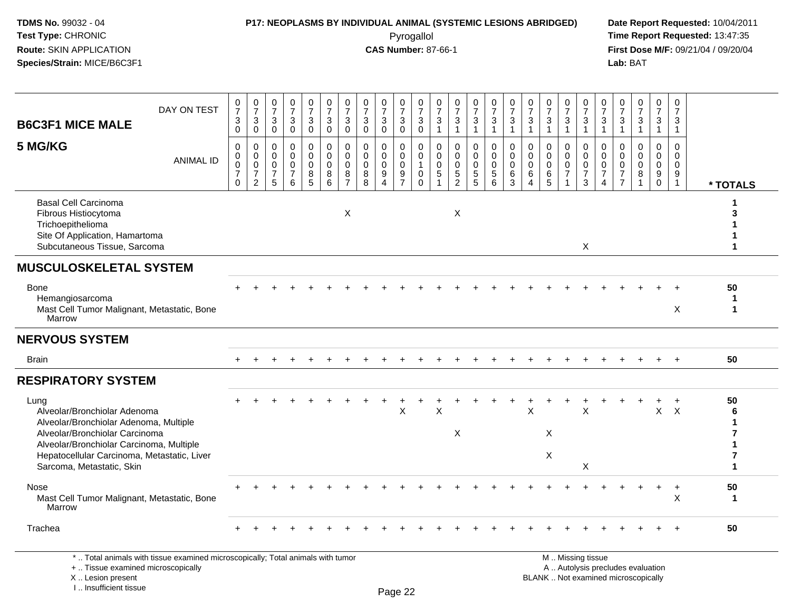## **P17: NEOPLASMS BY INDIVIDUAL ANIMAL (SYSTEMIC LESIONS ABRIDGED) Date Report Requested:** 10/04/2011

 Pyrogallol **Time Report Requested:** 13:47:35 **First Dose M/F:** 09/21/04 / 09/20/04<br>Lab: BAT **Lab:** BAT

| <b>B6C3F1 MICE MALE</b>                                                                                                                                                                                                                  | DAY ON TEST      | $\frac{0}{7}$<br>3<br>0                           | $\begin{array}{c} 0 \\ 7 \end{array}$<br>$\mathbf{3}$<br>$\mathbf 0$             | $\frac{0}{7}$<br>3<br>$\mathbf 0$                                         | $\begin{array}{c} 0 \\ 7 \end{array}$<br>$\sqrt{3}$<br>$\mathbf 0$ | $\frac{0}{7}$<br>$\ensuremath{\mathsf{3}}$<br>$\mathbf 0$    | 0<br>$\overline{7}$<br>3<br>$\mathbf{0}$               | $\frac{0}{7}$<br>$\mathbf{3}$<br>$\mathbf 0$           | $\frac{0}{7}$<br>$\mathbf{3}$<br>$\mathbf 0$ | $\frac{0}{7}$<br>$\mathbf{3}$<br>$\Omega$             | $\frac{0}{7}$<br>$\ensuremath{\mathsf{3}}$<br>$\mathbf 0$  | 0<br>$\overline{7}$<br>$\ensuremath{\mathsf{3}}$<br>$\mathbf 0$ | 0<br>$\overline{7}$<br>3<br>$\mathbf{1}$                      | $\frac{0}{7}$<br>$\mathbf{3}$<br>$\mathbf{1}$                             | $\frac{0}{7}$<br>3<br>$\mathbf{1}$               | $\frac{0}{7}$<br>$\mathbf{3}$<br>$\mathbf{1}$                        | $\frac{0}{7}$<br>$\mathbf{3}$<br>$\mathbf{1}$                      | $\frac{0}{7}$<br>$\sqrt{3}$<br>$\mathbf{1}$                      | $\frac{0}{7}$<br>$\ensuremath{\mathsf{3}}$<br>$\mathbf{1}$       | $\frac{0}{7}$<br>$\ensuremath{\mathsf{3}}$<br>$\mathbf{1}$     | $\frac{0}{7}$<br>$\ensuremath{\mathsf{3}}$<br>$\mathbf{1}$ | $\frac{0}{7}$<br>3<br>$\mathbf{1}$                  | $\frac{0}{7}$<br>$\ensuremath{\mathsf{3}}$<br>$\mathbf{1}$                   | $\frac{0}{7}$<br>$\ensuremath{\mathsf{3}}$<br>$\mathbf{1}$ | $\begin{array}{c} 0 \\ 7 \end{array}$<br>$\sqrt{3}$<br>$\mathbf{1}$     | 0<br>$\overline{7}$<br>3<br>$\mathbf{1}$               |              |
|------------------------------------------------------------------------------------------------------------------------------------------------------------------------------------------------------------------------------------------|------------------|---------------------------------------------------|----------------------------------------------------------------------------------|---------------------------------------------------------------------------|--------------------------------------------------------------------|--------------------------------------------------------------|--------------------------------------------------------|--------------------------------------------------------|----------------------------------------------|-------------------------------------------------------|------------------------------------------------------------|-----------------------------------------------------------------|---------------------------------------------------------------|---------------------------------------------------------------------------|--------------------------------------------------|----------------------------------------------------------------------|--------------------------------------------------------------------|------------------------------------------------------------------|------------------------------------------------------------------|----------------------------------------------------------------|------------------------------------------------------------|-----------------------------------------------------|------------------------------------------------------------------------------|------------------------------------------------------------|-------------------------------------------------------------------------|--------------------------------------------------------|--------------|
| 5 MG/KG                                                                                                                                                                                                                                  | <b>ANIMAL ID</b> | 0<br>0<br>$\bar{0}$<br>$\overline{7}$<br>$\Omega$ | $\mathbf 0$<br>$\mathbf 0$<br>$\overline{0}$<br>$\overline{7}$<br>$\overline{2}$ | $\mathbf 0$<br>$\mathbf 0$<br>$\mathbf 0$<br>$\overline{7}$<br>$\sqrt{5}$ | $\pmb{0}$<br>$\mathbf 0$<br>$\mathbf 0$<br>$\overline{7}$<br>6     | 0<br>$\mathbf 0$<br>$\mathbf 0$<br>$\,8\,$<br>$\overline{5}$ | 0<br>$\mathbf 0$<br>$\mathbf 0$<br>8<br>$6\phantom{a}$ | $\mathbf 0$<br>$\mathbf 0$<br>0<br>8<br>$\overline{7}$ | 0<br>$\Omega$<br>0<br>8<br>$\overline{8}$    | 0<br>$\mathbf 0$<br>0<br>$\boldsymbol{9}$<br>$\Delta$ | $\mathbf 0$<br>$\mathbf 0$<br>$\mathsf 0$<br>$\frac{9}{7}$ | 0<br>$\Omega$<br>$\overline{1}$<br>$\mathbf 0$<br>$\mathbf 0$   | $\mathbf 0$<br>$\Omega$<br>$\mathbf 0$<br>$\overline{5}$<br>1 | $\pmb{0}$<br>$\Omega$<br>$\mathbf 0$<br>$5\phantom{.0}$<br>$\overline{2}$ | 0<br>$\mathbf 0$<br>$\mathbf 0$<br>$\frac{5}{5}$ | 0<br>$\mathbf 0$<br>$\ddot{\mathbf{0}}$<br>$\sqrt{5}$<br>$6^{\circ}$ | $\mathbf 0$<br>$\mathbf 0$<br>$\pmb{0}$<br>$\,6\,$<br>$\mathbf{3}$ | $\mathbf 0$<br>$\mathbf 0$<br>$\mathbf 0$<br>6<br>$\overline{4}$ | $\Omega$<br>$\Omega$<br>$\mathbf 0$<br>$\,6\,$<br>$5\phantom{1}$ | 0<br>$\mathbf 0$<br>$\mathsf{O}\xspace$<br>$\overline{7}$<br>1 | 0<br>$\mathbf 0$<br>$\pmb{0}$<br>$\boldsymbol{7}$<br>3     | 0<br>$\Omega$<br>$\mathbf 0$<br>$\overline{7}$<br>4 | $\mathbf 0$<br>$\Omega$<br>$\mathbf 0$<br>$\boldsymbol{7}$<br>$\overline{7}$ | $\pmb{0}$<br>$\Omega$<br>$\pmb{0}$<br>$\bf 8$              | $\mathbf 0$<br>$\mathbf 0$<br>$\mathsf{O}\xspace$<br>$_{\rm 0}^{\rm 9}$ | 0<br>$\mathbf 0$<br>$\mathbf 0$<br>9<br>$\overline{1}$ | * TOTALS     |
| <b>Basal Cell Carcinoma</b><br>Fibrous Histiocytoma<br>Trichoepithelioma<br>Site Of Application, Hamartoma<br>Subcutaneous Tissue, Sarcoma                                                                                               |                  |                                                   |                                                                                  |                                                                           |                                                                    |                                                              |                                                        | X                                                      |                                              |                                                       |                                                            |                                                                 |                                                               | X                                                                         |                                                  |                                                                      |                                                                    |                                                                  |                                                                  |                                                                | $\boldsymbol{\mathsf{X}}$                                  |                                                     |                                                                              |                                                            |                                                                         |                                                        | з            |
| <b>MUSCULOSKELETAL SYSTEM</b>                                                                                                                                                                                                            |                  |                                                   |                                                                                  |                                                                           |                                                                    |                                                              |                                                        |                                                        |                                              |                                                       |                                                            |                                                                 |                                                               |                                                                           |                                                  |                                                                      |                                                                    |                                                                  |                                                                  |                                                                |                                                            |                                                     |                                                                              |                                                            |                                                                         |                                                        |              |
| <b>Bone</b><br>Hemangiosarcoma<br>Mast Cell Tumor Malignant, Metastatic, Bone<br>Marrow                                                                                                                                                  |                  |                                                   |                                                                                  |                                                                           |                                                                    |                                                              |                                                        |                                                        |                                              |                                                       |                                                            |                                                                 |                                                               |                                                                           |                                                  |                                                                      |                                                                    |                                                                  |                                                                  |                                                                |                                                            |                                                     |                                                                              |                                                            |                                                                         | $\boldsymbol{\mathsf{X}}$                              | 50<br>1<br>1 |
| <b>NERVOUS SYSTEM</b>                                                                                                                                                                                                                    |                  |                                                   |                                                                                  |                                                                           |                                                                    |                                                              |                                                        |                                                        |                                              |                                                       |                                                            |                                                                 |                                                               |                                                                           |                                                  |                                                                      |                                                                    |                                                                  |                                                                  |                                                                |                                                            |                                                     |                                                                              |                                                            |                                                                         |                                                        |              |
| <b>Brain</b>                                                                                                                                                                                                                             |                  |                                                   |                                                                                  |                                                                           |                                                                    |                                                              |                                                        |                                                        |                                              |                                                       |                                                            |                                                                 |                                                               |                                                                           |                                                  |                                                                      |                                                                    |                                                                  |                                                                  |                                                                |                                                            |                                                     |                                                                              |                                                            | $+$                                                                     | $+$                                                    | 50           |
| <b>RESPIRATORY SYSTEM</b>                                                                                                                                                                                                                |                  |                                                   |                                                                                  |                                                                           |                                                                    |                                                              |                                                        |                                                        |                                              |                                                       |                                                            |                                                                 |                                                               |                                                                           |                                                  |                                                                      |                                                                    |                                                                  |                                                                  |                                                                |                                                            |                                                     |                                                                              |                                                            |                                                                         |                                                        |              |
| Lung<br>Alveolar/Bronchiolar Adenoma<br>Alveolar/Bronchiolar Adenoma, Multiple<br>Alveolar/Bronchiolar Carcinoma<br>Alveolar/Bronchiolar Carcinoma, Multiple<br>Hepatocellular Carcinoma, Metastatic, Liver<br>Sarcoma, Metastatic, Skin |                  |                                                   |                                                                                  |                                                                           |                                                                    |                                                              |                                                        |                                                        |                                              |                                                       | X                                                          |                                                                 | X                                                             | X                                                                         |                                                  |                                                                      |                                                                    | X                                                                | X<br>X                                                           |                                                                | X<br>X                                                     |                                                     |                                                                              |                                                            | $\pmb{\times}$                                                          | $\times$                                               | 50<br>6<br>1 |
| Nose<br>Mast Cell Tumor Malignant, Metastatic, Bone<br>Marrow                                                                                                                                                                            |                  |                                                   |                                                                                  |                                                                           |                                                                    |                                                              |                                                        |                                                        |                                              |                                                       |                                                            |                                                                 |                                                               |                                                                           |                                                  |                                                                      |                                                                    |                                                                  |                                                                  |                                                                |                                                            |                                                     |                                                                              |                                                            |                                                                         | $\ddot{}$<br>X                                         | 50<br>1      |
| Trachea                                                                                                                                                                                                                                  |                  |                                                   |                                                                                  |                                                                           |                                                                    |                                                              |                                                        |                                                        |                                              |                                                       |                                                            |                                                                 |                                                               |                                                                           |                                                  |                                                                      |                                                                    |                                                                  |                                                                  |                                                                |                                                            |                                                     |                                                                              |                                                            |                                                                         |                                                        | 50           |
| *  Total animals with tissue examined microscopically; Total animals with tumor<br>+  Tissue examined microscopically                                                                                                                    |                  |                                                   |                                                                                  |                                                                           |                                                                    |                                                              |                                                        |                                                        |                                              |                                                       |                                                            |                                                                 |                                                               |                                                                           |                                                  |                                                                      |                                                                    |                                                                  |                                                                  |                                                                | M  Missing tissue                                          | A  Autolysis precludes evaluation                   |                                                                              |                                                            |                                                                         |                                                        |              |

 Lesion present BLANK .. Not examined microscopicallyX .. Lesion present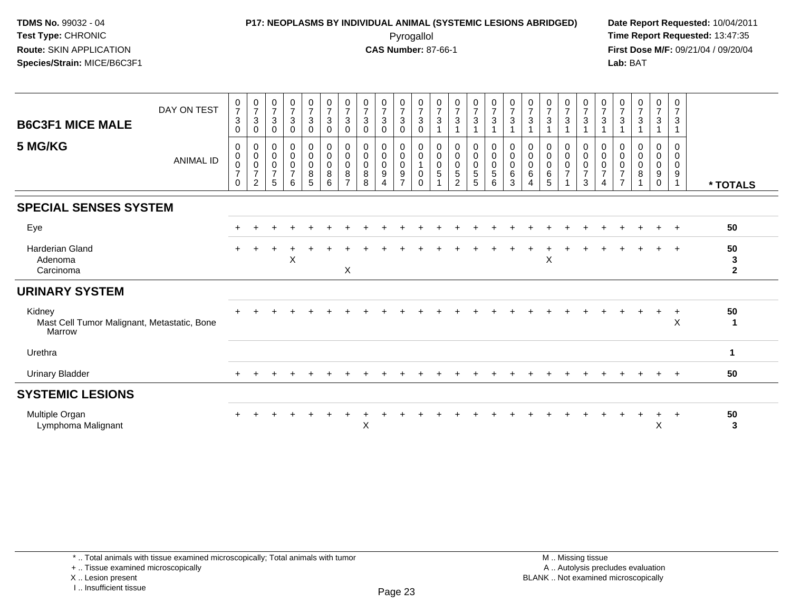# **P17: NEOPLASMS BY INDIVIDUAL ANIMAL (SYSTEMIC LESIONS ABRIDGED) Date Report Requested:** 10/04/2011

 Pyrogallol **Time Report Requested:** 13:47:35 **First Dose M/F:** 09/21/04 / 09/20/04<br>Lab: BAT **Lab:** BAT

| <b>B6C3F1 MICE MALE</b><br>5 MG/KG                              | DAY ON TEST<br><b>ANIMAL ID</b> | $\frac{0}{7}$<br>$\sqrt{3}$<br>$\mathbf 0$<br>0<br>$\pmb{0}$<br>$\pmb{0}$ | $\frac{0}{7}$<br>3<br>0<br>0<br>0<br>0 | $\frac{0}{7}$<br>$\sqrt{3}$<br>$\mathbf 0$<br>$\mathbf 0$<br>$\pmb{0}$<br>$\mathbf 0$ | $\frac{0}{7}$<br>$\mathbf{3}$<br>$\mathbf 0$<br>$\mathbf 0$<br>$\mathbf 0$<br>0 | $\frac{0}{7}$<br>$\mathfrak{S}$<br>$\mathbf 0$<br>0<br>$\pmb{0}$<br>0 | $\begin{array}{c} 0 \\ 7 \end{array}$<br>$\sqrt{3}$<br>$\mathbf 0$<br>$\mathbf 0$<br>$\pmb{0}$<br>$\pmb{0}$ | $\frac{0}{7}$<br>$\sqrt{3}$<br>$\mathbf 0$<br>0<br>$\pmb{0}$<br>0 | $\frac{0}{7}$<br>$\sqrt{3}$<br>$\mathbf 0$<br>0<br>$\pmb{0}$<br>$\pmb{0}$ | $\begin{array}{c} 0 \\ 7 \\ 3 \end{array}$<br>$\mathbf 0$<br>0<br>$\pmb{0}$<br>0 | $\frac{0}{7}$<br>$\mathbf{3}$<br>$\mathbf 0$<br>0<br>$\mathbf 0$<br>$\mathbf 0$ | $\frac{0}{7}$<br>3<br>$\Omega$<br>0<br>0<br>$\mathbf{1}$ | $\frac{0}{7}$<br>$\mathbf{3}$<br>0<br>0<br>$\pmb{0}$ | $\frac{0}{7}$<br>$\sqrt{3}$<br>$\mathbf 0$<br>$\pmb{0}$ | $\begin{array}{c} 0 \\ 7 \\ 3 \end{array}$<br>0<br>$\boldsymbol{0}$<br>0 | $\frac{0}{7}$<br>$\mathbf{3}$<br>1<br>$\boldsymbol{0}$<br>$\pmb{0}$<br>$\pmb{0}$ | $\frac{0}{7}$<br>$\mathbf{3}$<br>0<br>$\mathbf 0$<br>0 | $\frac{0}{7}$<br>$\mathbf{3}$<br>0<br>$\pmb{0}$<br>$\mathbf 0$ | $\frac{0}{7}$<br>$\mathfrak{Z}$<br>0<br>$\pmb{0}$<br>$\pmb{0}$ | $\frac{0}{7}$<br>$\mathbf{3}$<br>0<br>$\pmb{0}$<br>$\mathbf 0$ | $\frac{0}{7}$<br>$\mathbf{3}$<br>0<br>0<br>$\mathbf 0$ | $\frac{0}{7}$<br>$\sqrt{3}$<br>0<br>$\boldsymbol{0}$<br>0 | $\frac{0}{7}$<br>3<br>$\mathbf 0$<br>0<br>0 | $\frac{0}{7}$<br>3<br>0<br>0<br>0 | $\frac{0}{7}$<br>$\mathbf{3}$<br>0<br>$\mathbf 0$<br>$\mathbf 0$ | $\frac{0}{7}$<br>$\mathbf{3}$<br>$\mathbf 0$<br>0<br>0 |                                    |
|-----------------------------------------------------------------|---------------------------------|---------------------------------------------------------------------------|----------------------------------------|---------------------------------------------------------------------------------------|---------------------------------------------------------------------------------|-----------------------------------------------------------------------|-------------------------------------------------------------------------------------------------------------|-------------------------------------------------------------------|---------------------------------------------------------------------------|----------------------------------------------------------------------------------|---------------------------------------------------------------------------------|----------------------------------------------------------|------------------------------------------------------|---------------------------------------------------------|--------------------------------------------------------------------------|----------------------------------------------------------------------------------|--------------------------------------------------------|----------------------------------------------------------------|----------------------------------------------------------------|----------------------------------------------------------------|--------------------------------------------------------|-----------------------------------------------------------|---------------------------------------------|-----------------------------------|------------------------------------------------------------------|--------------------------------------------------------|------------------------------------|
|                                                                 |                                 | $\overline{7}$<br>0                                                       | $\overline{7}$<br>$\overline{2}$       | $\overline{7}$<br>5                                                                   | $\overline{7}$<br>6                                                             | 8<br>5                                                                | 8<br>6                                                                                                      | 8<br>$\overline{7}$                                               | $\bf8$<br>8                                                               | 9<br>$\overline{4}$                                                              | 9<br>$\overline{7}$                                                             | 0<br>$\Omega$                                            | $\overline{5}$                                       | $\begin{array}{c} 0 \\ 5 \end{array}$<br>$\overline{2}$ | $\overline{5}$<br>5                                                      | $\sqrt{5}$<br>6                                                                  | 6<br>3                                                 | 6                                                              | 6<br>5                                                         | $\overline{7}$                                                 | $\overline{7}$<br>3                                    | $\overline{7}$<br>$\overline{4}$                          | $\overline{7}$<br>$\overline{7}$            | 8                                 | 9<br>$\mathbf 0$                                                 | 9<br>$\mathbf{1}$                                      | * TOTALS                           |
| <b>SPECIAL SENSES SYSTEM</b>                                    |                                 |                                                                           |                                        |                                                                                       |                                                                                 |                                                                       |                                                                                                             |                                                                   |                                                                           |                                                                                  |                                                                                 |                                                          |                                                      |                                                         |                                                                          |                                                                                  |                                                        |                                                                |                                                                |                                                                |                                                        |                                                           |                                             |                                   |                                                                  |                                                        |                                    |
| Eye                                                             |                                 |                                                                           |                                        |                                                                                       |                                                                                 |                                                                       |                                                                                                             |                                                                   |                                                                           |                                                                                  |                                                                                 |                                                          |                                                      |                                                         |                                                                          |                                                                                  |                                                        |                                                                |                                                                |                                                                |                                                        |                                                           |                                             |                                   |                                                                  | $\overline{ }$                                         | 50                                 |
| <b>Harderian Gland</b><br>Adenoma<br>Carcinoma                  |                                 |                                                                           |                                        |                                                                                       | Χ                                                                               |                                                                       |                                                                                                             | X                                                                 |                                                                           |                                                                                  |                                                                                 |                                                          |                                                      |                                                         |                                                                          |                                                                                  |                                                        |                                                                | X                                                              |                                                                |                                                        |                                                           |                                             |                                   |                                                                  |                                                        | 50<br>$\mathbf{3}$<br>$\mathbf{2}$ |
| <b>URINARY SYSTEM</b>                                           |                                 |                                                                           |                                        |                                                                                       |                                                                                 |                                                                       |                                                                                                             |                                                                   |                                                                           |                                                                                  |                                                                                 |                                                          |                                                      |                                                         |                                                                          |                                                                                  |                                                        |                                                                |                                                                |                                                                |                                                        |                                                           |                                             |                                   |                                                                  |                                                        |                                    |
| Kidney<br>Mast Cell Tumor Malignant, Metastatic, Bone<br>Marrow |                                 |                                                                           |                                        |                                                                                       |                                                                                 |                                                                       |                                                                                                             |                                                                   |                                                                           |                                                                                  |                                                                                 |                                                          |                                                      |                                                         |                                                                          |                                                                                  |                                                        |                                                                |                                                                |                                                                |                                                        |                                                           |                                             |                                   | $\ddot{}$                                                        | $+$<br>$\sf X$                                         | 50<br>$\mathbf 1$                  |
| Urethra                                                         |                                 |                                                                           |                                        |                                                                                       |                                                                                 |                                                                       |                                                                                                             |                                                                   |                                                                           |                                                                                  |                                                                                 |                                                          |                                                      |                                                         |                                                                          |                                                                                  |                                                        |                                                                |                                                                |                                                                |                                                        |                                                           |                                             |                                   |                                                                  |                                                        | $\mathbf 1$                        |
| <b>Urinary Bladder</b>                                          |                                 |                                                                           |                                        |                                                                                       |                                                                                 |                                                                       |                                                                                                             |                                                                   |                                                                           |                                                                                  |                                                                                 |                                                          |                                                      |                                                         |                                                                          |                                                                                  |                                                        |                                                                |                                                                |                                                                |                                                        |                                                           |                                             |                                   |                                                                  | $\overline{ }$                                         | 50                                 |
| <b>SYSTEMIC LESIONS</b>                                         |                                 |                                                                           |                                        |                                                                                       |                                                                                 |                                                                       |                                                                                                             |                                                                   |                                                                           |                                                                                  |                                                                                 |                                                          |                                                      |                                                         |                                                                          |                                                                                  |                                                        |                                                                |                                                                |                                                                |                                                        |                                                           |                                             |                                   |                                                                  |                                                        |                                    |
| Multiple Organ<br>Lymphoma Malignant                            |                                 |                                                                           |                                        |                                                                                       |                                                                                 |                                                                       |                                                                                                             |                                                                   | X                                                                         |                                                                                  |                                                                                 |                                                          |                                                      |                                                         |                                                                          |                                                                                  |                                                        |                                                                |                                                                |                                                                |                                                        |                                                           |                                             |                                   | $\ddot{}$<br>X                                                   | $^{+}$                                                 | 50<br>3                            |

+ .. Tissue examined microscopically

X .. Lesion present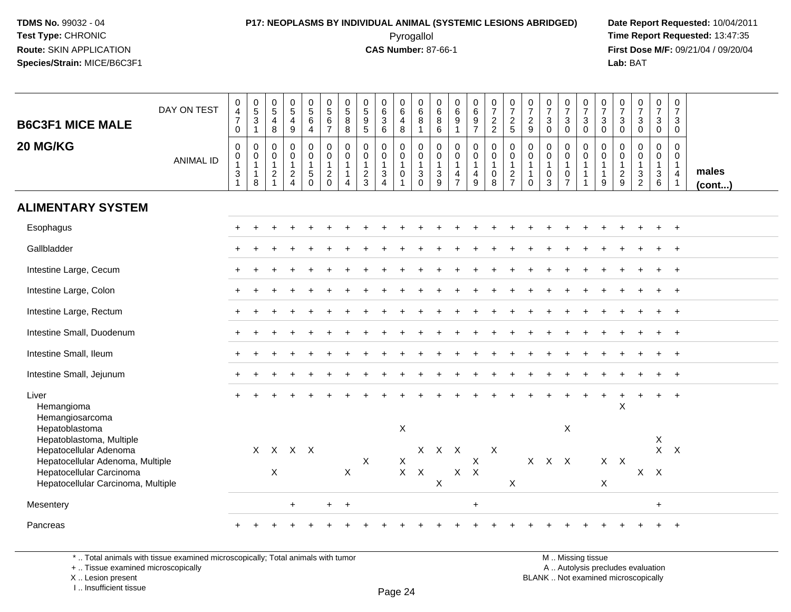# **P17: NEOPLASMS BY INDIVIDUAL ANIMAL (SYSTEMIC LESIONS ABRIDGED) Date Report Requested:** 10/04/2011

 Pyrogallol **Time Report Requested:** 13:47:35 **First Dose M/F:** 09/21/04 / 09/20/04<br>Lab: BAT **Lab:** BAT

| <b>B6C3F1 MICE MALE</b><br>20 MG/KG                            | DAY ON TEST<br><b>ANIMAL ID</b> | $\pmb{0}$<br>$\frac{4}{7}$<br>$\boldsymbol{0}$<br>$\boldsymbol{0}$<br>$\mathbf 0$<br>$\overline{1}$<br>$\mathbf{3}$<br>$\mathbf{1}$ | $\begin{array}{c} 0 \\ 5 \end{array}$<br>$\mathbf{3}$<br>$\mathbf{1}$<br>0<br>$\mathbf 0$<br>$\mathbf{1}$<br>$\mathbf{1}$<br>8 | $\begin{array}{c} 0 \\ 5 \end{array}$<br>$\overline{4}$<br>8<br>$\pmb{0}$<br>$\mathsf{O}\xspace$<br>$\mathbf{1}$<br>$\overline{c}$<br>$\overline{1}$ | $\begin{array}{c} 0 \\ 5 \end{array}$<br>$\overline{4}$<br>$\boldsymbol{9}$<br>$\pmb{0}$<br>$\pmb{0}$<br>1<br>$\frac{2}{4}$ | $\begin{array}{c} 0 \\ 5 \end{array}$<br>$6\phantom{a}$<br>$\overline{4}$<br>$\mathbf 0$<br>$\mathbf 0$<br>$\mathbf{1}$<br>$\begin{array}{c} 5 \\ 0 \end{array}$ | $\begin{array}{c} 0 \\ 5 \end{array}$<br>$\,6\,$<br>$\overline{7}$<br>$\mathsf 0$<br>$\mathsf{O}\xspace$<br>$\mathbf{1}$<br>$\overline{c}$<br>$\mathbf 0$ | $\begin{array}{c} 0 \\ 5 \end{array}$<br>8<br>8<br>$\mathbf 0$<br>0<br>$\mathbf{1}$<br>$\mathbf{1}$<br>4 | $\begin{array}{c} 0 \\ 5 \end{array}$<br>$\frac{9}{5}$<br>$\mathbf 0$<br>$\ddot{\mathbf{0}}$<br>$\mathbf{1}$<br>$\frac{2}{3}$ | $_{6}^{\rm 0}$<br>$\mathbf{3}$<br>$6\phantom{1}$<br>$\mathsf{O}$<br>$\pmb{0}$<br>$\mathbf{1}$<br>$\mathbf{3}$<br>$\overline{4}$ | 0<br>$\,6$<br>$\overline{4}$<br>8<br>0<br>$\pmb{0}$<br>$\mathbf{1}$<br>$\mathsf{O}\xspace$ | $\begin{array}{c} 0 \\ 6 \end{array}$<br>$\bf 8$<br>$\overline{1}$<br>$\pmb{0}$<br>$\ddot{\mathbf{0}}$<br>$\mathbf{1}$<br>$\frac{3}{0}$ | 0<br>$\,6\,$<br>8<br>6<br>0<br>$\mathbf 0$<br>$\mathbf{1}$<br>$\mathsf 3$<br>9 | $\mathbf 0$<br>$\,6\,$<br>$9\,$<br>$\overline{1}$<br>$\mathsf{O}\xspace$<br>$\pmb{0}$<br>$\mathbf{1}$<br>$\overline{\mathbf{4}}$<br>$\overline{7}$ | $_6^0$<br>$\boldsymbol{9}$<br>$\overline{7}$<br>0<br>$\mathbf 0$<br>$\mathbf{1}$<br>4<br>9 | $\begin{smallmatrix}0\\7\end{smallmatrix}$<br>$\frac{2}{2}$<br>$\pmb{0}$<br>$\mathsf{O}\xspace$<br>$\mathbf{1}$<br>$\pmb{0}$<br>$\overline{8}$ | $\frac{0}{7}$<br>$\frac{2}{5}$<br>$\pmb{0}$<br>$\ddot{\mathbf{0}}$<br>$\mathbf{1}$<br>$\frac{2}{7}$ | $\frac{0}{7}$<br>$\frac{2}{9}$<br>$\mathbf 0$<br>$\pmb{0}$<br>$\mathbf{1}$<br>$\mathbf{1}$<br>$\mathbf 0$ | $\frac{0}{7}$<br>$\mathbf{3}$<br>$\mathbf{0}$<br>$\mathbf 0$<br>$\mathbf 0$<br>$\mathbf{1}$<br>$\mathbf 0$<br>$\overline{3}$ | $\frac{0}{7}$<br>3<br>$\mathbf 0$<br>0<br>$\mathbf 0$<br>$\mathbf{1}$<br>0<br>$\overline{7}$ | $\frac{0}{7}$<br>$\mathbf{3}$<br>$\mathbf 0$<br>$\pmb{0}$<br>$\overline{0}$<br>$\overline{1}$<br>$\mathbf{1}$<br>$\mathbf{1}$ | $\frac{0}{7}$<br>$\mathbf{3}$<br>$\mathbf 0$<br>0<br>$\mathsf{O}\xspace$<br>$\mathbf{1}$<br>$\mathbf{1}$<br>$9\,$ | 0<br>$\overline{7}$<br>$\mathbf{3}$<br>$\mathbf 0$<br>0<br>0<br>$\mathbf{1}$<br>$\frac{2}{9}$ | $\begin{array}{c} 0 \\ 7 \end{array}$<br>$\ensuremath{\mathsf{3}}$<br>$\mathbf 0$<br>$\pmb{0}$<br>$\pmb{0}$<br>$\mathbf{1}$<br>$\frac{3}{2}$ | $\begin{array}{c} 0 \\ 7 \end{array}$<br>$\mathbf{3}$<br>$\mathbf 0$<br>0<br>$\mathbf 0$<br>$\mathbf{1}$<br>$\mathbf{3}$<br>6 | $\pmb{0}$<br>$\overline{7}$<br>3<br>$\mathbf 0$<br>$\mathbf 0$<br>$\mathbf 0$<br>$\mathbf{1}$<br>4<br>$\overline{1}$ | males        |
|----------------------------------------------------------------|---------------------------------|-------------------------------------------------------------------------------------------------------------------------------------|--------------------------------------------------------------------------------------------------------------------------------|------------------------------------------------------------------------------------------------------------------------------------------------------|-----------------------------------------------------------------------------------------------------------------------------|------------------------------------------------------------------------------------------------------------------------------------------------------------------|-----------------------------------------------------------------------------------------------------------------------------------------------------------|----------------------------------------------------------------------------------------------------------|-------------------------------------------------------------------------------------------------------------------------------|---------------------------------------------------------------------------------------------------------------------------------|--------------------------------------------------------------------------------------------|-----------------------------------------------------------------------------------------------------------------------------------------|--------------------------------------------------------------------------------|----------------------------------------------------------------------------------------------------------------------------------------------------|--------------------------------------------------------------------------------------------|------------------------------------------------------------------------------------------------------------------------------------------------|-----------------------------------------------------------------------------------------------------|-----------------------------------------------------------------------------------------------------------|------------------------------------------------------------------------------------------------------------------------------|----------------------------------------------------------------------------------------------|-------------------------------------------------------------------------------------------------------------------------------|-------------------------------------------------------------------------------------------------------------------|-----------------------------------------------------------------------------------------------|----------------------------------------------------------------------------------------------------------------------------------------------|-------------------------------------------------------------------------------------------------------------------------------|----------------------------------------------------------------------------------------------------------------------|--------------|
| <b>ALIMENTARY SYSTEM</b>                                       |                                 |                                                                                                                                     |                                                                                                                                |                                                                                                                                                      |                                                                                                                             |                                                                                                                                                                  |                                                                                                                                                           |                                                                                                          |                                                                                                                               |                                                                                                                                 |                                                                                            |                                                                                                                                         |                                                                                |                                                                                                                                                    |                                                                                            |                                                                                                                                                |                                                                                                     |                                                                                                           |                                                                                                                              |                                                                                              |                                                                                                                               |                                                                                                                   |                                                                                               |                                                                                                                                              |                                                                                                                               |                                                                                                                      | $($ cont $)$ |
|                                                                |                                 |                                                                                                                                     |                                                                                                                                |                                                                                                                                                      |                                                                                                                             |                                                                                                                                                                  |                                                                                                                                                           |                                                                                                          |                                                                                                                               |                                                                                                                                 |                                                                                            |                                                                                                                                         |                                                                                |                                                                                                                                                    |                                                                                            |                                                                                                                                                |                                                                                                     |                                                                                                           |                                                                                                                              |                                                                                              |                                                                                                                               |                                                                                                                   |                                                                                               |                                                                                                                                              |                                                                                                                               |                                                                                                                      |              |
| Esophagus                                                      |                                 |                                                                                                                                     |                                                                                                                                |                                                                                                                                                      |                                                                                                                             |                                                                                                                                                                  |                                                                                                                                                           |                                                                                                          |                                                                                                                               |                                                                                                                                 |                                                                                            |                                                                                                                                         |                                                                                |                                                                                                                                                    |                                                                                            |                                                                                                                                                |                                                                                                     |                                                                                                           |                                                                                                                              |                                                                                              |                                                                                                                               |                                                                                                                   |                                                                                               |                                                                                                                                              |                                                                                                                               | $\ddot{}$                                                                                                            |              |
| Gallbladder                                                    |                                 |                                                                                                                                     |                                                                                                                                |                                                                                                                                                      |                                                                                                                             |                                                                                                                                                                  |                                                                                                                                                           |                                                                                                          |                                                                                                                               |                                                                                                                                 |                                                                                            |                                                                                                                                         |                                                                                |                                                                                                                                                    |                                                                                            |                                                                                                                                                |                                                                                                     |                                                                                                           |                                                                                                                              |                                                                                              |                                                                                                                               |                                                                                                                   |                                                                                               |                                                                                                                                              |                                                                                                                               |                                                                                                                      |              |
| Intestine Large, Cecum                                         |                                 |                                                                                                                                     |                                                                                                                                |                                                                                                                                                      |                                                                                                                             |                                                                                                                                                                  |                                                                                                                                                           |                                                                                                          |                                                                                                                               |                                                                                                                                 |                                                                                            |                                                                                                                                         |                                                                                |                                                                                                                                                    |                                                                                            |                                                                                                                                                |                                                                                                     |                                                                                                           |                                                                                                                              |                                                                                              |                                                                                                                               |                                                                                                                   |                                                                                               |                                                                                                                                              |                                                                                                                               | $\ddot{}$                                                                                                            |              |
| Intestine Large, Colon                                         |                                 |                                                                                                                                     |                                                                                                                                |                                                                                                                                                      |                                                                                                                             |                                                                                                                                                                  |                                                                                                                                                           |                                                                                                          |                                                                                                                               |                                                                                                                                 |                                                                                            |                                                                                                                                         |                                                                                |                                                                                                                                                    |                                                                                            |                                                                                                                                                |                                                                                                     |                                                                                                           |                                                                                                                              |                                                                                              |                                                                                                                               |                                                                                                                   |                                                                                               |                                                                                                                                              |                                                                                                                               |                                                                                                                      |              |
| Intestine Large, Rectum                                        |                                 |                                                                                                                                     |                                                                                                                                |                                                                                                                                                      |                                                                                                                             |                                                                                                                                                                  |                                                                                                                                                           |                                                                                                          |                                                                                                                               |                                                                                                                                 |                                                                                            |                                                                                                                                         |                                                                                |                                                                                                                                                    |                                                                                            |                                                                                                                                                |                                                                                                     |                                                                                                           |                                                                                                                              |                                                                                              |                                                                                                                               |                                                                                                                   |                                                                                               |                                                                                                                                              |                                                                                                                               | $\ddot{}$                                                                                                            |              |
| Intestine Small, Duodenum                                      |                                 |                                                                                                                                     |                                                                                                                                |                                                                                                                                                      |                                                                                                                             |                                                                                                                                                                  |                                                                                                                                                           |                                                                                                          |                                                                                                                               |                                                                                                                                 |                                                                                            |                                                                                                                                         |                                                                                |                                                                                                                                                    |                                                                                            |                                                                                                                                                |                                                                                                     |                                                                                                           |                                                                                                                              |                                                                                              |                                                                                                                               |                                                                                                                   |                                                                                               |                                                                                                                                              |                                                                                                                               | $\ddot{}$                                                                                                            |              |
| Intestine Small, Ileum                                         |                                 |                                                                                                                                     |                                                                                                                                |                                                                                                                                                      |                                                                                                                             |                                                                                                                                                                  |                                                                                                                                                           |                                                                                                          |                                                                                                                               |                                                                                                                                 |                                                                                            |                                                                                                                                         |                                                                                |                                                                                                                                                    |                                                                                            |                                                                                                                                                |                                                                                                     |                                                                                                           |                                                                                                                              |                                                                                              |                                                                                                                               |                                                                                                                   |                                                                                               |                                                                                                                                              |                                                                                                                               | $+$                                                                                                                  |              |
| Intestine Small, Jejunum                                       |                                 |                                                                                                                                     |                                                                                                                                |                                                                                                                                                      |                                                                                                                             |                                                                                                                                                                  |                                                                                                                                                           |                                                                                                          |                                                                                                                               |                                                                                                                                 |                                                                                            |                                                                                                                                         |                                                                                |                                                                                                                                                    |                                                                                            |                                                                                                                                                |                                                                                                     |                                                                                                           |                                                                                                                              |                                                                                              |                                                                                                                               |                                                                                                                   |                                                                                               |                                                                                                                                              |                                                                                                                               |                                                                                                                      |              |
| Liver<br>Hemangioma<br>Hemangiosarcoma                         |                                 |                                                                                                                                     |                                                                                                                                |                                                                                                                                                      |                                                                                                                             |                                                                                                                                                                  |                                                                                                                                                           |                                                                                                          |                                                                                                                               |                                                                                                                                 |                                                                                            |                                                                                                                                         |                                                                                |                                                                                                                                                    |                                                                                            |                                                                                                                                                |                                                                                                     |                                                                                                           |                                                                                                                              |                                                                                              |                                                                                                                               | $\ddot{}$                                                                                                         | X                                                                                             |                                                                                                                                              | $\ddot{}$                                                                                                                     | $+$                                                                                                                  |              |
| Hepatoblastoma                                                 |                                 |                                                                                                                                     |                                                                                                                                |                                                                                                                                                      |                                                                                                                             |                                                                                                                                                                  |                                                                                                                                                           |                                                                                                          |                                                                                                                               |                                                                                                                                 | X                                                                                          |                                                                                                                                         |                                                                                |                                                                                                                                                    |                                                                                            |                                                                                                                                                |                                                                                                     |                                                                                                           |                                                                                                                              | X                                                                                            |                                                                                                                               |                                                                                                                   |                                                                                               |                                                                                                                                              | $\mathsf X$                                                                                                                   |                                                                                                                      |              |
| Hepatoblastoma, Multiple<br>Hepatocellular Adenoma             |                                 |                                                                                                                                     | X                                                                                                                              |                                                                                                                                                      | $X$ $X$ $X$                                                                                                                 |                                                                                                                                                                  |                                                                                                                                                           |                                                                                                          |                                                                                                                               |                                                                                                                                 |                                                                                            | $\mathsf{X}$                                                                                                                            | $\mathsf{X}$                                                                   | $\mathsf{X}$                                                                                                                                       |                                                                                            | X                                                                                                                                              |                                                                                                     |                                                                                                           |                                                                                                                              |                                                                                              |                                                                                                                               |                                                                                                                   |                                                                                               |                                                                                                                                              | $X$ $X$                                                                                                                       |                                                                                                                      |              |
| Hepatocellular Adenoma, Multiple                               |                                 |                                                                                                                                     |                                                                                                                                |                                                                                                                                                      |                                                                                                                             |                                                                                                                                                                  |                                                                                                                                                           |                                                                                                          | $\mathsf X$                                                                                                                   |                                                                                                                                 | $\mathsf{X}$                                                                               |                                                                                                                                         |                                                                                |                                                                                                                                                    | $\pmb{\times}$                                                                             |                                                                                                                                                |                                                                                                     |                                                                                                           | $X$ $X$ $X$                                                                                                                  |                                                                                              |                                                                                                                               |                                                                                                                   | $X$ $X$                                                                                       |                                                                                                                                              |                                                                                                                               |                                                                                                                      |              |
| Hepatocellular Carcinoma<br>Hepatocellular Carcinoma, Multiple |                                 |                                                                                                                                     |                                                                                                                                | X                                                                                                                                                    |                                                                                                                             |                                                                                                                                                                  |                                                                                                                                                           | $\sf X$                                                                                                  |                                                                                                                               |                                                                                                                                 | $X$ $X$                                                                                    |                                                                                                                                         | $\times$                                                                       | X                                                                                                                                                  | $\boldsymbol{\mathsf{X}}$                                                                  |                                                                                                                                                | X                                                                                                   |                                                                                                           |                                                                                                                              |                                                                                              |                                                                                                                               | X                                                                                                                 |                                                                                               | $X -$                                                                                                                                        | $\boldsymbol{\mathsf{X}}$                                                                                                     |                                                                                                                      |              |
| Mesentery                                                      |                                 |                                                                                                                                     |                                                                                                                                |                                                                                                                                                      | $\ddot{}$                                                                                                                   |                                                                                                                                                                  |                                                                                                                                                           | $\ddot{}$                                                                                                |                                                                                                                               |                                                                                                                                 |                                                                                            |                                                                                                                                         |                                                                                |                                                                                                                                                    | $\ddot{}$                                                                                  |                                                                                                                                                |                                                                                                     |                                                                                                           |                                                                                                                              |                                                                                              |                                                                                                                               |                                                                                                                   |                                                                                               |                                                                                                                                              | $+$                                                                                                                           |                                                                                                                      |              |
| Pancreas                                                       |                                 |                                                                                                                                     |                                                                                                                                |                                                                                                                                                      |                                                                                                                             |                                                                                                                                                                  |                                                                                                                                                           |                                                                                                          |                                                                                                                               |                                                                                                                                 |                                                                                            |                                                                                                                                         |                                                                                |                                                                                                                                                    |                                                                                            |                                                                                                                                                |                                                                                                     |                                                                                                           |                                                                                                                              |                                                                                              |                                                                                                                               |                                                                                                                   |                                                                                               |                                                                                                                                              |                                                                                                                               |                                                                                                                      |              |

\* .. Total animals with tissue examined microscopically; Total animals with tumor

+ .. Tissue examined microscopically

X .. Lesion present

I .. Insufficient tissue

M .. Missing tissue y the contract of the contract of the contract of the contract of the contract of  $\mathsf A$  . Autolysis precludes evaluation Lesion present BLANK .. Not examined microscopically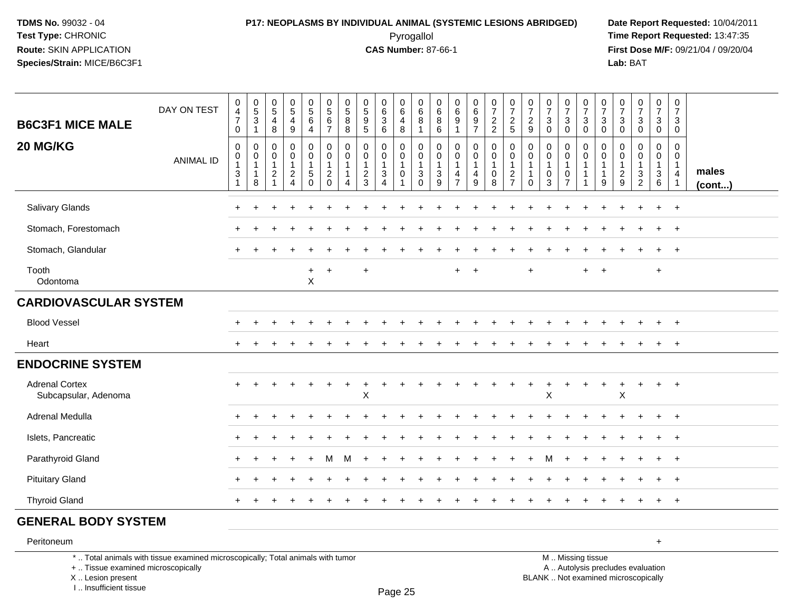### **P17: NEOPLASMS BY INDIVIDUAL ANIMAL (SYSTEMIC LESIONS ABRIDGED) Date Report Requested:** 10/04/2011 Pyrogallol **Time Report Requested:** 13:47:35

**First Dose M/F:** 09/21/04 / 09/20/04<br>Lab: BAT **Lab:** BAT

| <b>B6C3F1 MICE MALE</b>                       | DAY ON TEST                                                                     | $\pmb{0}$<br>$\overline{4}$<br>$\overline{7}$<br>$\mathbf 0$                        | $\begin{array}{c} 0 \\ 5 \\ 3 \end{array}$<br>$\mathbf{1}$ | $\begin{array}{c} 0 \\ 5 \end{array}$<br>$\overline{4}$<br>8         | $\begin{array}{c} 0 \\ 5 \\ 4 \end{array}$<br>9 | $\begin{array}{c} 0 \\ 5 \\ 6 \end{array}$<br>$\overline{4}$ | $\begin{array}{c} 0 \\ 5 \\ 6 \end{array}$<br>$\overline{7}$ | 0<br>$\sqrt{5}$<br>8<br>8 | 0<br>$\sqrt{5}$<br>9<br>$\overline{5}$            | 0<br>$^6_3$<br>$\,6\,$                            | $\begin{array}{c} 0 \\ 6 \end{array}$<br>4<br>8               | $\pmb{0}$<br>$\,6\,$<br>$\bf 8$<br>$\mathbf{1}$                                          | $\pmb{0}$<br>$\,6\,$<br>8<br>$\,6\,$              | $\pmb{0}$<br>$\,6\,$<br>9<br>$\mathbf{1}$         | $\begin{array}{c} 0 \\ 6 \end{array}$<br>$\boldsymbol{9}$<br>$\overline{7}$ | $\frac{0}{7}$<br>2<br>2                            | $\begin{array}{c} 0 \\ 7 \end{array}$<br>$\frac{2}{5}$ | 0729                                                 | $\begin{array}{c} 0 \\ 7 \end{array}$<br>$\sqrt{3}$<br>$\mathbf 0$                | $\frac{0}{7}$<br>$\mathbf{3}$<br>$\mathbf 0$ | $\frac{0}{7}$<br>$\mathbf{3}$<br>$\overline{0}$                  | $\frac{0}{7}$<br>$\mathbf{3}$<br>$\overline{0}$           | $\frac{0}{7}$<br>$\mathbf{3}$<br>$\mathbf 0$ | $\begin{array}{c} 0 \\ 7 \end{array}$<br>$\sqrt{3}$<br>0    | $\frac{0}{7}$<br>3<br>$\mathbf 0$          | $\begin{smallmatrix}0\\7\end{smallmatrix}$<br>3<br>$\mathbf 0$               |                       |
|-----------------------------------------------|---------------------------------------------------------------------------------|-------------------------------------------------------------------------------------|------------------------------------------------------------|----------------------------------------------------------------------|-------------------------------------------------|--------------------------------------------------------------|--------------------------------------------------------------|---------------------------|---------------------------------------------------|---------------------------------------------------|---------------------------------------------------------------|------------------------------------------------------------------------------------------|---------------------------------------------------|---------------------------------------------------|-----------------------------------------------------------------------------|----------------------------------------------------|--------------------------------------------------------|------------------------------------------------------|-----------------------------------------------------------------------------------|----------------------------------------------|------------------------------------------------------------------|-----------------------------------------------------------|----------------------------------------------|-------------------------------------------------------------|--------------------------------------------|------------------------------------------------------------------------------|-----------------------|
| 20 MG/KG                                      | <b>ANIMAL ID</b>                                                                | $\mathbf 0$<br>$\,0\,$<br>$\mathbf{1}$<br>$\ensuremath{\mathsf{3}}$<br>$\mathbf{1}$ | 0<br>0<br>$\mathbf{1}$<br>$\mathbf{1}$<br>8                | 0<br>$\mathbf 0$<br>$\mathbf{1}$<br>$\boldsymbol{2}$<br>$\mathbf{1}$ | 0<br>0<br>$\mathbf{1}$<br>$\frac{2}{4}$         | $\pmb{0}$<br>$\mathbf 0$<br>$\mathbf{1}$<br>$^5_{\rm 0}$     | $\mathbf 0$<br>$\mathbf 0$<br>$\overline{1}$<br>$^2_{\rm 0}$ | 0<br>$\Omega$<br>4        | $\mathbf 0$<br>0<br>$\mathbf{1}$<br>$\frac{2}{3}$ | 0<br>$\mathbf 0$<br>$\mathbf{1}$<br>$\frac{3}{4}$ | 0<br>$\mathbf 0$<br>$\mathbf{1}$<br>$\pmb{0}$<br>$\mathbf{1}$ | $\mathbf 0$<br>$\mathbf 0$<br>$\overline{1}$<br>$\ensuremath{\mathsf{3}}$<br>$\mathbf 0$ | $\mathbf 0$<br>0<br>$\mathbf{1}$<br>$\frac{3}{9}$ | 0<br>$\mathbf 0$<br>$\mathbf{1}$<br>$\frac{4}{7}$ | 0<br>0<br>1<br>$\overline{4}$<br>9                                          | 0<br>$\mathbf 0$<br>$\mathbf{1}$<br>$\pmb{0}$<br>8 | 0<br>0<br>1<br>$\frac{2}{7}$                           | 0<br>0<br>$\overline{1}$<br>$\mathbf{1}$<br>$\Omega$ | 0<br>$\mathbf 0$<br>$\mathbf{1}$<br>$\begin{smallmatrix} 0\\ 3 \end{smallmatrix}$ | 0<br>$\mathbf 0$<br>$\frac{0}{7}$            | 0<br>$\mathbf 0$<br>$\mathbf{1}$<br>$\mathbf{1}$<br>$\mathbf{1}$ | 0<br>$\mathbf 0$<br>$\mathbf{1}$<br>$\mathbf{1}$<br>$9\,$ | 0<br>0<br>$\overline{1}$<br>$\frac{2}{9}$    | $\mathbf 0$<br>$\mathbf 0$<br>$\mathbf{1}$<br>$\frac{3}{2}$ | 0<br>$\mathbf 0$<br>1<br>$\mathbf{3}$<br>6 | $\mathbf 0$<br>$\mathbf 0$<br>$\mathbf{1}$<br>$\overline{4}$<br>$\mathbf{1}$ | males<br>$($ cont $)$ |
| Salivary Glands                               |                                                                                 |                                                                                     |                                                            |                                                                      |                                                 |                                                              |                                                              |                           |                                                   |                                                   |                                                               |                                                                                          |                                                   |                                                   |                                                                             |                                                    |                                                        |                                                      |                                                                                   |                                              |                                                                  |                                                           |                                              |                                                             | $\ddot{}$                                  | $\overline{+}$                                                               |                       |
| Stomach, Forestomach                          |                                                                                 |                                                                                     |                                                            |                                                                      |                                                 |                                                              |                                                              |                           |                                                   |                                                   |                                                               |                                                                                          |                                                   |                                                   |                                                                             |                                                    |                                                        |                                                      |                                                                                   |                                              |                                                                  |                                                           |                                              |                                                             |                                            | $\ddot{}$                                                                    |                       |
| Stomach, Glandular                            |                                                                                 |                                                                                     |                                                            |                                                                      |                                                 |                                                              |                                                              |                           |                                                   |                                                   |                                                               |                                                                                          |                                                   |                                                   |                                                                             |                                                    |                                                        |                                                      |                                                                                   |                                              |                                                                  |                                                           |                                              |                                                             | $\ddot{}$                                  | $\ddot{}$                                                                    |                       |
| Tooth<br>Odontoma                             |                                                                                 |                                                                                     |                                                            |                                                                      |                                                 | $\ddot{}$<br>$\pmb{\times}$                                  | $\ddot{}$                                                    |                           | $\ddot{}$                                         |                                                   |                                                               |                                                                                          |                                                   | $+$                                               | $\overline{ }$                                                              |                                                    |                                                        | $\ddot{}$                                            |                                                                                   |                                              |                                                                  | $\ddot{}$                                                 |                                              |                                                             | $\ddot{}$                                  |                                                                              |                       |
| <b>CARDIOVASCULAR SYSTEM</b>                  |                                                                                 |                                                                                     |                                                            |                                                                      |                                                 |                                                              |                                                              |                           |                                                   |                                                   |                                                               |                                                                                          |                                                   |                                                   |                                                                             |                                                    |                                                        |                                                      |                                                                                   |                                              |                                                                  |                                                           |                                              |                                                             |                                            |                                                                              |                       |
| <b>Blood Vessel</b>                           |                                                                                 |                                                                                     |                                                            |                                                                      |                                                 |                                                              |                                                              |                           |                                                   |                                                   |                                                               |                                                                                          |                                                   |                                                   |                                                                             |                                                    |                                                        |                                                      |                                                                                   |                                              |                                                                  |                                                           |                                              |                                                             |                                            | $\overline{ }$                                                               |                       |
| Heart                                         |                                                                                 | $\pm$                                                                               |                                                            |                                                                      |                                                 |                                                              |                                                              |                           |                                                   |                                                   |                                                               |                                                                                          |                                                   |                                                   |                                                                             |                                                    |                                                        |                                                      |                                                                                   |                                              |                                                                  |                                                           |                                              |                                                             | $\ddot{}$                                  | $+$                                                                          |                       |
| <b>ENDOCRINE SYSTEM</b>                       |                                                                                 |                                                                                     |                                                            |                                                                      |                                                 |                                                              |                                                              |                           |                                                   |                                                   |                                                               |                                                                                          |                                                   |                                                   |                                                                             |                                                    |                                                        |                                                      |                                                                                   |                                              |                                                                  |                                                           |                                              |                                                             |                                            |                                                                              |                       |
| <b>Adrenal Cortex</b><br>Subcapsular, Adenoma |                                                                                 |                                                                                     |                                                            |                                                                      |                                                 |                                                              |                                                              |                           | $\boldsymbol{\mathsf{X}}$                         |                                                   |                                                               |                                                                                          |                                                   |                                                   |                                                                             |                                                    |                                                        |                                                      | X                                                                                 |                                              |                                                                  |                                                           | X                                            |                                                             | $+$                                        | $+$                                                                          |                       |
| Adrenal Medulla                               |                                                                                 |                                                                                     |                                                            |                                                                      |                                                 |                                                              |                                                              |                           |                                                   |                                                   |                                                               |                                                                                          |                                                   |                                                   |                                                                             |                                                    |                                                        |                                                      |                                                                                   |                                              |                                                                  |                                                           |                                              |                                                             |                                            | $\ddot{}$                                                                    |                       |
| Islets, Pancreatic                            |                                                                                 |                                                                                     |                                                            |                                                                      |                                                 |                                                              |                                                              |                           |                                                   |                                                   |                                                               |                                                                                          |                                                   |                                                   |                                                                             |                                                    |                                                        |                                                      |                                                                                   |                                              |                                                                  |                                                           |                                              |                                                             | $\ddot{}$                                  | $\overline{+}$                                                               |                       |
| Parathyroid Gland                             |                                                                                 |                                                                                     |                                                            |                                                                      |                                                 |                                                              | М                                                            | м                         |                                                   |                                                   |                                                               |                                                                                          |                                                   |                                                   |                                                                             |                                                    |                                                        |                                                      | M                                                                                 |                                              |                                                                  |                                                           |                                              |                                                             | ÷                                          | $\overline{+}$                                                               |                       |
| <b>Pituitary Gland</b>                        |                                                                                 |                                                                                     |                                                            |                                                                      |                                                 |                                                              |                                                              |                           |                                                   |                                                   |                                                               |                                                                                          |                                                   |                                                   |                                                                             |                                                    |                                                        |                                                      |                                                                                   |                                              |                                                                  |                                                           |                                              |                                                             |                                            |                                                                              |                       |
| <b>Thyroid Gland</b>                          |                                                                                 |                                                                                     |                                                            |                                                                      |                                                 |                                                              |                                                              |                           |                                                   |                                                   |                                                               |                                                                                          |                                                   |                                                   |                                                                             |                                                    |                                                        |                                                      |                                                                                   |                                              |                                                                  |                                                           |                                              |                                                             | $\ddot{}$                                  | $+$                                                                          |                       |
| <b>GENERAL BODY SYSTEM</b>                    |                                                                                 |                                                                                     |                                                            |                                                                      |                                                 |                                                              |                                                              |                           |                                                   |                                                   |                                                               |                                                                                          |                                                   |                                                   |                                                                             |                                                    |                                                        |                                                      |                                                                                   |                                              |                                                                  |                                                           |                                              |                                                             |                                            |                                                                              |                       |
| Peritoneum                                    |                                                                                 |                                                                                     |                                                            |                                                                      |                                                 |                                                              |                                                              |                           |                                                   |                                                   |                                                               |                                                                                          |                                                   |                                                   |                                                                             |                                                    |                                                        |                                                      |                                                                                   |                                              |                                                                  |                                                           |                                              |                                                             | $+$                                        |                                                                              |                       |
|                                               | *  Total animals with tissue examined microscopically; Total animals with tumor |                                                                                     |                                                            |                                                                      |                                                 |                                                              |                                                              |                           |                                                   |                                                   |                                                               |                                                                                          |                                                   |                                                   |                                                                             |                                                    |                                                        |                                                      | M  Missing tissue                                                                 | $A \cup A$ is the set of $A$                 |                                                                  |                                                           |                                              | والمتلاف والمستنقذ والمستنقذ والمتمارية والمتناور           |                                            |                                                                              |                       |

+ .. Tissue examined microscopically

X .. Lesion present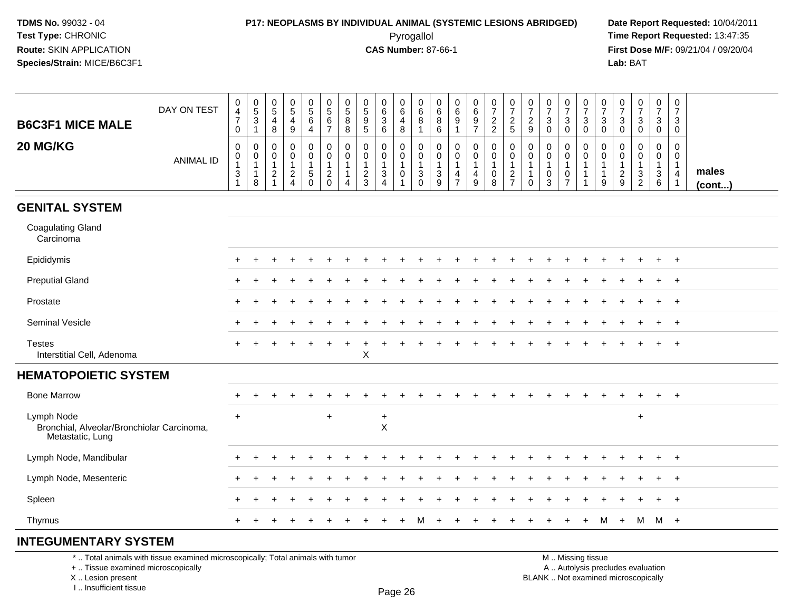### **P17: NEOPLASMS BY INDIVIDUAL ANIMAL (SYSTEMIC LESIONS ABRIDGED) Date Report Requested:** 10/04/2011

 Pyrogallol **Time Report Requested:** 13:47:35 **First Dose M/F:** 09/21/04 / 09/20/04<br>Lab: BAT **Lab:** BAT

| <b>B6C3F1 MICE MALE</b>                                                                                                                    | DAY ON TEST      | 0<br>$\overline{4}$<br>$\overline{7}$<br>0 | $\pmb{0}$<br>$5\,$<br>$\overline{3}$<br>$\mathbf{1}$         | $\mathbf 0$<br>5<br>4<br>8                                          | $\boldsymbol{0}$<br>$\sqrt{5}$<br>$\overline{4}$<br>$9\,$                        | 0<br>$\sqrt{5}$<br>$\,6\,$<br>4                               | $\mathbf 0$<br>$\sqrt{5}$<br>$\,6\,$<br>$\overline{7}$           | 0<br>$\sqrt{5}$<br>$\,8\,$<br>8                       | 0<br>5<br>$\boldsymbol{9}$<br>$\sqrt{5}$                        | 0<br>$\,6\,$<br>$\mathfrak{Z}$<br>6                                     | 0<br>$\,6\,$<br>4<br>8                                | $\mathbf 0$<br>$\,6\,$<br>8<br>$\mathbf{1}$                   | $\mathbf 0$<br>6<br>8<br>6                   | 0<br>6<br>$\boldsymbol{9}$<br>$\mathbf{1}$              | 0<br>6<br>$\overline{9}$<br>$\overline{7}$                       | 0<br>$\overline{7}$<br>$\sqrt{2}$<br>$\overline{2}$             | $\boldsymbol{0}$<br>$\overline{7}$<br>$\sqrt{2}$<br>$\sqrt{5}$ | 0<br>$\overline{7}$<br>$\overline{2}$<br>9      | 0<br>$\overline{7}$<br>$\sqrt{3}$<br>$\mathbf 0$                          | 0<br>$\overline{7}$<br>3<br>$\mathbf 0$ | 0<br>$\overline{7}$<br>$\ensuremath{\mathsf{3}}$<br>$\mathbf 0$ | 0<br>$\overline{7}$<br>3<br>$\mathbf 0$                      | 0<br>$\overline{7}$<br>3<br>0                                         | $\mathbf 0$<br>$\overline{7}$<br>$\sqrt{3}$<br>$\mathbf 0$               | 0<br>$\overline{7}$<br>3<br>0                | $\mathbf 0$<br>$\overline{7}$<br>3<br>$\mathbf 0$                          |                 |
|--------------------------------------------------------------------------------------------------------------------------------------------|------------------|--------------------------------------------|--------------------------------------------------------------|---------------------------------------------------------------------|----------------------------------------------------------------------------------|---------------------------------------------------------------|------------------------------------------------------------------|-------------------------------------------------------|-----------------------------------------------------------------|-------------------------------------------------------------------------|-------------------------------------------------------|---------------------------------------------------------------|----------------------------------------------|---------------------------------------------------------|------------------------------------------------------------------|-----------------------------------------------------------------|----------------------------------------------------------------|-------------------------------------------------|---------------------------------------------------------------------------|-----------------------------------------|-----------------------------------------------------------------|--------------------------------------------------------------|-----------------------------------------------------------------------|--------------------------------------------------------------------------|----------------------------------------------|----------------------------------------------------------------------------|-----------------|
| 20 MG/KG                                                                                                                                   | <b>ANIMAL ID</b> | 0<br>0<br>$\mathbf{1}$<br>3<br>1           | $\mathbf 0$<br>$\pmb{0}$<br>$\mathbf{1}$<br>$\mathbf 1$<br>8 | $\mathbf{0}$<br>$\mathbf 0$<br>$\mathbf{1}$<br>$\overline{2}$<br>-1 | $\mathbf 0$<br>$\mathbf 0$<br>$\overline{1}$<br>$\overline{2}$<br>$\overline{4}$ | 0<br>$\mathbf 0$<br>$\mathbf{1}$<br>$\sqrt{5}$<br>$\mathbf 0$ | $\mathbf 0$<br>$\mathbf 0$<br>1<br>$\overline{2}$<br>$\mathbf 0$ | $\mathbf 0$<br>0<br>$\mathbf{1}$<br>$\mathbf{1}$<br>4 | $\Omega$<br>0<br>$\mathbf{1}$<br>$\overline{2}$<br>$\mathbf{3}$ | $\Omega$<br>0<br>$\mathbf{1}$<br>$\mathbf{3}$<br>$\boldsymbol{\Lambda}$ | $\mathbf 0$<br>0<br>$\mathbf{1}$<br>$\mathbf 0$<br>-1 | $\mathbf 0$<br>$\mathbf 0$<br>$\overline{1}$<br>3<br>$\Omega$ | 0<br>$\mathbf 0$<br>$\overline{1}$<br>3<br>9 | $\mathbf 0$<br>0<br>$\mathbf{1}$<br>4<br>$\overline{7}$ | $\mathbf 0$<br>$\mathbf 0$<br>$\mathbf 1$<br>4<br>$\overline{9}$ | $\pmb{0}$<br>0<br>$\overline{1}$<br>$\pmb{0}$<br>$\overline{8}$ | $\pmb{0}$<br>$\mathbf 0$<br>$\overline{1}$<br>$\frac{2}{7}$    | $\mathbf 0$<br>$\Omega$<br>-1<br>-1<br>$\Omega$ | $\mathbf 0$<br>$\mathbf 0$<br>$\mathbf{1}$<br>$\mathbf 0$<br>$\mathbf{3}$ | 0<br>0<br>1<br>0<br>7                   | 0<br>0<br>$\mathbf{1}$<br>$\mathbf{1}$<br>$\mathbf{1}$          | $\Omega$<br>$\mathbf 0$<br>$\mathbf{1}$<br>$\mathbf{1}$<br>9 | $\Omega$<br>$\Omega$<br>$\mathbf{1}$<br>$\overline{2}$<br>$\mathsf g$ | $\mathbf 0$<br>0<br>$\mathbf{1}$<br>3<br>$\overline{2}$                  | 0<br>$\mathbf 0$<br>$\overline{1}$<br>3<br>6 | $\Omega$<br>$\Omega$<br>$\overline{1}$<br>$\overline{a}$<br>$\overline{1}$ | males<br>(cont) |
| <b>GENITAL SYSTEM</b>                                                                                                                      |                  |                                            |                                                              |                                                                     |                                                                                  |                                                               |                                                                  |                                                       |                                                                 |                                                                         |                                                       |                                                               |                                              |                                                         |                                                                  |                                                                 |                                                                |                                                 |                                                                           |                                         |                                                                 |                                                              |                                                                       |                                                                          |                                              |                                                                            |                 |
| <b>Coagulating Gland</b><br>Carcinoma                                                                                                      |                  |                                            |                                                              |                                                                     |                                                                                  |                                                               |                                                                  |                                                       |                                                                 |                                                                         |                                                       |                                                               |                                              |                                                         |                                                                  |                                                                 |                                                                |                                                 |                                                                           |                                         |                                                                 |                                                              |                                                                       |                                                                          |                                              |                                                                            |                 |
| Epididymis                                                                                                                                 |                  |                                            |                                                              |                                                                     |                                                                                  |                                                               |                                                                  |                                                       |                                                                 |                                                                         |                                                       |                                                               |                                              |                                                         |                                                                  |                                                                 |                                                                |                                                 |                                                                           |                                         |                                                                 |                                                              |                                                                       |                                                                          | $\ddot{}$                                    | $+$                                                                        |                 |
| <b>Preputial Gland</b>                                                                                                                     |                  |                                            |                                                              |                                                                     |                                                                                  |                                                               |                                                                  |                                                       |                                                                 |                                                                         |                                                       |                                                               |                                              |                                                         |                                                                  |                                                                 |                                                                |                                                 |                                                                           |                                         |                                                                 |                                                              |                                                                       |                                                                          | $\ddot{}$                                    | $+$                                                                        |                 |
| Prostate                                                                                                                                   |                  |                                            |                                                              |                                                                     |                                                                                  |                                                               |                                                                  |                                                       |                                                                 |                                                                         |                                                       |                                                               |                                              |                                                         |                                                                  |                                                                 |                                                                |                                                 |                                                                           |                                         |                                                                 |                                                              |                                                                       |                                                                          |                                              | $\overline{+}$                                                             |                 |
| Seminal Vesicle                                                                                                                            |                  |                                            |                                                              |                                                                     |                                                                                  |                                                               |                                                                  |                                                       |                                                                 |                                                                         |                                                       |                                                               |                                              |                                                         |                                                                  |                                                                 |                                                                |                                                 |                                                                           |                                         |                                                                 |                                                              |                                                                       |                                                                          |                                              | $\ddot{}$                                                                  |                 |
| <b>Testes</b><br>Interstitial Cell, Adenoma                                                                                                |                  |                                            |                                                              |                                                                     |                                                                                  |                                                               |                                                                  |                                                       | X                                                               |                                                                         |                                                       |                                                               |                                              |                                                         |                                                                  |                                                                 |                                                                |                                                 |                                                                           |                                         |                                                                 |                                                              |                                                                       |                                                                          |                                              | $\ddot{}$                                                                  |                 |
| <b>HEMATOPOIETIC SYSTEM</b>                                                                                                                |                  |                                            |                                                              |                                                                     |                                                                                  |                                                               |                                                                  |                                                       |                                                                 |                                                                         |                                                       |                                                               |                                              |                                                         |                                                                  |                                                                 |                                                                |                                                 |                                                                           |                                         |                                                                 |                                                              |                                                                       |                                                                          |                                              |                                                                            |                 |
| <b>Bone Marrow</b>                                                                                                                         |                  |                                            |                                                              |                                                                     |                                                                                  |                                                               |                                                                  |                                                       |                                                                 |                                                                         |                                                       |                                                               |                                              |                                                         |                                                                  |                                                                 |                                                                |                                                 |                                                                           |                                         |                                                                 |                                                              |                                                                       |                                                                          |                                              | $\overline{+}$                                                             |                 |
| Lymph Node<br>Bronchial, Alveolar/Bronchiolar Carcinoma,<br>Metastatic, Lung                                                               |                  | $\ddot{}$                                  |                                                              |                                                                     |                                                                                  |                                                               | $\ddot{}$                                                        |                                                       |                                                                 | $+$<br>$\pmb{\times}$                                                   |                                                       |                                                               |                                              |                                                         |                                                                  |                                                                 |                                                                |                                                 |                                                                           |                                         |                                                                 |                                                              |                                                                       | $\ddot{}$                                                                |                                              |                                                                            |                 |
| Lymph Node, Mandibular                                                                                                                     |                  |                                            |                                                              |                                                                     |                                                                                  |                                                               |                                                                  |                                                       |                                                                 |                                                                         |                                                       |                                                               |                                              |                                                         |                                                                  |                                                                 |                                                                |                                                 |                                                                           |                                         |                                                                 |                                                              |                                                                       |                                                                          | $\ddot{}$                                    | $\ddot{}$                                                                  |                 |
| Lymph Node, Mesenteric                                                                                                                     |                  |                                            |                                                              |                                                                     |                                                                                  |                                                               |                                                                  |                                                       |                                                                 |                                                                         |                                                       |                                                               |                                              |                                                         |                                                                  |                                                                 |                                                                |                                                 |                                                                           |                                         |                                                                 |                                                              |                                                                       |                                                                          |                                              | $\ddot{}$                                                                  |                 |
| Spleen                                                                                                                                     |                  |                                            |                                                              |                                                                     |                                                                                  |                                                               |                                                                  |                                                       |                                                                 |                                                                         |                                                       |                                                               |                                              |                                                         |                                                                  |                                                                 |                                                                |                                                 |                                                                           |                                         |                                                                 |                                                              |                                                                       |                                                                          | $\ddot{}$                                    | $+$                                                                        |                 |
| Thymus                                                                                                                                     |                  | $+$                                        | $+$                                                          |                                                                     |                                                                                  |                                                               |                                                                  |                                                       |                                                                 |                                                                         | $\ddot{}$                                             | м                                                             | $\ddot{}$                                    |                                                         | $\ddot{}$                                                        | $\div$                                                          |                                                                |                                                 |                                                                           | $\ddot{}$                               | $+$                                                             | M                                                            |                                                                       | $+$ M M $+$                                                              |                                              |                                                                            |                 |
| <b>INTEGUMENTARY SYSTEM</b>                                                                                                                |                  |                                            |                                                              |                                                                     |                                                                                  |                                                               |                                                                  |                                                       |                                                                 |                                                                         |                                                       |                                                               |                                              |                                                         |                                                                  |                                                                 |                                                                |                                                 |                                                                           |                                         |                                                                 |                                                              |                                                                       |                                                                          |                                              |                                                                            |                 |
| *  Total animals with tissue examined microscopically; Total animals with tumor<br>+  Tissue examined microscopically<br>X  Lesion present |                  |                                            |                                                              |                                                                     |                                                                                  |                                                               |                                                                  |                                                       |                                                                 |                                                                         |                                                       |                                                               |                                              |                                                         |                                                                  |                                                                 |                                                                |                                                 |                                                                           |                                         | M  Missing tissue                                               |                                                              |                                                                       | A  Autolysis precludes evaluation<br>BLANK  Not examined microscopically |                                              |                                                                            |                 |

I .. Insufficient tissue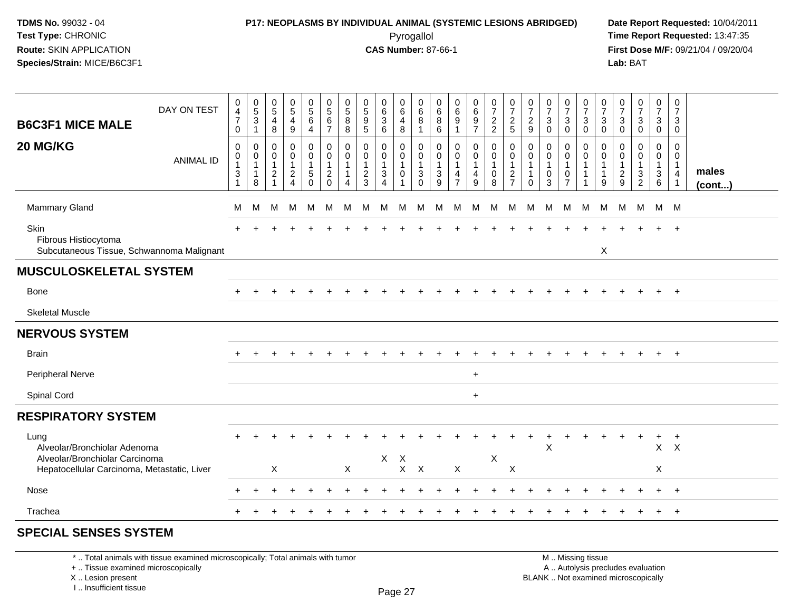#### **P17: NEOPLASMS BY INDIVIDUAL ANIMAL (SYSTEMIC LESIONS ABRIDGED) Date Report Requested:** 10/04/2011 Pyrogallol **Time Report Requested:** 13:47:35

**First Dose M/F:** 09/21/04 / 09/20/04<br>Lab: BAT **Lab:** BAT

| DAY ON TEST<br><b>B6C3F1 MICE MALE</b>                                                                                | 0<br>4<br>$\overline{7}$<br>$\mathbf 0$ | $\begin{array}{c} 0 \\ 5 \\ 3 \end{array}$<br>$\mathbf{1}$    | $\begin{smallmatrix}0\0\5\end{smallmatrix}$<br>4<br>8              | $^{\rm 0}_{\rm 5}$<br>4<br>9         | $\begin{array}{c} 0 \\ 5 \end{array}$<br>$\,6$<br>$\overline{4}$   | $\begin{array}{c} 0 \\ 5 \end{array}$<br>6<br>$\overline{7}$             | $\begin{array}{c} 0 \\ 5 \end{array}$<br>8<br>8                                      | $\begin{array}{c} 0 \\ 5 \\ 9 \end{array}$<br>5                     | $\begin{matrix} 0 \\ 6 \\ 3 \end{matrix}$<br>6                                            | $\begin{array}{c} 0 \\ 6 \end{array}$<br>4<br>8           | 0<br>6<br>8<br>-1                         | $\mathbf 0$<br>$\,6\,$<br>8<br>6                  | $_{6}^{\rm 0}$<br>9           | $\begin{array}{c} 0 \\ 6 \end{array}$<br>$\boldsymbol{9}$<br>$\overline{7}$ | $\begin{array}{c} 0 \\ 7 \end{array}$<br>$\frac{2}{2}$ | $\frac{0}{7}$<br>$\frac{2}{5}$                              | $\frac{0}{7}$<br>$\frac{2}{9}$                                         | $\frac{0}{7}$<br>3<br>$\mathbf{0}$   | $\frac{0}{7}$<br>$\mathbf{3}$<br>$\mathbf 0$           | $\frac{0}{7}$<br>$\ensuremath{\mathsf{3}}$<br>$\Omega$                  | $\frac{0}{7}$<br>3<br>$\mathbf 0$ | $\frac{0}{7}$<br>$\mathbf{3}$<br>$\Omega$                  | $\frac{0}{7}$<br>$\mathbf{3}$<br>$\mathbf 0$                                 | $\frac{0}{7}$<br>$\mathbf{3}$<br>$\overline{0}$ | 0<br>$\overline{7}$<br>3<br>0             |                 |
|-----------------------------------------------------------------------------------------------------------------------|-----------------------------------------|---------------------------------------------------------------|--------------------------------------------------------------------|--------------------------------------|--------------------------------------------------------------------|--------------------------------------------------------------------------|--------------------------------------------------------------------------------------|---------------------------------------------------------------------|-------------------------------------------------------------------------------------------|-----------------------------------------------------------|-------------------------------------------|---------------------------------------------------|-------------------------------|-----------------------------------------------------------------------------|--------------------------------------------------------|-------------------------------------------------------------|------------------------------------------------------------------------|--------------------------------------|--------------------------------------------------------|-------------------------------------------------------------------------|-----------------------------------|------------------------------------------------------------|------------------------------------------------------------------------------|-------------------------------------------------|-------------------------------------------|-----------------|
| 20 MG/KG<br><b>ANIMAL ID</b>                                                                                          | 0<br>0<br>3                             | $\mathbf 0$<br>$\,0\,$<br>$\mathbf{1}$<br>$\overline{1}$<br>8 | 0<br>$\pmb{0}$<br>$\mathbf{1}$<br>$\overline{2}$<br>$\overline{ }$ | 0<br>$\overline{0}$<br>$\frac{2}{4}$ | $\mathbf 0$<br>$\pmb{0}$<br>$\mathbf{1}$<br>$\sqrt{5}$<br>$\Omega$ | $\mathbf 0$<br>$\mathbf 0$<br>$\mathbf{1}$<br>$\overline{2}$<br>$\Omega$ | $\mathbf 0$<br>$\mathbf 0$<br>$\mathbf{1}$<br>$\mathbf{1}$<br>$\boldsymbol{\Lambda}$ | $\mathbf 0$<br>$\mathbf 0$<br>1<br>$\overline{c}$<br>$\overline{3}$ | $\mathbf 0$<br>$\mathbf 0$<br>$\mathbf{1}$<br>$\ensuremath{\mathsf{3}}$<br>$\overline{4}$ | $\mathbf 0$<br>$\mathsf 0$<br>$\mathbf{1}$<br>$\mathbf 0$ | 0<br>0<br>$\overline{1}$<br>3<br>$\Omega$ | $\Omega$<br>$\mathbf 0$<br>$\mathbf{1}$<br>3<br>9 | 0<br>0<br>4<br>$\overline{7}$ | $\mathbf 0$<br>$\mathbf 0$<br>$\mathbf{1}$<br>4<br>9                        | $\mathbf 0$<br>$\pmb{0}$<br>1<br>0<br>8                | $\mathbf 0$<br>$\pmb{0}$<br>$\overline{1}$<br>$\frac{2}{7}$ | $\mathbf 0$<br>$\mathbf 0$<br>$\mathbf{1}$<br>$\mathbf{1}$<br>$\Omega$ | 0<br>$\mathbf 0$<br>$\mathbf 0$<br>3 | 0<br>$\mathbf 0$<br>$\mathbf 1$<br>0<br>$\overline{7}$ | $\mathbf 0$<br>$\mathsf{O}\xspace$<br>$\mathbf{1}$<br>$\mathbf{1}$<br>1 | $\mathbf 0$<br>0<br>9             | $\mathbf 0$<br>$\mathbf 0$<br>$\mathbf 1$<br>$\frac{2}{9}$ | $\mathbf 0$<br>$\mathbf 0$<br>$\mathbf{1}$<br>$\mathbf{3}$<br>$\overline{2}$ | $\mathbf 0$<br>0<br>$\mathbf{1}$<br>3<br>6      | $\Omega$<br>0<br>1<br>$\overline{4}$<br>1 | males<br>(cont) |
| Mammary Gland                                                                                                         | M                                       | М                                                             | M                                                                  | M                                    | м                                                                  | M                                                                        | M                                                                                    | M                                                                   | M                                                                                         | M                                                         | M                                         | M                                                 | M                             | M                                                                           | M                                                      | M                                                           | M                                                                      | M                                    | M                                                      | M                                                                       | M                                 | м                                                          | M                                                                            | M M                                             |                                           |                 |
| Skin<br>Fibrous Histiocytoma<br>Subcutaneous Tissue, Schwannoma Malignant                                             |                                         |                                                               |                                                                    |                                      |                                                                    |                                                                          |                                                                                      |                                                                     |                                                                                           |                                                           |                                           |                                                   |                               |                                                                             |                                                        |                                                             |                                                                        |                                      |                                                        |                                                                         | X                                 |                                                            |                                                                              |                                                 | $\ddot{}$                                 |                 |
| <b>MUSCULOSKELETAL SYSTEM</b>                                                                                         |                                         |                                                               |                                                                    |                                      |                                                                    |                                                                          |                                                                                      |                                                                     |                                                                                           |                                                           |                                           |                                                   |                               |                                                                             |                                                        |                                                             |                                                                        |                                      |                                                        |                                                                         |                                   |                                                            |                                                                              |                                                 |                                           |                 |
| Bone                                                                                                                  |                                         |                                                               |                                                                    |                                      |                                                                    |                                                                          |                                                                                      |                                                                     |                                                                                           |                                                           |                                           |                                                   |                               |                                                                             |                                                        |                                                             |                                                                        |                                      |                                                        |                                                                         |                                   |                                                            |                                                                              |                                                 | $\ddot{}$                                 |                 |
| <b>Skeletal Muscle</b>                                                                                                |                                         |                                                               |                                                                    |                                      |                                                                    |                                                                          |                                                                                      |                                                                     |                                                                                           |                                                           |                                           |                                                   |                               |                                                                             |                                                        |                                                             |                                                                        |                                      |                                                        |                                                                         |                                   |                                                            |                                                                              |                                                 |                                           |                 |
| <b>NERVOUS SYSTEM</b>                                                                                                 |                                         |                                                               |                                                                    |                                      |                                                                    |                                                                          |                                                                                      |                                                                     |                                                                                           |                                                           |                                           |                                                   |                               |                                                                             |                                                        |                                                             |                                                                        |                                      |                                                        |                                                                         |                                   |                                                            |                                                                              |                                                 |                                           |                 |
| <b>Brain</b>                                                                                                          |                                         |                                                               |                                                                    |                                      |                                                                    |                                                                          |                                                                                      |                                                                     |                                                                                           |                                                           |                                           |                                                   |                               |                                                                             |                                                        |                                                             |                                                                        |                                      |                                                        |                                                                         |                                   |                                                            |                                                                              |                                                 | $\ddot{}$                                 |                 |
| <b>Peripheral Nerve</b>                                                                                               |                                         |                                                               |                                                                    |                                      |                                                                    |                                                                          |                                                                                      |                                                                     |                                                                                           |                                                           |                                           |                                                   |                               | $+$                                                                         |                                                        |                                                             |                                                                        |                                      |                                                        |                                                                         |                                   |                                                            |                                                                              |                                                 |                                           |                 |
| Spinal Cord                                                                                                           |                                         |                                                               |                                                                    |                                      |                                                                    |                                                                          |                                                                                      |                                                                     |                                                                                           |                                                           |                                           |                                                   |                               | $+$                                                                         |                                                        |                                                             |                                                                        |                                      |                                                        |                                                                         |                                   |                                                            |                                                                              |                                                 |                                           |                 |
| <b>RESPIRATORY SYSTEM</b>                                                                                             |                                         |                                                               |                                                                    |                                      |                                                                    |                                                                          |                                                                                      |                                                                     |                                                                                           |                                                           |                                           |                                                   |                               |                                                                             |                                                        |                                                             |                                                                        |                                      |                                                        |                                                                         |                                   |                                                            |                                                                              |                                                 |                                           |                 |
| Lung<br>Alveolar/Bronchiolar Adenoma<br>Alveolar/Bronchiolar Carcinoma<br>Hepatocellular Carcinoma, Metastatic, Liver |                                         |                                                               | X                                                                  |                                      |                                                                    |                                                                          | $\mathsf X$                                                                          |                                                                     | X                                                                                         | $\boldsymbol{\mathsf{X}}$<br>$\mathsf{X}$                 | $\boldsymbol{X}$                          |                                                   | X                             |                                                                             | X                                                      | $\mathsf X$                                                 |                                                                        | X                                    |                                                        |                                                                         |                                   |                                                            |                                                                              | $\mathsf X$<br>X                                | $\mathsf{X}$                              |                 |
| Nose                                                                                                                  |                                         |                                                               |                                                                    |                                      |                                                                    |                                                                          |                                                                                      |                                                                     |                                                                                           |                                                           |                                           |                                                   |                               |                                                                             |                                                        |                                                             |                                                                        |                                      |                                                        |                                                                         |                                   |                                                            |                                                                              |                                                 | $\ddot{}$                                 |                 |
| Trachea                                                                                                               |                                         |                                                               |                                                                    |                                      |                                                                    |                                                                          |                                                                                      |                                                                     |                                                                                           |                                                           |                                           |                                                   |                               |                                                                             |                                                        |                                                             |                                                                        |                                      |                                                        |                                                                         |                                   |                                                            |                                                                              |                                                 | $+$                                       |                 |
| <b>SPECIAL SENSES SYSTEM</b>                                                                                          |                                         |                                                               |                                                                    |                                      |                                                                    |                                                                          |                                                                                      |                                                                     |                                                                                           |                                                           |                                           |                                                   |                               |                                                                             |                                                        |                                                             |                                                                        |                                      |                                                        |                                                                         |                                   |                                                            |                                                                              |                                                 |                                           |                 |

\* .. Total animals with tissue examined microscopically; Total animals with tumor

+ .. Tissue examined microscopically

X .. Lesion present

I .. Insufficient tissue

 M .. Missing tissuey the contract of the contract of the contract of the contract of the contract of  $\mathsf A$  . Autolysis precludes evaluation Lesion present BLANK .. Not examined microscopically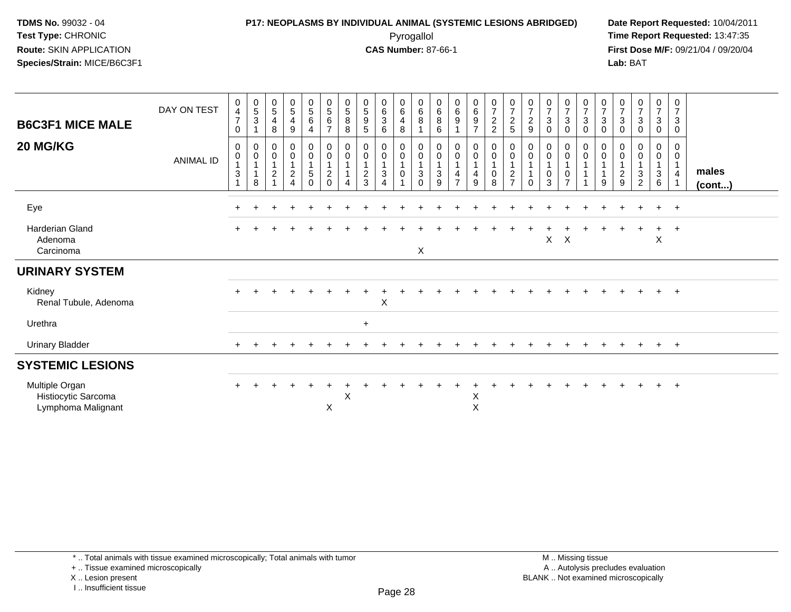#### **P17: NEOPLASMS BY INDIVIDUAL ANIMAL (SYSTEMIC LESIONS ABRIDGED) Date Report Requested:** 10/04/2011 Pyrogallol **Time Report Requested:** 13:47:35

**First Dose M/F:** 09/21/04 / 09/20/04<br>Lab: BAT **Lab:** BAT

| <b>B6C3F1 MICE MALE</b><br>20 MG/KG                         | DAY ON TEST<br>ANIMAL ID | 0<br>$\overline{4}$<br>$\overline{7}$<br>$\mathbf 0$<br>0<br>$\mathbf 0$<br>$\sqrt{3}$ | $\begin{array}{c} 0 \\ 5 \\ 3 \end{array}$<br>$\mathbf 0$<br>$\overline{0}$<br>1<br>$\mathbf{1}$<br>8 | $\begin{array}{c} 0 \\ 5 \end{array}$<br>$\overline{4}$<br>8<br>0<br>$\pmb{0}$<br>$\mathbf{1}$<br>$\frac{2}{1}$ | $\begin{matrix} 0 \\ 5 \end{matrix}$<br>$\overline{4}$<br>$9\,$<br>$_0^0$<br>$\overline{A}$<br>$\frac{2}{4}$ | $\begin{array}{c} 0 \\ 5 \end{array}$<br>$\,6$<br>$\overline{4}$<br>$\begin{matrix} 0 \\ 0 \\ 1 \end{matrix}$<br>$\overline{5}$<br>$\pmb{0}$ | $\begin{array}{c} 0 \\ 5 \end{array}$<br>$\,6\,$<br>$\overline{7}$<br>$_{\rm 0}^{\rm 0}$<br>$\mathbf{1}$<br>$\overline{c}$<br>$\mathbf 0$ | $\begin{array}{c} 0 \\ 5 \end{array}$<br>$\bf 8$<br>8<br>$\boldsymbol{0}$<br>$\pmb{0}$<br>$\mathbf{1}$<br>4 | $\begin{array}{c} 0 \\ 5 \end{array}$<br>$9\,$<br>5<br>0<br>$\mathsf{O}\xspace$<br>$\blacktriangleleft$<br>$\frac{2}{3}$ | $\begin{matrix} 0 \\ 6 \\ 3 \end{matrix}$<br>6<br>0<br>$\pmb{0}$<br>$\ensuremath{\mathsf{3}}$<br>$\overline{\mathbf{4}}$ | $\begin{array}{c} 0 \\ 6 \end{array}$<br>$\overline{4}$<br>$\, 8$<br>$\begin{matrix} 0 \\ 0 \\ 1 \end{matrix}$<br>$\pmb{0}$ | $\begin{array}{c} 0 \\ 6 \end{array}$<br>$\,8\,$<br>$\overline{1}$<br>$_{\rm 0}^{\rm 0}$<br>$\mathbf{1}$<br>$\sqrt{3}$<br>$\Omega$ | $\begin{array}{c} 0 \\ 6 \end{array}$<br>8<br>6<br>$_{\rm 0}^{\rm 0}$<br>$\mathbf{1}$<br>$\sqrt{3}$<br>$\boldsymbol{9}$ | $_6^0$<br>9<br>$_0^0$<br>$\frac{4}{7}$ | $\begin{array}{c} 0 \\ 6 \\ 9 \end{array}$<br>$\overline{7}$<br>$_{\rm 0}^{\rm 0}$<br>$\overline{1}$<br>$\overline{4}$<br>9 | $\begin{smallmatrix}0\\7\end{smallmatrix}$<br>$\sqrt{2}$<br>$\overline{2}$<br>$_{\rm 0}^{\rm 0}$<br>$\overline{1}$<br>$\pmb{0}$<br>$\,8\,$ | $\frac{0}{7}$<br>$\overline{2}$<br>$\sqrt{5}$<br>$\begin{matrix} 0 \\ 0 \end{matrix}$<br>$\mathbf{1}$<br>$\overline{c}$<br>$\overline{7}$ | $\begin{array}{c} 0 \\ 7 \\ 2 \end{array}$<br>9<br>0<br>$\pmb{0}$<br>$\Omega$ | $\frac{0}{7}$<br>3<br>0<br>0<br>$\mathbf 0$<br>0<br>3 | $\begin{array}{c} 0 \\ 7 \\ 3 \end{array}$<br>$\pmb{0}$<br>$\begin{matrix} 0 \\ 0 \\ 1 \end{matrix}$<br>$\pmb{0}$<br>$\overline{7}$ | $\begin{array}{c} 0 \\ 7 \end{array}$<br>$\sqrt{3}$<br>$\pmb{0}$<br>0<br>$\pmb{0}$ | $\frac{0}{7}$<br>$\sqrt{3}$<br>0<br>0<br>$\mathbf 0$<br>9 | $\frac{0}{7}$<br>$\overline{3}$<br>$\mathbf 0$<br>$\mathbf 0$<br>$\boldsymbol{0}$<br>$\mathbf{1}$<br>$\overline{c}$<br>$\boldsymbol{9}$ | $\frac{0}{7}$<br>$\mathbf{3}$<br>0<br>0<br>0<br>$\mathbf{3}$<br>$\overline{c}$ | $\frac{0}{7}$<br>$\mathbf{3}$<br>$\pmb{0}$<br>0<br>$\mathsf{O}\xspace$<br>$\overline{1}$<br>$\ensuremath{\mathsf{3}}$<br>$6\phantom{a}$ | 0<br>$\overline{7}$<br>$\sqrt{3}$<br>0<br>0<br>$\mathbf 0$<br>$\overline{4}$ | males<br>$($ cont $)$ |
|-------------------------------------------------------------|--------------------------|----------------------------------------------------------------------------------------|-------------------------------------------------------------------------------------------------------|-----------------------------------------------------------------------------------------------------------------|--------------------------------------------------------------------------------------------------------------|----------------------------------------------------------------------------------------------------------------------------------------------|-------------------------------------------------------------------------------------------------------------------------------------------|-------------------------------------------------------------------------------------------------------------|--------------------------------------------------------------------------------------------------------------------------|--------------------------------------------------------------------------------------------------------------------------|-----------------------------------------------------------------------------------------------------------------------------|------------------------------------------------------------------------------------------------------------------------------------|-------------------------------------------------------------------------------------------------------------------------|----------------------------------------|-----------------------------------------------------------------------------------------------------------------------------|--------------------------------------------------------------------------------------------------------------------------------------------|-------------------------------------------------------------------------------------------------------------------------------------------|-------------------------------------------------------------------------------|-------------------------------------------------------|-------------------------------------------------------------------------------------------------------------------------------------|------------------------------------------------------------------------------------|-----------------------------------------------------------|-----------------------------------------------------------------------------------------------------------------------------------------|--------------------------------------------------------------------------------|-----------------------------------------------------------------------------------------------------------------------------------------|------------------------------------------------------------------------------|-----------------------|
| Eye                                                         |                          |                                                                                        |                                                                                                       |                                                                                                                 |                                                                                                              |                                                                                                                                              |                                                                                                                                           |                                                                                                             |                                                                                                                          |                                                                                                                          |                                                                                                                             |                                                                                                                                    |                                                                                                                         |                                        |                                                                                                                             |                                                                                                                                            |                                                                                                                                           |                                                                               |                                                       |                                                                                                                                     |                                                                                    |                                                           |                                                                                                                                         |                                                                                | $+$                                                                                                                                     | $+$                                                                          |                       |
| <b>Harderian Gland</b><br>Adenoma<br>Carcinoma              |                          |                                                                                        |                                                                                                       |                                                                                                                 |                                                                                                              |                                                                                                                                              |                                                                                                                                           |                                                                                                             |                                                                                                                          |                                                                                                                          |                                                                                                                             | X                                                                                                                                  |                                                                                                                         |                                        |                                                                                                                             |                                                                                                                                            |                                                                                                                                           |                                                                               | X                                                     | $\boldsymbol{\mathsf{X}}$                                                                                                           |                                                                                    |                                                           |                                                                                                                                         |                                                                                | $+$<br>$\mathsf X$                                                                                                                      | $+$                                                                          |                       |
| <b>URINARY SYSTEM</b>                                       |                          |                                                                                        |                                                                                                       |                                                                                                                 |                                                                                                              |                                                                                                                                              |                                                                                                                                           |                                                                                                             |                                                                                                                          |                                                                                                                          |                                                                                                                             |                                                                                                                                    |                                                                                                                         |                                        |                                                                                                                             |                                                                                                                                            |                                                                                                                                           |                                                                               |                                                       |                                                                                                                                     |                                                                                    |                                                           |                                                                                                                                         |                                                                                |                                                                                                                                         |                                                                              |                       |
| Kidney<br>Renal Tubule, Adenoma                             |                          |                                                                                        |                                                                                                       |                                                                                                                 |                                                                                                              |                                                                                                                                              |                                                                                                                                           |                                                                                                             |                                                                                                                          | $\mathsf X$                                                                                                              |                                                                                                                             |                                                                                                                                    |                                                                                                                         |                                        |                                                                                                                             |                                                                                                                                            |                                                                                                                                           |                                                                               |                                                       |                                                                                                                                     |                                                                                    |                                                           |                                                                                                                                         |                                                                                | $+$                                                                                                                                     | $+$                                                                          |                       |
| Urethra                                                     |                          |                                                                                        |                                                                                                       |                                                                                                                 |                                                                                                              |                                                                                                                                              |                                                                                                                                           |                                                                                                             | $\ddot{}$                                                                                                                |                                                                                                                          |                                                                                                                             |                                                                                                                                    |                                                                                                                         |                                        |                                                                                                                             |                                                                                                                                            |                                                                                                                                           |                                                                               |                                                       |                                                                                                                                     |                                                                                    |                                                           |                                                                                                                                         |                                                                                |                                                                                                                                         |                                                                              |                       |
| <b>Urinary Bladder</b>                                      |                          |                                                                                        |                                                                                                       |                                                                                                                 |                                                                                                              |                                                                                                                                              |                                                                                                                                           |                                                                                                             |                                                                                                                          |                                                                                                                          |                                                                                                                             |                                                                                                                                    |                                                                                                                         |                                        |                                                                                                                             |                                                                                                                                            |                                                                                                                                           |                                                                               |                                                       |                                                                                                                                     |                                                                                    |                                                           |                                                                                                                                         |                                                                                | $+$                                                                                                                                     | $+$                                                                          |                       |
| <b>SYSTEMIC LESIONS</b>                                     |                          |                                                                                        |                                                                                                       |                                                                                                                 |                                                                                                              |                                                                                                                                              |                                                                                                                                           |                                                                                                             |                                                                                                                          |                                                                                                                          |                                                                                                                             |                                                                                                                                    |                                                                                                                         |                                        |                                                                                                                             |                                                                                                                                            |                                                                                                                                           |                                                                               |                                                       |                                                                                                                                     |                                                                                    |                                                           |                                                                                                                                         |                                                                                |                                                                                                                                         |                                                                              |                       |
| Multiple Organ<br>Histiocytic Sarcoma<br>Lymphoma Malignant |                          | ÷                                                                                      |                                                                                                       |                                                                                                                 |                                                                                                              |                                                                                                                                              | $\mathsf X$                                                                                                                               | X                                                                                                           |                                                                                                                          |                                                                                                                          |                                                                                                                             |                                                                                                                                    |                                                                                                                         |                                        | X<br>X                                                                                                                      |                                                                                                                                            |                                                                                                                                           |                                                                               |                                                       |                                                                                                                                     |                                                                                    |                                                           |                                                                                                                                         |                                                                                |                                                                                                                                         | $+$                                                                          |                       |

<sup>+ ..</sup> Tissue examined microscopically

X .. Lesion present

I .. Insufficient tissue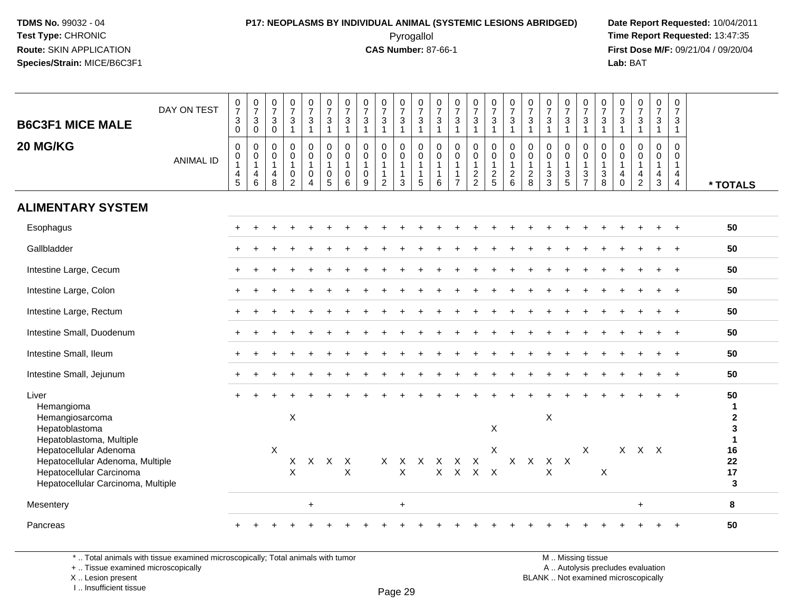## **P17: NEOPLASMS BY INDIVIDUAL ANIMAL (SYSTEMIC LESIONS ABRIDGED) Date Report Requested:** 10/04/2011

 Pyrogallol **Time Report Requested:** 13:47:35 **First Dose M/F:** 09/21/04 / 09/20/04<br>Lab: BAT **Lab:** BAT

| <b>B6C3F1 MICE MALE</b><br>20 MG/KG                                                                                                                                                                                  | DAY ON TEST<br><b>ANIMAL ID</b> | $\begin{array}{c} 0 \\ 7 \end{array}$<br>$\mathbf 3$<br>$\mathbf 0$<br>$\mathbf 0$<br>0<br>$\mathbf{1}$<br>4<br>5 | $\frac{0}{7}$<br>$\mathbf 3$<br>$\mathbf 0$<br>0<br>0<br>$\mathbf{1}$<br>4<br>6 | $\frac{0}{7}$<br>$\sqrt{3}$<br>$\mathbf 0$<br>$\mathbf 0$<br>$\mathbf 0$<br>$\mathbf{1}$<br>$\overline{4}$<br>8 | $\frac{0}{7}$<br>$\mathbf{3}$<br>$\blacktriangleleft$<br>$\mathbf 0$<br>$\mathsf{O}\xspace$<br>$\mathbf{1}$<br>$\mathsf{O}$<br>$\overline{2}$ | $\begin{array}{c} 0 \\ 7 \end{array}$<br>$\mathbf{3}$<br>$\overline{1}$<br>0<br>$\mathbf 0$<br>$\mathbf{1}$<br>0<br>$\overline{4}$ | $\frac{0}{7}$<br>$\mathbf{3}$<br>$\mathbf{1}$<br>$\mathbf 0$<br>$\mathbf 0$<br>$\mathbf{1}$<br>$\pmb{0}$<br>$\overline{5}$ | $\frac{0}{7}$<br>$\ensuremath{\mathsf{3}}$<br>$\overline{1}$<br>$\mathbf 0$<br>$\mathbf 0$<br>$\overline{1}$<br>0<br>6 | $\frac{0}{7}$<br>$\mathbf{3}$<br>$\overline{1}$<br>$\mathbf 0$<br>$\mathbf 0$<br>$\mathbf{1}$<br>$\mathbf 0$<br>9 | $\frac{0}{7}$<br>$\mathbf{3}$<br>$\mathbf 1$<br>0<br>$\mathbf 0$<br>$\mathbf{1}$<br>$\mathbf{1}$<br>2 | $\frac{0}{7}$<br>$\mathbf{3}$<br>$\overline{1}$<br>$\mathbf 0$<br>$\mathbf 0$<br>$\overline{1}$<br>$\overline{1}$<br>$\mathbf{3}$ | $\begin{array}{c} 0 \\ 7 \end{array}$<br>$\sqrt{3}$<br>$\mathbf{1}$<br>$\mathbf 0$<br>$\mathsf{O}\xspace$<br>$\mathbf{1}$<br>$\mathbf{1}$<br>5 | $\frac{0}{7}$<br>$\sqrt{3}$<br>$\overline{1}$<br>$\mathbf 0$<br>$\mathbf 0$<br>$\overline{1}$<br>$\mathbf{1}$<br>6 | $\begin{array}{c} 0 \\ 7 \end{array}$<br>$\sqrt{3}$<br>$\overline{1}$<br>$\mathsf{O}\xspace$<br>$\mathsf{O}\xspace$<br>$\overline{1}$<br>$\mathbf{1}$<br>$\overline{7}$ | $\begin{array}{c} 0 \\ 7 \end{array}$<br>$\mathsf 3$<br>$\mathbf{1}$<br>0<br>$\mathbf 0$<br>$\mathbf{1}$<br>$\frac{2}{2}$ | $\frac{0}{7}$<br>$\mathbf{3}$<br>$\mathbf{1}$<br>$\mathbf 0$<br>0<br>$\mathbf{1}$<br>$rac{2}{5}$ | $\frac{0}{7}$<br>3<br>$\mathbf{1}$<br>0<br>$\mathbf 0$<br>$\mathbf{1}$<br>$\frac{2}{6}$ | $\frac{0}{7}$<br>$\mathsf 3$<br>$\overline{1}$<br>0<br>0<br>$\mathbf{1}$<br>$^2_8$ | $\frac{0}{7}$<br>$\ensuremath{\mathsf{3}}$<br>$\overline{1}$<br>$\mathbf 0$<br>$\mathbf 0$<br>$\mathbf{1}$<br>$\frac{3}{3}$ | $\begin{array}{c} 0 \\ 7 \end{array}$<br>$\mathbf 3$<br>$\overline{1}$<br>$\mathbf 0$<br>$\mathbf 0$<br>$\overline{1}$<br>$\frac{3}{5}$ | $\frac{0}{7}$<br>$\sqrt{3}$<br>$\overline{1}$<br>$\mathbf 0$<br>$\mathbf 0$<br>$\overline{1}$<br>$\frac{3}{7}$ | $\frac{0}{7}$<br>3<br>1<br>$\mathbf 0$<br>$\mathbf 0$<br>$\mathbf{1}$<br>3<br>8 | $\frac{0}{7}$<br>$\mathsf 3$<br>$\mathbf{1}$<br>$\mathbf 0$<br>$\mathbf 0$<br>$\mathbf{1}$<br>$\overline{4}$<br>$\mathbf 0$ | $\frac{0}{7}$<br>$\mathbf{3}$<br>$\mathbf{1}$<br>0<br>$\mathsf{O}$<br>$\mathbf{1}$<br>4<br>$\overline{2}$ | 0<br>$\overline{7}$<br>$\mathbf{3}$<br>$\mathbf{1}$<br>0<br>$\mathbf 0$<br>$\mathbf{1}$<br>$\frac{4}{3}$ | 0<br>$\overline{7}$<br>$\mathsf 3$<br>$\overline{1}$<br>0<br>0<br>$\mathbf{1}$<br>4<br>$\overline{4}$ | * TOTALS                                                                              |
|----------------------------------------------------------------------------------------------------------------------------------------------------------------------------------------------------------------------|---------------------------------|-------------------------------------------------------------------------------------------------------------------|---------------------------------------------------------------------------------|-----------------------------------------------------------------------------------------------------------------|-----------------------------------------------------------------------------------------------------------------------------------------------|------------------------------------------------------------------------------------------------------------------------------------|----------------------------------------------------------------------------------------------------------------------------|------------------------------------------------------------------------------------------------------------------------|-------------------------------------------------------------------------------------------------------------------|-------------------------------------------------------------------------------------------------------|-----------------------------------------------------------------------------------------------------------------------------------|------------------------------------------------------------------------------------------------------------------------------------------------|--------------------------------------------------------------------------------------------------------------------|-------------------------------------------------------------------------------------------------------------------------------------------------------------------------|---------------------------------------------------------------------------------------------------------------------------|--------------------------------------------------------------------------------------------------|-----------------------------------------------------------------------------------------|------------------------------------------------------------------------------------|-----------------------------------------------------------------------------------------------------------------------------|-----------------------------------------------------------------------------------------------------------------------------------------|----------------------------------------------------------------------------------------------------------------|---------------------------------------------------------------------------------|-----------------------------------------------------------------------------------------------------------------------------|-----------------------------------------------------------------------------------------------------------|----------------------------------------------------------------------------------------------------------|-------------------------------------------------------------------------------------------------------|---------------------------------------------------------------------------------------|
| <b>ALIMENTARY SYSTEM</b>                                                                                                                                                                                             |                                 |                                                                                                                   |                                                                                 |                                                                                                                 |                                                                                                                                               |                                                                                                                                    |                                                                                                                            |                                                                                                                        |                                                                                                                   |                                                                                                       |                                                                                                                                   |                                                                                                                                                |                                                                                                                    |                                                                                                                                                                         |                                                                                                                           |                                                                                                  |                                                                                         |                                                                                    |                                                                                                                             |                                                                                                                                         |                                                                                                                |                                                                                 |                                                                                                                             |                                                                                                           |                                                                                                          |                                                                                                       |                                                                                       |
| Esophagus                                                                                                                                                                                                            |                                 |                                                                                                                   |                                                                                 |                                                                                                                 |                                                                                                                                               |                                                                                                                                    |                                                                                                                            |                                                                                                                        |                                                                                                                   |                                                                                                       |                                                                                                                                   |                                                                                                                                                |                                                                                                                    |                                                                                                                                                                         |                                                                                                                           |                                                                                                  |                                                                                         |                                                                                    |                                                                                                                             |                                                                                                                                         |                                                                                                                |                                                                                 |                                                                                                                             |                                                                                                           |                                                                                                          |                                                                                                       | 50                                                                                    |
| Gallbladder                                                                                                                                                                                                          |                                 |                                                                                                                   |                                                                                 |                                                                                                                 |                                                                                                                                               |                                                                                                                                    |                                                                                                                            |                                                                                                                        |                                                                                                                   |                                                                                                       |                                                                                                                                   |                                                                                                                                                |                                                                                                                    |                                                                                                                                                                         |                                                                                                                           |                                                                                                  |                                                                                         |                                                                                    |                                                                                                                             |                                                                                                                                         |                                                                                                                |                                                                                 |                                                                                                                             |                                                                                                           |                                                                                                          | $\overline{+}$                                                                                        | 50                                                                                    |
| Intestine Large, Cecum                                                                                                                                                                                               |                                 |                                                                                                                   |                                                                                 |                                                                                                                 |                                                                                                                                               |                                                                                                                                    |                                                                                                                            |                                                                                                                        |                                                                                                                   |                                                                                                       |                                                                                                                                   |                                                                                                                                                |                                                                                                                    |                                                                                                                                                                         |                                                                                                                           |                                                                                                  |                                                                                         |                                                                                    |                                                                                                                             |                                                                                                                                         |                                                                                                                |                                                                                 |                                                                                                                             |                                                                                                           |                                                                                                          |                                                                                                       | 50                                                                                    |
| Intestine Large, Colon                                                                                                                                                                                               |                                 |                                                                                                                   |                                                                                 |                                                                                                                 |                                                                                                                                               |                                                                                                                                    |                                                                                                                            |                                                                                                                        |                                                                                                                   |                                                                                                       |                                                                                                                                   |                                                                                                                                                |                                                                                                                    |                                                                                                                                                                         |                                                                                                                           |                                                                                                  |                                                                                         |                                                                                    |                                                                                                                             |                                                                                                                                         |                                                                                                                |                                                                                 |                                                                                                                             |                                                                                                           |                                                                                                          |                                                                                                       | 50                                                                                    |
| Intestine Large, Rectum                                                                                                                                                                                              |                                 |                                                                                                                   |                                                                                 |                                                                                                                 |                                                                                                                                               |                                                                                                                                    |                                                                                                                            |                                                                                                                        |                                                                                                                   |                                                                                                       |                                                                                                                                   |                                                                                                                                                |                                                                                                                    |                                                                                                                                                                         |                                                                                                                           |                                                                                                  |                                                                                         |                                                                                    |                                                                                                                             |                                                                                                                                         |                                                                                                                |                                                                                 |                                                                                                                             |                                                                                                           |                                                                                                          | $\overline{+}$                                                                                        | 50                                                                                    |
| Intestine Small, Duodenum                                                                                                                                                                                            |                                 |                                                                                                                   |                                                                                 |                                                                                                                 |                                                                                                                                               |                                                                                                                                    |                                                                                                                            |                                                                                                                        |                                                                                                                   |                                                                                                       |                                                                                                                                   |                                                                                                                                                |                                                                                                                    |                                                                                                                                                                         |                                                                                                                           |                                                                                                  |                                                                                         |                                                                                    |                                                                                                                             |                                                                                                                                         |                                                                                                                |                                                                                 |                                                                                                                             |                                                                                                           |                                                                                                          | $+$                                                                                                   | 50                                                                                    |
| Intestine Small, Ileum                                                                                                                                                                                               |                                 |                                                                                                                   |                                                                                 |                                                                                                                 |                                                                                                                                               |                                                                                                                                    |                                                                                                                            |                                                                                                                        |                                                                                                                   |                                                                                                       |                                                                                                                                   |                                                                                                                                                |                                                                                                                    |                                                                                                                                                                         |                                                                                                                           |                                                                                                  |                                                                                         |                                                                                    |                                                                                                                             |                                                                                                                                         |                                                                                                                |                                                                                 |                                                                                                                             |                                                                                                           |                                                                                                          | $\overline{+}$                                                                                        | 50                                                                                    |
| Intestine Small, Jejunum                                                                                                                                                                                             |                                 |                                                                                                                   |                                                                                 |                                                                                                                 |                                                                                                                                               |                                                                                                                                    |                                                                                                                            |                                                                                                                        |                                                                                                                   |                                                                                                       |                                                                                                                                   |                                                                                                                                                |                                                                                                                    |                                                                                                                                                                         |                                                                                                                           |                                                                                                  |                                                                                         |                                                                                    |                                                                                                                             |                                                                                                                                         |                                                                                                                |                                                                                 |                                                                                                                             |                                                                                                           |                                                                                                          |                                                                                                       | 50                                                                                    |
| Liver<br>Hemangioma<br>Hemangiosarcoma<br>Hepatoblastoma<br>Hepatoblastoma, Multiple<br>Hepatocellular Adenoma<br>Hepatocellular Adenoma, Multiple<br>Hepatocellular Carcinoma<br>Hepatocellular Carcinoma, Multiple |                                 |                                                                                                                   |                                                                                 | $\boldsymbol{\mathsf{X}}$                                                                                       | $\mathsf X$<br>Χ<br>X                                                                                                                         | Χ                                                                                                                                  | X                                                                                                                          | Χ<br>X                                                                                                                 |                                                                                                                   | X                                                                                                     | X<br>X                                                                                                                            | X                                                                                                                                              | X<br>$\mathsf{X}$                                                                                                  | $\times$<br>$\mathsf{X}$                                                                                                                                                | X<br>$\mathsf{X}$                                                                                                         | X<br>X<br>$\mathsf{X}$                                                                           | X                                                                                       | X                                                                                  | X<br>$\times$<br>$\times$                                                                                                   | $\mathsf{X}$                                                                                                                            | $\mathsf{X}$                                                                                                   | X                                                                               | X                                                                                                                           | $X$ $X$                                                                                                   |                                                                                                          |                                                                                                       | 50<br>1<br>$\mathbf 2$<br>3<br>$\blacktriangleleft$<br>16<br>22<br>17<br>$\mathbf{3}$ |
| Mesentery                                                                                                                                                                                                            |                                 |                                                                                                                   |                                                                                 |                                                                                                                 |                                                                                                                                               | $\ddot{}$                                                                                                                          |                                                                                                                            |                                                                                                                        |                                                                                                                   |                                                                                                       | $\ddot{}$                                                                                                                         |                                                                                                                                                |                                                                                                                    |                                                                                                                                                                         |                                                                                                                           |                                                                                                  |                                                                                         |                                                                                    |                                                                                                                             |                                                                                                                                         |                                                                                                                |                                                                                 |                                                                                                                             | $\ddot{}$                                                                                                 |                                                                                                          |                                                                                                       | 8                                                                                     |
| Pancreas                                                                                                                                                                                                             |                                 |                                                                                                                   |                                                                                 |                                                                                                                 |                                                                                                                                               |                                                                                                                                    |                                                                                                                            |                                                                                                                        |                                                                                                                   |                                                                                                       |                                                                                                                                   |                                                                                                                                                |                                                                                                                    |                                                                                                                                                                         |                                                                                                                           |                                                                                                  |                                                                                         |                                                                                    |                                                                                                                             |                                                                                                                                         |                                                                                                                |                                                                                 |                                                                                                                             |                                                                                                           |                                                                                                          |                                                                                                       | 50                                                                                    |

\* .. Total animals with tissue examined microscopically; Total animals with tumor

+ .. Tissue examined microscopically

 Lesion present BLANK .. Not examined microscopicallyX .. Lesion present

I .. Insufficient tissue

M .. Missing tissue y the contract of the contract of the contract of the contract of the contract of  $\mathsf A$  . Autolysis precludes evaluation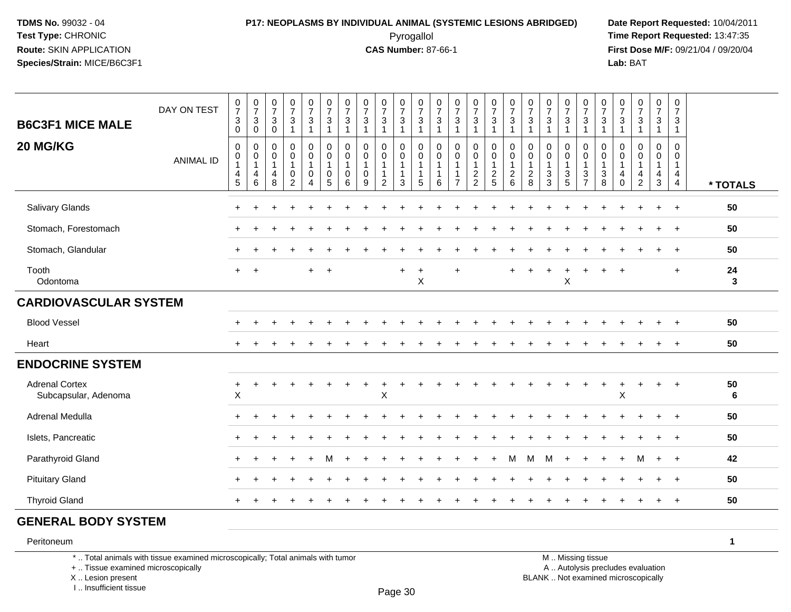## **P17: NEOPLASMS BY INDIVIDUAL ANIMAL (SYSTEMIC LESIONS ABRIDGED) Date Report Requested:** 10/04/2011

 Pyrogallol **Time Report Requested:** 13:47:35 **First Dose M/F:** 09/21/04 / 09/20/04<br>Lab: BAT **Lab:** BAT

| <b>B6C3F1 MICE MALE</b><br>20 MG/KG           | DAY ON TEST      | $\begin{smallmatrix}0\\7\end{smallmatrix}$<br>$\sqrt{3}$<br>$\mathbf 0$<br>$\mathbf 0$ | $\frac{0}{7}$<br>$\mathbf{3}$<br>$\mathbf 0$<br>0 | $\frac{0}{7}$<br>$\sqrt{3}$<br>$\mathbf 0$<br>$\mathbf 0$ | $\frac{0}{7}$<br>$\mathbf{3}$<br>$\mathbf{1}$<br>0 | $\begin{smallmatrix}0\\7\end{smallmatrix}$<br>$\mathbf{3}$<br>$\mathbf{1}$<br>0 | $\frac{0}{7}$<br>$\sqrt{3}$<br>$\mathbf{1}$<br>$\mathbf 0$ | $\frac{0}{7}$<br>3<br>$\overline{1}$<br>$\mathbf 0$ | $\frac{0}{7}$<br>$\mathbf 3$<br>$\overline{1}$<br>$\mathbf 0$ | $\frac{0}{7}$<br>$\mathbf{3}$<br>$\mathbf{1}$<br>0 | $\frac{0}{7}$<br>$\sqrt{3}$<br>$\mathbf{1}$<br>$\mathbf 0$  | $\begin{array}{c} 0 \\ 7 \end{array}$<br>$\ensuremath{\mathsf{3}}$<br>$\mathbf{1}$<br>$\mathbf 0$ | $\frac{0}{7}$<br>$\sqrt{3}$<br>$\overline{1}$<br>$\mathbf 0$ | $\frac{0}{7}$<br>$\sqrt{3}$<br>$\overline{1}$<br>$\mathbf 0$  | $\frac{0}{7}$<br>$\ensuremath{\mathsf{3}}$<br>1<br>$\mathbf 0$ | $\frac{0}{7}$<br>$\ensuremath{\mathsf{3}}$<br>$\mathbf{1}$<br>0 | $\frac{0}{7}$<br>$\ensuremath{\mathsf{3}}$<br>$\mathbf{1}$<br>$\mathbf 0$ | $\frac{0}{7}$<br>$\ensuremath{\mathsf{3}}$<br>$\overline{1}$<br>0 | $\frac{0}{7}$<br>$\sqrt{3}$<br>$\overline{1}$<br>$\mathbf 0$  | $\frac{0}{7}$<br>$\sqrt{3}$<br>1<br>0                                      | $\frac{0}{7}$<br>$\sqrt{3}$<br>$\overline{1}$<br>0 | $\frac{0}{7}$<br>$\ensuremath{\mathsf{3}}$<br>$\mathbf{1}$<br>$\mathbf 0$ | $\frac{0}{7}$<br>$\sqrt{3}$<br>$\overline{1}$<br>$\Omega$ | $\frac{0}{7}$<br>$\ensuremath{\mathsf{3}}$<br>$\mathbf{1}$<br>$\Omega$ | $\frac{0}{7}$<br>3<br>1<br>0 | 0<br>$\overline{7}$<br>$\mathbf{3}$<br>$\mathbf{1}$<br>0               |                       |
|-----------------------------------------------|------------------|----------------------------------------------------------------------------------------|---------------------------------------------------|-----------------------------------------------------------|----------------------------------------------------|---------------------------------------------------------------------------------|------------------------------------------------------------|-----------------------------------------------------|---------------------------------------------------------------|----------------------------------------------------|-------------------------------------------------------------|---------------------------------------------------------------------------------------------------|--------------------------------------------------------------|---------------------------------------------------------------|----------------------------------------------------------------|-----------------------------------------------------------------|---------------------------------------------------------------------------|-------------------------------------------------------------------|---------------------------------------------------------------|----------------------------------------------------------------------------|----------------------------------------------------|---------------------------------------------------------------------------|-----------------------------------------------------------|------------------------------------------------------------------------|------------------------------|------------------------------------------------------------------------|-----------------------|
|                                               | <b>ANIMAL ID</b> | $\pmb{0}$<br>$\mathbf{1}$<br>$\overline{4}$<br>$\sqrt{5}$                              | 0<br>$\mathbf{1}$<br>4<br>6                       | $\mathbf 0$<br>$\mathbf{1}$<br>4<br>8                     | 0<br>$\mathbf{1}$<br>0<br>$\overline{2}$           | $\mathbf 0$<br>$\mathbf{1}$<br>0<br>$\overline{4}$                              | $\mathbf 0$<br>$\mathbf{1}$<br>0<br>$\overline{5}$         | $\Omega$<br>$\overline{1}$<br>0<br>6                | $\mathbf 0$<br>$\mathbf{1}$<br>$\mathbf 0$<br>9               | $\mathbf 0$<br>$\mathbf 1$<br>1<br>$\overline{c}$  | $\mathbf 0$<br>$\mathbf{1}$<br>$\mathbf{1}$<br>$\mathbf{3}$ | 0<br>1<br>1<br>5                                                                                  | $\mathbf 0$<br>-1<br>$\overline{1}$<br>6                     | $\mathbf 0$<br>$\mathbf{1}$<br>$\mathbf{1}$<br>$\overline{7}$ | 0<br>1<br>$\frac{2}{2}$                                        | $\mathbf 0$<br>$\mathbf{1}$<br>$\frac{2}{5}$                    | $\pmb{0}$<br>1<br>$\begin{array}{c} 2 \\ 6 \end{array}$                   | $\mathbf 0$<br>$\mathbf{1}$<br>$_{\rm 8}^2$                       | $\mathbf 0$<br>$\mathbf{1}$<br>$\mathbf{3}$<br>$\overline{3}$ | $\mathbf 0$<br>$\mathbf{1}$<br>$\ensuremath{\mathsf{3}}$<br>$\overline{5}$ | $\pmb{0}$<br>$\mathbf{1}$<br>$\frac{3}{7}$         | $\pmb{0}$<br>$\mathbf 1$<br>$\ensuremath{\mathsf{3}}$<br>$\overline{8}$   | 0<br>$\overline{\mathbf{1}}$<br>4<br>$\pmb{0}$            | 0<br>$\mathbf{1}$<br>4<br>$\overline{2}$                               | $\mathbf 0$<br>1<br>4<br>3   | $\pmb{0}$<br>$\mathbf{1}$<br>$\overline{4}$<br>$\overline{\mathbf{4}}$ | * TOTALS              |
| Salivary Glands                               |                  |                                                                                        |                                                   |                                                           |                                                    |                                                                                 |                                                            |                                                     |                                                               |                                                    |                                                             |                                                                                                   |                                                              |                                                               |                                                                |                                                                 |                                                                           |                                                                   |                                                               |                                                                            |                                                    |                                                                           |                                                           |                                                                        |                              | $\ddot{}$                                                              | 50                    |
| Stomach, Forestomach                          |                  |                                                                                        |                                                   |                                                           |                                                    |                                                                                 |                                                            |                                                     |                                                               |                                                    |                                                             |                                                                                                   |                                                              |                                                               |                                                                |                                                                 |                                                                           |                                                                   |                                                               |                                                                            |                                                    |                                                                           |                                                           |                                                                        | $\ddot{}$                    | $+$                                                                    | 50                    |
| Stomach, Glandular                            |                  |                                                                                        |                                                   |                                                           |                                                    |                                                                                 |                                                            |                                                     |                                                               |                                                    |                                                             |                                                                                                   |                                                              |                                                               |                                                                |                                                                 |                                                                           |                                                                   |                                                               |                                                                            |                                                    |                                                                           |                                                           |                                                                        |                              | $\ddot{}$                                                              | 50                    |
| Tooth<br>Odontoma                             |                  | $+$                                                                                    | $+$                                               |                                                           |                                                    | $+$                                                                             | $^{+}$                                                     |                                                     |                                                               |                                                    | $+$                                                         | $\overline{+}$<br>$\mathsf X$                                                                     |                                                              | $\ddot{}$                                                     |                                                                |                                                                 | $\ddot{}$                                                                 |                                                                   |                                                               | ÷<br>X                                                                     |                                                    | $\div$                                                                    |                                                           |                                                                        |                              | $\ddot{}$                                                              | 24<br>3               |
| <b>CARDIOVASCULAR SYSTEM</b>                  |                  |                                                                                        |                                                   |                                                           |                                                    |                                                                                 |                                                            |                                                     |                                                               |                                                    |                                                             |                                                                                                   |                                                              |                                                               |                                                                |                                                                 |                                                                           |                                                                   |                                                               |                                                                            |                                                    |                                                                           |                                                           |                                                                        |                              |                                                                        |                       |
| <b>Blood Vessel</b>                           |                  |                                                                                        |                                                   |                                                           |                                                    |                                                                                 |                                                            |                                                     |                                                               |                                                    |                                                             |                                                                                                   |                                                              |                                                               |                                                                |                                                                 |                                                                           |                                                                   |                                                               |                                                                            |                                                    |                                                                           |                                                           |                                                                        |                              |                                                                        | 50                    |
| Heart                                         |                  |                                                                                        |                                                   |                                                           |                                                    |                                                                                 |                                                            |                                                     |                                                               |                                                    |                                                             |                                                                                                   |                                                              |                                                               |                                                                |                                                                 |                                                                           |                                                                   |                                                               |                                                                            |                                                    |                                                                           |                                                           |                                                                        |                              |                                                                        | 50                    |
| <b>ENDOCRINE SYSTEM</b>                       |                  |                                                                                        |                                                   |                                                           |                                                    |                                                                                 |                                                            |                                                     |                                                               |                                                    |                                                             |                                                                                                   |                                                              |                                                               |                                                                |                                                                 |                                                                           |                                                                   |                                                               |                                                                            |                                                    |                                                                           |                                                           |                                                                        |                              |                                                                        |                       |
| <b>Adrenal Cortex</b><br>Subcapsular, Adenoma |                  | $\ddot{}$<br>$\mathsf X$                                                               | $\ddot{}$                                         |                                                           |                                                    |                                                                                 |                                                            |                                                     |                                                               | Χ                                                  |                                                             |                                                                                                   |                                                              |                                                               |                                                                |                                                                 |                                                                           |                                                                   |                                                               |                                                                            |                                                    | $\ddot{}$                                                                 | X                                                         |                                                                        | $\div$                       |                                                                        | 50<br>$6\phantom{1}6$ |
| Adrenal Medulla                               |                  |                                                                                        |                                                   |                                                           |                                                    |                                                                                 |                                                            |                                                     |                                                               |                                                    |                                                             |                                                                                                   |                                                              |                                                               |                                                                |                                                                 |                                                                           |                                                                   |                                                               |                                                                            |                                                    |                                                                           |                                                           |                                                                        |                              |                                                                        | 50                    |
| Islets, Pancreatic                            |                  |                                                                                        |                                                   |                                                           |                                                    |                                                                                 |                                                            |                                                     |                                                               |                                                    |                                                             |                                                                                                   |                                                              |                                                               |                                                                |                                                                 |                                                                           |                                                                   |                                                               |                                                                            |                                                    |                                                                           |                                                           |                                                                        |                              | $\overline{ }$                                                         | 50                    |
| Parathyroid Gland                             |                  |                                                                                        |                                                   |                                                           |                                                    |                                                                                 | м                                                          |                                                     |                                                               |                                                    |                                                             |                                                                                                   |                                                              |                                                               |                                                                |                                                                 | м                                                                         | М                                                                 | м                                                             | $\overline{1}$                                                             |                                                    |                                                                           |                                                           | м                                                                      | $\ddot{}$                    | $\ddot{}$                                                              | 42                    |
| <b>Pituitary Gland</b>                        |                  |                                                                                        |                                                   |                                                           |                                                    |                                                                                 |                                                            |                                                     |                                                               |                                                    |                                                             |                                                                                                   |                                                              |                                                               |                                                                |                                                                 |                                                                           |                                                                   |                                                               |                                                                            |                                                    |                                                                           |                                                           |                                                                        |                              |                                                                        | 50                    |
| <b>Thyroid Gland</b>                          |                  |                                                                                        |                                                   |                                                           |                                                    |                                                                                 |                                                            |                                                     |                                                               |                                                    |                                                             |                                                                                                   |                                                              |                                                               |                                                                |                                                                 |                                                                           |                                                                   |                                                               |                                                                            |                                                    |                                                                           |                                                           |                                                                        | $\div$                       | $\ddot{}$                                                              | 50                    |
| <b>GENERAL BODY SYSTEM</b>                    |                  |                                                                                        |                                                   |                                                           |                                                    |                                                                                 |                                                            |                                                     |                                                               |                                                    |                                                             |                                                                                                   |                                                              |                                                               |                                                                |                                                                 |                                                                           |                                                                   |                                                               |                                                                            |                                                    |                                                                           |                                                           |                                                                        |                              |                                                                        |                       |
| Peritoneum                                    |                  |                                                                                        |                                                   |                                                           |                                                    |                                                                                 |                                                            |                                                     |                                                               |                                                    |                                                             |                                                                                                   |                                                              |                                                               |                                                                |                                                                 |                                                                           |                                                                   |                                                               |                                                                            |                                                    |                                                                           |                                                           |                                                                        |                              |                                                                        | $\mathbf{1}$          |

#### Peritoneum

\* .. Total animals with tissue examined microscopically; Total animals with tumor

+ .. Tissue examined microscopically

 Lesion present BLANK .. Not examined microscopicallyX .. Lesion present

I .. Insufficient tissue

 M .. Missing tissuey the contract of the contract of the contract of the contract of the contract of  $\mathsf A$  . Autolysis precludes evaluation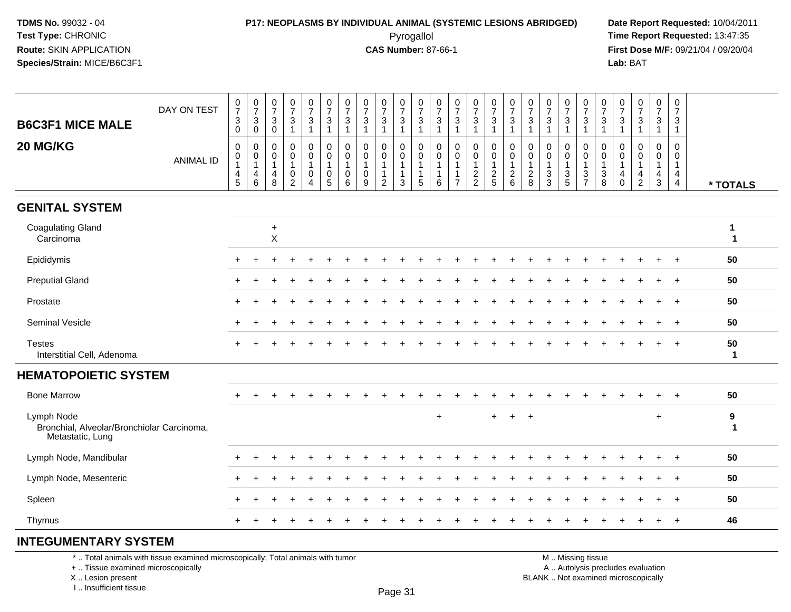### **P17: NEOPLASMS BY INDIVIDUAL ANIMAL (SYSTEMIC LESIONS ABRIDGED) Date Report Requested:** 10/04/2011

 Pyrogallol **Time Report Requested:** 13:47:35 **First Dose M/F:** 09/21/04 / 09/20/04<br>Lab: BAT **Lab:** BAT

| <b>B6C3F1 MICE MALE</b>                                                                                               | DAY ON TEST      | $\frac{0}{7}$<br>$\ensuremath{\mathsf{3}}$<br>$\pmb{0}$ | $\frac{0}{7}$<br>$\mathsf 3$<br>$\mathbf 0$              | $\frac{0}{7}$<br>3<br>$\mathbf 0$                      | $\frac{0}{7}$<br>$\ensuremath{\mathsf{3}}$<br>$\mathbf{1}$               | $\frac{0}{7}$<br>3<br>$\mathbf{1}$                              | $\frac{0}{7}$<br>$\mathbf{3}$<br>$\mathbf{1}$      | $\frac{0}{7}$<br>3<br>$\mathbf{1}$                | 0<br>$\overline{7}$<br>$\ensuremath{\mathsf{3}}$<br>$\overline{1}$ | $\frac{0}{7}$<br>$\ensuremath{\mathsf{3}}$<br>$\overline{1}$                 | 0<br>$\overline{7}$<br>$\sqrt{3}$<br>$\overline{1}$   | $\frac{0}{7}$<br>$\mathsf 3$<br>$\overline{1}$                    | 0<br>$\overline{7}$<br>$\ensuremath{\mathsf{3}}$<br>$\mathbf 1$ | $\frac{0}{7}$<br>$\sqrt{3}$<br>$\mathbf{1}$                     | $\frac{0}{7}$<br>$\ensuremath{\mathsf{3}}$<br>$\mathbf{1}$ | 0<br>$\overline{7}$<br>$\ensuremath{\mathsf{3}}$<br>$\mathbf{1}$ | $\frac{0}{7}$<br>$\mathbf{3}$<br>$\overline{1}$                                   | 0<br>$\overline{7}$<br>$\mathbf{3}$<br>$\mathbf{1}$                  | 0<br>$\overline{7}$<br>$\ensuremath{\mathsf{3}}$<br>$\mathbf{1}$         | 0<br>$\overline{7}$<br>$\mathbf{3}$<br>1 | 0<br>$\overline{7}$<br>$\mathsf 3$<br>$\mathbf{1}$                         | $\boldsymbol{0}$<br>$\overline{7}$<br>$\sqrt{3}$<br>$\mathbf 1$ | 0<br>$\overline{7}$<br>$\mathbf{3}$<br>$\overline{1}$ | $\frac{0}{7}$<br>$\ensuremath{\mathsf{3}}$<br>$\mathbf{1}$     | 0<br>$\overline{7}$<br>$\mathbf{3}$<br>$\mathbf{1}$  | $\mathbf 0$<br>$\overline{7}$<br>$\sqrt{3}$<br>$\mathbf{1}$          |                              |
|-----------------------------------------------------------------------------------------------------------------------|------------------|---------------------------------------------------------|----------------------------------------------------------|--------------------------------------------------------|--------------------------------------------------------------------------|-----------------------------------------------------------------|----------------------------------------------------|---------------------------------------------------|--------------------------------------------------------------------|------------------------------------------------------------------------------|-------------------------------------------------------|-------------------------------------------------------------------|-----------------------------------------------------------------|-----------------------------------------------------------------|------------------------------------------------------------|------------------------------------------------------------------|-----------------------------------------------------------------------------------|----------------------------------------------------------------------|--------------------------------------------------------------------------|------------------------------------------|----------------------------------------------------------------------------|-----------------------------------------------------------------|-------------------------------------------------------|----------------------------------------------------------------|------------------------------------------------------|----------------------------------------------------------------------|------------------------------|
| 20 MG/KG                                                                                                              | <b>ANIMAL ID</b> | 0<br>$\pmb{0}$<br>$\mathbf{1}$<br>$\overline{4}$<br>5   | $\pmb{0}$<br>$\mathbf 0$<br>$\mathbf{1}$<br>4<br>$\,6\,$ | $\mathbf 0$<br>$\mathbf 0$<br>$\overline{1}$<br>4<br>8 | $\mathbf 0$<br>$\Omega$<br>$\mathbf{1}$<br>$\mathbf 0$<br>$\overline{c}$ | 0<br>$\mathbf 0$<br>$\mathbf{1}$<br>$\pmb{0}$<br>$\overline{4}$ | 0<br>$\mathbf 0$<br>$\mathbf{1}$<br>$\pmb{0}$<br>5 | $\mathbf 0$<br>$\Omega$<br>$\mathbf{1}$<br>0<br>6 | $\mathbf 0$<br>$\Omega$<br>-1<br>0<br>$9\,$                        | $\mathbf 0$<br>$\mathbf 0$<br>$\mathbf{1}$<br>$\mathbf{1}$<br>$\overline{2}$ | 0<br>$\Omega$<br>$\overline{1}$<br>-1<br>$\mathbf{3}$ | $\mathbf 0$<br>$\mathbf 0$<br>$\mathbf{1}$<br>$\overline{1}$<br>5 | $\mathbf 0$<br>$\Omega$<br>1<br>$\mathbf{1}$<br>6               | $\mathbf 0$<br>$\Omega$<br>-1<br>$\mathbf{1}$<br>$\overline{7}$ | $\mathbf 0$<br>$\mathbf 0$<br>1<br>$\frac{2}{2}$           | 0<br>$\Omega$<br>$\mathbf{1}$<br>$\frac{2}{5}$                   | $\mathbf 0$<br>$\mathbf 0$<br>$\overline{1}$<br>$\overline{c}$<br>$6\phantom{1}6$ | $\mathbf 0$<br>$\mathbf{0}$<br>$\overline{1}$<br>$\overline{2}$<br>8 | $\mathbf 0$<br>$\Omega$<br>-1<br>$\ensuremath{\mathsf{3}}$<br>$\sqrt{3}$ | 0<br>$\mathbf 0$<br>1<br>3<br>$\sqrt{5}$ | $\mathbf 0$<br>$\mathbf 0$<br>$\mathbf{1}$<br>$\sqrt{3}$<br>$\overline{7}$ | $\mathbf 0$<br>$\Omega$<br>1<br>$\sqrt{3}$<br>8                 | $\mathbf 0$<br>$\Omega$<br>-1<br>4<br>$\mathbf 0$     | $\mathbf 0$<br>$\Omega$<br>$\mathbf{1}$<br>4<br>$\overline{2}$ | $\mathbf 0$<br>$\mathbf 0$<br>$\mathbf{1}$<br>4<br>3 | 0<br>$\mathbf 0$<br>$\mathbf{1}$<br>$\overline{4}$<br>$\overline{4}$ | * TOTALS                     |
| <b>GENITAL SYSTEM</b>                                                                                                 |                  |                                                         |                                                          |                                                        |                                                                          |                                                                 |                                                    |                                                   |                                                                    |                                                                              |                                                       |                                                                   |                                                                 |                                                                 |                                                            |                                                                  |                                                                                   |                                                                      |                                                                          |                                          |                                                                            |                                                                 |                                                       |                                                                |                                                      |                                                                      |                              |
| <b>Coagulating Gland</b><br>Carcinoma                                                                                 |                  |                                                         |                                                          | $\ddot{}$<br>$\mathsf X$                               |                                                                          |                                                                 |                                                    |                                                   |                                                                    |                                                                              |                                                       |                                                                   |                                                                 |                                                                 |                                                            |                                                                  |                                                                                   |                                                                      |                                                                          |                                          |                                                                            |                                                                 |                                                       |                                                                |                                                      |                                                                      | $\mathbf{1}$<br>$\mathbf{1}$ |
| Epididymis                                                                                                            |                  |                                                         |                                                          |                                                        |                                                                          |                                                                 |                                                    |                                                   |                                                                    |                                                                              |                                                       |                                                                   |                                                                 |                                                                 |                                                            |                                                                  |                                                                                   |                                                                      |                                                                          |                                          |                                                                            |                                                                 |                                                       |                                                                |                                                      |                                                                      | 50                           |
| <b>Preputial Gland</b>                                                                                                |                  |                                                         |                                                          |                                                        |                                                                          |                                                                 |                                                    |                                                   |                                                                    |                                                                              |                                                       |                                                                   |                                                                 |                                                                 |                                                            |                                                                  |                                                                                   |                                                                      |                                                                          |                                          |                                                                            |                                                                 |                                                       |                                                                |                                                      |                                                                      | 50                           |
| Prostate                                                                                                              |                  |                                                         |                                                          |                                                        |                                                                          |                                                                 |                                                    |                                                   |                                                                    |                                                                              |                                                       |                                                                   |                                                                 |                                                                 |                                                            |                                                                  |                                                                                   |                                                                      |                                                                          |                                          |                                                                            |                                                                 |                                                       |                                                                |                                                      | $\overline{ }$                                                       | 50                           |
| <b>Seminal Vesicle</b>                                                                                                |                  |                                                         |                                                          |                                                        |                                                                          |                                                                 |                                                    |                                                   |                                                                    |                                                                              |                                                       |                                                                   |                                                                 |                                                                 |                                                            |                                                                  |                                                                                   |                                                                      |                                                                          |                                          |                                                                            |                                                                 |                                                       |                                                                |                                                      |                                                                      | 50                           |
| <b>Testes</b><br>Interstitial Cell, Adenoma                                                                           |                  |                                                         |                                                          |                                                        |                                                                          |                                                                 |                                                    |                                                   |                                                                    |                                                                              |                                                       |                                                                   |                                                                 |                                                                 |                                                            |                                                                  |                                                                                   |                                                                      |                                                                          |                                          |                                                                            |                                                                 |                                                       |                                                                |                                                      |                                                                      | 50<br>1                      |
| <b>HEMATOPOIETIC SYSTEM</b>                                                                                           |                  |                                                         |                                                          |                                                        |                                                                          |                                                                 |                                                    |                                                   |                                                                    |                                                                              |                                                       |                                                                   |                                                                 |                                                                 |                                                            |                                                                  |                                                                                   |                                                                      |                                                                          |                                          |                                                                            |                                                                 |                                                       |                                                                |                                                      |                                                                      |                              |
| <b>Bone Marrow</b>                                                                                                    |                  |                                                         |                                                          |                                                        |                                                                          |                                                                 |                                                    |                                                   |                                                                    |                                                                              |                                                       |                                                                   |                                                                 |                                                                 |                                                            |                                                                  |                                                                                   |                                                                      |                                                                          |                                          |                                                                            |                                                                 |                                                       |                                                                |                                                      |                                                                      | 50                           |
| Lymph Node<br>Bronchial, Alveolar/Bronchiolar Carcinoma,<br>Metastatic, Lung                                          |                  |                                                         |                                                          |                                                        |                                                                          |                                                                 |                                                    |                                                   |                                                                    |                                                                              |                                                       |                                                                   | $\ddot{}$                                                       |                                                                 |                                                            | $+$                                                              | $+$                                                                               | $+$                                                                  |                                                                          |                                          |                                                                            |                                                                 |                                                       |                                                                | $\ddot{}$                                            |                                                                      | 9<br>$\mathbf 1$             |
| Lymph Node, Mandibular                                                                                                |                  |                                                         |                                                          |                                                        |                                                                          |                                                                 |                                                    |                                                   |                                                                    |                                                                              |                                                       |                                                                   |                                                                 |                                                                 |                                                            |                                                                  |                                                                                   |                                                                      |                                                                          |                                          |                                                                            |                                                                 |                                                       |                                                                |                                                      |                                                                      | 50                           |
| Lymph Node, Mesenteric                                                                                                |                  |                                                         |                                                          |                                                        |                                                                          |                                                                 |                                                    |                                                   |                                                                    |                                                                              |                                                       |                                                                   |                                                                 |                                                                 |                                                            |                                                                  |                                                                                   |                                                                      |                                                                          |                                          |                                                                            |                                                                 |                                                       |                                                                |                                                      |                                                                      | 50                           |
| Spleen                                                                                                                |                  |                                                         |                                                          |                                                        |                                                                          |                                                                 |                                                    |                                                   |                                                                    |                                                                              |                                                       |                                                                   |                                                                 |                                                                 |                                                            |                                                                  |                                                                                   |                                                                      |                                                                          |                                          |                                                                            |                                                                 |                                                       |                                                                |                                                      |                                                                      | 50                           |
| Thymus                                                                                                                |                  |                                                         |                                                          |                                                        |                                                                          |                                                                 |                                                    |                                                   |                                                                    |                                                                              |                                                       |                                                                   |                                                                 |                                                                 |                                                            |                                                                  |                                                                                   |                                                                      |                                                                          |                                          |                                                                            |                                                                 |                                                       |                                                                | $\ddot{}$                                            | $+$                                                                  | 46                           |
| <b>INTEGUMENTARY SYSTEM</b>                                                                                           |                  |                                                         |                                                          |                                                        |                                                                          |                                                                 |                                                    |                                                   |                                                                    |                                                                              |                                                       |                                                                   |                                                                 |                                                                 |                                                            |                                                                  |                                                                                   |                                                                      |                                                                          |                                          |                                                                            |                                                                 |                                                       |                                                                |                                                      |                                                                      |                              |
| *  Total animals with tissue examined microscopically; Total animals with tumor<br>+  Tissue examined microscopically |                  |                                                         |                                                          |                                                        |                                                                          |                                                                 |                                                    |                                                   |                                                                    |                                                                              |                                                       |                                                                   |                                                                 |                                                                 |                                                            |                                                                  |                                                                                   |                                                                      |                                                                          |                                          | M  Missing tissue                                                          |                                                                 |                                                       | A  Autolysis precludes evaluation                              |                                                      |                                                                      |                              |

 Lesion present BLANK .. Not examined microscopicallyX .. Lesion present

I .. Insufficient tissue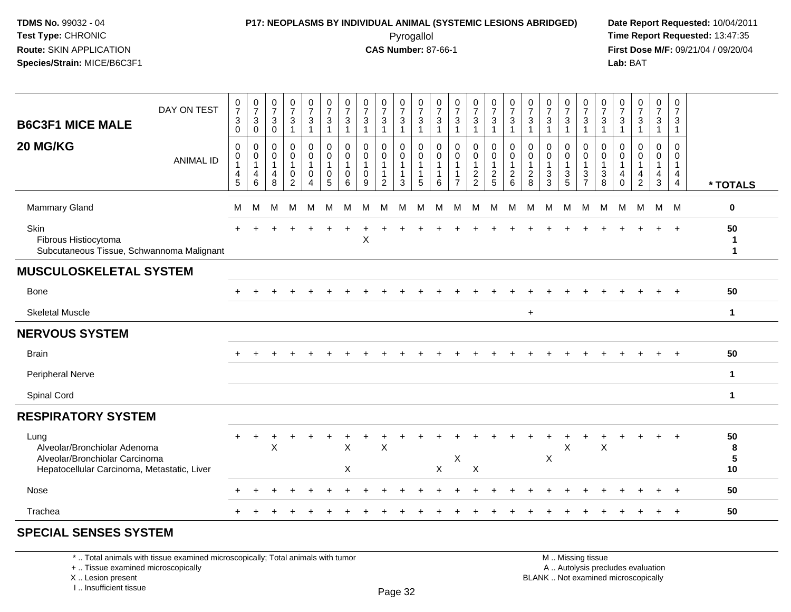## **P17: NEOPLASMS BY INDIVIDUAL ANIMAL (SYSTEMIC LESIONS ABRIDGED) Date Report Requested:** 10/04/2011

 Pyrogallol **Time Report Requested:** 13:47:35 **First Dose M/F:** 09/21/04 / 09/20/04<br>Lab: BAT **Lab:** BAT

| DAY ON TEST<br><b>B6C3F1 MICE MALE</b>                                                                                | 0<br>$\overline{7}$<br>3<br>$\mathbf 0$ | $\frac{0}{7}$<br>$\ensuremath{\mathsf{3}}$<br>$\mathbf 0$ | $\begin{array}{c} 0 \\ 7 \end{array}$<br>$\sqrt{3}$<br>0 | $\frac{0}{7}$<br>$\sqrt{3}$<br>$\overline{\mathbf{1}}$                    | $\frac{0}{7}$<br>$\mathbf{3}$<br>$\overline{1}$                                     | 0<br>$\overline{7}$<br>3<br>$\mathbf{1}$ | $\frac{0}{7}$<br>$\sqrt{3}$<br>$\overline{1}$ | $\frac{0}{7}$<br>$\ensuremath{\mathsf{3}}$ | 0<br>$\overline{7}$<br>$\mathbf 3$<br>$\overline{\mathbf{1}}$ | $\frac{0}{7}$<br>$\mathbf{3}$<br>$\mathbf{1}$                       | 0<br>$\overline{7}$<br>3<br>$\mathbf 1$ | $\frac{0}{7}$<br>$\sqrt{3}$<br>$\mathbf{1}$ | $\frac{0}{7}$<br>$\sqrt{3}$ | $\frac{0}{7}$<br>$\sqrt{3}$<br>$\overline{\mathbf{1}}$ | $\frac{0}{7}$<br>$\mathbf{3}$<br>$\overline{1}$               | 0<br>$\overline{7}$<br>3<br>1      | $\frac{0}{7}$<br>$\ensuremath{\mathsf{3}}$<br>$\overline{1}$ | $\frac{0}{7}$<br>$\sqrt{3}$         | 0<br>$\overline{7}$<br>$\mathbf 3$<br>$\overline{\mathbf{1}}$ | $\frac{0}{7}$<br>$\mathbf 3$<br>$\mathbf{1}$                                   | 0<br>$\overline{7}$<br>3<br>1 | $\frac{0}{7}$<br>$\mathbf{3}$<br>$\overline{1}$ | $\frac{0}{7}$<br>$\sqrt{3}$ | $\mathbf 0$<br>$\overline{7}$<br>$\mathbf{3}$<br>$\overline{1}$ | 0<br>$\overline{7}$<br>$\mathbf{3}$<br>$\mathbf{1}$                  |                                  |
|-----------------------------------------------------------------------------------------------------------------------|-----------------------------------------|-----------------------------------------------------------|----------------------------------------------------------|---------------------------------------------------------------------------|-------------------------------------------------------------------------------------|------------------------------------------|-----------------------------------------------|--------------------------------------------|---------------------------------------------------------------|---------------------------------------------------------------------|-----------------------------------------|---------------------------------------------|-----------------------------|--------------------------------------------------------|---------------------------------------------------------------|------------------------------------|--------------------------------------------------------------|-------------------------------------|---------------------------------------------------------------|--------------------------------------------------------------------------------|-------------------------------|-------------------------------------------------|-----------------------------|-----------------------------------------------------------------|----------------------------------------------------------------------|----------------------------------|
| 20 MG/KG<br><b>ANIMAL ID</b>                                                                                          | 0<br>0<br>$\mathbf 1$<br>4<br>5         | 0<br>0<br>$\mathbf{1}$<br>$\overline{4}$<br>6             | 0<br>0<br>1<br>$\overline{4}$<br>8                       | $\pmb{0}$<br>$\pmb{0}$<br>$\overline{1}$<br>$\mathbf 0$<br>$\overline{2}$ | $\mathbf 0$<br>$\mathbf 0$<br>$\mathbf{1}$<br>$\mathbf 0$<br>$\boldsymbol{\Lambda}$ | $\mathbf 0$<br>0<br>1<br>0<br>5          | 0<br>0<br>$\overline{1}$<br>$\mathbf 0$<br>6  | $\mathbf 0$<br>0<br>$\mathbf 0$<br>9       | 0<br>$\mathbf 0$<br>-1<br>$\overline{1}$<br>2                 | $\mathbf 0$<br>$\mathbf 0$<br>$\overline{1}$<br>$\overline{1}$<br>3 | 0<br>0<br>1<br>1<br>5                   | 0<br>0<br>$\mathbf{1}$<br>1<br>6            | 0<br>0<br>1<br>7            | 0<br>$\mathbf 0$<br>$\overline{1}$<br>$\frac{2}{2}$    | $\mathbf 0$<br>$\mathbf 0$<br>$\overline{1}$<br>$\frac{2}{5}$ | 0<br>0<br>1<br>$\overline{2}$<br>6 | $\Omega$<br>0<br>$\mathbf{1}$<br>$\frac{2}{8}$               | $\mathbf 0$<br>0<br>$\sqrt{3}$<br>3 | 0<br>$\boldsymbol{0}$<br>$\overline{1}$<br>$\frac{3}{5}$      | $\mathbf 0$<br>$\mathbf 0$<br>$\overline{1}$<br>$\mathbf{3}$<br>$\overline{7}$ | 0<br>0<br>1<br>3<br>8         | 0<br>0<br>$\mathbf{1}$<br>4<br>$\Omega$         | $\mathbf 0$<br>0<br>4<br>2  | 0<br>0<br>$\mathbf{1}$<br>$\overline{4}$<br>3                   | $\mathbf 0$<br>0<br>$\mathbf{1}$<br>$\overline{4}$<br>$\overline{4}$ | * TOTALS                         |
| <b>Mammary Gland</b>                                                                                                  | M                                       | м                                                         | м                                                        | М                                                                         | м                                                                                   | м                                        | м                                             | м                                          | м                                                             | м                                                                   | М                                       | м                                           | м                           | М                                                      | м                                                             | M                                  | м                                                            | M                                   | M                                                             | M                                                                              | M                             | м                                               | M                           | M                                                               | M                                                                    | 0                                |
| Skin<br>Fibrous Histiocytoma<br>Subcutaneous Tissue, Schwannoma Malignant                                             |                                         |                                                           |                                                          |                                                                           |                                                                                     |                                          |                                               | X                                          |                                                               |                                                                     |                                         |                                             |                             |                                                        |                                                               |                                    |                                                              |                                     |                                                               |                                                                                |                               |                                                 |                             |                                                                 | $\overline{+}$                                                       | 50<br>1<br>$\mathbf{1}$          |
| <b>MUSCULOSKELETAL SYSTEM</b>                                                                                         |                                         |                                                           |                                                          |                                                                           |                                                                                     |                                          |                                               |                                            |                                                               |                                                                     |                                         |                                             |                             |                                                        |                                                               |                                    |                                                              |                                     |                                                               |                                                                                |                               |                                                 |                             |                                                                 |                                                                      |                                  |
| Bone                                                                                                                  |                                         |                                                           |                                                          |                                                                           |                                                                                     |                                          |                                               |                                            |                                                               |                                                                     |                                         |                                             |                             |                                                        |                                                               |                                    |                                                              |                                     |                                                               |                                                                                |                               |                                                 |                             |                                                                 |                                                                      | 50                               |
| <b>Skeletal Muscle</b>                                                                                                |                                         |                                                           |                                                          |                                                                           |                                                                                     |                                          |                                               |                                            |                                                               |                                                                     |                                         |                                             |                             |                                                        |                                                               |                                    | $+$                                                          |                                     |                                                               |                                                                                |                               |                                                 |                             |                                                                 |                                                                      | $\mathbf{1}$                     |
| <b>NERVOUS SYSTEM</b>                                                                                                 |                                         |                                                           |                                                          |                                                                           |                                                                                     |                                          |                                               |                                            |                                                               |                                                                     |                                         |                                             |                             |                                                        |                                                               |                                    |                                                              |                                     |                                                               |                                                                                |                               |                                                 |                             |                                                                 |                                                                      |                                  |
| <b>Brain</b>                                                                                                          |                                         |                                                           |                                                          |                                                                           |                                                                                     |                                          |                                               |                                            |                                                               |                                                                     |                                         |                                             |                             |                                                        |                                                               |                                    |                                                              |                                     |                                                               |                                                                                |                               |                                                 |                             |                                                                 |                                                                      | 50                               |
| Peripheral Nerve                                                                                                      |                                         |                                                           |                                                          |                                                                           |                                                                                     |                                          |                                               |                                            |                                                               |                                                                     |                                         |                                             |                             |                                                        |                                                               |                                    |                                                              |                                     |                                                               |                                                                                |                               |                                                 |                             |                                                                 |                                                                      | 1                                |
| Spinal Cord                                                                                                           |                                         |                                                           |                                                          |                                                                           |                                                                                     |                                          |                                               |                                            |                                                               |                                                                     |                                         |                                             |                             |                                                        |                                                               |                                    |                                                              |                                     |                                                               |                                                                                |                               |                                                 |                             |                                                                 |                                                                      | $\mathbf 1$                      |
| <b>RESPIRATORY SYSTEM</b>                                                                                             |                                         |                                                           |                                                          |                                                                           |                                                                                     |                                          |                                               |                                            |                                                               |                                                                     |                                         |                                             |                             |                                                        |                                                               |                                    |                                                              |                                     |                                                               |                                                                                |                               |                                                 |                             |                                                                 |                                                                      |                                  |
| Lung<br>Alveolar/Bronchiolar Adenoma<br>Alveolar/Bronchiolar Carcinoma<br>Hepatocellular Carcinoma, Metastatic, Liver |                                         |                                                           | X                                                        |                                                                           |                                                                                     |                                          | X<br>X                                        |                                            | $\mathsf X$                                                   |                                                                     |                                         | $\pmb{\times}$                              | X                           | $\mathsf X$                                            |                                                               |                                    |                                                              | X                                   | $\boldsymbol{\mathsf{X}}$                                     |                                                                                | Χ                             |                                                 |                             |                                                                 |                                                                      | 50<br>8<br>$5\phantom{.0}$<br>10 |
| Nose                                                                                                                  |                                         |                                                           |                                                          |                                                                           |                                                                                     |                                          |                                               |                                            |                                                               |                                                                     |                                         |                                             |                             |                                                        |                                                               |                                    |                                                              |                                     |                                                               |                                                                                |                               |                                                 |                             |                                                                 |                                                                      | 50                               |
| Trachea                                                                                                               |                                         |                                                           |                                                          |                                                                           |                                                                                     |                                          |                                               |                                            |                                                               |                                                                     |                                         |                                             |                             |                                                        |                                                               |                                    |                                                              |                                     |                                                               |                                                                                |                               |                                                 |                             |                                                                 | $\ddot{}$                                                            | 50                               |
| <b>SPECIAL SENSES SYSTEM</b>                                                                                          |                                         |                                                           |                                                          |                                                                           |                                                                                     |                                          |                                               |                                            |                                                               |                                                                     |                                         |                                             |                             |                                                        |                                                               |                                    |                                                              |                                     |                                                               |                                                                                |                               |                                                 |                             |                                                                 |                                                                      |                                  |

\* .. Total animals with tissue examined microscopically; Total animals with tumor

+ .. Tissue examined microscopically

 Lesion present BLANK .. Not examined microscopicallyX .. Lesion present

I .. Insufficient tissue

 M .. Missing tissuey the contract of the contract of the contract of the contract of the contract of  $\mathsf A$  . Autolysis precludes evaluation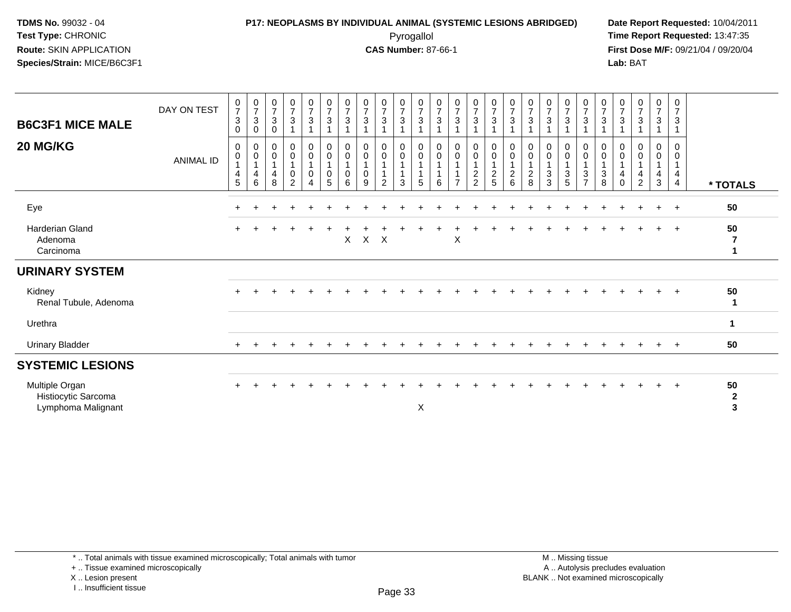# **P17: NEOPLASMS BY INDIVIDUAL ANIMAL (SYSTEMIC LESIONS ABRIDGED) Date Report Requested:** 10/04/2011

 Pyrogallol **Time Report Requested:** 13:47:35 **First Dose M/F:** 09/21/04 / 09/20/04<br>Lab: BAT **Lab:** BAT

| <b>B6C3F1 MICE MALE</b><br>20 MG/KG                         | DAY ON TEST<br>ANIMAL ID | $\frac{0}{7}$<br>$\ensuremath{\mathsf{3}}$<br>0<br>0<br>0<br>4<br>5 | $\begin{array}{c} 0 \\ 7 \\ 3 \end{array}$<br>$\mathbf 0$<br>$\mathbf 0$<br>$\pmb{0}$<br>$\mathbf{1}$<br>$\overline{\mathbf{4}}$<br>6 | $\frac{0}{7}$<br>$\overline{3}$<br>$\pmb{0}$<br>0<br>$\pmb{0}$<br>1<br>$\overline{4}$<br>8 | $\begin{array}{c} 0 \\ 7 \\ 3 \end{array}$<br>$\mathbf 0$<br>$\pmb{0}$<br>$\pmb{0}$<br>$\overline{2}$ | $\begin{array}{c} 0 \\ 7 \end{array}$<br>$\overline{3}$<br>$\overline{1}$<br>$_{\rm 0}^{\rm 0}$<br>$\overline{1}$<br>$\mathbf 0$<br>$\overline{4}$ | $\frac{0}{7}$<br>$\ensuremath{\mathsf{3}}$<br>0<br>$\mathbf 0$<br>0<br>5 | $\begin{array}{c} 0 \\ 7 \\ 3 \end{array}$<br>0<br>$\boldsymbol{0}$<br>$\mathbf 0$<br>6 | $\frac{0}{7}$<br>$\sqrt{3}$<br>0<br>0<br>0<br>9 | $\frac{0}{7}$<br>$\sqrt{3}$<br>0<br>$\mathbf 0$<br>$\overline{2}$ | $\begin{array}{c} 0 \\ 7 \\ 3 \end{array}$<br>$\pmb{0}$<br>$\overline{0}$<br>$\mathbf 1$<br>$\overline{1}$<br>3 | $\frac{0}{7}$<br>$\ensuremath{\mathsf{3}}$<br>$\pmb{0}$<br>$\boldsymbol{0}$<br>$\mathbf 1$<br>5 | $\begin{array}{c} 0 \\ 7 \\ 3 \end{array}$<br>$\mathbf 0$<br>$\mathbf 0$<br>6 | $\begin{array}{c} 0 \\ 7 \\ 3 \end{array}$<br>$_0^0$<br>$\mathbf{1}$<br>$\overline{7}$ | $\begin{array}{c} 0 \\ 7 \\ 3 \end{array}$<br>0<br>0<br>$\frac{2}{2}$ | $\begin{array}{c} 0 \\ 7 \\ 3 \end{array}$<br>$\begin{smallmatrix}0\\0\end{smallmatrix}$<br>$\mathbf{1}$<br>$\frac{2}{5}$ | $\begin{array}{c} 0 \\ 7 \end{array}$<br>$\ensuremath{\mathsf{3}}$<br>0<br>$\mathsf{O}\xspace$<br>$\mathbf 1$<br>$\overline{c}$<br>6 | $\begin{array}{c} 0 \\ 7 \\ 3 \end{array}$<br>0<br>$\pmb{0}$<br>$\mathbf{1}$<br>$\overline{c}$<br>8 | $\frac{0}{7}$<br>$\sqrt{3}$<br>0<br>$\pmb{0}$<br>$\mathbf{1}$<br>3<br>3 | $\begin{array}{c} 0 \\ 7 \\ 3 \end{array}$<br>0<br>$\mathbf 0$<br>3<br>$\overline{5}$ | $\begin{array}{c} 0 \\ 7 \\ 3 \end{array}$<br>0<br>$\,0\,$<br>$\overline{1}$<br>$\sqrt{3}$<br>$\overline{7}$ | $\frac{0}{7}$<br>$\ensuremath{\mathsf{3}}$<br>1<br>0<br>$\boldsymbol{0}$<br>$\mathbf{1}$<br>3<br>8 | $\begin{array}{c} 0 \\ 7 \end{array}$<br>$\ensuremath{\mathsf{3}}$<br>0<br>$\pmb{0}$<br>4<br>$\mathbf 0$ | $\begin{array}{c} 0 \\ 7 \\ 3 \end{array}$<br>$\mathbf 0$<br>$\pmb{0}$<br>4<br>$\overline{2}$ | $\frac{0}{7}$<br>$\mathfrak{S}$<br>0<br>0<br>$\overline{\mathbf{4}}$<br>3 | $\frac{0}{7}$<br>$\mathbf{3}$<br>0<br>0<br>$\overline{1}$<br>$\overline{4}$<br>$\overline{4}$ | * TOTALS                                      |
|-------------------------------------------------------------|--------------------------|---------------------------------------------------------------------|---------------------------------------------------------------------------------------------------------------------------------------|--------------------------------------------------------------------------------------------|-------------------------------------------------------------------------------------------------------|----------------------------------------------------------------------------------------------------------------------------------------------------|--------------------------------------------------------------------------|-----------------------------------------------------------------------------------------|-------------------------------------------------|-------------------------------------------------------------------|-----------------------------------------------------------------------------------------------------------------|-------------------------------------------------------------------------------------------------|-------------------------------------------------------------------------------|----------------------------------------------------------------------------------------|-----------------------------------------------------------------------|---------------------------------------------------------------------------------------------------------------------------|--------------------------------------------------------------------------------------------------------------------------------------|-----------------------------------------------------------------------------------------------------|-------------------------------------------------------------------------|---------------------------------------------------------------------------------------|--------------------------------------------------------------------------------------------------------------|----------------------------------------------------------------------------------------------------|----------------------------------------------------------------------------------------------------------|-----------------------------------------------------------------------------------------------|---------------------------------------------------------------------------|-----------------------------------------------------------------------------------------------|-----------------------------------------------|
| Eye                                                         |                          | ÷                                                                   |                                                                                                                                       |                                                                                            |                                                                                                       |                                                                                                                                                    |                                                                          |                                                                                         |                                                 |                                                                   |                                                                                                                 |                                                                                                 |                                                                               |                                                                                        |                                                                       |                                                                                                                           |                                                                                                                                      |                                                                                                     |                                                                         |                                                                                       |                                                                                                              |                                                                                                    |                                                                                                          |                                                                                               | $\div$                                                                    | $+$                                                                                           | 50                                            |
| Harderian Gland<br>Adenoma<br>Carcinoma                     |                          | ÷                                                                   |                                                                                                                                       |                                                                                            |                                                                                                       |                                                                                                                                                    |                                                                          | X                                                                                       | $\mathsf{X}$                                    | $\mathsf{X}$                                                      |                                                                                                                 |                                                                                                 |                                                                               | X                                                                                      |                                                                       |                                                                                                                           |                                                                                                                                      |                                                                                                     |                                                                         |                                                                                       |                                                                                                              |                                                                                                    |                                                                                                          |                                                                                               |                                                                           | $+$                                                                                           | 50<br>7                                       |
| <b>URINARY SYSTEM</b>                                       |                          |                                                                     |                                                                                                                                       |                                                                                            |                                                                                                       |                                                                                                                                                    |                                                                          |                                                                                         |                                                 |                                                                   |                                                                                                                 |                                                                                                 |                                                                               |                                                                                        |                                                                       |                                                                                                                           |                                                                                                                                      |                                                                                                     |                                                                         |                                                                                       |                                                                                                              |                                                                                                    |                                                                                                          |                                                                                               |                                                                           |                                                                                               |                                               |
| Kidney<br>Renal Tubule, Adenoma                             |                          |                                                                     |                                                                                                                                       |                                                                                            |                                                                                                       |                                                                                                                                                    |                                                                          |                                                                                         |                                                 |                                                                   |                                                                                                                 |                                                                                                 |                                                                               |                                                                                        |                                                                       |                                                                                                                           |                                                                                                                                      |                                                                                                     |                                                                         |                                                                                       |                                                                                                              |                                                                                                    |                                                                                                          |                                                                                               | $+$                                                                       | $+$                                                                                           | 50                                            |
| Urethra                                                     |                          |                                                                     |                                                                                                                                       |                                                                                            |                                                                                                       |                                                                                                                                                    |                                                                          |                                                                                         |                                                 |                                                                   |                                                                                                                 |                                                                                                 |                                                                               |                                                                                        |                                                                       |                                                                                                                           |                                                                                                                                      |                                                                                                     |                                                                         |                                                                                       |                                                                                                              |                                                                                                    |                                                                                                          |                                                                                               |                                                                           |                                                                                               | $\mathbf 1$                                   |
| <b>Urinary Bladder</b>                                      |                          | ÷                                                                   |                                                                                                                                       |                                                                                            |                                                                                                       |                                                                                                                                                    |                                                                          |                                                                                         |                                                 |                                                                   |                                                                                                                 |                                                                                                 |                                                                               |                                                                                        |                                                                       |                                                                                                                           |                                                                                                                                      |                                                                                                     |                                                                         |                                                                                       |                                                                                                              |                                                                                                    |                                                                                                          |                                                                                               | $\pm$                                                                     | $+$                                                                                           | 50                                            |
| <b>SYSTEMIC LESIONS</b>                                     |                          |                                                                     |                                                                                                                                       |                                                                                            |                                                                                                       |                                                                                                                                                    |                                                                          |                                                                                         |                                                 |                                                                   |                                                                                                                 |                                                                                                 |                                                                               |                                                                                        |                                                                       |                                                                                                                           |                                                                                                                                      |                                                                                                     |                                                                         |                                                                                       |                                                                                                              |                                                                                                    |                                                                                                          |                                                                                               |                                                                           |                                                                                               |                                               |
| Multiple Organ<br>Histiocytic Sarcoma<br>Lymphoma Malignant |                          | ÷                                                                   |                                                                                                                                       |                                                                                            |                                                                                                       |                                                                                                                                                    |                                                                          |                                                                                         |                                                 |                                                                   |                                                                                                                 | X                                                                                               |                                                                               |                                                                                        |                                                                       |                                                                                                                           |                                                                                                                                      |                                                                                                     |                                                                         |                                                                                       |                                                                                                              |                                                                                                    |                                                                                                          |                                                                                               | $+$                                                                       | $+$                                                                                           | 50<br>$\mathbf{2}$<br>$\overline{\mathbf{3}}$ |

I .. Insufficient tissue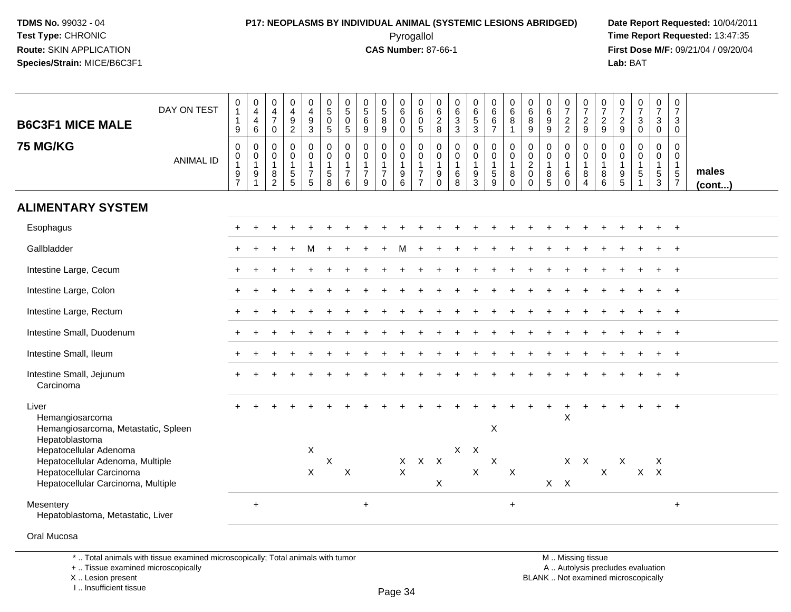# **P17: NEOPLASMS BY INDIVIDUAL ANIMAL (SYSTEMIC LESIONS ABRIDGED) Date Report Requested:** 10/04/2011

 Pyrogallol **Time Report Requested:** 13:47:35 **First Dose M/F:** 09/21/04 / 09/20/04<br>Lab: BAT **Lab:** BAT

| <b>B6C3F1 MICE MALE</b><br><b>75 MG/KG</b>                                                                                   | DAY ON TEST      | 0<br>$\mathbf{1}$<br>$\mathbf{1}$<br>$9\,$<br>$\boldsymbol{0}$    | $\pmb{0}$<br>$\overline{\mathbf{4}}$<br>$\overline{\mathbf{4}}$<br>$6\phantom{1}$<br>$\pmb{0}$ | $\pmb{0}$<br>4<br>$\overline{7}$<br>$\mathbf 0$<br>0 | $\boldsymbol{0}$<br>$\overline{4}$<br>$\frac{9}{2}$<br>$\mathbf 0$ | $\pmb{0}$<br>$\overline{4}$<br>$\frac{9}{3}$<br>$\mathbf 0$ | $\pmb{0}$<br>5<br>$\mathsf{O}$<br>$\overline{5}$<br>0 | $\begin{array}{c} 0 \\ 5 \end{array}$<br>0<br>$\overline{5}$<br>0 | $\begin{array}{c} 0 \\ 5 \end{array}$<br>6<br>9<br>0 | $\begin{smallmatrix}0\0\5\end{smallmatrix}$<br>$\,8\,$<br>$\overline{9}$<br>$\pmb{0}$ | $\begin{array}{c} 0 \\ 6 \end{array}$<br>$\mathbf 0$<br>$\mathbf 0$<br>$\boldsymbol{0}$ | $\pmb{0}$<br>$6\phantom{1}6$<br>$\mathbf 0$<br>$\overline{5}$<br>0 | $\boldsymbol{0}$<br>$\,6$<br>$_{\rm 8}^2$<br>0       | $\begin{array}{c} 0 \\ 6 \end{array}$<br>$\frac{3}{3}$<br>$\mathbf 0$ | 0<br>6<br>5<br>3<br>$\pmb{0}$              | 0<br>6<br>6<br>$\overline{7}$<br>0 | $\begin{array}{c} 0 \\ 6 \end{array}$<br>$\bf8$<br>$\overline{1}$<br>$\mathbf 0$ | $\pmb{0}$<br>$\,6\,$<br>8<br>9<br>$\mathbf 0$ | 0<br>$6\phantom{1}6$<br>$\boldsymbol{9}$<br>9<br>$\mathbf 0$ | $\frac{0}{7}$<br>$\frac{2}{2}$<br>0         | 0<br>$\overline{7}$<br>$\frac{2}{9}$<br>$\mathbf 0$      | $\frac{0}{7}$<br>$\frac{2}{9}$<br>$\mathbf 0$   | $\boldsymbol{0}$<br>$\overline{7}$<br>$\frac{2}{9}$<br>$\mathbf 0$   | $\frac{0}{7}$<br>$\mathbf 3$<br>$\mathbf 0$<br>$\pmb{0}$    | $\begin{array}{c} 0 \\ 7 \end{array}$<br>$\mathbf{3}$<br>$\overline{0}$<br>0 | $\pmb{0}$<br>$\boldsymbol{7}$<br>3<br>$\mathbf 0$<br>$\mathsf{O}$ |                       |
|------------------------------------------------------------------------------------------------------------------------------|------------------|-------------------------------------------------------------------|------------------------------------------------------------------------------------------------|------------------------------------------------------|--------------------------------------------------------------------|-------------------------------------------------------------|-------------------------------------------------------|-------------------------------------------------------------------|------------------------------------------------------|---------------------------------------------------------------------------------------|-----------------------------------------------------------------------------------------|--------------------------------------------------------------------|------------------------------------------------------|-----------------------------------------------------------------------|--------------------------------------------|------------------------------------|----------------------------------------------------------------------------------|-----------------------------------------------|--------------------------------------------------------------|---------------------------------------------|----------------------------------------------------------|-------------------------------------------------|----------------------------------------------------------------------|-------------------------------------------------------------|------------------------------------------------------------------------------|-------------------------------------------------------------------|-----------------------|
|                                                                                                                              | <b>ANIMAL ID</b> | $\mathbf 0$<br>$\mathbf{1}$<br>$\boldsymbol{9}$<br>$\overline{7}$ | $\mathbf 0$<br>$\mathbf{1}$<br>$\boldsymbol{9}$<br>$\overline{1}$                              | $\mathbf 0$<br>$\overline{1}$<br>$\bf 8$<br>2        | $\mathbf 0$<br>$\overline{1}$<br>$\sqrt{5}$<br>5                   | $\pmb{0}$<br>$\mathbf{1}$<br>$\boldsymbol{7}$<br>$\sqrt{5}$ | $\pmb{0}$<br>$\mathbf{1}$<br>$\sqrt{5}$<br>8          | 0<br>$\mathbf{1}$<br>$\overline{7}$<br>6                          | 0<br>$\mathbf{1}$<br>$\overline{7}$<br>9             | $\pmb{0}$<br>$\mathbf{1}$<br>$\overline{7}$<br>$\mathbf 0$                            | $\mathbf 0$<br>$\overline{1}$<br>$\boldsymbol{9}$<br>$6\phantom{1}$                     | $\mathbf 0$<br>$\mathbf{1}$<br>$\boldsymbol{7}$<br>$\overline{7}$  | $\mathbf 0$<br>$\mathbf{1}$<br>$\boldsymbol{9}$<br>0 | $\mathsf{O}\xspace$<br>$\mathbf{1}$<br>6<br>8                         | $\pmb{0}$<br>$\mathbf{1}$<br>$\frac{9}{3}$ | 0<br>1<br>$\sqrt{5}$<br>9          | $\pmb{0}$<br>$\overline{1}$<br>$\, 8$<br>$\mathbf 0$                             | 0<br>$\sqrt{2}$<br>$\mathbf 0$<br>$\Omega$    | $\mathbf 0$<br>$\overline{1}$<br>8<br>5                      | 0<br>$\mathbf{1}$<br>$\,6\,$<br>$\mathbf 0$ | $\mathbf 0$<br>$\mathbf{1}$<br>$\bf 8$<br>$\overline{4}$ | $\pmb{0}$<br>$\mathbf{1}$<br>$\,8\,$<br>$\,6\,$ | $\mathbf 0$<br>$\mathbf{1}$<br>$\begin{array}{c} 9 \\ 5 \end{array}$ | $\mathbf 0$<br>$\mathbf{1}$<br>$\sqrt{5}$<br>$\overline{1}$ | $\mathbf 0$<br>$\mathbf{1}$<br>$\,$ 5 $\,$<br>$\mathbf{3}$                   | $\mathbf 0$<br>$\mathbf{1}$<br>$\sqrt{5}$<br>$\overline{7}$       | males<br>$($ cont $)$ |
| <b>ALIMENTARY SYSTEM</b>                                                                                                     |                  |                                                                   |                                                                                                |                                                      |                                                                    |                                                             |                                                       |                                                                   |                                                      |                                                                                       |                                                                                         |                                                                    |                                                      |                                                                       |                                            |                                    |                                                                                  |                                               |                                                              |                                             |                                                          |                                                 |                                                                      |                                                             |                                                                              |                                                                   |                       |
| Esophagus                                                                                                                    |                  |                                                                   |                                                                                                |                                                      |                                                                    |                                                             |                                                       |                                                                   |                                                      |                                                                                       |                                                                                         |                                                                    |                                                      |                                                                       |                                            |                                    |                                                                                  |                                               |                                                              |                                             |                                                          |                                                 |                                                                      |                                                             |                                                                              |                                                                   |                       |
| Gallbladder                                                                                                                  |                  |                                                                   |                                                                                                |                                                      |                                                                    | м                                                           |                                                       |                                                                   |                                                      |                                                                                       |                                                                                         |                                                                    |                                                      |                                                                       |                                            |                                    |                                                                                  |                                               |                                                              |                                             |                                                          |                                                 |                                                                      |                                                             |                                                                              |                                                                   |                       |
| Intestine Large, Cecum                                                                                                       |                  |                                                                   |                                                                                                |                                                      |                                                                    |                                                             |                                                       |                                                                   |                                                      |                                                                                       |                                                                                         |                                                                    |                                                      |                                                                       |                                            |                                    |                                                                                  |                                               |                                                              |                                             |                                                          |                                                 |                                                                      |                                                             |                                                                              |                                                                   |                       |
| Intestine Large, Colon                                                                                                       |                  |                                                                   |                                                                                                |                                                      |                                                                    |                                                             |                                                       |                                                                   |                                                      |                                                                                       |                                                                                         |                                                                    |                                                      |                                                                       |                                            |                                    |                                                                                  |                                               |                                                              |                                             |                                                          |                                                 |                                                                      |                                                             |                                                                              |                                                                   |                       |
| Intestine Large, Rectum                                                                                                      |                  |                                                                   |                                                                                                |                                                      |                                                                    |                                                             |                                                       |                                                                   |                                                      |                                                                                       |                                                                                         |                                                                    |                                                      |                                                                       |                                            |                                    |                                                                                  |                                               |                                                              |                                             |                                                          |                                                 |                                                                      |                                                             |                                                                              | $\overline{1}$                                                    |                       |
| Intestine Small, Duodenum                                                                                                    |                  |                                                                   |                                                                                                |                                                      |                                                                    |                                                             |                                                       |                                                                   |                                                      |                                                                                       |                                                                                         |                                                                    |                                                      |                                                                       |                                            |                                    |                                                                                  |                                               |                                                              |                                             |                                                          |                                                 |                                                                      |                                                             |                                                                              |                                                                   |                       |
| Intestine Small, Ileum                                                                                                       |                  |                                                                   |                                                                                                |                                                      |                                                                    |                                                             |                                                       |                                                                   |                                                      |                                                                                       |                                                                                         |                                                                    |                                                      |                                                                       |                                            |                                    |                                                                                  |                                               |                                                              |                                             |                                                          |                                                 |                                                                      |                                                             |                                                                              | $\overline{1}$                                                    |                       |
| Intestine Small, Jejunum<br>Carcinoma                                                                                        |                  |                                                                   |                                                                                                |                                                      |                                                                    |                                                             |                                                       |                                                                   |                                                      |                                                                                       |                                                                                         |                                                                    |                                                      |                                                                       |                                            |                                    |                                                                                  |                                               |                                                              |                                             |                                                          |                                                 |                                                                      |                                                             |                                                                              |                                                                   |                       |
| Liver<br>Hemangiosarcoma<br>Hemangiosarcoma, Metastatic, Spleen<br>Hepatoblastoma                                            |                  |                                                                   |                                                                                                |                                                      |                                                                    |                                                             |                                                       |                                                                   |                                                      |                                                                                       |                                                                                         |                                                                    |                                                      |                                                                       |                                            | X                                  |                                                                                  |                                               |                                                              | $\mathsf{X}$                                |                                                          |                                                 |                                                                      |                                                             |                                                                              |                                                                   |                       |
| Hepatocellular Adenoma<br>Hepatocellular Adenoma, Multiple<br>Hepatocellular Carcinoma<br>Hepatocellular Carcinoma, Multiple |                  |                                                                   |                                                                                                |                                                      |                                                                    | X<br>$\mathsf{X}$                                           | $\mathsf X$                                           | $\boldsymbol{\mathsf{X}}$                                         |                                                      |                                                                                       | $\mathsf{X}$<br>$\boldsymbol{\mathsf{X}}$                                               | $X$ $X$                                                            | X                                                    |                                                                       | $X$ $X$<br>X                               | $\mathsf X$                        | $\boldsymbol{\mathsf{X}}$                                                        |                                               |                                                              | $X$ $X$                                     | $X$ $X$                                                  | X                                               | X                                                                    | $\mathsf X$                                                 | X<br>$\times$                                                                |                                                                   |                       |
| Mesentery<br>Hepatoblastoma, Metastatic, Liver                                                                               |                  |                                                                   | $\ddot{}$                                                                                      |                                                      |                                                                    |                                                             |                                                       |                                                                   | $\ddot{}$                                            |                                                                                       |                                                                                         |                                                                    |                                                      |                                                                       |                                            |                                    | $\ddot{}$                                                                        |                                               |                                                              |                                             |                                                          |                                                 |                                                                      |                                                             |                                                                              | $\ddot{}$                                                         |                       |
| Oral Mucosa                                                                                                                  |                  |                                                                   |                                                                                                |                                                      |                                                                    |                                                             |                                                       |                                                                   |                                                      |                                                                                       |                                                                                         |                                                                    |                                                      |                                                                       |                                            |                                    |                                                                                  |                                               |                                                              |                                             |                                                          |                                                 |                                                                      |                                                             |                                                                              |                                                                   |                       |

\* .. Total animals with tissue examined microscopically; Total animals with tumor

+ .. Tissue examined microscopically

X .. Lesion present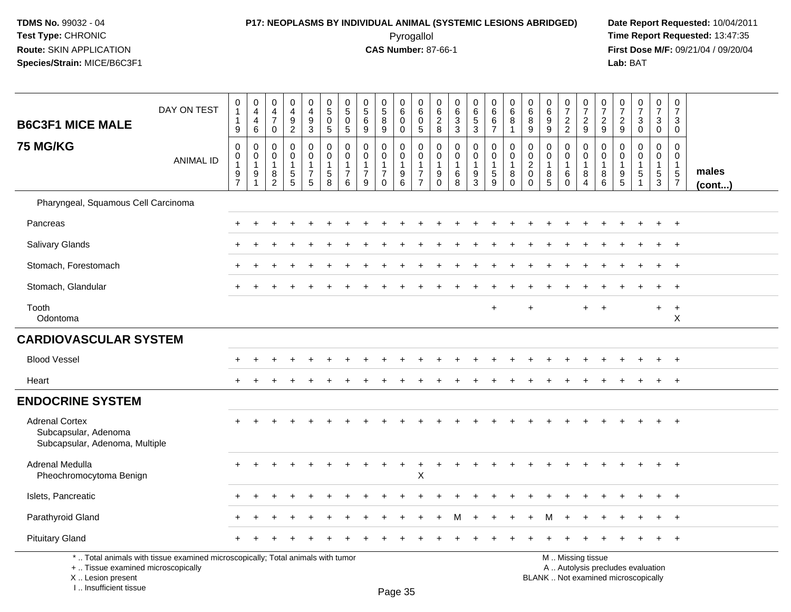# **P17: NEOPLASMS BY INDIVIDUAL ANIMAL (SYSTEMIC LESIONS ABRIDGED) Date Report Requested:** 10/04/2011

 Pyrogallol **Time Report Requested:** 13:47:35 **First Dose M/F:** 09/21/04 / 09/20/04<br>Lab: BAT **Lab:** BAT

| <b>B6C3F1 MICE MALE</b>                                                         | DAY ON TEST                                                                                                           | 0<br>$\mathbf{1}$<br>$\mathbf{1}$<br>$\boldsymbol{9}$ | $\pmb{0}$<br>$\overline{4}$<br>$\overline{4}$<br>$\,6$ | $\pmb{0}$<br>$\overline{4}$<br>$\overline{7}$<br>$\pmb{0}$ | $\pmb{0}$<br>$\overline{4}$<br>$\boldsymbol{9}$<br>$\overline{2}$ | 0<br>$\overline{4}$<br>$\boldsymbol{9}$<br>$\sqrt{3}$                  | $\begin{array}{c} 0 \\ 5 \end{array}$<br>$\Omega$<br>$\sqrt{5}$ | 0<br>$\sqrt{5}$<br>$\mathbf 0$<br>5                               | 0<br>$\frac{5}{6}$<br>$\boldsymbol{9}$                            | $\begin{array}{c} 0 \\ 5 \end{array}$<br>$\overline{8}$<br>$\boldsymbol{9}$ | $\begin{array}{c} 0 \\ 6 \end{array}$<br>$\mathsf{O}\xspace$<br>$\mathbf 0$ | 0<br>$\,6$<br>$\mathbf 0$<br>$\sqrt{5}$                                            | 0<br>$\,6$<br>$\overline{2}$<br>8                                | $\begin{matrix} 0 \\ 6 \\ 3 \end{matrix}$<br>$\mathsf 3$ | $\begin{array}{c} 0 \\ 6 \\ 5 \end{array}$<br>$\mathbf{3}$ | $\begin{matrix}0\0\0\0\end{matrix}$<br>$\overline{7}$ | $\begin{array}{c} 0 \\ 6 \end{array}$<br>8<br>$\overline{1}$          | 0<br>$\,6\,$<br>8<br>$\boldsymbol{9}$                           | $\boldsymbol{0}$<br>$\,6\,$<br>9<br>$\boldsymbol{9}$       | $\frac{0}{7}$<br>$\overline{c}$<br>$\overline{2}$       | $\begin{array}{c} 0 \\ 7 \end{array}$<br>$\frac{2}{9}$ | $\frac{0}{7}$<br>$\boldsymbol{2}$<br>$\mathsf g$           | $\frac{0}{7}$<br>$\frac{2}{9}$            | $\begin{array}{c} 0 \\ 7 \end{array}$<br>$\mathbf{3}$<br>$\pmb{0}$ | $\frac{0}{7}$<br>$\mathbf{3}$<br>$\mathsf 0$ | $\begin{smallmatrix}0\\7\end{smallmatrix}$<br>3<br>$\mathbf 0$             |                 |
|---------------------------------------------------------------------------------|-----------------------------------------------------------------------------------------------------------------------|-------------------------------------------------------|--------------------------------------------------------|------------------------------------------------------------|-------------------------------------------------------------------|------------------------------------------------------------------------|-----------------------------------------------------------------|-------------------------------------------------------------------|-------------------------------------------------------------------|-----------------------------------------------------------------------------|-----------------------------------------------------------------------------|------------------------------------------------------------------------------------|------------------------------------------------------------------|----------------------------------------------------------|------------------------------------------------------------|-------------------------------------------------------|-----------------------------------------------------------------------|-----------------------------------------------------------------|------------------------------------------------------------|---------------------------------------------------------|--------------------------------------------------------|------------------------------------------------------------|-------------------------------------------|--------------------------------------------------------------------|----------------------------------------------|----------------------------------------------------------------------------|-----------------|
| <b>75 MG/KG</b>                                                                 | <b>ANIMAL ID</b>                                                                                                      | 0<br>0<br>1<br>$\frac{9}{7}$                          | 0<br>$\mathbf 0$<br>$\mathbf{1}$<br>9<br>$\mathbf{1}$  | 0<br>$\mathbf 0$<br>$\mathbf{1}$<br>$\frac{8}{2}$          | 0<br>$\mathbf 0$<br>$\mathbf{1}$<br>$\frac{5}{5}$                 | 0<br>$\mathbf 0$<br>$\mathbf{1}$<br>$\boldsymbol{7}$<br>$5\phantom{1}$ | $\mathbf 0$<br>$\mathbf 0$<br>$\mathbf{1}$<br>$\sqrt{5}$<br>8   | $\mathbf 0$<br>$\mathbf 0$<br>$\mathbf{1}$<br>$\overline{7}$<br>6 | $\mathbf 0$<br>$\mathbf 0$<br>$\mathbf{1}$<br>$\overline{7}$<br>9 | $\mathbf 0$<br>$\mathbf 0$<br>$\mathbf{1}$<br>$\overline{7}$<br>$\Omega$    | 0<br>$\mathbf 0$<br>$\mathbf{1}$<br>$^9$ 6                                  | $\mathbf 0$<br>$\mathbf 0$<br>$\overline{1}$<br>$\boldsymbol{7}$<br>$\overline{7}$ | 0<br>$\mathbf 0$<br>$\mathbf{1}$<br>$\boldsymbol{9}$<br>$\Omega$ | 0<br>$\mathbf 0$<br>$\mathbf{1}$<br>$^6_8$               | 0<br>$\overline{0}$<br>$\mathbf{1}$<br>$\frac{9}{3}$       | 0<br>$\mathbf{0}$<br>$\mathbf{1}$<br>$\frac{5}{9}$    | $\mathbf 0$<br>$\mathbf 0$<br>$\overline{1}$<br>$\, 8$<br>$\mathbf 0$ | 0<br>$\mathbf 0$<br>$\overline{2}$<br>$\pmb{0}$<br>$\mathbf{0}$ | $\mathbf 0$<br>$\mathbf 0$<br>$\mathbf{1}$<br>$\bf 8$<br>5 | 0<br>$\mathbf 0$<br>$\mathbf{1}$<br>$\,6\,$<br>$\Omega$ | 0<br>$\mathbf 0$<br>$\mathbf{1}$<br>$_{4}^{8}$         | $\mathbf 0$<br>$\mathbf 0$<br>$\mathbf{1}$<br>$\bf 8$<br>6 | 0<br>$\Omega$<br>$\overline{1}$<br>9<br>5 | $\Omega$<br>$\Omega$<br>$\mathbf{1}$<br>5<br>$\mathbf{1}$          | $\mathbf 0$<br>$\mathbf{0}$<br>1<br>5<br>3   | $\mathbf 0$<br>$\mathbf 0$<br>$\mathbf{1}$<br>$\sqrt{5}$<br>$\overline{7}$ | males<br>(cont) |
| Pharyngeal, Squamous Cell Carcinoma                                             |                                                                                                                       |                                                       |                                                        |                                                            |                                                                   |                                                                        |                                                                 |                                                                   |                                                                   |                                                                             |                                                                             |                                                                                    |                                                                  |                                                          |                                                            |                                                       |                                                                       |                                                                 |                                                            |                                                         |                                                        |                                                            |                                           |                                                                    |                                              |                                                                            |                 |
| Pancreas                                                                        |                                                                                                                       |                                                       |                                                        |                                                            |                                                                   |                                                                        |                                                                 |                                                                   |                                                                   |                                                                             |                                                                             |                                                                                    |                                                                  |                                                          |                                                            |                                                       |                                                                       |                                                                 |                                                            |                                                         |                                                        |                                                            |                                           |                                                                    |                                              | $\div$                                                                     |                 |
| <b>Salivary Glands</b>                                                          |                                                                                                                       |                                                       |                                                        |                                                            |                                                                   |                                                                        |                                                                 |                                                                   |                                                                   |                                                                             |                                                                             |                                                                                    |                                                                  |                                                          |                                                            |                                                       |                                                                       |                                                                 |                                                            |                                                         |                                                        |                                                            |                                           |                                                                    |                                              | $\ddot{}$                                                                  |                 |
| Stomach, Forestomach                                                            |                                                                                                                       |                                                       |                                                        |                                                            |                                                                   |                                                                        |                                                                 |                                                                   |                                                                   |                                                                             |                                                                             |                                                                                    |                                                                  |                                                          |                                                            |                                                       |                                                                       |                                                                 |                                                            |                                                         |                                                        |                                                            |                                           |                                                                    |                                              | $\overline{1}$                                                             |                 |
| Stomach, Glandular                                                              |                                                                                                                       |                                                       |                                                        |                                                            |                                                                   |                                                                        |                                                                 |                                                                   |                                                                   |                                                                             |                                                                             |                                                                                    |                                                                  |                                                          |                                                            |                                                       |                                                                       |                                                                 |                                                            |                                                         |                                                        |                                                            |                                           |                                                                    |                                              | $\ddot{}$                                                                  |                 |
| Tooth<br>Odontoma                                                               |                                                                                                                       |                                                       |                                                        |                                                            |                                                                   |                                                                        |                                                                 |                                                                   |                                                                   |                                                                             |                                                                             |                                                                                    |                                                                  |                                                          |                                                            | $+$                                                   |                                                                       | $\ddot{}$                                                       |                                                            |                                                         | $+$                                                    | $+$                                                        |                                           |                                                                    | $+$                                          | $+$<br>$\boldsymbol{\mathsf{X}}$                                           |                 |
| <b>CARDIOVASCULAR SYSTEM</b>                                                    |                                                                                                                       |                                                       |                                                        |                                                            |                                                                   |                                                                        |                                                                 |                                                                   |                                                                   |                                                                             |                                                                             |                                                                                    |                                                                  |                                                          |                                                            |                                                       |                                                                       |                                                                 |                                                            |                                                         |                                                        |                                                            |                                           |                                                                    |                                              |                                                                            |                 |
| <b>Blood Vessel</b>                                                             |                                                                                                                       |                                                       |                                                        |                                                            |                                                                   |                                                                        |                                                                 |                                                                   |                                                                   |                                                                             |                                                                             |                                                                                    |                                                                  |                                                          |                                                            |                                                       |                                                                       |                                                                 |                                                            |                                                         |                                                        |                                                            |                                           |                                                                    |                                              | $^{+}$                                                                     |                 |
| Heart                                                                           |                                                                                                                       |                                                       |                                                        |                                                            |                                                                   |                                                                        |                                                                 |                                                                   |                                                                   |                                                                             |                                                                             |                                                                                    |                                                                  |                                                          |                                                            |                                                       |                                                                       |                                                                 |                                                            |                                                         |                                                        |                                                            |                                           |                                                                    |                                              | $\ddot{}$                                                                  |                 |
| <b>ENDOCRINE SYSTEM</b>                                                         |                                                                                                                       |                                                       |                                                        |                                                            |                                                                   |                                                                        |                                                                 |                                                                   |                                                                   |                                                                             |                                                                             |                                                                                    |                                                                  |                                                          |                                                            |                                                       |                                                                       |                                                                 |                                                            |                                                         |                                                        |                                                            |                                           |                                                                    |                                              |                                                                            |                 |
| <b>Adrenal Cortex</b><br>Subcapsular, Adenoma<br>Subcapsular, Adenoma, Multiple |                                                                                                                       |                                                       |                                                        |                                                            |                                                                   |                                                                        |                                                                 |                                                                   |                                                                   |                                                                             |                                                                             |                                                                                    |                                                                  |                                                          |                                                            |                                                       |                                                                       |                                                                 |                                                            |                                                         |                                                        |                                                            |                                           |                                                                    |                                              | $\ddot{}$                                                                  |                 |
| Adrenal Medulla<br>Pheochromocytoma Benign                                      |                                                                                                                       |                                                       |                                                        |                                                            |                                                                   |                                                                        |                                                                 |                                                                   |                                                                   |                                                                             |                                                                             | $\mathsf X$                                                                        |                                                                  |                                                          |                                                            |                                                       |                                                                       |                                                                 |                                                            |                                                         |                                                        |                                                            |                                           |                                                                    |                                              |                                                                            |                 |
| Islets, Pancreatic                                                              |                                                                                                                       |                                                       |                                                        |                                                            |                                                                   |                                                                        |                                                                 |                                                                   |                                                                   |                                                                             |                                                                             |                                                                                    |                                                                  |                                                          |                                                            |                                                       |                                                                       |                                                                 |                                                            |                                                         |                                                        |                                                            |                                           |                                                                    |                                              | $\ddot{}$                                                                  |                 |
| Parathyroid Gland                                                               |                                                                                                                       |                                                       |                                                        |                                                            |                                                                   |                                                                        |                                                                 |                                                                   |                                                                   |                                                                             |                                                                             |                                                                                    |                                                                  |                                                          |                                                            |                                                       |                                                                       |                                                                 |                                                            |                                                         |                                                        |                                                            |                                           |                                                                    |                                              |                                                                            |                 |
| <b>Pituitary Gland</b>                                                          |                                                                                                                       |                                                       |                                                        |                                                            |                                                                   |                                                                        |                                                                 |                                                                   |                                                                   |                                                                             |                                                                             |                                                                                    |                                                                  |                                                          |                                                            |                                                       |                                                                       |                                                                 |                                                            |                                                         |                                                        |                                                            |                                           |                                                                    |                                              | $^{+}$                                                                     |                 |
|                                                                                 | *  Total animals with tissue examined microscopically; Total animals with tumor<br>+  Tissue examined microscopically |                                                       |                                                        |                                                            |                                                                   |                                                                        |                                                                 |                                                                   |                                                                   |                                                                             |                                                                             |                                                                                    |                                                                  |                                                          | M  Missing tissue<br>A  Autolysis precludes evaluation     |                                                       |                                                                       |                                                                 |                                                            |                                                         |                                                        |                                                            |                                           |                                                                    |                                              |                                                                            |                 |

 Lesion present BLANK .. Not examined microscopicallyX .. Lesion present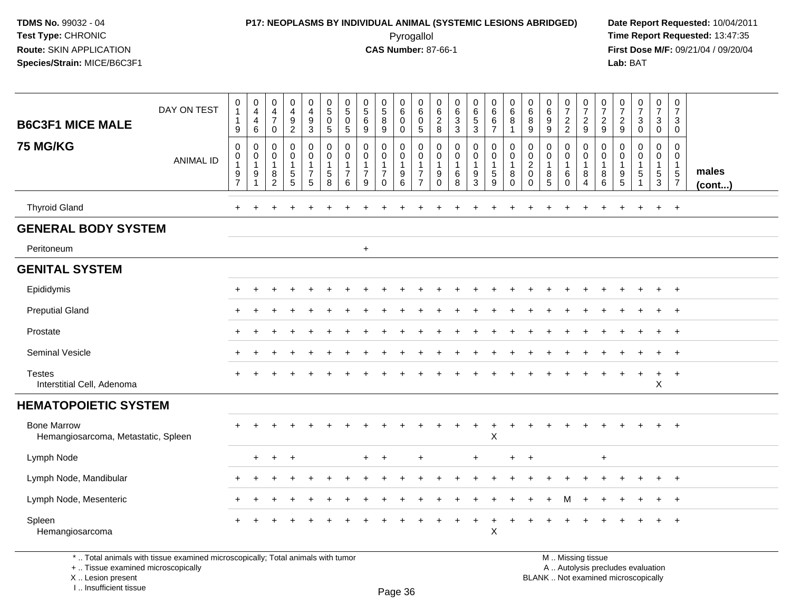# **P17: NEOPLASMS BY INDIVIDUAL ANIMAL (SYSTEMIC LESIONS ABRIDGED) Date Report Requested:** 10/04/2011

 Pyrogallol **Time Report Requested:** 13:47:35 **First Dose M/F:** 09/21/04 / 09/20/04<br>Lab: BAT **Lab:** BAT

| <b>B6C3F1 MICE MALE</b>                                   | DAY ON TEST                                                                                                           | $\pmb{0}$<br>$\mathbf{1}$<br>1<br>9                     | 0<br>$\overline{4}$<br>4<br>$\,6\,$           | 0<br>$\overline{4}$<br>$\overline{7}$<br>$\mathbf 0$ | $\pmb{0}$<br>$\overline{4}$<br>$\boldsymbol{9}$<br>$\overline{c}$ | 0<br>$\overline{4}$<br>$9\,$<br>$\mathbf{3}$             | 0<br>$\overline{5}$<br>$\mathbf 0$<br>5 | 0<br>$\sqrt{5}$<br>$\mathbf 0$<br>$\sqrt{5}$       | $\begin{smallmatrix}0\0\0\end{smallmatrix}$<br>$\,6\,$<br>$\boldsymbol{9}$ | $^{\rm 0}_{\rm 5}$<br>8<br>$9\,$                    | 0<br>$\,6\,$<br>$\mathbf 0$<br>$\mathsf 0$                                                  | 0<br>$\,6\,$<br>0<br>5        | 0<br>$\frac{6}{2}$<br>8                                                         | $\begin{matrix} 0 \\ 6 \\ 3 \end{matrix}$<br>$\mathbf{3}$ | 0<br>$\overline{6}$<br>5<br>3        | $\pmb{0}$<br>$6\phantom{a}$<br>6<br>$\overline{7}$          | 0<br>$\,6\,$<br>$\bf8$<br>$\mathbf{1}$               | $\pmb{0}$<br>$\,6\,$<br>8<br>$\boldsymbol{9}$                      | 0<br>$\overline{6}$<br>9<br>9              | $\frac{0}{7}$<br>2<br>2                        | $\frac{0}{7}$<br>$\frac{2}{9}$                                    | $\frac{0}{7}$<br>9                                     | $\frac{0}{7}$<br>$\boldsymbol{2}$<br>$9\,$                                | $\frac{0}{7}$<br>3<br>$\mathbf 0$ | $\frac{0}{7}$<br>$\ensuremath{\mathsf{3}}$<br>$\mathbf 0$ | $\mathsf 0$<br>$\overline{7}$<br>3<br>$\mathbf 0$                           |                       |
|-----------------------------------------------------------|-----------------------------------------------------------------------------------------------------------------------|---------------------------------------------------------|-----------------------------------------------|------------------------------------------------------|-------------------------------------------------------------------|----------------------------------------------------------|-----------------------------------------|----------------------------------------------------|----------------------------------------------------------------------------|-----------------------------------------------------|---------------------------------------------------------------------------------------------|-------------------------------|---------------------------------------------------------------------------------|-----------------------------------------------------------|--------------------------------------|-------------------------------------------------------------|------------------------------------------------------|--------------------------------------------------------------------|--------------------------------------------|------------------------------------------------|-------------------------------------------------------------------|--------------------------------------------------------|---------------------------------------------------------------------------|-----------------------------------|-----------------------------------------------------------|-----------------------------------------------------------------------------|-----------------------|
| <b>75 MG/KG</b>                                           | <b>ANIMAL ID</b>                                                                                                      | $\mathbf 0$<br>$\,0\,$<br>$\mathbf{1}$<br>$\frac{9}{7}$ | $\mathbf 0$<br>0<br>$\overline{1}$<br>9<br>-1 | 0<br>0<br>$\overline{1}$<br>8<br>$\overline{2}$      | 0<br>$\pmb{0}$<br>1<br>$\frac{5}{5}$                              | $\mathbf 0$<br>$\mathbf 0$<br>$\mathbf{1}$<br>$7\over 5$ | $\mathbf 0$<br>$\mathbf 0$<br>5<br>8    | $\mathbf 0$<br>0<br>$\overline{1}$<br>7<br>$\,6\,$ | $\mathbf 0$<br>$\pmb{0}$<br>$\mathbf{1}$<br>$\overline{7}$<br>9            | 0<br>$\pmb{0}$<br>-1<br>$\overline{7}$<br>$\pmb{0}$ | $\mathbf 0$<br>$\mathsf{O}\xspace$<br>$\overline{1}$<br>$\boldsymbol{9}$<br>$6\phantom{1}6$ | 0<br>0<br>7<br>$\overline{7}$ | $\mathbf 0$<br>$\mathbf 0$<br>$\overline{1}$<br>$\boldsymbol{9}$<br>$\mathbf 0$ | 0<br>$\mathsf 0$<br>$\mathbf{1}$<br>6<br>$\overline{8}$   | 0<br>$\overline{0}$<br>$\frac{9}{3}$ | $\mathbf 0$<br>$\pmb{0}$<br>$\overline{1}$<br>$\frac{5}{9}$ | 0<br>$\mathbf 0$<br>$\mathbf{1}$<br>8<br>$\mathbf 0$ | 0<br>$\mathbf 0$<br>$\boldsymbol{2}$<br>$\mathbf 0$<br>$\mathbf 0$ | 0<br>$\mathbf 0$<br>$\mathbf{1}$<br>$^8_5$ | 0<br>$\pmb{0}$<br>$\mathbf{1}$<br>$^6_{\rm 0}$ | $\mathbf 0$<br>$\mathsf 0$<br>$\mathbf{1}$<br>8<br>$\overline{4}$ | $\mathbf 0$<br>$\mathbf 0$<br>$\overline{1}$<br>$^8_6$ | 0<br>$\mathbf 0$<br>$\mathbf{1}$<br>$\begin{array}{c} 9 \\ 5 \end{array}$ | 0<br>0<br>1<br>5<br>1             | 0<br>$\pmb{0}$<br>$\mathbf{1}$<br>$\frac{5}{3}$           | $\mathbf 0$<br>$\mathbf{0}$<br>$\mathbf{1}$<br>$\sqrt{5}$<br>$\overline{7}$ | males<br>$($ cont $)$ |
| <b>Thyroid Gland</b>                                      |                                                                                                                       | $\ddot{}$                                               |                                               |                                                      |                                                                   |                                                          |                                         |                                                    |                                                                            |                                                     |                                                                                             |                               |                                                                                 |                                                           |                                      |                                                             |                                                      |                                                                    |                                            |                                                |                                                                   |                                                        |                                                                           |                                   |                                                           | $+$                                                                         |                       |
| <b>GENERAL BODY SYSTEM</b>                                |                                                                                                                       |                                                         |                                               |                                                      |                                                                   |                                                          |                                         |                                                    |                                                                            |                                                     |                                                                                             |                               |                                                                                 |                                                           |                                      |                                                             |                                                      |                                                                    |                                            |                                                |                                                                   |                                                        |                                                                           |                                   |                                                           |                                                                             |                       |
| Peritoneum                                                |                                                                                                                       |                                                         |                                               |                                                      |                                                                   |                                                          |                                         |                                                    | $\ddot{}$                                                                  |                                                     |                                                                                             |                               |                                                                                 |                                                           |                                      |                                                             |                                                      |                                                                    |                                            |                                                |                                                                   |                                                        |                                                                           |                                   |                                                           |                                                                             |                       |
| <b>GENITAL SYSTEM</b>                                     |                                                                                                                       |                                                         |                                               |                                                      |                                                                   |                                                          |                                         |                                                    |                                                                            |                                                     |                                                                                             |                               |                                                                                 |                                                           |                                      |                                                             |                                                      |                                                                    |                                            |                                                |                                                                   |                                                        |                                                                           |                                   |                                                           |                                                                             |                       |
| Epididymis                                                |                                                                                                                       | ÷                                                       | $\ddot{}$                                     |                                                      | $\ddot{}$                                                         |                                                          |                                         |                                                    |                                                                            |                                                     |                                                                                             |                               |                                                                                 |                                                           |                                      |                                                             |                                                      |                                                                    |                                            |                                                |                                                                   |                                                        |                                                                           | $\ddot{}$                         | $\ddot{}$                                                 | $+$                                                                         |                       |
| <b>Preputial Gland</b>                                    |                                                                                                                       |                                                         |                                               |                                                      |                                                                   |                                                          |                                         |                                                    |                                                                            |                                                     |                                                                                             |                               |                                                                                 |                                                           |                                      |                                                             |                                                      |                                                                    |                                            |                                                |                                                                   |                                                        |                                                                           |                                   |                                                           | $+$                                                                         |                       |
| Prostate                                                  |                                                                                                                       |                                                         |                                               |                                                      |                                                                   |                                                          |                                         |                                                    |                                                                            |                                                     |                                                                                             |                               |                                                                                 |                                                           |                                      |                                                             |                                                      |                                                                    |                                            |                                                |                                                                   |                                                        |                                                                           |                                   |                                                           | $\overline{+}$                                                              |                       |
| Seminal Vesicle                                           |                                                                                                                       | ÷                                                       |                                               |                                                      |                                                                   |                                                          |                                         |                                                    |                                                                            |                                                     |                                                                                             |                               |                                                                                 |                                                           |                                      |                                                             |                                                      |                                                                    |                                            |                                                |                                                                   |                                                        |                                                                           |                                   |                                                           | $^{+}$                                                                      |                       |
| <b>Testes</b><br>Interstitial Cell, Adenoma               |                                                                                                                       |                                                         |                                               |                                                      |                                                                   |                                                          |                                         |                                                    |                                                                            |                                                     |                                                                                             |                               |                                                                                 |                                                           |                                      |                                                             |                                                      |                                                                    |                                            |                                                |                                                                   |                                                        |                                                                           | $\ddot{+}$                        | $\ddot{}$<br>Χ                                            | $+$                                                                         |                       |
| <b>HEMATOPOIETIC SYSTEM</b>                               |                                                                                                                       |                                                         |                                               |                                                      |                                                                   |                                                          |                                         |                                                    |                                                                            |                                                     |                                                                                             |                               |                                                                                 |                                                           |                                      |                                                             |                                                      |                                                                    |                                            |                                                |                                                                   |                                                        |                                                                           |                                   |                                                           |                                                                             |                       |
| <b>Bone Marrow</b><br>Hemangiosarcoma, Metastatic, Spleen |                                                                                                                       |                                                         |                                               |                                                      |                                                                   |                                                          |                                         |                                                    |                                                                            |                                                     |                                                                                             |                               |                                                                                 |                                                           | $\ddot{}$                            | $\ddot{}$<br>X                                              |                                                      |                                                                    |                                            |                                                |                                                                   |                                                        |                                                                           |                                   |                                                           | $\overline{+}$                                                              |                       |
| Lymph Node                                                |                                                                                                                       |                                                         | $\ddot{}$                                     | $\overline{+}$                                       | $\overline{+}$                                                    |                                                          |                                         |                                                    |                                                                            | $\ddot{}$                                           |                                                                                             | $\ddot{}$                     |                                                                                 |                                                           | $+$                                  |                                                             | $\ddot{}$                                            | $\div$                                                             |                                            |                                                |                                                                   | $\ddot{}$                                              |                                                                           |                                   |                                                           |                                                                             |                       |
| Lymph Node, Mandibular                                    |                                                                                                                       |                                                         |                                               |                                                      |                                                                   |                                                          |                                         |                                                    |                                                                            |                                                     |                                                                                             |                               |                                                                                 |                                                           |                                      |                                                             |                                                      |                                                                    |                                            |                                                |                                                                   |                                                        |                                                                           |                                   |                                                           | $\overline{1}$                                                              |                       |
| Lymph Node, Mesenteric                                    |                                                                                                                       |                                                         |                                               |                                                      |                                                                   |                                                          |                                         |                                                    |                                                                            |                                                     |                                                                                             |                               |                                                                                 |                                                           |                                      |                                                             |                                                      |                                                                    |                                            |                                                |                                                                   |                                                        |                                                                           |                                   |                                                           | $\overline{ }$                                                              |                       |
| Spleen<br>Hemangiosarcoma                                 |                                                                                                                       | $\div$                                                  |                                               |                                                      |                                                                   |                                                          |                                         |                                                    |                                                                            |                                                     |                                                                                             |                               |                                                                                 |                                                           |                                      | X                                                           |                                                      |                                                                    |                                            |                                                |                                                                   |                                                        |                                                                           |                                   | $+$                                                       | $\ddot{}$                                                                   |                       |
|                                                           | *  Total animals with tissue examined microscopically; Total animals with tumor<br>+  Tissue examined microscopically |                                                         |                                               |                                                      |                                                                   |                                                          |                                         |                                                    |                                                                            |                                                     |                                                                                             |                               |                                                                                 | M  Missing tissue<br>A  Autolysis precludes evaluation    |                                      |                                                             |                                                      |                                                                    |                                            |                                                |                                                                   |                                                        |                                                                           |                                   |                                                           |                                                                             |                       |

 Lesion present BLANK .. Not examined microscopicallyX .. Lesion present I .. Insufficient tissue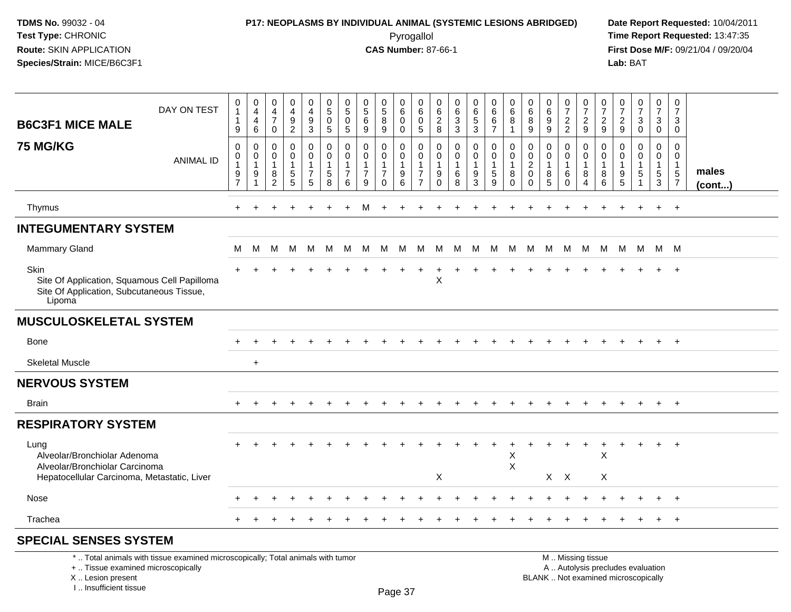### **P17: NEOPLASMS BY INDIVIDUAL ANIMAL (SYSTEMIC LESIONS ABRIDGED) Date Report Requested:** 10/04/2011 Pyrogallol **Time Report Requested:** 13:47:35

**First Dose M/F:** 09/21/04 / 09/20/04<br>Lab: BAT **Lab:** BAT

| DAY ON TEST<br><b>B6C3F1 MICE MALE</b>                                                                                                                              | 0<br>$\mathbf{1}$<br>$\mathbf 1$<br>9                                   | $\boldsymbol{0}$<br>$\overline{4}$<br>$\overline{4}$<br>6 | 0<br>4<br>$\overline{7}$<br>$\mathbf 0$    | 0<br>$\overline{4}$<br>9<br>$\overline{c}$ | $\pmb{0}$<br>$\overline{4}$<br>$\boldsymbol{9}$<br>3    | 0<br>$\sqrt{5}$<br>$\mathbf 0$<br>$5\phantom{.0}$               | $\mathbf 0$<br>$\sqrt{5}$<br>$\mathbf 0$<br>5                    | 0<br>$\overline{5}$<br>6<br>9                                     | 0<br>$\sqrt{5}$<br>8<br>9                            | $\mathbf 0$<br>$\,6\,$<br>$\mathbf 0$<br>$\mathbf 0$        | 0<br>$\,6\,$<br>$\mathbf 0$<br>5                           | 0<br>6<br>$\overline{c}$<br>8                               | $\mathbf 0$<br>$\,6\,$<br>3<br>3                     | $\pmb{0}$<br>$\,6\,$<br>$\overline{5}$<br>$\mathbf{3}$    | 0<br>6<br>6<br>$\overline{7}$                                 | 0<br>6<br>8<br>$\mathbf 1$                  | 0<br>6<br>8<br>9                                    | $\pmb{0}$<br>$\,6\,$<br>$\boldsymbol{9}$<br>9             | $\pmb{0}$<br>$\overline{7}$<br>$\overline{c}$<br>$\overline{c}$ | $\mathbf 0$<br>$\overline{7}$<br>$\boldsymbol{2}$<br>9 | 0<br>$\overline{7}$<br>2<br>9          | 0<br>$\overline{7}$<br>$\overline{2}$<br>9 | $\frac{0}{7}$<br>$\mathbf{3}$<br>$\mathbf 0$                             | $\mathbf 0$<br>$\overline{7}$<br>3<br>$\mathbf{0}$              | $\mathbf 0$<br>$\overline{7}$<br>3<br>$\mathbf 0$                            |                       |
|---------------------------------------------------------------------------------------------------------------------------------------------------------------------|-------------------------------------------------------------------------|-----------------------------------------------------------|--------------------------------------------|--------------------------------------------|---------------------------------------------------------|-----------------------------------------------------------------|------------------------------------------------------------------|-------------------------------------------------------------------|------------------------------------------------------|-------------------------------------------------------------|------------------------------------------------------------|-------------------------------------------------------------|------------------------------------------------------|-----------------------------------------------------------|---------------------------------------------------------------|---------------------------------------------|-----------------------------------------------------|-----------------------------------------------------------|-----------------------------------------------------------------|--------------------------------------------------------|----------------------------------------|--------------------------------------------|--------------------------------------------------------------------------|-----------------------------------------------------------------|------------------------------------------------------------------------------|-----------------------|
| <b>75 MG/KG</b><br><b>ANIMAL ID</b>                                                                                                                                 | $\mathbf 0$<br>$\mathbf 0$<br>$\overline{1}$<br>$9\,$<br>$\overline{7}$ | $\mathbf 0$<br>$\overline{0}$<br>$\mathbf{1}$<br>9<br>1   | $\mathbf 0$<br>0<br>$\mathbf{1}$<br>8<br>2 | 0<br>0<br>$\mathbf{1}$<br>5<br>5           | 0<br>$\mathbf 0$<br>$\mathbf{1}$<br>$\overline{7}$<br>5 | $\mathbf 0$<br>$\mathbf 0$<br>$\overline{1}$<br>$\sqrt{5}$<br>8 | $\mathbf 0$<br>$\Omega$<br>$\overline{1}$<br>$\overline{7}$<br>6 | $\mathbf 0$<br>$\mathbf 0$<br>$\mathbf{1}$<br>$\overline{7}$<br>9 | 0<br>0<br>$\mathbf{1}$<br>$\overline{7}$<br>$\Omega$ | 0<br>$\mathbf 0$<br>$\overline{1}$<br>$\boldsymbol{9}$<br>6 | 0<br>0<br>$\mathbf{1}$<br>$\overline{7}$<br>$\overline{7}$ | $\mathbf 0$<br>$\mathbf 0$<br>$\mathbf{1}$<br>9<br>$\Omega$ | $\mathbf 0$<br>$\mathbf 0$<br>$\mathbf{1}$<br>6<br>8 | 0<br>$\mathbf 0$<br>$\mathbf{1}$<br>$\boldsymbol{9}$<br>3 | $\mathbf 0$<br>$\mathbf 0$<br>$\mathbf{1}$<br>$\sqrt{5}$<br>9 | 0<br>0<br>$\mathbf{1}$<br>8<br>$\Omega$     | 0<br>$\mathbf 0$<br>$\overline{c}$<br>0<br>$\Omega$ | $\mathbf 0$<br>$\mathbf 0$<br>$\mathbf{1}$<br>$\bf8$<br>5 | 0<br>0<br>$\mathbf{1}$<br>6<br>$\Omega$                         | 0<br>$\mathbf 0$<br>$\mathbf{1}$<br>8<br>4             | 0<br>$\Omega$<br>$\mathbf 1$<br>8<br>6 | $\Omega$<br>0<br>-1<br>9<br>5              | 0<br>0<br>1<br>5                                                         | $\mathbf 0$<br>$\mathbf 0$<br>$\overline{1}$<br>$\sqrt{5}$<br>3 | $\mathbf 0$<br>$\mathbf 0$<br>$\overline{1}$<br>$\sqrt{5}$<br>$\overline{7}$ | males<br>$($ cont $)$ |
| Thymus                                                                                                                                                              | ÷                                                                       |                                                           |                                            |                                            |                                                         |                                                                 |                                                                  | м                                                                 |                                                      |                                                             |                                                            |                                                             |                                                      |                                                           |                                                               |                                             |                                                     |                                                           |                                                                 |                                                        |                                        |                                            |                                                                          | $\ddot{}$                                                       | $+$                                                                          |                       |
| <b>INTEGUMENTARY SYSTEM</b>                                                                                                                                         |                                                                         |                                                           |                                            |                                            |                                                         |                                                                 |                                                                  |                                                                   |                                                      |                                                             |                                                            |                                                             |                                                      |                                                           |                                                               |                                             |                                                     |                                                           |                                                                 |                                                        |                                        |                                            |                                                                          |                                                                 |                                                                              |                       |
| <b>Mammary Gland</b>                                                                                                                                                | м                                                                       | M                                                         | M                                          | M                                          | M                                                       | M                                                               | M                                                                |                                                                   | M M                                                  | M                                                           |                                                            |                                                             | M M M M M                                            |                                                           |                                                               | M                                           |                                                     | M M M                                                     |                                                                 | M                                                      | M                                      |                                            | M M M M                                                                  |                                                                 |                                                                              |                       |
| Skin<br>Site Of Application, Squamous Cell Papilloma<br>Site Of Application, Subcutaneous Tissue,<br>Lipoma                                                         |                                                                         |                                                           |                                            |                                            |                                                         |                                                                 |                                                                  |                                                                   |                                                      |                                                             |                                                            | X                                                           |                                                      |                                                           |                                                               |                                             |                                                     |                                                           |                                                                 |                                                        |                                        |                                            |                                                                          | $\ddot{}$                                                       | $+$                                                                          |                       |
| <b>MUSCULOSKELETAL SYSTEM</b>                                                                                                                                       |                                                                         |                                                           |                                            |                                            |                                                         |                                                                 |                                                                  |                                                                   |                                                      |                                                             |                                                            |                                                             |                                                      |                                                           |                                                               |                                             |                                                     |                                                           |                                                                 |                                                        |                                        |                                            |                                                                          |                                                                 |                                                                              |                       |
| <b>Bone</b>                                                                                                                                                         |                                                                         |                                                           |                                            |                                            |                                                         |                                                                 |                                                                  |                                                                   |                                                      |                                                             |                                                            |                                                             |                                                      |                                                           |                                                               |                                             |                                                     |                                                           |                                                                 |                                                        |                                        |                                            |                                                                          |                                                                 | $+$                                                                          |                       |
| <b>Skeletal Muscle</b>                                                                                                                                              |                                                                         | $\ddot{}$                                                 |                                            |                                            |                                                         |                                                                 |                                                                  |                                                                   |                                                      |                                                             |                                                            |                                                             |                                                      |                                                           |                                                               |                                             |                                                     |                                                           |                                                                 |                                                        |                                        |                                            |                                                                          |                                                                 |                                                                              |                       |
| <b>NERVOUS SYSTEM</b>                                                                                                                                               |                                                                         |                                                           |                                            |                                            |                                                         |                                                                 |                                                                  |                                                                   |                                                      |                                                             |                                                            |                                                             |                                                      |                                                           |                                                               |                                             |                                                     |                                                           |                                                                 |                                                        |                                        |                                            |                                                                          |                                                                 |                                                                              |                       |
| <b>Brain</b>                                                                                                                                                        | $+$                                                                     | $\div$                                                    |                                            |                                            |                                                         |                                                                 |                                                                  |                                                                   |                                                      |                                                             |                                                            |                                                             |                                                      | $\div$                                                    |                                                               |                                             |                                                     |                                                           | $\div$                                                          |                                                        |                                        |                                            | $\ddot{}$                                                                | $+$                                                             | $+$                                                                          |                       |
| <b>RESPIRATORY SYSTEM</b>                                                                                                                                           |                                                                         |                                                           |                                            |                                            |                                                         |                                                                 |                                                                  |                                                                   |                                                      |                                                             |                                                            |                                                             |                                                      |                                                           |                                                               |                                             |                                                     |                                                           |                                                                 |                                                        |                                        |                                            |                                                                          |                                                                 |                                                                              |                       |
| Lung<br>Alveolar/Bronchiolar Adenoma<br>Alveolar/Bronchiolar Carcinoma                                                                                              |                                                                         |                                                           |                                            |                                            |                                                         |                                                                 |                                                                  |                                                                   |                                                      |                                                             |                                                            |                                                             |                                                      |                                                           |                                                               | $\ddot{}$<br>X<br>$\boldsymbol{\mathsf{X}}$ |                                                     |                                                           |                                                                 |                                                        | ÷<br>X                                 |                                            | $\ddot{}$                                                                | $+$                                                             | $+$                                                                          |                       |
| Hepatocellular Carcinoma, Metastatic, Liver                                                                                                                         |                                                                         |                                                           |                                            |                                            |                                                         |                                                                 |                                                                  |                                                                   |                                                      |                                                             |                                                            | X                                                           |                                                      |                                                           |                                                               |                                             |                                                     | $X$ $X$                                                   |                                                                 |                                                        | X                                      |                                            |                                                                          |                                                                 |                                                                              |                       |
| Nose                                                                                                                                                                |                                                                         |                                                           |                                            |                                            |                                                         |                                                                 |                                                                  |                                                                   |                                                      |                                                             |                                                            |                                                             |                                                      |                                                           |                                                               |                                             |                                                     |                                                           |                                                                 |                                                        |                                        |                                            |                                                                          |                                                                 | $+$                                                                          |                       |
| Trachea                                                                                                                                                             |                                                                         |                                                           |                                            |                                            |                                                         |                                                                 |                                                                  |                                                                   |                                                      |                                                             |                                                            |                                                             |                                                      |                                                           |                                                               |                                             |                                                     |                                                           |                                                                 |                                                        |                                        |                                            |                                                                          | $\pm$                                                           | $+$                                                                          |                       |
| <b>SPECIAL SENSES SYSTEM</b>                                                                                                                                        |                                                                         |                                                           |                                            |                                            |                                                         |                                                                 |                                                                  |                                                                   |                                                      |                                                             |                                                            |                                                             |                                                      |                                                           |                                                               |                                             |                                                     |                                                           |                                                                 |                                                        |                                        |                                            |                                                                          |                                                                 |                                                                              |                       |
| *  Total animals with tissue examined microscopically; Total animals with tumor<br>+  Tissue examined microscopically<br>X  Lesion present<br>I Insufficient tissue |                                                                         |                                                           |                                            |                                            |                                                         |                                                                 |                                                                  |                                                                   |                                                      | $D_{200}$ 27                                                |                                                            |                                                             |                                                      |                                                           |                                                               |                                             |                                                     |                                                           |                                                                 | M  Missing tissue                                      |                                        |                                            | A  Autolysis precludes evaluation<br>BLANK  Not examined microscopically |                                                                 |                                                                              |                       |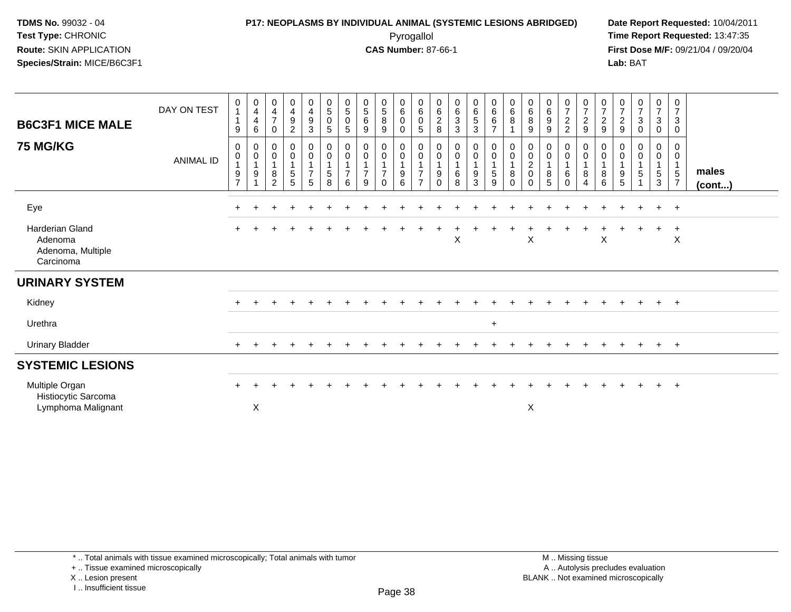### **P17: NEOPLASMS BY INDIVIDUAL ANIMAL (SYSTEMIC LESIONS ABRIDGED) Date Report Requested:** 10/04/2011 Pyrogallol **Time Report Requested:** 13:47:35

**First Dose M/F:** 09/21/04 / 09/20/04<br>Lab: BAT **Lab:** BAT

| <b>B6C3F1 MICE MALE</b>                                             | DAY ON TEST      | 0<br>$\mathbf{1}$<br>$\mathbf{1}$<br>9 | 0<br>$\overline{4}$<br>$\overline{4}$<br>$\,6$ | $\boldsymbol{0}$<br>$\overline{4}$<br>$\overline{7}$<br>$\mathbf 0$   | $\begin{smallmatrix}0\0\4\end{smallmatrix}$<br>$\boldsymbol{9}$<br>$\overline{c}$ | $_4^{\rm 0}$<br>$\boldsymbol{9}$<br>$\mathbf{3}$                                                  | $\begin{array}{c} 0 \\ 5 \end{array}$<br>$\pmb{0}$<br>5    | $\begin{array}{c} 0 \\ 5 \end{array}$<br>$\mathbf 0$<br>$\sqrt{5}$ | $\begin{array}{c} 0 \\ 5 \end{array}$<br>6<br>$\boldsymbol{9}$ | $\begin{array}{c} 0 \\ 5 \end{array}$<br>8<br>9 | $_{6}^{\rm 0}$<br>$\mathbf 0$<br>0               | $\begin{array}{c} 0 \\ 6 \end{array}$<br>$\mathbf 0$<br>$\mathbf 5$                            | $\begin{array}{c} 0 \\ 6 \end{array}$<br>$\frac{2}{8}$           | $\begin{array}{c} 0 \\ 6 \end{array}$<br>$\overline{3}$<br>$\sqrt{3}$ | $\begin{matrix} 0 \\ 6 \end{matrix}$<br>5<br>3 | $\begin{array}{c} 0 \\ 6 \end{array}$<br>6<br>$\overline{7}$                                | $\begin{array}{c} 0 \\ 6 \end{array}$<br>8   | $\begin{array}{c} 0 \\ 6 \end{array}$<br>$\overline{8}$<br>9                 | $\begin{array}{c} 0 \\ 6 \end{array}$<br>9<br>9         | $\frac{0}{7}$<br>$\overline{\mathbf{c}}$<br>$\overline{c}$ | $\begin{smallmatrix}0\\7\end{smallmatrix}$<br>$\frac{2}{9}$ | $\frac{0}{7}$<br>$\frac{2}{9}$              | $\frac{0}{7}$<br>$\frac{2}{9}$                                            | $\frac{0}{7}$<br>$\mathbf{3}$<br>$\mathbf 0$           | $\frac{0}{7}$<br>$\mathbf{3}$<br>$\mathbf 0$ | $\mathbf 0$<br>$\boldsymbol{7}$<br>$\mathsf 3$<br>$\pmb{0}$ |                       |
|---------------------------------------------------------------------|------------------|----------------------------------------|------------------------------------------------|-----------------------------------------------------------------------|-----------------------------------------------------------------------------------|---------------------------------------------------------------------------------------------------|------------------------------------------------------------|--------------------------------------------------------------------|----------------------------------------------------------------|-------------------------------------------------|--------------------------------------------------|------------------------------------------------------------------------------------------------|------------------------------------------------------------------|-----------------------------------------------------------------------|------------------------------------------------|---------------------------------------------------------------------------------------------|----------------------------------------------|------------------------------------------------------------------------------|---------------------------------------------------------|------------------------------------------------------------|-------------------------------------------------------------|---------------------------------------------|---------------------------------------------------------------------------|--------------------------------------------------------|----------------------------------------------|-------------------------------------------------------------|-----------------------|
| <b>75 MG/KG</b>                                                     | <b>ANIMAL ID</b> | 0<br>0<br>9<br>$\overline{7}$          | 0<br>0<br>$\overline{1}$<br>9                  | $\mathbf 0$<br>$\pmb{0}$<br>$\mathbf{1}$<br>$\bf 8$<br>$\overline{2}$ | 0<br>$\pmb{0}$<br>$\mathbf{1}$<br>$\frac{5}{5}$                                   | $\begin{smallmatrix} 0\\0 \end{smallmatrix}$<br>$\mathbf{1}$<br>$\overline{7}$<br>$5\phantom{.0}$ | $\pmb{0}$<br>$\pmb{0}$<br>$\mathbf{1}$<br>$\mathbf 5$<br>8 | 0<br>$\pmb{0}$<br>$\overline{7}$<br>6                              | $\pmb{0}$<br>$\pmb{0}$<br>$\mathbf{1}$<br>$\overline{7}$<br>9  | 0<br>$\mathbf 0$<br>$\overline{7}$<br>$\Omega$  | $_{\rm 0}^{\rm 0}$<br>1<br>$\boldsymbol{9}$<br>6 | $\begin{smallmatrix}0\\0\end{smallmatrix}$<br>$\mathbf{1}$<br>$\overline{7}$<br>$\overline{7}$ | 0<br>$\pmb{0}$<br>$\overline{1}$<br>$\boldsymbol{9}$<br>$\Omega$ | $\pmb{0}$<br>$\pmb{0}$<br>$\mathbf{1}$<br>$\,6$<br>8                  | $\mathbf 0$<br>$\mathsf 0$<br>9<br>3           | $\begin{smallmatrix}0\0\end{smallmatrix}$<br>$\mathbf{1}$<br>$\sqrt{5}$<br>$\boldsymbol{9}$ | $_{\rm 0}^{\rm 0}$<br>$\,8\,$<br>$\mathbf 0$ | $\begin{smallmatrix} 0\\0 \end{smallmatrix}$<br>$^2_{\rm 0}$<br>$\mathbf{0}$ | $\mathbf 0$<br>$\pmb{0}$<br>$\mathbf{1}$<br>$\, 8$<br>5 | 0<br>0<br>6<br>$\Omega$                                    | 0<br>0<br>$\mathbf{1}$<br>$\bf 8$<br>$\overline{4}$         | 0<br>$\boldsymbol{0}$<br>$\bf 8$<br>$\,6\,$ | 0<br>$\pmb{0}$<br>$\overline{1}$<br>$\begin{array}{c} 9 \\ 5 \end{array}$ | 0<br>0<br>$\mathbf{1}$<br>$\sqrt{5}$<br>$\overline{1}$ | 0<br>$\pmb{0}$<br>1<br>$5\phantom{.0}$<br>3  | 0<br>$\mathbf 0$<br>$\mathbf 1$<br>$\frac{5}{7}$            | males<br>$($ cont $)$ |
| Eye                                                                 |                  | $\pm$                                  |                                                |                                                                       |                                                                                   |                                                                                                   |                                                            |                                                                    |                                                                |                                                 |                                                  |                                                                                                |                                                                  |                                                                       |                                                |                                                                                             |                                              |                                                                              |                                                         |                                                            |                                                             |                                             |                                                                           |                                                        | $+$                                          | $+$                                                         |                       |
| <b>Harderian Gland</b><br>Adenoma<br>Adenoma, Multiple<br>Carcinoma |                  |                                        |                                                |                                                                       |                                                                                   |                                                                                                   |                                                            |                                                                    |                                                                |                                                 |                                                  |                                                                                                |                                                                  | X                                                                     |                                                |                                                                                             |                                              | X                                                                            |                                                         |                                                            |                                                             | $\boldsymbol{\mathsf{X}}$                   |                                                                           |                                                        | $\ddot{}$                                    | $\ddot{}$<br>$\boldsymbol{\mathsf{X}}$                      |                       |
| <b>URINARY SYSTEM</b>                                               |                  |                                        |                                                |                                                                       |                                                                                   |                                                                                                   |                                                            |                                                                    |                                                                |                                                 |                                                  |                                                                                                |                                                                  |                                                                       |                                                |                                                                                             |                                              |                                                                              |                                                         |                                                            |                                                             |                                             |                                                                           |                                                        |                                              |                                                             |                       |
| Kidney                                                              |                  | $+$                                    | ٠.                                             |                                                                       | $\ddot{}$                                                                         |                                                                                                   |                                                            |                                                                    |                                                                |                                                 |                                                  |                                                                                                |                                                                  |                                                                       |                                                |                                                                                             |                                              |                                                                              |                                                         |                                                            | $+$                                                         | $\pm$                                       | $\div$                                                                    | $+$                                                    | $+$                                          | $+$                                                         |                       |
| Urethra                                                             |                  |                                        |                                                |                                                                       |                                                                                   |                                                                                                   |                                                            |                                                                    |                                                                |                                                 |                                                  |                                                                                                |                                                                  |                                                                       |                                                | $+$                                                                                         |                                              |                                                                              |                                                         |                                                            |                                                             |                                             |                                                                           |                                                        |                                              |                                                             |                       |
| <b>Urinary Bladder</b>                                              |                  |                                        |                                                |                                                                       |                                                                                   |                                                                                                   |                                                            |                                                                    |                                                                |                                                 |                                                  |                                                                                                |                                                                  |                                                                       |                                                |                                                                                             |                                              |                                                                              |                                                         |                                                            |                                                             |                                             |                                                                           |                                                        | $\ddot{}$                                    | $+$                                                         |                       |
| <b>SYSTEMIC LESIONS</b>                                             |                  |                                        |                                                |                                                                       |                                                                                   |                                                                                                   |                                                            |                                                                    |                                                                |                                                 |                                                  |                                                                                                |                                                                  |                                                                       |                                                |                                                                                             |                                              |                                                                              |                                                         |                                                            |                                                             |                                             |                                                                           |                                                        |                                              |                                                             |                       |
| Multiple Organ<br>Histiocytic Sarcoma<br>Lymphoma Malignant         |                  | $\div$                                 | $\boldsymbol{\mathsf{X}}$                      |                                                                       |                                                                                   |                                                                                                   |                                                            |                                                                    |                                                                |                                                 |                                                  |                                                                                                |                                                                  |                                                                       |                                                |                                                                                             |                                              | $\mathsf X$                                                                  |                                                         |                                                            |                                                             |                                             |                                                                           |                                                        | $\ddot{}$                                    | $\ddot{}$                                                   |                       |

I .. Insufficient tissue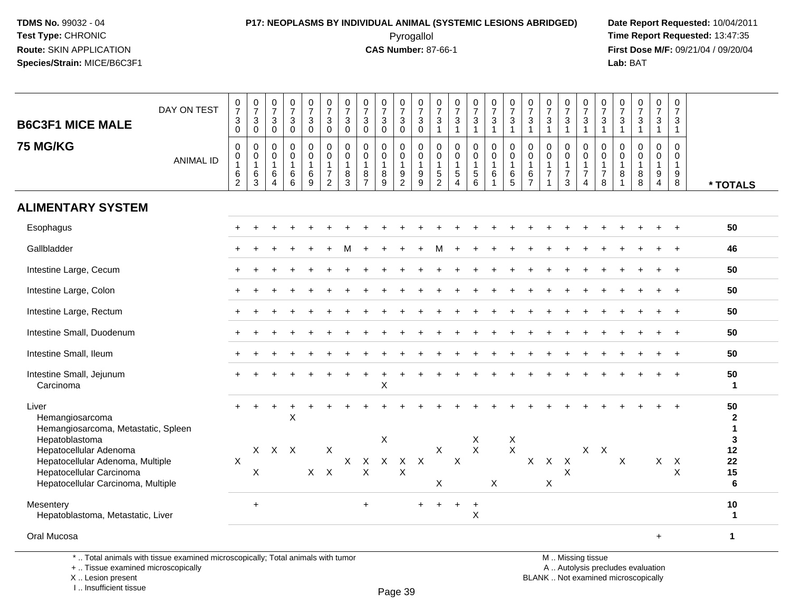# **P17: NEOPLASMS BY INDIVIDUAL ANIMAL (SYSTEMIC LESIONS ABRIDGED) Date Report Requested:** 10/04/2011

 Pyrogallol **Time Report Requested:** 13:47:35 **First Dose M/F:** 09/21/04 / 09/20/04<br>Lab: BAT **Lab:** BAT

| <b>B6C3F1 MICE MALE</b>                                                                                                      | DAY ON TEST      | $\frac{0}{7}$<br>$\ensuremath{\mathsf{3}}$<br>$\pmb{0}$                            | $\begin{smallmatrix}0\\7\end{smallmatrix}$<br>3<br>$\mathbf 0$ | $\frac{0}{7}$<br>$\mathbf{3}$<br>$\mathbf 0$                      | $\frac{0}{7}$<br>$\ensuremath{\mathsf{3}}$<br>$\mathbf 0$ | $\frac{0}{7}$<br>$\mathbf{3}$<br>$\mathbf 0$                                      | $\begin{array}{c} 0 \\ 7 \end{array}$<br>$\sqrt{3}$<br>$\mathbf 0$               | $\begin{array}{c} 0 \\ 7 \end{array}$<br>3<br>$\mathbf 0$ | $\frac{0}{7}$<br>3<br>$\mathbf 0$                                                 | $\frac{0}{7}$<br>$\mathbf{3}$<br>$\mathbf 0$         | $\frac{0}{7}$<br>$\mathbf{3}$<br>$\mathsf{O}\xspace$        | $\frac{0}{7}$<br>$\sqrt{3}$<br>$\mathsf{O}\xspace$ | $\frac{0}{7}$<br>$\mathbf{3}$<br>$\overline{1}$     | $\frac{0}{7}$<br>$\sqrt{3}$<br>$\overline{1}$                              | $\frac{0}{7}$<br>3<br>1                    | $\frac{0}{7}$<br>3<br>$\mathbf{1}$                              | $\frac{0}{7}$<br>$\mathbf{3}$<br>$\mathbf{1}$        | $\frac{0}{7}$<br>$\sqrt{3}$<br>$\mathbf{1}$                       | $\begin{array}{c} 0 \\ 7 \end{array}$<br>$\sqrt{3}$<br>$\overline{1}$          | $\frac{0}{7}$<br>$\mathbf{3}$<br>$\mathbf{1}$                        | $\frac{0}{7}$<br>$\ensuremath{\mathsf{3}}$<br>$\overline{1}$             | 0<br>$\overline{7}$<br>3<br>1                          | 0<br>$\overline{7}$<br>$\sqrt{3}$<br>$\overline{1}$               | $\frac{0}{7}$<br>$\mathbf{3}$<br>$\mathbf{1}$ | $\frac{0}{7}$<br>3<br>$\mathbf{1}$                                | 0<br>$\overline{7}$<br>3<br>$\overline{1}$           |                                                   |
|------------------------------------------------------------------------------------------------------------------------------|------------------|------------------------------------------------------------------------------------|----------------------------------------------------------------|-------------------------------------------------------------------|-----------------------------------------------------------|-----------------------------------------------------------------------------------|----------------------------------------------------------------------------------|-----------------------------------------------------------|-----------------------------------------------------------------------------------|------------------------------------------------------|-------------------------------------------------------------|----------------------------------------------------|-----------------------------------------------------|----------------------------------------------------------------------------|--------------------------------------------|-----------------------------------------------------------------|------------------------------------------------------|-------------------------------------------------------------------|--------------------------------------------------------------------------------|----------------------------------------------------------------------|--------------------------------------------------------------------------|--------------------------------------------------------|-------------------------------------------------------------------|-----------------------------------------------|-------------------------------------------------------------------|------------------------------------------------------|---------------------------------------------------|
| <b>75 MG/KG</b>                                                                                                              | <b>ANIMAL ID</b> | $\pmb{0}$<br>$\begin{smallmatrix}0\\1\end{smallmatrix}$<br>$\,6$<br>$\overline{2}$ | $\mathbf 0$<br>0<br>$\mathbf{1}$<br>$\,6$<br>3                 | $\mathbf 0$<br>$\mathbf 0$<br>$\mathbf{1}$<br>6<br>$\overline{4}$ | $\mathbf 0$<br>$\pmb{0}$<br>$\mathbf{1}$<br>$\,6$<br>6    | $\mathsf{O}\xspace$<br>$\pmb{0}$<br>$\overline{1}$<br>$\,6\,$<br>$\boldsymbol{9}$ | $\mathbf 0$<br>$\mathbf 0$<br>$\overline{1}$<br>$\overline{7}$<br>$\overline{2}$ | $\mathbf 0$<br>$\mathbf 0$<br>1<br>8<br>3                 | $\mathsf{O}\xspace$<br>$\mathsf{O}\xspace$<br>$\mathbf{1}$<br>8<br>$\overline{7}$ | $\mathbf 0$<br>$\mathbf 0$<br>$\mathbf{1}$<br>8<br>9 | $\mathbf 0$<br>$\mathbf 0$<br>$\mathbf{1}$<br>$\frac{9}{2}$ | $\pmb{0}$<br>$\pmb{0}$<br>$\mathbf{1}$<br>$^9_9$   | 0<br>$\mathbf 0$<br>$\overline{1}$<br>$\frac{5}{2}$ | $\mathbf 0$<br>$\mathbf 0$<br>$\mathbf{1}$<br>$\sqrt{5}$<br>$\overline{4}$ | 0<br>$\mathbf 0$<br>$\mathbf{1}$<br>5<br>6 | $\pmb{0}$<br>$\mathbf 0$<br>$\mathbf{1}$<br>6<br>$\overline{1}$ | $\mathsf 0$<br>$\mathsf 0$<br>$\mathbf{1}$<br>$^6$ 5 | $\mathbf 0$<br>$\mathbf 0$<br>$\mathbf{1}$<br>6<br>$\overline{7}$ | $\mathbf 0$<br>$\mathbf 0$<br>$\mathbf{1}$<br>$\overline{7}$<br>$\overline{1}$ | 0<br>$\mathbf 0$<br>$\mathbf{1}$<br>$\overline{7}$<br>$\mathfrak{S}$ | $\boldsymbol{0}$<br>$\mathbf 0$<br>$\overline{1}$<br>$\overline{7}$<br>4 | $\mathbf 0$<br>$\mathbf 0$<br>1<br>$\overline{7}$<br>8 | $\mathbf 0$<br>$\mathbf 0$<br>$\mathbf{1}$<br>8<br>$\overline{1}$ | $\mathsf 0$<br>0<br>$\mathbf{1}$<br>$_{8}^8$  | $\mathbf 0$<br>$\mathbf 0$<br>$\mathbf{1}$<br>9<br>$\overline{4}$ | $\mathbf 0$<br>$\mathbf 0$<br>$\mathbf{1}$<br>9<br>8 | * TOTALS                                          |
| <b>ALIMENTARY SYSTEM</b>                                                                                                     |                  |                                                                                    |                                                                |                                                                   |                                                           |                                                                                   |                                                                                  |                                                           |                                                                                   |                                                      |                                                             |                                                    |                                                     |                                                                            |                                            |                                                                 |                                                      |                                                                   |                                                                                |                                                                      |                                                                          |                                                        |                                                                   |                                               |                                                                   |                                                      |                                                   |
| Esophagus                                                                                                                    |                  |                                                                                    |                                                                |                                                                   |                                                           |                                                                                   |                                                                                  |                                                           |                                                                                   |                                                      |                                                             |                                                    |                                                     |                                                                            |                                            |                                                                 |                                                      |                                                                   |                                                                                |                                                                      |                                                                          |                                                        |                                                                   |                                               |                                                                   |                                                      | 50                                                |
| Gallbladder                                                                                                                  |                  |                                                                                    |                                                                |                                                                   |                                                           |                                                                                   |                                                                                  |                                                           |                                                                                   |                                                      |                                                             |                                                    | м                                                   |                                                                            |                                            |                                                                 |                                                      |                                                                   |                                                                                |                                                                      |                                                                          |                                                        |                                                                   |                                               |                                                                   |                                                      | 46                                                |
| Intestine Large, Cecum                                                                                                       |                  |                                                                                    |                                                                |                                                                   |                                                           |                                                                                   |                                                                                  |                                                           |                                                                                   |                                                      |                                                             |                                                    |                                                     |                                                                            |                                            |                                                                 |                                                      |                                                                   |                                                                                |                                                                      |                                                                          |                                                        |                                                                   |                                               |                                                                   |                                                      | 50                                                |
| Intestine Large, Colon                                                                                                       |                  |                                                                                    |                                                                |                                                                   |                                                           |                                                                                   |                                                                                  |                                                           |                                                                                   |                                                      |                                                             |                                                    |                                                     |                                                                            |                                            |                                                                 |                                                      |                                                                   |                                                                                |                                                                      |                                                                          |                                                        |                                                                   |                                               |                                                                   |                                                      | 50                                                |
| Intestine Large, Rectum                                                                                                      |                  |                                                                                    |                                                                |                                                                   |                                                           |                                                                                   |                                                                                  |                                                           |                                                                                   |                                                      |                                                             |                                                    |                                                     |                                                                            |                                            |                                                                 |                                                      |                                                                   |                                                                                |                                                                      |                                                                          |                                                        |                                                                   |                                               |                                                                   |                                                      | 50                                                |
| Intestine Small, Duodenum                                                                                                    |                  |                                                                                    |                                                                |                                                                   |                                                           |                                                                                   |                                                                                  |                                                           |                                                                                   |                                                      |                                                             |                                                    |                                                     |                                                                            |                                            |                                                                 |                                                      |                                                                   |                                                                                |                                                                      |                                                                          |                                                        |                                                                   |                                               |                                                                   |                                                      | 50                                                |
| Intestine Small, Ileum                                                                                                       |                  |                                                                                    |                                                                |                                                                   |                                                           |                                                                                   |                                                                                  |                                                           |                                                                                   |                                                      |                                                             |                                                    |                                                     |                                                                            |                                            |                                                                 |                                                      |                                                                   |                                                                                |                                                                      |                                                                          |                                                        |                                                                   |                                               |                                                                   |                                                      | 50                                                |
| Intestine Small, Jejunum<br>Carcinoma                                                                                        |                  |                                                                                    |                                                                |                                                                   |                                                           |                                                                                   |                                                                                  |                                                           |                                                                                   | $\pmb{\times}$                                       |                                                             |                                                    |                                                     |                                                                            |                                            |                                                                 |                                                      |                                                                   |                                                                                |                                                                      |                                                                          |                                                        |                                                                   |                                               |                                                                   |                                                      | 50<br>$\mathbf{1}$                                |
| Liver<br>Hemangiosarcoma<br>Hemangiosarcoma, Metastatic, Spleen<br>Hepatoblastoma                                            |                  |                                                                                    |                                                                |                                                                   | X                                                         |                                                                                   |                                                                                  |                                                           |                                                                                   | $\mathsf X$                                          |                                                             |                                                    |                                                     |                                                                            | X                                          |                                                                 | $\boldsymbol{\mathsf{X}}$                            |                                                                   |                                                                                |                                                                      |                                                                          |                                                        |                                                                   |                                               |                                                                   |                                                      | 50<br>$\mathbf{2}$<br>$\mathbf{1}$<br>$\mathbf 3$ |
| Hepatocellular Adenoma<br>Hepatocellular Adenoma, Multiple<br>Hepatocellular Carcinoma<br>Hepatocellular Carcinoma, Multiple |                  | $\boldsymbol{\mathsf{X}}$                                                          | X                                                              | X X X                                                             |                                                           |                                                                                   | X<br>$X$ $X$                                                                     | $\mathsf{X}$                                              | $\mathsf{X}$<br>$\mathsf{X}$                                                      |                                                      | $X$ $X$ $X$<br>$\times$                                     |                                                    | $\mathsf{X}$<br>X                                   | X                                                                          | $\mathsf{X}$                               | $\boldsymbol{\mathsf{X}}$                                       | $\mathsf{X}$                                         |                                                                   | $X$ $X$<br>X                                                                   | $\mathsf{X}$<br>X                                                    | $X$ $X$                                                                  |                                                        | X                                                                 |                                               |                                                                   | $X$ $X$<br>X                                         | 12<br>22<br>15<br>6                               |
| Mesentery<br>Hepatoblastoma, Metastatic, Liver                                                                               |                  |                                                                                    | $\ddot{}$                                                      |                                                                   |                                                           |                                                                                   |                                                                                  |                                                           | $\ddot{}$                                                                         |                                                      |                                                             |                                                    |                                                     | $+$                                                                        | $\ddot{}$<br>$\mathsf X$                   |                                                                 |                                                      |                                                                   |                                                                                |                                                                      |                                                                          |                                                        |                                                                   |                                               |                                                                   |                                                      | 10<br>$\mathbf{1}$                                |
| Oral Mucosa                                                                                                                  |                  |                                                                                    |                                                                |                                                                   |                                                           |                                                                                   |                                                                                  |                                                           |                                                                                   |                                                      |                                                             |                                                    |                                                     |                                                                            |                                            |                                                                 |                                                      |                                                                   |                                                                                |                                                                      |                                                                          |                                                        |                                                                   |                                               | $+$                                                               |                                                      | $\mathbf{1}$                                      |

\* .. Total animals with tissue examined microscopically; Total animals with tumor

+ .. Tissue examined microscopically

 Lesion present BLANK .. Not examined microscopicallyX .. Lesion present

I .. Insufficient tissue

 M .. Missing tissuey the contract of the contract of the contract of the contract of the contract of  $\mathsf A$  . Autolysis precludes evaluation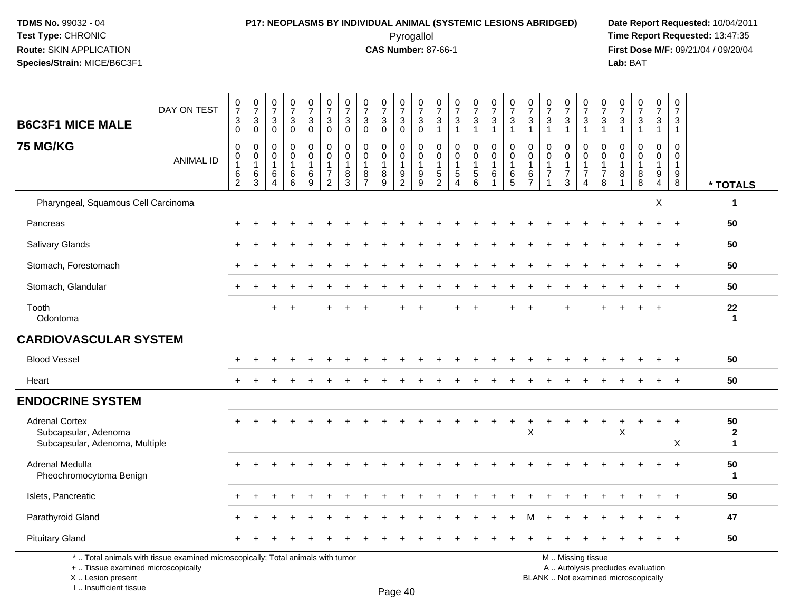# **P17: NEOPLASMS BY INDIVIDUAL ANIMAL (SYSTEMIC LESIONS ABRIDGED) Date Report Requested:** 10/04/2011

 Pyrogallol **Time Report Requested:** 13:47:35 **First Dose M/F:** 09/21/04 / 09/20/04<br>Lab: BAT **Lab:** BAT

| <b>B6C3F1 MICE MALE</b>                                                         | DAY ON TEST                                                                     | $\frac{0}{7}$<br>$\ensuremath{\mathsf{3}}$<br>$\mathbf 0$ | $\begin{array}{c} 0 \\ 7 \end{array}$<br>3<br>0   | 0<br>$\overline{7}$<br>$\ensuremath{\mathsf{3}}$<br>$\mathbf 0$ | $\begin{smallmatrix}0\\7\end{smallmatrix}$<br>$\ensuremath{\mathsf{3}}$<br>$\mathbf 0$ | $\frac{0}{7}$<br>3<br>$\pmb{0}$        | $\frac{0}{7}$<br>$\ensuremath{\mathsf{3}}$<br>$\mathbf 0$                      | $\frac{0}{7}$<br>$\ensuremath{\mathsf{3}}$<br>$\mathbf 0$ | $\frac{0}{7}$<br>$\sqrt{3}$<br>$\mathbf 0$                       | $\begin{array}{c} 0 \\ 7 \end{array}$<br>$\sqrt{3}$<br>$\mathbf 0$ | $\begin{array}{c} 0 \\ 7 \end{array}$<br>$_{\rm 0}^3$       | $\frac{0}{7}$<br>$\ensuremath{\mathsf{3}}$<br>$\mathbf 0$ | 0<br>$\overline{7}$<br>$\ensuremath{\mathsf{3}}$<br>$\overline{1}$ | $\frac{0}{7}$<br>$\sqrt{3}$<br>$\mathbf{1}$                                 | $\frac{0}{7}$<br>$\ensuremath{\mathsf{3}}$<br>$\mathbf{1}$ | $\begin{smallmatrix}0\\7\end{smallmatrix}$<br>$\sqrt{3}$<br>$\mathbf{1}$ | $\frac{0}{7}$<br>$\ensuremath{\mathsf{3}}$<br>$\overline{1}$ | 0<br>$\overline{7}$<br>$\ensuremath{\mathsf{3}}$<br>$\overline{1}$ | 0<br>$\overline{7}$<br>$\sqrt{3}$<br>$\mathbf{1}$                           | $\frac{0}{7}$<br>3<br>$\mathbf{1}$                             | $\begin{smallmatrix}0\\7\end{smallmatrix}$<br>$\ensuremath{\mathsf{3}}$<br>$\mathbf{1}$ | $\frac{0}{7}$<br>$\ensuremath{\mathsf{3}}$<br>$\mathbf{1}$ | $\frac{0}{7}$<br>$\frac{3}{1}$           | $\begin{array}{c} 0 \\ 7 \end{array}$<br>$\frac{3}{1}$         | 0<br>$\overline{7}$<br>3<br>$\mathbf{1}$ | $\begin{array}{c} 0 \\ 7 \end{array}$<br>3<br>$\mathbf{1}$     |                                   |
|---------------------------------------------------------------------------------|---------------------------------------------------------------------------------|-----------------------------------------------------------|---------------------------------------------------|-----------------------------------------------------------------|----------------------------------------------------------------------------------------|----------------------------------------|--------------------------------------------------------------------------------|-----------------------------------------------------------|------------------------------------------------------------------|--------------------------------------------------------------------|-------------------------------------------------------------|-----------------------------------------------------------|--------------------------------------------------------------------|-----------------------------------------------------------------------------|------------------------------------------------------------|--------------------------------------------------------------------------|--------------------------------------------------------------|--------------------------------------------------------------------|-----------------------------------------------------------------------------|----------------------------------------------------------------|-----------------------------------------------------------------------------------------|------------------------------------------------------------|------------------------------------------|----------------------------------------------------------------|------------------------------------------|----------------------------------------------------------------|-----------------------------------|
| <b>75 MG/KG</b>                                                                 | <b>ANIMAL ID</b>                                                                | $\mathbf 0$<br>0<br>$\mathbf{1}$<br>$^6_2$                | $\mathbf 0$<br>0<br>$\mathbf{1}$<br>$\frac{6}{3}$ | $\mathbf 0$<br>0<br>$\mathbf{1}$<br>6<br>4                      | $\mathbf 0$<br>$\mathbf 0$<br>$\mathbf{1}$<br>$\,6$<br>$\overline{6}$                  | 0<br>0<br>$\mathbf{1}$<br>$\,6\,$<br>9 | $\mathbf 0$<br>$\mathbf 0$<br>$\mathbf{1}$<br>$\overline{7}$<br>$\overline{2}$ | $\mathbf 0$<br>0<br>$\mathbf{1}$<br>8<br>$\overline{3}$   | $\Omega$<br>$\mathbf 0$<br>$\overline{1}$<br>8<br>$\overline{7}$ | $\mathbf 0$<br>0<br>$^8_9$                                         | $\mathbf 0$<br>$\mathbf 0$<br>$\mathbf{1}$<br>$\frac{9}{2}$ | $\mathbf 0$<br>$\mathbf 0$<br>$\overline{1}$<br>$^9_9$    | 0<br>$\mathbf 0$<br>$\mathbf{1}$<br>$\frac{5}{2}$                  | $\mathbf 0$<br>$\mathbf 0$<br>$\mathbf{1}$<br>$\mathbf 5$<br>$\overline{4}$ | 0<br>0<br>$\mathbf{1}$<br>$\frac{5}{6}$                    | 0<br>0<br>1<br>6                                                         | $\mathbf 0$<br>$\mathbf 0$<br>$\mathbf{1}$<br>$6\over 5$     | $\Omega$<br>$\mathbf 0$<br>$\mathbf{1}$<br>6<br>$\overline{7}$     | $\Omega$<br>$\mathbf 0$<br>$\mathbf{1}$<br>$\overline{7}$<br>$\overline{1}$ | $\Omega$<br>$\mathbf 0$<br>$\mathbf{1}$<br>$\overline{7}$<br>3 | $\mathbf 0$<br>$\mathbf 0$<br>$\mathbf{1}$<br>$\overline{7}$<br>$\overline{4}$          | $\Omega$<br>$\mathbf 0$<br>1<br>$\overline{7}$<br>8        | $\Omega$<br>0<br>$\mathbf{1}$<br>8<br>-1 | $\Omega$<br>$\mathbf 0$<br>$\mathbf{1}$<br>8<br>$\overline{8}$ | $\Omega$<br>$\mathbf 0$<br>1<br>9<br>4   | $\Omega$<br>$\mathbf 0$<br>$\mathbf{1}$<br>9<br>$\overline{8}$ | * TOTALS                          |
| Pharyngeal, Squamous Cell Carcinoma                                             |                                                                                 |                                                           |                                                   |                                                                 |                                                                                        |                                        |                                                                                |                                                           |                                                                  |                                                                    |                                                             |                                                           |                                                                    |                                                                             |                                                            |                                                                          |                                                              |                                                                    |                                                                             |                                                                |                                                                                         |                                                            |                                          |                                                                | X                                        |                                                                | $\mathbf{1}$                      |
| Pancreas                                                                        |                                                                                 |                                                           |                                                   |                                                                 |                                                                                        |                                        |                                                                                |                                                           |                                                                  |                                                                    |                                                             |                                                           |                                                                    |                                                                             |                                                            |                                                                          |                                                              |                                                                    |                                                                             |                                                                |                                                                                         |                                                            |                                          |                                                                | $\div$                                   | $\overline{+}$                                                 | 50                                |
| <b>Salivary Glands</b>                                                          |                                                                                 |                                                           |                                                   |                                                                 |                                                                                        |                                        |                                                                                |                                                           |                                                                  |                                                                    |                                                             |                                                           |                                                                    |                                                                             |                                                            |                                                                          |                                                              |                                                                    |                                                                             |                                                                |                                                                                         |                                                            |                                          |                                                                |                                          |                                                                | 50                                |
| Stomach, Forestomach                                                            |                                                                                 |                                                           |                                                   |                                                                 |                                                                                        |                                        |                                                                                |                                                           |                                                                  |                                                                    |                                                             |                                                           |                                                                    |                                                                             |                                                            |                                                                          |                                                              |                                                                    |                                                                             |                                                                |                                                                                         |                                                            |                                          |                                                                |                                          |                                                                | 50                                |
| Stomach, Glandular                                                              |                                                                                 |                                                           |                                                   |                                                                 |                                                                                        |                                        |                                                                                |                                                           |                                                                  |                                                                    |                                                             |                                                           |                                                                    |                                                                             |                                                            |                                                                          |                                                              |                                                                    |                                                                             |                                                                |                                                                                         |                                                            |                                          |                                                                |                                          |                                                                | 50                                |
| Tooth<br>Odontoma                                                               |                                                                                 |                                                           |                                                   | $+$                                                             |                                                                                        |                                        |                                                                                |                                                           |                                                                  |                                                                    |                                                             |                                                           |                                                                    |                                                                             |                                                            |                                                                          |                                                              |                                                                    |                                                                             |                                                                |                                                                                         |                                                            |                                          |                                                                |                                          |                                                                | 22<br>$\mathbf{1}$                |
| <b>CARDIOVASCULAR SYSTEM</b>                                                    |                                                                                 |                                                           |                                                   |                                                                 |                                                                                        |                                        |                                                                                |                                                           |                                                                  |                                                                    |                                                             |                                                           |                                                                    |                                                                             |                                                            |                                                                          |                                                              |                                                                    |                                                                             |                                                                |                                                                                         |                                                            |                                          |                                                                |                                          |                                                                |                                   |
| <b>Blood Vessel</b>                                                             |                                                                                 |                                                           |                                                   |                                                                 |                                                                                        |                                        |                                                                                |                                                           |                                                                  |                                                                    |                                                             |                                                           |                                                                    |                                                                             |                                                            |                                                                          |                                                              |                                                                    |                                                                             |                                                                |                                                                                         |                                                            |                                          |                                                                |                                          |                                                                | 50                                |
| Heart                                                                           |                                                                                 |                                                           |                                                   |                                                                 |                                                                                        |                                        |                                                                                |                                                           |                                                                  |                                                                    |                                                             |                                                           |                                                                    |                                                                             |                                                            |                                                                          |                                                              |                                                                    |                                                                             |                                                                |                                                                                         |                                                            |                                          |                                                                |                                          |                                                                | 50                                |
| <b>ENDOCRINE SYSTEM</b>                                                         |                                                                                 |                                                           |                                                   |                                                                 |                                                                                        |                                        |                                                                                |                                                           |                                                                  |                                                                    |                                                             |                                                           |                                                                    |                                                                             |                                                            |                                                                          |                                                              |                                                                    |                                                                             |                                                                |                                                                                         |                                                            |                                          |                                                                |                                          |                                                                |                                   |
| <b>Adrenal Cortex</b><br>Subcapsular, Adenoma<br>Subcapsular, Adenoma, Multiple |                                                                                 |                                                           |                                                   |                                                                 |                                                                                        |                                        |                                                                                |                                                           |                                                                  |                                                                    |                                                             |                                                           |                                                                    |                                                                             |                                                            |                                                                          | $\ddot{}$                                                    | +<br>X                                                             |                                                                             |                                                                |                                                                                         | $\ddot{}$                                                  | +<br>X                                   | $\ddot{}$                                                      | $\ddot{}$                                | $\ddot{}$<br>X                                                 | 50<br>$\mathbf{2}$<br>$\mathbf 1$ |
| Adrenal Medulla<br>Pheochromocytoma Benign                                      |                                                                                 |                                                           |                                                   |                                                                 |                                                                                        |                                        |                                                                                |                                                           |                                                                  |                                                                    |                                                             |                                                           |                                                                    |                                                                             |                                                            |                                                                          |                                                              |                                                                    |                                                                             |                                                                |                                                                                         |                                                            |                                          |                                                                |                                          |                                                                | 50<br>$\mathbf{1}$                |
| Islets, Pancreatic                                                              |                                                                                 |                                                           |                                                   |                                                                 |                                                                                        |                                        |                                                                                |                                                           |                                                                  |                                                                    |                                                             |                                                           |                                                                    |                                                                             |                                                            |                                                                          |                                                              |                                                                    |                                                                             |                                                                |                                                                                         |                                                            |                                          |                                                                |                                          |                                                                | 50                                |
| Parathyroid Gland                                                               |                                                                                 |                                                           |                                                   |                                                                 |                                                                                        |                                        |                                                                                |                                                           |                                                                  |                                                                    |                                                             |                                                           |                                                                    |                                                                             |                                                            |                                                                          |                                                              | M                                                                  |                                                                             |                                                                |                                                                                         |                                                            |                                          |                                                                |                                          |                                                                | 47                                |
| <b>Pituitary Gland</b>                                                          |                                                                                 |                                                           |                                                   |                                                                 |                                                                                        |                                        |                                                                                |                                                           |                                                                  |                                                                    |                                                             |                                                           |                                                                    |                                                                             |                                                            |                                                                          |                                                              |                                                                    |                                                                             |                                                                |                                                                                         |                                                            |                                          |                                                                |                                          |                                                                | 50                                |
| +  Tissue examined microscopically                                              | *  Total animals with tissue examined microscopically; Total animals with tumor |                                                           |                                                   |                                                                 |                                                                                        |                                        |                                                                                |                                                           |                                                                  |                                                                    |                                                             |                                                           |                                                                    |                                                                             |                                                            |                                                                          |                                                              |                                                                    |                                                                             |                                                                | M  Missing tissue                                                                       |                                                            |                                          | A  Autolysis precludes evaluation                              |                                          |                                                                |                                   |

 Lesion present BLANK .. Not examined microscopicallyX .. Lesion present

I .. Insufficient tissue

Page 40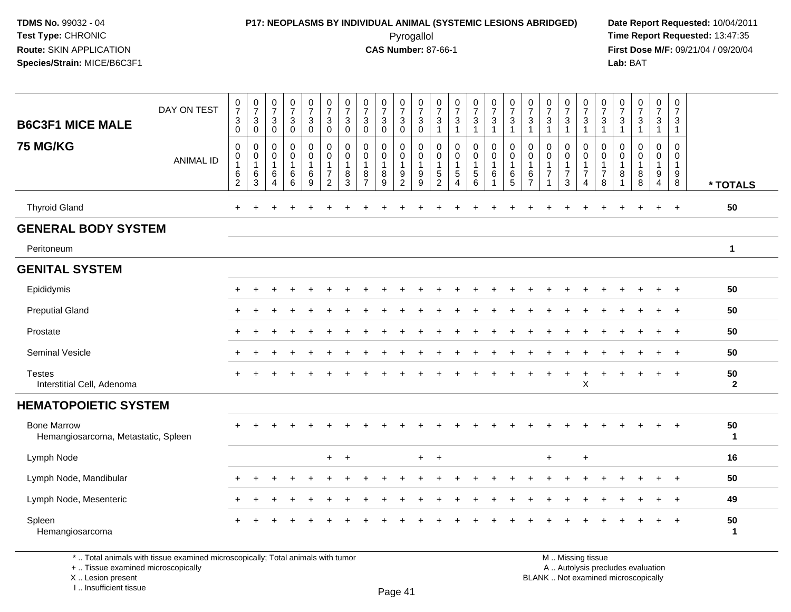# **P17: NEOPLASMS BY INDIVIDUAL ANIMAL (SYSTEMIC LESIONS ABRIDGED) Date Report Requested:** 10/04/2011

 Pyrogallol **Time Report Requested:** 13:47:35 **First Dose M/F:** 09/21/04 / 09/20/04<br>Lab: BAT **Lab:** BAT

| <b>B6C3F1 MICE MALE</b><br><b>75 MG/KG</b>                | DAY ON TEST<br><b>ANIMAL ID</b> | $\frac{0}{7}$<br>$\ensuremath{\mathsf{3}}$<br>$\mathbf 0$<br>0<br>$\mathsf 0$<br>$\mathbf{1}$<br>$\,6$ | $\frac{0}{7}$<br>$\mathbf{3}$<br>$\mathbf 0$<br>$\mathbf 0$<br>$\mathbf 0$<br>$\overline{1}$<br>6 | $\begin{array}{c} 0 \\ 7 \end{array}$<br>$\mathbf 3$<br>$\Omega$<br>$\mathbf 0$<br>$\mathbf 0$<br>$\mathbf{1}$<br>6 | $\frac{0}{7}$<br>$\mathbf{3}$<br>$\Omega$<br>$\mathbf 0$<br>$\mathbf 0$<br>6 | $\begin{smallmatrix}0\\7\end{smallmatrix}$<br>$\mathfrak{S}$<br>$\mathbf 0$<br>$\mathbf 0$<br>$\mathbf 0$<br>$\mathbf{1}$<br>6 | $\begin{array}{c} 0 \\ 7 \end{array}$<br>$\ensuremath{\mathsf{3}}$<br>$\mathbf 0$<br>$\mathbf 0$<br>$\pmb{0}$<br>1<br>$\overline{7}$ | $\frac{0}{7}$<br>$\sqrt{3}$<br>$\mathbf{0}$<br>$\mathbf 0$<br>$\mathbf 0$<br>$\mathbf{1}$<br>8 | $\frac{0}{7}$<br>$\sqrt{3}$<br>$\Omega$<br>$\mathbf 0$<br>$\mathbf 0$<br>$\mathbf{1}$<br>8 | $\frac{0}{7}$<br>3<br>$\Omega$<br>$\mathbf 0$<br>$\mathbf 0$<br>8 | $\frac{0}{7}$<br>$\mathbf{3}$<br>$\mathbf 0$<br>$\pmb{0}$<br>$\mathsf{O}\xspace$<br>$\overline{1}$ | $\frac{0}{7}$<br>$\ensuremath{\mathsf{3}}$<br>$\mathbf 0$<br>$\mathbf 0$<br>$\mathsf{O}\xspace$<br>$\mathbf{1}$<br>9 | 0<br>$\overline{7}$<br>$\sqrt{3}$<br>$\overline{1}$<br>$\mathbf 0$<br>$\mathbf 0$<br>$\mathbf{1}$<br>$\sqrt{5}$ | $\begin{array}{c} 0 \\ 7 \end{array}$<br>$\sqrt{3}$<br>$\overline{1}$<br>$\mathbf 0$<br>$\mathbf 0$<br>$\mathbf{1}$<br>$\sqrt{5}$ | $\begin{smallmatrix}0\\7\end{smallmatrix}$<br>$\mathsf 3$<br>$\mathbf{1}$<br>$\mathbf 0$<br>$\mathbf 0$<br>$\mathbf{1}$<br>$\sqrt{5}$ | $\frac{0}{7}$<br>$\ensuremath{\mathsf{3}}$<br>$\mathbf{1}$<br>$\mathbf 0$<br>$\mathbf 0$<br>$\mathbf{1}$<br>6 | $\frac{0}{7}$<br>3<br>$\mathbf{1}$<br>$\mathbf 0$<br>0<br>$\mathbf{1}$<br>6 | $\pmb{0}$<br>$\overline{7}$<br>$\sqrt{3}$<br>$\overline{1}$<br>$\Omega$<br>$\mathbf 0$<br>$\overline{1}$<br>6 | $\frac{0}{7}$<br>$\ensuremath{\mathsf{3}}$<br>$\overline{1}$<br>$\mathbf 0$<br>$\pmb{0}$<br>$\mathbf{1}$<br>$\overline{7}$ | $\frac{0}{7}$<br>$\sqrt{3}$<br>$\overline{1}$<br>0<br>$\mathbf 0$<br>$\mathbf{1}$<br>$\overline{7}$ | $\frac{0}{7}$<br>$\sqrt{3}$<br>$\overline{1}$<br>$\mathbf 0$<br>$\mathbf 0$<br>$\mathbf{1}$<br>$\overline{7}$ | 0<br>$\overline{7}$<br>$\ensuremath{\mathsf{3}}$<br>1<br>$\Omega$<br>$\mathbf 0$<br>1<br>$\overline{7}$ | 0<br>$\overline{7}$<br>$\ensuremath{\mathsf{3}}$<br>$\overline{1}$<br>$\Omega$<br>0<br>$\mathbf{1}$<br>8 | $\frac{0}{7}$<br>$\ensuremath{\mathsf{3}}$<br>$\overline{1}$<br>$\mathbf 0$<br>$\mathbf 0$<br>8 | $\begin{array}{c} 0 \\ 7 \end{array}$<br>$\mathbf{3}$<br>$\overline{1}$<br>$\mathbf 0$<br>$\mathbf 0$<br>$\mathbf{1}$<br>9 | 0<br>$\overline{7}$<br>$\mathbf{3}$<br>$\mathbf{1}$<br>$\mathbf 0$<br>$\mathbf 0$<br>$\mathbf{1}$<br>9 |                    |
|-----------------------------------------------------------|---------------------------------|--------------------------------------------------------------------------------------------------------|---------------------------------------------------------------------------------------------------|---------------------------------------------------------------------------------------------------------------------|------------------------------------------------------------------------------|--------------------------------------------------------------------------------------------------------------------------------|--------------------------------------------------------------------------------------------------------------------------------------|------------------------------------------------------------------------------------------------|--------------------------------------------------------------------------------------------|-------------------------------------------------------------------|----------------------------------------------------------------------------------------------------|----------------------------------------------------------------------------------------------------------------------|-----------------------------------------------------------------------------------------------------------------|-----------------------------------------------------------------------------------------------------------------------------------|---------------------------------------------------------------------------------------------------------------------------------------|---------------------------------------------------------------------------------------------------------------|-----------------------------------------------------------------------------|---------------------------------------------------------------------------------------------------------------|----------------------------------------------------------------------------------------------------------------------------|-----------------------------------------------------------------------------------------------------|---------------------------------------------------------------------------------------------------------------|---------------------------------------------------------------------------------------------------------|----------------------------------------------------------------------------------------------------------|-------------------------------------------------------------------------------------------------|----------------------------------------------------------------------------------------------------------------------------|--------------------------------------------------------------------------------------------------------|--------------------|
|                                                           |                                 | $\overline{2}$                                                                                         | 3                                                                                                 | $\overline{4}$                                                                                                      | $6\phantom{a}$                                                               | $\boldsymbol{9}$                                                                                                               | $\overline{c}$                                                                                                                       | $\overline{3}$                                                                                 | $\overline{7}$                                                                             | 9                                                                 | $\frac{9}{2}$                                                                                      | $\overline{9}$                                                                                                       | $\overline{2}$                                                                                                  | $\overline{4}$                                                                                                                    | $6\phantom{a}$                                                                                                                        | $\mathbf{1}$                                                                                                  | $\overline{5}$                                                              | $\overline{7}$                                                                                                | 1                                                                                                                          | $\mathbf{3}$                                                                                        | 4                                                                                                             | 8                                                                                                       | $\overline{1}$                                                                                           | 8                                                                                               | $\overline{4}$                                                                                                             | 8                                                                                                      | * TOTALS           |
| <b>Thyroid Gland</b>                                      |                                 | $\ddot{}$                                                                                              |                                                                                                   |                                                                                                                     |                                                                              |                                                                                                                                |                                                                                                                                      |                                                                                                |                                                                                            |                                                                   |                                                                                                    |                                                                                                                      |                                                                                                                 |                                                                                                                                   |                                                                                                                                       |                                                                                                               |                                                                             |                                                                                                               |                                                                                                                            |                                                                                                     |                                                                                                               |                                                                                                         |                                                                                                          | $\ddot{}$                                                                                       | $\ddot{}$                                                                                                                  | $+$                                                                                                    | 50                 |
| <b>GENERAL BODY SYSTEM</b>                                |                                 |                                                                                                        |                                                                                                   |                                                                                                                     |                                                                              |                                                                                                                                |                                                                                                                                      |                                                                                                |                                                                                            |                                                                   |                                                                                                    |                                                                                                                      |                                                                                                                 |                                                                                                                                   |                                                                                                                                       |                                                                                                               |                                                                             |                                                                                                               |                                                                                                                            |                                                                                                     |                                                                                                               |                                                                                                         |                                                                                                          |                                                                                                 |                                                                                                                            |                                                                                                        |                    |
| Peritoneum                                                |                                 |                                                                                                        |                                                                                                   |                                                                                                                     |                                                                              |                                                                                                                                |                                                                                                                                      |                                                                                                |                                                                                            |                                                                   |                                                                                                    |                                                                                                                      |                                                                                                                 |                                                                                                                                   |                                                                                                                                       |                                                                                                               |                                                                             |                                                                                                               |                                                                                                                            |                                                                                                     |                                                                                                               |                                                                                                         |                                                                                                          |                                                                                                 |                                                                                                                            |                                                                                                        | $\mathbf{1}$       |
| <b>GENITAL SYSTEM</b>                                     |                                 |                                                                                                        |                                                                                                   |                                                                                                                     |                                                                              |                                                                                                                                |                                                                                                                                      |                                                                                                |                                                                                            |                                                                   |                                                                                                    |                                                                                                                      |                                                                                                                 |                                                                                                                                   |                                                                                                                                       |                                                                                                               |                                                                             |                                                                                                               |                                                                                                                            |                                                                                                     |                                                                                                               |                                                                                                         |                                                                                                          |                                                                                                 |                                                                                                                            |                                                                                                        |                    |
| Epididymis                                                |                                 |                                                                                                        |                                                                                                   |                                                                                                                     |                                                                              |                                                                                                                                |                                                                                                                                      |                                                                                                |                                                                                            |                                                                   |                                                                                                    |                                                                                                                      |                                                                                                                 |                                                                                                                                   |                                                                                                                                       |                                                                                                               |                                                                             |                                                                                                               |                                                                                                                            |                                                                                                     |                                                                                                               |                                                                                                         |                                                                                                          |                                                                                                 |                                                                                                                            | $\overline{+}$                                                                                         | 50                 |
| <b>Preputial Gland</b>                                    |                                 | $\pm$                                                                                                  | ÷                                                                                                 |                                                                                                                     |                                                                              |                                                                                                                                |                                                                                                                                      |                                                                                                |                                                                                            |                                                                   |                                                                                                    |                                                                                                                      |                                                                                                                 |                                                                                                                                   |                                                                                                                                       |                                                                                                               |                                                                             |                                                                                                               |                                                                                                                            |                                                                                                     |                                                                                                               |                                                                                                         |                                                                                                          |                                                                                                 |                                                                                                                            | $^{+}$                                                                                                 | 50                 |
| Prostate                                                  |                                 |                                                                                                        |                                                                                                   |                                                                                                                     |                                                                              |                                                                                                                                |                                                                                                                                      |                                                                                                |                                                                                            |                                                                   |                                                                                                    |                                                                                                                      |                                                                                                                 |                                                                                                                                   |                                                                                                                                       |                                                                                                               |                                                                             |                                                                                                               |                                                                                                                            |                                                                                                     |                                                                                                               |                                                                                                         |                                                                                                          |                                                                                                 |                                                                                                                            | $\overline{+}$                                                                                         | 50                 |
| Seminal Vesicle                                           |                                 |                                                                                                        |                                                                                                   |                                                                                                                     |                                                                              |                                                                                                                                |                                                                                                                                      |                                                                                                |                                                                                            |                                                                   |                                                                                                    |                                                                                                                      |                                                                                                                 |                                                                                                                                   |                                                                                                                                       |                                                                                                               |                                                                             |                                                                                                               |                                                                                                                            |                                                                                                     |                                                                                                               |                                                                                                         |                                                                                                          |                                                                                                 |                                                                                                                            | $+$                                                                                                    | 50                 |
| <b>Testes</b><br>Interstitial Cell, Adenoma               |                                 |                                                                                                        |                                                                                                   |                                                                                                                     |                                                                              |                                                                                                                                |                                                                                                                                      |                                                                                                |                                                                                            |                                                                   |                                                                                                    |                                                                                                                      |                                                                                                                 |                                                                                                                                   |                                                                                                                                       |                                                                                                               |                                                                             |                                                                                                               |                                                                                                                            |                                                                                                     | $\boldsymbol{\mathsf{X}}$                                                                                     |                                                                                                         |                                                                                                          |                                                                                                 |                                                                                                                            | $+$                                                                                                    | 50<br>$\mathbf{2}$ |
| <b>HEMATOPOIETIC SYSTEM</b>                               |                                 |                                                                                                        |                                                                                                   |                                                                                                                     |                                                                              |                                                                                                                                |                                                                                                                                      |                                                                                                |                                                                                            |                                                                   |                                                                                                    |                                                                                                                      |                                                                                                                 |                                                                                                                                   |                                                                                                                                       |                                                                                                               |                                                                             |                                                                                                               |                                                                                                                            |                                                                                                     |                                                                                                               |                                                                                                         |                                                                                                          |                                                                                                 |                                                                                                                            |                                                                                                        |                    |
| <b>Bone Marrow</b><br>Hemangiosarcoma, Metastatic, Spleen |                                 |                                                                                                        |                                                                                                   |                                                                                                                     |                                                                              |                                                                                                                                |                                                                                                                                      |                                                                                                |                                                                                            |                                                                   |                                                                                                    |                                                                                                                      |                                                                                                                 |                                                                                                                                   |                                                                                                                                       |                                                                                                               |                                                                             |                                                                                                               |                                                                                                                            |                                                                                                     |                                                                                                               |                                                                                                         |                                                                                                          |                                                                                                 |                                                                                                                            | $+$                                                                                                    | 50<br>$\mathbf{1}$ |
| Lymph Node                                                |                                 |                                                                                                        |                                                                                                   |                                                                                                                     |                                                                              |                                                                                                                                | $+$                                                                                                                                  | $\ddot{}$                                                                                      |                                                                                            |                                                                   |                                                                                                    | $+$                                                                                                                  | $\ddot{}$                                                                                                       |                                                                                                                                   |                                                                                                                                       |                                                                                                               |                                                                             |                                                                                                               | $\ddot{}$                                                                                                                  |                                                                                                     | $\ddot{}$                                                                                                     |                                                                                                         |                                                                                                          |                                                                                                 |                                                                                                                            |                                                                                                        | 16                 |
| Lymph Node, Mandibular                                    |                                 |                                                                                                        |                                                                                                   |                                                                                                                     |                                                                              |                                                                                                                                |                                                                                                                                      |                                                                                                |                                                                                            |                                                                   |                                                                                                    |                                                                                                                      |                                                                                                                 |                                                                                                                                   |                                                                                                                                       |                                                                                                               |                                                                             |                                                                                                               |                                                                                                                            |                                                                                                     |                                                                                                               |                                                                                                         |                                                                                                          |                                                                                                 |                                                                                                                            |                                                                                                        | 50                 |
| Lymph Node, Mesenteric                                    |                                 | ÷                                                                                                      |                                                                                                   |                                                                                                                     |                                                                              |                                                                                                                                |                                                                                                                                      |                                                                                                |                                                                                            |                                                                   |                                                                                                    |                                                                                                                      |                                                                                                                 |                                                                                                                                   |                                                                                                                                       |                                                                                                               |                                                                             |                                                                                                               |                                                                                                                            |                                                                                                     |                                                                                                               |                                                                                                         |                                                                                                          |                                                                                                 | $\ddot{}$                                                                                                                  | $+$                                                                                                    | 49                 |
| Spleen<br>Hemangiosarcoma                                 |                                 |                                                                                                        |                                                                                                   |                                                                                                                     |                                                                              |                                                                                                                                |                                                                                                                                      |                                                                                                |                                                                                            |                                                                   |                                                                                                    |                                                                                                                      |                                                                                                                 |                                                                                                                                   |                                                                                                                                       |                                                                                                               |                                                                             |                                                                                                               |                                                                                                                            |                                                                                                     |                                                                                                               |                                                                                                         |                                                                                                          |                                                                                                 |                                                                                                                            | $+$                                                                                                    | 50<br>$\mathbf{1}$ |

\* .. Total animals with tissue examined microscopically; Total animals with tumor

+ .. Tissue examined microscopically

X .. Lesion present

I .. Insufficient tissue

M .. Missing tissue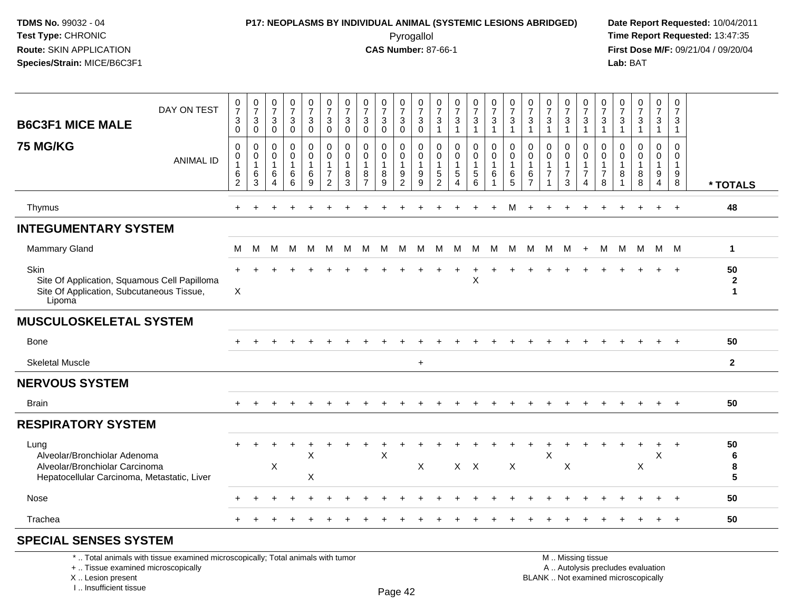### **P17: NEOPLASMS BY INDIVIDUAL ANIMAL (SYSTEMIC LESIONS ABRIDGED) Date Report Requested:** 10/04/2011 Pyrogallol **Time Report Requested:** 13:47:35

**First Dose M/F:** 09/21/04 / 09/20/04<br>Lab: BAT **Lab:** BAT

| DAY ON TEST<br><b>B6C3F1 MICE MALE</b>                                                                                | 0<br>$\overline{7}$<br>3<br>$\mathbf 0$         | $\frac{0}{7}$<br>3<br>0          | $\frac{0}{7}$<br>3<br>$\mathbf 0$                                   | $\frac{0}{7}$<br>$\mathbf{3}$<br>$\mathbf 0$ | $\frac{0}{7}$<br>$\mathbf{3}$<br>$\mathbf 0$ | $\frac{0}{7}$<br>$\mathbf{3}$<br>$\mathbf 0$                        | $\frac{0}{7}$<br>3<br>$\mathbf 0$          | $\frac{0}{7}$<br>$\ensuremath{\mathsf{3}}$<br>$\mathbf 0$         | $\frac{0}{7}$<br>3<br>$\mathbf 0$ | $\frac{0}{7}$<br>$\mathbf{3}$<br>$\pmb{0}$        | $\frac{0}{7}$<br>$\sqrt{3}$<br>$\pmb{0}$                    | $\frac{0}{7}$<br>3<br>$\overline{1}$                               | $\frac{0}{7}$<br>3<br>$\overline{1}$                                                 | $\frac{0}{7}$<br>$\mathbf{3}$<br>1 | $\frac{0}{7}$<br>$\mathfrak{S}$<br>$\overline{1}$ | $\frac{0}{7}$<br>$\sqrt{3}$<br>1  | $\frac{0}{7}$<br>$\mathbf{3}$<br>$\overline{1}$                 | $\frac{0}{7}$<br>$\sqrt{3}$<br>$\overline{1}$ | $\frac{0}{7}$<br>$\mathbf{3}$<br>1            | 0<br>$\overline{7}$<br>$\mathsf 3$<br>$\mathbf{1}$           | $\frac{0}{7}$<br>3<br>$\mathbf{1}$            | 0<br>$\overline{7}$<br>$\mathbf{3}$ | $\frac{0}{7}$<br>$\mathbf{3}$<br>$\mathbf{1}$    | 0<br>$\overline{7}$<br>3<br>$\mathbf{1}$                 | 0<br>$\overline{7}$<br>3<br>$\mathbf{1}$                            |                                    |
|-----------------------------------------------------------------------------------------------------------------------|-------------------------------------------------|----------------------------------|---------------------------------------------------------------------|----------------------------------------------|----------------------------------------------|---------------------------------------------------------------------|--------------------------------------------|-------------------------------------------------------------------|-----------------------------------|---------------------------------------------------|-------------------------------------------------------------|--------------------------------------------------------------------|--------------------------------------------------------------------------------------|------------------------------------|---------------------------------------------------|-----------------------------------|-----------------------------------------------------------------|-----------------------------------------------|-----------------------------------------------|--------------------------------------------------------------|-----------------------------------------------|-------------------------------------|--------------------------------------------------|----------------------------------------------------------|---------------------------------------------------------------------|------------------------------------|
| <b>75 MG/KG</b><br><b>ANIMAL ID</b>                                                                                   | 0<br>0<br>$\mathbf{1}$<br>$\,6\,$<br>$\sqrt{2}$ | 0<br>0<br>$\mathbf{1}$<br>6<br>3 | 0<br>$\mathbf 0$<br>$\mathbf{1}$<br>$\,6$<br>$\boldsymbol{\Lambda}$ | 0<br>0<br>$\mathbf{1}$<br>6<br>6             | 0<br>$\mathbf 0$<br>$\,6\,$<br>9             | $\mathbf 0$<br>$\mathbf 0$<br>$\overline{1}$<br>$\overline{7}$<br>2 | $\mathbf 0$<br>0<br>$\mathbf{1}$<br>8<br>3 | $\mathbf 0$<br>$\mathbf 0$<br>$\mathbf{1}$<br>8<br>$\overline{7}$ | 0<br>0<br>$\mathbf{1}$<br>8<br>9  | 0<br>$\mathbf 0$<br>$\mathbf{1}$<br>$\frac{9}{2}$ | 0<br>$\mathbf 0$<br>$\overline{1}$<br>$\boldsymbol{9}$<br>9 | 0<br>$\mathbf 0$<br>$\overline{1}$<br>$\sqrt{5}$<br>$\overline{2}$ | $\mathbf 0$<br>$\mathbf 0$<br>$\overline{1}$<br>$\sqrt{5}$<br>$\boldsymbol{\Lambda}$ | 0<br>0<br>5<br>6                   | 0<br>0<br>$\overline{1}$<br>$\,6\,$<br>-1         | 0<br>$\pmb{0}$<br>1<br>$\,6$<br>5 | 0<br>$\mathbf 0$<br>$\overline{1}$<br>$\,6\,$<br>$\overline{7}$ | 0<br>0<br>$\mathbf{1}$<br>$\overline{7}$<br>1 | 0<br>0<br>$\mathbf{1}$<br>$\overline{7}$<br>3 | 0<br>$\boldsymbol{0}$<br>$\mathbf{1}$<br>$\overline{7}$<br>4 | 0<br>0<br>$\mathbf{1}$<br>$\overline{7}$<br>8 | $\Omega$<br>0<br>8                  | $\mathbf 0$<br>0<br>$\mathbf{1}$<br>$\,8\,$<br>8 | 0<br>$\mathbf{0}$<br>$\mathbf{1}$<br>9<br>$\overline{4}$ | $\mathbf 0$<br>$\mathbf 0$<br>$\mathbf{1}$<br>$\boldsymbol{9}$<br>8 | * TOTALS                           |
| Thymus                                                                                                                | $\div$                                          |                                  |                                                                     |                                              |                                              |                                                                     |                                            |                                                                   |                                   |                                                   |                                                             |                                                                    |                                                                                      |                                    |                                                   | м                                 |                                                                 |                                               |                                               |                                                              |                                               |                                     |                                                  | $+$                                                      | $+$                                                                 | 48                                 |
| <b>INTEGUMENTARY SYSTEM</b>                                                                                           |                                                 |                                  |                                                                     |                                              |                                              |                                                                     |                                            |                                                                   |                                   |                                                   |                                                             |                                                                    |                                                                                      |                                    |                                                   |                                   |                                                                 |                                               |                                               |                                                              |                                               |                                     |                                                  |                                                          |                                                                     |                                    |
| Mammary Gland                                                                                                         | м                                               | М                                | м                                                                   | M                                            | M                                            | м                                                                   | м                                          | M                                                                 | M                                 | M                                                 | M                                                           | м                                                                  | M                                                                                    | M                                  | M                                                 | M                                 | M                                                               | M                                             | M                                             | $+$                                                          | м                                             | M                                   | M                                                | M M                                                      |                                                                     | $\mathbf{1}$                       |
| Skin<br>Site Of Application, Squamous Cell Papilloma<br>Site Of Application, Subcutaneous Tissue,<br>Lipoma           | X                                               |                                  |                                                                     |                                              |                                              |                                                                     |                                            |                                                                   |                                   |                                                   |                                                             |                                                                    |                                                                                      | X                                  |                                                   |                                   |                                                                 |                                               |                                               |                                                              |                                               |                                     |                                                  |                                                          |                                                                     | 50<br>$\mathbf{2}$<br>$\mathbf{1}$ |
| <b>MUSCULOSKELETAL SYSTEM</b>                                                                                         |                                                 |                                  |                                                                     |                                              |                                              |                                                                     |                                            |                                                                   |                                   |                                                   |                                                             |                                                                    |                                                                                      |                                    |                                                   |                                   |                                                                 |                                               |                                               |                                                              |                                               |                                     |                                                  |                                                          |                                                                     |                                    |
| Bone                                                                                                                  |                                                 |                                  |                                                                     |                                              |                                              |                                                                     |                                            |                                                                   |                                   |                                                   |                                                             |                                                                    |                                                                                      |                                    |                                                   |                                   |                                                                 |                                               |                                               |                                                              |                                               |                                     |                                                  |                                                          |                                                                     | 50                                 |
| <b>Skeletal Muscle</b>                                                                                                |                                                 |                                  |                                                                     |                                              |                                              |                                                                     |                                            |                                                                   |                                   |                                                   | $+$                                                         |                                                                    |                                                                                      |                                    |                                                   |                                   |                                                                 |                                               |                                               |                                                              |                                               |                                     |                                                  |                                                          |                                                                     | $\overline{2}$                     |
| <b>NERVOUS SYSTEM</b>                                                                                                 |                                                 |                                  |                                                                     |                                              |                                              |                                                                     |                                            |                                                                   |                                   |                                                   |                                                             |                                                                    |                                                                                      |                                    |                                                   |                                   |                                                                 |                                               |                                               |                                                              |                                               |                                     |                                                  |                                                          |                                                                     |                                    |
| <b>Brain</b>                                                                                                          |                                                 |                                  |                                                                     |                                              |                                              |                                                                     |                                            |                                                                   |                                   |                                                   |                                                             |                                                                    |                                                                                      |                                    |                                                   |                                   |                                                                 |                                               |                                               |                                                              |                                               |                                     |                                                  |                                                          |                                                                     | 50                                 |
| <b>RESPIRATORY SYSTEM</b>                                                                                             |                                                 |                                  |                                                                     |                                              |                                              |                                                                     |                                            |                                                                   |                                   |                                                   |                                                             |                                                                    |                                                                                      |                                    |                                                   |                                   |                                                                 |                                               |                                               |                                                              |                                               |                                     |                                                  |                                                          |                                                                     |                                    |
| Lung<br>Alveolar/Bronchiolar Adenoma<br>Alveolar/Bronchiolar Carcinoma<br>Hepatocellular Carcinoma, Metastatic, Liver |                                                 |                                  | X                                                                   |                                              | X<br>X                                       |                                                                     |                                            |                                                                   | $\boldsymbol{\mathsf{X}}$         |                                                   | X                                                           |                                                                    |                                                                                      | $X$ $X$                            |                                                   | X                                 |                                                                 | $\times$                                      | X                                             |                                                              |                                               |                                     | X                                                | +<br>X                                                   | $\ddot{}$                                                           | 50<br>6<br>8<br>$5\phantom{.0}$    |
| Nose                                                                                                                  |                                                 |                                  |                                                                     |                                              |                                              |                                                                     |                                            |                                                                   |                                   |                                                   |                                                             |                                                                    |                                                                                      |                                    |                                                   |                                   |                                                                 |                                               |                                               |                                                              |                                               |                                     |                                                  |                                                          |                                                                     | 50                                 |
| Trachea                                                                                                               |                                                 |                                  |                                                                     |                                              |                                              |                                                                     |                                            |                                                                   |                                   |                                                   |                                                             |                                                                    |                                                                                      |                                    |                                                   |                                   |                                                                 |                                               |                                               |                                                              |                                               |                                     |                                                  |                                                          | $+$                                                                 | 50                                 |
| <b>SPECIAL SENSES SYSTEM</b>                                                                                          |                                                 |                                  |                                                                     |                                              |                                              |                                                                     |                                            |                                                                   |                                   |                                                   |                                                             |                                                                    |                                                                                      |                                    |                                                   |                                   |                                                                 |                                               |                                               |                                                              |                                               |                                     |                                                  |                                                          |                                                                     |                                    |

#### \* .. Total animals with tissue examined microscopically; Total animals with tumor

+ .. Tissue examined microscopically

X .. Lesion present

I .. Insufficient tissue

M .. Missing tissue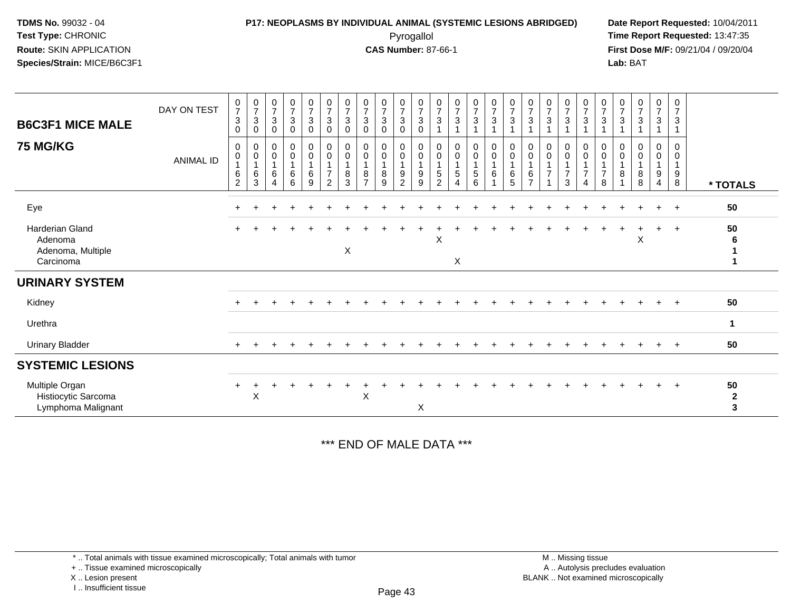### **P17: NEOPLASMS BY INDIVIDUAL ANIMAL (SYSTEMIC LESIONS ABRIDGED) Date Report Requested:** 10/04/2011 Pyrogallol **Time Report Requested:** 13:47:35

**First Dose M/F:** 09/21/04 / 09/20/04<br>Lab: BAT **Lab:** BAT

| <b>B6C3F1 MICE MALE</b><br>75 MG/KG                                 | DAY ON TEST      | $\begin{smallmatrix}0\\7\end{smallmatrix}$<br>$\mathsf 3$<br>$\mathbf 0$<br>0 | $\frac{0}{7}$<br>$\mathbf{3}$<br>$\mathbf 0$<br>$\pmb{0}$ | $\frac{0}{7}$<br>3<br>0<br>0     | $\begin{array}{c} 0 \\ 7 \end{array}$<br>3<br>0<br>0 | $\begin{array}{c} 0 \\ 7 \end{array}$<br>$\sqrt{3}$<br>0<br>0 | $\begin{array}{c} 0 \\ 7 \end{array}$<br>$_{\rm 0}^3$               | $\frac{0}{7}$<br>$\mathbf{3}$<br>$\mathbf 0$<br>0 | $\frac{0}{7}$<br>3<br>$\mathbf 0$<br>0 | $\frac{0}{7}$<br>3<br>0<br>0       | $\frac{0}{7}$<br>$\ensuremath{\mathsf{3}}$<br>0<br>0 | $\frac{0}{7}$<br>$\sqrt{3}$<br>$\boldsymbol{0}$<br>0 | $\frac{0}{7}$<br>$\mathbf{3}$<br>$\pmb{0}$         | $\frac{0}{7}$<br>3<br>0       | $\frac{0}{7}$<br>3                     | $\frac{0}{7}$<br>$\mathbf{3}$ | $\frac{0}{7}$<br>$\mathbf{3}$                          | $\frac{0}{7}$<br>$\sqrt{3}$<br>0       | $\frac{0}{7}$<br>$\overline{3}$<br>0 | $\begin{array}{c} 0 \\ 7 \\ 3 \end{array}$<br>0       | $\frac{0}{7}$<br>$\mathsf 3$<br>0             | $\frac{0}{7}$<br>3<br>0            | $\frac{0}{7}$<br>$\mathbf{3}$<br>0 | $\frac{0}{7}$<br>3<br>0 | $\begin{array}{c} 0 \\ 7 \end{array}$<br>$\mathbf{3}$<br>0 | 0<br>$\overline{7}$<br>3<br>0 |                                    |
|---------------------------------------------------------------------|------------------|-------------------------------------------------------------------------------|-----------------------------------------------------------|----------------------------------|------------------------------------------------------|---------------------------------------------------------------|---------------------------------------------------------------------|---------------------------------------------------|----------------------------------------|------------------------------------|------------------------------------------------------|------------------------------------------------------|----------------------------------------------------|-------------------------------|----------------------------------------|-------------------------------|--------------------------------------------------------|----------------------------------------|--------------------------------------|-------------------------------------------------------|-----------------------------------------------|------------------------------------|------------------------------------|-------------------------|------------------------------------------------------------|-------------------------------|------------------------------------|
|                                                                     | <b>ANIMAL ID</b> | $\pmb{0}$<br>6<br>$\overline{c}$                                              | $\pmb{0}$<br>$\mathbf{1}$<br>$\,6\,$<br>$\sqrt{3}$        | $\pmb{0}$<br>6<br>$\overline{4}$ | $\mathbf 0$<br>$\,6\,$<br>6                          | $\pmb{0}$<br>6<br>9                                           | $\begin{smallmatrix} 0\\0 \end{smallmatrix}$<br>$\overline{7}$<br>2 | $\pmb{0}$<br>$\mathbf{1}$<br>8<br>3               | 0<br>8<br>$\overline{ }$               | $\pmb{0}$<br>8<br>$\boldsymbol{9}$ | $\pmb{0}$<br>9<br>2                                  | $\pmb{0}$<br>$\overline{1}$<br>$\boldsymbol{9}$<br>9 | 0<br>$\mathbf{1}$<br>$\mathbf 5$<br>$\overline{2}$ | $\mathsf{O}\xspace$<br>5<br>4 | $_{\rm 0}^{\rm 0}$<br>$\,$ 5 $\,$<br>6 | $_{\rm 0}^{\rm 0}$<br>6       | $\begin{smallmatrix} 0\\0 \end{smallmatrix}$<br>6<br>5 | $\pmb{0}$<br>$\,6\,$<br>$\overline{7}$ | $\mathbf 0$<br>$\overline{7}$        | $\ddot{\mathbf{0}}$<br>$\overline{7}$<br>$\mathbf{3}$ | $\pmb{0}$<br>$\overline{7}$<br>$\overline{4}$ | $\mathbf 0$<br>$\overline{7}$<br>8 | 0<br>$\bf 8$<br>$\overline{1}$     | 0<br>8<br>8             | $\mathbf 0$<br>9<br>$\overline{4}$                         | 0<br>9<br>8                   | * TOTALS                           |
| Eye                                                                 |                  |                                                                               |                                                           |                                  |                                                      |                                                               |                                                                     |                                                   |                                        |                                    |                                                      |                                                      |                                                    |                               |                                        |                               |                                                        |                                        |                                      |                                                       |                                               |                                    |                                    |                         | $+$                                                        | $+$                           | 50                                 |
| <b>Harderian Gland</b><br>Adenoma<br>Adenoma, Multiple<br>Carcinoma |                  | $\pm$                                                                         |                                                           |                                  |                                                      |                                                               |                                                                     | X                                                 |                                        |                                    |                                                      |                                                      | X                                                  | X                             |                                        |                               |                                                        |                                        |                                      |                                                       |                                               |                                    |                                    | X                       | $+$                                                        | $+$                           | 50<br>6                            |
| <b>URINARY SYSTEM</b>                                               |                  |                                                                               |                                                           |                                  |                                                      |                                                               |                                                                     |                                                   |                                        |                                    |                                                      |                                                      |                                                    |                               |                                        |                               |                                                        |                                        |                                      |                                                       |                                               |                                    |                                    |                         |                                                            |                               |                                    |
| Kidney                                                              |                  |                                                                               |                                                           |                                  |                                                      |                                                               |                                                                     |                                                   |                                        |                                    |                                                      |                                                      |                                                    |                               |                                        |                               |                                                        |                                        |                                      |                                                       |                                               |                                    |                                    |                         |                                                            | $\overline{+}$                | 50                                 |
| Urethra                                                             |                  |                                                                               |                                                           |                                  |                                                      |                                                               |                                                                     |                                                   |                                        |                                    |                                                      |                                                      |                                                    |                               |                                        |                               |                                                        |                                        |                                      |                                                       |                                               |                                    |                                    |                         |                                                            |                               | 1                                  |
| <b>Urinary Bladder</b>                                              |                  | $+$                                                                           |                                                           |                                  |                                                      |                                                               |                                                                     |                                                   |                                        |                                    |                                                      |                                                      |                                                    |                               |                                        |                               |                                                        |                                        |                                      |                                                       |                                               |                                    |                                    |                         | $+$                                                        | $+$                           | 50                                 |
| <b>SYSTEMIC LESIONS</b>                                             |                  |                                                                               |                                                           |                                  |                                                      |                                                               |                                                                     |                                                   |                                        |                                    |                                                      |                                                      |                                                    |                               |                                        |                               |                                                        |                                        |                                      |                                                       |                                               |                                    |                                    |                         |                                                            |                               |                                    |
| Multiple Organ<br>Histiocytic Sarcoma<br>Lymphoma Malignant         |                  | +                                                                             | $\boldsymbol{\mathsf{X}}$                                 |                                  |                                                      |                                                               |                                                                     |                                                   | $\mathsf X$                            |                                    |                                                      | X                                                    |                                                    |                               |                                        |                               |                                                        |                                        |                                      |                                                       |                                               |                                    |                                    |                         | $+$                                                        | $+$                           | 50<br>$\mathbf{2}$<br>$\mathbf{3}$ |

\*\*\* END OF MALE DATA \*\*\*

\* .. Total animals with tissue examined microscopically; Total animals with tumor

+ .. Tissue examined microscopically

X .. Lesion present

I .. Insufficient tissue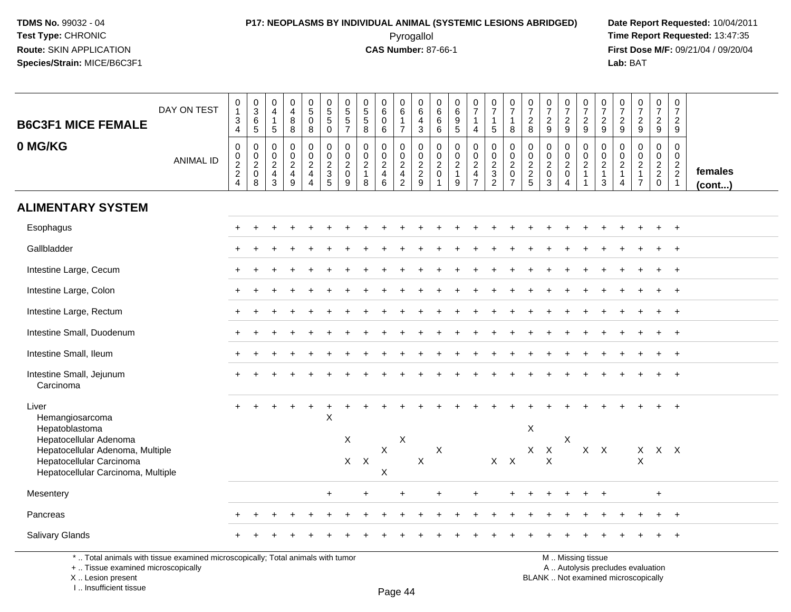# **P17: NEOPLASMS BY INDIVIDUAL ANIMAL (SYSTEMIC LESIONS ABRIDGED) Date Report Requested:** 10/04/2011

 Pyrogallol **Time Report Requested:** 13:47:35 **First Dose M/F:** 09/21/04 / 09/20/04<br>Lab: BAT **Lab:** BAT

| <b>B6C3F1 MICE FEMALE</b>                                                                          | DAY ON TEST      | $\begin{smallmatrix}0\\1\end{smallmatrix}$<br>$\ensuremath{\mathsf{3}}$<br>$\overline{4}$ | $_{3}^{\rm 0}$<br>$\,6\,$<br>$\sqrt{5}$       | $\begin{smallmatrix}0\\4\end{smallmatrix}$<br>$\overline{1}$<br>$\overline{5}$ | $\begin{smallmatrix}0\0\4\end{smallmatrix}$<br>$\bf 8$<br>8 | $\begin{array}{c} 0 \\ 5 \end{array}$<br>$\pmb{0}$<br>8       | $\begin{array}{c} 0 \\ 5 \\ 5 \end{array}$<br>$\mathbf 0$ | $\pmb{0}$<br>$\overline{5}$<br>$\mathbf 5$<br>$\overline{7}$                      | $\begin{array}{c} 0 \\ 5 \\ 5 \end{array}$<br>8                   | $_{6}^{\rm 0}$<br>$\pmb{0}$<br>6                                    | $\begin{array}{c} 0 \\ 6 \end{array}$<br>$\mathbf{1}$<br>$\overline{7}$ | $\begin{array}{c} 0 \\ 6 \end{array}$<br>$\overline{\mathbf{4}}$<br>$\mathbf{3}$ |                                                                       | $\begin{array}{c} 0 \\ 6 \end{array}$<br>$\frac{9}{5}$        | $\frac{0}{7}$<br>$\mathbf{1}$<br>$\overline{4}$               | $\begin{smallmatrix}0\\7\end{smallmatrix}$<br>$\mathbf{1}$<br>5 | $\begin{array}{c} 0 \\ 7 \end{array}$<br>$\mathbf{1}$<br>8 | $\frac{0}{7}$<br>$\sqrt{2}$<br>8                     | $\frac{0}{7}$<br>$\sqrt{2}$<br>9                                   | $\frac{0}{7}$<br>$\sqrt{2}$<br>9                   | $\frac{0}{7}$<br>$\sqrt{2}$<br>9                                         | $\frac{0}{7}$<br>$\overline{c}$<br>9                    | $\frac{0}{7}$<br>$\sqrt{2}$<br>9                                  | $\begin{array}{c} 0 \\ 7 \end{array}$<br>$\overline{2}$<br>$\boldsymbol{9}$      | $\begin{array}{c} 0 \\ 7 \end{array}$<br>$\sqrt{2}$<br>9                 | $\begin{array}{c} 0 \\ 7 \end{array}$<br>$\overline{2}$<br>9  |                   |
|----------------------------------------------------------------------------------------------------|------------------|-------------------------------------------------------------------------------------------|-----------------------------------------------|--------------------------------------------------------------------------------|-------------------------------------------------------------|---------------------------------------------------------------|-----------------------------------------------------------|-----------------------------------------------------------------------------------|-------------------------------------------------------------------|---------------------------------------------------------------------|-------------------------------------------------------------------------|----------------------------------------------------------------------------------|-----------------------------------------------------------------------|---------------------------------------------------------------|---------------------------------------------------------------|-----------------------------------------------------------------|------------------------------------------------------------|------------------------------------------------------|--------------------------------------------------------------------|----------------------------------------------------|--------------------------------------------------------------------------|---------------------------------------------------------|-------------------------------------------------------------------|----------------------------------------------------------------------------------|--------------------------------------------------------------------------|---------------------------------------------------------------|-------------------|
| 0 MG/KG                                                                                            | <b>ANIMAL ID</b> | $\boldsymbol{0}$<br>$\frac{0}{2}$<br>$\overline{4}$                                       | $\pmb{0}$<br>$\mathbf 0$<br>$^2_{\rm 0}$<br>8 | 0<br>$\mathbf 0$<br>$\sqrt{2}$<br>$\overline{4}$<br>$\mathbf{3}$               | $\pmb{0}$<br>$\pmb{0}$<br>$\frac{2}{4}$<br>$\mathsf g$      | $\mathbf 0$<br>$\mathbf 0$<br>$\frac{2}{4}$<br>$\overline{4}$ | $\mathbf 0$<br>$\mathbf 0$<br>$\frac{2}{3}$               | $\mathbf 0$<br>$\mathbf 0$<br>$\begin{smallmatrix} 2 \\ 0 \end{smallmatrix}$<br>9 | $\mathbf 0$<br>$\mathbf 0$<br>$\overline{2}$<br>$\mathbf{1}$<br>8 | $\mathbf 0$<br>$\mathbf 0$<br>$\overline{2}$<br>$\overline{4}$<br>6 | 0<br>$\begin{array}{c} 0 \\ 2 \\ 4 \\ 2 \end{array}$                    | 0<br>$\mathbf 0$<br>$\frac{2}{9}$                                                | $\mathbf 0$<br>$\mathbf 0$<br>$^2_{\rm 0}$<br>$\overline{\mathbf{1}}$ | $\mathbf 0$<br>$\mathbf 0$<br>$\frac{2}{1}$<br>$\overline{9}$ | $\mathbf 0$<br>$\mathbf 0$<br>$\frac{2}{4}$<br>$\overline{7}$ | $\pmb{0}$<br>$\begin{array}{c} 0 \\ 2 \\ 3 \\ 2 \end{array}$    | $\pmb{0}$<br>$\mathbf 0$<br>$^2_{\rm 0}$<br>$\overline{7}$ | 0<br>0<br>$\begin{array}{c} 2 \\ 2 \\ 5 \end{array}$ | $\boldsymbol{0}$<br>$\mathbf 0$<br>$\frac{2}{0}$<br>$\overline{3}$ | 0<br>$\mathbf 0$<br>$^2_{\rm 0}$<br>$\overline{4}$ | $\pmb{0}$<br>$\mathbf 0$<br>$\sqrt{2}$<br>$\overline{1}$<br>$\mathbf{1}$ | 0<br>$\mathbf 0$<br>$\overline{c}$<br>$\mathbf{1}$<br>3 | $\mathbf 0$<br>$\mathbf 0$<br>$\overline{c}$<br>$\mathbf{1}$<br>4 | $\mathbf 0$<br>$\mathbf 0$<br>$\boldsymbol{2}$<br>$\mathbf{1}$<br>$\overline{7}$ | $\mathbf 0$<br>$\mathbf 0$<br>$\begin{array}{c} 2 \\ 2 \\ 0 \end{array}$ | $\mathbf 0$<br>$\mathbf 0$<br>$\frac{2}{2}$<br>$\overline{1}$ | females<br>(cont) |
| <b>ALIMENTARY SYSTEM</b>                                                                           |                  |                                                                                           |                                               |                                                                                |                                                             |                                                               |                                                           |                                                                                   |                                                                   |                                                                     |                                                                         |                                                                                  |                                                                       |                                                               |                                                               |                                                                 |                                                            |                                                      |                                                                    |                                                    |                                                                          |                                                         |                                                                   |                                                                                  |                                                                          |                                                               |                   |
| Esophagus                                                                                          |                  |                                                                                           |                                               |                                                                                |                                                             |                                                               |                                                           |                                                                                   |                                                                   |                                                                     |                                                                         |                                                                                  |                                                                       |                                                               |                                                               |                                                                 |                                                            |                                                      |                                                                    |                                                    |                                                                          |                                                         |                                                                   |                                                                                  |                                                                          |                                                               |                   |
| Gallbladder                                                                                        |                  |                                                                                           |                                               |                                                                                |                                                             |                                                               |                                                           |                                                                                   |                                                                   |                                                                     |                                                                         |                                                                                  |                                                                       |                                                               |                                                               |                                                                 |                                                            |                                                      |                                                                    |                                                    |                                                                          |                                                         |                                                                   |                                                                                  |                                                                          |                                                               |                   |
| Intestine Large, Cecum                                                                             |                  |                                                                                           |                                               |                                                                                |                                                             |                                                               |                                                           |                                                                                   |                                                                   |                                                                     |                                                                         |                                                                                  |                                                                       |                                                               |                                                               |                                                                 |                                                            |                                                      |                                                                    |                                                    |                                                                          |                                                         |                                                                   |                                                                                  |                                                                          | $+$                                                           |                   |
| Intestine Large, Colon                                                                             |                  |                                                                                           |                                               |                                                                                |                                                             |                                                               |                                                           |                                                                                   |                                                                   |                                                                     |                                                                         |                                                                                  |                                                                       |                                                               |                                                               |                                                                 |                                                            |                                                      |                                                                    |                                                    |                                                                          |                                                         |                                                                   |                                                                                  |                                                                          | $^{+}$                                                        |                   |
| Intestine Large, Rectum                                                                            |                  | $+$                                                                                       |                                               |                                                                                |                                                             |                                                               |                                                           |                                                                                   |                                                                   |                                                                     |                                                                         |                                                                                  |                                                                       |                                                               |                                                               |                                                                 |                                                            |                                                      |                                                                    |                                                    |                                                                          |                                                         |                                                                   |                                                                                  | $+$                                                                      | $+$                                                           |                   |
| Intestine Small, Duodenum                                                                          |                  |                                                                                           |                                               |                                                                                |                                                             |                                                               |                                                           |                                                                                   |                                                                   |                                                                     |                                                                         |                                                                                  |                                                                       |                                                               |                                                               |                                                                 |                                                            |                                                      |                                                                    |                                                    |                                                                          |                                                         |                                                                   |                                                                                  |                                                                          |                                                               |                   |
| Intestine Small, Ileum                                                                             |                  |                                                                                           |                                               |                                                                                |                                                             |                                                               |                                                           |                                                                                   |                                                                   |                                                                     |                                                                         |                                                                                  |                                                                       |                                                               |                                                               |                                                                 |                                                            |                                                      |                                                                    |                                                    |                                                                          |                                                         |                                                                   |                                                                                  |                                                                          | $\ddot{}$                                                     |                   |
| Intestine Small, Jejunum<br>Carcinoma                                                              |                  |                                                                                           |                                               |                                                                                |                                                             |                                                               |                                                           |                                                                                   |                                                                   |                                                                     |                                                                         |                                                                                  |                                                                       |                                                               |                                                               |                                                                 |                                                            |                                                      |                                                                    |                                                    |                                                                          |                                                         |                                                                   |                                                                                  |                                                                          |                                                               |                   |
| Liver<br>Hemangiosarcoma<br>Hepatoblastoma<br>Hepatocellular Adenoma                               |                  |                                                                                           |                                               |                                                                                |                                                             | +                                                             | $\mathsf{X}$                                              | X                                                                                 |                                                                   |                                                                     | $\mathsf X$                                                             |                                                                                  |                                                                       |                                                               |                                                               |                                                                 |                                                            | X                                                    |                                                                    | $\mathsf X$                                        |                                                                          |                                                         |                                                                   |                                                                                  |                                                                          |                                                               |                   |
| Hepatocellular Adenoma, Multiple<br>Hepatocellular Carcinoma<br>Hepatocellular Carcinoma, Multiple |                  |                                                                                           |                                               |                                                                                |                                                             |                                                               |                                                           | $X$ $X$                                                                           |                                                                   | $\boldsymbol{\mathsf{X}}$<br>$\mathsf X$                            |                                                                         | $\mathsf X$                                                                      | $\boldsymbol{\mathsf{X}}$                                             |                                                               |                                                               |                                                                 | $X$ $X$                                                    | X                                                    | $\boldsymbol{\mathsf{X}}$<br>$\times$                              |                                                    | $X$ $X$                                                                  |                                                         |                                                                   | X<br>X                                                                           | $X$ $X$                                                                  |                                                               |                   |
| Mesentery                                                                                          |                  |                                                                                           |                                               |                                                                                |                                                             |                                                               | $\ddot{}$                                                 |                                                                                   |                                                                   |                                                                     |                                                                         |                                                                                  | ÷                                                                     |                                                               |                                                               |                                                                 |                                                            |                                                      |                                                                    |                                                    |                                                                          |                                                         |                                                                   |                                                                                  | $\ddot{}$                                                                |                                                               |                   |
| Pancreas                                                                                           |                  |                                                                                           |                                               |                                                                                | $\ddot{}$                                                   |                                                               |                                                           |                                                                                   |                                                                   |                                                                     |                                                                         |                                                                                  |                                                                       |                                                               |                                                               |                                                                 |                                                            |                                                      |                                                                    |                                                    |                                                                          |                                                         |                                                                   |                                                                                  | $\ddot{}$                                                                | $+$                                                           |                   |
| Salivary Glands                                                                                    |                  |                                                                                           |                                               |                                                                                |                                                             |                                                               |                                                           |                                                                                   |                                                                   |                                                                     |                                                                         |                                                                                  |                                                                       |                                                               |                                                               |                                                                 |                                                            |                                                      |                                                                    |                                                    |                                                                          |                                                         |                                                                   |                                                                                  |                                                                          |                                                               |                   |

\* .. Total animals with tissue examined microscopically; Total animals with tumor

+ .. Tissue examined microscopically

X .. Lesion present

I .. Insufficient tissue

M .. Missing tissue

y the contract of the contract of the contract of the contract of the contract of  $\mathsf A$  . Autolysis precludes evaluation

Lesion present BLANK .. Not examined microscopically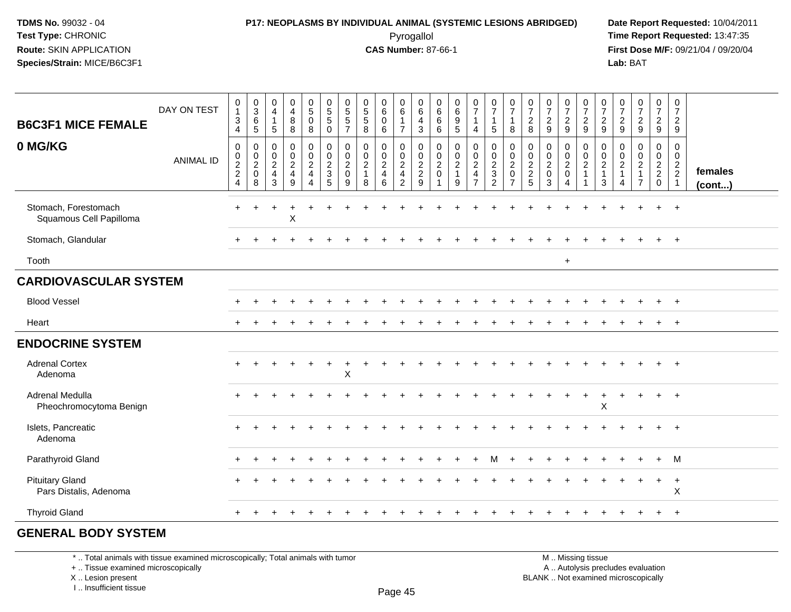### **P17: NEOPLASMS BY INDIVIDUAL ANIMAL (SYSTEMIC LESIONS ABRIDGED) Date Report Requested:** 10/04/2011 Pyrogallol **Time Report Requested:** 13:47:35

**First Dose M/F:** 09/21/04 / 09/20/04<br>Lab: BAT **Lab:** BAT

| <b>B6C3F1 MICE FEMALE</b>                        | DAY ON TEST      | $\begin{smallmatrix}0\\1\end{smallmatrix}$<br>$\sqrt{3}$<br>$\overline{4}$ | $_{3}^{\rm 0}$<br>$6\over 5$                          | $\begin{smallmatrix}0\0\4\end{smallmatrix}$<br>$\mathbf{1}$<br>$\sqrt{5}$ | $_4^{\rm 0}$<br>$\overline{8}$<br>8  | $\begin{smallmatrix}0\5\0\end{smallmatrix}$<br>8                                              | $\begin{array}{c} 0 \\ 5 \\ 5 \end{array}$<br>$\mathbf 0$ | 0<br>$\frac{5}{5}$<br>$\overline{7}$                             | $\begin{array}{c} 0 \\ 5 \\ 5 \end{array}$<br>8                   | $\begin{matrix} 0 \\ 6 \end{matrix}$<br>$\mathsf{O}\xspace$<br>6 | $\begin{array}{c} 0 \\ 6 \end{array}$<br>$\mathbf{1}$<br>$\overline{7}$ | $\begin{array}{c} 0 \\ 6 \end{array}$<br>$\frac{4}{3}$ | $\begin{array}{c} 0 \\ 6 \end{array}$<br>$^6_{\ 6}$ | $\begin{array}{c} 0 \\ 6 \end{array}$<br>$9\,$<br>$5\phantom{1}$  | $\frac{0}{7}$<br>$\mathbf{1}$<br>$\overline{4}$                  | $\frac{0}{7}$<br>$\mathbf{1}$<br>$5\phantom{.0}$     | $\begin{array}{c} 0 \\ 7 \end{array}$<br>1<br>8             | $\frac{0}{7}$<br>$\frac{2}{8}$  | $\frac{0}{7}$<br>$\frac{2}{9}$                               | $\frac{0}{7}$<br>$\frac{2}{9}$       | 0729                                 | $\begin{smallmatrix}0\\7\end{smallmatrix}$<br>$\frac{2}{9}$ | $\frac{0}{7}$<br>$\frac{2}{9}$                                             | $\begin{array}{c} 0 \\ 7 \end{array}$<br>$\frac{2}{9}$                   | $\frac{0}{7}$<br>$\frac{2}{9}$                   | $\begin{smallmatrix}0\\7\end{smallmatrix}$<br>$\frac{2}{9}$ |                   |
|--------------------------------------------------|------------------|----------------------------------------------------------------------------|-------------------------------------------------------|---------------------------------------------------------------------------|--------------------------------------|-----------------------------------------------------------------------------------------------|-----------------------------------------------------------|------------------------------------------------------------------|-------------------------------------------------------------------|------------------------------------------------------------------|-------------------------------------------------------------------------|--------------------------------------------------------|-----------------------------------------------------|-------------------------------------------------------------------|------------------------------------------------------------------|------------------------------------------------------|-------------------------------------------------------------|---------------------------------|--------------------------------------------------------------|--------------------------------------|--------------------------------------|-------------------------------------------------------------|----------------------------------------------------------------------------|--------------------------------------------------------------------------|--------------------------------------------------|-------------------------------------------------------------|-------------------|
| 0 MG/KG                                          | <b>ANIMAL ID</b> | $\,0\,$<br>$\frac{0}{2}$<br>$\overline{4}$                                 | 0<br>$\boldsymbol{0}$<br>$\sqrt{2}$<br>$\pmb{0}$<br>8 | $\mathbf 0$<br>$\boldsymbol{0}$<br>$\sqrt{2}$<br>$\overline{4}$<br>3      | 0<br>$\pmb{0}$<br>$\frac{2}{4}$<br>9 | $\pmb{0}$<br>$\begin{smallmatrix} 0\\2 \end{smallmatrix}$<br>$\overline{4}$<br>$\overline{4}$ | $\pmb{0}$<br>$\frac{0}{2}$<br>$\sqrt{5}$                  | $\mathbf 0$<br>$\mathbf 0$<br>$\overline{2}$<br>$\mathbf 0$<br>9 | $\mathbf 0$<br>$\mathbf 0$<br>$\overline{2}$<br>$\mathbf{1}$<br>8 | $\mathbf 0$<br>$\mathbf 0$<br>$\frac{2}{4}$<br>6                 | 0<br>$\frac{0}{2}$<br>$\overline{2}$                                    | 0<br>$0$<br>$2$<br>$9$                                 | 0<br>$\mathbf 0$<br>$\sqrt{2}$<br>$\mathsf{O}$      | $\mathbf 0$<br>$\mathbf 0$<br>$\overline{c}$<br>$\mathbf{1}$<br>9 | 0<br>$\pmb{0}$<br>$\sqrt{2}$<br>$\overline{4}$<br>$\overline{7}$ | 0<br>$\begin{array}{c} 0 \\ 2 \\ 3 \\ 2 \end{array}$ | 0<br>$\pmb{0}$<br>$\sqrt{2}$<br>$\pmb{0}$<br>$\overline{7}$ | 0<br>$\pmb{0}$<br>$\frac{2}{2}$ | $\mathbf 0$<br>$\mathbf 0$<br>$\sqrt{2}$<br>$\mathbf 0$<br>3 | 0<br>$\frac{0}{2}$<br>$\overline{4}$ | 0<br>$\frac{0}{2}$<br>$\overline{1}$ | 0<br>$\pmb{0}$<br>$\sqrt{2}$<br>$\mathbf{1}$<br>$\sqrt{3}$  | $\mathbf 0$<br>$\mathbf 0$<br>$\sqrt{2}$<br>$\mathbf{1}$<br>$\overline{4}$ | $\mathbf 0$<br>$\pmb{0}$<br>$\sqrt{2}$<br>$\mathbf{1}$<br>$\overline{7}$ | 0<br>$\mathbf 0$<br>$\frac{2}{2}$<br>$\mathbf 0$ | 0<br>$\frac{0}{2}$<br>$\overline{1}$                        | females<br>(cont) |
| Stomach, Forestomach<br>Squamous Cell Papilloma  |                  | $\pm$                                                                      |                                                       |                                                                           | X                                    |                                                                                               |                                                           |                                                                  |                                                                   |                                                                  |                                                                         |                                                        |                                                     |                                                                   |                                                                  |                                                      |                                                             |                                 |                                                              |                                      |                                      |                                                             |                                                                            |                                                                          |                                                  | $\ddot{}$                                                   |                   |
| Stomach, Glandular                               |                  |                                                                            |                                                       |                                                                           |                                      |                                                                                               |                                                           |                                                                  |                                                                   |                                                                  |                                                                         |                                                        |                                                     |                                                                   |                                                                  |                                                      |                                                             |                                 |                                                              |                                      |                                      |                                                             |                                                                            |                                                                          |                                                  | $+$                                                         |                   |
| Tooth                                            |                  |                                                                            |                                                       |                                                                           |                                      |                                                                                               |                                                           |                                                                  |                                                                   |                                                                  |                                                                         |                                                        |                                                     |                                                                   |                                                                  |                                                      |                                                             |                                 |                                                              | $\ddot{}$                            |                                      |                                                             |                                                                            |                                                                          |                                                  |                                                             |                   |
| <b>CARDIOVASCULAR SYSTEM</b>                     |                  |                                                                            |                                                       |                                                                           |                                      |                                                                                               |                                                           |                                                                  |                                                                   |                                                                  |                                                                         |                                                        |                                                     |                                                                   |                                                                  |                                                      |                                                             |                                 |                                                              |                                      |                                      |                                                             |                                                                            |                                                                          |                                                  |                                                             |                   |
| <b>Blood Vessel</b>                              |                  |                                                                            |                                                       |                                                                           |                                      |                                                                                               |                                                           |                                                                  |                                                                   |                                                                  |                                                                         |                                                        |                                                     |                                                                   |                                                                  |                                                      |                                                             |                                 |                                                              |                                      |                                      |                                                             |                                                                            |                                                                          |                                                  | $\ddot{}$                                                   |                   |
| Heart                                            |                  |                                                                            |                                                       |                                                                           |                                      |                                                                                               |                                                           |                                                                  |                                                                   |                                                                  |                                                                         |                                                        |                                                     |                                                                   |                                                                  |                                                      |                                                             |                                 |                                                              |                                      |                                      |                                                             |                                                                            |                                                                          | $\div$                                           | $+$                                                         |                   |
| <b>ENDOCRINE SYSTEM</b>                          |                  |                                                                            |                                                       |                                                                           |                                      |                                                                                               |                                                           |                                                                  |                                                                   |                                                                  |                                                                         |                                                        |                                                     |                                                                   |                                                                  |                                                      |                                                             |                                 |                                                              |                                      |                                      |                                                             |                                                                            |                                                                          |                                                  |                                                             |                   |
| <b>Adrenal Cortex</b><br>Adenoma                 |                  |                                                                            |                                                       |                                                                           |                                      | $\ddot{}$                                                                                     | $+$                                                       | $\ddot{}$<br>$\sf X$                                             |                                                                   |                                                                  |                                                                         |                                                        |                                                     |                                                                   |                                                                  |                                                      |                                                             |                                 |                                                              |                                      |                                      |                                                             |                                                                            |                                                                          |                                                  | $+$                                                         |                   |
| Adrenal Medulla<br>Pheochromocytoma Benign       |                  |                                                                            |                                                       |                                                                           |                                      |                                                                                               |                                                           |                                                                  |                                                                   |                                                                  |                                                                         |                                                        |                                                     |                                                                   |                                                                  |                                                      |                                                             |                                 |                                                              |                                      | $\ddot{}$                            | $\div$<br>X                                                 |                                                                            |                                                                          | $+$                                              | $+$                                                         |                   |
| Islets, Pancreatic<br>Adenoma                    |                  |                                                                            |                                                       |                                                                           |                                      |                                                                                               |                                                           |                                                                  |                                                                   |                                                                  |                                                                         |                                                        |                                                     |                                                                   |                                                                  |                                                      |                                                             |                                 |                                                              |                                      |                                      |                                                             |                                                                            |                                                                          |                                                  | $\ddot{}$                                                   |                   |
| Parathyroid Gland                                |                  |                                                                            |                                                       |                                                                           |                                      |                                                                                               |                                                           |                                                                  |                                                                   |                                                                  |                                                                         |                                                        |                                                     |                                                                   |                                                                  | м                                                    |                                                             |                                 |                                                              |                                      |                                      |                                                             |                                                                            |                                                                          | $+$                                              | M                                                           |                   |
| <b>Pituitary Gland</b><br>Pars Distalis, Adenoma |                  |                                                                            |                                                       |                                                                           |                                      |                                                                                               |                                                           |                                                                  |                                                                   |                                                                  |                                                                         |                                                        |                                                     |                                                                   |                                                                  |                                                      |                                                             |                                 |                                                              |                                      |                                      |                                                             |                                                                            |                                                                          | $\ddot{}$                                        | $\ddot{}$<br>X                                              |                   |
| <b>Thyroid Gland</b>                             |                  |                                                                            |                                                       |                                                                           |                                      |                                                                                               |                                                           |                                                                  |                                                                   |                                                                  |                                                                         |                                                        |                                                     |                                                                   |                                                                  |                                                      |                                                             |                                 |                                                              |                                      |                                      |                                                             |                                                                            |                                                                          |                                                  | $\overline{+}$                                              |                   |
| <b>GENERAL BODY SYSTEM</b>                       |                  |                                                                            |                                                       |                                                                           |                                      |                                                                                               |                                                           |                                                                  |                                                                   |                                                                  |                                                                         |                                                        |                                                     |                                                                   |                                                                  |                                                      |                                                             |                                 |                                                              |                                      |                                      |                                                             |                                                                            |                                                                          |                                                  |                                                             |                   |

\* .. Total animals with tissue examined microscopically; Total animals with tumor

+ .. Tissue examined microscopically

X .. Lesion present

I .. Insufficient tissue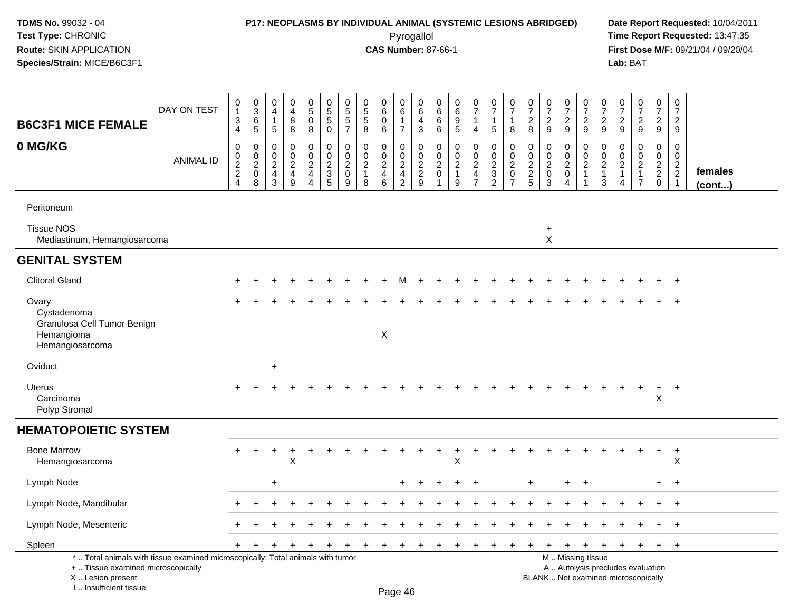## **P17: NEOPLASMS BY INDIVIDUAL ANIMAL (SYSTEMIC LESIONS ABRIDGED) Date Report Requested:** 10/04/2011

 Pyrogallol **Time Report Requested:** 13:47:35 **First Dose M/F:** 09/21/04 / 09/20/04<br>Lab: BAT **Lab:** BAT

| <b>B6C3F1 MICE FEMALE</b>                                                                                                                                            | DAY ON TEST      | 0<br>$\mathbf{1}$<br>3<br>4                    | $\begin{array}{c} 0 \\ 3 \\ 6 \end{array}$<br>5                        | $\pmb{0}$<br>$\overline{4}$<br>$\mathbf{1}$<br>5                 | $\begin{smallmatrix}0\0\4\end{smallmatrix}$<br>$\bf 8$<br>8                | $\begin{smallmatrix}0\\5\\0\end{smallmatrix}$<br>$\,8\,$                   | $\begin{array}{c} 0 \\ 5 \\ 5 \end{array}$<br>$\mathbf 0$                    | $\begin{array}{c} 0 \\ 5 \\ 5 \end{array}$<br>$\overline{7}$    | $\begin{array}{c} 0 \\ 5 \\ 5 \end{array}$<br>8               | $_{6}^{\rm 0}$<br>$\mathbf 0$<br>6                                     | $_{6}^{\rm 0}$<br>$\mathbf{1}$<br>$\overline{7}$                       | $\pmb{0}$<br>6<br>$\overline{a}$<br>$\mathbf{3}$                               | 0<br>$\,6\,$<br>6<br>6                                          | $\pmb{0}$<br>$\,6\,$<br>9<br>$\sqrt{5}$                                    | $\frac{0}{7}$<br>1<br>4                                                | $\frac{0}{7}$<br>$\mathbf{1}$<br>5                               | $\frac{0}{7}$<br>$\mathbf{1}$<br>8                                        | $\begin{array}{c} 0 \\ 7 \end{array}$<br>$\boldsymbol{2}$<br>8 | $\begin{array}{c} 0 \\ 7 \end{array}$<br>$\sqrt{2}$<br>9      | $\frac{0}{7}$<br>$\overline{c}$<br>$9\,$                  | $\pmb{0}$<br>$\overline{7}$<br>$\overline{c}$<br>$\mathsf g$           | $\begin{array}{c} 0 \\ 7 \end{array}$<br>$\overline{2}$<br>9             | $\frac{0}{7}$<br>$\overline{2}$<br>$\boldsymbol{9}$        | $\frac{0}{7}$<br>$\overline{c}$<br>$9\,$                                         | $\begin{smallmatrix}0\\7\end{smallmatrix}$<br>$\overline{c}$<br>$9\,$ | $\pmb{0}$<br>$\overline{7}$<br>$\overline{2}$<br>$9\,$                         |                   |
|----------------------------------------------------------------------------------------------------------------------------------------------------------------------|------------------|------------------------------------------------|------------------------------------------------------------------------|------------------------------------------------------------------|----------------------------------------------------------------------------|----------------------------------------------------------------------------|------------------------------------------------------------------------------|-----------------------------------------------------------------|---------------------------------------------------------------|------------------------------------------------------------------------|------------------------------------------------------------------------|--------------------------------------------------------------------------------|-----------------------------------------------------------------|----------------------------------------------------------------------------|------------------------------------------------------------------------|------------------------------------------------------------------|---------------------------------------------------------------------------|----------------------------------------------------------------|---------------------------------------------------------------|-----------------------------------------------------------|------------------------------------------------------------------------|--------------------------------------------------------------------------|------------------------------------------------------------|----------------------------------------------------------------------------------|-----------------------------------------------------------------------|--------------------------------------------------------------------------------|-------------------|
| 0 MG/KG                                                                                                                                                              | <b>ANIMAL ID</b> | $\mathbf 0$<br>$\pmb{0}$<br>$\frac{2}{2}$<br>4 | $\mathbf 0$<br>$\pmb{0}$<br>$\overline{2}$<br>$\mathsf{O}\xspace$<br>8 | $\mathbf 0$<br>0<br>$\sqrt{2}$<br>$\overline{4}$<br>$\mathbf{3}$ | $\mathbf 0$<br>$\pmb{0}$<br>$\sqrt{2}$<br>$\overline{4}$<br>$\overline{9}$ | $\mathbf 0$<br>$\pmb{0}$<br>$\sqrt{2}$<br>$\overline{4}$<br>$\overline{4}$ | $\mathbf 0$<br>$\mathbf 0$<br>$\overline{2}$<br>$\sqrt{3}$<br>$\overline{5}$ | 0<br>$\mathbf 0$<br>$\overline{\mathbf{c}}$<br>$\mathbf 0$<br>9 | $\mathbf 0$<br>$\mathbf 0$<br>$\sqrt{2}$<br>$\mathbf{1}$<br>8 | 0<br>$\mathbf 0$<br>$\overline{2}$<br>$\overline{4}$<br>$6\phantom{a}$ | 0<br>$\mathsf 0$<br>$\overline{c}$<br>$\overline{4}$<br>$\overline{c}$ | $\pmb{0}$<br>$\pmb{0}$<br>$\overline{2}$<br>$\boldsymbol{2}$<br>$\overline{9}$ | 0<br>0<br>$\overline{c}$<br>$\mathbf 0$<br>$\blacktriangleleft$ | $\mathbf 0$<br>$\mathbf 0$<br>$\sqrt{2}$<br>$\mathbf{1}$<br>$\overline{9}$ | 0<br>$\mathsf 0$<br>$\overline{c}$<br>$\overline{4}$<br>$\overline{7}$ | 0<br>$\mathbf 0$<br>$\sqrt{2}$<br>$\mathbf{3}$<br>$\overline{2}$ | $\mathbf 0$<br>$\pmb{0}$<br>$\overline{c}$<br>$\pmb{0}$<br>$\overline{7}$ | $\pmb{0}$<br>$\pmb{0}$<br>$\frac{2}{2}$<br>5                   | $\mathbf 0$<br>0<br>$\sqrt{2}$<br>$\mathbf 0$<br>$\mathbf{3}$ | 0<br>$\pmb{0}$<br>$\overline{2}$<br>$\boldsymbol{0}$<br>4 | 0<br>$\mathsf{O}\xspace$<br>$\sqrt{2}$<br>$\mathbf{1}$<br>$\mathbf{1}$ | 0<br>0<br>$\overline{a}$<br>$\mathbf{1}$<br>3                            | 0<br>0<br>$\overline{c}$<br>$\mathbf{1}$<br>$\overline{4}$ | $\pmb{0}$<br>$\mathsf{O}\xspace$<br>$\sqrt{2}$<br>$\mathbf{1}$<br>$\overline{7}$ | 0<br>$\pmb{0}$<br>$\frac{2}{2}$<br>$\mathbf 0$                        | $\mathbf 0$<br>$\mathbf 0$<br>$\overline{2}$<br>$\overline{2}$<br>$\mathbf{1}$ | females<br>(cont) |
| Peritoneum                                                                                                                                                           |                  |                                                |                                                                        |                                                                  |                                                                            |                                                                            |                                                                              |                                                                 |                                                               |                                                                        |                                                                        |                                                                                |                                                                 |                                                                            |                                                                        |                                                                  |                                                                           |                                                                |                                                               |                                                           |                                                                        |                                                                          |                                                            |                                                                                  |                                                                       |                                                                                |                   |
| <b>Tissue NOS</b><br>Mediastinum, Hemangiosarcoma                                                                                                                    |                  |                                                |                                                                        |                                                                  |                                                                            |                                                                            |                                                                              |                                                                 |                                                               |                                                                        |                                                                        |                                                                                |                                                                 |                                                                            |                                                                        |                                                                  |                                                                           |                                                                | $\ddot{}$<br>X                                                |                                                           |                                                                        |                                                                          |                                                            |                                                                                  |                                                                       |                                                                                |                   |
| <b>GENITAL SYSTEM</b>                                                                                                                                                |                  |                                                |                                                                        |                                                                  |                                                                            |                                                                            |                                                                              |                                                                 |                                                               |                                                                        |                                                                        |                                                                                |                                                                 |                                                                            |                                                                        |                                                                  |                                                                           |                                                                |                                                               |                                                           |                                                                        |                                                                          |                                                            |                                                                                  |                                                                       |                                                                                |                   |
| <b>Clitoral Gland</b>                                                                                                                                                |                  |                                                |                                                                        |                                                                  |                                                                            |                                                                            |                                                                              |                                                                 |                                                               |                                                                        | м                                                                      |                                                                                |                                                                 |                                                                            |                                                                        |                                                                  |                                                                           |                                                                |                                                               |                                                           |                                                                        |                                                                          |                                                            |                                                                                  |                                                                       | $\overline{+}$                                                                 |                   |
| Ovary<br>Cystadenoma<br>Granulosa Cell Tumor Benign<br>Hemangioma                                                                                                    |                  |                                                |                                                                        |                                                                  |                                                                            |                                                                            |                                                                              |                                                                 |                                                               | X                                                                      |                                                                        |                                                                                |                                                                 |                                                                            |                                                                        |                                                                  |                                                                           |                                                                |                                                               |                                                           |                                                                        |                                                                          |                                                            |                                                                                  |                                                                       | $\ddot{}$                                                                      |                   |
| Hemangiosarcoma                                                                                                                                                      |                  |                                                |                                                                        |                                                                  |                                                                            |                                                                            |                                                                              |                                                                 |                                                               |                                                                        |                                                                        |                                                                                |                                                                 |                                                                            |                                                                        |                                                                  |                                                                           |                                                                |                                                               |                                                           |                                                                        |                                                                          |                                                            |                                                                                  |                                                                       |                                                                                |                   |
| Oviduct                                                                                                                                                              |                  |                                                |                                                                        | $\ddot{}$                                                        |                                                                            |                                                                            |                                                                              |                                                                 |                                                               |                                                                        |                                                                        |                                                                                |                                                                 |                                                                            |                                                                        |                                                                  |                                                                           |                                                                |                                                               |                                                           |                                                                        |                                                                          |                                                            |                                                                                  |                                                                       |                                                                                |                   |
| <b>Uterus</b><br>Carcinoma<br>Polyp Stromal                                                                                                                          |                  |                                                |                                                                        |                                                                  |                                                                            |                                                                            |                                                                              |                                                                 |                                                               |                                                                        |                                                                        |                                                                                |                                                                 |                                                                            |                                                                        |                                                                  |                                                                           |                                                                |                                                               |                                                           |                                                                        |                                                                          | $\ddot{}$                                                  | $\ddot{}$                                                                        | $\ddot{}$<br>X                                                        | $+$                                                                            |                   |
| <b>HEMATOPOIETIC SYSTEM</b>                                                                                                                                          |                  |                                                |                                                                        |                                                                  |                                                                            |                                                                            |                                                                              |                                                                 |                                                               |                                                                        |                                                                        |                                                                                |                                                                 |                                                                            |                                                                        |                                                                  |                                                                           |                                                                |                                                               |                                                           |                                                                        |                                                                          |                                                            |                                                                                  |                                                                       |                                                                                |                   |
| <b>Bone Marrow</b><br>Hemangiosarcoma                                                                                                                                |                  |                                                |                                                                        |                                                                  | $\ddot{}$<br>X                                                             |                                                                            |                                                                              |                                                                 |                                                               |                                                                        |                                                                        |                                                                                |                                                                 | X                                                                          |                                                                        |                                                                  |                                                                           |                                                                |                                                               |                                                           |                                                                        |                                                                          |                                                            |                                                                                  | $\ddot{}$                                                             | $+$<br>X                                                                       |                   |
| Lymph Node                                                                                                                                                           |                  |                                                |                                                                        | $\ddot{}$                                                        |                                                                            |                                                                            |                                                                              |                                                                 |                                                               |                                                                        | $+$                                                                    |                                                                                | +                                                               | $\ddot{}$                                                                  | $\overline{+}$                                                         |                                                                  |                                                                           | $\ddot{}$                                                      |                                                               | $\ddot{}$                                                 | $^{+}$                                                                 |                                                                          |                                                            |                                                                                  | $+$                                                                   | $+$                                                                            |                   |
| Lymph Node, Mandibular                                                                                                                                               |                  |                                                |                                                                        |                                                                  |                                                                            |                                                                            |                                                                              |                                                                 |                                                               |                                                                        |                                                                        |                                                                                |                                                                 |                                                                            |                                                                        |                                                                  |                                                                           |                                                                |                                                               |                                                           |                                                                        |                                                                          |                                                            |                                                                                  | $+$                                                                   | $+$                                                                            |                   |
| Lymph Node, Mesenteric                                                                                                                                               |                  |                                                |                                                                        |                                                                  |                                                                            |                                                                            |                                                                              |                                                                 |                                                               |                                                                        |                                                                        |                                                                                |                                                                 |                                                                            |                                                                        |                                                                  |                                                                           |                                                                |                                                               |                                                           |                                                                        |                                                                          |                                                            |                                                                                  |                                                                       | $\ddot{}$                                                                      |                   |
| Spleen                                                                                                                                                               |                  | $+$                                            |                                                                        | $\div$                                                           | $\div$                                                                     |                                                                            |                                                                              |                                                                 |                                                               | $\ddot{}$                                                              | $^{+}$                                                                 | $\div$                                                                         | $\div$                                                          |                                                                            |                                                                        | $\ddot{}$                                                        | $\ddot{}$                                                                 | $\ddot{}$                                                      | $\ddot{}$                                                     | $+$                                                       | $\ddot{}$                                                              | $\ddot{}$                                                                | $+$                                                        | $+$                                                                              | $+$                                                                   | $+$                                                                            |                   |
| *  Total animals with tissue examined microscopically; Total animals with tumor<br>+  Tissue examined microscopically<br>X  Lesion present<br>L. Insufficient tissue |                  |                                                |                                                                        |                                                                  |                                                                            |                                                                            |                                                                              |                                                                 |                                                               | Page 46                                                                |                                                                        |                                                                                |                                                                 |                                                                            |                                                                        |                                                                  |                                                                           |                                                                |                                                               | M  Missing tissue                                         |                                                                        | A  Autolysis precludes evaluation<br>BLANK  Not examined microscopically |                                                            |                                                                                  |                                                                       |                                                                                |                   |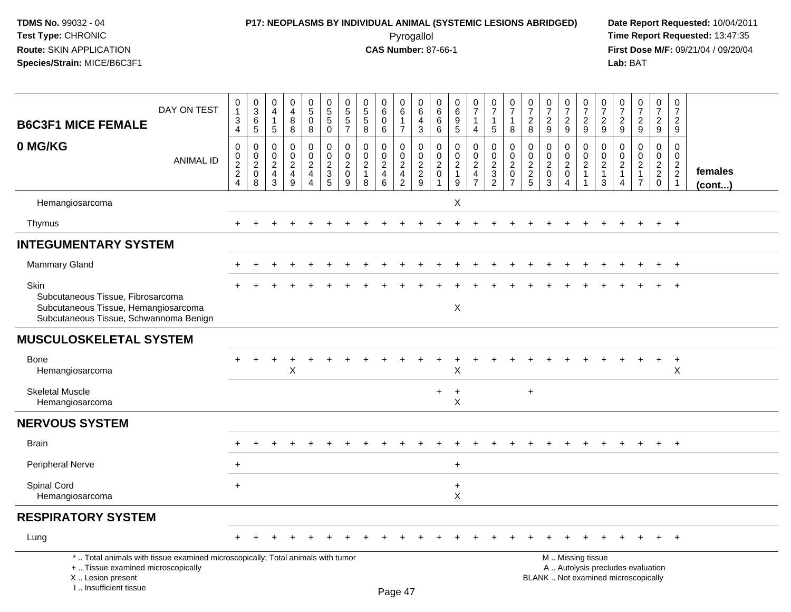# **P17: NEOPLASMS BY INDIVIDUAL ANIMAL (SYSTEMIC LESIONS ABRIDGED) Date Report Requested:** 10/04/2011

 Pyrogallol **Time Report Requested:** 13:47:35 **First Dose M/F:** 09/21/04 / 09/20/04<br>Lab: BAT **Lab:** BAT

| <b>B6C3F1 MICE FEMALE</b>                                                                                                                                           | DAY ON TEST      | $\pmb{0}$<br>$\overline{1}$<br>3<br>4                         | $\begin{array}{c} 0 \\ 3 \\ 6 \end{array}$<br>$\overline{5}$ | $\pmb{0}$<br>$\overline{4}$<br>$\overline{1}$<br>$\sqrt{5}$         | $\pmb{0}$<br>$\overline{4}$<br>8<br>8                               | $0$<br>$5$<br>$0$<br>8       | $\begin{array}{c} 0 \\ 5 \\ 5 \end{array}$<br>$\mathbf 0$ | $\begin{array}{c} 0 \\ 5 \\ 5 \end{array}$<br>$\overline{7}$   | $\pmb{0}$<br>$\overline{5}$<br>8                                    | $\pmb{0}$<br>$\,6$<br>$\mathbf 0$<br>6           | 0<br>$6\phantom{1}$<br>$\overline{1}$<br>$\overline{7}$  | $\pmb{0}$<br>$\,6\,$<br>$\overline{a}$<br>$\mathbf{3}$ | $\,0\,$<br>$\,6\,$<br>6<br>6                                | 0<br>$\,6\,$<br>$\boldsymbol{9}$<br>$\sqrt{5}$                      | $\frac{0}{7}$<br>$\mathbf{1}$<br>$\overline{4}$           | $\begin{smallmatrix}0\\7\end{smallmatrix}$<br>$\overline{1}$<br>$\sqrt{5}$ | $\pmb{0}$<br>$\overline{7}$<br>$\overline{1}$<br>8        | $\pmb{0}$<br>$\overline{7}$<br>$\overline{2}$<br>8 | $\begin{array}{c} 0 \\ 7 \end{array}$<br>$\overline{2}$<br>9 | $\frac{0}{7}$<br>$\overline{2}$<br>9 | $\begin{array}{c} 0 \\ 7 \end{array}$<br>$\overline{2}$<br>9 | $\frac{0}{7}$<br>$\overline{c}$<br>9                      | $\begin{array}{c} 0 \\ 7 \end{array}$<br>$\overline{2}$<br>9                     | $\begin{array}{c} 0 \\ 7 \\ 2 \end{array}$<br>9                            | $\pmb{0}$<br>$\overline{7}$<br>$\overline{2}$<br>9 | $\pmb{0}$<br>$\overline{7}$<br>$\overline{2}$<br>9             |                   |
|---------------------------------------------------------------------------------------------------------------------------------------------------------------------|------------------|---------------------------------------------------------------|--------------------------------------------------------------|---------------------------------------------------------------------|---------------------------------------------------------------------|------------------------------|-----------------------------------------------------------|----------------------------------------------------------------|---------------------------------------------------------------------|--------------------------------------------------|----------------------------------------------------------|--------------------------------------------------------|-------------------------------------------------------------|---------------------------------------------------------------------|-----------------------------------------------------------|----------------------------------------------------------------------------|-----------------------------------------------------------|----------------------------------------------------|--------------------------------------------------------------|--------------------------------------|--------------------------------------------------------------|-----------------------------------------------------------|----------------------------------------------------------------------------------|----------------------------------------------------------------------------|----------------------------------------------------|----------------------------------------------------------------|-------------------|
| 0 MG/KG                                                                                                                                                             | <b>ANIMAL ID</b> | $\mathbf 0$<br>$\mathbf 0$<br>$\frac{2}{2}$<br>$\overline{4}$ | $\pmb{0}$<br>$\frac{0}{2}$<br>8                              | $\mathbf 0$<br>$\mathbf 0$<br>$\overline{c}$<br>$\overline{4}$<br>3 | $\mathbf 0$<br>$\mathbf 0$<br>$\overline{c}$<br>$\overline{4}$<br>9 | 0<br>0<br>$\frac{2}{4}$<br>4 | 0<br>$\mathbf 0$<br>$\frac{2}{3}$<br>$\overline{5}$       | $\pmb{0}$<br>$\mathbf 0$<br>$\overline{c}$<br>$\mathbf 0$<br>9 | $\mathbf 0$<br>$\mathbf 0$<br>$\boldsymbol{2}$<br>$\mathbf{1}$<br>8 | $\mathbf 0$<br>$\mathbf 0$<br>$\frac{2}{4}$<br>6 | 0<br>0<br>$\sqrt{2}$<br>$\overline{4}$<br>$\overline{2}$ | $\mathbf 0$<br>$\mathbf 0$<br>$\frac{2}{9}$            | $\mathbf 0$<br>$\mathbf 0$<br>$\overline{c}$<br>$\mathbf 0$ | $\mathbf 0$<br>$\mathbf 0$<br>$\boldsymbol{2}$<br>$\mathbf{1}$<br>9 | $\pmb{0}$<br>$\pmb{0}$<br>$\frac{2}{4}$<br>$\overline{7}$ | $\mathbf 0$<br>$\mathbf 0$<br>$\frac{2}{3}$<br>$\overline{2}$              | $\pmb{0}$<br>$\pmb{0}$<br>$\frac{2}{0}$<br>$\overline{7}$ | $\mathbf 0$<br>$\mathbf 0$<br>$\frac{2}{2}$        | $\mathbf 0$<br>0<br>$\overline{c}$<br>$\mathbf 0$<br>3       | $\mathbf 0$<br>0<br>$^2_{0}$<br>4    | 0<br>$\mathsf 0$<br>$\frac{2}{1}$<br>-1                      | $\pmb{0}$<br>$\pmb{0}$<br>$\sqrt{2}$<br>$\mathbf{1}$<br>3 | $\mathbf 0$<br>$\mathbf 0$<br>$\boldsymbol{2}$<br>$\mathbf{1}$<br>$\overline{4}$ | $\mathbf 0$<br>$\mathbf 0$<br>$\sqrt{2}$<br>$\mathbf{1}$<br>$\overline{7}$ | $\mathbf 0$<br>$\mathbf 0$<br>$\frac{2}{2}$<br>0   | 0<br>$\mathbf 0$<br>$\begin{array}{c} 2 \\ 2 \\ 1 \end{array}$ | females<br>(cont) |
| Hemangiosarcoma                                                                                                                                                     |                  |                                                               |                                                              |                                                                     |                                                                     |                              |                                                           |                                                                |                                                                     |                                                  |                                                          |                                                        |                                                             | $\pmb{\times}$                                                      |                                                           |                                                                            |                                                           |                                                    |                                                              |                                      |                                                              |                                                           |                                                                                  |                                                                            |                                                    |                                                                |                   |
| Thymus                                                                                                                                                              |                  | $+$                                                           |                                                              | $\ddot{}$                                                           |                                                                     | $\overline{+}$               | $\div$                                                    |                                                                |                                                                     |                                                  | $\ddot{}$                                                |                                                        |                                                             | $\ddot{}$                                                           | $\overline{+}$                                            | $\ddot{}$                                                                  |                                                           |                                                    |                                                              | $\ddot{}$                            | $+$                                                          | $\pm$                                                     | $\pm$                                                                            | $\pm$                                                                      | $+$                                                | $+$                                                            |                   |
| <b>INTEGUMENTARY SYSTEM</b>                                                                                                                                         |                  |                                                               |                                                              |                                                                     |                                                                     |                              |                                                           |                                                                |                                                                     |                                                  |                                                          |                                                        |                                                             |                                                                     |                                                           |                                                                            |                                                           |                                                    |                                                              |                                      |                                                              |                                                           |                                                                                  |                                                                            |                                                    |                                                                |                   |
| <b>Mammary Gland</b>                                                                                                                                                |                  |                                                               |                                                              |                                                                     |                                                                     |                              |                                                           |                                                                |                                                                     |                                                  |                                                          |                                                        |                                                             |                                                                     |                                                           |                                                                            |                                                           |                                                    |                                                              |                                      |                                                              |                                                           |                                                                                  |                                                                            | $\ddot{}$                                          | $+$                                                            |                   |
| Skin<br>Subcutaneous Tissue, Fibrosarcoma<br>Subcutaneous Tissue, Hemangiosarcoma<br>Subcutaneous Tissue, Schwannoma Benign                                         |                  |                                                               |                                                              |                                                                     |                                                                     |                              |                                                           |                                                                |                                                                     |                                                  |                                                          |                                                        |                                                             | $\mathsf X$                                                         |                                                           |                                                                            |                                                           |                                                    |                                                              |                                      |                                                              |                                                           |                                                                                  |                                                                            | $\ddot{}$                                          | $+$                                                            |                   |
| <b>MUSCULOSKELETAL SYSTEM</b>                                                                                                                                       |                  |                                                               |                                                              |                                                                     |                                                                     |                              |                                                           |                                                                |                                                                     |                                                  |                                                          |                                                        |                                                             |                                                                     |                                                           |                                                                            |                                                           |                                                    |                                                              |                                      |                                                              |                                                           |                                                                                  |                                                                            |                                                    |                                                                |                   |
| <b>Bone</b><br>Hemangiosarcoma                                                                                                                                      |                  |                                                               | $\ddot{}$                                                    | $\ddot{}$                                                           | $\ddot{}$<br>X                                                      |                              |                                                           |                                                                |                                                                     |                                                  |                                                          |                                                        |                                                             | Χ                                                                   |                                                           |                                                                            |                                                           |                                                    |                                                              |                                      |                                                              |                                                           |                                                                                  |                                                                            | $\ddot{}$                                          | $+$<br>$\boldsymbol{\mathsf{X}}$                               |                   |
| <b>Skeletal Muscle</b><br>Hemangiosarcoma                                                                                                                           |                  |                                                               |                                                              |                                                                     |                                                                     |                              |                                                           |                                                                |                                                                     |                                                  |                                                          |                                                        | $\ddot{}$                                                   | $\div$<br>X                                                         |                                                           |                                                                            |                                                           | $\ddot{}$                                          |                                                              |                                      |                                                              |                                                           |                                                                                  |                                                                            |                                                    |                                                                |                   |
| <b>NERVOUS SYSTEM</b>                                                                                                                                               |                  |                                                               |                                                              |                                                                     |                                                                     |                              |                                                           |                                                                |                                                                     |                                                  |                                                          |                                                        |                                                             |                                                                     |                                                           |                                                                            |                                                           |                                                    |                                                              |                                      |                                                              |                                                           |                                                                                  |                                                                            |                                                    |                                                                |                   |
| <b>Brain</b>                                                                                                                                                        |                  |                                                               |                                                              |                                                                     |                                                                     |                              |                                                           |                                                                |                                                                     |                                                  |                                                          |                                                        |                                                             |                                                                     |                                                           |                                                                            |                                                           |                                                    |                                                              |                                      |                                                              |                                                           |                                                                                  |                                                                            |                                                    |                                                                |                   |
| Peripheral Nerve                                                                                                                                                    |                  | $\ddot{}$                                                     |                                                              |                                                                     |                                                                     |                              |                                                           |                                                                |                                                                     |                                                  |                                                          |                                                        |                                                             | $\ddot{}$                                                           |                                                           |                                                                            |                                                           |                                                    |                                                              |                                      |                                                              |                                                           |                                                                                  |                                                                            |                                                    |                                                                |                   |
| Spinal Cord<br>Hemangiosarcoma                                                                                                                                      |                  | $\ddot{}$                                                     |                                                              |                                                                     |                                                                     |                              |                                                           |                                                                |                                                                     |                                                  |                                                          |                                                        |                                                             | $\ddot{}$<br>$\mathsf{x}$                                           |                                                           |                                                                            |                                                           |                                                    |                                                              |                                      |                                                              |                                                           |                                                                                  |                                                                            |                                                    |                                                                |                   |
| <b>RESPIRATORY SYSTEM</b>                                                                                                                                           |                  |                                                               |                                                              |                                                                     |                                                                     |                              |                                                           |                                                                |                                                                     |                                                  |                                                          |                                                        |                                                             |                                                                     |                                                           |                                                                            |                                                           |                                                    |                                                              |                                      |                                                              |                                                           |                                                                                  |                                                                            |                                                    |                                                                |                   |
| Lung                                                                                                                                                                |                  |                                                               |                                                              |                                                                     |                                                                     |                              |                                                           |                                                                |                                                                     |                                                  |                                                          |                                                        |                                                             |                                                                     |                                                           |                                                                            |                                                           |                                                    |                                                              |                                      |                                                              |                                                           |                                                                                  |                                                                            |                                                    | $\ddot{}$                                                      |                   |
| *  Total animals with tissue examined microscopically; Total animals with tumor<br>+  Tissue examined microscopically<br>X  Lesion present<br>I Insufficient tissue |                  |                                                               |                                                              |                                                                     |                                                                     |                              |                                                           |                                                                |                                                                     | Page 47                                          |                                                          |                                                        |                                                             |                                                                     |                                                           |                                                                            |                                                           |                                                    |                                                              |                                      | M  Missing tissue                                            |                                                           |                                                                                  | A  Autolysis precludes evaluation<br>BLANK  Not examined microscopically   |                                                    |                                                                |                   |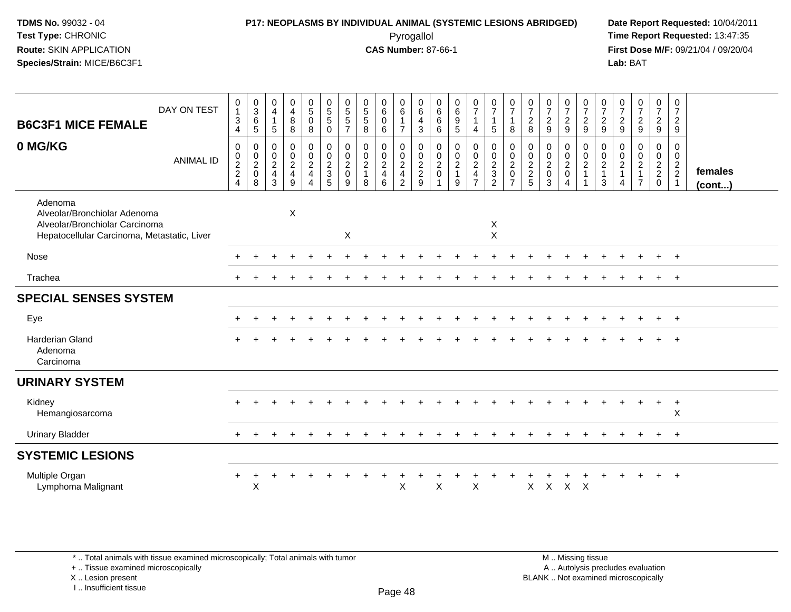### **P17: NEOPLASMS BY INDIVIDUAL ANIMAL (SYSTEMIC LESIONS ABRIDGED) Date Report Requested:** 10/04/2011 Pyrogallol **Time Report Requested:** 13:47:35

**First Dose M/F:** 09/21/04 / 09/20/04<br>Lab: BAT **Lab:** BAT

| DAY ON TEST<br><b>B6C3F1 MICE FEMALE</b>                                                                                 | $\mathbf 0$<br>$\mathbf{1}$<br>$\sqrt{3}$<br>4                                     | $\begin{matrix} 0 \\ 3 \\ 6 \end{matrix}$<br>$\sqrt{5}$ | 0<br>$\overline{\mathbf{4}}$<br>$\mathbf{1}$<br>$\sqrt{5}$   | 0<br>$\overline{4}$<br>8<br>$\bf 8$ | $\begin{smallmatrix}0\5\0\end{smallmatrix}$<br>8                  | $\begin{array}{c} 0 \\ 5 \\ 5 \end{array}$<br>$\mathsf{O}\xspace$ | 0<br>$\sqrt{5}$<br>$\overline{5}$<br>$\overline{7}$  | $\begin{array}{c} 0 \\ 5 \end{array}$<br>$\sqrt{5}$<br>8 | $\begin{matrix} 0 \\ 6 \end{matrix}$<br>$\pmb{0}$<br>$\,6\,$ | $\begin{array}{c} 0 \\ 6 \end{array}$<br>$\mathbf{1}$<br>$\overline{7}$ | $\begin{array}{c} 0 \\ 6 \end{array}$<br>$\overline{4}$<br>$\sqrt{3}$ | $\boldsymbol{0}$<br>$\,6\,$<br>$\,6\,$<br>$\,6$                          | $\pmb{0}$<br>$\,6\,$<br>$9\,$<br>5                                       | $\begin{smallmatrix}0\\7\end{smallmatrix}$<br>$\mathbf{1}$<br>4 | $\frac{0}{7}$<br>$\mathbf{1}$<br>$5\,$                            | $\frac{0}{7}$<br>$\mathbf{1}$<br>8                                             | $\frac{0}{7}$<br>$\frac{2}{8}$ | $\frac{0}{7}$<br>$\overline{c}$<br>9                      | $\frac{0}{7}$<br>$\frac{2}{9}$          | $\frac{0}{7}$<br>$\frac{2}{9}$                  | $\frac{0}{7}$<br>$\frac{2}{9}$                   | $\overline{0}$<br>$\overline{7}$<br>$\frac{2}{9}$                       | $\frac{0}{7}$<br>$\frac{2}{9}$                    | $\frac{0}{7}$<br>$\frac{2}{9}$                | $\frac{0}{7}$<br>$\frac{2}{9}$       |                         |
|--------------------------------------------------------------------------------------------------------------------------|------------------------------------------------------------------------------------|---------------------------------------------------------|--------------------------------------------------------------|-------------------------------------|-------------------------------------------------------------------|-------------------------------------------------------------------|------------------------------------------------------|----------------------------------------------------------|--------------------------------------------------------------|-------------------------------------------------------------------------|-----------------------------------------------------------------------|--------------------------------------------------------------------------|--------------------------------------------------------------------------|-----------------------------------------------------------------|-------------------------------------------------------------------|--------------------------------------------------------------------------------|--------------------------------|-----------------------------------------------------------|-----------------------------------------|-------------------------------------------------|--------------------------------------------------|-------------------------------------------------------------------------|---------------------------------------------------|-----------------------------------------------|--------------------------------------|-------------------------|
| 0 MG/KG<br><b>ANIMAL ID</b>                                                                                              | $\pmb{0}$<br>$\begin{array}{c} 0 \\ 2 \\ 2 \end{array}$<br>$\overline{\mathbf{A}}$ | 0<br>$\mathop{2}\limits^{\mathbb{O}}$<br>$\pmb{0}$<br>8 | 0<br>$\mathop{2}\limits^{\mathbb{O}}$<br>$\overline{4}$<br>3 | 0<br>$\frac{0}{2}$<br>9             | $\begin{array}{c} 0 \\ 0 \\ 2 \\ 4 \end{array}$<br>$\overline{4}$ | $\begin{array}{c} 0 \\ 0 \\ 2 \\ 3 \end{array}$<br>5              | 0<br>$\pmb{0}$<br>$\overline{c}$<br>$\mathbf 0$<br>9 | 0<br>$\pmb{0}$<br>$\overline{2}$<br>$\overline{1}$<br>8  | 0<br>$_2^0$<br>$\overline{4}$<br>6                           | 0<br>$\frac{0}{2}$<br>$\overline{2}$                                    | $\pmb{0}$<br>$\frac{0}{2}$<br>9                                       | 0<br>$\begin{smallmatrix} 0\\2 \end{smallmatrix}$<br>$\mathsf{O}\xspace$ | 0<br>$\begin{smallmatrix} 0\\2 \end{smallmatrix}$<br>$\overline{1}$<br>9 | 0<br>$\frac{0}{2}$<br>$\overline{4}$<br>$\overline{ }$          | 0<br>$\frac{0}{2}$<br>$\ensuremath{\mathsf{3}}$<br>$\overline{2}$ | $\begin{smallmatrix} 0\\0\\2 \end{smallmatrix}$<br>$\pmb{0}$<br>$\overline{ }$ | 00225                          | 0<br>$\mathop{2}\limits^{\mathbb{O}}$<br>$\mathbf 0$<br>3 | 0<br>$_{2}^{\rm 0}$<br>$\mathbf 0$<br>4 | 0<br>$\begin{array}{c} 0 \\ 2 \\ 1 \end{array}$ | $\pmb{0}$<br>$_{2}^{\rm 0}$<br>$\mathbf{1}$<br>3 | 0<br>$\boldsymbol{0}$<br>$\sqrt{2}$<br>$\overline{1}$<br>$\overline{4}$ | 0<br>$\pmb{0}$<br>$\frac{2}{1}$<br>$\overline{7}$ | 0<br>$\mathbf 0$<br>$\frac{2}{2}$<br>$\Omega$ | 0<br>$\frac{0}{2}$<br>$\overline{1}$ | females<br>$($ cont $)$ |
| Adenoma<br>Alveolar/Bronchiolar Adenoma<br>Alveolar/Bronchiolar Carcinoma<br>Hepatocellular Carcinoma, Metastatic, Liver |                                                                                    |                                                         |                                                              | $\pmb{\times}$                      |                                                                   |                                                                   | $\mathsf X$                                          |                                                          |                                                              |                                                                         |                                                                       |                                                                          |                                                                          |                                                                 | X<br>$\mathsf{X}$                                                 |                                                                                |                                |                                                           |                                         |                                                 |                                                  |                                                                         |                                                   |                                               |                                      |                         |
| Nose                                                                                                                     |                                                                                    |                                                         |                                                              |                                     |                                                                   |                                                                   |                                                      |                                                          |                                                              |                                                                         |                                                                       |                                                                          |                                                                          |                                                                 |                                                                   |                                                                                |                                |                                                           |                                         |                                                 |                                                  |                                                                         |                                                   |                                               | $^{+}$                               |                         |
| Trachea                                                                                                                  |                                                                                    |                                                         |                                                              |                                     |                                                                   |                                                                   |                                                      |                                                          |                                                              |                                                                         |                                                                       |                                                                          |                                                                          |                                                                 |                                                                   |                                                                                |                                |                                                           |                                         |                                                 |                                                  |                                                                         |                                                   |                                               | $+$                                  |                         |
| <b>SPECIAL SENSES SYSTEM</b>                                                                                             |                                                                                    |                                                         |                                                              |                                     |                                                                   |                                                                   |                                                      |                                                          |                                                              |                                                                         |                                                                       |                                                                          |                                                                          |                                                                 |                                                                   |                                                                                |                                |                                                           |                                         |                                                 |                                                  |                                                                         |                                                   |                                               |                                      |                         |
| Eye                                                                                                                      |                                                                                    |                                                         |                                                              |                                     |                                                                   |                                                                   |                                                      |                                                          |                                                              |                                                                         |                                                                       |                                                                          |                                                                          |                                                                 |                                                                   |                                                                                |                                |                                                           |                                         |                                                 |                                                  |                                                                         |                                                   |                                               | $\overline{+}$                       |                         |
| <b>Harderian Gland</b><br>Adenoma<br>Carcinoma                                                                           |                                                                                    |                                                         |                                                              |                                     |                                                                   |                                                                   |                                                      |                                                          |                                                              |                                                                         |                                                                       |                                                                          |                                                                          |                                                                 |                                                                   |                                                                                |                                |                                                           |                                         |                                                 |                                                  |                                                                         |                                                   |                                               |                                      |                         |
| <b>URINARY SYSTEM</b>                                                                                                    |                                                                                    |                                                         |                                                              |                                     |                                                                   |                                                                   |                                                      |                                                          |                                                              |                                                                         |                                                                       |                                                                          |                                                                          |                                                                 |                                                                   |                                                                                |                                |                                                           |                                         |                                                 |                                                  |                                                                         |                                                   |                                               |                                      |                         |
| Kidney<br>Hemangiosarcoma                                                                                                |                                                                                    |                                                         |                                                              |                                     |                                                                   |                                                                   |                                                      |                                                          |                                                              |                                                                         |                                                                       |                                                                          |                                                                          |                                                                 |                                                                   |                                                                                |                                |                                                           |                                         |                                                 |                                                  |                                                                         |                                                   | $+$                                           | $+$<br>$\pmb{\times}$                |                         |
| <b>Urinary Bladder</b>                                                                                                   | $\pm$                                                                              |                                                         |                                                              |                                     |                                                                   |                                                                   |                                                      |                                                          |                                                              |                                                                         |                                                                       |                                                                          |                                                                          |                                                                 |                                                                   |                                                                                |                                |                                                           |                                         |                                                 |                                                  |                                                                         |                                                   | $\ddot{}$                                     | $+$                                  |                         |
| <b>SYSTEMIC LESIONS</b>                                                                                                  |                                                                                    |                                                         |                                                              |                                     |                                                                   |                                                                   |                                                      |                                                          |                                                              |                                                                         |                                                                       |                                                                          |                                                                          |                                                                 |                                                                   |                                                                                |                                |                                                           |                                         |                                                 |                                                  |                                                                         |                                                   |                                               |                                      |                         |
| Multiple Organ<br>Lymphoma Malignant                                                                                     | $\ddot{}$                                                                          | $\mathsf X$                                             |                                                              |                                     |                                                                   |                                                                   |                                                      |                                                          |                                                              | X                                                                       |                                                                       | X                                                                        |                                                                          | $\pmb{\times}$                                                  |                                                                   |                                                                                | X                              | $\mathsf{X}$                                              | $X$ $X$                                 |                                                 |                                                  |                                                                         |                                                   |                                               |                                      |                         |

\* .. Total animals with tissue examined microscopically; Total animals with tumor

+ .. Tissue examined microscopically

X .. Lesion present

I .. Insufficient tissue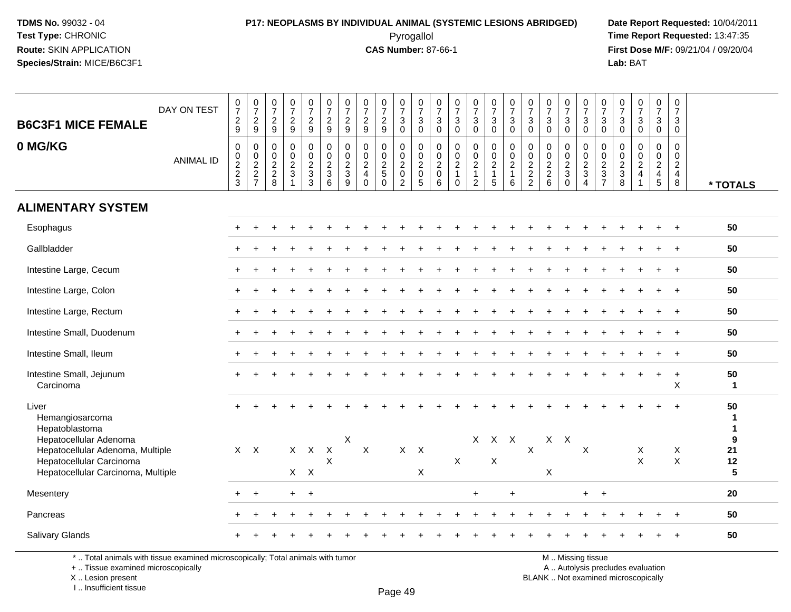### **P17: NEOPLASMS BY INDIVIDUAL ANIMAL (SYSTEMIC LESIONS ABRIDGED) Date Report Requested:** 10/04/2011 Pyrogallol **Time Report Requested:** 13:47:35

**First Dose M/F:** 09/21/04 / 09/20/04<br>Lab: BAT **Lab:** BAT

| <b>B6C3F1 MICE FEMALE</b><br>0 MG/KG                                 | DAY ON TEST<br><b>ANIMAL ID</b> | $\frac{0}{7}$<br>$\frac{2}{9}$<br>$\mathbf 0$<br>$\frac{0}{2}$<br>3 | $\begin{smallmatrix}0\\7\end{smallmatrix}$<br>$\frac{2}{9}$<br>0<br>$\pmb{0}$<br>$\frac{2}{2}$<br>$\overline{7}$ | $\frac{0}{7}$<br>$\frac{2}{9}$<br>0<br>0<br>$\frac{2}{8}$ | $\frac{0}{7}$<br>$\frac{2}{9}$<br>0<br>$\pmb{0}$<br>$\frac{2}{3}$<br>$\overline{1}$ | $\frac{0}{7}$<br>$\frac{2}{9}$<br>0<br>0<br>$\overline{c}$<br>$\mathfrak{Z}$<br>$\overline{3}$ | $\frac{0}{7}$<br>$\frac{2}{9}$<br>$\mathbf 0$<br>$\mathbf 0$<br>$\frac{2}{3}$<br>6 | $\frac{0}{7}$<br>$\frac{2}{9}$<br>$\mathbf 0$<br>$\mathbf 0$<br>$\frac{2}{3}$<br>$9\,$ | $\frac{0}{7}$<br>$\frac{2}{9}$<br>$\mathbf 0$<br>$\mathbf 0$<br>$\frac{2}{4}$<br>$\mathbf 0$ | $\frac{0}{7}$<br>$\frac{2}{9}$<br>$\mathbf 0$<br>0<br>$\overline{2}$<br>$5\phantom{.0}$<br>$\mathbf{0}$ | $\frac{0}{7}$<br>$_0^3$<br>0<br>$\mathbf 0$<br>$\overline{2}$<br>$\mathbf 0$<br>$\overline{2}$ | $\begin{array}{c} 0 \\ 7 \end{array}$<br>$_{0}^{3}$<br>$\mathbf 0$<br>$\pmb{0}$<br>$\overline{2}$<br>$\pmb{0}$<br>$\overline{5}$ | $\begin{smallmatrix}0\\7\end{smallmatrix}$<br>$_0^3$<br>$\mathbf 0$<br>$\boldsymbol{0}$<br>$^2_{\rm 0}$<br>$\,6\,$ | $\begin{array}{c} 0 \\ 7 \end{array}$<br>$\sqrt{3}$<br>$\mathbf 0$<br>$\mathbf 0$<br>$\mathbf 0$<br>$\overline{2}$<br>$\overline{1}$<br>$\mathbf 0$ | $\begin{array}{c} 0 \\ 7 \end{array}$<br>$\sqrt{3}$<br>$\overline{0}$<br>$\mathbf 0$<br>$\pmb{0}$<br>$\overline{2}$<br>$\mathbf{1}$<br>$\overline{c}$ | $\frac{0}{7}$<br>$\ensuremath{\mathsf{3}}$<br>$\mathbf 0$<br>$\mathbf 0$<br>$\pmb{0}$<br>$\frac{2}{1}$<br>$5\overline{)}$ | $\frac{0}{7}$<br>$\mathbf{3}$<br>$\mathbf 0$<br>0<br>$\mathbf 0$<br>$\overline{c}$<br>$\mathbf{1}$<br>6 | $\frac{0}{7}$<br>$\mathbf{3}$<br>$\mathbf 0$<br>$\mathbf 0$<br>$\pmb{0}$<br>$\frac{2}{2}$ | $\begin{array}{c} 0 \\ 7 \end{array}$<br>$\frac{3}{0}$<br>$\mathbf 0$<br>$\pmb{0}$<br>$\frac{2}{2}$ 6 | $\frac{0}{7}$<br>$\mathbf{3}$<br>$\mathbf 0$<br>0<br>$\pmb{0}$<br>$\overline{2}$<br>$\mathbf{3}$<br>$\mathbf 0$ | $\begin{array}{c} 0 \\ 7 \end{array}$<br>$\frac{3}{0}$<br>$\mathbf 0$<br>$\mathbf 0$<br>$\frac{2}{3}$<br>$\overline{4}$ | $\begin{array}{c} 0 \\ 7 \end{array}$<br>3<br>$\mathbf 0$<br>0<br>0<br>$\frac{2}{3}$<br>$\overline{7}$ | $\frac{0}{7}$<br>$_{0}^{3}$<br>$\mathbf 0$<br>$\mathsf{O}\xspace$<br>$\frac{2}{3}$ | $\frac{0}{7}$<br>$\frac{3}{0}$<br>0<br>$\pmb{0}$<br>$\frac{2}{4}$<br>$\mathbf{1}$ | $\frac{0}{7}$<br>$\mathbf{3}$<br>$\overline{0}$<br>0<br>$\mathbf 0$<br>$\frac{2}{4}$<br>$\overline{5}$ | $\pmb{0}$<br>$\overline{7}$<br>3<br>$\mathbf 0$<br>0<br>$\mathbf 0$<br>$\overline{c}$<br>$\overline{4}$<br>$\,8\,$ | * TOTALS                                              |
|----------------------------------------------------------------------|---------------------------------|---------------------------------------------------------------------|------------------------------------------------------------------------------------------------------------------|-----------------------------------------------------------|-------------------------------------------------------------------------------------|------------------------------------------------------------------------------------------------|------------------------------------------------------------------------------------|----------------------------------------------------------------------------------------|----------------------------------------------------------------------------------------------|---------------------------------------------------------------------------------------------------------|------------------------------------------------------------------------------------------------|----------------------------------------------------------------------------------------------------------------------------------|--------------------------------------------------------------------------------------------------------------------|-----------------------------------------------------------------------------------------------------------------------------------------------------|-------------------------------------------------------------------------------------------------------------------------------------------------------|---------------------------------------------------------------------------------------------------------------------------|---------------------------------------------------------------------------------------------------------|-------------------------------------------------------------------------------------------|-------------------------------------------------------------------------------------------------------|-----------------------------------------------------------------------------------------------------------------|-------------------------------------------------------------------------------------------------------------------------|--------------------------------------------------------------------------------------------------------|------------------------------------------------------------------------------------|-----------------------------------------------------------------------------------|--------------------------------------------------------------------------------------------------------|--------------------------------------------------------------------------------------------------------------------|-------------------------------------------------------|
| <b>ALIMENTARY SYSTEM</b>                                             |                                 |                                                                     |                                                                                                                  |                                                           |                                                                                     |                                                                                                |                                                                                    |                                                                                        |                                                                                              |                                                                                                         |                                                                                                |                                                                                                                                  |                                                                                                                    |                                                                                                                                                     |                                                                                                                                                       |                                                                                                                           |                                                                                                         |                                                                                           |                                                                                                       |                                                                                                                 |                                                                                                                         |                                                                                                        |                                                                                    |                                                                                   |                                                                                                        |                                                                                                                    |                                                       |
| Esophagus                                                            |                                 |                                                                     |                                                                                                                  |                                                           |                                                                                     |                                                                                                |                                                                                    |                                                                                        |                                                                                              |                                                                                                         |                                                                                                |                                                                                                                                  |                                                                                                                    |                                                                                                                                                     |                                                                                                                                                       |                                                                                                                           |                                                                                                         |                                                                                           |                                                                                                       |                                                                                                                 |                                                                                                                         |                                                                                                        |                                                                                    |                                                                                   |                                                                                                        | $\overline{ }$                                                                                                     | 50                                                    |
| Gallbladder                                                          |                                 |                                                                     |                                                                                                                  |                                                           |                                                                                     |                                                                                                |                                                                                    |                                                                                        |                                                                                              |                                                                                                         |                                                                                                |                                                                                                                                  |                                                                                                                    |                                                                                                                                                     |                                                                                                                                                       |                                                                                                                           |                                                                                                         |                                                                                           |                                                                                                       |                                                                                                                 |                                                                                                                         |                                                                                                        |                                                                                    |                                                                                   |                                                                                                        |                                                                                                                    | 50                                                    |
| Intestine Large, Cecum                                               |                                 |                                                                     |                                                                                                                  |                                                           |                                                                                     |                                                                                                |                                                                                    |                                                                                        |                                                                                              |                                                                                                         |                                                                                                |                                                                                                                                  |                                                                                                                    |                                                                                                                                                     |                                                                                                                                                       |                                                                                                                           |                                                                                                         |                                                                                           |                                                                                                       |                                                                                                                 |                                                                                                                         |                                                                                                        |                                                                                    |                                                                                   |                                                                                                        |                                                                                                                    | 50                                                    |
| Intestine Large, Colon                                               |                                 |                                                                     |                                                                                                                  |                                                           |                                                                                     |                                                                                                |                                                                                    |                                                                                        |                                                                                              |                                                                                                         |                                                                                                |                                                                                                                                  |                                                                                                                    |                                                                                                                                                     |                                                                                                                                                       |                                                                                                                           |                                                                                                         |                                                                                           |                                                                                                       |                                                                                                                 |                                                                                                                         |                                                                                                        |                                                                                    |                                                                                   |                                                                                                        | $+$                                                                                                                | 50                                                    |
| Intestine Large, Rectum                                              |                                 |                                                                     |                                                                                                                  |                                                           |                                                                                     |                                                                                                |                                                                                    |                                                                                        |                                                                                              |                                                                                                         |                                                                                                |                                                                                                                                  |                                                                                                                    |                                                                                                                                                     |                                                                                                                                                       |                                                                                                                           |                                                                                                         |                                                                                           |                                                                                                       |                                                                                                                 |                                                                                                                         |                                                                                                        |                                                                                    |                                                                                   |                                                                                                        |                                                                                                                    | 50                                                    |
| Intestine Small, Duodenum                                            |                                 |                                                                     |                                                                                                                  |                                                           |                                                                                     |                                                                                                |                                                                                    |                                                                                        |                                                                                              |                                                                                                         |                                                                                                |                                                                                                                                  |                                                                                                                    |                                                                                                                                                     |                                                                                                                                                       |                                                                                                                           |                                                                                                         |                                                                                           |                                                                                                       |                                                                                                                 |                                                                                                                         |                                                                                                        |                                                                                    |                                                                                   |                                                                                                        |                                                                                                                    | 50                                                    |
| Intestine Small, Ileum                                               |                                 |                                                                     |                                                                                                                  |                                                           |                                                                                     |                                                                                                |                                                                                    |                                                                                        |                                                                                              |                                                                                                         |                                                                                                |                                                                                                                                  |                                                                                                                    |                                                                                                                                                     |                                                                                                                                                       |                                                                                                                           |                                                                                                         |                                                                                           |                                                                                                       |                                                                                                                 |                                                                                                                         |                                                                                                        |                                                                                    |                                                                                   |                                                                                                        | $\overline{+}$                                                                                                     | 50                                                    |
| Intestine Small, Jejunum<br>Carcinoma                                |                                 |                                                                     |                                                                                                                  |                                                           |                                                                                     |                                                                                                |                                                                                    |                                                                                        |                                                                                              |                                                                                                         |                                                                                                |                                                                                                                                  |                                                                                                                    |                                                                                                                                                     |                                                                                                                                                       |                                                                                                                           |                                                                                                         |                                                                                           |                                                                                                       |                                                                                                                 |                                                                                                                         |                                                                                                        |                                                                                    |                                                                                   | $\ddot{}$                                                                                              | $\ddot{}$<br>$\pmb{\times}$                                                                                        | 50<br>$\mathbf{1}$                                    |
| Liver<br>Hemangiosarcoma<br>Hepatoblastoma<br>Hepatocellular Adenoma |                                 |                                                                     |                                                                                                                  |                                                           |                                                                                     |                                                                                                |                                                                                    | $\sf X$                                                                                |                                                                                              |                                                                                                         |                                                                                                |                                                                                                                                  |                                                                                                                    |                                                                                                                                                     | X                                                                                                                                                     | $X$ $X$                                                                                                                   |                                                                                                         |                                                                                           | $X$ $X$                                                                                               |                                                                                                                 |                                                                                                                         |                                                                                                        |                                                                                    |                                                                                   |                                                                                                        |                                                                                                                    | 50<br>$\mathbf 1$<br>$\mathbf{1}$<br>$\boldsymbol{9}$ |
| Hepatocellular Adenoma, Multiple<br>Hepatocellular Carcinoma         |                                 | $X$ $X$                                                             |                                                                                                                  |                                                           | X                                                                                   | X                                                                                              | $\mathsf{X}$<br>$\boldsymbol{\mathsf{X}}$                                          |                                                                                        | $\boldsymbol{\mathsf{X}}$                                                                    |                                                                                                         | X                                                                                              | $\mathsf{X}$                                                                                                                     |                                                                                                                    | $\pmb{\times}$                                                                                                                                      |                                                                                                                                                       | X                                                                                                                         |                                                                                                         | X                                                                                         |                                                                                                       |                                                                                                                 | X                                                                                                                       |                                                                                                        |                                                                                    | X<br>$\pmb{\times}$                                                               |                                                                                                        | X<br>$\pmb{\times}$                                                                                                | 21<br>12                                              |
| Hepatocellular Carcinoma, Multiple                                   |                                 |                                                                     |                                                                                                                  |                                                           |                                                                                     | $X$ $X$                                                                                        |                                                                                    |                                                                                        |                                                                                              |                                                                                                         |                                                                                                | X                                                                                                                                |                                                                                                                    |                                                                                                                                                     |                                                                                                                                                       |                                                                                                                           |                                                                                                         |                                                                                           | X                                                                                                     |                                                                                                                 |                                                                                                                         |                                                                                                        |                                                                                    |                                                                                   |                                                                                                        |                                                                                                                    | $5\phantom{.0}$                                       |
| Mesentery                                                            |                                 | $+$                                                                 | $\ddot{}$                                                                                                        |                                                           | $+$                                                                                 | $+$                                                                                            |                                                                                    |                                                                                        |                                                                                              |                                                                                                         |                                                                                                |                                                                                                                                  |                                                                                                                    |                                                                                                                                                     | $\ddot{}$                                                                                                                                             |                                                                                                                           | $\ddot{}$                                                                                               |                                                                                           |                                                                                                       |                                                                                                                 | $+$                                                                                                                     | $+$                                                                                                    |                                                                                    |                                                                                   |                                                                                                        |                                                                                                                    | 20                                                    |
| Pancreas                                                             |                                 |                                                                     |                                                                                                                  |                                                           |                                                                                     |                                                                                                |                                                                                    |                                                                                        |                                                                                              |                                                                                                         |                                                                                                |                                                                                                                                  |                                                                                                                    |                                                                                                                                                     |                                                                                                                                                       |                                                                                                                           |                                                                                                         |                                                                                           |                                                                                                       |                                                                                                                 |                                                                                                                         |                                                                                                        |                                                                                    |                                                                                   |                                                                                                        |                                                                                                                    | 50                                                    |
| <b>Salivary Glands</b>                                               |                                 |                                                                     |                                                                                                                  |                                                           |                                                                                     |                                                                                                |                                                                                    |                                                                                        |                                                                                              |                                                                                                         |                                                                                                |                                                                                                                                  |                                                                                                                    |                                                                                                                                                     |                                                                                                                                                       |                                                                                                                           |                                                                                                         |                                                                                           |                                                                                                       |                                                                                                                 |                                                                                                                         |                                                                                                        |                                                                                    |                                                                                   |                                                                                                        |                                                                                                                    | 50                                                    |

\* .. Total animals with tissue examined microscopically; Total animals with tumor

+ .. Tissue examined microscopically

X .. Lesion present

I .. Insufficient tissue

M .. Missing tissue

y the contract of the contract of the contract of the contract of the contract of  $\mathsf A$  . Autolysis precludes evaluation

Lesion present BLANK .. Not examined microscopically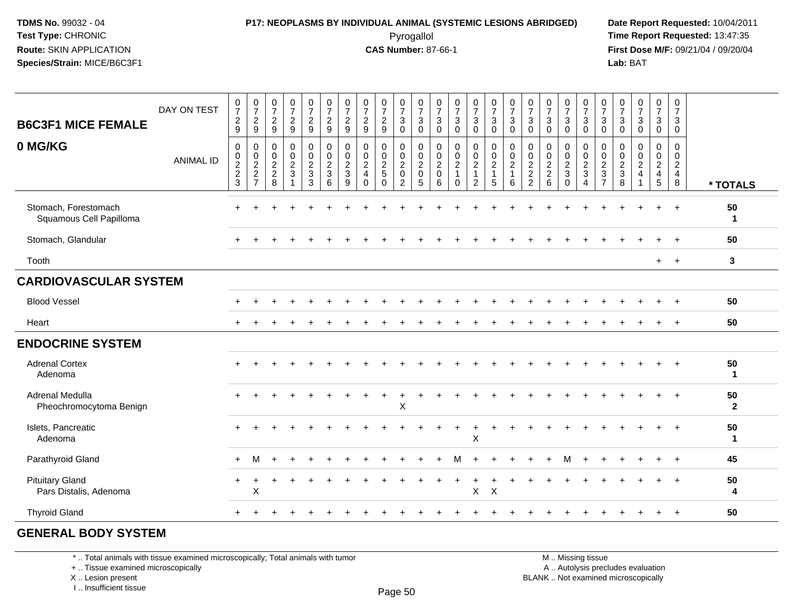### **P17: NEOPLASMS BY INDIVIDUAL ANIMAL (SYSTEMIC LESIONS ABRIDGED) Date Report Requested:** 10/04/2011 Pyrogallol **Time Report Requested:** 13:47:35

**First Dose M/F:** 09/21/04 / 09/20/04<br>Lab: BAT **Lab:** BAT

| <b>B6C3F1 MICE FEMALE</b><br>0 MG/KG             | DAY ON TEST<br><b>ANIMAL ID</b> | $\frac{0}{7}$<br>$\overline{c}$<br>9<br>$\mathbf 0$<br>$\frac{0}{2}$<br>3 | $\frac{0}{7}$<br>$\frac{2}{9}$<br>0<br>$\frac{0}{2}$<br>$\frac{2}{7}$ | $\frac{0}{7}$<br>$\overline{2}$<br>9<br>0<br>$\mathbf 0$<br>$\frac{2}{2}$ 8 | $\frac{0}{7}$<br>$\overline{2}$<br>9<br>0<br>$\mathbf 0$<br>$\overline{2}$<br>$\mathbf{3}$ | $\frac{0}{7}$<br>$\frac{2}{9}$<br>$\pmb{0}$<br>$\begin{array}{c} 0 \\ 2 \\ 3 \\ 3 \end{array}$ | $\begin{array}{c} 0 \\ 7 \end{array}$<br>$\overline{c}$<br>9<br>$\pmb{0}$<br>$\frac{0}{2}$<br>$\mathbf{3}$ | 0<br>$\overline{7}$<br>$\frac{2}{9}$<br>$\mathbf 0$<br>$\begin{smallmatrix} 0\\2 \end{smallmatrix}$<br>$\mathbf{3}$ | $\frac{0}{7}$<br>$\sqrt{2}$<br>9<br>$\mathbf 0$<br>$\mathbf 0$<br>$\overline{2}$<br>$\overline{4}$ | $\frac{0}{7}$<br>$\overline{2}$<br>9<br>$\mathbf 0$<br>$\mathbf 0$<br>$\overline{2}$<br>$5\phantom{.0}$ | $\frac{0}{7}$<br>$\mathbf{3}$<br>$\Omega$<br>$\pmb{0}$<br>$\frac{0}{2}$<br>$\pmb{0}$ | $\frac{0}{7}$<br>$\sqrt{3}$<br>$\Omega$<br>$\mathbf 0$<br>$\frac{0}{2}$<br>$\pmb{0}$ | 0<br>$\overline{7}$<br>$\sqrt{3}$<br>$\Omega$<br>$\mathbf 0$<br>$\mathsf{O}\xspace$<br>$\overline{2}$<br>$\mathbf 0$ | $\frac{0}{7}$<br>$\mathbf{3}$<br>$\Omega$<br>0<br>$\mathbf 0$<br>$\overline{2}$<br>$\mathbf{1}$ | $\frac{0}{7}$<br>$\mathbf{3}$<br>$\Omega$<br>0<br>$\mathsf{O}\xspace$<br>$\overline{2}$<br>1 | $\frac{0}{7}$<br>3<br>$\Omega$<br>0<br>$\frac{0}{2}$<br>$\overline{1}$ | $\frac{0}{7}$<br>$\sqrt{3}$<br>$\Omega$<br>$\mathbf 0$<br>$\frac{0}{2}$<br>$\mathbf{1}$ | $\frac{0}{7}$<br>$\mathbf{3}$<br>$\mathbf{0}$<br>$\mathbf 0$<br>$\begin{smallmatrix} 0\\2 \end{smallmatrix}$<br>$\frac{2}{2}$ | $\frac{0}{7}$<br>$\sqrt{3}$<br>$\Omega$<br>$\mathbf 0$<br>$\mathbf 0$<br>$\frac{2}{2}$ | $\frac{0}{7}$<br>3<br>$\Omega$<br>0<br>$\mathbf 0$<br>$\overline{2}$<br>3 | $\frac{0}{7}$<br>$\mathbf{3}$<br>$\Omega$<br>0<br>$\frac{0}{2}$<br>$\mathbf{3}$ | $\frac{0}{7}$<br>$\sqrt{3}$<br>$\Omega$<br>$\mathbf 0$<br>$\frac{0}{2}$ | $\frac{0}{7}$<br>$\mathbf{3}$<br>$\Omega$<br>$\mathbf 0$<br>$\begin{smallmatrix} 0\\2\\3 \end{smallmatrix}$ | $\frac{0}{7}$<br>$\sqrt{3}$<br>$\Omega$<br>$\mathbf 0$<br>$\mathbf 0$<br>$\overline{2}$<br>$\overline{4}$ | $\frac{0}{7}$<br>3<br>$\Omega$<br>0<br>$\mathbf 0$<br>$\overline{2}$<br>$\overline{4}$ | 0<br>$\overline{7}$<br>$\mathbf{3}$<br>$\mathbf 0$<br>$\mathbf 0$<br>$\mathbf 0$<br>$\frac{2}{4}$ |                    |
|--------------------------------------------------|---------------------------------|---------------------------------------------------------------------------|-----------------------------------------------------------------------|-----------------------------------------------------------------------------|--------------------------------------------------------------------------------------------|------------------------------------------------------------------------------------------------|------------------------------------------------------------------------------------------------------------|---------------------------------------------------------------------------------------------------------------------|----------------------------------------------------------------------------------------------------|---------------------------------------------------------------------------------------------------------|--------------------------------------------------------------------------------------|--------------------------------------------------------------------------------------|----------------------------------------------------------------------------------------------------------------------|-------------------------------------------------------------------------------------------------|----------------------------------------------------------------------------------------------|------------------------------------------------------------------------|-----------------------------------------------------------------------------------------|-------------------------------------------------------------------------------------------------------------------------------|----------------------------------------------------------------------------------------|---------------------------------------------------------------------------|---------------------------------------------------------------------------------|-------------------------------------------------------------------------|-------------------------------------------------------------------------------------------------------------|-----------------------------------------------------------------------------------------------------------|----------------------------------------------------------------------------------------|---------------------------------------------------------------------------------------------------|--------------------|
|                                                  |                                 |                                                                           |                                                                       |                                                                             |                                                                                            |                                                                                                | 6                                                                                                          | 9                                                                                                                   | $\Omega$                                                                                           | $\Omega$                                                                                                | 2                                                                                    | 5                                                                                    | 6                                                                                                                    | $\Omega$                                                                                        | $\overline{2}$                                                                               | 5                                                                      | 6                                                                                       |                                                                                                                               | 6                                                                                      | $\Omega$                                                                  | $\boldsymbol{\Lambda}$                                                          | $\overline{ }$                                                          | 8                                                                                                           |                                                                                                           | $5\phantom{.0}$                                                                        | 8                                                                                                 | * TOTALS           |
| Stomach, Forestomach<br>Squamous Cell Papilloma  |                                 |                                                                           |                                                                       |                                                                             |                                                                                            |                                                                                                |                                                                                                            |                                                                                                                     |                                                                                                    |                                                                                                         |                                                                                      |                                                                                      |                                                                                                                      |                                                                                                 |                                                                                              |                                                                        |                                                                                         |                                                                                                                               |                                                                                        |                                                                           |                                                                                 |                                                                         |                                                                                                             |                                                                                                           |                                                                                        |                                                                                                   | 50<br>$\mathbf{1}$ |
| Stomach, Glandular                               |                                 |                                                                           |                                                                       |                                                                             |                                                                                            |                                                                                                |                                                                                                            |                                                                                                                     |                                                                                                    |                                                                                                         |                                                                                      |                                                                                      |                                                                                                                      |                                                                                                 |                                                                                              |                                                                        |                                                                                         |                                                                                                                               |                                                                                        |                                                                           |                                                                                 |                                                                         |                                                                                                             |                                                                                                           |                                                                                        |                                                                                                   | 50                 |
| Tooth                                            |                                 |                                                                           |                                                                       |                                                                             |                                                                                            |                                                                                                |                                                                                                            |                                                                                                                     |                                                                                                    |                                                                                                         |                                                                                      |                                                                                      |                                                                                                                      |                                                                                                 |                                                                                              |                                                                        |                                                                                         |                                                                                                                               |                                                                                        |                                                                           |                                                                                 |                                                                         |                                                                                                             |                                                                                                           | $+$                                                                                    | $+$                                                                                               | $\mathbf{3}$       |
| <b>CARDIOVASCULAR SYSTEM</b>                     |                                 |                                                                           |                                                                       |                                                                             |                                                                                            |                                                                                                |                                                                                                            |                                                                                                                     |                                                                                                    |                                                                                                         |                                                                                      |                                                                                      |                                                                                                                      |                                                                                                 |                                                                                              |                                                                        |                                                                                         |                                                                                                                               |                                                                                        |                                                                           |                                                                                 |                                                                         |                                                                                                             |                                                                                                           |                                                                                        |                                                                                                   |                    |
| <b>Blood Vessel</b>                              |                                 |                                                                           |                                                                       |                                                                             |                                                                                            |                                                                                                |                                                                                                            |                                                                                                                     |                                                                                                    |                                                                                                         |                                                                                      |                                                                                      |                                                                                                                      |                                                                                                 |                                                                                              |                                                                        |                                                                                         |                                                                                                                               |                                                                                        |                                                                           |                                                                                 |                                                                         |                                                                                                             |                                                                                                           |                                                                                        |                                                                                                   | 50                 |
| Heart                                            |                                 | $\ddot{}$                                                                 |                                                                       |                                                                             |                                                                                            |                                                                                                |                                                                                                            |                                                                                                                     |                                                                                                    |                                                                                                         |                                                                                      |                                                                                      |                                                                                                                      |                                                                                                 |                                                                                              |                                                                        |                                                                                         |                                                                                                                               |                                                                                        |                                                                           |                                                                                 |                                                                         |                                                                                                             |                                                                                                           |                                                                                        |                                                                                                   | 50                 |
| <b>ENDOCRINE SYSTEM</b>                          |                                 |                                                                           |                                                                       |                                                                             |                                                                                            |                                                                                                |                                                                                                            |                                                                                                                     |                                                                                                    |                                                                                                         |                                                                                      |                                                                                      |                                                                                                                      |                                                                                                 |                                                                                              |                                                                        |                                                                                         |                                                                                                                               |                                                                                        |                                                                           |                                                                                 |                                                                         |                                                                                                             |                                                                                                           |                                                                                        |                                                                                                   |                    |
| <b>Adrenal Cortex</b><br>Adenoma                 |                                 | $\div$                                                                    |                                                                       |                                                                             |                                                                                            |                                                                                                |                                                                                                            |                                                                                                                     |                                                                                                    |                                                                                                         |                                                                                      |                                                                                      |                                                                                                                      |                                                                                                 |                                                                                              |                                                                        |                                                                                         |                                                                                                                               |                                                                                        |                                                                           |                                                                                 |                                                                         |                                                                                                             |                                                                                                           |                                                                                        | $\ddot{}$                                                                                         | 50<br>$\mathbf 1$  |
| Adrenal Medulla<br>Pheochromocytoma Benign       |                                 |                                                                           |                                                                       |                                                                             |                                                                                            |                                                                                                |                                                                                                            |                                                                                                                     |                                                                                                    |                                                                                                         | $\boldsymbol{\mathsf{X}}$                                                            |                                                                                      |                                                                                                                      |                                                                                                 |                                                                                              |                                                                        |                                                                                         |                                                                                                                               |                                                                                        |                                                                           |                                                                                 |                                                                         |                                                                                                             |                                                                                                           |                                                                                        |                                                                                                   | 50<br>$\mathbf{2}$ |
| Islets, Pancreatic<br>Adenoma                    |                                 | $+$                                                                       |                                                                       |                                                                             |                                                                                            |                                                                                                |                                                                                                            |                                                                                                                     |                                                                                                    |                                                                                                         |                                                                                      |                                                                                      |                                                                                                                      |                                                                                                 | $\ddot{}$<br>X                                                                               |                                                                        |                                                                                         |                                                                                                                               |                                                                                        |                                                                           |                                                                                 |                                                                         |                                                                                                             |                                                                                                           |                                                                                        | $\ddot{}$                                                                                         | 50<br>$\mathbf 1$  |
| Parathyroid Gland                                |                                 | $\ddot{}$                                                                 |                                                                       |                                                                             |                                                                                            |                                                                                                |                                                                                                            |                                                                                                                     |                                                                                                    |                                                                                                         |                                                                                      |                                                                                      |                                                                                                                      |                                                                                                 |                                                                                              |                                                                        |                                                                                         |                                                                                                                               |                                                                                        |                                                                           |                                                                                 |                                                                         |                                                                                                             |                                                                                                           |                                                                                        |                                                                                                   | 45                 |
| <b>Pituitary Gland</b><br>Pars Distalis, Adenoma |                                 | $\pm$                                                                     | X                                                                     |                                                                             |                                                                                            |                                                                                                |                                                                                                            |                                                                                                                     |                                                                                                    |                                                                                                         |                                                                                      |                                                                                      |                                                                                                                      |                                                                                                 | X                                                                                            | $\mathsf{X}$                                                           |                                                                                         |                                                                                                                               |                                                                                        |                                                                           |                                                                                 |                                                                         |                                                                                                             |                                                                                                           |                                                                                        |                                                                                                   | 50<br>4            |
| <b>Thyroid Gland</b>                             |                                 |                                                                           |                                                                       |                                                                             |                                                                                            |                                                                                                |                                                                                                            |                                                                                                                     |                                                                                                    |                                                                                                         |                                                                                      |                                                                                      |                                                                                                                      |                                                                                                 |                                                                                              |                                                                        |                                                                                         |                                                                                                                               |                                                                                        |                                                                           |                                                                                 |                                                                         |                                                                                                             |                                                                                                           |                                                                                        |                                                                                                   | 50                 |
|                                                  |                                 |                                                                           |                                                                       |                                                                             |                                                                                            |                                                                                                |                                                                                                            |                                                                                                                     |                                                                                                    |                                                                                                         |                                                                                      |                                                                                      |                                                                                                                      |                                                                                                 |                                                                                              |                                                                        |                                                                                         |                                                                                                                               |                                                                                        |                                                                           |                                                                                 |                                                                         |                                                                                                             |                                                                                                           |                                                                                        |                                                                                                   |                    |

#### **GENERAL BODY SYSTEM**

\* .. Total animals with tissue examined microscopically; Total animals with tumor

+ .. Tissue examined microscopically

 Lesion present BLANK .. Not examined microscopicallyX .. Lesion present

I .. Insufficient tissue

M .. Missing tissue

y the contract of the contract of the contract of the contract of the contract of  $\mathsf A$  . Autolysis precludes evaluation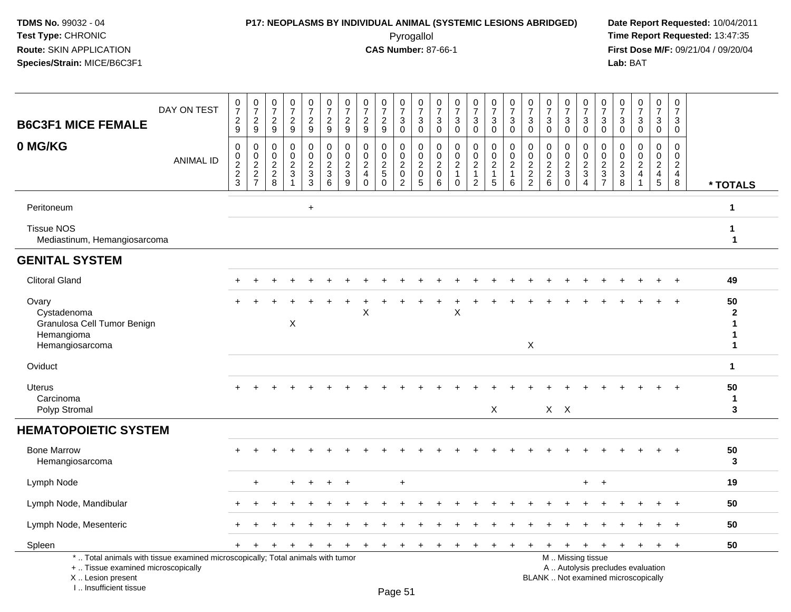## **P17: NEOPLASMS BY INDIVIDUAL ANIMAL (SYSTEMIC LESIONS ABRIDGED) Date Report Requested:** 10/04/2011

 Pyrogallol **Time Report Requested:** 13:47:35 **First Dose M/F:** 09/21/04 / 09/20/04<br>Lab: BAT **Lab:** BAT

| <b>B6C3F1 MICE FEMALE</b>                                                                                                                                             | DAY ON TEST      | $\begin{array}{c} 0 \\ 7 \end{array}$<br>$\frac{2}{9}$ | $\frac{0}{7}$<br>$\overline{2}$<br>9 | $\begin{smallmatrix}0\\7\end{smallmatrix}$<br>$\frac{2}{9}$ | $\begin{array}{c} 0 \\ 7 \end{array}$<br>$\boldsymbol{2}$<br>9                | $\frac{0}{7}$<br>$\overline{2}$<br>9                                | $\begin{array}{c} 0 \\ 7 \end{array}$<br>$\overline{a}$<br>$9\,$ | $\begin{array}{c} 0 \\ 7 \end{array}$<br>$\overline{c}$<br>9  | $\frac{0}{7}$<br>$\boldsymbol{2}$<br>$\boldsymbol{9}$                         | $\begin{array}{c} 0 \\ 7 \end{array}$<br>$\overline{c}$<br>9           | 0<br>$\overline{7}$<br>$\ensuremath{\mathsf{3}}$<br>$\mathbf 0$ | $\begin{array}{c} 0 \\ 7 \end{array}$<br>$\sqrt{3}$<br>$\mathbf 0$ | $\frac{0}{7}$<br>$\sqrt{3}$<br>$\mathbf 0$                     | $\frac{0}{7}$<br>$\sqrt{3}$<br>$\pmb{0}$                                 | $\begin{array}{c} 0 \\ 7 \end{array}$<br>3<br>$\mathbf 0$                      | $\begin{array}{c} 0 \\ 7 \end{array}$<br>$\sqrt{3}$<br>$\mathbf 0$             | $\begin{smallmatrix}0\\7\end{smallmatrix}$<br>$\sqrt{3}$<br>$\mathbf 0$ | $\begin{array}{c} 0 \\ 7 \end{array}$<br>$\mathbf{3}$<br>$\mathbf 0$ | $\frac{0}{7}$<br>$\sqrt{3}$<br>$\mathbf 0$                  | $\frac{0}{7}$<br>3<br>$\mathbf 0$                                        | $\begin{array}{c} 0 \\ 7 \end{array}$<br>$\sqrt{3}$<br>$\overline{0}$ | $\begin{array}{c} 0 \\ 7 \end{array}$<br>$\sqrt{3}$<br>$\mathbf 0$ | $\pmb{0}$<br>$\overline{7}$<br>$\ensuremath{\mathsf{3}}$<br>$\mathbf 0$ | $\frac{0}{7}$<br>$\ensuremath{\mathsf{3}}$<br>$\mathbf 0$                 | $\frac{0}{7}$<br>3<br>$\mathbf 0$                       | $\begin{smallmatrix}0\\7\end{smallmatrix}$<br>$\mathbf{3}$<br>$\mathbf 0$ |                                   |
|-----------------------------------------------------------------------------------------------------------------------------------------------------------------------|------------------|--------------------------------------------------------|--------------------------------------|-------------------------------------------------------------|-------------------------------------------------------------------------------|---------------------------------------------------------------------|------------------------------------------------------------------|---------------------------------------------------------------|-------------------------------------------------------------------------------|------------------------------------------------------------------------|-----------------------------------------------------------------|--------------------------------------------------------------------|----------------------------------------------------------------|--------------------------------------------------------------------------|--------------------------------------------------------------------------------|--------------------------------------------------------------------------------|-------------------------------------------------------------------------|----------------------------------------------------------------------|-------------------------------------------------------------|--------------------------------------------------------------------------|-----------------------------------------------------------------------|--------------------------------------------------------------------|-------------------------------------------------------------------------|---------------------------------------------------------------------------|---------------------------------------------------------|---------------------------------------------------------------------------|-----------------------------------|
| 0 MG/KG                                                                                                                                                               | <b>ANIMAL ID</b> | $\pmb{0}$<br>$\frac{0}{2}$<br>3                        | $\pmb{0}$<br>$\frac{0}{2}$<br>7      | $\mathbf 0$<br>$\boldsymbol{0}$<br>$\frac{2}{8}$            | $\mathbf 0$<br>$\mathbf 0$<br>$\overline{c}$<br>$\mathbf 3$<br>$\overline{1}$ | $\mathbf 0$<br>$\mathbf 0$<br>$\overline{c}$<br>$\mathfrak{S}$<br>3 | $\pmb{0}$<br>$\frac{0}{2}$<br>$\mathbf{3}$<br>6                  | $\mathbf 0$<br>$\mathbf 0$<br>$\sqrt{2}$<br>$\mathbf{3}$<br>9 | $\mathbf 0$<br>$\mathbf 0$<br>$\overline{c}$<br>$\overline{4}$<br>$\mathbf 0$ | $\mathbf 0$<br>$\mathbf 0$<br>$\overline{c}$<br>$\sqrt{5}$<br>$\Omega$ | $\mathbf 0$<br>0<br>$\overline{c}$<br>$\mathbf 0$<br>2          | $\mathbf 0$<br>$\pmb{0}$<br>$\overline{c}$<br>$\mathbf 0$<br>5     | $\mathbf 0$<br>$\mathbf 0$<br>$\overline{c}$<br>$\pmb{0}$<br>6 | $\mathbf 0$<br>$\mathbf 0$<br>$\overline{a}$<br>$\mathbf{1}$<br>$\Omega$ | $\mathbf 0$<br>$\pmb{0}$<br>$\boldsymbol{2}$<br>$\mathbf{1}$<br>$\overline{2}$ | $\pmb{0}$<br>$\begin{smallmatrix} 0\\2 \end{smallmatrix}$<br>$\mathbf{1}$<br>5 | $\mathbf 0$<br>$\mathop{2}\limits^{\mathbb{O}}$<br>$\mathbf{1}$<br>6    | 0<br>0<br>$\overline{c}$<br>$\overline{c}$<br>$\overline{2}$         | $\mathbf 0$<br>$\pmb{0}$<br>$\frac{2}{2}$<br>$6\phantom{a}$ | $\mathbf 0$<br>$\mathbf 0$<br>$\overline{c}$<br>$\mathbf{3}$<br>$\Omega$ | $\mathbf 0$<br>0<br>$\overline{c}$<br>$\mathbf{3}$<br>$\overline{4}$  | $\mathbf 0$<br>$\boldsymbol{0}$<br>$rac{2}{3}$                     | $\Omega$<br>$\mathbf 0$<br>$\overline{2}$<br>$\mathbf{3}$<br>8          | $\Omega$<br>$\mathbf 0$<br>$\overline{c}$<br>$\overline{\mathbf{4}}$<br>1 | 0<br>$\pmb{0}$<br>$\overline{a}$<br>$\overline{4}$<br>5 | $\mathbf 0$<br>$\mathbf 0$<br>$\sqrt{2}$<br>$\overline{4}$<br>$\bf 8$     | * TOTALS                          |
| Peritoneum                                                                                                                                                            |                  |                                                        |                                      |                                                             |                                                                               | $\ddot{}$                                                           |                                                                  |                                                               |                                                                               |                                                                        |                                                                 |                                                                    |                                                                |                                                                          |                                                                                |                                                                                |                                                                         |                                                                      |                                                             |                                                                          |                                                                       |                                                                    |                                                                         |                                                                           |                                                         |                                                                           | $\mathbf{1}$                      |
| <b>Tissue NOS</b><br>Mediastinum, Hemangiosarcoma                                                                                                                     |                  |                                                        |                                      |                                                             |                                                                               |                                                                     |                                                                  |                                                               |                                                                               |                                                                        |                                                                 |                                                                    |                                                                |                                                                          |                                                                                |                                                                                |                                                                         |                                                                      |                                                             |                                                                          |                                                                       |                                                                    |                                                                         |                                                                           |                                                         |                                                                           | $\mathbf{1}$<br>$\mathbf 1$       |
| <b>GENITAL SYSTEM</b>                                                                                                                                                 |                  |                                                        |                                      |                                                             |                                                                               |                                                                     |                                                                  |                                                               |                                                                               |                                                                        |                                                                 |                                                                    |                                                                |                                                                          |                                                                                |                                                                                |                                                                         |                                                                      |                                                             |                                                                          |                                                                       |                                                                    |                                                                         |                                                                           |                                                         |                                                                           |                                   |
| <b>Clitoral Gland</b>                                                                                                                                                 |                  |                                                        |                                      |                                                             |                                                                               |                                                                     |                                                                  |                                                               |                                                                               |                                                                        |                                                                 |                                                                    |                                                                |                                                                          |                                                                                |                                                                                |                                                                         |                                                                      |                                                             |                                                                          |                                                                       |                                                                    |                                                                         |                                                                           |                                                         |                                                                           | 49                                |
| Ovary<br>Cystadenoma<br>Granulosa Cell Tumor Benign<br>Hemangioma<br>Hemangiosarcoma                                                                                  |                  |                                                        |                                      |                                                             | X                                                                             |                                                                     |                                                                  |                                                               | Χ                                                                             |                                                                        |                                                                 |                                                                    |                                                                | X                                                                        |                                                                                |                                                                                |                                                                         | $\boldsymbol{\mathsf{X}}$                                            |                                                             |                                                                          |                                                                       |                                                                    |                                                                         |                                                                           |                                                         |                                                                           | 50<br>$\mathbf{2}$<br>1<br>1<br>1 |
| Oviduct                                                                                                                                                               |                  |                                                        |                                      |                                                             |                                                                               |                                                                     |                                                                  |                                                               |                                                                               |                                                                        |                                                                 |                                                                    |                                                                |                                                                          |                                                                                |                                                                                |                                                                         |                                                                      |                                                             |                                                                          |                                                                       |                                                                    |                                                                         |                                                                           |                                                         |                                                                           | $\mathbf{1}$                      |
| Uterus<br>Carcinoma<br>Polyp Stromal                                                                                                                                  |                  |                                                        |                                      |                                                             |                                                                               |                                                                     |                                                                  |                                                               |                                                                               |                                                                        |                                                                 |                                                                    |                                                                |                                                                          |                                                                                | X                                                                              |                                                                         |                                                                      |                                                             | $X$ $X$                                                                  |                                                                       |                                                                    |                                                                         |                                                                           |                                                         |                                                                           | 50<br>$\mathbf{1}$<br>3           |
| <b>HEMATOPOIETIC SYSTEM</b>                                                                                                                                           |                  |                                                        |                                      |                                                             |                                                                               |                                                                     |                                                                  |                                                               |                                                                               |                                                                        |                                                                 |                                                                    |                                                                |                                                                          |                                                                                |                                                                                |                                                                         |                                                                      |                                                             |                                                                          |                                                                       |                                                                    |                                                                         |                                                                           |                                                         |                                                                           |                                   |
| <b>Bone Marrow</b><br>Hemangiosarcoma                                                                                                                                 |                  |                                                        |                                      |                                                             |                                                                               |                                                                     |                                                                  |                                                               |                                                                               |                                                                        |                                                                 |                                                                    |                                                                |                                                                          |                                                                                |                                                                                |                                                                         |                                                                      |                                                             |                                                                          |                                                                       |                                                                    |                                                                         |                                                                           |                                                         |                                                                           | 50<br>3                           |
| Lymph Node                                                                                                                                                            |                  |                                                        | $\ddot{}$                            |                                                             |                                                                               | $\ddot{}$                                                           | $\ddot{}$                                                        | $\overline{+}$                                                |                                                                               |                                                                        | $\ddot{}$                                                       |                                                                    |                                                                |                                                                          |                                                                                |                                                                                |                                                                         |                                                                      |                                                             |                                                                          | $+$                                                                   | $+$                                                                |                                                                         |                                                                           |                                                         |                                                                           | 19                                |
| Lymph Node, Mandibular                                                                                                                                                |                  |                                                        |                                      |                                                             |                                                                               |                                                                     |                                                                  |                                                               |                                                                               |                                                                        |                                                                 |                                                                    |                                                                |                                                                          |                                                                                |                                                                                |                                                                         |                                                                      |                                                             |                                                                          |                                                                       |                                                                    |                                                                         |                                                                           |                                                         |                                                                           | 50                                |
| Lymph Node, Mesenteric                                                                                                                                                |                  |                                                        |                                      |                                                             |                                                                               |                                                                     |                                                                  |                                                               |                                                                               |                                                                        |                                                                 |                                                                    |                                                                |                                                                          |                                                                                |                                                                                |                                                                         |                                                                      |                                                             |                                                                          |                                                                       |                                                                    |                                                                         |                                                                           |                                                         |                                                                           | 50                                |
| Spleen                                                                                                                                                                |                  | $+$                                                    |                                      |                                                             |                                                                               |                                                                     |                                                                  |                                                               |                                                                               |                                                                        |                                                                 |                                                                    |                                                                |                                                                          |                                                                                |                                                                                |                                                                         | $\ddot{}$                                                            |                                                             | $\ddot{}$                                                                | $\ddot{}$                                                             | $\overline{+}$                                                     | $\ddot{}$                                                               |                                                                           | $\ddot{}$                                               | $\ddot{}$                                                                 | 50                                |
| *  Total animals with tissue examined microscopically; Total animals with tumor<br>+  Tissue examined microscopically<br>X  Lesion present<br>I., Insufficient tissue |                  |                                                        |                                      |                                                             |                                                                               |                                                                     |                                                                  |                                                               |                                                                               |                                                                        | Page 51                                                         |                                                                    |                                                                |                                                                          |                                                                                |                                                                                |                                                                         |                                                                      |                                                             |                                                                          | M  Missing tissue                                                     |                                                                    |                                                                         | A  Autolysis precludes evaluation<br>BLANK  Not examined microscopically  |                                                         |                                                                           |                                   |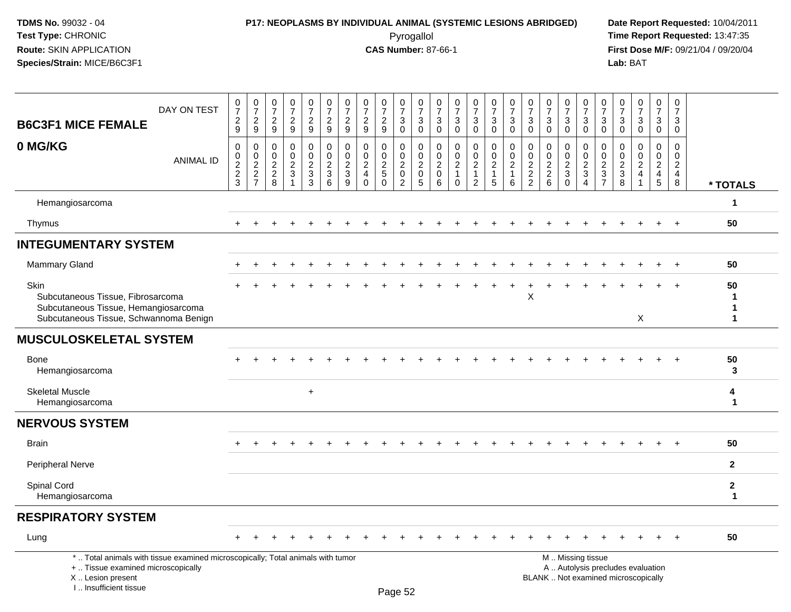### **P17: NEOPLASMS BY INDIVIDUAL ANIMAL (SYSTEMIC LESIONS ABRIDGED) Date Report Requested:** 10/04/2011 Pyrogallol **Time Report Requested:** 13:47:35

**First Dose M/F:** 09/21/04 / 09/20/04<br>Lab: BAT **Lab:** BAT

| <b>B6C3F1 MICE FEMALE</b>                                                                                                                                             | DAY ON TEST      | $\frac{0}{7}$<br>$\overline{c}$<br>9 | $\begin{array}{c} 0 \\ 7 \\ 2 \end{array}$<br>9 | $\frac{0}{7}$<br>$\frac{2}{9}$                 | $\begin{array}{c} 0 \\ 7 \end{array}$<br>$\boldsymbol{2}$<br>9 | $\begin{array}{c} 0 \\ 7 \end{array}$<br>$\boldsymbol{2}$<br>$9\,$ | $\frac{0}{7}$<br>$\overline{a}$<br>$9\,$      | $\begin{array}{c} 0 \\ 7 \end{array}$<br>$\overline{c}$<br>9  | $\frac{0}{7}$<br>$\overline{c}$<br>9                                 | $\begin{array}{c} 0 \\ 7 \end{array}$<br>$\boldsymbol{2}$<br>9 | $\begin{array}{c} 0 \\ 7 \end{array}$<br>$\ensuremath{\mathsf{3}}$<br>$\mathbf 0$ | $\frac{0}{7}$<br>$\mathbf{3}$<br>$\mathbf 0$          | $\frac{0}{7}$<br>$\ensuremath{\mathsf{3}}$<br>$\mathbf 0$            | $\frac{0}{7}$<br>$\sqrt{3}$<br>$\mathbf 0$                             | $\frac{0}{7}$<br>$\ensuremath{\mathsf{3}}$<br>$\mathbf 0$      | $\begin{array}{c} 0 \\ 7 \end{array}$<br>$\mathbf{3}$<br>$\mathbf 0$ | $\frac{0}{7}$<br>$\mathbf 3$<br>$\mathbf 0$                                   | $\begin{matrix} 0 \\ 7 \end{matrix}$<br>$\sqrt{3}$<br>$\mathbf 0$ | $\begin{array}{c} 0 \\ 7 \end{array}$<br>$\ensuremath{\mathsf{3}}$<br>$\mathbf 0$ | $\frac{0}{7}$<br>3<br>$\mathbf 0$   | $\begin{array}{c} 0 \\ 7 \end{array}$<br>3<br>$\mathbf 0$   | $\begin{array}{c} 0 \\ 7 \end{array}$<br>$\ensuremath{\mathsf{3}}$<br>$\mathbf 0$ | $\begin{array}{c} 0 \\ 7 \end{array}$<br>$\sqrt{3}$<br>$\mathbf 0$ | $\frac{0}{7}$<br>$\sqrt{3}$<br>$\mathbf 0$                               | $\frac{0}{7}$<br>$\ensuremath{\mathsf{3}}$<br>$\mathbf 0$                  | $\pmb{0}$<br>$\overline{7}$<br>$\ensuremath{\mathsf{3}}$<br>$\mathbf 0$  |                              |
|-----------------------------------------------------------------------------------------------------------------------------------------------------------------------|------------------|--------------------------------------|-------------------------------------------------|------------------------------------------------|----------------------------------------------------------------|--------------------------------------------------------------------|-----------------------------------------------|---------------------------------------------------------------|----------------------------------------------------------------------|----------------------------------------------------------------|-----------------------------------------------------------------------------------|-------------------------------------------------------|----------------------------------------------------------------------|------------------------------------------------------------------------|----------------------------------------------------------------|----------------------------------------------------------------------|-------------------------------------------------------------------------------|-------------------------------------------------------------------|-----------------------------------------------------------------------------------|-------------------------------------|-------------------------------------------------------------|-----------------------------------------------------------------------------------|--------------------------------------------------------------------|--------------------------------------------------------------------------|----------------------------------------------------------------------------|--------------------------------------------------------------------------|------------------------------|
| 0 MG/KG                                                                                                                                                               | <b>ANIMAL ID</b> | $\pmb{0}$<br>$\frac{0}{2}$<br>3      | $\pmb{0}$<br>$\frac{0}{2}$<br>7                 | $\boldsymbol{0}$<br>$\pmb{0}$<br>$\frac{2}{8}$ | $\pmb{0}$<br>$\mathbf 0$<br>$\frac{2}{3}$<br>$\overline{1}$    | 0<br>$\pmb{0}$<br>$\overline{2}$<br>$\mathbf{3}$<br>3              | $\pmb{0}$<br>$\frac{0}{2}$<br>$6\overline{6}$ | $\pmb{0}$<br>$\mathbf 0$<br>$\mathbf{2}$<br>$\mathbf{3}$<br>9 | 0<br>$\mathbf 0$<br>$\overline{c}$<br>$\overline{4}$<br>$\mathbf{0}$ | $\pmb{0}$<br>$\frac{0}{2}$<br>$\Omega$                         | 0<br>0<br>$\overline{2}$<br>$\mathbf 0$<br>$\overline{2}$                         | $\boldsymbol{0}$<br>$\mathbf 0$<br>$\frac{2}{0}$<br>5 | $\pmb{0}$<br>$\pmb{0}$<br>$\overline{c}$<br>$\mathsf{O}\xspace$<br>6 | $\pmb{0}$<br>$\pmb{0}$<br>$\boldsymbol{2}$<br>$\mathbf{1}$<br>$\Omega$ | $\mathsf 0$<br>$\frac{0}{2}$<br>$\mathbf{1}$<br>$\overline{2}$ | $\mathsf 0$<br>$_2^0$<br>$\mathbf{1}$<br>$5\phantom{.0}$             | $\mathbf 0$<br>$\boldsymbol{0}$<br>$\begin{array}{c} 2 \\ 1 \end{array}$<br>6 | $\pmb{0}$<br>$\mathbf 0$<br>$\frac{2}{2}$<br>$\overline{2}$       | $\pmb{0}$<br>$\begin{array}{c} 0 \\ 2 \\ 2 \end{array}$<br>$6\phantom{a}$         | 0<br>0<br>$\frac{2}{3}$<br>$\Omega$ | $\pmb{0}$<br>$\mathbf 0$<br>$\frac{2}{3}$<br>$\overline{4}$ | $\pmb{0}$<br>$\pmb{0}$<br>$\frac{2}{3}$<br>$\overline{7}$                         | $\mathbf 0$<br>$\mathbf 0$<br>$\frac{2}{3}$<br>8                   | $\Omega$<br>$\mathbf 0$<br>$\sqrt{2}$<br>$\overline{4}$                  | $\pmb{0}$<br>$\begin{smallmatrix} 0\\2 \end{smallmatrix}$<br>$\frac{4}{5}$ | $\mathsf 0$<br>$\mathbf 0$<br>$\begin{array}{c} 2 \\ 4 \\ 8 \end{array}$ | * TOTALS                     |
| Hemangiosarcoma                                                                                                                                                       |                  |                                      |                                                 |                                                |                                                                |                                                                    |                                               |                                                               |                                                                      |                                                                |                                                                                   |                                                       |                                                                      |                                                                        |                                                                |                                                                      |                                                                               |                                                                   |                                                                                   |                                     |                                                             |                                                                                   |                                                                    |                                                                          |                                                                            |                                                                          | $\mathbf 1$                  |
| Thymus                                                                                                                                                                |                  | $+$                                  | $\ddot{}$                                       |                                                |                                                                |                                                                    |                                               |                                                               |                                                                      |                                                                |                                                                                   |                                                       |                                                                      |                                                                        |                                                                |                                                                      |                                                                               |                                                                   |                                                                                   |                                     |                                                             |                                                                                   |                                                                    |                                                                          | $\ddot{}$                                                                  | $+$                                                                      | 50                           |
| <b>INTEGUMENTARY SYSTEM</b>                                                                                                                                           |                  |                                      |                                                 |                                                |                                                                |                                                                    |                                               |                                                               |                                                                      |                                                                |                                                                                   |                                                       |                                                                      |                                                                        |                                                                |                                                                      |                                                                               |                                                                   |                                                                                   |                                     |                                                             |                                                                                   |                                                                    |                                                                          |                                                                            |                                                                          |                              |
| <b>Mammary Gland</b>                                                                                                                                                  |                  |                                      |                                                 |                                                |                                                                |                                                                    |                                               |                                                               |                                                                      |                                                                |                                                                                   |                                                       |                                                                      |                                                                        |                                                                |                                                                      |                                                                               |                                                                   |                                                                                   |                                     |                                                             |                                                                                   |                                                                    |                                                                          |                                                                            |                                                                          | 50                           |
| <b>Skin</b><br>Subcutaneous Tissue, Fibrosarcoma<br>Subcutaneous Tissue, Hemangiosarcoma<br>Subcutaneous Tissue, Schwannoma Benign                                    |                  |                                      |                                                 |                                                |                                                                |                                                                    |                                               |                                                               |                                                                      |                                                                |                                                                                   |                                                       |                                                                      |                                                                        |                                                                |                                                                      |                                                                               | X                                                                 |                                                                                   |                                     |                                                             |                                                                                   |                                                                    | X                                                                        |                                                                            |                                                                          | 50<br>1<br>1                 |
| <b>MUSCULOSKELETAL SYSTEM</b>                                                                                                                                         |                  |                                      |                                                 |                                                |                                                                |                                                                    |                                               |                                                               |                                                                      |                                                                |                                                                                   |                                                       |                                                                      |                                                                        |                                                                |                                                                      |                                                                               |                                                                   |                                                                                   |                                     |                                                             |                                                                                   |                                                                    |                                                                          |                                                                            |                                                                          |                              |
| Bone<br>Hemangiosarcoma                                                                                                                                               |                  |                                      |                                                 |                                                |                                                                |                                                                    |                                               |                                                               |                                                                      |                                                                |                                                                                   |                                                       |                                                                      |                                                                        |                                                                |                                                                      |                                                                               |                                                                   |                                                                                   |                                     |                                                             |                                                                                   |                                                                    |                                                                          |                                                                            |                                                                          | 50<br>3                      |
| <b>Skeletal Muscle</b><br>Hemangiosarcoma                                                                                                                             |                  |                                      |                                                 |                                                |                                                                | $\ddot{}$                                                          |                                               |                                                               |                                                                      |                                                                |                                                                                   |                                                       |                                                                      |                                                                        |                                                                |                                                                      |                                                                               |                                                                   |                                                                                   |                                     |                                                             |                                                                                   |                                                                    |                                                                          |                                                                            |                                                                          | 4<br>$\mathbf 1$             |
| <b>NERVOUS SYSTEM</b>                                                                                                                                                 |                  |                                      |                                                 |                                                |                                                                |                                                                    |                                               |                                                               |                                                                      |                                                                |                                                                                   |                                                       |                                                                      |                                                                        |                                                                |                                                                      |                                                                               |                                                                   |                                                                                   |                                     |                                                             |                                                                                   |                                                                    |                                                                          |                                                                            |                                                                          |                              |
| <b>Brain</b>                                                                                                                                                          |                  |                                      |                                                 |                                                |                                                                |                                                                    |                                               |                                                               |                                                                      |                                                                |                                                                                   |                                                       |                                                                      |                                                                        |                                                                |                                                                      |                                                                               |                                                                   |                                                                                   |                                     |                                                             |                                                                                   |                                                                    |                                                                          |                                                                            |                                                                          | 50                           |
| Peripheral Nerve                                                                                                                                                      |                  |                                      |                                                 |                                                |                                                                |                                                                    |                                               |                                                               |                                                                      |                                                                |                                                                                   |                                                       |                                                                      |                                                                        |                                                                |                                                                      |                                                                               |                                                                   |                                                                                   |                                     |                                                             |                                                                                   |                                                                    |                                                                          |                                                                            |                                                                          | $\mathbf{2}$                 |
| Spinal Cord<br>Hemangiosarcoma                                                                                                                                        |                  |                                      |                                                 |                                                |                                                                |                                                                    |                                               |                                                               |                                                                      |                                                                |                                                                                   |                                                       |                                                                      |                                                                        |                                                                |                                                                      |                                                                               |                                                                   |                                                                                   |                                     |                                                             |                                                                                   |                                                                    |                                                                          |                                                                            |                                                                          | $\mathbf{2}$<br>$\mathbf{1}$ |
| <b>RESPIRATORY SYSTEM</b>                                                                                                                                             |                  |                                      |                                                 |                                                |                                                                |                                                                    |                                               |                                                               |                                                                      |                                                                |                                                                                   |                                                       |                                                                      |                                                                        |                                                                |                                                                      |                                                                               |                                                                   |                                                                                   |                                     |                                                             |                                                                                   |                                                                    |                                                                          |                                                                            |                                                                          |                              |
| Lung                                                                                                                                                                  |                  |                                      |                                                 |                                                |                                                                |                                                                    |                                               |                                                               |                                                                      |                                                                |                                                                                   |                                                       |                                                                      |                                                                        |                                                                |                                                                      |                                                                               |                                                                   |                                                                                   |                                     |                                                             |                                                                                   |                                                                    |                                                                          |                                                                            |                                                                          | 50                           |
| *  Total animals with tissue examined microscopically; Total animals with tumor<br>+  Tissue examined microscopically<br>X  Lesion present<br>I., Insufficient tissue |                  |                                      |                                                 |                                                |                                                                |                                                                    |                                               |                                                               |                                                                      |                                                                | Page 52                                                                           |                                                       |                                                                      |                                                                        |                                                                |                                                                      |                                                                               |                                                                   |                                                                                   |                                     | M  Missing tissue                                           |                                                                                   |                                                                    | A  Autolysis precludes evaluation<br>BLANK  Not examined microscopically |                                                                            |                                                                          |                              |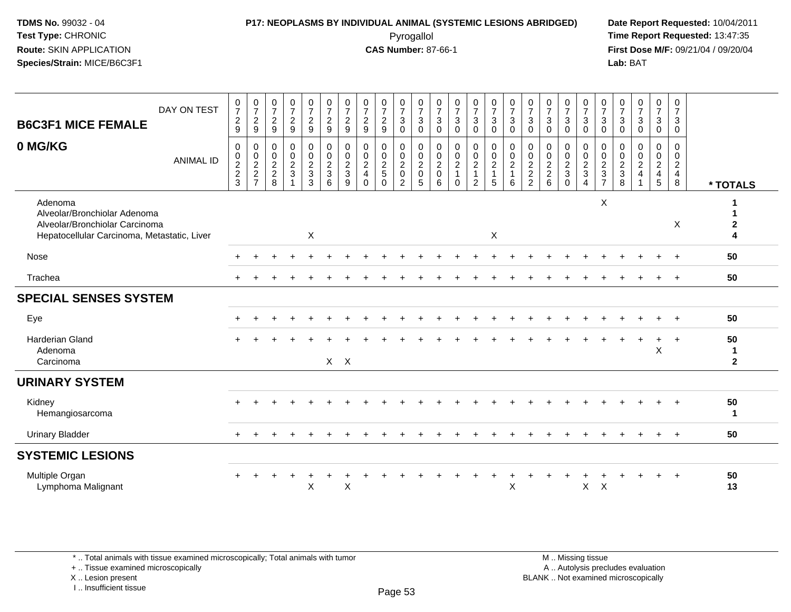### **P17: NEOPLASMS BY INDIVIDUAL ANIMAL (SYSTEMIC LESIONS ABRIDGED) Date Report Requested:** 10/04/2011 Pyrogallol **Time Report Requested:** 13:47:35

**First Dose M/F:** 09/21/04 / 09/20/04<br>Lab: BAT **Lab:** BAT

| DAY ON TEST<br><b>B6C3F1 MICE FEMALE</b>                                                                                 | $\frac{0}{7}$<br>$\overline{c}$<br>9   | $\frac{0}{7}$<br>$\frac{2}{9}$      | $\begin{smallmatrix}0\\7\end{smallmatrix}$<br>$\overline{2}$<br>$\boldsymbol{9}$ | $\frac{0}{7}$<br>$\boldsymbol{2}$<br>$\boldsymbol{9}$ | $\begin{array}{c} 0 \\ 7 \end{array}$<br>$\overline{2}$<br>$\boldsymbol{9}$ | $\frac{0}{7}$<br>$\overline{2}$<br>$\boldsymbol{9}$ | $\frac{0}{7}$<br>$\sqrt{2}$<br>9                | $\frac{0}{7}$<br>$\sqrt{2}$<br>$\boldsymbol{9}$                        | $\frac{0}{7}$<br>$\sqrt{2}$<br>$\boldsymbol{9}$ | $\frac{0}{7}$<br>$\overline{3}$<br>$\boldsymbol{0}$                          | $\frac{0}{7}$<br>$\mathbf{3}$<br>$\mathbf 0$                 | $\frac{0}{7}$<br>$\mathsf 3$<br>$\mathbf 0$                      | $\frac{0}{7}$<br>$\sqrt{3}$<br>$\pmb{0}$                               | $\frac{0}{7}$<br>$\mathsf 3$<br>$\mathbf 0$         | $\frac{0}{7}$<br>$\overline{3}$<br>$\pmb{0}$ | $\frac{0}{7}$<br>$\mathbf{3}$<br>$\mathbf 0$          | $\frac{0}{7}$<br>$\mathfrak{Z}$<br>0 | $\begin{array}{c} 0 \\ 7 \end{array}$<br>$\sqrt{3}$<br>$\mathbf 0$ | $\frac{0}{7}$<br>$\mathbf 3$<br>$\pmb{0}$     | $\begin{array}{c} 0 \\ 7 \\ 3 \end{array}$<br>$\pmb{0}$ | $\frac{0}{7}$<br>$\mathbf{3}$<br>$\mathbf 0$             | $\frac{0}{7}$<br>$\sqrt{3}$<br>$\pmb{0}$ | $\begin{array}{c} 0 \\ 7 \end{array}$<br>$\sqrt{3}$<br>$\pmb{0}$ | $\frac{0}{7}$<br>$\ensuremath{\mathsf{3}}$<br>$\overline{0}$ | $\boldsymbol{0}$<br>$\overline{7}$<br>$\mathbf{3}$<br>$\mathbf 0$ |                                         |
|--------------------------------------------------------------------------------------------------------------------------|----------------------------------------|-------------------------------------|----------------------------------------------------------------------------------|-------------------------------------------------------|-----------------------------------------------------------------------------|-----------------------------------------------------|-------------------------------------------------|------------------------------------------------------------------------|-------------------------------------------------|------------------------------------------------------------------------------|--------------------------------------------------------------|------------------------------------------------------------------|------------------------------------------------------------------------|-----------------------------------------------------|----------------------------------------------|-------------------------------------------------------|--------------------------------------|--------------------------------------------------------------------|-----------------------------------------------|---------------------------------------------------------|----------------------------------------------------------|------------------------------------------|------------------------------------------------------------------|--------------------------------------------------------------|-------------------------------------------------------------------|-----------------------------------------|
| 0 MG/KG<br><b>ANIMAL ID</b>                                                                                              | 0<br>$\boldsymbol{0}$<br>$\frac{2}{3}$ | 0<br>$\frac{0}{2}$<br>$\frac{2}{7}$ | $\boldsymbol{0}$<br>$\begin{array}{c} 0 \\ 2 \\ 2 \\ 8 \end{array}$              | 0<br>$\boldsymbol{0}$<br>$\frac{2}{3}$                | $\pmb{0}$<br>$\mathbf 0$<br>$\sqrt{2}$<br>$\sqrt{3}$<br>3                   | 0<br>$\boldsymbol{0}$<br>$\frac{2}{3}$<br>6         | 0<br>$\pmb{0}$<br>$\sqrt{2}$<br>$\sqrt{3}$<br>9 | $\mathbf 0$<br>$\mathbf 0$<br>$\sqrt{2}$<br>$\overline{4}$<br>$\Omega$ | 0<br>$\mathbf 0$<br>$\frac{2}{5}$<br>$\Omega$   | $\mathbf 0$<br>$\pmb{0}$<br>$\sqrt{2}$<br>$\boldsymbol{0}$<br>$\overline{2}$ | 0<br>$\pmb{0}$<br>$\overline{c}$<br>$\mathsf{O}\xspace$<br>5 | $\pmb{0}$<br>$\pmb{0}$<br>$\sqrt{2}$<br>$\mathsf{O}\xspace$<br>6 | $\pmb{0}$<br>$\mathbf 0$<br>$\overline{2}$<br>$\mathbf{1}$<br>$\Omega$ | 0<br>$\mathbf 0$<br>$\frac{2}{1}$<br>$\overline{c}$ | $\pmb{0}$<br>$\pmb{0}$<br>$\frac{2}{1}$<br>5 | 0<br>$\pmb{0}$<br>$\overline{c}$<br>$\mathbf{1}$<br>6 | 0<br>0<br>$\frac{2}{2}$              | 0<br>$\pmb{0}$<br>$\begin{array}{c} 2 \\ 2 \\ 6 \end{array}$       | 0<br>$\mathbf 0$<br>$\frac{2}{3}$<br>$\Omega$ | 0<br>$\frac{0}{2}$<br>$\overline{4}$                    | 0<br>0<br>$\sqrt{2}$<br>$\mathfrak{S}$<br>$\overline{7}$ | 0<br>0<br>$\frac{2}{3}$                  | $\mathbf 0$<br>$\begin{array}{c} 0 \\ 2 \\ 4 \end{array}$        | 0<br>$\frac{0}{2}$<br>$\overline{5}$                         | 0<br>$\mathbf 0$<br>$\sqrt{2}$<br>$\overline{4}$<br>8             | * TOTALS                                |
| Adenoma<br>Alveolar/Bronchiolar Adenoma<br>Alveolar/Bronchiolar Carcinoma<br>Hepatocellular Carcinoma, Metastatic, Liver |                                        |                                     |                                                                                  |                                                       | $\mathsf{X}$                                                                |                                                     |                                                 |                                                                        |                                                 |                                                                              |                                                              |                                                                  |                                                                        |                                                     | $\mathsf{X}$                                 |                                                       |                                      |                                                                    |                                               |                                                         | $\pmb{\times}$                                           |                                          |                                                                  |                                                              | X                                                                 | $\mathbf{2}$<br>$\overline{\mathbf{4}}$ |
| Nose                                                                                                                     |                                        |                                     |                                                                                  |                                                       |                                                                             |                                                     |                                                 |                                                                        |                                                 |                                                                              |                                                              |                                                                  |                                                                        |                                                     |                                              |                                                       |                                      |                                                                    |                                               |                                                         |                                                          |                                          |                                                                  |                                                              |                                                                   | 50                                      |
| Trachea                                                                                                                  |                                        |                                     |                                                                                  |                                                       |                                                                             |                                                     |                                                 |                                                                        |                                                 |                                                                              |                                                              |                                                                  |                                                                        |                                                     |                                              |                                                       |                                      |                                                                    |                                               |                                                         |                                                          |                                          |                                                                  |                                                              | $\overline{+}$                                                    | 50                                      |
| <b>SPECIAL SENSES SYSTEM</b>                                                                                             |                                        |                                     |                                                                                  |                                                       |                                                                             |                                                     |                                                 |                                                                        |                                                 |                                                                              |                                                              |                                                                  |                                                                        |                                                     |                                              |                                                       |                                      |                                                                    |                                               |                                                         |                                                          |                                          |                                                                  |                                                              |                                                                   |                                         |
| Eye                                                                                                                      |                                        |                                     |                                                                                  |                                                       |                                                                             |                                                     |                                                 |                                                                        |                                                 |                                                                              |                                                              |                                                                  |                                                                        |                                                     |                                              |                                                       |                                      |                                                                    |                                               |                                                         |                                                          |                                          |                                                                  |                                                              |                                                                   | 50                                      |
| <b>Harderian Gland</b><br>Adenoma<br>Carcinoma                                                                           |                                        |                                     |                                                                                  |                                                       |                                                                             | $X$ $X$                                             |                                                 |                                                                        |                                                 |                                                                              |                                                              |                                                                  |                                                                        |                                                     |                                              |                                                       |                                      |                                                                    |                                               |                                                         |                                                          |                                          |                                                                  | $\mathsf X$                                                  | $\ddot{}$                                                         | 50<br>1<br>$\mathbf{2}$                 |
| <b>URINARY SYSTEM</b>                                                                                                    |                                        |                                     |                                                                                  |                                                       |                                                                             |                                                     |                                                 |                                                                        |                                                 |                                                                              |                                                              |                                                                  |                                                                        |                                                     |                                              |                                                       |                                      |                                                                    |                                               |                                                         |                                                          |                                          |                                                                  |                                                              |                                                                   |                                         |
| Kidney<br>Hemangiosarcoma                                                                                                |                                        |                                     |                                                                                  |                                                       |                                                                             |                                                     |                                                 |                                                                        |                                                 |                                                                              |                                                              |                                                                  |                                                                        |                                                     |                                              |                                                       |                                      |                                                                    |                                               |                                                         |                                                          |                                          |                                                                  |                                                              |                                                                   | 50<br>$\mathbf{1}$                      |
| <b>Urinary Bladder</b>                                                                                                   | $\ddot{}$                              |                                     |                                                                                  |                                                       |                                                                             |                                                     |                                                 |                                                                        |                                                 |                                                                              |                                                              |                                                                  |                                                                        |                                                     |                                              |                                                       |                                      |                                                                    |                                               |                                                         |                                                          |                                          |                                                                  | $\ddot{}$                                                    | $+$                                                               | 50                                      |
| <b>SYSTEMIC LESIONS</b>                                                                                                  |                                        |                                     |                                                                                  |                                                       |                                                                             |                                                     |                                                 |                                                                        |                                                 |                                                                              |                                                              |                                                                  |                                                                        |                                                     |                                              |                                                       |                                      |                                                                    |                                               |                                                         |                                                          |                                          |                                                                  |                                                              |                                                                   |                                         |
| Multiple Organ<br>Lymphoma Malignant                                                                                     |                                        |                                     |                                                                                  |                                                       | X                                                                           |                                                     | X                                               |                                                                        |                                                 |                                                                              |                                                              |                                                                  |                                                                        |                                                     |                                              | X                                                     |                                      |                                                                    |                                               | X                                                       | $\boldsymbol{\mathsf{X}}$                                |                                          |                                                                  |                                                              |                                                                   | 50<br>13                                |

\* .. Total animals with tissue examined microscopically; Total animals with tumor

+ .. Tissue examined microscopically

X .. Lesion present

I .. Insufficient tissue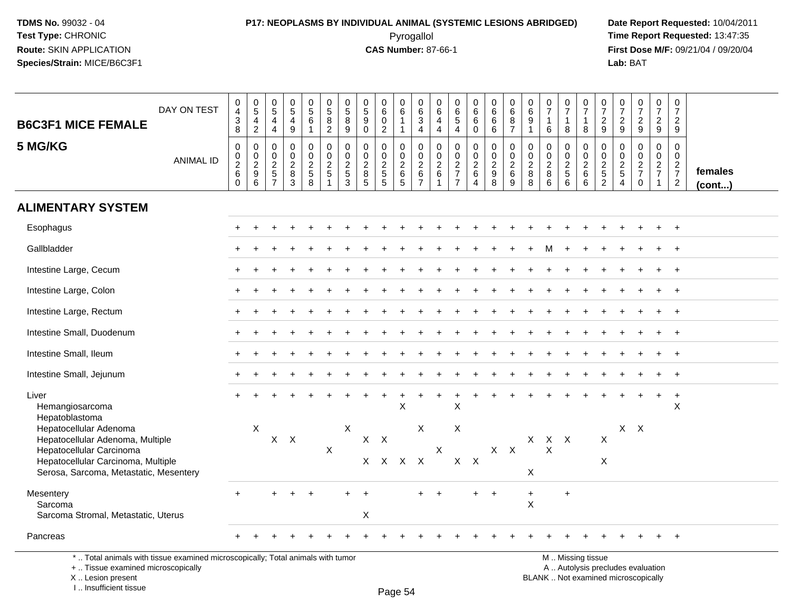# **P17: NEOPLASMS BY INDIVIDUAL ANIMAL (SYSTEMIC LESIONS ABRIDGED) Date Report Requested:** 10/04/2011

 Pyrogallol **Time Report Requested:** 13:47:35 **First Dose M/F:** 09/21/04 / 09/20/04<br>Lab: BAT **Lab:** BAT

| <b>B6C3F1 MICE FEMALE</b><br>5 MG/KG                                                                                         | DAY ON TEST      | $\begin{array}{c} 0 \\ 4 \\ 3 \\ 8 \end{array}$<br>$\mathsf 0$ | $^{\rm 0}_{\rm 5}$<br>$\frac{4}{2}$<br>$\,0\,$ | $\begin{array}{c} 0 \\ 5 \end{array}$<br>$\overline{a}$<br>$\overline{4}$<br>$\mathbf 0$ | $\begin{array}{c} 0 \\ 5 \end{array}$<br>$\overline{4}$<br>$\boldsymbol{9}$<br>$\mathbf 0$ | $\begin{array}{c} 0 \\ 5 \end{array}$<br>6<br>$\mathbf{1}$<br>0 | $\begin{array}{c} 0 \\ 5 \end{array}$<br>8<br>$\overline{2}$<br>0 | $\begin{array}{c} 0 \\ 5 \end{array}$<br>8<br>$\overline{9}$<br>$\mathbf 0$ | 0<br>$\sqrt{5}$<br>9<br>0<br>$\mathbf 0$      | $\begin{array}{c} 0 \\ 6 \end{array}$<br>$\mathbf 0$<br>$\overline{2}$<br>$\mathbf 0$ | $\begin{array}{c} 0 \\ 6 \end{array}$<br>$\overline{1}$<br>0 | $\begin{matrix} 0 \\ 6 \end{matrix}$<br>$\sqrt{3}$<br>$\overline{4}$<br>$\mathbf 0$ | 0<br>$\,6\,$<br>$\overline{4}$<br>$\overline{4}$<br>0 | 0<br>$\frac{6}{5}$<br>$\mathbf 0$              | $\begin{matrix} 0 \\ 6 \\ 6 \end{matrix}$<br>$\ddot{\mathbf{0}}$<br>0 | $\begin{smallmatrix} 0\\ 6 \end{smallmatrix}$<br>6<br>6<br>$\mathbf 0$ | $\begin{array}{c} 0 \\ 6 \end{array}$<br>$\begin{array}{c} 8 \\ 7 \end{array}$<br>$\mathbf 0$ | $\begin{array}{c} 0 \\ 6 \end{array}$<br>$9\,$<br>$\mathbf{1}$<br>$\mathbf 0$ | $\frac{0}{7}$<br>$\mathbf{1}$<br>$\,6\,$<br>$\mathbf 0$ | $\frac{0}{7}$<br>$\mathbf{1}$<br>8<br>0                           | $\frac{0}{7}$<br>$\mathbf{1}$<br>8<br>0 | $\frac{0}{7}$<br>$\frac{2}{9}$<br>$\mathbf 0$       | $\frac{0}{7}$<br>$\frac{2}{9}$<br>0                        | $\frac{0}{7}$<br>$\frac{2}{9}$<br>$\mathbf 0$ | $\frac{0}{7}$<br>$\frac{2}{9}$<br>$\mathbf 0$ | $\begin{smallmatrix}0\\7\end{smallmatrix}$<br>$\frac{2}{9}$<br>$\mathbf 0$ |                         |
|------------------------------------------------------------------------------------------------------------------------------|------------------|----------------------------------------------------------------|------------------------------------------------|------------------------------------------------------------------------------------------|--------------------------------------------------------------------------------------------|-----------------------------------------------------------------|-------------------------------------------------------------------|-----------------------------------------------------------------------------|-----------------------------------------------|---------------------------------------------------------------------------------------|--------------------------------------------------------------|-------------------------------------------------------------------------------------|-------------------------------------------------------|------------------------------------------------|-----------------------------------------------------------------------|------------------------------------------------------------------------|-----------------------------------------------------------------------------------------------|-------------------------------------------------------------------------------|---------------------------------------------------------|-------------------------------------------------------------------|-----------------------------------------|-----------------------------------------------------|------------------------------------------------------------|-----------------------------------------------|-----------------------------------------------|----------------------------------------------------------------------------|-------------------------|
|                                                                                                                              | <b>ANIMAL ID</b> | $\mathbf 0$<br>$\overline{2}$<br>$\,6\,$<br>$\Omega$           | $\frac{0}{2}$<br>$\,6$                         | $\mathbf 0$<br>$\frac{2}{5}$<br>$\overline{7}$                                           | $\mathbf 0$<br>$\overline{c}$<br>$\, 8$<br>3                                               | $\mathsf{O}\xspace$<br>$\boldsymbol{2}$<br>$\sqrt{5}$<br>8      | $\pmb{0}$<br>$\overline{2}$<br>$5\,$<br>$\mathbf{1}$              | $\mathbf 0$<br>$\overline{c}$<br>5<br>3                                     | $\mathbf 0$<br>$\overline{2}$<br>$\bf 8$<br>5 | $\mathbf 0$<br>$\frac{2}{5}$<br>5                                                     | $\mathbf 0$<br>$\boldsymbol{2}$<br>$\,6\,$<br>5              | $\mathbf 0$<br>$\overline{2}$<br>$\,6\,$<br>$\overline{7}$                          | $\mathbf 0$<br>$\overline{c}$<br>6                    | $\mathbf 0$<br>$\frac{2}{7}$<br>$\overline{7}$ | $\pmb{0}$<br>$\overline{2}$<br>$\,6\,$<br>$\overline{4}$              | $\mathbf 0$<br>$\overline{2}$<br>$\boldsymbol{9}$<br>8                 | $\mathbf 0$<br>$\sqrt{2}$<br>6<br>9                                                           | $\mathbf 0$<br>$\sqrt{2}$<br>8<br>8                                           | $\pmb{0}$<br>$\frac{2}{8}$<br>$6\phantom{a}$            | $\mathbf 0$<br>$\overline{2}$<br>$\overline{5}$<br>$6\phantom{1}$ | 0<br>$\overline{2}$<br>6<br>6           | $\boldsymbol{0}$<br>$\frac{2}{5}$<br>$\overline{2}$ | $\Omega$<br>$\overline{c}$<br>$\sqrt{5}$<br>$\overline{4}$ | $\Omega$<br>$\frac{2}{7}$<br>$\mathbf 0$      | $\mathbf 0$<br>$\frac{2}{7}$<br>$\mathbf{1}$  | $\mathbf 0$<br>$\frac{2}{7}$<br>$\overline{2}$                             | females<br>$($ cont $)$ |
| <b>ALIMENTARY SYSTEM</b>                                                                                                     |                  |                                                                |                                                |                                                                                          |                                                                                            |                                                                 |                                                                   |                                                                             |                                               |                                                                                       |                                                              |                                                                                     |                                                       |                                                |                                                                       |                                                                        |                                                                                               |                                                                               |                                                         |                                                                   |                                         |                                                     |                                                            |                                               |                                               |                                                                            |                         |
| Esophagus                                                                                                                    |                  |                                                                |                                                |                                                                                          |                                                                                            |                                                                 |                                                                   |                                                                             |                                               |                                                                                       |                                                              |                                                                                     |                                                       |                                                |                                                                       |                                                                        |                                                                                               |                                                                               |                                                         |                                                                   |                                         |                                                     |                                                            |                                               |                                               | $\overline{+}$                                                             |                         |
| Gallbladder                                                                                                                  |                  |                                                                |                                                |                                                                                          |                                                                                            |                                                                 |                                                                   |                                                                             |                                               |                                                                                       |                                                              |                                                                                     |                                                       |                                                |                                                                       |                                                                        |                                                                                               |                                                                               |                                                         |                                                                   |                                         |                                                     |                                                            |                                               |                                               | $\overline{+}$                                                             |                         |
| Intestine Large, Cecum                                                                                                       |                  |                                                                |                                                |                                                                                          |                                                                                            |                                                                 |                                                                   |                                                                             |                                               |                                                                                       |                                                              |                                                                                     |                                                       |                                                |                                                                       |                                                                        |                                                                                               |                                                                               |                                                         |                                                                   |                                         |                                                     |                                                            |                                               |                                               |                                                                            |                         |
| Intestine Large, Colon                                                                                                       |                  |                                                                |                                                |                                                                                          |                                                                                            |                                                                 |                                                                   |                                                                             |                                               |                                                                                       |                                                              |                                                                                     |                                                       |                                                |                                                                       |                                                                        |                                                                                               |                                                                               |                                                         |                                                                   |                                         |                                                     |                                                            |                                               |                                               | $\overline{+}$                                                             |                         |
| Intestine Large, Rectum                                                                                                      |                  |                                                                |                                                |                                                                                          |                                                                                            |                                                                 |                                                                   |                                                                             |                                               |                                                                                       |                                                              |                                                                                     |                                                       |                                                |                                                                       |                                                                        |                                                                                               |                                                                               |                                                         |                                                                   |                                         |                                                     |                                                            |                                               |                                               | $\overline{+}$                                                             |                         |
| Intestine Small, Duodenum                                                                                                    |                  |                                                                |                                                |                                                                                          |                                                                                            |                                                                 |                                                                   |                                                                             |                                               |                                                                                       |                                                              |                                                                                     |                                                       |                                                |                                                                       |                                                                        |                                                                                               |                                                                               |                                                         |                                                                   |                                         |                                                     |                                                            |                                               |                                               |                                                                            |                         |
| Intestine Small, Ileum                                                                                                       |                  |                                                                |                                                |                                                                                          |                                                                                            |                                                                 |                                                                   |                                                                             |                                               |                                                                                       |                                                              |                                                                                     |                                                       |                                                |                                                                       |                                                                        |                                                                                               |                                                                               |                                                         |                                                                   |                                         |                                                     |                                                            |                                               | $\ddot{}$                                     | $\ddot{+}$                                                                 |                         |
| Intestine Small, Jejunum                                                                                                     |                  |                                                                |                                                |                                                                                          |                                                                                            |                                                                 |                                                                   |                                                                             |                                               |                                                                                       |                                                              |                                                                                     |                                                       |                                                |                                                                       |                                                                        |                                                                                               |                                                                               |                                                         |                                                                   |                                         |                                                     |                                                            |                                               |                                               | $\overline{+}$                                                             |                         |
| Liver<br>Hemangiosarcoma<br>Hepatoblastoma                                                                                   |                  |                                                                |                                                |                                                                                          |                                                                                            |                                                                 |                                                                   |                                                                             |                                               |                                                                                       | $\sf X$                                                      |                                                                                     |                                                       | X                                              |                                                                       |                                                                        |                                                                                               |                                                                               |                                                         |                                                                   |                                         |                                                     |                                                            |                                               | $\ddot{}$                                     | $\ddot{}$<br>X                                                             |                         |
| Hepatocellular Adenoma<br>Hepatocellular Adenoma, Multiple<br>Hepatocellular Carcinoma<br>Hepatocellular Carcinoma, Multiple |                  |                                                                | $\pmb{\times}$                                 | $\mathsf{X}$                                                                             | $\mathsf{X}$                                                                               |                                                                 | $\boldsymbol{\mathsf{X}}$                                         | $\boldsymbol{\mathsf{X}}$                                                   | $X$ $X$                                       | $X$ $X$ $X$ $X$                                                                       |                                                              | $\boldsymbol{\mathsf{X}}$                                                           | X                                                     | $\mathsf X$<br>$X$ $X$                         |                                                                       |                                                                        | $X$ $X$                                                                                       |                                                                               | $X$ $X$ $X$<br>X                                        |                                                                   |                                         | X<br>$\boldsymbol{\mathsf{X}}$                      |                                                            | $X$ $X$                                       |                                               |                                                                            |                         |
| Serosa, Sarcoma, Metastatic, Mesentery                                                                                       |                  |                                                                |                                                |                                                                                          |                                                                                            |                                                                 |                                                                   |                                                                             |                                               |                                                                                       |                                                              |                                                                                     |                                                       |                                                |                                                                       |                                                                        |                                                                                               | X                                                                             |                                                         |                                                                   |                                         |                                                     |                                                            |                                               |                                               |                                                                            |                         |
| Mesentery<br>Sarcoma<br>Sarcoma Stromal, Metastatic, Uterus                                                                  |                  | $+$                                                            |                                                |                                                                                          |                                                                                            |                                                                 |                                                                   |                                                                             | X                                             |                                                                                       |                                                              |                                                                                     |                                                       |                                                | $+$                                                                   | $+$                                                                    |                                                                                               | $\ddot{}$<br>$\times$                                                         |                                                         | $\ddot{}$                                                         |                                         |                                                     |                                                            |                                               |                                               |                                                                            |                         |
| Pancreas                                                                                                                     |                  |                                                                |                                                |                                                                                          |                                                                                            |                                                                 |                                                                   |                                                                             |                                               |                                                                                       |                                                              |                                                                                     |                                                       |                                                |                                                                       |                                                                        |                                                                                               |                                                                               |                                                         |                                                                   |                                         |                                                     |                                                            |                                               |                                               | $\ddot{}$                                                                  |                         |

\* .. Total animals with tissue examined microscopically; Total animals with tumor

+ .. Tissue examined microscopically

X .. Lesion present

I .. Insufficient tissue

M .. Missing tissue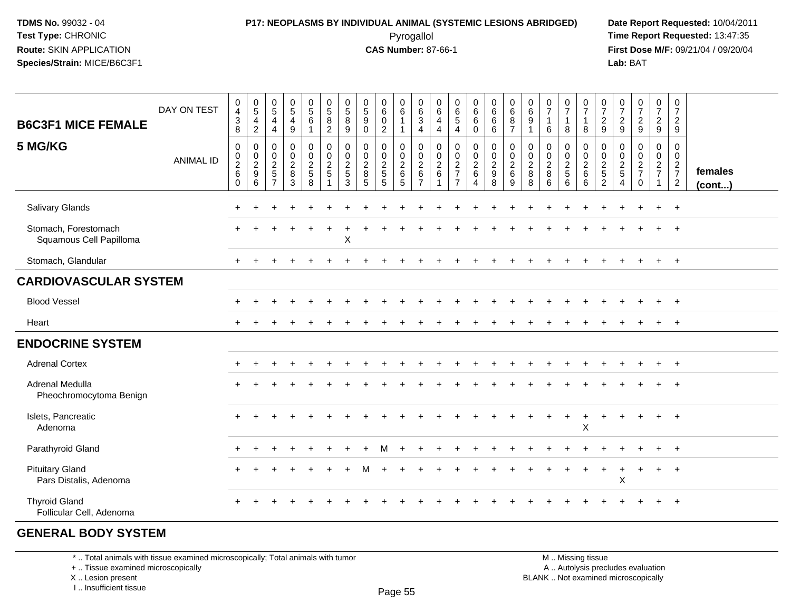### **P17: NEOPLASMS BY INDIVIDUAL ANIMAL (SYSTEMIC LESIONS ABRIDGED) Date Report Requested:** 10/04/2011 Pyrogallol **Time Report Requested:** 13:47:35

**First Dose M/F:** 09/21/04 / 09/20/04<br>Lab: BAT **Lab:** BAT

| <b>B6C3F1 MICE FEMALE</b><br>5 MG/KG             | DAY ON TEST<br><b>ANIMAL ID</b> | $\,0\,$<br>$\overline{4}$<br>$\mathbf{3}$<br>8<br>$\pmb{0}$<br>$\begin{smallmatrix}0\\2\\6\end{smallmatrix}$ | $0$<br>$5$<br>$4$<br>$2$<br>$\pmb{0}$<br>$0$<br>$9$<br>$6$ | $\begin{array}{c} 0 \\ 5 \end{array}$<br>$\overline{4}$<br>4<br>$\pmb{0}$<br>$\boldsymbol{0}$<br>$\frac{2}{5}$ | $\begin{array}{c} 0 \\ 5 \end{array}$<br>$\begin{array}{c} 4 \\ 9 \end{array}$<br>0<br>$\mathbf 0$<br>$\frac{2}{8}$ | $\begin{array}{c} 0 \\ 5 \\ 6 \end{array}$<br>$\mathbf{1}$<br>$\begin{smallmatrix} 0\\0 \end{smallmatrix}$<br>$rac{2}{8}$ | $\begin{array}{c} 0 \\ 5 \\ 8 \end{array}$<br>$\overline{2}$<br>$\begin{smallmatrix} 0\\0 \end{smallmatrix}$<br>$\frac{2}{5}$ | $\begin{array}{c} 0 \\ 5 \\ 8 \end{array}$<br>9<br>$\mathbf 0$<br>$\mathbf 0$<br>$\frac{2}{5}$ | $\begin{array}{c} 0 \\ 5 \end{array}$<br>$\overline{9}$<br>$\mathbf 0$<br>$\mathbf 0$<br>$\boldsymbol{0}$<br>$\overline{2}$<br>$\,8\,$ | $\pmb{0}$<br>$6\phantom{a}$<br>$\overline{0}$<br>$\overline{2}$<br>0<br>$\mathbf 0$<br>$\frac{2}{5}$ | $\begin{array}{c} 0 \\ 6 \end{array}$<br>$\overline{1}$<br>$\mathbf{1}$<br>$\pmb{0}$<br>$\boldsymbol{0}$<br>$\frac{2}{6}$ | 0<br>$\overline{6}$<br>3<br>$\overline{4}$<br>0<br>$\mathbf 0$<br>$\frac{2}{6}$ | $\boldsymbol{0}$<br>$6\overline{6}$<br>$\overline{4}$<br>4<br>$\mathbf 0$<br>0<br>$\frac{2}{6}$ | $\begin{array}{c} 0 \\ 6 \\ 5 \end{array}$<br>$\overline{4}$<br>$\begin{array}{c} 0 \\ 0 \\ 2 \\ 7 \end{array}$ | $\begin{matrix} 0 \\ 6 \\ 6 \end{matrix}$<br>$\mathbf 0$<br>0<br>$\mathbf 0$<br>$\frac{2}{6}$ | $0\over 6$<br>$6\overline{6}$<br>6<br>$\mathbf 0$<br>$\mathbf 0$<br>$\frac{2}{9}$ | 0687<br>$\mathsf{O}\xspace$<br>$\mathsf 0$<br>$\frac{2}{6}$ | $\begin{array}{c} 0 \\ 6 \\ 9 \end{array}$<br>$\mathbf{1}$<br>0<br>0<br>$\frac{2}{8}$ | $\begin{array}{c} 0 \\ 7 \end{array}$<br>$\mathbf{1}$<br>6<br>$\mathbf 0$<br>$\pmb{0}$<br>$\frac{2}{8}$ | $\begin{array}{c} 0 \\ 7 \end{array}$<br>$\mathbf{1}$<br>8<br>0<br>$\mathbf 0$<br>$\frac{2}{5}$ | $\frac{0}{7}$<br>$\overline{1}$<br>8<br>$\pmb{0}$<br>$\boldsymbol{0}$<br>$\frac{2}{6}$ | $\begin{smallmatrix}0\\7\end{smallmatrix}$<br>$\frac{2}{9}$<br>0<br>$\boldsymbol{0}$<br>$\frac{2}{5}$ | $\frac{0}{7}$<br>$\frac{2}{9}$<br>$\pmb{0}$<br>0<br>$\frac{2}{5}$ | $\begin{array}{c} 0 \\ 7 \end{array}$<br>$\frac{2}{9}$<br>$\begin{smallmatrix} 0\\0 \end{smallmatrix}$<br>$\frac{2}{7}$ | $\begin{array}{c} 0 \\ 7 \end{array}$<br>$\frac{2}{9}$<br>0<br>$\overline{0}$<br>$rac{2}{7}$ | $\pmb{0}$<br>$\overline{7}$<br>$\sqrt{2}$<br>9<br>$\mathbf 0$<br>$\boldsymbol{0}$<br>$rac{2}{7}$ | females |
|--------------------------------------------------|---------------------------------|--------------------------------------------------------------------------------------------------------------|------------------------------------------------------------|----------------------------------------------------------------------------------------------------------------|---------------------------------------------------------------------------------------------------------------------|---------------------------------------------------------------------------------------------------------------------------|-------------------------------------------------------------------------------------------------------------------------------|------------------------------------------------------------------------------------------------|----------------------------------------------------------------------------------------------------------------------------------------|------------------------------------------------------------------------------------------------------|---------------------------------------------------------------------------------------------------------------------------|---------------------------------------------------------------------------------|-------------------------------------------------------------------------------------------------|-----------------------------------------------------------------------------------------------------------------|-----------------------------------------------------------------------------------------------|-----------------------------------------------------------------------------------|-------------------------------------------------------------|---------------------------------------------------------------------------------------|---------------------------------------------------------------------------------------------------------|-------------------------------------------------------------------------------------------------|----------------------------------------------------------------------------------------|-------------------------------------------------------------------------------------------------------|-------------------------------------------------------------------|-------------------------------------------------------------------------------------------------------------------------|----------------------------------------------------------------------------------------------|--------------------------------------------------------------------------------------------------|---------|
|                                                  |                                 | $\mathbf 0$                                                                                                  |                                                            | $\overline{7}$                                                                                                 | 3                                                                                                                   |                                                                                                                           | 1                                                                                                                             | 3                                                                                              | 5                                                                                                                                      | $\overline{5}$                                                                                       | $\overline{5}$                                                                                                            | $\overline{7}$                                                                  |                                                                                                 | $\overline{7}$                                                                                                  | $\overline{4}$                                                                                | 8                                                                                 | 9                                                           | 8                                                                                     | 6                                                                                                       | $6^{\circ}$                                                                                     | 6                                                                                      | $\overline{2}$                                                                                        | $\overline{4}$                                                    | $\Omega$                                                                                                                | $\overline{1}$                                                                               | $\overline{2}$                                                                                   | (cont)  |
| Salivary Glands                                  |                                 | ÷                                                                                                            |                                                            |                                                                                                                |                                                                                                                     |                                                                                                                           |                                                                                                                               |                                                                                                |                                                                                                                                        |                                                                                                      |                                                                                                                           |                                                                                 |                                                                                                 |                                                                                                                 |                                                                                               |                                                                                   |                                                             |                                                                                       |                                                                                                         |                                                                                                 |                                                                                        |                                                                                                       |                                                                   |                                                                                                                         | $\div$                                                                                       | $+$                                                                                              |         |
| Stomach, Forestomach<br>Squamous Cell Papilloma  |                                 |                                                                                                              |                                                            |                                                                                                                |                                                                                                                     |                                                                                                                           |                                                                                                                               | X                                                                                              |                                                                                                                                        |                                                                                                      |                                                                                                                           |                                                                                 |                                                                                                 |                                                                                                                 |                                                                                               |                                                                                   |                                                             |                                                                                       |                                                                                                         |                                                                                                 |                                                                                        |                                                                                                       |                                                                   |                                                                                                                         |                                                                                              |                                                                                                  |         |
| Stomach, Glandular                               |                                 | $\pm$                                                                                                        |                                                            |                                                                                                                |                                                                                                                     |                                                                                                                           |                                                                                                                               |                                                                                                |                                                                                                                                        |                                                                                                      |                                                                                                                           |                                                                                 |                                                                                                 |                                                                                                                 |                                                                                               |                                                                                   |                                                             |                                                                                       |                                                                                                         |                                                                                                 |                                                                                        |                                                                                                       |                                                                   |                                                                                                                         | $\ddot{}$                                                                                    | $+$                                                                                              |         |
| <b>CARDIOVASCULAR SYSTEM</b>                     |                                 |                                                                                                              |                                                            |                                                                                                                |                                                                                                                     |                                                                                                                           |                                                                                                                               |                                                                                                |                                                                                                                                        |                                                                                                      |                                                                                                                           |                                                                                 |                                                                                                 |                                                                                                                 |                                                                                               |                                                                                   |                                                             |                                                                                       |                                                                                                         |                                                                                                 |                                                                                        |                                                                                                       |                                                                   |                                                                                                                         |                                                                                              |                                                                                                  |         |
| <b>Blood Vessel</b>                              |                                 |                                                                                                              |                                                            |                                                                                                                |                                                                                                                     |                                                                                                                           |                                                                                                                               |                                                                                                |                                                                                                                                        |                                                                                                      |                                                                                                                           |                                                                                 |                                                                                                 |                                                                                                                 |                                                                                               |                                                                                   |                                                             |                                                                                       |                                                                                                         |                                                                                                 |                                                                                        |                                                                                                       |                                                                   |                                                                                                                         |                                                                                              | $+$                                                                                              |         |
| Heart                                            |                                 |                                                                                                              |                                                            |                                                                                                                |                                                                                                                     |                                                                                                                           |                                                                                                                               |                                                                                                |                                                                                                                                        |                                                                                                      |                                                                                                                           |                                                                                 |                                                                                                 |                                                                                                                 |                                                                                               |                                                                                   |                                                             |                                                                                       |                                                                                                         |                                                                                                 |                                                                                        |                                                                                                       |                                                                   |                                                                                                                         |                                                                                              | $+$                                                                                              |         |
| <b>ENDOCRINE SYSTEM</b>                          |                                 |                                                                                                              |                                                            |                                                                                                                |                                                                                                                     |                                                                                                                           |                                                                                                                               |                                                                                                |                                                                                                                                        |                                                                                                      |                                                                                                                           |                                                                                 |                                                                                                 |                                                                                                                 |                                                                                               |                                                                                   |                                                             |                                                                                       |                                                                                                         |                                                                                                 |                                                                                        |                                                                                                       |                                                                   |                                                                                                                         |                                                                                              |                                                                                                  |         |
| <b>Adrenal Cortex</b>                            |                                 | ÷                                                                                                            |                                                            |                                                                                                                |                                                                                                                     |                                                                                                                           |                                                                                                                               |                                                                                                |                                                                                                                                        |                                                                                                      |                                                                                                                           |                                                                                 |                                                                                                 |                                                                                                                 |                                                                                               |                                                                                   |                                                             |                                                                                       |                                                                                                         |                                                                                                 |                                                                                        |                                                                                                       |                                                                   |                                                                                                                         | $\ddot{}$                                                                                    | $+$                                                                                              |         |
| Adrenal Medulla<br>Pheochromocytoma Benign       |                                 |                                                                                                              |                                                            |                                                                                                                |                                                                                                                     |                                                                                                                           |                                                                                                                               |                                                                                                |                                                                                                                                        |                                                                                                      |                                                                                                                           |                                                                                 |                                                                                                 |                                                                                                                 |                                                                                               |                                                                                   |                                                             |                                                                                       |                                                                                                         |                                                                                                 |                                                                                        |                                                                                                       |                                                                   |                                                                                                                         |                                                                                              |                                                                                                  |         |
| Islets, Pancreatic<br>Adenoma                    |                                 |                                                                                                              |                                                            |                                                                                                                |                                                                                                                     |                                                                                                                           |                                                                                                                               |                                                                                                |                                                                                                                                        |                                                                                                      |                                                                                                                           |                                                                                 |                                                                                                 |                                                                                                                 |                                                                                               |                                                                                   |                                                             |                                                                                       |                                                                                                         | $\ddot{}$                                                                                       | +<br>$\boldsymbol{\mathsf{X}}$                                                         |                                                                                                       |                                                                   |                                                                                                                         | $+$                                                                                          | $+$                                                                                              |         |
| Parathyroid Gland                                |                                 |                                                                                                              |                                                            |                                                                                                                |                                                                                                                     |                                                                                                                           |                                                                                                                               |                                                                                                |                                                                                                                                        |                                                                                                      |                                                                                                                           |                                                                                 |                                                                                                 |                                                                                                                 |                                                                                               |                                                                                   |                                                             |                                                                                       |                                                                                                         |                                                                                                 |                                                                                        |                                                                                                       |                                                                   |                                                                                                                         |                                                                                              | $+$                                                                                              |         |
| <b>Pituitary Gland</b><br>Pars Distalis, Adenoma |                                 |                                                                                                              |                                                            |                                                                                                                |                                                                                                                     |                                                                                                                           |                                                                                                                               |                                                                                                |                                                                                                                                        |                                                                                                      |                                                                                                                           |                                                                                 |                                                                                                 |                                                                                                                 |                                                                                               |                                                                                   |                                                             |                                                                                       |                                                                                                         |                                                                                                 |                                                                                        |                                                                                                       | $\mathsf X$                                                       |                                                                                                                         | $+$                                                                                          | $+$                                                                                              |         |
| <b>Thyroid Gland</b><br>Follicular Cell, Adenoma |                                 |                                                                                                              |                                                            |                                                                                                                |                                                                                                                     |                                                                                                                           |                                                                                                                               |                                                                                                |                                                                                                                                        |                                                                                                      |                                                                                                                           |                                                                                 |                                                                                                 |                                                                                                                 |                                                                                               |                                                                                   |                                                             |                                                                                       |                                                                                                         |                                                                                                 |                                                                                        |                                                                                                       |                                                                   |                                                                                                                         |                                                                                              |                                                                                                  |         |

#### **GENERAL BODY SYSTEM**

\* .. Total animals with tissue examined microscopically; Total animals with tumor

+ .. Tissue examined microscopically

X .. Lesion present

I .. Insufficient tissue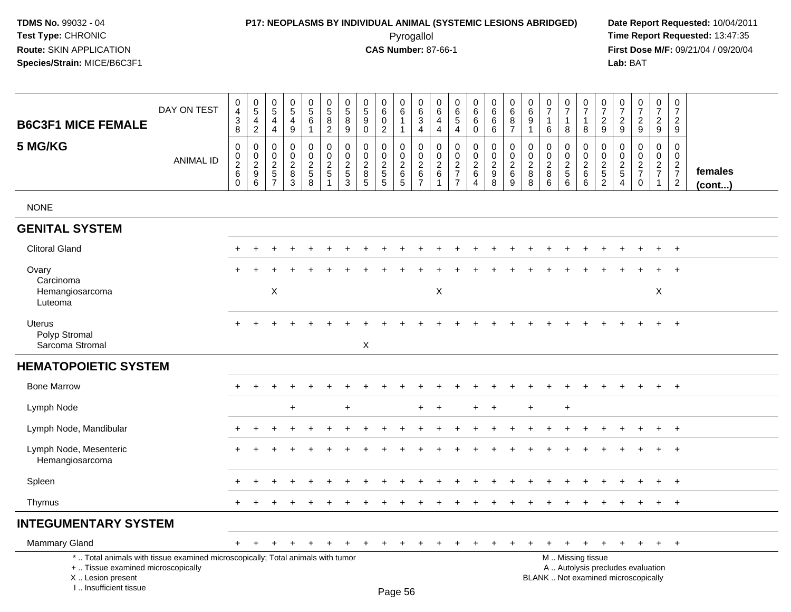### **P17: NEOPLASMS BY INDIVIDUAL ANIMAL (SYSTEMIC LESIONS ABRIDGED) Date Report Requested:** 10/04/2011

 Pyrogallol **Time Report Requested:** 13:47:35 **First Dose M/F:** 09/21/04 / 09/20/04<br>Lab: BAT **Lab:** BAT

| <b>B6C3F1 MICE FEMALE</b>                                                                                                                                           | DAY ON TEST      | $\begin{smallmatrix}0\\4\end{smallmatrix}$<br>$\ensuremath{\mathsf{3}}$<br>8 | $\begin{array}{c} 0 \\ 5 \\ 4 \end{array}$<br>$\overline{2}$ | $\boldsymbol{0}$<br>$\sqrt{5}$<br>$\overline{4}$<br>$\overline{4}$ | $\pmb{0}$<br>$\,$ 5 $\,$<br>$\overline{4}$<br>9             | 0<br>$\sqrt{5}$<br>$\overline{6}$<br>$\mathbf{1}$           | $\begin{array}{c} 0 \\ 5 \end{array}$<br>$\overline{8}$<br>$\overline{2}$ | $\begin{array}{c} 0 \\ 5 \\ 8 \end{array}$<br>9              | $\pmb{0}$<br>$\sqrt{5}$<br>$\boldsymbol{9}$<br>$\mathbf 0$    | $\pmb{0}$<br>$\,6\,$<br>$\mathbf 0$<br>$\overline{2}$         | 0<br>$\,6\,$<br>$\mathbf{1}$<br>$\mathbf{1}$                        | $\mathbf 0$<br>$\,6\,$<br>$\ensuremath{\mathsf{3}}$<br>$\overline{\mathbf{4}}$ | 0<br>6<br>4<br>$\overline{4}$                       | $\pmb{0}$<br>$\frac{6}{5}$<br>$\overline{4}$      | $\pmb{0}$<br>$6\overline{6}$<br>$\overline{6}$<br>$\mathbf 0$       | $\begin{matrix} 0 \\ 6 \\ 6 \end{matrix}$<br>$\,6\,$ | $\pmb{0}$<br>$6\phantom{1}6$<br>$\bf 8$<br>$\overline{7}$ | 0<br>$\,6\,$<br>$\boldsymbol{9}$<br>$\mathbf{1}$ | $\begin{array}{c} 0 \\ 7 \end{array}$<br>$\mathbf{1}$<br>$\,6\,$ | $\frac{0}{7}$<br>$\mathbf{1}$<br>8                | 0<br>$\overline{7}$<br>$\mathbf{1}$<br>8                                                      | $\begin{array}{c} 0 \\ 7 \end{array}$<br>$\sqrt{2}$<br>9 | 0<br>$\overline{7}$<br>$\overline{2}$<br>9          | 0<br>$\overline{7}$<br>$\overline{c}$<br>9               | $\pmb{0}$<br>$\overline{7}$<br>$\overline{c}$<br>9 | $\pmb{0}$<br>$\overline{7}$<br>$\overline{2}$<br>9                    |                   |
|---------------------------------------------------------------------------------------------------------------------------------------------------------------------|------------------|------------------------------------------------------------------------------|--------------------------------------------------------------|--------------------------------------------------------------------|-------------------------------------------------------------|-------------------------------------------------------------|---------------------------------------------------------------------------|--------------------------------------------------------------|---------------------------------------------------------------|---------------------------------------------------------------|---------------------------------------------------------------------|--------------------------------------------------------------------------------|-----------------------------------------------------|---------------------------------------------------|---------------------------------------------------------------------|------------------------------------------------------|-----------------------------------------------------------|--------------------------------------------------|------------------------------------------------------------------|---------------------------------------------------|-----------------------------------------------------------------------------------------------|----------------------------------------------------------|-----------------------------------------------------|----------------------------------------------------------|----------------------------------------------------|-----------------------------------------------------------------------|-------------------|
| 5 MG/KG                                                                                                                                                             | <b>ANIMAL ID</b> | $\pmb{0}$<br>$\frac{0}{2}$<br>$\mathbf 0$                                    | $\mathsf 0$<br>$\frac{0}{2}$<br>6                            | $\mathbf 0$<br>$0$<br>$2$<br>$5$<br>$7$                            | $\pmb{0}$<br>$\mathbf 0$<br>$\frac{2}{8}$<br>$\overline{3}$ | 0<br>$\mathsf{O}\xspace$<br>$\frac{2}{5}$<br>$\overline{8}$ | $\pmb{0}$<br>$\frac{0}{2}$<br>$\overline{1}$                              | $\pmb{0}$<br>$\begin{array}{c} 0 \\ 2 \\ 5 \\ 3 \end{array}$ | $\mathbf 0$<br>$\mathbf 0$<br>$\frac{2}{8}$<br>$\overline{5}$ | $\mathbf 0$<br>$\mathbf 0$<br>$\frac{2}{5}$<br>$\overline{5}$ | 0<br>$\mathsf{O}\xspace$<br>$\sqrt{2}$<br>$\,6\,$<br>$\overline{5}$ | $\boldsymbol{0}$<br>$\pmb{0}$<br>$\overline{2}$<br>$rac{6}{7}$                 | 0<br>$\mathbf 0$<br>$\frac{2}{6}$<br>$\overline{1}$ | $\pmb{0}$<br>$\mathsf{O}\xspace$<br>$\frac{2}{7}$ | $\pmb{0}$<br>$\ddot{\mathbf{0}}$<br>$\frac{2}{6}$<br>$\overline{4}$ | $\mathbf 0$<br>$0$<br>$9$<br>$8$                     | $\pmb{0}$<br>$\frac{0}{2}$ 6<br>9                         | 0<br>$\mathbf 0$<br>$\sqrt{2}$<br>8<br>8         | $\mathsf{O}\xspace$<br>$\frac{0}{2}$<br>6                        | 0<br>$\pmb{0}$<br>$\frac{2}{5}$<br>$\overline{6}$ | 0<br>$\frac{0}{2}$<br>$6\phantom{1}$                                                          | $\boldsymbol{0}$<br>$\frac{0}{2}$<br>52                  | 0<br>$\mathbf 0$<br>$\frac{2}{5}$<br>$\overline{4}$ | $\mathbf 0$<br>$\pmb{0}$<br>$\frac{2}{7}$<br>$\mathbf 0$ | 0<br>$\mathbf 0$<br>$\frac{2}{7}$<br>$\mathbf{1}$  | $\mathbf 0$<br>$\ddot{\mathbf{0}}$<br>$\frac{2}{7}$<br>$\overline{c}$ | females<br>(cont) |
| <b>NONE</b>                                                                                                                                                         |                  |                                                                              |                                                              |                                                                    |                                                             |                                                             |                                                                           |                                                              |                                                               |                                                               |                                                                     |                                                                                |                                                     |                                                   |                                                                     |                                                      |                                                           |                                                  |                                                                  |                                                   |                                                                                               |                                                          |                                                     |                                                          |                                                    |                                                                       |                   |
| <b>GENITAL SYSTEM</b>                                                                                                                                               |                  |                                                                              |                                                              |                                                                    |                                                             |                                                             |                                                                           |                                                              |                                                               |                                                               |                                                                     |                                                                                |                                                     |                                                   |                                                                     |                                                      |                                                           |                                                  |                                                                  |                                                   |                                                                                               |                                                          |                                                     |                                                          |                                                    |                                                                       |                   |
| <b>Clitoral Gland</b>                                                                                                                                               |                  |                                                                              |                                                              |                                                                    |                                                             |                                                             |                                                                           |                                                              |                                                               |                                                               |                                                                     |                                                                                |                                                     |                                                   |                                                                     |                                                      |                                                           |                                                  |                                                                  |                                                   |                                                                                               |                                                          |                                                     |                                                          | $\ddot{}$                                          | $+$                                                                   |                   |
| Ovary<br>Carcinoma                                                                                                                                                  |                  |                                                                              |                                                              |                                                                    |                                                             |                                                             |                                                                           |                                                              |                                                               |                                                               |                                                                     |                                                                                |                                                     |                                                   |                                                                     |                                                      |                                                           |                                                  |                                                                  |                                                   |                                                                                               |                                                          |                                                     |                                                          |                                                    |                                                                       |                   |
| Hemangiosarcoma<br>Luteoma                                                                                                                                          |                  |                                                                              |                                                              | $\boldsymbol{\mathsf{X}}$                                          |                                                             |                                                             |                                                                           |                                                              |                                                               |                                                               |                                                                     |                                                                                | $\boldsymbol{\mathsf{X}}$                           |                                                   |                                                                     |                                                      |                                                           |                                                  |                                                                  |                                                   |                                                                                               |                                                          |                                                     |                                                          | X                                                  |                                                                       |                   |
| Uterus<br>Polyp Stromal<br>Sarcoma Stromal                                                                                                                          |                  |                                                                              |                                                              |                                                                    |                                                             |                                                             |                                                                           |                                                              | X                                                             |                                                               |                                                                     |                                                                                |                                                     |                                                   |                                                                     |                                                      |                                                           |                                                  |                                                                  |                                                   |                                                                                               |                                                          |                                                     |                                                          |                                                    | $\overline{+}$                                                        |                   |
| <b>HEMATOPOIETIC SYSTEM</b>                                                                                                                                         |                  |                                                                              |                                                              |                                                                    |                                                             |                                                             |                                                                           |                                                              |                                                               |                                                               |                                                                     |                                                                                |                                                     |                                                   |                                                                     |                                                      |                                                           |                                                  |                                                                  |                                                   |                                                                                               |                                                          |                                                     |                                                          |                                                    |                                                                       |                   |
| <b>Bone Marrow</b>                                                                                                                                                  |                  | $+$                                                                          | $\overline{ }$                                               |                                                                    |                                                             |                                                             |                                                                           |                                                              |                                                               |                                                               |                                                                     |                                                                                |                                                     |                                                   |                                                                     |                                                      |                                                           |                                                  |                                                                  |                                                   |                                                                                               |                                                          |                                                     |                                                          | $\ddot{}$                                          | $+$                                                                   |                   |
| Lymph Node                                                                                                                                                          |                  |                                                                              |                                                              |                                                                    | $\ddot{}$                                                   |                                                             |                                                                           | $\ddot{}$                                                    |                                                               |                                                               |                                                                     | $+$                                                                            | $\ddot{}$                                           |                                                   | $+$                                                                 | $+$                                                  |                                                           | $\ddot{}$                                        |                                                                  | $\ddot{}$                                         |                                                                                               |                                                          |                                                     |                                                          |                                                    |                                                                       |                   |
| Lymph Node, Mandibular                                                                                                                                              |                  |                                                                              |                                                              |                                                                    |                                                             |                                                             |                                                                           |                                                              |                                                               |                                                               |                                                                     |                                                                                |                                                     |                                                   |                                                                     |                                                      |                                                           |                                                  |                                                                  |                                                   |                                                                                               |                                                          |                                                     |                                                          |                                                    | $\overline{+}$                                                        |                   |
| Lymph Node, Mesenteric<br>Hemangiosarcoma                                                                                                                           |                  |                                                                              |                                                              |                                                                    |                                                             |                                                             |                                                                           |                                                              |                                                               |                                                               |                                                                     |                                                                                |                                                     |                                                   |                                                                     |                                                      |                                                           |                                                  |                                                                  |                                                   |                                                                                               |                                                          |                                                     |                                                          |                                                    | $\overline{+}$                                                        |                   |
| Spleen                                                                                                                                                              |                  |                                                                              |                                                              |                                                                    |                                                             |                                                             |                                                                           |                                                              |                                                               |                                                               |                                                                     |                                                                                |                                                     |                                                   |                                                                     |                                                      |                                                           |                                                  |                                                                  |                                                   |                                                                                               |                                                          |                                                     |                                                          |                                                    | $\overline{+}$                                                        |                   |
| Thymus                                                                                                                                                              |                  |                                                                              |                                                              |                                                                    |                                                             |                                                             |                                                                           |                                                              |                                                               |                                                               |                                                                     |                                                                                |                                                     |                                                   |                                                                     |                                                      |                                                           |                                                  |                                                                  |                                                   |                                                                                               |                                                          |                                                     |                                                          | $\ddot{}$                                          | $+$                                                                   |                   |
| <b>INTEGUMENTARY SYSTEM</b>                                                                                                                                         |                  |                                                                              |                                                              |                                                                    |                                                             |                                                             |                                                                           |                                                              |                                                               |                                                               |                                                                     |                                                                                |                                                     |                                                   |                                                                     |                                                      |                                                           |                                                  |                                                                  |                                                   |                                                                                               |                                                          |                                                     |                                                          |                                                    |                                                                       |                   |
| Mammary Gland                                                                                                                                                       |                  | $+$                                                                          | $\pm$                                                        |                                                                    |                                                             |                                                             |                                                                           |                                                              |                                                               |                                                               | ÷                                                                   |                                                                                |                                                     | ÷                                                 | $\div$                                                              | $\pm$                                                | $\pm$                                                     | $\div$                                           |                                                                  | $+$                                               | $\ddot{}$                                                                                     | $+$                                                      | $\ddot{}$                                           | $+$                                                      | $+$                                                | $+$                                                                   |                   |
| *  Total animals with tissue examined microscopically; Total animals with tumor<br>+  Tissue examined microscopically<br>X  Lesion present<br>I Insufficient tissue |                  |                                                                              |                                                              |                                                                    |                                                             |                                                             |                                                                           |                                                              |                                                               |                                                               | Page 56                                                             |                                                                                |                                                     |                                                   |                                                                     |                                                      |                                                           |                                                  |                                                                  |                                                   | M  Missing tissue<br>A  Autolysis precludes evaluation<br>BLANK  Not examined microscopically |                                                          |                                                     |                                                          |                                                    |                                                                       |                   |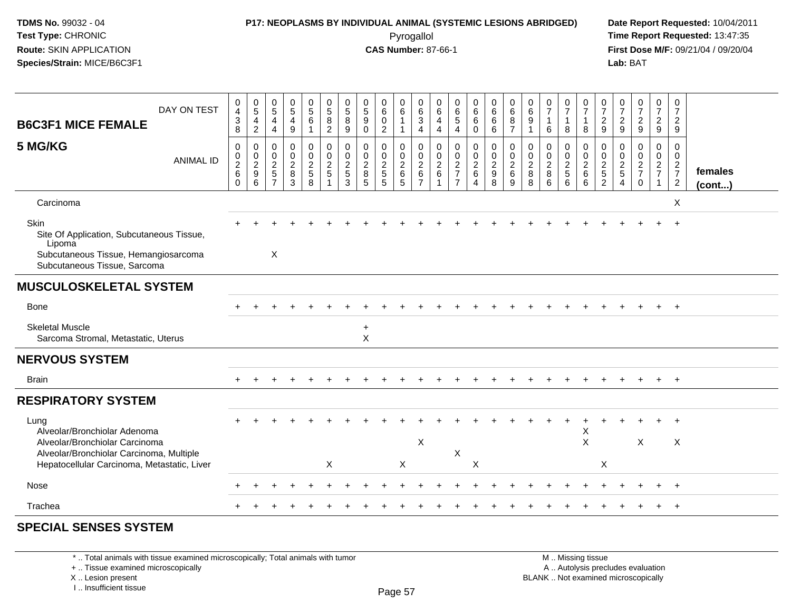# **P17: NEOPLASMS BY INDIVIDUAL ANIMAL (SYSTEMIC LESIONS ABRIDGED) Date Report Requested:** 10/04/2011

 Pyrogallol **Time Report Requested:** 13:47:35 **First Dose M/F:** 09/21/04 / 09/20/04<br>Lab: BAT **Lab:** BAT

| DAY ON TEST                                                                                                                         | 0<br>$\overline{\mathbf{4}}$                                          | 0<br>$\overline{5}$                                                   | $\begin{array}{c} 0 \\ 5 \end{array}$                              | $\begin{matrix} 0 \\ 5 \end{matrix}$         | $\begin{array}{c} 0 \\ 5 \end{array}$                | $\begin{array}{c} 0 \\ 5 \end{array}$                    | 0<br>$\,$ 5 $\,$                                 | $\pmb{0}$<br>$\overline{5}$                            | 0<br>$\,6\,$                                        | 0<br>$\,6$                                   | 0<br>$\,6$                                                | 0<br>$\,6$                                          | 0<br>$\overline{6}$<br>5                                                         | $\begin{matrix} 0 \\ 6 \end{matrix}$                                | 0<br>$\,6\,$                                                          | 0<br>$\,6\,$                                              | 0<br>$\,6\,$                                           | 0<br>$\overline{7}$                | $\frac{0}{7}$                                      | 0<br>$\overline{7}$                                   | $\frac{0}{7}$                                                      | $\frac{0}{7}$                                                   | $\frac{0}{7}$                                            | 0<br>$\boldsymbol{7}$                                     | 0<br>$\overline{7}$                                                    |                   |
|-------------------------------------------------------------------------------------------------------------------------------------|-----------------------------------------------------------------------|-----------------------------------------------------------------------|--------------------------------------------------------------------|----------------------------------------------|------------------------------------------------------|----------------------------------------------------------|--------------------------------------------------|--------------------------------------------------------|-----------------------------------------------------|----------------------------------------------|-----------------------------------------------------------|-----------------------------------------------------|----------------------------------------------------------------------------------|---------------------------------------------------------------------|-----------------------------------------------------------------------|-----------------------------------------------------------|--------------------------------------------------------|------------------------------------|----------------------------------------------------|-------------------------------------------------------|--------------------------------------------------------------------|-----------------------------------------------------------------|----------------------------------------------------------|-----------------------------------------------------------|------------------------------------------------------------------------|-------------------|
| <b>B6C3F1 MICE FEMALE</b>                                                                                                           | $\sqrt{3}$<br>8                                                       | $\overline{4}$<br>$\sqrt{2}$                                          | 4<br>4                                                             | 4<br>$\boldsymbol{9}$                        | $\,6\,$                                              | $\overline{8}$<br>$\overline{2}$                         | $\overline{8}$<br>9                              | 9<br>$\Omega$                                          | $\pmb{0}$<br>$\sqrt{2}$                             | $\overline{1}$<br>1                          | $\mathbf{3}$<br>4                                         | 4<br>$\overline{4}$                                 | 4                                                                                | $6\overline{6}$<br>$\mathbf 0$                                      | $\,6\,$<br>6                                                          | $\bf 8$<br>$\overline{7}$                                 | $\overline{9}$<br>$\mathbf{1}$                         | 6                                  | $\mathbf{1}$<br>8                                  | $\mathbf{1}$<br>8                                     | $\frac{2}{9}$                                                      | $\overline{c}$<br>9                                             | $\frac{2}{9}$                                            | $\frac{2}{9}$                                             | 2<br>9                                                                 |                   |
| 5 MG/KG<br><b>ANIMAL ID</b>                                                                                                         | $\mathbf 0$<br>$\begin{array}{c} 0 \\ 2 \\ 6 \end{array}$<br>$\Omega$ | $\mathbf 0$<br>$\mathbf 0$<br>$\overline{c}$<br>$\boldsymbol{9}$<br>6 | 0<br>$\mathbf 0$<br>$\overline{2}$<br>$\sqrt{5}$<br>$\overline{7}$ | 0<br>$\mathbf 0$<br>$\overline{c}$<br>8<br>3 | 0<br>$\mathsf{O}\xspace$<br>$\overline{2}$<br>5<br>8 | $\mathbf 0$<br>$\pmb{0}$<br>$\sqrt{2}$<br>$\overline{5}$ | $\mathbf 0$<br>$\mathbf 0$<br>$\frac{2}{5}$<br>3 | $\mathbf 0$<br>$\mathbf 0$<br>$\overline{2}$<br>8<br>5 | 0<br>$\pmb{0}$<br>$\sqrt{2}$<br>$\overline{5}$<br>5 | 0<br>$\pmb{0}$<br>$\sqrt{2}$<br>$\,6\,$<br>5 | $\mathbf 0$<br>0<br>$\overline{c}$<br>6<br>$\overline{7}$ | $\mathbf 0$<br>$\mathbf 0$<br>$\sqrt{2}$<br>$\,6\,$ | $\mathbf 0$<br>$\pmb{0}$<br>$\boldsymbol{2}$<br>$\overline{7}$<br>$\overline{7}$ | 0<br>$\mathsf{O}\xspace$<br>$\frac{2}{6}$<br>$\boldsymbol{\Lambda}$ | $\mathbf 0$<br>$\mathsf 0$<br>$\overline{2}$<br>$\boldsymbol{9}$<br>8 | $\Omega$<br>$\mathbf 0$<br>$\overline{2}$<br>$\,6\,$<br>9 | $\mathbf 0$<br>$\mathbf 0$<br>$\overline{2}$<br>8<br>8 | 0<br>0<br>$\overline{2}$<br>8<br>6 | 0<br>$\pmb{0}$<br>$\frac{2}{5}$<br>$6\overline{6}$ | $\Omega$<br>$\mathsf 0$<br>$\sqrt{2}$<br>$\,6\,$<br>6 | $\mathbf 0$<br>$\boldsymbol{0}$<br>$\frac{2}{5}$<br>$\overline{2}$ | $\mathbf 0$<br>$\mathsf 0$<br>$\sqrt{2}$<br>$\overline{5}$<br>4 | 0<br>$\mathsf{O}\xspace$<br>$\frac{2}{7}$<br>$\mathbf 0$ | 0<br>$\mathsf{O}\xspace$<br>$\frac{2}{7}$<br>$\mathbf{1}$ | 0<br>$\mathbf 0$<br>$\overline{2}$<br>$\overline{7}$<br>$\overline{2}$ | females<br>(cont) |
| Carcinoma                                                                                                                           |                                                                       |                                                                       |                                                                    |                                              |                                                      |                                                          |                                                  |                                                        |                                                     |                                              |                                                           |                                                     |                                                                                  |                                                                     |                                                                       |                                                           |                                                        |                                    |                                                    |                                                       |                                                                    |                                                                 |                                                          |                                                           | X                                                                      |                   |
| Skin<br>Site Of Application, Subcutaneous Tissue,<br>Lipoma<br>Subcutaneous Tissue, Hemangiosarcoma<br>Subcutaneous Tissue, Sarcoma |                                                                       |                                                                       | $\mathsf X$                                                        |                                              |                                                      |                                                          |                                                  |                                                        |                                                     |                                              |                                                           |                                                     |                                                                                  |                                                                     |                                                                       |                                                           |                                                        |                                    |                                                    |                                                       |                                                                    |                                                                 |                                                          |                                                           | $\ddot{}$                                                              |                   |
| <b>MUSCULOSKELETAL SYSTEM</b>                                                                                                       |                                                                       |                                                                       |                                                                    |                                              |                                                      |                                                          |                                                  |                                                        |                                                     |                                              |                                                           |                                                     |                                                                                  |                                                                     |                                                                       |                                                           |                                                        |                                    |                                                    |                                                       |                                                                    |                                                                 |                                                          |                                                           |                                                                        |                   |
| Bone                                                                                                                                |                                                                       |                                                                       |                                                                    |                                              |                                                      |                                                          |                                                  |                                                        |                                                     |                                              |                                                           |                                                     |                                                                                  |                                                                     |                                                                       |                                                           |                                                        |                                    |                                                    |                                                       |                                                                    |                                                                 |                                                          |                                                           | $+$                                                                    |                   |
| <b>Skeletal Muscle</b><br>Sarcoma Stromal, Metastatic, Uterus                                                                       |                                                                       |                                                                       |                                                                    |                                              |                                                      |                                                          |                                                  | $+$<br>$\times$                                        |                                                     |                                              |                                                           |                                                     |                                                                                  |                                                                     |                                                                       |                                                           |                                                        |                                    |                                                    |                                                       |                                                                    |                                                                 |                                                          |                                                           |                                                                        |                   |
| <b>NERVOUS SYSTEM</b>                                                                                                               |                                                                       |                                                                       |                                                                    |                                              |                                                      |                                                          |                                                  |                                                        |                                                     |                                              |                                                           |                                                     |                                                                                  |                                                                     |                                                                       |                                                           |                                                        |                                    |                                                    |                                                       |                                                                    |                                                                 |                                                          |                                                           |                                                                        |                   |
| <b>Brain</b>                                                                                                                        |                                                                       |                                                                       |                                                                    |                                              |                                                      |                                                          |                                                  |                                                        |                                                     |                                              |                                                           |                                                     |                                                                                  |                                                                     |                                                                       |                                                           |                                                        |                                    |                                                    |                                                       |                                                                    |                                                                 |                                                          |                                                           | $+$                                                                    |                   |
| <b>RESPIRATORY SYSTEM</b>                                                                                                           |                                                                       |                                                                       |                                                                    |                                              |                                                      |                                                          |                                                  |                                                        |                                                     |                                              |                                                           |                                                     |                                                                                  |                                                                     |                                                                       |                                                           |                                                        |                                    |                                                    |                                                       |                                                                    |                                                                 |                                                          |                                                           |                                                                        |                   |
| Lung<br>Alveolar/Bronchiolar Adenoma                                                                                                |                                                                       |                                                                       |                                                                    |                                              |                                                      |                                                          |                                                  |                                                        |                                                     |                                              |                                                           |                                                     |                                                                                  |                                                                     |                                                                       |                                                           |                                                        |                                    |                                                    | X                                                     |                                                                    |                                                                 |                                                          |                                                           | $\div$                                                                 |                   |
| Alveolar/Bronchiolar Carcinoma<br>Alveolar/Bronchiolar Carcinoma, Multiple<br>Hepatocellular Carcinoma, Metastatic, Liver           |                                                                       |                                                                       |                                                                    |                                              |                                                      | X                                                        |                                                  |                                                        |                                                     | X                                            | $\boldsymbol{\mathsf{X}}$                                 |                                                     | X                                                                                | X                                                                   |                                                                       |                                                           |                                                        |                                    |                                                    | $\mathsf X$                                           | X                                                                  |                                                                 | $\pmb{\times}$                                           |                                                           | $\boldsymbol{\mathsf{X}}$                                              |                   |
| Nose                                                                                                                                |                                                                       |                                                                       |                                                                    |                                              |                                                      |                                                          |                                                  |                                                        |                                                     |                                              |                                                           |                                                     |                                                                                  |                                                                     |                                                                       |                                                           |                                                        |                                    |                                                    |                                                       |                                                                    |                                                                 |                                                          |                                                           | $\ddot{}$                                                              |                   |
| Trachea                                                                                                                             |                                                                       |                                                                       |                                                                    |                                              |                                                      |                                                          |                                                  |                                                        |                                                     |                                              |                                                           |                                                     |                                                                                  |                                                                     |                                                                       |                                                           |                                                        |                                    |                                                    |                                                       |                                                                    |                                                                 |                                                          |                                                           | $^{+}$                                                                 |                   |
| <b>SPECIAL SENSES SYSTEM</b>                                                                                                        |                                                                       |                                                                       |                                                                    |                                              |                                                      |                                                          |                                                  |                                                        |                                                     |                                              |                                                           |                                                     |                                                                                  |                                                                     |                                                                       |                                                           |                                                        |                                    |                                                    |                                                       |                                                                    |                                                                 |                                                          |                                                           |                                                                        |                   |

\* .. Total animals with tissue examined microscopically; Total animals with tumor

+ .. Tissue examined microscopically

 Lesion present BLANK .. Not examined microscopicallyX .. Lesion present

I .. Insufficient tissue

 M .. Missing tissuey the contract of the contract of the contract of the contract of the contract of  $\mathsf A$  . Autolysis precludes evaluation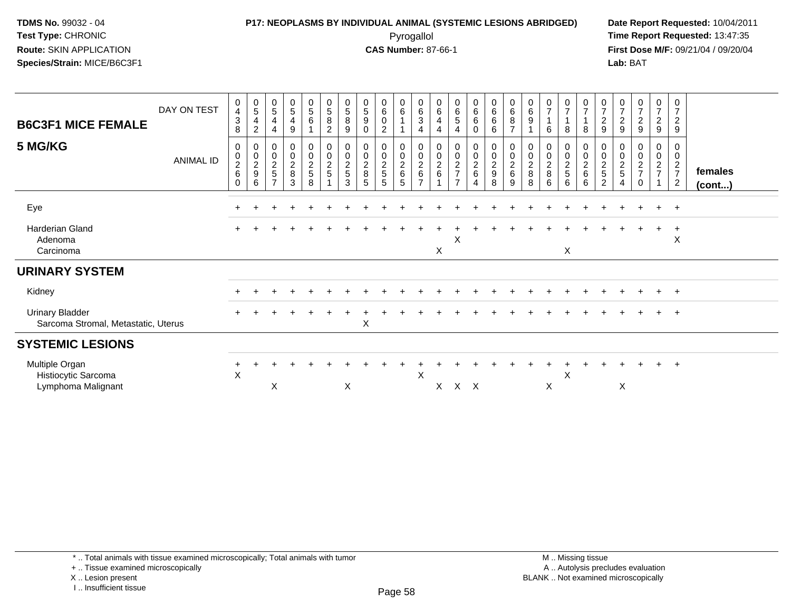### **P17: NEOPLASMS BY INDIVIDUAL ANIMAL (SYSTEMIC LESIONS ABRIDGED) Date Report Requested:** 10/04/2011 Pyrogallol **Time Report Requested:** 13:47:35

**First Dose M/F:** 09/21/04 / 09/20/04<br>Lab: BAT **Lab:** BAT

| <b>B6C3F1 MICE FEMALE</b>                                     | DAY ON TEST      | 0<br>$\overline{\mathbf{4}}$<br>3<br>8    | $\begin{array}{c} 0 \\ 5 \end{array}$<br>4<br>$\overline{2}$ | $\begin{array}{c} 0 \\ 5 \end{array}$<br>$\overline{4}$<br>4 | $\begin{array}{c} 0 \\ 5 \end{array}$<br>4<br>9 | $\pmb{0}$<br>$\sqrt{5}$<br>6                      | $\begin{smallmatrix}0\0\5\end{smallmatrix}$<br>$\, 8$<br>$\overline{c}$ | $\begin{array}{c} 0 \\ 5 \end{array}$<br>$\bf8$<br>9 | $\begin{array}{c} 0 \\ 5 \end{array}$<br>$\boldsymbol{9}$<br>0 | 0<br>6<br>0<br>$\overline{c}$        | $_{6}^{\rm 0}$ | $\begin{array}{c} 0 \\ 6 \end{array}$<br>$\ensuremath{\mathsf{3}}$<br>$\overline{4}$ | $\begin{array}{c} 0 \\ 6 \end{array}$<br>$\overline{4}$<br>4 | $\begin{array}{c} 0 \\ 6 \end{array}$<br>$\,$ 5 $\,$<br>$\overline{4}$ | $\begin{matrix} 0 \\ 6 \end{matrix}$<br>6<br>$\mathbf 0$ | $_{6}^{\rm 0}$<br>6<br>6                                          | $\begin{array}{c} 0 \\ 6 \end{array}$<br>$\bf 8$<br>$\overline{ }$ | $\begin{array}{c} 0 \\ 6 \end{array}$<br>$\boldsymbol{9}$ | $\boldsymbol{0}$<br>$\overline{7}$<br>6 | 0<br>$\overline{7}$<br>8                   | $\frac{0}{7}$<br>$\mathbf 1$<br>8              | $\frac{0}{7}$<br>$\boldsymbol{2}$<br>9 | $\frac{0}{7}$<br>$\sqrt{2}$<br>9                                  | $\frac{0}{7}$<br>$\sqrt{2}$<br>9                          | $\frac{0}{7}$<br>$\overline{c}$<br>9 | $\pmb{0}$<br>$\overline{7}$<br>$\overline{c}$<br>$\boldsymbol{9}$ |                         |
|---------------------------------------------------------------|------------------|-------------------------------------------|--------------------------------------------------------------|--------------------------------------------------------------|-------------------------------------------------|---------------------------------------------------|-------------------------------------------------------------------------|------------------------------------------------------|----------------------------------------------------------------|--------------------------------------|----------------|--------------------------------------------------------------------------------------|--------------------------------------------------------------|------------------------------------------------------------------------|----------------------------------------------------------|-------------------------------------------------------------------|--------------------------------------------------------------------|-----------------------------------------------------------|-----------------------------------------|--------------------------------------------|------------------------------------------------|----------------------------------------|-------------------------------------------------------------------|-----------------------------------------------------------|--------------------------------------|-------------------------------------------------------------------|-------------------------|
| 5 MG/KG                                                       | <b>ANIMAL ID</b> | 0<br>0<br>$\overline{c}$<br>6<br>$\Omega$ | 0<br>$\pmb{0}$<br>$\frac{2}{9}$<br>6                         | $\boldsymbol{0}$<br>$\frac{0}{2}$<br>$\overline{ }$          | $\pmb{0}$<br>$\pmb{0}$<br>$\frac{2}{8}$<br>3    | $\pmb{0}$<br>$\overline{0}$<br>$\frac{2}{5}$<br>8 | $\begin{matrix} 0 \\ 0 \\ 2 \end{matrix}$<br>$\sqrt{5}$                 | 0<br>$\pmb{0}$<br>$\frac{2}{5}$<br>3                 | $\pmb{0}$<br>$\frac{0}{2}$<br>5                                | 0<br>$\pmb{0}$<br>$\frac{2}{5}$<br>5 | 00026<br>5     | 00026<br>$\overline{ }$                                                              | 00026                                                        | 00027<br>$\overline{7}$                                                | 0<br>$\overline{0}$<br>$\frac{2}{6}$<br>$\overline{4}$   | $\begin{smallmatrix}0\0\0\end{smallmatrix}$<br>$\frac{2}{9}$<br>8 | $\begin{smallmatrix} 0\\0\\2 \end{smallmatrix}$<br>$\,6\,$<br>9    | 00028<br>8                                                | 0<br>$\frac{0}{2}$<br>8<br>6            | 0<br>$\pmb{0}$<br>$\overline{a}$<br>5<br>6 | 0<br>$\mathsf{O}\xspace$<br>$\frac{2}{6}$<br>6 | 0<br>$\frac{0}{2}$<br>$\sqrt{5}$<br>2  | 0<br>$\begin{array}{c} 0 \\ 2 \\ 5 \end{array}$<br>$\overline{4}$ | $\pmb{0}$<br>$\overline{2}$<br>$\overline{7}$<br>$\Omega$ | 0<br>0<br>$\frac{2}{7}$              | 0<br>$\pmb{0}$<br>$\frac{2}{7}$<br>$\overline{2}$                 | females<br>$($ cont $)$ |
| Eye                                                           |                  |                                           |                                                              |                                                              |                                                 |                                                   |                                                                         |                                                      |                                                                |                                      |                |                                                                                      |                                                              |                                                                        |                                                          |                                                                   |                                                                    |                                                           |                                         |                                            |                                                |                                        |                                                                   |                                                           | $\ddot{}$                            | $+$                                                               |                         |
| Harderian Gland<br>Adenoma<br>Carcinoma                       |                  |                                           |                                                              |                                                              |                                                 |                                                   |                                                                         |                                                      |                                                                |                                      |                |                                                                                      | X                                                            | Χ                                                                      |                                                          |                                                                   |                                                                    |                                                           |                                         | X                                          |                                                |                                        |                                                                   |                                                           |                                      | $\overline{+}$<br>X                                               |                         |
| <b>URINARY SYSTEM</b>                                         |                  |                                           |                                                              |                                                              |                                                 |                                                   |                                                                         |                                                      |                                                                |                                      |                |                                                                                      |                                                              |                                                                        |                                                          |                                                                   |                                                                    |                                                           |                                         |                                            |                                                |                                        |                                                                   |                                                           |                                      |                                                                   |                         |
| Kidney                                                        |                  |                                           |                                                              |                                                              |                                                 |                                                   |                                                                         |                                                      |                                                                |                                      |                |                                                                                      |                                                              |                                                                        |                                                          |                                                                   |                                                                    |                                                           |                                         |                                            |                                                |                                        |                                                                   |                                                           |                                      | $\pm$                                                             |                         |
| <b>Urinary Bladder</b><br>Sarcoma Stromal, Metastatic, Uterus |                  |                                           |                                                              |                                                              |                                                 |                                                   |                                                                         |                                                      | X                                                              |                                      |                |                                                                                      |                                                              |                                                                        |                                                          |                                                                   |                                                                    |                                                           |                                         |                                            |                                                |                                        |                                                                   |                                                           | $\ddot{}$                            | $+$                                                               |                         |
| <b>SYSTEMIC LESIONS</b>                                       |                  |                                           |                                                              |                                                              |                                                 |                                                   |                                                                         |                                                      |                                                                |                                      |                |                                                                                      |                                                              |                                                                        |                                                          |                                                                   |                                                                    |                                                           |                                         |                                            |                                                |                                        |                                                                   |                                                           |                                      |                                                                   |                         |
| Multiple Organ<br>Histiocytic Sarcoma<br>Lymphoma Malignant   |                  | $\div$<br>X                               |                                                              | $\boldsymbol{\mathsf{X}}$                                    |                                                 |                                                   |                                                                         | X                                                    |                                                                |                                      |                | X                                                                                    | Χ                                                            | $X$ $X$                                                                |                                                          |                                                                   |                                                                    |                                                           | X                                       | X                                          |                                                |                                        | $\boldsymbol{\mathsf{X}}$                                         |                                                           |                                      | $+$                                                               |                         |

+ .. Tissue examined microscopically

X .. Lesion present

I .. Insufficient tissue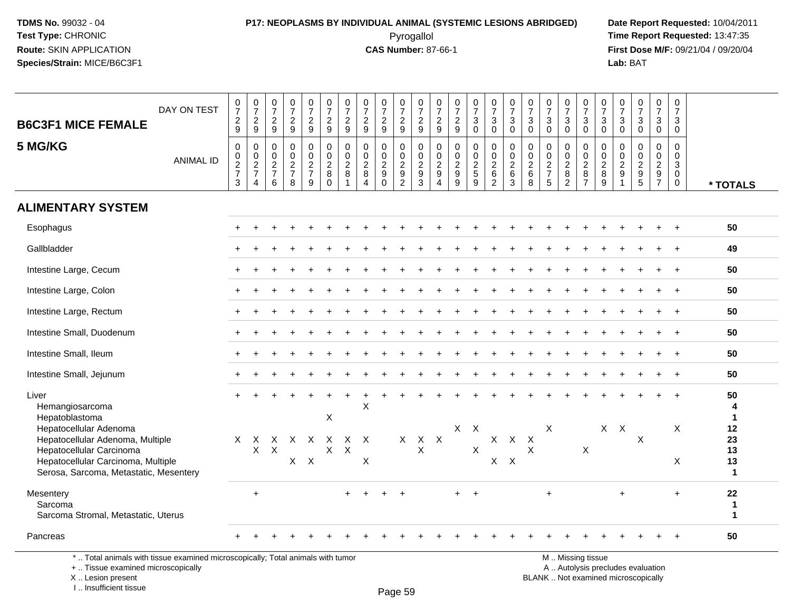### **P17: NEOPLASMS BY INDIVIDUAL ANIMAL (SYSTEMIC LESIONS ABRIDGED) Date Report Requested:** 10/04/2011 Pyrogallol **Time Report Requested:** 13:47:35

**First Dose M/F:** 09/21/04 / 09/20/04<br>Lab: BAT **Lab:** BAT

| <b>B6C3F1 MICE FEMALE</b><br>5 MG/KG                                                   | DAY ON TEST<br><b>ANIMAL ID</b> | $\frac{0}{7}$<br>$\frac{2}{9}$<br>$\boldsymbol{0}$<br>$\pmb{0}$ | $\begin{array}{c} 0 \\ 7 \end{array}$<br>$\frac{2}{9}$<br>0<br>0 | $\begin{smallmatrix}0\\7\end{smallmatrix}$<br>$\frac{2}{9}$<br>0<br>$\mathbf 0$<br>$\overline{c}$ | $\frac{0}{7}$<br>$\frac{2}{9}$<br>0<br>$\pmb{0}$ | $\frac{0}{7}$<br>$\frac{2}{9}$<br>0<br>0<br>$\overline{2}$ | $\frac{0}{7}$<br>$\frac{2}{9}$<br>$\mathbf 0$<br>$\mathbf 0$ | $\frac{0}{7}$<br>$\frac{2}{9}$<br>$\mathbf 0$<br>$\mathbf{0}$<br>$\overline{c}$ | $\frac{0}{7}$<br>$\frac{2}{9}$<br>$\pmb{0}$<br>$\mathbf 0$<br>$\overline{2}$ | $\frac{0}{7}$<br>$\overline{a}$<br>$\overline{9}$<br>0<br>$\mathbf 0$<br>$\overline{2}$ | $\frac{0}{7}$<br>$\frac{2}{9}$<br>0<br>0 | $\begin{array}{c} 0 \\ 7 \end{array}$<br>$\frac{2}{9}$<br>$\mathbf 0$<br>$\mathbf 0$ | $\frac{0}{7}$<br>$\frac{2}{9}$<br>$\mathbf 0$<br>$\mathbf 0$ | $\frac{0}{7}$<br>$\frac{2}{9}$<br>$\pmb{0}$<br>$\mathbf 0$<br>$\overline{c}$ | $\begin{smallmatrix}0\\7\end{smallmatrix}$<br>3<br>$\overline{0}$<br>0<br>$\mathbf 0$<br>$\overline{2}$ | $\frac{0}{7}$<br>$\ensuremath{\mathsf{3}}$<br>$\mathbf 0$<br>0<br>$\pmb{0}$ | $\frac{0}{7}$<br>$\mathbf{3}$<br>$\mathbf 0$<br>0<br>0<br>$\overline{c}$ | $\frac{0}{7}$<br>$\mathbf{3}$<br>$\mathbf 0$<br>$\mathbf 0$<br>0<br>$\sqrt{2}$ | $\begin{array}{c} 0 \\ 7 \end{array}$<br>$\frac{3}{0}$<br>$\mathbf 0$<br>$\pmb{0}$ | $\frac{0}{7}$<br>$\mathbf{3}$<br>$\mathbf 0$<br>0<br>0<br>$\overline{2}$ | $\frac{0}{7}$<br>$\mathsf 3$<br>$\overline{0}$<br>$\mathbf 0$<br>$\mathsf 0$ | $\frac{0}{7}$<br>3<br>$\mathbf 0$<br>0<br>$\mathbf{0}$<br>$\overline{a}$ | $\frac{0}{7}$<br>$_0^3$<br>$\mathbf 0$<br>$\mathbf 0$ | $\frac{0}{7}$<br>$\frac{3}{0}$<br>$\mathsf 0$<br>$\pmb{0}$ | $\frac{0}{7}$<br>3<br>$\overline{0}$<br>0<br>$\mathbf{0}$ | 0<br>$\overline{7}$<br>3<br>$\mathbf 0$<br>$\mathbf 0$<br>0<br>$\sqrt{3}$ |                                  |
|----------------------------------------------------------------------------------------|---------------------------------|-----------------------------------------------------------------|------------------------------------------------------------------|---------------------------------------------------------------------------------------------------|--------------------------------------------------|------------------------------------------------------------|--------------------------------------------------------------|---------------------------------------------------------------------------------|------------------------------------------------------------------------------|-----------------------------------------------------------------------------------------|------------------------------------------|--------------------------------------------------------------------------------------|--------------------------------------------------------------|------------------------------------------------------------------------------|---------------------------------------------------------------------------------------------------------|-----------------------------------------------------------------------------|--------------------------------------------------------------------------|--------------------------------------------------------------------------------|------------------------------------------------------------------------------------|--------------------------------------------------------------------------|------------------------------------------------------------------------------|--------------------------------------------------------------------------|-------------------------------------------------------|------------------------------------------------------------|-----------------------------------------------------------|---------------------------------------------------------------------------|----------------------------------|
|                                                                                        |                                 | $\frac{2}{7}$<br>3                                              | $\frac{2}{7}$<br>4                                               | $\overline{7}$<br>6                                                                               | $\frac{2}{7}$<br>8                               | $\overline{7}$<br>9                                        | $\frac{2}{8}$<br>$\Omega$                                    | 8<br>$\mathbf{1}$                                                               | 8<br>$\overline{4}$                                                          | 9<br>$\Omega$                                                                           | $\frac{2}{9}$<br>$\overline{2}$          | $\frac{2}{9}$<br>$\mathbf{3}$                                                        | $\frac{2}{9}$<br>$\overline{4}$                              | $\boldsymbol{9}$<br>9                                                        | $\sqrt{5}$<br>$\overline{9}$                                                                            | $\frac{2}{6}$<br>$\overline{2}$                                             | $\,6\,$<br>3                                                             | $\,6\,$<br>8                                                                   | $\frac{2}{7}$<br>5                                                                 | $\bf 8$<br>$\overline{c}$                                                | $\frac{2}{8}$<br>$\overline{7}$                                              | 8<br>9                                                                   | $\frac{2}{9}$<br>$\overline{1}$                       | $\begin{array}{c}\n 2 \\  9 \\  5\n \end{array}$           | $\frac{2}{9}$<br>$\overline{7}$                           | $\mathbf 0$<br>$\mathbf 0$                                                | * TOTALS                         |
| <b>ALIMENTARY SYSTEM</b>                                                               |                                 |                                                                 |                                                                  |                                                                                                   |                                                  |                                                            |                                                              |                                                                                 |                                                                              |                                                                                         |                                          |                                                                                      |                                                              |                                                                              |                                                                                                         |                                                                             |                                                                          |                                                                                |                                                                                    |                                                                          |                                                                              |                                                                          |                                                       |                                                            |                                                           |                                                                           |                                  |
| Esophagus                                                                              |                                 |                                                                 |                                                                  |                                                                                                   |                                                  |                                                            |                                                              |                                                                                 |                                                                              |                                                                                         |                                          |                                                                                      |                                                              |                                                                              |                                                                                                         |                                                                             |                                                                          |                                                                                |                                                                                    |                                                                          |                                                                              |                                                                          |                                                       |                                                            |                                                           |                                                                           | 50                               |
| Gallbladder                                                                            |                                 |                                                                 |                                                                  |                                                                                                   |                                                  |                                                            |                                                              |                                                                                 |                                                                              |                                                                                         |                                          |                                                                                      |                                                              |                                                                              |                                                                                                         |                                                                             |                                                                          |                                                                                |                                                                                    |                                                                          |                                                                              |                                                                          |                                                       |                                                            |                                                           |                                                                           | 49                               |
| Intestine Large, Cecum                                                                 |                                 |                                                                 |                                                                  |                                                                                                   |                                                  |                                                            |                                                              |                                                                                 |                                                                              |                                                                                         |                                          |                                                                                      |                                                              |                                                                              |                                                                                                         |                                                                             |                                                                          |                                                                                |                                                                                    |                                                                          |                                                                              |                                                                          |                                                       |                                                            |                                                           |                                                                           | 50                               |
| Intestine Large, Colon                                                                 |                                 |                                                                 |                                                                  |                                                                                                   |                                                  |                                                            |                                                              |                                                                                 |                                                                              |                                                                                         |                                          |                                                                                      |                                                              |                                                                              |                                                                                                         |                                                                             |                                                                          |                                                                                |                                                                                    |                                                                          |                                                                              |                                                                          |                                                       |                                                            |                                                           |                                                                           | 50                               |
| Intestine Large, Rectum                                                                |                                 |                                                                 |                                                                  |                                                                                                   |                                                  |                                                            |                                                              |                                                                                 |                                                                              |                                                                                         |                                          |                                                                                      |                                                              |                                                                              |                                                                                                         |                                                                             |                                                                          |                                                                                |                                                                                    |                                                                          |                                                                              |                                                                          |                                                       |                                                            |                                                           |                                                                           | 50                               |
| Intestine Small, Duodenum                                                              |                                 |                                                                 |                                                                  |                                                                                                   |                                                  |                                                            |                                                              |                                                                                 |                                                                              |                                                                                         |                                          |                                                                                      |                                                              |                                                                              |                                                                                                         |                                                                             |                                                                          |                                                                                |                                                                                    |                                                                          |                                                                              |                                                                          |                                                       |                                                            |                                                           |                                                                           | 50                               |
| Intestine Small, Ileum                                                                 |                                 |                                                                 |                                                                  |                                                                                                   |                                                  |                                                            |                                                              |                                                                                 |                                                                              |                                                                                         |                                          |                                                                                      |                                                              |                                                                              |                                                                                                         |                                                                             |                                                                          |                                                                                |                                                                                    |                                                                          |                                                                              |                                                                          |                                                       |                                                            |                                                           | $\overline{+}$                                                            | 50                               |
| Intestine Small, Jejunum                                                               |                                 |                                                                 |                                                                  |                                                                                                   |                                                  |                                                            |                                                              |                                                                                 |                                                                              |                                                                                         |                                          |                                                                                      |                                                              |                                                                              |                                                                                                         |                                                                             |                                                                          |                                                                                |                                                                                    |                                                                          |                                                                              |                                                                          |                                                       |                                                            |                                                           | $\overline{+}$                                                            | 50                               |
| Liver<br>Hemangiosarcoma<br>Hepatoblastoma                                             |                                 |                                                                 |                                                                  |                                                                                                   |                                                  |                                                            | $\boldsymbol{\mathsf{X}}$                                    |                                                                                 | X                                                                            |                                                                                         |                                          |                                                                                      |                                                              |                                                                              |                                                                                                         |                                                                             |                                                                          |                                                                                |                                                                                    |                                                                          |                                                                              |                                                                          |                                                       |                                                            |                                                           |                                                                           | 50<br>4<br>$\blacktriangleleft$  |
| Hepatocellular Adenoma<br>Hepatocellular Adenoma, Multiple<br>Hepatocellular Carcinoma |                                 | $\mathsf{X}$                                                    | X<br>$\mathsf{X}$                                                | X<br>$\mathsf{X}$                                                                                 | $\mathsf{X}$                                     | $\mathsf{X}$                                               | $\mathsf{X}$<br>X                                            | $\mathsf{X}$<br>$\sf X$                                                         | $\mathsf{X}$                                                                 |                                                                                         | X                                        | $X$ $X$<br>$\times$                                                                  |                                                              | $X$ $X$                                                                      | $\mathsf{X}$                                                                                            | $\mathsf X$                                                                 | $\mathsf{X}$                                                             | $\boldsymbol{\mathsf{X}}$<br>$\pmb{\times}$                                    | X                                                                                  |                                                                          | X                                                                            | X                                                                        | $\mathsf{X}$                                          | X                                                          |                                                           | X                                                                         | 12<br>23<br>13                   |
| Hepatocellular Carcinoma, Multiple<br>Serosa, Sarcoma, Metastatic, Mesentery           |                                 |                                                                 |                                                                  |                                                                                                   |                                                  | $X$ $X$                                                    |                                                              |                                                                                 | X                                                                            |                                                                                         |                                          |                                                                                      |                                                              |                                                                              |                                                                                                         |                                                                             | $X$ $X$                                                                  |                                                                                |                                                                                    |                                                                          |                                                                              |                                                                          |                                                       |                                                            |                                                           | X                                                                         | 13<br>$\mathbf{1}$               |
| Mesentery<br>Sarcoma<br>Sarcoma Stromal, Metastatic, Uterus                            |                                 |                                                                 | $\ddot{}$                                                        |                                                                                                   |                                                  |                                                            |                                                              |                                                                                 |                                                                              |                                                                                         |                                          |                                                                                      |                                                              | $+$                                                                          | $+$                                                                                                     |                                                                             |                                                                          |                                                                                | $\ddot{}$                                                                          |                                                                          |                                                                              |                                                                          | $\ddot{}$                                             |                                                            |                                                           | $\ddot{}$                                                                 | 22<br>-1<br>$\blacktriangleleft$ |
| Pancreas                                                                               |                                 |                                                                 |                                                                  |                                                                                                   |                                                  |                                                            |                                                              |                                                                                 |                                                                              |                                                                                         |                                          |                                                                                      |                                                              |                                                                              |                                                                                                         |                                                                             |                                                                          |                                                                                |                                                                                    |                                                                          |                                                                              |                                                                          |                                                       |                                                            |                                                           |                                                                           | 50                               |

\* .. Total animals with tissue examined microscopically; Total animals with tumor

+ .. Tissue examined microscopically

 Lesion present BLANK .. Not examined microscopicallyX .. Lesion present

I .. Insufficient tissue

M .. Missing tissue

y the contract of the contract of the contract of the contract of the contract of  $\mathsf A$  . Autolysis precludes evaluation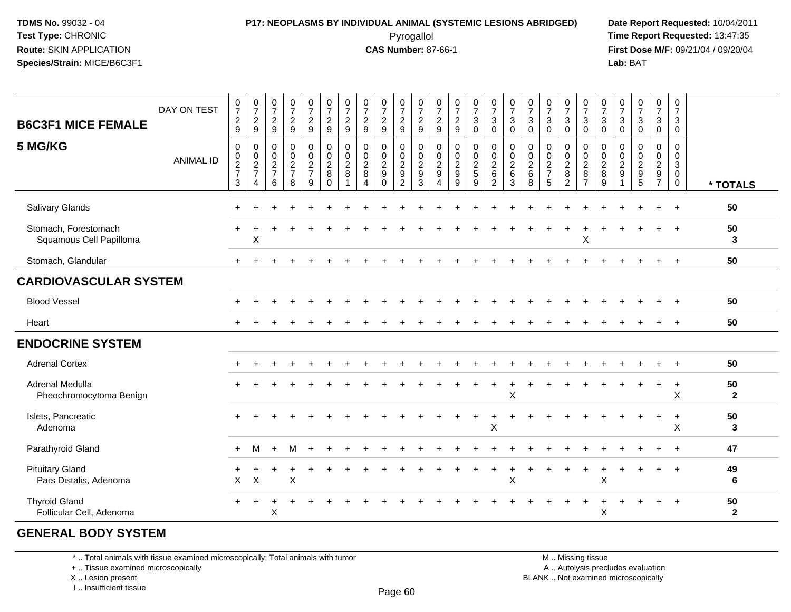### **P17: NEOPLASMS BY INDIVIDUAL ANIMAL (SYSTEMIC LESIONS ABRIDGED) Date Report Requested:** 10/04/2011 Pyrogallol **Time Report Requested:** 13:47:35

**First Dose M/F:** 09/21/04 / 09/20/04<br>Lab: BAT **Lab:** BAT

| <b>B6C3F1 MICE FEMALE</b><br>5 MG/KG             | DAY ON TEST<br><b>ANIMAL ID</b> | $\frac{0}{7}$<br>$\frac{2}{9}$<br>$\mathbf 0$<br>$\pmb{0}$<br>$\frac{2}{7}$<br>3 | $\begin{smallmatrix}0\\7\end{smallmatrix}$<br>$\frac{2}{9}$<br>0<br>$\pmb{0}$<br>$\frac{2}{7}$<br>4 | $\frac{0}{7}$<br>$\frac{2}{9}$<br>0<br>$\begin{array}{c} 0 \\ 2 \\ 7 \end{array}$<br>6 | $\frac{0}{7}$<br>$\frac{2}{9}$<br>$\pmb{0}$<br>$\pmb{0}$<br>$\frac{2}{7}$<br>8 | $\begin{array}{c} 0 \\ 7 \end{array}$<br>$\frac{2}{9}$<br>00027<br>9 | $\frac{0}{7}$<br>$\frac{2}{9}$<br>$\pmb{0}$<br>$\overline{0}$<br>$\frac{2}{8}$<br>$\mathbf 0$ | $\begin{array}{c} 0 \\ 7 \end{array}$<br>$\frac{2}{9}$<br>0<br>$\pmb{0}$<br>$\overline{\mathbf{c}}$<br>8 | $\frac{0}{7}$<br>$\frac{2}{9}$<br>0<br>$\frac{0}{2}$<br>$\overline{4}$ | $\frac{0}{7}$<br>$\frac{2}{9}$<br>0<br>$\pmb{0}$<br>$\overline{c}$<br>$\boldsymbol{9}$<br>$\Omega$ | $\begin{array}{c} 0 \\ 7 \end{array}$<br>$\frac{2}{9}$<br>0<br>$\frac{0}{2}$<br>2 | $\frac{0}{7}$<br>$\frac{2}{9}$<br>0<br>$\mathbf 0$<br>$\sqrt{2}$<br>$\boldsymbol{9}$<br>3 | $\frac{0}{7}$<br>$\frac{2}{9}$<br>0<br>$\pmb{0}$<br>$\overline{c}$<br>$\boldsymbol{9}$<br>4 | $\frac{0}{7}$<br>$\frac{2}{9}$<br>$\pmb{0}$<br>0<br>9<br>9 | $\frac{0}{7}$<br>$\mathbf{3}$<br>$\Omega$<br>$\pmb{0}$<br>$\pmb{0}$<br>$\frac{2}{5}$<br>9 | $\begin{smallmatrix}0\\7\end{smallmatrix}$<br>$\mathsf 3$<br>$\mathbf 0$<br>$\boldsymbol{0}$<br>$\frac{0}{2}$<br>$\overline{2}$ | $\frac{0}{7}$<br>$\mathbf 3$<br>$\Omega$<br>$\pmb{0}$<br>$\overline{0}$<br>$\frac{2}{6}$<br>3 | $\begin{array}{c} 0 \\ 7 \end{array}$<br>3<br>$\Omega$<br>0<br>$\boldsymbol{0}$<br>$\overline{c}$<br>$\,6\,$<br>8 | $\frac{0}{7}$<br>$\ensuremath{\mathsf{3}}$<br>$\Omega$<br>$\pmb{0}$<br>$\begin{array}{c} 0 \\ 2 \\ 7 \end{array}$<br>5 | $\frac{0}{7}$<br>$\mathbf{3}$<br>$\Omega$<br>0<br>0<br>$\frac{2}{8}$<br>$\overline{2}$ | $\frac{0}{7}$<br>$\mathbf{3}$<br>$\mathbf 0$<br>0<br>$\frac{0}{2}$<br>$\overline{7}$ | $\frac{0}{7}$<br>$\sqrt{3}$<br>$\Omega$<br>$\mathbf 0$<br>$\begin{array}{c} 0 \\ 2 \\ 8 \end{array}$<br>$\overline{9}$ | $\frac{0}{7}$<br>$\mathbf{3}$<br>$\Omega$<br>0<br>$\mathbf 0$<br>$\overline{c}$<br>$\boldsymbol{9}$<br>1 | $\begin{smallmatrix}0\\7\end{smallmatrix}$<br>$\sqrt{3}$<br>$\mathbf 0$<br>$\pmb{0}$<br>$\begin{array}{c}\n0 \\ 2 \\ 5\n\end{array}$ | $\frac{0}{7}$<br>$\mathfrak{S}$<br>$\mathbf 0$<br>$\pmb{0}$<br>$\begin{array}{c} 0 \\ 2 \\ 9 \\ 7 \end{array}$ | 0<br>$\overline{7}$<br>$\mathbf{3}$<br>$\mathbf 0$<br>$\mathbf 0$<br>$\mathbf 0$<br>$\mathbf{3}$<br>$\overline{0}$<br>$\overline{0}$ |                      |
|--------------------------------------------------|---------------------------------|----------------------------------------------------------------------------------|-----------------------------------------------------------------------------------------------------|----------------------------------------------------------------------------------------|--------------------------------------------------------------------------------|----------------------------------------------------------------------|-----------------------------------------------------------------------------------------------|----------------------------------------------------------------------------------------------------------|------------------------------------------------------------------------|----------------------------------------------------------------------------------------------------|-----------------------------------------------------------------------------------|-------------------------------------------------------------------------------------------|---------------------------------------------------------------------------------------------|------------------------------------------------------------|-------------------------------------------------------------------------------------------|---------------------------------------------------------------------------------------------------------------------------------|-----------------------------------------------------------------------------------------------|-------------------------------------------------------------------------------------------------------------------|------------------------------------------------------------------------------------------------------------------------|----------------------------------------------------------------------------------------|--------------------------------------------------------------------------------------|------------------------------------------------------------------------------------------------------------------------|----------------------------------------------------------------------------------------------------------|--------------------------------------------------------------------------------------------------------------------------------------|----------------------------------------------------------------------------------------------------------------|--------------------------------------------------------------------------------------------------------------------------------------|----------------------|
|                                                  |                                 |                                                                                  |                                                                                                     |                                                                                        |                                                                                |                                                                      |                                                                                               |                                                                                                          |                                                                        |                                                                                                    |                                                                                   |                                                                                           |                                                                                             |                                                            |                                                                                           |                                                                                                                                 |                                                                                               |                                                                                                                   |                                                                                                                        |                                                                                        |                                                                                      |                                                                                                                        |                                                                                                          |                                                                                                                                      |                                                                                                                |                                                                                                                                      | * TOTALS             |
| Salivary Glands                                  |                                 |                                                                                  |                                                                                                     |                                                                                        |                                                                                |                                                                      |                                                                                               |                                                                                                          |                                                                        |                                                                                                    |                                                                                   |                                                                                           |                                                                                             |                                                            |                                                                                           |                                                                                                                                 |                                                                                               |                                                                                                                   |                                                                                                                        |                                                                                        |                                                                                      |                                                                                                                        |                                                                                                          |                                                                                                                                      |                                                                                                                |                                                                                                                                      | 50                   |
| Stomach, Forestomach<br>Squamous Cell Papilloma  |                                 |                                                                                  | X                                                                                                   |                                                                                        |                                                                                |                                                                      |                                                                                               |                                                                                                          |                                                                        |                                                                                                    |                                                                                   |                                                                                           |                                                                                             |                                                            |                                                                                           |                                                                                                                                 |                                                                                               |                                                                                                                   |                                                                                                                        |                                                                                        | $\mathsf X$                                                                          |                                                                                                                        |                                                                                                          |                                                                                                                                      |                                                                                                                |                                                                                                                                      | 50<br>3              |
| Stomach, Glandular                               |                                 | $+$                                                                              |                                                                                                     |                                                                                        |                                                                                |                                                                      |                                                                                               |                                                                                                          |                                                                        |                                                                                                    |                                                                                   |                                                                                           |                                                                                             |                                                            |                                                                                           |                                                                                                                                 |                                                                                               |                                                                                                                   |                                                                                                                        |                                                                                        |                                                                                      |                                                                                                                        |                                                                                                          |                                                                                                                                      |                                                                                                                | $+$                                                                                                                                  | 50                   |
| <b>CARDIOVASCULAR SYSTEM</b>                     |                                 |                                                                                  |                                                                                                     |                                                                                        |                                                                                |                                                                      |                                                                                               |                                                                                                          |                                                                        |                                                                                                    |                                                                                   |                                                                                           |                                                                                             |                                                            |                                                                                           |                                                                                                                                 |                                                                                               |                                                                                                                   |                                                                                                                        |                                                                                        |                                                                                      |                                                                                                                        |                                                                                                          |                                                                                                                                      |                                                                                                                |                                                                                                                                      |                      |
| <b>Blood Vessel</b>                              |                                 |                                                                                  |                                                                                                     |                                                                                        |                                                                                |                                                                      |                                                                                               |                                                                                                          |                                                                        |                                                                                                    |                                                                                   |                                                                                           |                                                                                             |                                                            |                                                                                           |                                                                                                                                 |                                                                                               |                                                                                                                   |                                                                                                                        |                                                                                        |                                                                                      |                                                                                                                        |                                                                                                          |                                                                                                                                      |                                                                                                                |                                                                                                                                      | 50                   |
| Heart                                            |                                 |                                                                                  |                                                                                                     |                                                                                        |                                                                                |                                                                      |                                                                                               |                                                                                                          |                                                                        |                                                                                                    |                                                                                   |                                                                                           |                                                                                             |                                                            |                                                                                           |                                                                                                                                 |                                                                                               |                                                                                                                   |                                                                                                                        |                                                                                        |                                                                                      |                                                                                                                        |                                                                                                          |                                                                                                                                      |                                                                                                                |                                                                                                                                      | 50                   |
| <b>ENDOCRINE SYSTEM</b>                          |                                 |                                                                                  |                                                                                                     |                                                                                        |                                                                                |                                                                      |                                                                                               |                                                                                                          |                                                                        |                                                                                                    |                                                                                   |                                                                                           |                                                                                             |                                                            |                                                                                           |                                                                                                                                 |                                                                                               |                                                                                                                   |                                                                                                                        |                                                                                        |                                                                                      |                                                                                                                        |                                                                                                          |                                                                                                                                      |                                                                                                                |                                                                                                                                      |                      |
| <b>Adrenal Cortex</b>                            |                                 |                                                                                  |                                                                                                     |                                                                                        |                                                                                |                                                                      |                                                                                               |                                                                                                          |                                                                        |                                                                                                    |                                                                                   |                                                                                           |                                                                                             |                                                            |                                                                                           |                                                                                                                                 |                                                                                               |                                                                                                                   |                                                                                                                        |                                                                                        |                                                                                      |                                                                                                                        |                                                                                                          |                                                                                                                                      |                                                                                                                |                                                                                                                                      | 50                   |
| Adrenal Medulla<br>Pheochromocytoma Benign       |                                 |                                                                                  |                                                                                                     |                                                                                        |                                                                                |                                                                      |                                                                                               |                                                                                                          |                                                                        |                                                                                                    |                                                                                   |                                                                                           |                                                                                             |                                                            |                                                                                           |                                                                                                                                 | $\times$                                                                                      |                                                                                                                   |                                                                                                                        |                                                                                        |                                                                                      |                                                                                                                        |                                                                                                          |                                                                                                                                      | $\ddot{}$                                                                                                      | $\ddot{}$<br>$\sf X$                                                                                                                 | 50<br>$\overline{2}$ |
| Islets, Pancreatic<br>Adenoma                    |                                 |                                                                                  |                                                                                                     |                                                                                        |                                                                                |                                                                      |                                                                                               |                                                                                                          |                                                                        |                                                                                                    |                                                                                   |                                                                                           |                                                                                             |                                                            |                                                                                           | X                                                                                                                               |                                                                                               |                                                                                                                   |                                                                                                                        |                                                                                        |                                                                                      |                                                                                                                        |                                                                                                          |                                                                                                                                      |                                                                                                                | $\ddot{}$<br>X                                                                                                                       | 50<br>3              |
| Parathyroid Gland                                |                                 | $\pm$                                                                            | м                                                                                                   | ÷.                                                                                     | м                                                                              |                                                                      |                                                                                               |                                                                                                          |                                                                        |                                                                                                    |                                                                                   |                                                                                           |                                                                                             |                                                            |                                                                                           |                                                                                                                                 |                                                                                               |                                                                                                                   |                                                                                                                        |                                                                                        |                                                                                      |                                                                                                                        |                                                                                                          |                                                                                                                                      |                                                                                                                |                                                                                                                                      | 47                   |
| <b>Pituitary Gland</b><br>Pars Distalis, Adenoma |                                 | $\mathsf{X}$                                                                     | $\times$                                                                                            |                                                                                        | $\boldsymbol{\mathsf{X}}$                                                      |                                                                      |                                                                                               |                                                                                                          |                                                                        |                                                                                                    |                                                                                   |                                                                                           |                                                                                             |                                                            |                                                                                           |                                                                                                                                 | $\mathsf X$                                                                                   |                                                                                                                   |                                                                                                                        |                                                                                        |                                                                                      | $\sf X$                                                                                                                |                                                                                                          |                                                                                                                                      |                                                                                                                |                                                                                                                                      | 49<br>6              |
| <b>Thyroid Gland</b><br>Follicular Cell, Adenoma |                                 | $\pm$                                                                            | $\ddot{}$                                                                                           | X                                                                                      |                                                                                |                                                                      |                                                                                               |                                                                                                          |                                                                        |                                                                                                    |                                                                                   |                                                                                           |                                                                                             |                                                            |                                                                                           |                                                                                                                                 |                                                                                               |                                                                                                                   |                                                                                                                        |                                                                                        | $\ddot{}$                                                                            | $\boldsymbol{\mathsf{X}}$                                                                                              |                                                                                                          |                                                                                                                                      |                                                                                                                | $+$                                                                                                                                  | 50<br>$\mathbf{2}$   |

#### **GENERAL BODY SYSTEM**

\* .. Total animals with tissue examined microscopically; Total animals with tumor

+ .. Tissue examined microscopically

X .. Lesion present

I .. Insufficient tissue

 M .. Missing tissuey the contract of the contract of the contract of the contract of the contract of  $\mathsf A$  . Autolysis precludes evaluation

Lesion present BLANK .. Not examined microscopically

Page 60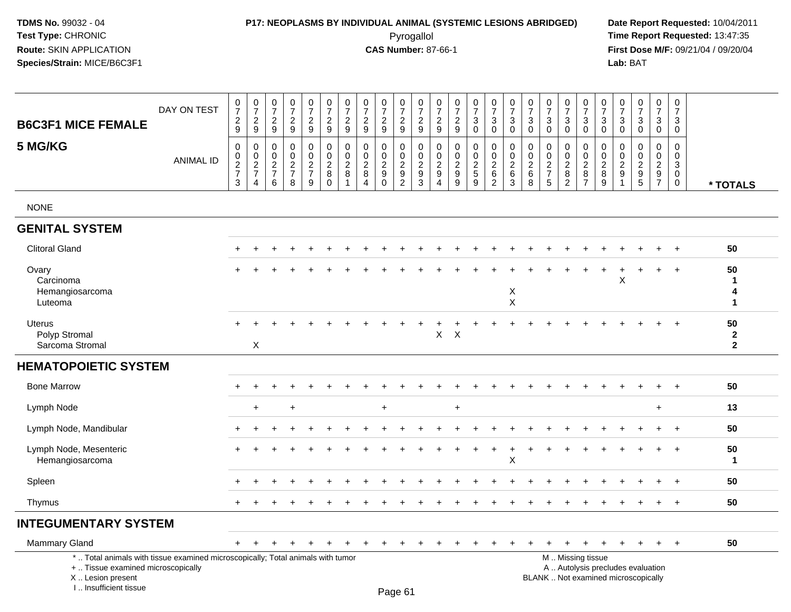# **P17: NEOPLASMS BY INDIVIDUAL ANIMAL (SYSTEMIC LESIONS ABRIDGED) Date Report Requested:** 10/04/2011

 Pyrogallol **Time Report Requested:** 13:47:35 **First Dose M/F:** 09/21/04 / 09/20/04<br>Lab: BAT **Lab:** BAT

| <b>B6C3F1 MICE FEMALE</b>                                                                                                                                             | DAY ON TEST      | $\frac{0}{7}$<br>$\frac{2}{9}$                                 | $\begin{array}{c} 0 \\ 7 \end{array}$<br>$\overline{\mathbf{c}}$<br>9 | $\pmb{0}$<br>$\overline{7}$<br>$\sqrt{2}$<br>9                          | $\pmb{0}$<br>$\overline{7}$<br>$\overline{c}$<br>9 | $\pmb{0}$<br>$\boldsymbol{7}$<br>$\sqrt{2}$<br>$9\,$  | $\pmb{0}$<br>$\boldsymbol{7}$<br>$\frac{2}{9}$                         | 0<br>$\overline{7}$<br>$\overline{c}$<br>9                   | 0<br>$\overline{7}$<br>$\sqrt{2}$<br>9                          | $\pmb{0}$<br>$\overline{7}$<br>$\sqrt{2}$<br>9                | 0<br>$\overline{7}$<br>$\sqrt{2}$<br>9                        | $\mathbf 0$<br>$\overline{7}$<br>$\sqrt{2}$<br>9   | 0<br>$\overline{7}$<br>$\sqrt{2}$<br>9                               | $\pmb{0}$<br>$\overline{7}$<br>$\sqrt{2}$<br>9                | $\pmb{0}$<br>$\overline{7}$<br>$\mathfrak{S}$<br>$\mathbf 0$ | 0<br>$\overline{7}$<br>$\sqrt{3}$<br>$\mathbf 0$                | $\pmb{0}$<br>$\overline{7}$<br>$\mathbf{3}$<br>$\overline{0}$     | 0<br>$\overline{7}$<br>$\mathbf{3}$<br>$\mathbf 0$       | 0<br>$\overline{7}$<br>$\mathbf{3}$<br>$\mathbf 0$    | $\pmb{0}$<br>$\overline{7}$<br>$\mathfrak{Z}$<br>$\mathbf 0$ | $\pmb{0}$<br>$\overline{7}$<br>$\sqrt{3}$<br>$\mathbf 0$ | 0<br>$\overline{7}$<br>$\sqrt{3}$<br>$\mathbf 0$        | 0<br>$\overline{7}$<br>3<br>$\mathbf 0$               | $\pmb{0}$<br>$\overline{7}$<br>$\sqrt{3}$<br>$\mathbf 0$ | $\pmb{0}$<br>$\overline{7}$<br>$\mathbf{3}$<br>$\mathbf 0$ | $\mathbf 0$<br>$\overline{7}$<br>$\mathfrak{S}$<br>$\mathbf 0$ |                                    |
|-----------------------------------------------------------------------------------------------------------------------------------------------------------------------|------------------|----------------------------------------------------------------|-----------------------------------------------------------------------|-------------------------------------------------------------------------|----------------------------------------------------|-------------------------------------------------------|------------------------------------------------------------------------|--------------------------------------------------------------|-----------------------------------------------------------------|---------------------------------------------------------------|---------------------------------------------------------------|----------------------------------------------------|----------------------------------------------------------------------|---------------------------------------------------------------|--------------------------------------------------------------|-----------------------------------------------------------------|-------------------------------------------------------------------|----------------------------------------------------------|-------------------------------------------------------|--------------------------------------------------------------|----------------------------------------------------------|---------------------------------------------------------|-------------------------------------------------------|----------------------------------------------------------|------------------------------------------------------------|----------------------------------------------------------------|------------------------------------|
| 5 MG/KG                                                                                                                                                               | <b>ANIMAL ID</b> | $\mathbf 0$<br>$\begin{array}{c} 0 \\ 2 \\ 7 \end{array}$<br>3 | $\pmb{0}$<br>$\mathsf 0$<br>$\frac{2}{7}$<br>$\overline{4}$           | $\mathbf 0$<br>$\mathbf 0$<br>$\sqrt{2}$<br>$\boldsymbol{7}$<br>$\,6\,$ | $\mathbf 0$<br>$\mathbf 0$<br>$\frac{2}{7}$<br>8   | 0<br>$\mathbf 0$<br>$\frac{2}{7}$<br>$\boldsymbol{9}$ | $\pmb{0}$<br>$\mathsf{O}\xspace$<br>$\overline{2}$<br>8<br>$\mathsf 0$ | $\mathbf 0$<br>$\mathbf 0$<br>$\sqrt{2}$<br>8<br>$\mathbf 1$ | $\mathbf 0$<br>0<br>$\overline{c}$<br>$\bf 8$<br>$\overline{4}$ | $\mathbf 0$<br>$\mathsf 0$<br>$\overline{2}$<br>9<br>$\Omega$ | $\mathbf 0$<br>$\mathbf 0$<br>$\frac{2}{9}$<br>$\overline{c}$ | $\mathbf 0$<br>$\mathbf 0$<br>$\sqrt{2}$<br>9<br>3 | $\mathbf 0$<br>0<br>$\sqrt{2}$<br>$\boldsymbol{9}$<br>$\overline{4}$ | $\mathbf 0$<br>$\mathbf 0$<br>$\frac{2}{9}$<br>$\overline{9}$ | $\mathbf 0$<br>$\mathsf{O}\xspace$<br>$\frac{2}{5}$<br>9     | 0<br>$\pmb{0}$<br>$\boldsymbol{2}$<br>$\,6\,$<br>$\overline{c}$ | $\mathbf 0$<br>$\mathbf 0$<br>$\overline{2}$<br>6<br>$\mathbf{3}$ | $\mathbf 0$<br>$\mathbf 0$<br>$\boldsymbol{2}$<br>6<br>8 | $\mathbf 0$<br>0<br>$\sqrt{2}$<br>$\overline{7}$<br>5 | $\mathbf 0$<br>0<br>$\frac{2}{8}$<br>2                       | 0<br>$\boldsymbol{0}$<br>$\frac{2}{8}$<br>$\overline{7}$ | 0<br>$\mathbf 0$<br>$\sqrt{2}$<br>8<br>$\boldsymbol{9}$ | 0<br>$\mathbf 0$<br>$\overline{\mathbf{c}}$<br>9<br>1 | $\mathbf 0$<br>$\mathbf 0$<br>$\frac{2}{9}$              | $\mathbf 0$<br>$\pmb{0}$<br>$\frac{2}{9}$                  | $\mathbf 0$<br>0<br>3<br>$\mathbf 0$<br>$\mathbf 0$            | * TOTALS                           |
| <b>NONE</b>                                                                                                                                                           |                  |                                                                |                                                                       |                                                                         |                                                    |                                                       |                                                                        |                                                              |                                                                 |                                                               |                                                               |                                                    |                                                                      |                                                               |                                                              |                                                                 |                                                                   |                                                          |                                                       |                                                              |                                                          |                                                         |                                                       |                                                          |                                                            |                                                                |                                    |
| <b>GENITAL SYSTEM</b>                                                                                                                                                 |                  |                                                                |                                                                       |                                                                         |                                                    |                                                       |                                                                        |                                                              |                                                                 |                                                               |                                                               |                                                    |                                                                      |                                                               |                                                              |                                                                 |                                                                   |                                                          |                                                       |                                                              |                                                          |                                                         |                                                       |                                                          |                                                            |                                                                |                                    |
| <b>Clitoral Gland</b>                                                                                                                                                 |                  |                                                                |                                                                       |                                                                         |                                                    |                                                       |                                                                        |                                                              |                                                                 |                                                               |                                                               |                                                    |                                                                      |                                                               |                                                              |                                                                 |                                                                   |                                                          |                                                       |                                                              |                                                          |                                                         |                                                       |                                                          |                                                            |                                                                | 50                                 |
| Ovary<br>Carcinoma<br>Hemangiosarcoma                                                                                                                                 |                  |                                                                |                                                                       |                                                                         |                                                    |                                                       |                                                                        |                                                              |                                                                 |                                                               |                                                               |                                                    |                                                                      |                                                               |                                                              |                                                                 | X                                                                 |                                                          |                                                       |                                                              |                                                          |                                                         | Χ                                                     |                                                          | $\ddot{}$                                                  | $\ddot{}$                                                      | 50<br>1<br>4                       |
| Luteoma                                                                                                                                                               |                  |                                                                |                                                                       |                                                                         |                                                    |                                                       |                                                                        |                                                              |                                                                 |                                                               |                                                               |                                                    |                                                                      |                                                               |                                                              |                                                                 | $\times$                                                          |                                                          |                                                       |                                                              |                                                          |                                                         |                                                       |                                                          |                                                            |                                                                | 1                                  |
| Uterus<br>Polyp Stromal<br>Sarcoma Stromal                                                                                                                            |                  |                                                                | X                                                                     |                                                                         |                                                    |                                                       |                                                                        |                                                              |                                                                 |                                                               |                                                               |                                                    | X                                                                    | $\mathsf X$                                                   |                                                              |                                                                 |                                                                   |                                                          |                                                       |                                                              |                                                          |                                                         |                                                       |                                                          |                                                            | $\overline{1}$                                                 | 50<br>$\mathbf{2}$<br>$\mathbf{2}$ |
| <b>HEMATOPOIETIC SYSTEM</b>                                                                                                                                           |                  |                                                                |                                                                       |                                                                         |                                                    |                                                       |                                                                        |                                                              |                                                                 |                                                               |                                                               |                                                    |                                                                      |                                                               |                                                              |                                                                 |                                                                   |                                                          |                                                       |                                                              |                                                          |                                                         |                                                       |                                                          |                                                            |                                                                |                                    |
| <b>Bone Marrow</b>                                                                                                                                                    |                  |                                                                |                                                                       |                                                                         |                                                    |                                                       |                                                                        |                                                              |                                                                 |                                                               |                                                               |                                                    |                                                                      |                                                               |                                                              |                                                                 |                                                                   |                                                          |                                                       |                                                              |                                                          |                                                         |                                                       |                                                          | $\ddot{}$                                                  | $+$                                                            | 50                                 |
| Lymph Node                                                                                                                                                            |                  |                                                                | $\ddot{}$                                                             |                                                                         | $\ddot{}$                                          |                                                       |                                                                        |                                                              |                                                                 | $\ddot{}$                                                     |                                                               |                                                    |                                                                      | $+$                                                           |                                                              |                                                                 |                                                                   |                                                          |                                                       |                                                              |                                                          |                                                         |                                                       |                                                          | $\ddot{}$                                                  |                                                                | 13                                 |
| Lymph Node, Mandibular                                                                                                                                                |                  |                                                                |                                                                       |                                                                         |                                                    |                                                       |                                                                        |                                                              |                                                                 |                                                               |                                                               |                                                    |                                                                      |                                                               |                                                              |                                                                 |                                                                   |                                                          |                                                       |                                                              |                                                          |                                                         |                                                       |                                                          |                                                            | $\ddot{}$                                                      | 50                                 |
| Lymph Node, Mesenteric<br>Hemangiosarcoma                                                                                                                             |                  |                                                                |                                                                       |                                                                         |                                                    |                                                       |                                                                        |                                                              |                                                                 |                                                               |                                                               |                                                    |                                                                      |                                                               |                                                              |                                                                 | $\mathsf X$                                                       |                                                          |                                                       |                                                              |                                                          |                                                         |                                                       |                                                          |                                                            | $\overline{1}$                                                 | 50<br>$\mathbf{1}$                 |
| Spleen                                                                                                                                                                |                  |                                                                |                                                                       |                                                                         |                                                    |                                                       |                                                                        |                                                              |                                                                 |                                                               |                                                               |                                                    |                                                                      |                                                               |                                                              |                                                                 |                                                                   |                                                          |                                                       |                                                              |                                                          |                                                         |                                                       |                                                          |                                                            | $\overline{1}$                                                 | 50                                 |
| Thymus                                                                                                                                                                |                  |                                                                |                                                                       |                                                                         |                                                    |                                                       |                                                                        |                                                              |                                                                 |                                                               |                                                               |                                                    |                                                                      |                                                               |                                                              |                                                                 |                                                                   |                                                          |                                                       |                                                              |                                                          |                                                         |                                                       |                                                          |                                                            | $\ddot{}$                                                      | 50                                 |
| <b>INTEGUMENTARY SYSTEM</b>                                                                                                                                           |                  |                                                                |                                                                       |                                                                         |                                                    |                                                       |                                                                        |                                                              |                                                                 |                                                               |                                                               |                                                    |                                                                      |                                                               |                                                              |                                                                 |                                                                   |                                                          |                                                       |                                                              |                                                          |                                                         |                                                       |                                                          |                                                            |                                                                |                                    |
| Mammary Gland                                                                                                                                                         |                  | $+$                                                            | $+$                                                                   |                                                                         |                                                    |                                                       |                                                                        |                                                              |                                                                 |                                                               |                                                               |                                                    |                                                                      |                                                               |                                                              |                                                                 |                                                                   |                                                          | $\ddot{}$                                             | $+$                                                          | $\overline{+}$                                           | $\overline{+}$                                          | $\ddot{}$                                             | $\div$                                                   | $+$                                                        | $+$                                                            | 50                                 |
| *  Total animals with tissue examined microscopically; Total animals with tumor<br>+  Tissue examined microscopically<br>X  Lesion present<br>I., Insufficient tissue |                  |                                                                |                                                                       |                                                                         |                                                    |                                                       |                                                                        |                                                              |                                                                 |                                                               | Page 61                                                       |                                                    |                                                                      |                                                               |                                                              |                                                                 |                                                                   |                                                          | BLANK  Not examined microscopically                   |                                                              | M  Missing tissue                                        |                                                         |                                                       | A  Autolysis precludes evaluation                        |                                                            |                                                                |                                    |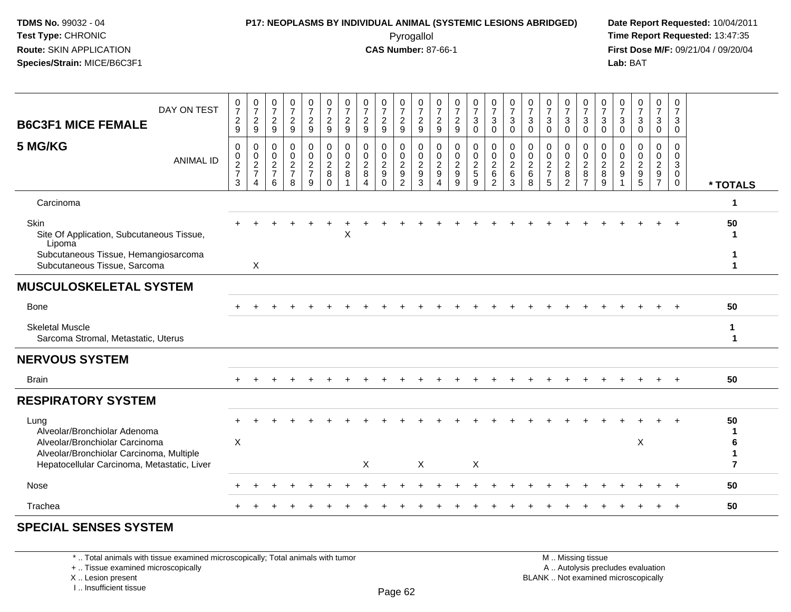### **P17: NEOPLASMS BY INDIVIDUAL ANIMAL (SYSTEMIC LESIONS ABRIDGED) Date Report Requested:** 10/04/2011 Pyrogallol **Time Report Requested:** 13:47:35

**First Dose M/F:** 09/21/04 / 09/20/04<br>Lab: BAT **Lab:** BAT

| DAY ON TEST<br><b>B6C3F1 MICE FEMALE</b>                                                                                  | $\frac{0}{7}$<br>$\overline{c}$<br>9 | $\begin{array}{c} 0 \\ 7 \\ 2 \end{array}$<br>9                                  | $\frac{0}{7}$<br>$\overline{c}$<br>9   | 0<br>$\overline{7}$<br>$\overline{a}$<br>9                        | $\frac{0}{7}$<br>$\overline{a}$<br>9 | $\frac{0}{7}$<br>$\overline{c}$<br>9                | 0<br>$\overline{7}$<br>$\overline{a}$<br>9 | $\frac{0}{7}$<br>$\sqrt{2}$<br>$9\,$                                                   | 0<br>$\overline{7}$<br>$\sqrt{2}$<br>9            | 0<br>$\overline{7}$<br>$\overline{c}$<br>9          | $\frac{0}{7}$<br>$\overline{\mathbf{c}}$<br>9     | $\frac{0}{7}$<br>$\overline{c}$<br>$\boldsymbol{9}$ | $\frac{0}{7}$<br>$\sqrt{2}$<br>$\boldsymbol{9}$ | 0<br>$\overline{7}$<br>$\sqrt{3}$<br>0 | $\frac{0}{7}$<br>$\mathbf{3}$<br>$\mathbf 0$                    | 0<br>$\overline{7}$<br>3<br>$\mathbf 0$                | $\frac{0}{7}$<br>3<br>$\mathbf 0$                      | 0<br>$\overline{7}$<br>$\mathbf{3}$<br>0                  | 0<br>$\boldsymbol{7}$<br>$\mathbf{3}$<br>$\mathbf 0$ | 0<br>$\overline{7}$<br>$\mathbf{3}$<br>0                  | 0<br>$\overline{7}$<br>3<br>$\mathbf 0$      | $\frac{0}{7}$<br>3<br>$\boldsymbol{0}$                 | $\frac{0}{7}$<br>$\mathbf{3}$<br>$\mathsf 0$         | 0<br>$\overline{7}$<br>3<br>0     | 0<br>$\overline{7}$<br>3<br>$\mathbf 0$                            |                             |
|---------------------------------------------------------------------------------------------------------------------------|--------------------------------------|----------------------------------------------------------------------------------|----------------------------------------|-------------------------------------------------------------------|--------------------------------------|-----------------------------------------------------|--------------------------------------------|----------------------------------------------------------------------------------------|---------------------------------------------------|-----------------------------------------------------|---------------------------------------------------|-----------------------------------------------------|-------------------------------------------------|----------------------------------------|-----------------------------------------------------------------|--------------------------------------------------------|--------------------------------------------------------|-----------------------------------------------------------|------------------------------------------------------|-----------------------------------------------------------|----------------------------------------------|--------------------------------------------------------|------------------------------------------------------|-----------------------------------|--------------------------------------------------------------------|-----------------------------|
| 5 MG/KG<br><b>ANIMAL ID</b>                                                                                               | 0<br>$\pmb{0}$<br>$\frac{2}{7}$<br>3 | $\boldsymbol{0}$<br>$\begin{array}{c} 0 \\ 2 \\ 7 \end{array}$<br>$\overline{4}$ | 0<br>$\mathbf 0$<br>$\frac{2}{7}$<br>6 | 0<br>$\mathsf{O}\xspace$<br>$\overline{a}$<br>$\overline{7}$<br>8 | 0<br>$\pmb{0}$<br>$\frac{2}{7}$<br>9 | 0<br>$\mathbf 0$<br>$\overline{c}$<br>8<br>$\Omega$ | 0<br>$\mathbf 0$<br>$_{8}^2$               | $\mathbf 0$<br>$\mathbf 0$<br>$\sqrt{2}$<br>$\boldsymbol{8}$<br>$\boldsymbol{\Lambda}$ | 0<br>$\mathbf 0$<br>$\frac{2}{9}$<br>$\mathbf{0}$ | 0<br>$\mathbf 0$<br>$\frac{2}{9}$<br>$\overline{2}$ | 0<br>0<br>$\overline{c}$<br>$\boldsymbol{9}$<br>3 | 0<br>$\pmb{0}$<br>$\frac{2}{9}$<br>$\overline{4}$   | $\pmb{0}$<br>$\pmb{0}$<br>$\frac{2}{9}$<br>9    | 0<br>$\pmb{0}$<br>$\frac{2}{5}$<br>9   | 0<br>$\mathbf 0$<br>$\overline{2}$<br>$\,6\,$<br>$\overline{2}$ | $\mathbf 0$<br>$\mathbf 0$<br>$\overline{c}$<br>6<br>3 | $\mathbf 0$<br>$\mathbf 0$<br>$\overline{c}$<br>6<br>8 | 0<br>$\mathbf 0$<br>$\overline{2}$<br>$\overline{7}$<br>5 | 0<br>$\mathbf 0$<br>$\frac{2}{8}$<br>$\overline{2}$  | 0<br>$\mathbf 0$<br>$\overline{2}$<br>8<br>$\overline{7}$ | 0<br>$\mathbf 0$<br>$\overline{2}$<br>8<br>9 | 0<br>$\mathbf 0$<br>$\overline{c}$<br>$\boldsymbol{9}$ | 0<br>$\mathsf{O}$<br>$\overline{2}$<br>$\frac{1}{9}$ | 0<br>$\mathbf 0$<br>$\frac{2}{9}$ | $\mathbf 0$<br>$\mathbf{0}$<br>$\ensuremath{\mathsf{3}}$<br>0<br>0 | * TOTALS                    |
| Carcinoma                                                                                                                 |                                      |                                                                                  |                                        |                                                                   |                                      |                                                     |                                            |                                                                                        |                                                   |                                                     |                                                   |                                                     |                                                 |                                        |                                                                 |                                                        |                                                        |                                                           |                                                      |                                                           |                                              |                                                        |                                                      |                                   |                                                                    | 1                           |
| Skin<br>Site Of Application, Subcutaneous Tissue,<br>Lipoma                                                               |                                      |                                                                                  |                                        |                                                                   |                                      |                                                     | X                                          |                                                                                        |                                                   |                                                     |                                                   |                                                     |                                                 |                                        |                                                                 |                                                        |                                                        |                                                           |                                                      |                                                           |                                              |                                                        |                                                      |                                   |                                                                    | 50                          |
| Subcutaneous Tissue, Hemangiosarcoma<br>Subcutaneous Tissue, Sarcoma                                                      |                                      | $\boldsymbol{\mathsf{X}}$                                                        |                                        |                                                                   |                                      |                                                     |                                            |                                                                                        |                                                   |                                                     |                                                   |                                                     |                                                 |                                        |                                                                 |                                                        |                                                        |                                                           |                                                      |                                                           |                                              |                                                        |                                                      |                                   |                                                                    |                             |
| <b>MUSCULOSKELETAL SYSTEM</b>                                                                                             |                                      |                                                                                  |                                        |                                                                   |                                      |                                                     |                                            |                                                                                        |                                                   |                                                     |                                                   |                                                     |                                                 |                                        |                                                                 |                                                        |                                                        |                                                           |                                                      |                                                           |                                              |                                                        |                                                      |                                   |                                                                    |                             |
| Bone                                                                                                                      |                                      |                                                                                  |                                        |                                                                   |                                      |                                                     |                                            |                                                                                        |                                                   |                                                     |                                                   |                                                     |                                                 |                                        |                                                                 |                                                        |                                                        |                                                           |                                                      |                                                           |                                              |                                                        |                                                      |                                   |                                                                    | 50                          |
| <b>Skeletal Muscle</b><br>Sarcoma Stromal, Metastatic, Uterus                                                             |                                      |                                                                                  |                                        |                                                                   |                                      |                                                     |                                            |                                                                                        |                                                   |                                                     |                                                   |                                                     |                                                 |                                        |                                                                 |                                                        |                                                        |                                                           |                                                      |                                                           |                                              |                                                        |                                                      |                                   |                                                                    | $\mathbf{1}$<br>$\mathbf 1$ |
| <b>NERVOUS SYSTEM</b>                                                                                                     |                                      |                                                                                  |                                        |                                                                   |                                      |                                                     |                                            |                                                                                        |                                                   |                                                     |                                                   |                                                     |                                                 |                                        |                                                                 |                                                        |                                                        |                                                           |                                                      |                                                           |                                              |                                                        |                                                      |                                   |                                                                    |                             |
| <b>Brain</b>                                                                                                              |                                      |                                                                                  |                                        |                                                                   |                                      |                                                     |                                            |                                                                                        |                                                   |                                                     |                                                   |                                                     |                                                 |                                        |                                                                 |                                                        |                                                        |                                                           |                                                      |                                                           |                                              |                                                        |                                                      |                                   |                                                                    | 50                          |
| <b>RESPIRATORY SYSTEM</b>                                                                                                 |                                      |                                                                                  |                                        |                                                                   |                                      |                                                     |                                            |                                                                                        |                                                   |                                                     |                                                   |                                                     |                                                 |                                        |                                                                 |                                                        |                                                        |                                                           |                                                      |                                                           |                                              |                                                        |                                                      |                                   |                                                                    |                             |
| Lung<br>Alveolar/Bronchiolar Adenoma                                                                                      | X                                    |                                                                                  |                                        |                                                                   |                                      |                                                     |                                            |                                                                                        |                                                   |                                                     |                                                   |                                                     |                                                 |                                        |                                                                 |                                                        |                                                        |                                                           |                                                      |                                                           |                                              |                                                        | X                                                    |                                   |                                                                    | 50                          |
| Alveolar/Bronchiolar Carcinoma<br>Alveolar/Bronchiolar Carcinoma, Multiple<br>Hepatocellular Carcinoma, Metastatic, Liver |                                      |                                                                                  |                                        |                                                                   |                                      |                                                     |                                            | $\boldsymbol{\mathsf{X}}$                                                              |                                                   |                                                     | X                                                 |                                                     |                                                 | $\boldsymbol{\mathsf{X}}$              |                                                                 |                                                        |                                                        |                                                           |                                                      |                                                           |                                              |                                                        |                                                      |                                   |                                                                    | 6<br>$\overline{7}$         |
| <b>Nose</b>                                                                                                               |                                      |                                                                                  |                                        |                                                                   |                                      |                                                     |                                            |                                                                                        |                                                   |                                                     |                                                   |                                                     |                                                 |                                        |                                                                 |                                                        |                                                        |                                                           |                                                      |                                                           |                                              |                                                        |                                                      |                                   |                                                                    | 50                          |
| Trachea                                                                                                                   |                                      |                                                                                  |                                        |                                                                   |                                      |                                                     |                                            |                                                                                        |                                                   |                                                     |                                                   |                                                     |                                                 |                                        |                                                                 |                                                        |                                                        |                                                           |                                                      |                                                           |                                              |                                                        |                                                      |                                   |                                                                    | 50                          |
|                                                                                                                           |                                      |                                                                                  |                                        |                                                                   |                                      |                                                     |                                            |                                                                                        |                                                   |                                                     |                                                   |                                                     |                                                 |                                        |                                                                 |                                                        |                                                        |                                                           |                                                      |                                                           |                                              |                                                        |                                                      |                                   |                                                                    |                             |

#### **SPECIAL SENSES SYSTEM**

\* .. Total animals with tissue examined microscopically; Total animals with tumor

+ .. Tissue examined microscopically

X .. Lesion present

I .. Insufficient tissue

M .. Missing tissue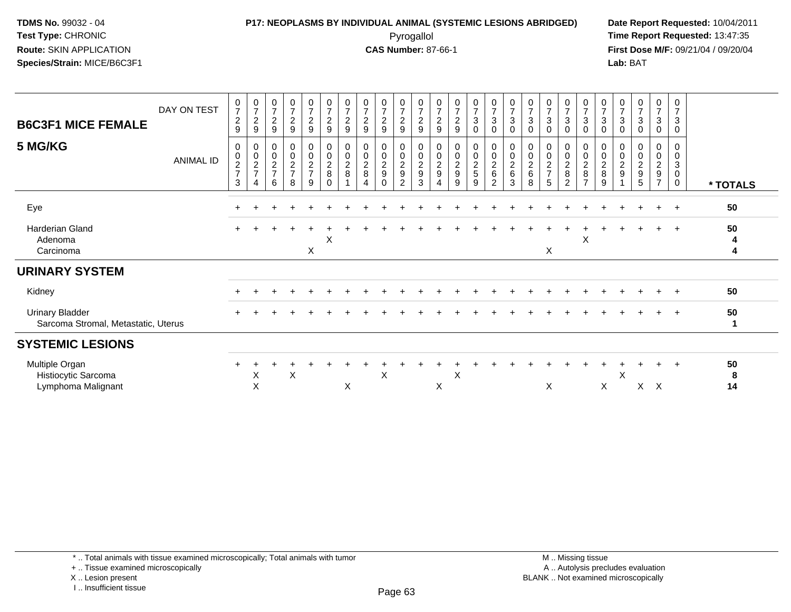### **P17: NEOPLASMS BY INDIVIDUAL ANIMAL (SYSTEMIC LESIONS ABRIDGED) Date Report Requested:** 10/04/2011 Pyrogallol **Time Report Requested:** 13:47:35

**First Dose M/F:** 09/21/04 / 09/20/04<br>Lab: BAT **Lab:** BAT

| <b>B6C3F1 MICE FEMALE</b><br>5 MG/KG                          | DAY ON TEST<br><b>ANIMAL ID</b> | $\frac{0}{7}$<br>$\overline{c}$<br>9<br>0<br>$\pmb{0}$<br>$\overline{c}$<br>$\overline{7}$<br>3 | $\frac{0}{7}$<br>$\overline{c}$<br>9<br>$\pmb{0}$<br>$\frac{0}{2}$<br>$\Delta$ | $\frac{0}{7}$<br>$\overline{a}$<br>9<br>$\begin{array}{c} 0 \\ 0 \\ 2 \\ 7 \end{array}$<br>6 | $\begin{array}{c} 0 \\ 7 \\ 2 \end{array}$<br>$\boldsymbol{9}$<br>0<br>$\frac{0}{2}$<br>8 | $\frac{0}{7}$<br>$\sqrt{2}$<br>$\boldsymbol{9}$<br>00027<br>9 | $\frac{0}{7}$<br>$\sqrt{2}$<br>$\boldsymbol{9}$<br>0<br>$\pmb{0}$<br>$\overline{2}$<br>8<br>$\Omega$ | $\frac{0}{7}$<br>$\boldsymbol{2}$<br>9<br>$\mathbf 0$<br>$\mathbf 0$<br>$\overline{c}$<br>8 | $\frac{0}{7}$<br>$\overline{2}$<br>9<br>00028 | $\begin{array}{c} 0 \\ 7 \\ 2 \end{array}$<br>9<br>0<br>$\frac{0}{2}$<br>$\Omega$ | $\frac{0}{7}$<br>$\sqrt{2}$<br>9<br>000029<br>2 | $\frac{0}{7}$<br>$\boldsymbol{2}$<br>9<br>00029<br>3 | $\frac{0}{7}$<br>$\boldsymbol{2}$<br>$\boldsymbol{9}$<br>$\mathbf 0$<br>$\mathbf 0$<br>$\overline{2}$<br>$\boldsymbol{9}$<br>4 | $\frac{0}{7}$<br>$\overline{a}$<br>9<br>0<br>0<br>2<br>9<br>9 | $\begin{array}{c} 0 \\ 7 \\ 3 \end{array}$<br>0<br>0<br>$\frac{0}{2}$<br>9 | $\frac{0}{7}$<br>$\sqrt{3}$<br>$\mathbf 0$<br>00026<br>$\overline{2}$ | $\frac{0}{7}$<br>$\ensuremath{\mathsf{3}}$<br>0<br>0<br>$\pmb{0}$<br>$\overline{2}$<br>6<br>3 | $\frac{0}{7}$<br>$\ensuremath{\mathsf{3}}$<br>$\mathbf 0$<br>0<br>$\boldsymbol{0}$<br>$\overline{c}$<br>$\,6$<br>8 | $\frac{0}{7}$<br>3<br>$\Omega$<br>0002<br>5 | $\frac{0}{7}$<br>$\mathbf{3}$<br>$\Omega$<br>0<br>$\frac{0}{2}$<br>$\overline{2}$ | $\frac{0}{7}$<br>$\sqrt{3}$<br>$\Omega$<br>$\begin{matrix}0\\0\\2\\8\end{matrix}$<br>$\overline{7}$ | $\frac{0}{7}$<br>$\sqrt{3}$<br>0<br>0<br>$\pmb{0}$<br>$\frac{2}{8}$<br>9 | $\frac{0}{7}$<br>$\ensuremath{\mathsf{3}}$<br>0<br>$\pmb{0}$<br>$\overline{\mathbf{c}}$<br>9 | $\frac{0}{7}$<br>$\mathbf{3}$<br>$\mathbf 0$<br>$\begin{smallmatrix} 0\0\0\2 \end{smallmatrix}$<br>9<br>5 | $\frac{0}{7}$<br>$\mathbf{3}$<br>0<br>0<br>0<br>$\overline{a}$<br>9<br>$\overline{7}$ | 0<br>$\overline{7}$<br>$\mathbf{3}$<br>$\Omega$<br>0<br>$\mathbf 0$<br>3<br>$\mathbf 0$<br>$\mathbf 0$ |               |
|---------------------------------------------------------------|---------------------------------|-------------------------------------------------------------------------------------------------|--------------------------------------------------------------------------------|----------------------------------------------------------------------------------------------|-------------------------------------------------------------------------------------------|---------------------------------------------------------------|------------------------------------------------------------------------------------------------------|---------------------------------------------------------------------------------------------|-----------------------------------------------|-----------------------------------------------------------------------------------|-------------------------------------------------|------------------------------------------------------|--------------------------------------------------------------------------------------------------------------------------------|---------------------------------------------------------------|----------------------------------------------------------------------------|-----------------------------------------------------------------------|-----------------------------------------------------------------------------------------------|--------------------------------------------------------------------------------------------------------------------|---------------------------------------------|-----------------------------------------------------------------------------------|-----------------------------------------------------------------------------------------------------|--------------------------------------------------------------------------|----------------------------------------------------------------------------------------------|-----------------------------------------------------------------------------------------------------------|---------------------------------------------------------------------------------------|--------------------------------------------------------------------------------------------------------|---------------|
|                                                               |                                 |                                                                                                 |                                                                                |                                                                                              |                                                                                           |                                                               |                                                                                                      |                                                                                             |                                               |                                                                                   |                                                 |                                                      |                                                                                                                                |                                                               |                                                                            |                                                                       |                                                                                               |                                                                                                                    |                                             |                                                                                   |                                                                                                     |                                                                          |                                                                                              |                                                                                                           |                                                                                       |                                                                                                        | * TOTALS      |
| Eye                                                           |                                 |                                                                                                 |                                                                                |                                                                                              |                                                                                           |                                                               |                                                                                                      |                                                                                             |                                               |                                                                                   |                                                 |                                                      |                                                                                                                                |                                                               |                                                                            |                                                                       |                                                                                               |                                                                                                                    |                                             |                                                                                   |                                                                                                     |                                                                          |                                                                                              |                                                                                                           | $+$                                                                                   | $+$                                                                                                    | 50            |
| Harderian Gland<br>Adenoma<br>Carcinoma                       |                                 | $+$                                                                                             |                                                                                |                                                                                              |                                                                                           | X                                                             | X                                                                                                    |                                                                                             |                                               |                                                                                   |                                                 |                                                      |                                                                                                                                |                                                               |                                                                            |                                                                       |                                                                                               |                                                                                                                    | X                                           |                                                                                   | X                                                                                                   |                                                                          |                                                                                              |                                                                                                           |                                                                                       |                                                                                                        | 50<br>4<br>4  |
| <b>URINARY SYSTEM</b>                                         |                                 |                                                                                                 |                                                                                |                                                                                              |                                                                                           |                                                               |                                                                                                      |                                                                                             |                                               |                                                                                   |                                                 |                                                      |                                                                                                                                |                                                               |                                                                            |                                                                       |                                                                                               |                                                                                                                    |                                             |                                                                                   |                                                                                                     |                                                                          |                                                                                              |                                                                                                           |                                                                                       |                                                                                                        |               |
| Kidney                                                        |                                 |                                                                                                 |                                                                                |                                                                                              |                                                                                           |                                                               |                                                                                                      |                                                                                             |                                               |                                                                                   |                                                 |                                                      |                                                                                                                                |                                                               |                                                                            |                                                                       |                                                                                               |                                                                                                                    |                                             |                                                                                   |                                                                                                     |                                                                          |                                                                                              |                                                                                                           |                                                                                       |                                                                                                        | 50            |
| <b>Urinary Bladder</b><br>Sarcoma Stromal, Metastatic, Uterus |                                 | $\div$                                                                                          |                                                                                |                                                                                              |                                                                                           |                                                               |                                                                                                      |                                                                                             |                                               |                                                                                   |                                                 |                                                      |                                                                                                                                |                                                               |                                                                            |                                                                       |                                                                                               |                                                                                                                    |                                             |                                                                                   |                                                                                                     |                                                                          |                                                                                              |                                                                                                           | $+$                                                                                   | $+$                                                                                                    | 50            |
| <b>SYSTEMIC LESIONS</b>                                       |                                 |                                                                                                 |                                                                                |                                                                                              |                                                                                           |                                                               |                                                                                                      |                                                                                             |                                               |                                                                                   |                                                 |                                                      |                                                                                                                                |                                                               |                                                                            |                                                                       |                                                                                               |                                                                                                                    |                                             |                                                                                   |                                                                                                     |                                                                          |                                                                                              |                                                                                                           |                                                                                       |                                                                                                        |               |
| Multiple Organ<br>Histiocytic Sarcoma<br>Lymphoma Malignant   |                                 | $\div$                                                                                          | X<br>X                                                                         |                                                                                              | X                                                                                         |                                                               |                                                                                                      | X                                                                                           |                                               | X                                                                                 |                                                 |                                                      | X                                                                                                                              | $\mathsf{X}$                                                  |                                                                            |                                                                       |                                                                                               |                                                                                                                    | X                                           |                                                                                   |                                                                                                     | X                                                                        | X                                                                                            | X                                                                                                         | $\mathsf{X}$                                                                          |                                                                                                        | 50<br>8<br>14 |

+ .. Tissue examined microscopically

X .. Lesion present

I .. Insufficient tissue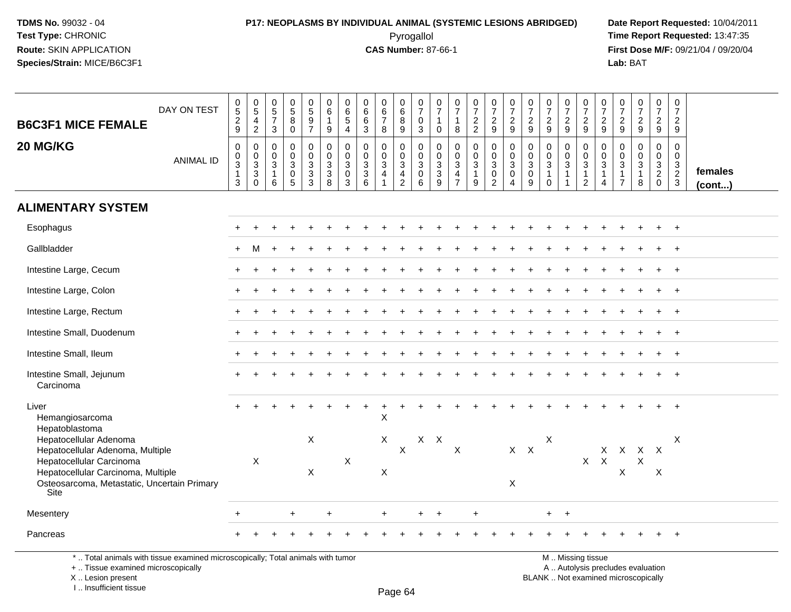### **P17: NEOPLASMS BY INDIVIDUAL ANIMAL (SYSTEMIC LESIONS ABRIDGED) Date Report Requested:** 10/04/2011 Pyrogallol **Time Report Requested:** 13:47:35

**First Dose M/F:** 09/21/04 / 09/20/04<br>Lab: BAT **Lab:** BAT

| <b>B6C3F1 MICE FEMALE</b>                                                                 | DAY ON TEST      | $\begin{array}{c} 0 \\ 5 \end{array}$<br>$\boldsymbol{2}$<br>9            | $\begin{array}{c} 0 \\ 5 \end{array}$<br>4<br>$\overline{2}$ | $\begin{array}{c} 0 \\ 5 \end{array}$<br>$\overline{7}$<br>3            | $\begin{array}{c} 0 \\ 5 \end{array}$<br>$\bf 8$<br>$\mathbf 0$  | $\pmb{0}$<br>$\overline{5}$<br>$\boldsymbol{9}$<br>$\overline{7}$                           | 0<br>$\,6\,$<br>$\mathbf{1}$<br>9                                   | $\pmb{0}$<br>$\,6\,$<br>$\sqrt{5}$<br>$\overline{4}$ | $\begin{array}{c} 0 \\ 6 \end{array}$<br>$\,6\,$<br>$\mathbf{3}$ | 0<br>$6\overline{6}$<br>$\overline{7}$<br>8               | $\,0\,$<br>$\,6\,$<br>8<br>9                                                        | 0<br>$\overline{7}$<br>$\mathbf 0$<br>3              | $\begin{smallmatrix}0\\7\end{smallmatrix}$<br>$\mathbf{1}$<br>$\mathbf 0$ | $\begin{array}{c} 0 \\ 7 \end{array}$<br>8                      | $\frac{0}{7}$<br>$\frac{2}{2}$                                                   | $\begin{array}{c} 0 \\ 7 \end{array}$<br>$\overline{c}$<br>9                   | $\begin{smallmatrix}0\\7\end{smallmatrix}$<br>$\overline{c}$<br>9 | $\frac{0}{7}$<br>$\boldsymbol{2}$<br>9                                       | $\frac{0}{7}$<br>$\overline{c}$<br>$\boldsymbol{9}$          | $\frac{0}{7}$<br>$\sqrt{2}$<br>9                            | $\frac{0}{7}$<br>$\sqrt{2}$<br>9                                               | $\frac{0}{7}$<br>$\overline{2}$<br>9                          | $\frac{0}{7}$<br>$\frac{2}{9}$                                                 | $\frac{0}{7}$<br>$\overline{2}$<br>9                                  | $\begin{smallmatrix}0\\7\end{smallmatrix}$<br>$\overline{a}$<br>9 | $\begin{array}{c} 0 \\ 7 \end{array}$<br>$\overline{c}$<br>9  |                         |
|-------------------------------------------------------------------------------------------|------------------|---------------------------------------------------------------------------|--------------------------------------------------------------|-------------------------------------------------------------------------|------------------------------------------------------------------|---------------------------------------------------------------------------------------------|---------------------------------------------------------------------|------------------------------------------------------|------------------------------------------------------------------|-----------------------------------------------------------|-------------------------------------------------------------------------------------|------------------------------------------------------|---------------------------------------------------------------------------|-----------------------------------------------------------------|----------------------------------------------------------------------------------|--------------------------------------------------------------------------------|-------------------------------------------------------------------|------------------------------------------------------------------------------|--------------------------------------------------------------|-------------------------------------------------------------|--------------------------------------------------------------------------------|---------------------------------------------------------------|--------------------------------------------------------------------------------|-----------------------------------------------------------------------|-------------------------------------------------------------------|---------------------------------------------------------------|-------------------------|
| 20 MG/KG                                                                                  | <b>ANIMAL ID</b> | $\mathsf{O}\xspace$<br>$\mathbf 0$<br>$\overline{3}$<br>$\mathbf{1}$<br>3 | $\mathbf 0$<br>0<br>$\sqrt{3}$<br>$\overline{3}$<br>$\Omega$ | $\mathsf{O}\xspace$<br>$\mathbf 0$<br>$\sqrt{3}$<br>$\overline{1}$<br>6 | 0<br>$\mathbf 0$<br>$\mathsf 3$<br>$\mathbf 0$<br>$\overline{5}$ | $\mathsf 0$<br>$\mathbf 0$<br>$\ensuremath{\mathsf{3}}$<br>$\overline{3}$<br>$\overline{3}$ | $\mathbf 0$<br>$\mathbf 0$<br>3<br>$\overline{3}$<br>$\overline{8}$ | $\pmb{0}$<br>$\mathbf 0$<br>3<br>$\mathbf 0$<br>3    | $\mathbf 0$<br>$\mathbf 0$<br>$\frac{3}{3}$<br>6                 | 0<br>$\mathbf{0}$<br>$\mathbf{3}$<br>$\overline{4}$<br>-1 | $\pmb{0}$<br>$\boldsymbol{0}$<br>$\overline{3}$<br>$\overline{4}$<br>$\overline{2}$ | 0<br>$\mathbf 0$<br>$\mathbf{3}$<br>$\mathbf 0$<br>6 | $\pmb{0}$<br>$\mathbf 0$<br>$\sqrt{3}$<br>$\overline{3}$<br>9             | $\mathbf 0$<br>$\mathbf 0$<br>$\sqrt{3}$<br>4<br>$\overline{7}$ | $\pmb{0}$<br>$\mathbf 0$<br>$\ensuremath{\mathsf{3}}$<br>$\overline{1}$<br>$9\,$ | $\pmb{0}$<br>$\overline{0}$<br>$\overline{3}$<br>$\mathbf 0$<br>$\overline{2}$ | 0<br>$\mathbf 0$<br>$\mathbf{3}$<br>$\mathbf 0$<br>4              | $\mathbf 0$<br>$\mathbf 0$<br>$\sqrt{3}$<br>$\overline{0}$<br>$\overline{9}$ | $\pmb{0}$<br>0<br>$\overline{3}$<br>$\mathbf{1}$<br>$\Omega$ | $\mathbf 0$<br>$\mathbf 0$<br>$\mathbf 3$<br>$\overline{1}$ | $\mathsf 0$<br>$\mathbf 0$<br>$\overline{3}$<br>$\mathbf{1}$<br>$\overline{2}$ | $\mathbf 0$<br>$\mathbf 0$<br>$\sqrt{3}$<br>$\mathbf{1}$<br>4 | $\mathbf 0$<br>$\mathsf 0$<br>$\overline{3}$<br>$\mathbf{1}$<br>$\overline{7}$ | $\mathsf{O}$<br>$\overline{0}$<br>$\overline{3}$<br>$\mathbf{1}$<br>8 | 0<br>$\mathbf 0$<br>$\frac{3}{2}$<br>0                            | $\mathsf{O}\xspace$<br>$\boldsymbol{0}$<br>$\frac{3}{2}$<br>3 | females<br>$($ cont $)$ |
| <b>ALIMENTARY SYSTEM</b>                                                                  |                  |                                                                           |                                                              |                                                                         |                                                                  |                                                                                             |                                                                     |                                                      |                                                                  |                                                           |                                                                                     |                                                      |                                                                           |                                                                 |                                                                                  |                                                                                |                                                                   |                                                                              |                                                              |                                                             |                                                                                |                                                               |                                                                                |                                                                       |                                                                   |                                                               |                         |
| Esophagus                                                                                 |                  |                                                                           |                                                              |                                                                         |                                                                  |                                                                                             |                                                                     |                                                      |                                                                  |                                                           |                                                                                     |                                                      |                                                                           |                                                                 |                                                                                  |                                                                                |                                                                   |                                                                              |                                                              |                                                             |                                                                                |                                                               |                                                                                |                                                                       |                                                                   |                                                               |                         |
| Gallbladder                                                                               |                  | $\pm$                                                                     | м                                                            |                                                                         |                                                                  |                                                                                             |                                                                     |                                                      |                                                                  |                                                           |                                                                                     |                                                      |                                                                           |                                                                 |                                                                                  |                                                                                |                                                                   |                                                                              |                                                              |                                                             |                                                                                |                                                               |                                                                                |                                                                       |                                                                   |                                                               |                         |
| Intestine Large, Cecum                                                                    |                  |                                                                           |                                                              |                                                                         |                                                                  |                                                                                             |                                                                     |                                                      |                                                                  |                                                           |                                                                                     |                                                      |                                                                           |                                                                 |                                                                                  |                                                                                |                                                                   |                                                                              |                                                              |                                                             |                                                                                |                                                               |                                                                                |                                                                       |                                                                   | $\overline{+}$                                                |                         |
| Intestine Large, Colon                                                                    |                  |                                                                           |                                                              |                                                                         |                                                                  |                                                                                             |                                                                     |                                                      |                                                                  |                                                           |                                                                                     |                                                      |                                                                           |                                                                 |                                                                                  |                                                                                |                                                                   |                                                                              |                                                              |                                                             |                                                                                |                                                               |                                                                                |                                                                       |                                                                   | $\overline{+}$                                                |                         |
| Intestine Large, Rectum                                                                   |                  |                                                                           |                                                              |                                                                         |                                                                  |                                                                                             |                                                                     |                                                      |                                                                  |                                                           |                                                                                     |                                                      |                                                                           |                                                                 |                                                                                  |                                                                                |                                                                   |                                                                              |                                                              |                                                             |                                                                                |                                                               |                                                                                |                                                                       |                                                                   | $\ddot{}$                                                     |                         |
| Intestine Small, Duodenum                                                                 |                  |                                                                           |                                                              |                                                                         |                                                                  |                                                                                             |                                                                     |                                                      |                                                                  |                                                           |                                                                                     |                                                      |                                                                           |                                                                 |                                                                                  |                                                                                |                                                                   |                                                                              |                                                              |                                                             |                                                                                |                                                               |                                                                                |                                                                       |                                                                   |                                                               |                         |
| Intestine Small, Ileum                                                                    |                  |                                                                           |                                                              |                                                                         |                                                                  |                                                                                             |                                                                     |                                                      |                                                                  |                                                           |                                                                                     |                                                      |                                                                           |                                                                 |                                                                                  |                                                                                |                                                                   |                                                                              |                                                              |                                                             |                                                                                |                                                               |                                                                                |                                                                       |                                                                   | $\overline{+}$                                                |                         |
| Intestine Small, Jejunum<br>Carcinoma                                                     |                  |                                                                           |                                                              |                                                                         |                                                                  |                                                                                             |                                                                     |                                                      |                                                                  |                                                           |                                                                                     |                                                      |                                                                           |                                                                 |                                                                                  |                                                                                |                                                                   |                                                                              |                                                              |                                                             |                                                                                |                                                               |                                                                                |                                                                       |                                                                   |                                                               |                         |
| Liver<br>Hemangiosarcoma<br>Hepatoblastoma                                                |                  |                                                                           |                                                              |                                                                         |                                                                  |                                                                                             |                                                                     |                                                      |                                                                  | $\mathsf{X}$                                              |                                                                                     |                                                      |                                                                           |                                                                 |                                                                                  |                                                                                |                                                                   |                                                                              |                                                              |                                                             |                                                                                |                                                               |                                                                                |                                                                       |                                                                   |                                                               |                         |
| Hepatocellular Adenoma<br>Hepatocellular Adenoma, Multiple<br>Hepatocellular Carcinoma    |                  |                                                                           | X                                                            |                                                                         |                                                                  | $\boldsymbol{\mathsf{X}}$                                                                   |                                                                     | X                                                    |                                                                  | X                                                         | $\mathsf{X}$                                                                        | $X$ $X$                                              |                                                                           | $\boldsymbol{\mathsf{X}}$                                       |                                                                                  |                                                                                | $X$ $X$                                                           |                                                                              | Χ                                                            |                                                             | $\mathsf{X}$                                                                   | $\mathsf{X}$                                                  |                                                                                | X X X X<br>X                                                          |                                                                   | Χ                                                             |                         |
| Hepatocellular Carcinoma, Multiple<br>Osteosarcoma, Metastatic, Uncertain Primary<br>Site |                  |                                                                           |                                                              |                                                                         |                                                                  | $\boldsymbol{\mathsf{X}}$                                                                   |                                                                     |                                                      |                                                                  | X                                                         |                                                                                     |                                                      |                                                                           |                                                                 |                                                                                  |                                                                                | $\boldsymbol{\mathsf{X}}$                                         |                                                                              |                                                              |                                                             |                                                                                |                                                               | X                                                                              |                                                                       | X                                                                 |                                                               |                         |
| Mesentery                                                                                 |                  | $+$                                                                       |                                                              |                                                                         | $+$                                                              |                                                                                             | $\ddot{}$                                                           |                                                      |                                                                  | $+$                                                       |                                                                                     | $\pm$                                                | $\ddot{}$                                                                 |                                                                 | $\ddot{}$                                                                        |                                                                                |                                                                   |                                                                              | $+$                                                          | $+$                                                         |                                                                                |                                                               |                                                                                |                                                                       |                                                                   |                                                               |                         |
| Pancreas                                                                                  |                  |                                                                           |                                                              |                                                                         |                                                                  |                                                                                             |                                                                     |                                                      |                                                                  |                                                           |                                                                                     |                                                      |                                                                           |                                                                 |                                                                                  |                                                                                |                                                                   |                                                                              |                                                              |                                                             |                                                                                |                                                               |                                                                                |                                                                       |                                                                   |                                                               |                         |

\* .. Total animals with tissue examined microscopically; Total animals with tumor

+ .. Tissue examined microscopically

X .. Lesion present

I .. Insufficient tissue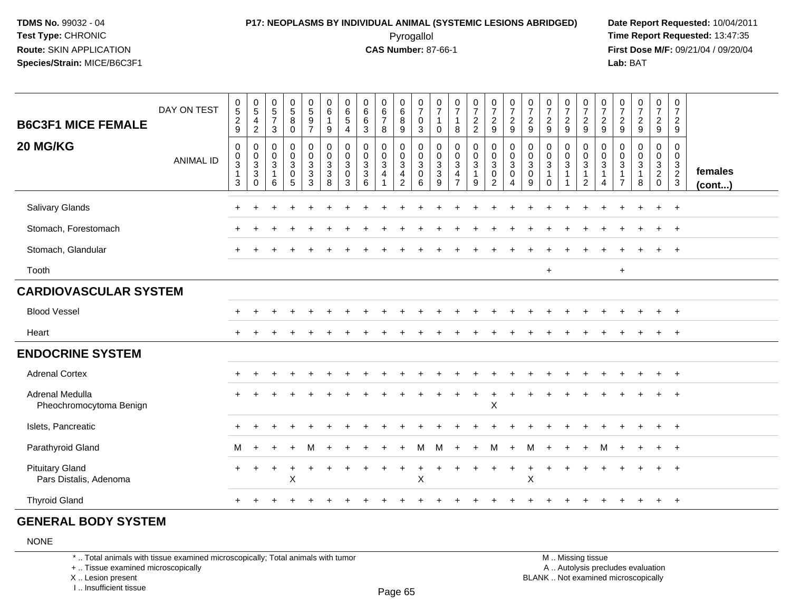### **P17: NEOPLASMS BY INDIVIDUAL ANIMAL (SYSTEMIC LESIONS ABRIDGED) Date Report Requested:** 10/04/2011 Pyrogallol **Time Report Requested:** 13:47:35

**First Dose M/F:** 09/21/04 / 09/20/04<br>Lab: BAT **Lab:** BAT

| <b>B6C3F1 MICE FEMALE</b><br>20 MG/KG            | DAY ON TEST<br><b>ANIMAL ID</b> | $\begin{array}{c} 0 \\ 5 \\ 2 \end{array}$<br>9<br>0<br>0<br>$\ensuremath{\mathsf{3}}$<br>$\mathbf{1}$<br>3 | $\begin{array}{c} 0 \\ 5 \\ 4 \end{array}$<br>$\overline{2}$<br>$\boldsymbol{0}$<br>$\begin{smallmatrix}0\3\3\end{smallmatrix}$<br>$\mathbf 0$ | $\begin{array}{c} 0 \\ 5 \\ 7 \end{array}$<br>$\mathbf{3}$<br>$\boldsymbol{0}$<br>$_{3}^{\rm 0}$<br>$\mathbf{1}$<br>6 | $\begin{array}{c} 0 \\ 5 \\ 8 \end{array}$<br>$\pmb{0}$<br>0<br>$_3^0$<br>0<br>5 | $\begin{array}{c} 0 \\ 5 \\ 9 \end{array}$<br>$\overline{7}$<br>0<br>$\mathbf 0$<br>$\mathbf{3}$<br>$\ensuremath{\mathsf{3}}$<br>3 | 0<br>$\,6$<br>$\mathbf{1}$<br>9<br>$\mathbf 0$<br>$\pmb{0}$<br>$\mathbf{3}$<br>$\ensuremath{\mathsf{3}}$<br>8 | 0<br>$\begin{array}{c} 6 \\ 5 \end{array}$<br>$\overline{4}$<br>0<br>$\pmb{0}$<br>$\mathbf{3}$<br>0<br>3 | $\begin{matrix} 0 \\ 6 \\ 6 \end{matrix}$<br>$\mathbf{3}$<br>$\mathbf 0$<br>$\frac{0}{3}$<br>6 | 0<br>$\frac{6}{7}$<br>8<br>0<br>$_3^0$<br>$\overline{4}$<br>$\overline{1}$ | 0<br>$\frac{6}{8}$<br>9<br>$\mathbf 0$<br>$\mathbf 0$<br>$\mathbf{3}$<br>$\frac{4}{2}$ | $\frac{0}{7}$<br>0<br>3<br>$\mathbf 0$<br>$\mathbf 0$<br>$\sqrt{3}$<br>$\mathbf 0$<br>6 | 0<br>$\overline{7}$<br>$\mathbf{1}$<br>0<br>0<br>$\pmb{0}$<br>$\frac{3}{3}$<br>9 | $\frac{0}{7}$<br>$\mathbf{1}$<br>$\bf8$<br>$\mathbf 0$<br>$_{3}^{\rm 0}$<br>4<br>$\overline{7}$ | $\frac{0}{7}$<br>$\frac{2}{2}$<br>0<br>$_{3}^{\rm 0}$<br>$\mathbf{1}$<br>9 | $\frac{0}{7}$<br>$\overline{2}$<br>9<br>0<br>$\pmb{0}$<br>$\mathbf{3}$<br>$\pmb{0}$<br>2 | $\frac{0}{7}$<br>$\overline{2}$<br>$9\,$<br>0<br>$\pmb{0}$<br>$\ensuremath{\mathsf{3}}$<br>$\pmb{0}$<br>$\overline{4}$ | 0<br>$\boldsymbol{7}$<br>$\sqrt{2}$<br>$9\,$<br>0<br>0<br>$\ensuremath{\mathsf{3}}$<br>$\pmb{0}$<br>9 | $\frac{0}{7}$<br>$\frac{2}{9}$<br>0<br>$_{3}^{\rm 0}$<br>$\overline{\mathbf{1}}$<br>$\Omega$ | $\frac{0}{7}$<br>$\frac{2}{9}$<br>0<br>$_3^0$<br>$\mathbf{1}$<br>$\mathbf{1}$ | 0<br>$\overline{7}$<br>$\overline{a}$<br>9<br>0<br>$_{3}^{\rm 0}$<br>$\mathbf{1}$<br>$\overline{2}$ | 0<br>$\overline{7}$<br>$\overline{c}$<br>$\mathsf g$<br>0<br>0<br>3<br>$\mathbf{1}$<br>4 | 0<br>$\boldsymbol{7}$<br>$\frac{2}{9}$<br>0<br>0<br>$\mathsf 3$<br>$\mathbf 1$<br>$\overline{7}$ | $\begin{smallmatrix}0\\7\end{smallmatrix}$<br>$\frac{2}{9}$<br>0<br>$\mathbf 0$<br>$\overline{3}$<br>$\mathbf 1$<br>8 | $\boldsymbol{0}$<br>$\boldsymbol{7}$<br>$\frac{2}{9}$<br>0<br>$\mathbf 0$<br>$\mathbf{3}$<br>$\overline{2}$<br>$\mathbf 0$ | 0<br>$\boldsymbol{7}$<br>$\overline{c}$<br>9<br>0<br>$\mathbf 0$<br>$\mathbf{3}$<br>$\frac{2}{3}$ | females<br>(cont) |
|--------------------------------------------------|---------------------------------|-------------------------------------------------------------------------------------------------------------|------------------------------------------------------------------------------------------------------------------------------------------------|-----------------------------------------------------------------------------------------------------------------------|----------------------------------------------------------------------------------|------------------------------------------------------------------------------------------------------------------------------------|---------------------------------------------------------------------------------------------------------------|----------------------------------------------------------------------------------------------------------|------------------------------------------------------------------------------------------------|----------------------------------------------------------------------------|----------------------------------------------------------------------------------------|-----------------------------------------------------------------------------------------|----------------------------------------------------------------------------------|-------------------------------------------------------------------------------------------------|----------------------------------------------------------------------------|------------------------------------------------------------------------------------------|------------------------------------------------------------------------------------------------------------------------|-------------------------------------------------------------------------------------------------------|----------------------------------------------------------------------------------------------|-------------------------------------------------------------------------------|-----------------------------------------------------------------------------------------------------|------------------------------------------------------------------------------------------|--------------------------------------------------------------------------------------------------|-----------------------------------------------------------------------------------------------------------------------|----------------------------------------------------------------------------------------------------------------------------|---------------------------------------------------------------------------------------------------|-------------------|
| Salivary Glands                                  |                                 |                                                                                                             |                                                                                                                                                |                                                                                                                       |                                                                                  |                                                                                                                                    |                                                                                                               |                                                                                                          |                                                                                                |                                                                            |                                                                                        |                                                                                         |                                                                                  |                                                                                                 |                                                                            |                                                                                          |                                                                                                                        |                                                                                                       |                                                                                              |                                                                               |                                                                                                     |                                                                                          |                                                                                                  |                                                                                                                       | ÷.                                                                                                                         | $^{+}$                                                                                            |                   |
| Stomach, Forestomach                             |                                 |                                                                                                             |                                                                                                                                                |                                                                                                                       |                                                                                  |                                                                                                                                    |                                                                                                               |                                                                                                          |                                                                                                |                                                                            |                                                                                        |                                                                                         |                                                                                  |                                                                                                 |                                                                            |                                                                                          |                                                                                                                        |                                                                                                       |                                                                                              |                                                                               |                                                                                                     |                                                                                          |                                                                                                  |                                                                                                                       |                                                                                                                            | $^{+}$                                                                                            |                   |
| Stomach, Glandular                               |                                 |                                                                                                             |                                                                                                                                                |                                                                                                                       |                                                                                  |                                                                                                                                    |                                                                                                               |                                                                                                          |                                                                                                |                                                                            |                                                                                        |                                                                                         |                                                                                  |                                                                                                 |                                                                            |                                                                                          |                                                                                                                        |                                                                                                       |                                                                                              |                                                                               |                                                                                                     |                                                                                          |                                                                                                  |                                                                                                                       |                                                                                                                            | $^{+}$                                                                                            |                   |
| Tooth                                            |                                 |                                                                                                             |                                                                                                                                                |                                                                                                                       |                                                                                  |                                                                                                                                    |                                                                                                               |                                                                                                          |                                                                                                |                                                                            |                                                                                        |                                                                                         |                                                                                  |                                                                                                 |                                                                            |                                                                                          |                                                                                                                        |                                                                                                       | $\ddot{}$                                                                                    |                                                                               |                                                                                                     |                                                                                          | $\ddot{}$                                                                                        |                                                                                                                       |                                                                                                                            |                                                                                                   |                   |
| <b>CARDIOVASCULAR SYSTEM</b>                     |                                 |                                                                                                             |                                                                                                                                                |                                                                                                                       |                                                                                  |                                                                                                                                    |                                                                                                               |                                                                                                          |                                                                                                |                                                                            |                                                                                        |                                                                                         |                                                                                  |                                                                                                 |                                                                            |                                                                                          |                                                                                                                        |                                                                                                       |                                                                                              |                                                                               |                                                                                                     |                                                                                          |                                                                                                  |                                                                                                                       |                                                                                                                            |                                                                                                   |                   |
| <b>Blood Vessel</b>                              |                                 |                                                                                                             |                                                                                                                                                |                                                                                                                       |                                                                                  |                                                                                                                                    |                                                                                                               |                                                                                                          |                                                                                                |                                                                            |                                                                                        |                                                                                         |                                                                                  |                                                                                                 |                                                                            |                                                                                          |                                                                                                                        |                                                                                                       |                                                                                              |                                                                               |                                                                                                     |                                                                                          |                                                                                                  |                                                                                                                       |                                                                                                                            | $+$                                                                                               |                   |
| Heart                                            |                                 |                                                                                                             |                                                                                                                                                |                                                                                                                       |                                                                                  |                                                                                                                                    |                                                                                                               |                                                                                                          |                                                                                                |                                                                            |                                                                                        |                                                                                         |                                                                                  |                                                                                                 |                                                                            |                                                                                          |                                                                                                                        |                                                                                                       |                                                                                              |                                                                               |                                                                                                     |                                                                                          |                                                                                                  |                                                                                                                       |                                                                                                                            | $\overline{+}$                                                                                    |                   |
| <b>ENDOCRINE SYSTEM</b>                          |                                 |                                                                                                             |                                                                                                                                                |                                                                                                                       |                                                                                  |                                                                                                                                    |                                                                                                               |                                                                                                          |                                                                                                |                                                                            |                                                                                        |                                                                                         |                                                                                  |                                                                                                 |                                                                            |                                                                                          |                                                                                                                        |                                                                                                       |                                                                                              |                                                                               |                                                                                                     |                                                                                          |                                                                                                  |                                                                                                                       |                                                                                                                            |                                                                                                   |                   |
| <b>Adrenal Cortex</b>                            |                                 |                                                                                                             |                                                                                                                                                |                                                                                                                       |                                                                                  |                                                                                                                                    |                                                                                                               |                                                                                                          |                                                                                                |                                                                            |                                                                                        |                                                                                         |                                                                                  |                                                                                                 |                                                                            |                                                                                          |                                                                                                                        |                                                                                                       |                                                                                              |                                                                               |                                                                                                     |                                                                                          |                                                                                                  |                                                                                                                       |                                                                                                                            | $+$                                                                                               |                   |
| Adrenal Medulla<br>Pheochromocytoma Benign       |                                 |                                                                                                             |                                                                                                                                                |                                                                                                                       |                                                                                  |                                                                                                                                    |                                                                                                               |                                                                                                          |                                                                                                |                                                                            |                                                                                        |                                                                                         |                                                                                  |                                                                                                 |                                                                            | $\mathsf X$                                                                              |                                                                                                                        |                                                                                                       |                                                                                              |                                                                               |                                                                                                     |                                                                                          |                                                                                                  |                                                                                                                       |                                                                                                                            |                                                                                                   |                   |
| Islets, Pancreatic                               |                                 |                                                                                                             |                                                                                                                                                |                                                                                                                       |                                                                                  |                                                                                                                                    |                                                                                                               |                                                                                                          |                                                                                                |                                                                            |                                                                                        |                                                                                         |                                                                                  |                                                                                                 |                                                                            |                                                                                          |                                                                                                                        |                                                                                                       |                                                                                              |                                                                               |                                                                                                     |                                                                                          |                                                                                                  |                                                                                                                       |                                                                                                                            | $^{+}$                                                                                            |                   |
| Parathyroid Gland                                |                                 | M                                                                                                           | $+$                                                                                                                                            |                                                                                                                       |                                                                                  | M                                                                                                                                  |                                                                                                               |                                                                                                          |                                                                                                |                                                                            |                                                                                        | м                                                                                       | M                                                                                |                                                                                                 | $\ddot{}$                                                                  | м                                                                                        | $\ddot{}$                                                                                                              | м                                                                                                     |                                                                                              |                                                                               |                                                                                                     | м                                                                                        |                                                                                                  |                                                                                                                       | $\ddot{}$                                                                                                                  | $+$                                                                                               |                   |
| <b>Pituitary Gland</b><br>Pars Distalis, Adenoma |                                 | $\ddot{}$                                                                                                   | $\pm$                                                                                                                                          | $\overline{ }$                                                                                                        | $\ddot{}$<br>$\sf X$                                                             |                                                                                                                                    |                                                                                                               |                                                                                                          |                                                                                                |                                                                            | $\ddot{}$                                                                              | X                                                                                       |                                                                                  |                                                                                                 |                                                                            |                                                                                          | $\ddot{}$                                                                                                              | ÷<br>Χ                                                                                                |                                                                                              |                                                                               |                                                                                                     |                                                                                          |                                                                                                  |                                                                                                                       |                                                                                                                            | $\overline{1}$                                                                                    |                   |
| <b>Thyroid Gland</b>                             |                                 |                                                                                                             |                                                                                                                                                |                                                                                                                       |                                                                                  |                                                                                                                                    |                                                                                                               |                                                                                                          |                                                                                                |                                                                            |                                                                                        |                                                                                         |                                                                                  |                                                                                                 |                                                                            |                                                                                          |                                                                                                                        |                                                                                                       |                                                                                              |                                                                               |                                                                                                     |                                                                                          |                                                                                                  |                                                                                                                       |                                                                                                                            |                                                                                                   |                   |

#### **GENERAL BODY SYSTEM**

NONE

\* .. Total animals with tissue examined microscopically; Total animals with tumor

+ .. Tissue examined microscopically

X .. Lesion present

I .. Insufficient tissue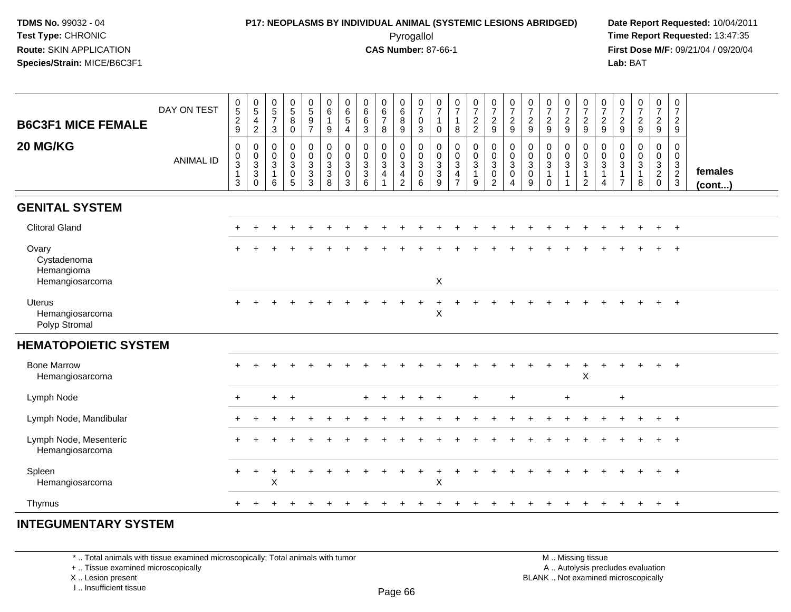### **P17: NEOPLASMS BY INDIVIDUAL ANIMAL (SYSTEMIC LESIONS ABRIDGED) Date Report Requested:** 10/04/2011 Pyrogallol **Time Report Requested:** 13:47:35

**First Dose M/F:** 09/21/04 / 09/20/04<br>Lab: BAT **Lab:** BAT

| DAY ON TEST<br><b>B6C3F1 MICE FEMALE</b><br>20 MG/KG  | $0$<br>$5$<br>$2$<br>$9$<br>$\mathbf 0$      | $\begin{array}{c} 0 \\ 5 \end{array}$<br>$\overline{a}$<br>$\sqrt{2}$<br>$\pmb{0}$ | $\begin{array}{c} 0 \\ 5 \end{array}$<br>$\overline{7}$<br>$\sqrt{3}$<br>$\pmb{0}$ | $\begin{array}{c} 0 \\ 5 \\ 8 \end{array}$<br>$\pmb{0}$<br>$\mathbf 0$ | $\begin{array}{c} 0 \\ 5 \\ 9 \end{array}$<br>$\overline{7}$<br>0 | $\begin{array}{c} 0 \\ 6 \end{array}$<br>$\mathbf{1}$<br>9 | $\begin{array}{c} 0 \\ 6 \end{array}$<br>$\sqrt{5}$<br>$\overline{4}$<br>0 | $\begin{array}{c} 0 \\ 6 \end{array}$<br>$\,6\,$<br>$\mathbf{3}$<br>$\pmb{0}$ | $\begin{array}{c} 0 \\ 6 \\ 7 \end{array}$<br>8<br>$\mathbf 0$ | $\begin{matrix}0\6\8\end{matrix}$<br>9<br>0       | $\frac{0}{7}$<br>$_{3}^{\rm 0}$                           | $\begin{array}{c} 0 \\ 7 \end{array}$<br>$\overline{1}$<br>$\mathbf 0$<br>0 | $\frac{0}{7}$<br>$\mathbf{1}$<br>8<br>$\pmb{0}$   | $\frac{0}{7}$<br>$\frac{2}{2}$<br>0              | $\frac{0}{7}$<br>$\frac{2}{9}$                                                           | $\begin{array}{c} 0 \\ 7 \end{array}$<br>$\frac{2}{9}$                       | $\frac{0}{7}$<br>$\sqrt{2}$<br>9<br>0           | $\begin{array}{c} 0 \\ 7 \end{array}$<br>$\frac{2}{9}$<br>$\pmb{0}$ | $\frac{0}{7}$<br>$\frac{2}{9}$<br>0 | $\frac{0}{7}$<br>$\frac{2}{9}$                                                      | $\frac{0}{7}$<br>$\frac{2}{9}$                                                  | $\begin{array}{c} 0 \\ 7 \end{array}$<br>$\frac{2}{9}$<br>0 | $\begin{array}{c} 0 \\ 7 \end{array}$<br>$\frac{2}{9}$<br>0 | $\frac{0}{7}$<br>$\frac{2}{9}$<br>0               | $\begin{smallmatrix}0\\7\end{smallmatrix}$<br>$\frac{2}{9}$<br>$\mathbf 0$ |                         |
|-------------------------------------------------------|----------------------------------------------|------------------------------------------------------------------------------------|------------------------------------------------------------------------------------|------------------------------------------------------------------------|-------------------------------------------------------------------|------------------------------------------------------------|----------------------------------------------------------------------------|-------------------------------------------------------------------------------|----------------------------------------------------------------|---------------------------------------------------|-----------------------------------------------------------|-----------------------------------------------------------------------------|---------------------------------------------------|--------------------------------------------------|------------------------------------------------------------------------------------------|------------------------------------------------------------------------------|-------------------------------------------------|---------------------------------------------------------------------|-------------------------------------|-------------------------------------------------------------------------------------|---------------------------------------------------------------------------------|-------------------------------------------------------------|-------------------------------------------------------------|---------------------------------------------------|----------------------------------------------------------------------------|-------------------------|
| <b>ANIMAL ID</b>                                      | $_{3}^{\rm 0}$<br>$\mathbf{1}$<br>$\sqrt{3}$ | $_{3}^{\rm 0}$<br>$\mathbf{3}$<br>$\pmb{0}$                                        | $\mathbf 0$<br>$\overline{3}$<br>$\mathbf{1}$<br>6                                 | $\overline{0}$<br>$\overline{3}$<br>$\pmb{0}$<br>5                     | $\frac{0}{3}$<br>$\mathbf{3}$<br>3                                | $\begin{matrix}0\\0\\3\\3\end{matrix}$<br>8                | $\pmb{0}$<br>$\sqrt{3}$<br>$\mathbf 0$<br>$\mathbf{3}$                     | $\frac{0}{3}$<br>$\mathbf{3}$<br>6                                            | $\frac{0}{3}$<br>$\overline{4}$                                | $\frac{0}{3}$<br>$\overline{4}$<br>$\overline{c}$ | $\begin{matrix} 0 \\ 0 \\ 3 \\ 0 \end{matrix}$<br>$\,6\,$ | $\,0\,$<br>$\overline{3}$<br>$\mathbf{3}$<br>$\overline{9}$                 | $\frac{0}{3}$<br>$\overline{4}$<br>$\overline{7}$ | $\bar{0}$<br>$\overline{3}$<br>$\mathbf{1}$<br>9 | $\begin{smallmatrix} 0\\0\\3 \end{smallmatrix}$<br>$\mathsf{O}\xspace$<br>$\overline{2}$ | $\begin{smallmatrix}0\\0\\3\end{smallmatrix}$<br>$\pmb{0}$<br>$\overline{4}$ | $\pmb{0}$<br>$\overline{3}$<br>$\mathbf 0$<br>9 | $\mathbf 0$<br>$\overline{3}$<br>$\mathbf{1}$<br>$\Omega$           | $\frac{0}{3}$<br>$\mathbf{1}$       | $\begin{smallmatrix} 0\\0\\3 \end{smallmatrix}$<br>$\mathbf{1}$<br>$\boldsymbol{2}$ | $\begin{smallmatrix}0\\0\\3\end{smallmatrix}$<br>$\mathbf{1}$<br>$\overline{4}$ | $\pmb{0}$<br>$\sqrt{3}$<br>$\mathbf{1}$<br>$\overline{7}$   | $\mathbf 0$<br>$\mathfrak{S}$<br>$\mathbf{1}$<br>8          | $\mathsf{O}\xspace$<br>$\frac{3}{2}$ <sub>0</sub> | $\mathsf{O}\xspace$<br>$\frac{3}{2}$                                       | females<br>$($ cont $)$ |
| <b>GENITAL SYSTEM</b>                                 |                                              |                                                                                    |                                                                                    |                                                                        |                                                                   |                                                            |                                                                            |                                                                               |                                                                |                                                   |                                                           |                                                                             |                                                   |                                                  |                                                                                          |                                                                              |                                                 |                                                                     |                                     |                                                                                     |                                                                                 |                                                             |                                                             |                                                   |                                                                            |                         |
| <b>Clitoral Gland</b>                                 |                                              |                                                                                    |                                                                                    |                                                                        |                                                                   |                                                            |                                                                            |                                                                               |                                                                |                                                   |                                                           |                                                                             |                                                   |                                                  |                                                                                          |                                                                              |                                                 |                                                                     |                                     |                                                                                     |                                                                                 |                                                             |                                                             | $\div$                                            | $\overline{+}$                                                             |                         |
| Ovary<br>Cystadenoma<br>Hemangioma<br>Hemangiosarcoma |                                              |                                                                                    |                                                                                    |                                                                        |                                                                   |                                                            |                                                                            |                                                                               |                                                                |                                                   |                                                           | $\boldsymbol{\mathsf{X}}$                                                   |                                                   |                                                  |                                                                                          |                                                                              |                                                 |                                                                     |                                     |                                                                                     |                                                                                 |                                                             |                                                             |                                                   |                                                                            |                         |
| <b>Uterus</b><br>Hemangiosarcoma<br>Polyp Stromal     |                                              |                                                                                    |                                                                                    |                                                                        |                                                                   |                                                            |                                                                            |                                                                               |                                                                |                                                   |                                                           | $\pmb{\times}$                                                              |                                                   |                                                  |                                                                                          |                                                                              |                                                 |                                                                     |                                     |                                                                                     |                                                                                 |                                                             |                                                             |                                                   |                                                                            |                         |
| <b>HEMATOPOIETIC SYSTEM</b>                           |                                              |                                                                                    |                                                                                    |                                                                        |                                                                   |                                                            |                                                                            |                                                                               |                                                                |                                                   |                                                           |                                                                             |                                                   |                                                  |                                                                                          |                                                                              |                                                 |                                                                     |                                     |                                                                                     |                                                                                 |                                                             |                                                             |                                                   |                                                                            |                         |
| <b>Bone Marrow</b><br>Hemangiosarcoma                 |                                              |                                                                                    |                                                                                    |                                                                        |                                                                   |                                                            |                                                                            |                                                                               |                                                                |                                                   |                                                           |                                                                             |                                                   |                                                  |                                                                                          |                                                                              |                                                 |                                                                     |                                     | $\pmb{\times}$                                                                      |                                                                                 |                                                             |                                                             |                                                   | $\div$                                                                     |                         |
| Lymph Node                                            | $\ddot{}$                                    |                                                                                    | $+$                                                                                | $+$                                                                    |                                                                   |                                                            |                                                                            |                                                                               |                                                                |                                                   |                                                           | $\ddot{}$                                                                   |                                                   | $\ddot{}$                                        |                                                                                          | $\ddot{}$                                                                    |                                                 |                                                                     | $\ddot{}$                           |                                                                                     |                                                                                 | $\ddot{}$                                                   |                                                             |                                                   |                                                                            |                         |
| Lymph Node, Mandibular                                |                                              |                                                                                    |                                                                                    |                                                                        |                                                                   |                                                            |                                                                            |                                                                               |                                                                |                                                   |                                                           |                                                                             |                                                   |                                                  |                                                                                          |                                                                              |                                                 |                                                                     |                                     |                                                                                     |                                                                                 |                                                             |                                                             |                                                   | $+$                                                                        |                         |
| Lymph Node, Mesenteric<br>Hemangiosarcoma             |                                              |                                                                                    |                                                                                    |                                                                        |                                                                   |                                                            |                                                                            |                                                                               |                                                                |                                                   |                                                           |                                                                             |                                                   |                                                  |                                                                                          |                                                                              |                                                 |                                                                     |                                     |                                                                                     |                                                                                 |                                                             |                                                             |                                                   | $\pm$                                                                      |                         |
| Spleen<br>Hemangiosarcoma                             | $\ddot{}$                                    | $\ddot{}$                                                                          | X                                                                                  | $\ddot{}$                                                              |                                                                   |                                                            |                                                                            |                                                                               |                                                                |                                                   |                                                           | $\mathsf X$                                                                 |                                                   |                                                  |                                                                                          |                                                                              |                                                 |                                                                     |                                     |                                                                                     |                                                                                 |                                                             |                                                             | $\ddot{}$                                         | $\ddot{}$                                                                  |                         |
| Thymus                                                |                                              |                                                                                    |                                                                                    |                                                                        |                                                                   |                                                            |                                                                            |                                                                               |                                                                |                                                   |                                                           |                                                                             |                                                   |                                                  |                                                                                          |                                                                              |                                                 |                                                                     |                                     |                                                                                     |                                                                                 |                                                             |                                                             | $+$                                               | $+$                                                                        |                         |

#### **INTEGUMENTARY SYSTEM**

\* .. Total animals with tissue examined microscopically; Total animals with tumor

+ .. Tissue examined microscopically

X .. Lesion present

I .. Insufficient tissue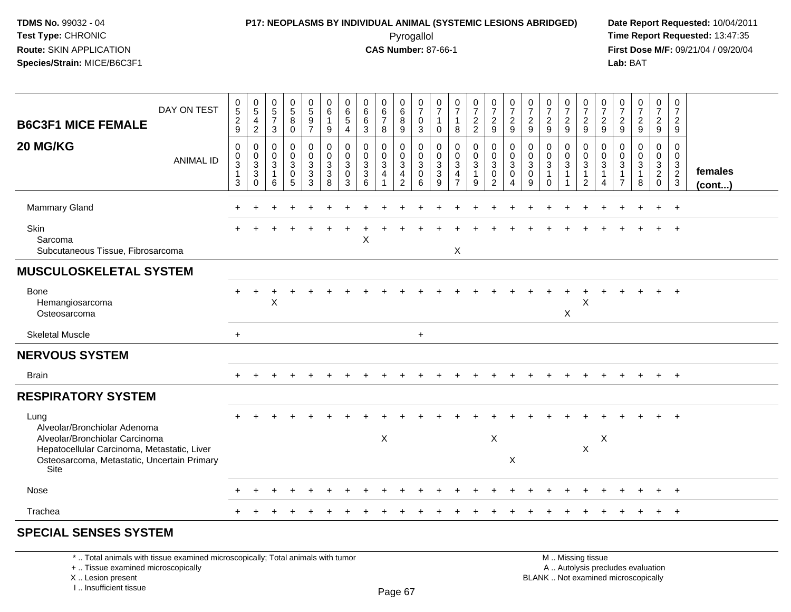### **P17: NEOPLASMS BY INDIVIDUAL ANIMAL (SYSTEMIC LESIONS ABRIDGED) Date Report Requested:** 10/04/2011 Pyrogallol **Time Report Requested:** 13:47:35

**First Dose M/F:** 09/21/04 / 09/20/04<br>Lab: BAT **Lab:** BAT

| DAY ON TEST<br><b>B6C3F1 MICE FEMALE</b>                                                                                                                                     | $\begin{array}{c} 0 \\ 5 \end{array}$<br>$\frac{2}{9}$ | $\pmb{0}$<br>$\,$ 5 $\,$<br>$\overline{4}$<br>$\overline{c}$ | $\begin{array}{c} 0 \\ 5 \\ 7 \end{array}$<br>3    | $\begin{array}{c} 0 \\ 5 \end{array}$<br>$\bf 8$<br>$\Omega$ | $\pmb{0}$<br>$\sqrt{5}$<br>$\boldsymbol{9}$<br>$\overline{7}$ | 0<br>$\,6\,$<br>$\mathbf{1}$<br>9 | 0<br>$\,6\,$<br>$\sqrt{5}$<br>$\overline{4}$ | $\begin{array}{c} 0 \\ 6 \end{array}$<br>$\,6\,$<br>3            | $_{6}^{\rm 0}$<br>$\overline{7}$<br>8 | $\pmb{0}$<br>$6\phantom{1}6$<br>8<br>9                            | 0<br>$\overline{7}$<br>$\mathbf 0$<br>3 | 0<br>$\overline{7}$<br>$\mathbf{1}$<br>$\mathbf{0}$ | $\frac{0}{7}$<br>$\mathbf{1}$<br>8    | $\begin{array}{c} 0 \\ 7 \end{array}$<br>$\frac{2}{2}$            | $\begin{array}{c} 0 \\ 7 \end{array}$<br>$\frac{2}{9}$              | $\frac{0}{7}$<br>$\overline{c}$<br>$\overline{9}$      | $\frac{0}{7}$<br>$\frac{2}{9}$                                 | $\frac{0}{7}$<br>$\overline{c}$<br>9                           | $\begin{array}{c} 0 \\ 7 \end{array}$<br>$\frac{2}{9}$ | $\frac{0}{7}$<br>$\frac{2}{9}$                                                           | $\pmb{0}$<br>$\overline{7}$<br>$\overline{2}$<br>9   | 0<br>$\overline{7}$<br>$\overline{c}$<br>9   | $\frac{0}{7}$<br>$\frac{2}{9}$ | $\begin{array}{c} 0 \\ 7 \end{array}$<br>$\frac{2}{9}$                | $\pmb{0}$<br>$\overline{7}$<br>$\overline{a}$<br>9 |                   |
|------------------------------------------------------------------------------------------------------------------------------------------------------------------------------|--------------------------------------------------------|--------------------------------------------------------------|----------------------------------------------------|--------------------------------------------------------------|---------------------------------------------------------------|-----------------------------------|----------------------------------------------|------------------------------------------------------------------|---------------------------------------|-------------------------------------------------------------------|-----------------------------------------|-----------------------------------------------------|---------------------------------------|-------------------------------------------------------------------|---------------------------------------------------------------------|--------------------------------------------------------|----------------------------------------------------------------|----------------------------------------------------------------|--------------------------------------------------------|------------------------------------------------------------------------------------------|------------------------------------------------------|----------------------------------------------|--------------------------------|-----------------------------------------------------------------------|----------------------------------------------------|-------------------|
| 20 MG/KG<br><b>ANIMAL ID</b>                                                                                                                                                 | 0<br>0<br>3<br>$\mathbf 1$<br>3                        | 0<br>0<br>3<br>$\mathbf{3}$<br>$\Omega$                      | $\mathbf 0$<br>$_{3}^{\rm 0}$<br>$\mathbf{1}$<br>6 | 0<br>0<br>3<br>$\mathbf 0$<br>5                              | 0<br>$\mathbf 0$<br>$\sqrt{3}$<br>3<br>3                      | 0<br>$_{3}^{\rm 0}$<br>3<br>8     | 0<br>0<br>$\mathbf{3}$<br>0<br>3             | $\mathbf 0$<br>$\mathbf 0$<br>$\overline{3}$<br>$\mathsf 3$<br>6 | 0<br>$_{3}^{\rm 0}$<br>$\overline{4}$ | $\mathbf 0$<br>$_{3}^{\rm 0}$<br>$\overline{4}$<br>$\overline{2}$ | 0<br>$\mathbf 0$<br>3<br>0<br>6         | $\mathbf 0$<br>0<br>$\mathbf{3}$<br>3<br>9          | 0<br>$_{3}^{\rm 0}$<br>$\overline{4}$ | $\mathbf 0$<br>$\mathbf 0$<br>$\mathbf{3}$<br>$\overline{1}$<br>9 | 0<br>$\mathbf 0$<br>$\overline{3}$<br>$\mathbf 0$<br>$\overline{2}$ | $\mathbf 0$<br>$\overline{0}$<br>3<br>$\mathbf 0$<br>4 | $\mathbf 0$<br>$\pmb{0}$<br>$\overline{3}$<br>$\mathbf 0$<br>9 | 0<br>$\mathbf 0$<br>$\overline{3}$<br>$\mathbf{1}$<br>$\Omega$ | 0<br>$\overline{0}$<br>$\sqrt{3}$                      | $\mathbf 0$<br>$\mathsf{O}\xspace$<br>$\overline{3}$<br>$\overline{1}$<br>$\overline{2}$ | $\mathbf 0$<br>$\mathbf 0$<br>3<br>$\mathbf{1}$<br>4 | $\mathbf 0$<br>0<br>3<br>1<br>$\overline{7}$ | 0<br>$\frac{0}{3}$<br>8        | 0<br>$\begin{smallmatrix} 0\\ 3\\ 2 \end{smallmatrix}$<br>$\mathbf 0$ | 0<br>$\mathbf 0$<br>$\frac{3}{2}$                  | females<br>(cont) |
| <b>Mammary Gland</b>                                                                                                                                                         |                                                        |                                                              |                                                    |                                                              |                                                               |                                   |                                              |                                                                  |                                       |                                                                   |                                         |                                                     |                                       |                                                                   |                                                                     |                                                        |                                                                |                                                                |                                                        |                                                                                          |                                                      |                                              |                                |                                                                       | $^{+}$                                             |                   |
| Skin<br>Sarcoma<br>Subcutaneous Tissue, Fibrosarcoma                                                                                                                         |                                                        |                                                              |                                                    |                                                              |                                                               |                                   |                                              | $\pmb{\times}$                                                   |                                       |                                                                   |                                         |                                                     | X                                     |                                                                   |                                                                     |                                                        |                                                                |                                                                |                                                        |                                                                                          |                                                      |                                              |                                |                                                                       | $^{+}$                                             |                   |
| <b>MUSCULOSKELETAL SYSTEM</b>                                                                                                                                                |                                                        |                                                              |                                                    |                                                              |                                                               |                                   |                                              |                                                                  |                                       |                                                                   |                                         |                                                     |                                       |                                                                   |                                                                     |                                                        |                                                                |                                                                |                                                        |                                                                                          |                                                      |                                              |                                |                                                                       |                                                    |                   |
| Bone<br>Hemangiosarcoma<br>Osteosarcoma                                                                                                                                      | $+$                                                    | ÷                                                            | X                                                  |                                                              |                                                               |                                   |                                              |                                                                  |                                       |                                                                   |                                         |                                                     |                                       |                                                                   |                                                                     |                                                        |                                                                |                                                                | X                                                      | X                                                                                        |                                                      |                                              |                                |                                                                       | $+$                                                |                   |
| <b>Skeletal Muscle</b>                                                                                                                                                       | $+$                                                    |                                                              |                                                    |                                                              |                                                               |                                   |                                              |                                                                  |                                       |                                                                   | $\ddot{}$                               |                                                     |                                       |                                                                   |                                                                     |                                                        |                                                                |                                                                |                                                        |                                                                                          |                                                      |                                              |                                |                                                                       |                                                    |                   |
| <b>NERVOUS SYSTEM</b>                                                                                                                                                        |                                                        |                                                              |                                                    |                                                              |                                                               |                                   |                                              |                                                                  |                                       |                                                                   |                                         |                                                     |                                       |                                                                   |                                                                     |                                                        |                                                                |                                                                |                                                        |                                                                                          |                                                      |                                              |                                |                                                                       |                                                    |                   |
| <b>Brain</b>                                                                                                                                                                 |                                                        |                                                              |                                                    |                                                              |                                                               |                                   |                                              |                                                                  |                                       |                                                                   |                                         |                                                     |                                       |                                                                   |                                                                     |                                                        |                                                                |                                                                |                                                        |                                                                                          |                                                      |                                              |                                | $+$                                                                   | $+$                                                |                   |
| <b>RESPIRATORY SYSTEM</b>                                                                                                                                                    |                                                        |                                                              |                                                    |                                                              |                                                               |                                   |                                              |                                                                  |                                       |                                                                   |                                         |                                                     |                                       |                                                                   |                                                                     |                                                        |                                                                |                                                                |                                                        |                                                                                          |                                                      |                                              |                                |                                                                       |                                                    |                   |
| Lung<br>Alveolar/Bronchiolar Adenoma<br>Alveolar/Bronchiolar Carcinoma<br>Hepatocellular Carcinoma, Metastatic, Liver<br>Osteosarcoma, Metastatic, Uncertain Primary<br>Site |                                                        |                                                              |                                                    |                                                              |                                                               |                                   |                                              |                                                                  | $\boldsymbol{\mathsf{X}}$             |                                                                   |                                         |                                                     |                                       |                                                                   | $\boldsymbol{\mathsf{X}}$                                           | $\boldsymbol{\mathsf{X}}$                              |                                                                |                                                                |                                                        | $\boldsymbol{\mathsf{X}}$                                                                | X                                                    |                                              |                                | $+$                                                                   | $\overline{1}$                                     |                   |
| Nose                                                                                                                                                                         |                                                        |                                                              |                                                    |                                                              |                                                               |                                   |                                              |                                                                  |                                       |                                                                   |                                         |                                                     |                                       |                                                                   |                                                                     |                                                        |                                                                |                                                                |                                                        |                                                                                          |                                                      |                                              |                                |                                                                       |                                                    |                   |
| Trachea                                                                                                                                                                      |                                                        |                                                              |                                                    |                                                              |                                                               |                                   |                                              |                                                                  |                                       |                                                                   |                                         |                                                     |                                       |                                                                   |                                                                     |                                                        |                                                                |                                                                |                                                        |                                                                                          |                                                      |                                              |                                |                                                                       | $+$                                                |                   |
| <b>SPECIAL SENSES SYSTEM</b>                                                                                                                                                 |                                                        |                                                              |                                                    |                                                              |                                                               |                                   |                                              |                                                                  |                                       |                                                                   |                                         |                                                     |                                       |                                                                   |                                                                     |                                                        |                                                                |                                                                |                                                        |                                                                                          |                                                      |                                              |                                |                                                                       |                                                    |                   |

\* .. Total animals with tissue examined microscopically; Total animals with tumor

+ .. Tissue examined microscopically

X .. Lesion present

I .. Insufficient tissue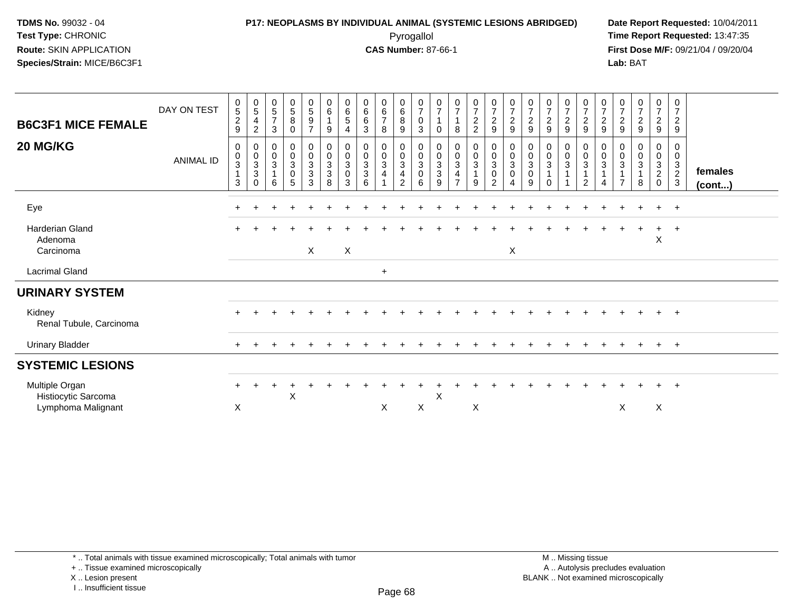### **P17: NEOPLASMS BY INDIVIDUAL ANIMAL (SYSTEMIC LESIONS ABRIDGED) Date Report Requested:** 10/04/2011 Pyrogallol **Time Report Requested:** 13:47:35

**First Dose M/F:** 09/21/04 / 09/20/04<br>Lab: BAT **Lab:** BAT

| <b>B6C3F1 MICE FEMALE</b>                                   | DAY ON TEST      | $\begin{array}{c} 0 \\ 5 \end{array}$<br>$\sqrt{2}$<br>9           | $\begin{array}{c} 0 \\ 5 \end{array}$<br>$\overline{4}$<br>$\overline{c}$ | $\begin{array}{c} 0 \\ 5 \end{array}$<br>$\overline{7}$<br>3         | $\begin{array}{c} 0 \\ 5 \end{array}$<br>8<br>$\mathbf 0$                      | $\begin{array}{c} 0 \\ 5 \end{array}$<br>$\boldsymbol{9}$<br>$\overline{7}$ | $\begin{array}{c} 0 \\ 6 \end{array}$<br>9            | $_{6}^{\rm 0}$<br>5                                                  | $_{6}^{\rm 0}$<br>$\,6\,$<br>3                      | $\begin{array}{c} 0 \\ 6 \end{array}$<br>$\overline{7}$<br>8             | $\begin{array}{c} 0 \\ 6 \end{array}$<br>$\, 8$<br>$\boldsymbol{9}$           | $\frac{0}{7}$<br>0<br>3                                         | $\frac{0}{7}$<br>$\overline{1}$<br>0                                        | $\frac{0}{7}$<br>8                                                                           | $\frac{0}{7}$<br>2<br>2                              | $\frac{0}{7}$<br>$\overline{c}$<br>$\boldsymbol{9}$                          | $\frac{0}{7}$<br>$\frac{2}{9}$                                      | $\frac{0}{7}$<br>$\boldsymbol{2}$<br>9      | $\frac{0}{7}$<br>$\sqrt{2}$<br>9                          | $\frac{0}{7}$<br>$\boldsymbol{2}$<br>$9\,$ | $\begin{smallmatrix}0\\7\end{smallmatrix}$<br>$\overline{c}$<br>9 | $\frac{0}{7}$<br>$\sqrt{2}$<br>9           | $\frac{0}{7}$<br>$\overline{c}$<br>9 | $\frac{0}{7}$<br>$\overline{2}$<br>9         | $\frac{0}{7}$<br>$\overline{a}$<br>$\boldsymbol{9}$             | $\frac{0}{7}$<br>$\boldsymbol{2}$<br>9            |                   |  |
|-------------------------------------------------------------|------------------|--------------------------------------------------------------------|---------------------------------------------------------------------------|----------------------------------------------------------------------|--------------------------------------------------------------------------------|-----------------------------------------------------------------------------|-------------------------------------------------------|----------------------------------------------------------------------|-----------------------------------------------------|--------------------------------------------------------------------------|-------------------------------------------------------------------------------|-----------------------------------------------------------------|-----------------------------------------------------------------------------|----------------------------------------------------------------------------------------------|------------------------------------------------------|------------------------------------------------------------------------------|---------------------------------------------------------------------|---------------------------------------------|-----------------------------------------------------------|--------------------------------------------|-------------------------------------------------------------------|--------------------------------------------|--------------------------------------|----------------------------------------------|-----------------------------------------------------------------|---------------------------------------------------|-------------------|--|
| 20 MG/KG                                                    | <b>ANIMAL ID</b> | 0<br>$\pmb{0}$<br>$\ensuremath{\mathsf{3}}$<br>$\overline{1}$<br>3 | $\begin{matrix}0\\0\\3\\3\end{matrix}$<br>$\Omega$                        | $\begin{smallmatrix} 0\\0\\3 \end{smallmatrix}$<br>$\mathbf{1}$<br>6 | $\begin{smallmatrix} 0\\0\\3 \end{smallmatrix}$<br>$\pmb{0}$<br>$\overline{5}$ | $\begin{matrix} 0 \\ 0 \\ 3 \\ 3 \end{matrix}$<br>$\sqrt{3}$                | 0<br>$\mathbf 0$<br>$\mathbf{3}$<br>$\mathbf{3}$<br>8 | 0<br>$\overline{0}$<br>$\ensuremath{\mathsf{3}}$<br>$\mathbf 0$<br>3 | $\begin{matrix} 0 \\ 0 \\ 3 \\ 3 \end{matrix}$<br>6 | $\begin{smallmatrix}0\\0\\3\end{smallmatrix}$<br>$\overline{\mathbf{4}}$ | $\begin{matrix} 0 \\ 0 \\ 3 \end{matrix}$<br>$\overline{4}$<br>$\overline{2}$ | 0<br>$\mathbf 0$<br>$\ensuremath{\mathsf{3}}$<br>$\pmb{0}$<br>6 | $\begin{matrix} 0 \\ 0 \\ 3 \end{matrix}$<br>$\ensuremath{\mathsf{3}}$<br>9 | $\begin{smallmatrix} 0\\0\\3 \end{smallmatrix}$<br>$\overline{\mathbf{4}}$<br>$\overline{7}$ | $\begin{smallmatrix} 0\\0\\3 \end{smallmatrix}$<br>9 | $\begin{smallmatrix}0\\0\\3\end{smallmatrix}$<br>$\pmb{0}$<br>$\overline{2}$ | $\begin{smallmatrix} 0\\0\\3 \end{smallmatrix}$<br>$\mathbf 0$<br>4 | $\bar{0}$<br>$\sqrt{3}$<br>$\mathbf 0$<br>9 | $\begin{smallmatrix}0\\0\\3\end{smallmatrix}$<br>$\Omega$ | 0<br>$\frac{0}{3}$<br>1                    | 0<br>$\mathsf{O}\xspace$<br>3<br>$\mathbf{1}$<br>$\overline{2}$   | 0<br>$\mathsf 0$<br>3<br>$\mathbf{1}$<br>4 | 0<br>0<br>3<br>$\overline{7}$        | 0<br>$\boldsymbol{0}$<br>$\overline{3}$<br>8 | 0<br>$\pmb{0}$<br>$\mathbf{3}$<br>$\overline{2}$<br>$\mathbf 0$ | 0<br>$\mathbf 0$<br>$\frac{3}{2}$<br>$\mathbf{3}$ | females<br>(cont) |  |
| Eye                                                         |                  | ÷                                                                  |                                                                           |                                                                      |                                                                                |                                                                             |                                                       |                                                                      |                                                     |                                                                          |                                                                               |                                                                 |                                                                             |                                                                                              |                                                      |                                                                              |                                                                     |                                             |                                                           |                                            |                                                                   |                                            |                                      |                                              | $+$                                                             | $+$                                               |                   |  |
| Harderian Gland<br>Adenoma<br>Carcinoma                     |                  |                                                                    |                                                                           |                                                                      |                                                                                | $\mathsf{X}$                                                                |                                                       | $\boldsymbol{\mathsf{X}}$                                            |                                                     |                                                                          |                                                                               |                                                                 |                                                                             |                                                                                              |                                                      |                                                                              | X                                                                   |                                             |                                                           |                                            |                                                                   |                                            |                                      |                                              | $\ddot{}$<br>$\mathsf X$                                        | $+$                                               |                   |  |
| <b>Lacrimal Gland</b>                                       |                  |                                                                    |                                                                           |                                                                      |                                                                                |                                                                             |                                                       |                                                                      |                                                     | $\ddot{}$                                                                |                                                                               |                                                                 |                                                                             |                                                                                              |                                                      |                                                                              |                                                                     |                                             |                                                           |                                            |                                                                   |                                            |                                      |                                              |                                                                 |                                                   |                   |  |
| <b>URINARY SYSTEM</b>                                       |                  |                                                                    |                                                                           |                                                                      |                                                                                |                                                                             |                                                       |                                                                      |                                                     |                                                                          |                                                                               |                                                                 |                                                                             |                                                                                              |                                                      |                                                                              |                                                                     |                                             |                                                           |                                            |                                                                   |                                            |                                      |                                              |                                                                 |                                                   |                   |  |
| Kidney<br>Renal Tubule, Carcinoma                           |                  |                                                                    |                                                                           |                                                                      |                                                                                |                                                                             |                                                       |                                                                      |                                                     |                                                                          |                                                                               |                                                                 |                                                                             |                                                                                              |                                                      |                                                                              |                                                                     |                                             |                                                           |                                            |                                                                   |                                            |                                      |                                              |                                                                 | $\overline{+}$                                    |                   |  |
| <b>Urinary Bladder</b>                                      |                  |                                                                    |                                                                           |                                                                      |                                                                                |                                                                             |                                                       |                                                                      |                                                     |                                                                          |                                                                               |                                                                 |                                                                             |                                                                                              |                                                      |                                                                              |                                                                     |                                             |                                                           |                                            |                                                                   |                                            |                                      |                                              | $\ddot{}$                                                       | $+$                                               |                   |  |
| <b>SYSTEMIC LESIONS</b>                                     |                  |                                                                    |                                                                           |                                                                      |                                                                                |                                                                             |                                                       |                                                                      |                                                     |                                                                          |                                                                               |                                                                 |                                                                             |                                                                                              |                                                      |                                                                              |                                                                     |                                             |                                                           |                                            |                                                                   |                                            |                                      |                                              |                                                                 |                                                   |                   |  |
| Multiple Organ<br>Histiocytic Sarcoma<br>Lymphoma Malignant |                  | $\div$<br>X                                                        |                                                                           |                                                                      | X                                                                              |                                                                             |                                                       |                                                                      |                                                     | X                                                                        |                                                                               | X                                                               | X                                                                           |                                                                                              | X                                                    |                                                                              |                                                                     |                                             |                                                           |                                            |                                                                   |                                            | X                                    |                                              | X                                                               | $\overline{+}$                                    |                   |  |

\* .. Total animals with tissue examined microscopically; Total animals with tumor

X .. Lesion present

I .. Insufficient tissue

<sup>+ ..</sup> Tissue examined microscopically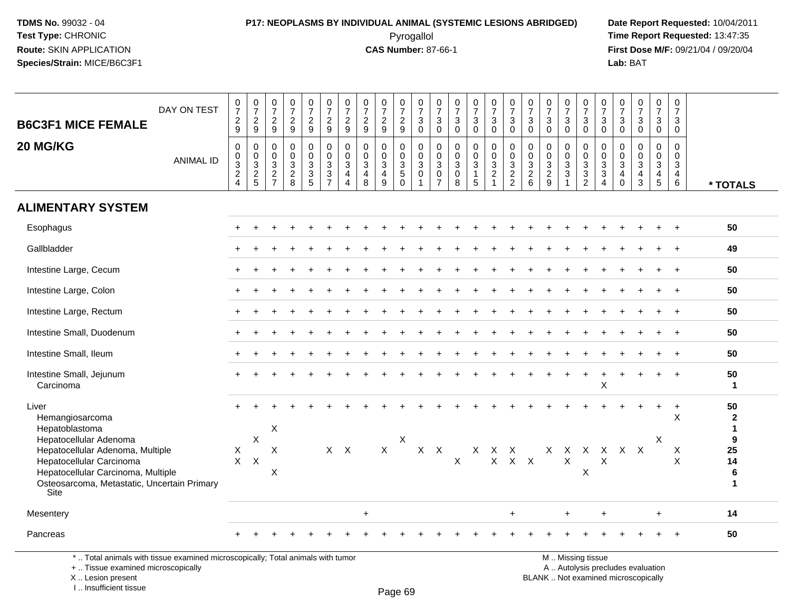### **P17: NEOPLASMS BY INDIVIDUAL ANIMAL (SYSTEMIC LESIONS ABRIDGED) Date Report Requested:** 10/04/2011 Pyrogallol **Time Report Requested:** 13:47:35

**First Dose M/F:** 09/21/04 / 09/20/04<br>Lab: BAT **Lab:** BAT

| <b>B6C3F1 MICE FEMALE</b><br>20 MG/KG                                                                                        | DAY ON TEST<br><b>ANIMAL ID</b> | $\frac{0}{7}$<br>$\frac{2}{9}$<br>$\pmb{0}$<br>$\pmb{0}$<br>$\ensuremath{\mathsf{3}}$<br>$\overline{2}$ | $\frac{0}{7}$<br>$\frac{2}{9}$<br>$\mathbf 0$<br>$\mathbf 0$<br>$\mathsf 3$<br>$\frac{2}{5}$ | $\begin{smallmatrix}0\\7\end{smallmatrix}$<br>$\frac{2}{9}$<br>$\mathbf 0$<br>$\mathbf 0$<br>$\mathsf 3$<br>$\frac{2}{7}$ | $\begin{smallmatrix}0\\7\end{smallmatrix}$<br>$\frac{2}{9}$<br>$\mathbf 0$<br>$\mathsf 0$<br>$\ensuremath{\mathsf{3}}$<br>$\frac{2}{8}$ | $\frac{0}{7}$<br>$\frac{2}{9}$<br>0<br>$\mathbf 0$<br>$\mathbf{3}$<br>$\ensuremath{\mathsf{3}}$ | $\frac{0}{7}$<br>$\frac{2}{9}$<br>$\mathbf 0$<br>$\mathbf 0$<br>$\frac{3}{3}$ | $\frac{0}{7}$<br>$\overline{c}$<br>$\overline{9}$<br>$\mathbf 0$<br>$\Omega$<br>3<br>4 | $\frac{0}{7}$<br>$\frac{2}{9}$<br>$\mathbf 0$<br>$\mathbf 0$<br>$\mathbf{3}$<br>$\overline{4}$ | $\frac{0}{7}$<br>$\overline{2}$<br>9<br>0<br>$\mathbf 0$<br>3<br>$\overline{4}$ | $\frac{0}{7}$<br>$\frac{2}{9}$<br>0<br>$\mathbf 0$<br>$\mathbf{3}$<br>$5\,$ | $\begin{array}{c} 0 \\ 7 \end{array}$<br>$\sqrt{3}$<br>$\overline{0}$<br>0<br>$\Omega$<br>$\ensuremath{\mathsf{3}}$<br>$\mathbf 0$ | $\frac{0}{7}$<br>3<br>$\mathbf 0$<br>0<br>$\Omega$<br>$\mathbf{3}$<br>$\mathsf 0$ | $\frac{0}{7}$<br>$\mathbf{3}$<br>$\mathbf 0$<br>$\mathbf 0$<br>$\Omega$<br>$\mathbf{3}$<br>$\boldsymbol{0}$ | $\frac{0}{7}$<br>3<br>$\mathbf 0$<br>$\mathbf{0}$<br>$\mathbf 0$<br>$\mathbf{3}$<br>1 | $\begin{array}{c} 0 \\ 7 \end{array}$<br>$_0^3$<br>0<br>$\mathbf 0$<br>$\mathbf{3}$<br>$\overline{a}$ | $\frac{0}{7}$<br>$\mathbf{3}$<br>$\mathbf 0$<br>$\pmb{0}$<br>$\mathbf 0$<br>$\ensuremath{\mathsf{3}}$<br>$\overline{2}$ | $\frac{0}{7}$<br>3<br>$\Omega$<br>$\mathbf 0$<br>$\Omega$<br>$\mathbf{3}$<br>$\sqrt{2}$ | $\begin{array}{c} 0 \\ 7 \end{array}$<br>3<br>$\mathbf{0}$<br>0<br>$\mathbf 0$<br>$\ensuremath{\mathsf{3}}$<br>$\overline{2}$ | $\frac{0}{7}$<br>3<br>$\mathbf 0$<br>0<br>$\mathbf 0$<br>$\mathbf{3}$<br>$\sqrt{3}$ | $\frac{0}{7}$<br>$\mathbf{3}$<br>$\mathbf 0$<br>$\mathbf 0$<br>$\mathbf 0$<br>$\sqrt{3}$<br>$\sqrt{3}$ | $\frac{0}{7}$<br>3<br>$\mathbf 0$<br>0<br>$\Omega$<br>$\mathbf{3}$<br>$\sqrt{3}$ | $\frac{0}{7}$<br>$_0^3$<br>$\Omega$<br>$\Omega$<br>$\mathbf{3}$<br>$\overline{4}$ | $\frac{0}{7}$<br>$\mathbf{3}$<br>$\overline{0}$<br>0<br>$\mathsf 0$<br>$\sqrt{3}$<br>$\overline{\mathbf{4}}$ | $\begin{smallmatrix}0\\7\end{smallmatrix}$<br>3<br>$\overline{0}$<br>$\mathbf{0}$<br>$\Omega$<br>3<br>$\overline{4}$ | $\mathbf 0$<br>$\overline{7}$<br>3<br>$\mathbf 0$<br>$\mathbf 0$<br>$\mathbf{0}$<br>$\ensuremath{\mathsf{3}}$<br>$\overline{4}$ |                                    |
|------------------------------------------------------------------------------------------------------------------------------|---------------------------------|---------------------------------------------------------------------------------------------------------|----------------------------------------------------------------------------------------------|---------------------------------------------------------------------------------------------------------------------------|-----------------------------------------------------------------------------------------------------------------------------------------|-------------------------------------------------------------------------------------------------|-------------------------------------------------------------------------------|----------------------------------------------------------------------------------------|------------------------------------------------------------------------------------------------|---------------------------------------------------------------------------------|-----------------------------------------------------------------------------|------------------------------------------------------------------------------------------------------------------------------------|-----------------------------------------------------------------------------------|-------------------------------------------------------------------------------------------------------------|---------------------------------------------------------------------------------------|-------------------------------------------------------------------------------------------------------|-------------------------------------------------------------------------------------------------------------------------|-----------------------------------------------------------------------------------------|-------------------------------------------------------------------------------------------------------------------------------|-------------------------------------------------------------------------------------|--------------------------------------------------------------------------------------------------------|----------------------------------------------------------------------------------|-----------------------------------------------------------------------------------|--------------------------------------------------------------------------------------------------------------|----------------------------------------------------------------------------------------------------------------------|---------------------------------------------------------------------------------------------------------------------------------|------------------------------------|
|                                                                                                                              |                                 | $\overline{4}$                                                                                          |                                                                                              |                                                                                                                           |                                                                                                                                         | 5                                                                                               | $\overline{7}$                                                                | 4                                                                                      | 8                                                                                              | 9                                                                               | $\mathbf 0$                                                                 | $\mathbf{1}$                                                                                                                       | $\overline{7}$                                                                    | 8                                                                                                           | 5                                                                                     | $\overline{1}$                                                                                        | $\overline{2}$                                                                                                          | 6                                                                                       | 9                                                                                                                             | $\mathbf{1}$                                                                        | $\overline{2}$                                                                                         | 4                                                                                | $\mathbf 0$                                                                       | 3                                                                                                            | $\overline{5}$                                                                                                       | 6                                                                                                                               | * TOTALS                           |
| <b>ALIMENTARY SYSTEM</b>                                                                                                     |                                 |                                                                                                         |                                                                                              |                                                                                                                           |                                                                                                                                         |                                                                                                 |                                                                               |                                                                                        |                                                                                                |                                                                                 |                                                                             |                                                                                                                                    |                                                                                   |                                                                                                             |                                                                                       |                                                                                                       |                                                                                                                         |                                                                                         |                                                                                                                               |                                                                                     |                                                                                                        |                                                                                  |                                                                                   |                                                                                                              |                                                                                                                      |                                                                                                                                 |                                    |
| Esophagus                                                                                                                    |                                 |                                                                                                         |                                                                                              |                                                                                                                           |                                                                                                                                         |                                                                                                 |                                                                               |                                                                                        |                                                                                                |                                                                                 |                                                                             |                                                                                                                                    |                                                                                   |                                                                                                             |                                                                                       |                                                                                                       |                                                                                                                         |                                                                                         |                                                                                                                               |                                                                                     |                                                                                                        |                                                                                  |                                                                                   |                                                                                                              |                                                                                                                      |                                                                                                                                 | 50                                 |
| Gallbladder                                                                                                                  |                                 |                                                                                                         |                                                                                              |                                                                                                                           |                                                                                                                                         |                                                                                                 |                                                                               |                                                                                        |                                                                                                |                                                                                 |                                                                             |                                                                                                                                    |                                                                                   |                                                                                                             |                                                                                       |                                                                                                       |                                                                                                                         |                                                                                         |                                                                                                                               |                                                                                     |                                                                                                        |                                                                                  |                                                                                   |                                                                                                              |                                                                                                                      |                                                                                                                                 | 49                                 |
| Intestine Large, Cecum                                                                                                       |                                 |                                                                                                         |                                                                                              |                                                                                                                           |                                                                                                                                         |                                                                                                 |                                                                               |                                                                                        |                                                                                                |                                                                                 |                                                                             |                                                                                                                                    |                                                                                   |                                                                                                             |                                                                                       |                                                                                                       |                                                                                                                         |                                                                                         |                                                                                                                               |                                                                                     |                                                                                                        |                                                                                  |                                                                                   |                                                                                                              |                                                                                                                      |                                                                                                                                 | 50                                 |
| Intestine Large, Colon                                                                                                       |                                 |                                                                                                         |                                                                                              |                                                                                                                           |                                                                                                                                         |                                                                                                 |                                                                               |                                                                                        |                                                                                                |                                                                                 |                                                                             |                                                                                                                                    |                                                                                   |                                                                                                             |                                                                                       |                                                                                                       |                                                                                                                         |                                                                                         |                                                                                                                               |                                                                                     |                                                                                                        |                                                                                  |                                                                                   |                                                                                                              |                                                                                                                      | $+$                                                                                                                             | 50                                 |
| Intestine Large, Rectum                                                                                                      |                                 |                                                                                                         |                                                                                              |                                                                                                                           |                                                                                                                                         |                                                                                                 |                                                                               |                                                                                        |                                                                                                |                                                                                 |                                                                             |                                                                                                                                    |                                                                                   |                                                                                                             |                                                                                       |                                                                                                       |                                                                                                                         |                                                                                         |                                                                                                                               |                                                                                     |                                                                                                        |                                                                                  |                                                                                   |                                                                                                              |                                                                                                                      |                                                                                                                                 | 50                                 |
| Intestine Small, Duodenum                                                                                                    |                                 |                                                                                                         |                                                                                              |                                                                                                                           |                                                                                                                                         |                                                                                                 |                                                                               |                                                                                        |                                                                                                |                                                                                 |                                                                             |                                                                                                                                    |                                                                                   |                                                                                                             |                                                                                       |                                                                                                       |                                                                                                                         |                                                                                         |                                                                                                                               |                                                                                     |                                                                                                        |                                                                                  |                                                                                   |                                                                                                              |                                                                                                                      |                                                                                                                                 | 50                                 |
| Intestine Small, Ileum                                                                                                       |                                 |                                                                                                         |                                                                                              |                                                                                                                           |                                                                                                                                         |                                                                                                 |                                                                               |                                                                                        |                                                                                                |                                                                                 |                                                                             |                                                                                                                                    |                                                                                   |                                                                                                             |                                                                                       |                                                                                                       |                                                                                                                         |                                                                                         |                                                                                                                               |                                                                                     |                                                                                                        |                                                                                  |                                                                                   |                                                                                                              |                                                                                                                      | $+$                                                                                                                             | 50                                 |
| Intestine Small, Jejunum<br>Carcinoma                                                                                        |                                 |                                                                                                         |                                                                                              |                                                                                                                           |                                                                                                                                         |                                                                                                 |                                                                               |                                                                                        |                                                                                                |                                                                                 |                                                                             |                                                                                                                                    |                                                                                   |                                                                                                             |                                                                                       |                                                                                                       |                                                                                                                         |                                                                                         |                                                                                                                               |                                                                                     |                                                                                                        | X                                                                                |                                                                                   |                                                                                                              |                                                                                                                      |                                                                                                                                 | 50<br>$\mathbf{1}$                 |
| Liver<br>Hemangiosarcoma<br>Hepatoblastoma                                                                                   |                                 |                                                                                                         |                                                                                              | $\boldsymbol{\mathsf{X}}$                                                                                                 |                                                                                                                                         |                                                                                                 |                                                                               |                                                                                        |                                                                                                |                                                                                 |                                                                             |                                                                                                                                    |                                                                                   |                                                                                                             |                                                                                       |                                                                                                       |                                                                                                                         |                                                                                         |                                                                                                                               |                                                                                     |                                                                                                        |                                                                                  |                                                                                   |                                                                                                              | $\ddot{}$                                                                                                            | $\ddot{}$<br>$\times$                                                                                                           | 50<br>$\mathbf{2}$<br>$\mathbf{1}$ |
| Hepatocellular Adenoma<br>Hepatocellular Adenoma, Multiple<br>Hepatocellular Carcinoma<br>Hepatocellular Carcinoma, Multiple |                                 | $\boldsymbol{\mathsf{X}}$<br>$X$ $X$                                                                    | $\mathsf X$                                                                                  | X<br>X                                                                                                                    |                                                                                                                                         |                                                                                                 | $X$ $X$                                                                       |                                                                                        |                                                                                                | $\mathsf{X}$                                                                    | Χ                                                                           | $X$ $X$                                                                                                                            |                                                                                   | $\times$                                                                                                    |                                                                                       | X X X                                                                                                 | $X$ $X$ $X$                                                                                                             |                                                                                         |                                                                                                                               | $\mathsf{X}$                                                                        | X X X X X X<br>X                                                                                       | $\boldsymbol{\mathsf{X}}$                                                        |                                                                                   |                                                                                                              | X                                                                                                                    | X<br>$\times$                                                                                                                   | 9<br>25<br>14<br>6                 |
| Osteosarcoma, Metastatic, Uncertain Primary<br>Site                                                                          |                                 |                                                                                                         |                                                                                              |                                                                                                                           |                                                                                                                                         |                                                                                                 |                                                                               |                                                                                        |                                                                                                |                                                                                 |                                                                             |                                                                                                                                    |                                                                                   |                                                                                                             |                                                                                       |                                                                                                       |                                                                                                                         |                                                                                         |                                                                                                                               |                                                                                     |                                                                                                        |                                                                                  |                                                                                   |                                                                                                              |                                                                                                                      |                                                                                                                                 | $\mathbf{1}$                       |
| Mesentery                                                                                                                    |                                 |                                                                                                         |                                                                                              |                                                                                                                           |                                                                                                                                         |                                                                                                 |                                                                               |                                                                                        | $\ddot{}$                                                                                      |                                                                                 |                                                                             |                                                                                                                                    |                                                                                   |                                                                                                             |                                                                                       |                                                                                                       | $+$                                                                                                                     |                                                                                         |                                                                                                                               | $+$                                                                                 |                                                                                                        | $+$                                                                              |                                                                                   |                                                                                                              | $+$                                                                                                                  |                                                                                                                                 | 14                                 |
| Pancreas                                                                                                                     |                                 |                                                                                                         |                                                                                              |                                                                                                                           |                                                                                                                                         |                                                                                                 |                                                                               |                                                                                        |                                                                                                |                                                                                 |                                                                             |                                                                                                                                    |                                                                                   |                                                                                                             |                                                                                       |                                                                                                       |                                                                                                                         |                                                                                         |                                                                                                                               |                                                                                     |                                                                                                        |                                                                                  |                                                                                   |                                                                                                              |                                                                                                                      |                                                                                                                                 | 50                                 |

\* .. Total animals with tissue examined microscopically; Total animals with tumor

+ .. Tissue examined microscopically

X .. Lesion present

I .. Insufficient tissue

 M .. Missing tissuey the contract of the contract of the contract of the contract of the contract of  $\mathsf A$  . Autolysis precludes evaluation

Lesion present BLANK .. Not examined microscopically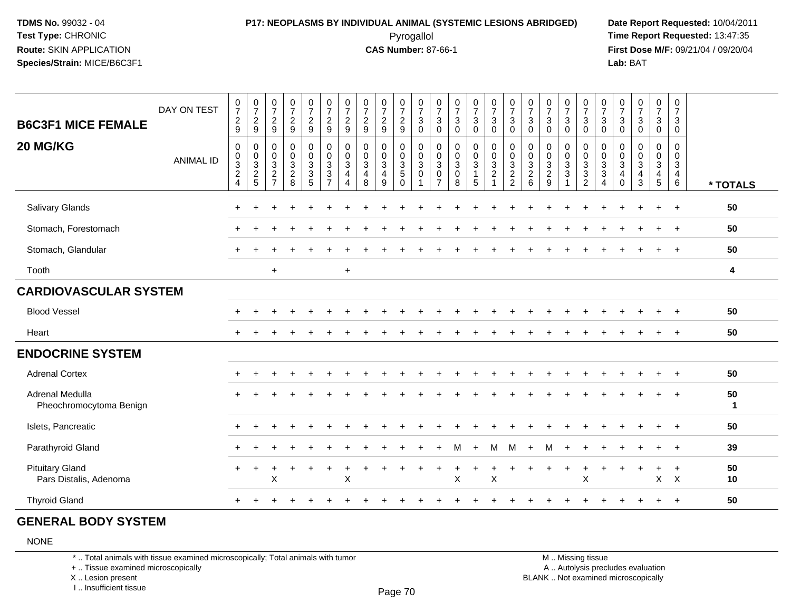### **P17: NEOPLASMS BY INDIVIDUAL ANIMAL (SYSTEMIC LESIONS ABRIDGED) Date Report Requested:** 10/04/2011 Pyrogallol **Time Report Requested:** 13:47:35

**First Dose M/F:** 09/21/04 / 09/20/04<br>**Lab:** BAT **Lab:** BAT

| <b>B6C3F1 MICE FEMALE</b>                        | DAY ON TEST      | $\begin{array}{c} 0 \\ 7 \end{array}$<br>$\frac{2}{9}$                               | $\frac{0}{7}$<br>$\frac{2}{9}$                                 | $\begin{array}{c} 0 \\ 7 \end{array}$<br>$\overline{c}$<br>9 | $\frac{0}{7}$<br>$\overline{a}$<br>$\overline{9}$                  | $\frac{0}{7}$<br>$\frac{2}{9}$                      | $\begin{array}{c} 0 \\ 7 \end{array}$<br>$\frac{2}{9}$                   | $\frac{0}{7}$<br>$\frac{2}{9}$                                             | $\frac{0}{7}$<br>$\boldsymbol{2}$<br>9                        | $\frac{0}{7}$<br>$\overline{a}$<br>9                  | $\frac{0}{7}$<br>$\frac{2}{9}$            | $\begin{array}{c} 0 \\ 7 \end{array}$<br>$\ensuremath{\mathsf{3}}$<br>$\mathbf 0$ | $\frac{0}{7}$<br>3<br>$\mathbf 0$                                      | $\frac{0}{7}$<br>$\mathbf{3}$<br>$\Omega$                | $\frac{0}{7}$<br>3<br>$\Omega$                      | $\begin{smallmatrix}0\\7\end{smallmatrix}$<br>3<br>$\mathbf 0$ | $\begin{array}{c} 0 \\ 7 \end{array}$<br>$\sqrt{3}$<br>$\Omega$ | $\begin{array}{c} 0 \\ 7 \end{array}$<br>3<br>$\mathbf 0$                              | $\frac{0}{7}$<br>$\mathbf{3}$<br>$\Omega$           | $\frac{0}{7}$<br>3<br>$\Omega$  | $\begin{array}{c} 0 \\ 7 \end{array}$<br>$\sqrt{3}$<br>$\mathbf 0$ | $\begin{array}{c} 0 \\ 7 \end{array}$<br>$\sqrt{3}$<br>$\Omega$ | $\frac{0}{7}$<br>$\mathbf{3}$<br>$\mathbf{0}$ | $\begin{array}{c} 0 \\ 7 \end{array}$<br>$\mathbf{3}$<br>$\Omega$ | $\frac{0}{7}$<br>$\mathbf{3}$<br>$\mathbf 0$                   | $\frac{0}{7}$<br>$\mathbf{3}$<br>$\mathsf{O}\xspace$        |                    |
|--------------------------------------------------|------------------|--------------------------------------------------------------------------------------|----------------------------------------------------------------|--------------------------------------------------------------|--------------------------------------------------------------------|-----------------------------------------------------|--------------------------------------------------------------------------|----------------------------------------------------------------------------|---------------------------------------------------------------|-------------------------------------------------------|-------------------------------------------|-----------------------------------------------------------------------------------|------------------------------------------------------------------------|----------------------------------------------------------|-----------------------------------------------------|----------------------------------------------------------------|-----------------------------------------------------------------|----------------------------------------------------------------------------------------|-----------------------------------------------------|---------------------------------|--------------------------------------------------------------------|-----------------------------------------------------------------|-----------------------------------------------|-------------------------------------------------------------------|----------------------------------------------------------------|-------------------------------------------------------------|--------------------|
| 20 MG/KG                                         | <b>ANIMAL ID</b> | $\mathbf 0$<br>$\begin{array}{c} 0 \\ 3 \\ 2 \end{array}$<br>$\overline{\mathbf{4}}$ | $\mathbf 0$<br>$\begin{array}{c} 0 \\ 3 \\ 2 \\ 5 \end{array}$ | $\pmb{0}$<br>$\pmb{0}$<br>$\frac{3}{2}$                      | 0<br>$\pmb{0}$<br>$\ensuremath{\mathsf{3}}$<br>$\overline{c}$<br>8 | $\begin{matrix} 0 \\ 0 \\ 3 \\ 3 \end{matrix}$<br>5 | $\pmb{0}$<br>$\pmb{0}$<br>$\overline{3}$<br>$\sqrt{3}$<br>$\overline{7}$ | $\mathbf 0$<br>$\pmb{0}$<br>$\sqrt{3}$<br>$\overline{a}$<br>$\overline{4}$ | $\pmb{0}$<br>$\pmb{0}$<br>$\mathbf{3}$<br>$\overline{a}$<br>8 | 0<br>$\pmb{0}$<br>$\mathbf{3}$<br>$\overline{4}$<br>9 | $\pmb{0}$<br>$\frac{0}{3}$<br>$\mathbf 0$ | $\mathbf 0$<br>$\pmb{0}$<br>$\ensuremath{\mathsf{3}}$<br>$\pmb{0}$                | $\mathsf{O}\xspace$<br>$\pmb{0}$<br>$\overline{3}$ 0<br>$\overline{7}$ | $\pmb{0}$<br>$\pmb{0}$<br>$\sqrt{3}$<br>$\mathbf 0$<br>8 | 0<br>$\pmb{0}$<br>$\mathbf{3}$<br>$\mathbf{1}$<br>5 | $\pmb{0}$<br>$\mathbf 0$<br>$\frac{3}{2}$<br>$\mathbf{1}$      | $\mathbf 0$<br>$\pmb{0}$<br>$\frac{3}{2}$                       | 0<br>$\boldsymbol{0}$<br>$\ensuremath{\mathsf{3}}$<br>$\overline{2}$<br>$6\phantom{1}$ | $\pmb{0}$<br>$\boldsymbol{0}$<br>$\frac{3}{2}$<br>9 | 0<br>$\pmb{0}$<br>$\frac{3}{3}$ | $\pmb{0}$<br>$\pmb{0}$<br>$\frac{3}{3}$<br>$\overline{2}$          | 0<br>$\pmb{0}$<br>$\frac{3}{3}$<br>$\overline{4}$               | 0<br>0<br>$\mathbf{3}$<br>4<br>$\Omega$       | $\mathbf 0$<br>$\mathbf 0$<br>$\mathfrak{Z}$<br>4<br>$\mathbf{3}$ | 0<br>$\pmb{0}$<br>$\mathbf{3}$<br>$\overline{\mathbf{4}}$<br>5 | 0<br>$\pmb{0}$<br>$\mathbf{3}$<br>$\overline{4}$<br>$\,6\,$ | * TOTALS           |
| Salivary Glands                                  |                  | $\pm$                                                                                |                                                                |                                                              |                                                                    |                                                     |                                                                          |                                                                            |                                                               |                                                       |                                           |                                                                                   |                                                                        |                                                          |                                                     |                                                                |                                                                 |                                                                                        |                                                     |                                 |                                                                    |                                                                 |                                               |                                                                   | $\ddot{}$                                                      | $+$                                                         | 50                 |
| Stomach, Forestomach                             |                  |                                                                                      |                                                                |                                                              |                                                                    |                                                     |                                                                          |                                                                            |                                                               |                                                       |                                           |                                                                                   |                                                                        |                                                          |                                                     |                                                                |                                                                 |                                                                                        |                                                     |                                 |                                                                    |                                                                 |                                               |                                                                   |                                                                | $\overline{+}$                                              | 50                 |
| Stomach, Glandular                               |                  | $\div$                                                                               |                                                                |                                                              |                                                                    |                                                     |                                                                          |                                                                            |                                                               |                                                       |                                           |                                                                                   |                                                                        |                                                          |                                                     |                                                                |                                                                 |                                                                                        |                                                     |                                 |                                                                    |                                                                 |                                               |                                                                   |                                                                | $\ddot{}$                                                   | 50                 |
| Tooth                                            |                  |                                                                                      |                                                                | $\ddot{}$                                                    |                                                                    |                                                     |                                                                          | $\ddot{}$                                                                  |                                                               |                                                       |                                           |                                                                                   |                                                                        |                                                          |                                                     |                                                                |                                                                 |                                                                                        |                                                     |                                 |                                                                    |                                                                 |                                               |                                                                   |                                                                |                                                             | 4                  |
| <b>CARDIOVASCULAR SYSTEM</b>                     |                  |                                                                                      |                                                                |                                                              |                                                                    |                                                     |                                                                          |                                                                            |                                                               |                                                       |                                           |                                                                                   |                                                                        |                                                          |                                                     |                                                                |                                                                 |                                                                                        |                                                     |                                 |                                                                    |                                                                 |                                               |                                                                   |                                                                |                                                             |                    |
| <b>Blood Vessel</b>                              |                  |                                                                                      |                                                                |                                                              |                                                                    |                                                     |                                                                          |                                                                            |                                                               |                                                       |                                           |                                                                                   |                                                                        |                                                          |                                                     |                                                                |                                                                 |                                                                                        |                                                     |                                 |                                                                    |                                                                 |                                               |                                                                   |                                                                |                                                             | 50                 |
| Heart                                            |                  |                                                                                      |                                                                |                                                              |                                                                    |                                                     |                                                                          |                                                                            |                                                               |                                                       |                                           |                                                                                   |                                                                        |                                                          |                                                     |                                                                |                                                                 |                                                                                        |                                                     |                                 |                                                                    |                                                                 |                                               |                                                                   |                                                                |                                                             | 50                 |
| <b>ENDOCRINE SYSTEM</b>                          |                  |                                                                                      |                                                                |                                                              |                                                                    |                                                     |                                                                          |                                                                            |                                                               |                                                       |                                           |                                                                                   |                                                                        |                                                          |                                                     |                                                                |                                                                 |                                                                                        |                                                     |                                 |                                                                    |                                                                 |                                               |                                                                   |                                                                |                                                             |                    |
| <b>Adrenal Cortex</b>                            |                  | $\ddot{}$                                                                            |                                                                |                                                              |                                                                    |                                                     |                                                                          |                                                                            |                                                               |                                                       |                                           |                                                                                   |                                                                        |                                                          |                                                     |                                                                |                                                                 |                                                                                        |                                                     |                                 |                                                                    |                                                                 |                                               |                                                                   |                                                                |                                                             | 50                 |
| Adrenal Medulla<br>Pheochromocytoma Benign       |                  |                                                                                      |                                                                |                                                              |                                                                    |                                                     |                                                                          |                                                                            |                                                               |                                                       |                                           |                                                                                   |                                                                        |                                                          |                                                     |                                                                |                                                                 |                                                                                        |                                                     |                                 |                                                                    |                                                                 |                                               |                                                                   |                                                                |                                                             | 50<br>$\mathbf{1}$ |
| Islets, Pancreatic                               |                  | +                                                                                    |                                                                |                                                              |                                                                    |                                                     |                                                                          |                                                                            |                                                               |                                                       |                                           |                                                                                   |                                                                        |                                                          |                                                     |                                                                |                                                                 |                                                                                        |                                                     |                                 |                                                                    |                                                                 |                                               |                                                                   |                                                                | $\ddot{}$                                                   | 50                 |
| Parathyroid Gland                                |                  | +                                                                                    |                                                                |                                                              |                                                                    |                                                     |                                                                          |                                                                            |                                                               |                                                       |                                           |                                                                                   |                                                                        | м                                                        | $\ddot{}$                                           | M                                                              | м                                                               | $\ddot{}$                                                                              | м                                                   |                                 |                                                                    |                                                                 |                                               |                                                                   |                                                                |                                                             | 39                 |
| <b>Pituitary Gland</b><br>Pars Distalis, Adenoma |                  | $+$                                                                                  | $\ddot{}$                                                      | X                                                            |                                                                    |                                                     |                                                                          | X                                                                          |                                                               |                                                       |                                           |                                                                                   |                                                                        | X                                                        |                                                     | X                                                              |                                                                 |                                                                                        |                                                     |                                 | X                                                                  |                                                                 |                                               |                                                                   | $\ddot{}$<br>X                                                 | $\ddot{}$<br>$\mathsf{X}$                                   | 50<br>10           |
| <b>Thyroid Gland</b>                             |                  |                                                                                      |                                                                |                                                              |                                                                    |                                                     |                                                                          |                                                                            |                                                               |                                                       |                                           |                                                                                   |                                                                        |                                                          |                                                     |                                                                |                                                                 |                                                                                        |                                                     |                                 |                                                                    |                                                                 |                                               |                                                                   |                                                                | $\ddot{}$                                                   | 50                 |
|                                                  |                  |                                                                                      |                                                                |                                                              |                                                                    |                                                     |                                                                          |                                                                            |                                                               |                                                       |                                           |                                                                                   |                                                                        |                                                          |                                                     |                                                                |                                                                 |                                                                                        |                                                     |                                 |                                                                    |                                                                 |                                               |                                                                   |                                                                |                                                             |                    |

#### **GENERAL BODY SYSTEM**

NONE

\* .. Total animals with tissue examined microscopically; Total animals with tumor

+ .. Tissue examined microscopically

X .. Lesion present

I .. Insufficient tissue

 M .. Missing tissuey the contract of the contract of the contract of the contract of the contract of  $\mathsf A$  . Autolysis precludes evaluation

Lesion present BLANK .. Not examined microscopically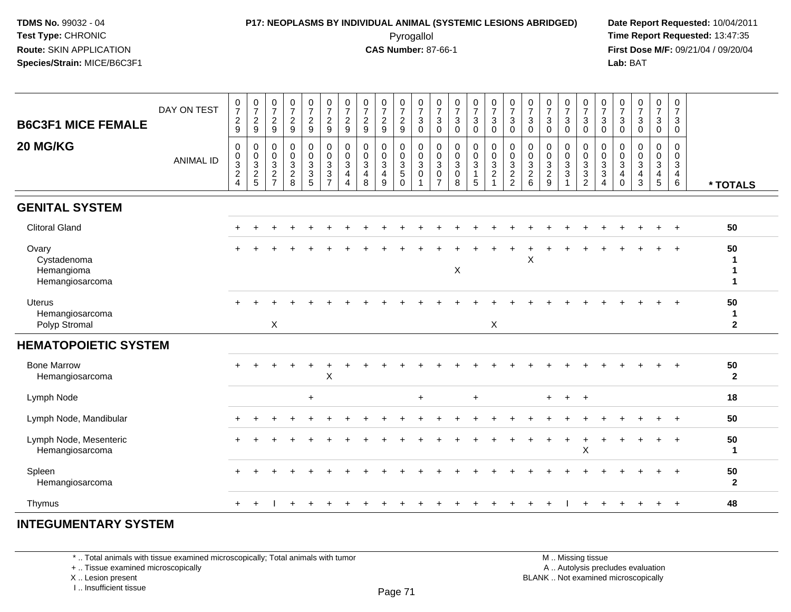# **P17: NEOPLASMS BY INDIVIDUAL ANIMAL (SYSTEMIC LESIONS ABRIDGED) Date Report Requested:** 10/04/2011

 Pyrogallol **Time Report Requested:** 13:47:35 **First Dose M/F:** 09/21/04 / 09/20/04<br>Lab: BAT **Lab:** BAT

| DAY ON TEST<br><b>B6C3F1 MICE FEMALE</b><br>20 MG/KG<br><b>ANIMAL ID</b> | $\frac{0}{7}$<br>$\boldsymbol{2}$<br>9<br>$\mathbf 0$<br>$\frac{0}{3}$<br>$\overline{4}$ | $\frac{0}{7}$<br>$\frac{2}{9}$<br>$\mathbf 0$<br>$\begin{array}{c} 0 \\ 3 \\ 2 \\ 5 \end{array}$ | $\frac{0}{7}$<br>$\sqrt{2}$<br>9<br>$\pmb{0}$<br>$\mathbf 0$<br>$\mathbf{3}$<br>$\overline{c}$<br>$\overline{7}$ | $\frac{0}{7}$<br>$\frac{2}{9}$<br>$\pmb{0}$<br>$\pmb{0}$<br>$\overline{3}$<br>$\boldsymbol{2}$<br>8 | $\frac{0}{7}$<br>$\frac{2}{9}$<br>$\pmb{0}$<br>$\pmb{0}$<br>$\overline{3}$<br>$\mathsf 3$<br>5 | $\begin{array}{c} 0 \\ 7 \end{array}$<br>$\overline{2}$<br>9<br>$\pmb{0}$<br>$\pmb{0}$<br>$\mathbf{3}$<br>$\mathbf{3}$<br>$\overline{7}$ | $\frac{0}{7}$<br>$\sqrt{2}$<br>$\boldsymbol{9}$<br>0<br>$\pmb{0}$<br>3<br>$\overline{4}$<br>$\overline{4}$ | $\begin{array}{c} 0 \\ 7 \end{array}$<br>$\frac{2}{9}$<br>$\pmb{0}$<br>$\pmb{0}$<br>$\overline{3}$<br>$\overline{4}$<br>8 | $\frac{0}{7}$<br>$\sqrt{2}$<br>$\boldsymbol{9}$<br>0<br>$\pmb{0}$<br>$\mathbf{3}$<br>$\overline{\mathbf{4}}$<br>9 | $\frac{0}{7}$<br>$\sqrt{2}$<br>9<br>$\pmb{0}$<br>$\,0\,$<br>$\overline{3}$<br>$\sqrt{5}$<br>$\Omega$ | $\frac{0}{7}$<br>$\mathbf{3}$<br>$\Omega$<br>$\mathbf 0$<br>$\pmb{0}$<br>$\sqrt{3}$<br>$\mathbf 0$ | $\frac{0}{7}$<br>$\sqrt{3}$<br>$\mathsf 0$<br>0<br>$\mathsf{O}\xspace$<br>$\sqrt{3}$<br>$\mathbf 0$<br>$\overline{7}$ | $\frac{0}{7}$<br>$\ensuremath{\mathsf{3}}$<br>$\mathbf 0$<br>$\pmb{0}$<br>$\pmb{0}$<br>$\sqrt{3}$<br>$\pmb{0}$<br>8 | $\begin{array}{c} 0 \\ 7 \end{array}$<br>$\ensuremath{\mathsf{3}}$<br>$\mathbf 0$<br>$\mathbf 0$<br>$\pmb{0}$<br>$\overline{3}$<br>$\overline{1}$<br>5 | $\frac{0}{7}$<br>$\sqrt{3}$<br>$\mathbf 0$<br>$\pmb{0}$<br>$\mathbf 0$<br>$\overline{3}$<br>$\boldsymbol{2}$<br>$\mathbf{1}$ | $\frac{0}{7}$<br>3<br>$\mathbf 0$<br>0<br>$\mathbf 0$<br>3<br>$\overline{c}$<br>$\overline{2}$ | $\frac{0}{7}$<br>$\ensuremath{\mathsf{3}}$<br>$\mathbf 0$<br>$\pmb{0}$<br>$\frac{0}{3}$<br>6 | $\frac{0}{7}$<br>$\mathbf{3}$<br>$\Omega$<br>0<br>$\pmb{0}$<br>$\frac{3}{2}$<br>$9\,$ | $\frac{0}{7}$<br>$\ensuremath{\mathsf{3}}$<br>$\mathbf 0$<br>$\mathbf 0$<br>$\mathsf{O}\xspace$<br>$\overline{3}$<br>$\mathbf{3}$ | $\frac{0}{7}$<br>$\ensuremath{\mathsf{3}}$<br>$\mathbf 0$<br>$\pmb{0}$<br>$\frac{0}{3}$<br>$\overline{2}$ | $\frac{0}{7}$<br>$\sqrt{3}$<br>$\mathbf 0$<br>$\mathbf 0$<br>$\pmb{0}$<br>$\sqrt{3}$<br>$\sqrt{3}$<br>4 | $\frac{0}{7}$<br>$\ensuremath{\mathsf{3}}$<br>$\mathbf 0$<br>$\,0\,$<br>$\mathbf 0$<br>3<br>4<br>$\mathbf 0$ | $\frac{0}{7}$<br>$\mathbf{3}$<br>$\mathbf 0$<br>0<br>$\mathsf{O}\xspace$<br>3<br>4<br>3 | $\begin{array}{c} 0 \\ 7 \end{array}$<br>$\ensuremath{\mathsf{3}}$<br>$\mathbf 0$<br>$\pmb{0}$<br>$\frac{0}{3}$<br>$\overline{4}$<br>$\overline{5}$ | $\begin{smallmatrix}0\\7\end{smallmatrix}$<br>3<br>$\mathbf 0$<br>$\mathbf 0$<br>$\mathbf 0$<br>$\mathsf 3$<br>$\overline{4}$<br>$6\phantom{1}6$ | * TOTALS                           |
|--------------------------------------------------------------------------|------------------------------------------------------------------------------------------|--------------------------------------------------------------------------------------------------|------------------------------------------------------------------------------------------------------------------|-----------------------------------------------------------------------------------------------------|------------------------------------------------------------------------------------------------|------------------------------------------------------------------------------------------------------------------------------------------|------------------------------------------------------------------------------------------------------------|---------------------------------------------------------------------------------------------------------------------------|-------------------------------------------------------------------------------------------------------------------|------------------------------------------------------------------------------------------------------|----------------------------------------------------------------------------------------------------|-----------------------------------------------------------------------------------------------------------------------|---------------------------------------------------------------------------------------------------------------------|--------------------------------------------------------------------------------------------------------------------------------------------------------|------------------------------------------------------------------------------------------------------------------------------|------------------------------------------------------------------------------------------------|----------------------------------------------------------------------------------------------|---------------------------------------------------------------------------------------|-----------------------------------------------------------------------------------------------------------------------------------|-----------------------------------------------------------------------------------------------------------|---------------------------------------------------------------------------------------------------------|--------------------------------------------------------------------------------------------------------------|-----------------------------------------------------------------------------------------|-----------------------------------------------------------------------------------------------------------------------------------------------------|--------------------------------------------------------------------------------------------------------------------------------------------------|------------------------------------|
| <b>GENITAL SYSTEM</b>                                                    |                                                                                          |                                                                                                  |                                                                                                                  |                                                                                                     |                                                                                                |                                                                                                                                          |                                                                                                            |                                                                                                                           |                                                                                                                   |                                                                                                      |                                                                                                    |                                                                                                                       |                                                                                                                     |                                                                                                                                                        |                                                                                                                              |                                                                                                |                                                                                              |                                                                                       |                                                                                                                                   |                                                                                                           |                                                                                                         |                                                                                                              |                                                                                         |                                                                                                                                                     |                                                                                                                                                  |                                    |
| <b>Clitoral Gland</b>                                                    |                                                                                          |                                                                                                  |                                                                                                                  |                                                                                                     |                                                                                                |                                                                                                                                          |                                                                                                            |                                                                                                                           |                                                                                                                   |                                                                                                      |                                                                                                    |                                                                                                                       |                                                                                                                     |                                                                                                                                                        |                                                                                                                              |                                                                                                |                                                                                              |                                                                                       |                                                                                                                                   |                                                                                                           |                                                                                                         |                                                                                                              |                                                                                         |                                                                                                                                                     | $+$                                                                                                                                              | 50                                 |
| Ovary<br>Cystadenoma<br>Hemangioma<br>Hemangiosarcoma                    |                                                                                          |                                                                                                  |                                                                                                                  |                                                                                                     |                                                                                                |                                                                                                                                          |                                                                                                            |                                                                                                                           |                                                                                                                   |                                                                                                      |                                                                                                    |                                                                                                                       | X                                                                                                                   |                                                                                                                                                        |                                                                                                                              |                                                                                                | X                                                                                            |                                                                                       |                                                                                                                                   |                                                                                                           |                                                                                                         |                                                                                                              |                                                                                         |                                                                                                                                                     |                                                                                                                                                  | 50<br>1<br>1<br>1                  |
| <b>Uterus</b><br>Hemangiosarcoma<br>Polyp Stromal                        |                                                                                          |                                                                                                  | $\pmb{\times}$                                                                                                   |                                                                                                     |                                                                                                |                                                                                                                                          |                                                                                                            |                                                                                                                           |                                                                                                                   |                                                                                                      |                                                                                                    |                                                                                                                       |                                                                                                                     |                                                                                                                                                        | X                                                                                                                            |                                                                                                |                                                                                              |                                                                                       |                                                                                                                                   |                                                                                                           |                                                                                                         |                                                                                                              |                                                                                         |                                                                                                                                                     |                                                                                                                                                  | 50<br>$\mathbf{1}$<br>$\mathbf{2}$ |
| <b>HEMATOPOIETIC SYSTEM</b>                                              |                                                                                          |                                                                                                  |                                                                                                                  |                                                                                                     |                                                                                                |                                                                                                                                          |                                                                                                            |                                                                                                                           |                                                                                                                   |                                                                                                      |                                                                                                    |                                                                                                                       |                                                                                                                     |                                                                                                                                                        |                                                                                                                              |                                                                                                |                                                                                              |                                                                                       |                                                                                                                                   |                                                                                                           |                                                                                                         |                                                                                                              |                                                                                         |                                                                                                                                                     |                                                                                                                                                  |                                    |
| <b>Bone Marrow</b><br>Hemangiosarcoma                                    |                                                                                          |                                                                                                  |                                                                                                                  |                                                                                                     |                                                                                                | $\boldsymbol{\mathsf{X}}$                                                                                                                |                                                                                                            |                                                                                                                           |                                                                                                                   |                                                                                                      |                                                                                                    |                                                                                                                       |                                                                                                                     |                                                                                                                                                        |                                                                                                                              |                                                                                                |                                                                                              |                                                                                       |                                                                                                                                   |                                                                                                           |                                                                                                         |                                                                                                              |                                                                                         |                                                                                                                                                     |                                                                                                                                                  | 50<br>$\overline{2}$               |
| Lymph Node                                                               |                                                                                          |                                                                                                  |                                                                                                                  |                                                                                                     | $\ddot{}$                                                                                      |                                                                                                                                          |                                                                                                            |                                                                                                                           |                                                                                                                   |                                                                                                      | $\ddot{}$                                                                                          |                                                                                                                       |                                                                                                                     | $\ddot{}$                                                                                                                                              |                                                                                                                              |                                                                                                |                                                                                              | $+$                                                                                   | $+$                                                                                                                               | $+$                                                                                                       |                                                                                                         |                                                                                                              |                                                                                         |                                                                                                                                                     |                                                                                                                                                  | 18                                 |
| Lymph Node, Mandibular                                                   |                                                                                          |                                                                                                  |                                                                                                                  |                                                                                                     |                                                                                                |                                                                                                                                          |                                                                                                            |                                                                                                                           |                                                                                                                   |                                                                                                      |                                                                                                    |                                                                                                                       |                                                                                                                     |                                                                                                                                                        |                                                                                                                              |                                                                                                |                                                                                              |                                                                                       |                                                                                                                                   |                                                                                                           |                                                                                                         |                                                                                                              |                                                                                         |                                                                                                                                                     |                                                                                                                                                  | 50                                 |
| Lymph Node, Mesenteric<br>Hemangiosarcoma                                |                                                                                          |                                                                                                  |                                                                                                                  |                                                                                                     |                                                                                                |                                                                                                                                          |                                                                                                            |                                                                                                                           |                                                                                                                   |                                                                                                      |                                                                                                    |                                                                                                                       |                                                                                                                     |                                                                                                                                                        |                                                                                                                              |                                                                                                |                                                                                              |                                                                                       | $\pm$                                                                                                                             | X                                                                                                         |                                                                                                         |                                                                                                              |                                                                                         |                                                                                                                                                     |                                                                                                                                                  | 50<br>1                            |
| Spleen<br>Hemangiosarcoma                                                |                                                                                          |                                                                                                  |                                                                                                                  |                                                                                                     |                                                                                                |                                                                                                                                          |                                                                                                            |                                                                                                                           |                                                                                                                   |                                                                                                      |                                                                                                    |                                                                                                                       |                                                                                                                     |                                                                                                                                                        |                                                                                                                              |                                                                                                |                                                                                              |                                                                                       |                                                                                                                                   |                                                                                                           |                                                                                                         |                                                                                                              |                                                                                         |                                                                                                                                                     | $+$                                                                                                                                              | 50<br>$\mathbf{2}$                 |
| Thymus                                                                   |                                                                                          |                                                                                                  |                                                                                                                  |                                                                                                     |                                                                                                |                                                                                                                                          |                                                                                                            |                                                                                                                           |                                                                                                                   |                                                                                                      |                                                                                                    |                                                                                                                       |                                                                                                                     |                                                                                                                                                        |                                                                                                                              |                                                                                                |                                                                                              |                                                                                       |                                                                                                                                   |                                                                                                           |                                                                                                         |                                                                                                              |                                                                                         |                                                                                                                                                     | $+$                                                                                                                                              | 48                                 |

#### **INTEGUMENTARY SYSTEM**

\* .. Total animals with tissue examined microscopically; Total animals with tumor

+ .. Tissue examined microscopically

X .. Lesion present

I .. Insufficient tissue

M .. Missing tissue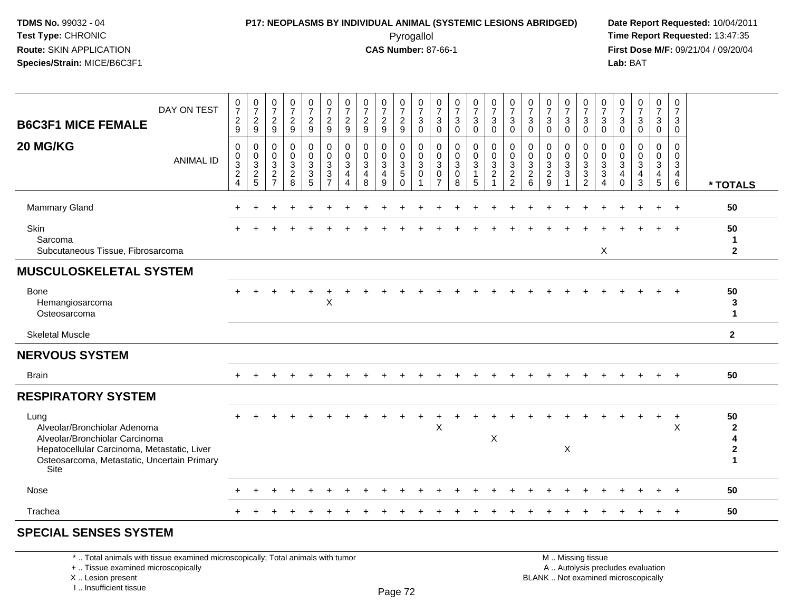# **P17: NEOPLASMS BY INDIVIDUAL ANIMAL (SYSTEMIC LESIONS ABRIDGED) Date Report Requested:** 10/04/2011

 Pyrogallol **Time Report Requested:** 13:47:35 **First Dose M/F:** 09/21/04 / 09/20/04<br>**Lab:** BAT **Lab:** BAT

| DAY ON TEST<br><b>B6C3F1 MICE FEMALE</b>                                                                                                                                     | $\frac{0}{7}$<br>$\overline{c}$<br>9                                                  | $\frac{0}{7}$<br>$\frac{2}{9}$                               | $\frac{0}{7}$<br>$\overline{c}$<br>9                                           | $\begin{array}{c} 0 \\ 7 \end{array}$<br>$\boldsymbol{2}$<br>9 | $\frac{0}{7}$<br>$\frac{2}{9}$                    | $\frac{0}{7}$<br>$\overline{c}$<br>9                     | $\frac{0}{7}$<br>$\overline{c}$<br>$9\,$ | $\begin{array}{c} 0 \\ 7 \end{array}$<br>$\frac{2}{9}$          | $\frac{0}{7}$<br>$\frac{2}{9}$                         | $\frac{0}{7}$<br>$\overline{c}$<br>9                     | 0<br>$\overline{7}$<br>$\mathbf{3}$<br>$\Omega$ | $\frac{0}{7}$<br>$\mathsf 3$<br>$\mathbf 0$           | $\frac{0}{7}$<br>$\ensuremath{\mathsf{3}}$<br>$\mathbf 0$                   | $\frac{0}{7}$<br>$\mathfrak{S}$<br>$\Omega$             | $\frac{0}{7}$<br>$\sqrt{3}$<br>$\Omega$                                      | 0<br>$\overline{7}$<br>$\sqrt{3}$<br>$\Omega$                                | $\frac{0}{7}$<br>$\mathsf 3$<br>$\Omega$                | $\begin{array}{c} 0 \\ 7 \end{array}$<br>$\ensuremath{\mathsf{3}}$<br>$\Omega$ | $\frac{0}{7}$<br>$\mathbf 3$<br>$\mathbf 0$     | $\frac{0}{7}$<br>$\mathbf 3$<br>$\mathbf{0}$        | $\frac{0}{7}$<br>3<br>$\Omega$ | $\frac{0}{7}$<br>$\mathbf{3}$<br>$\Omega$            | $\frac{0}{7}$<br>$\sqrt{3}$<br>$\mathbf 0$ | $\begin{smallmatrix}0\\7\end{smallmatrix}$<br>$\mathbf{3}$<br>$\mathbf 0$ | 0<br>$\overline{7}$<br>$\sqrt{3}$<br>$\mathbf 0$                     |                                                                   |
|------------------------------------------------------------------------------------------------------------------------------------------------------------------------------|---------------------------------------------------------------------------------------|--------------------------------------------------------------|--------------------------------------------------------------------------------|----------------------------------------------------------------|---------------------------------------------------|----------------------------------------------------------|------------------------------------------|-----------------------------------------------------------------|--------------------------------------------------------|----------------------------------------------------------|-------------------------------------------------|-------------------------------------------------------|-----------------------------------------------------------------------------|---------------------------------------------------------|------------------------------------------------------------------------------|------------------------------------------------------------------------------|---------------------------------------------------------|--------------------------------------------------------------------------------|-------------------------------------------------|-----------------------------------------------------|--------------------------------|------------------------------------------------------|--------------------------------------------|---------------------------------------------------------------------------|----------------------------------------------------------------------|-------------------------------------------------------------------|
| 20 MG/KG<br><b>ANIMAL ID</b>                                                                                                                                                 | $\pmb{0}$<br>$\,0\,$<br>$\ensuremath{\mathsf{3}}$<br>$\overline{c}$<br>$\overline{4}$ | 0<br>$\pmb{0}$<br>$\ensuremath{\mathsf{3}}$<br>$\frac{2}{5}$ | $\mathbf 0$<br>$\mathbf 0$<br>$\mathbf{3}$<br>$\overline{c}$<br>$\overline{7}$ | 0<br>$\mathbf 0$<br>$\mathbf{3}$<br>$\overline{2}$<br>8        | 0<br>$\pmb{0}$<br>$\mathbf 3$<br>$\mathsf 3$<br>5 | 0<br>0<br>$\mathbf{3}$<br>$\mathbf{3}$<br>$\overline{7}$ | 0<br>$\mathbf 0$<br>3<br>4<br>4          | $\mathbf 0$<br>$\mathbf 0$<br>$\sqrt{3}$<br>$\overline{4}$<br>8 | 0<br>$\mathbf 0$<br>$\mathbf 3$<br>$\overline{4}$<br>9 | 0<br>$\mathbf 0$<br>$\sqrt{3}$<br>$\sqrt{5}$<br>$\Omega$ | 0<br>0<br>$\mathbf{3}$<br>0<br>1                | 0<br>0<br>$\sqrt{3}$<br>$\mathbf 0$<br>$\overline{7}$ | $\mathbf 0$<br>$\mathsf 0$<br>$\ensuremath{\mathsf{3}}$<br>$\mathbf 0$<br>8 | 0<br>$\mathsf 0$<br>$\mathbf{3}$<br>$\overline{1}$<br>5 | $\mathbf 0$<br>$\mathbf 0$<br>$\sqrt{3}$<br>$\overline{2}$<br>$\overline{1}$ | $\mathbf 0$<br>$\pmb{0}$<br>$\mathbf{3}$<br>$\overline{c}$<br>$\overline{2}$ | 0<br>$\mathbf 0$<br>$\mathbf{3}$<br>$\overline{2}$<br>6 | $\mathbf 0$<br>$\mathbf 0$<br>$\ensuremath{\mathsf{3}}$<br>$\overline{c}$<br>9 | 0<br>$\mathbf 0$<br>$\mathbf 3$<br>$\mathbf{3}$ | 0<br>$\mathbf 0$<br>$\frac{3}{3}$<br>$\overline{2}$ | 0<br>0<br>3<br>3<br>4          | 0<br>0<br>$\mathbf{3}$<br>$\overline{4}$<br>$\Omega$ | 0<br>0<br>$\mathbf{3}$<br>4<br>3           | 0<br>$\mathbf 0$<br>$\mathbf{3}$<br>$\overline{4}$<br>$\overline{5}$      | 0<br>$\mathbf 0$<br>$\mathbf{3}$<br>$\overline{4}$<br>$6\phantom{1}$ | * TOTALS                                                          |
| <b>Mammary Gland</b>                                                                                                                                                         |                                                                                       |                                                              |                                                                                |                                                                |                                                   |                                                          |                                          |                                                                 |                                                        |                                                          |                                                 |                                                       |                                                                             |                                                         |                                                                              |                                                                              |                                                         |                                                                                |                                                 |                                                     |                                |                                                      |                                            |                                                                           | $+$                                                                  | 50                                                                |
| Skin<br>Sarcoma<br>Subcutaneous Tissue, Fibrosarcoma                                                                                                                         |                                                                                       |                                                              |                                                                                |                                                                |                                                   |                                                          |                                          |                                                                 |                                                        |                                                          |                                                 |                                                       |                                                                             |                                                         |                                                                              |                                                                              |                                                         |                                                                                |                                                 |                                                     | X                              |                                                      |                                            |                                                                           |                                                                      | 50<br>1<br>$\mathbf{2}$                                           |
| <b>MUSCULOSKELETAL SYSTEM</b>                                                                                                                                                |                                                                                       |                                                              |                                                                                |                                                                |                                                   |                                                          |                                          |                                                                 |                                                        |                                                          |                                                 |                                                       |                                                                             |                                                         |                                                                              |                                                                              |                                                         |                                                                                |                                                 |                                                     |                                |                                                      |                                            |                                                                           |                                                                      |                                                                   |
| <b>Bone</b><br>Hemangiosarcoma<br>Osteosarcoma                                                                                                                               |                                                                                       |                                                              |                                                                                |                                                                |                                                   | $\mathsf X$                                              |                                          |                                                                 |                                                        |                                                          |                                                 |                                                       |                                                                             |                                                         |                                                                              |                                                                              |                                                         |                                                                                |                                                 |                                                     |                                |                                                      |                                            |                                                                           |                                                                      | 50<br>3<br>$\blacktriangleleft$                                   |
| <b>Skeletal Muscle</b>                                                                                                                                                       |                                                                                       |                                                              |                                                                                |                                                                |                                                   |                                                          |                                          |                                                                 |                                                        |                                                          |                                                 |                                                       |                                                                             |                                                         |                                                                              |                                                                              |                                                         |                                                                                |                                                 |                                                     |                                |                                                      |                                            |                                                                           |                                                                      | $\mathbf{2}$                                                      |
| <b>NERVOUS SYSTEM</b>                                                                                                                                                        |                                                                                       |                                                              |                                                                                |                                                                |                                                   |                                                          |                                          |                                                                 |                                                        |                                                          |                                                 |                                                       |                                                                             |                                                         |                                                                              |                                                                              |                                                         |                                                                                |                                                 |                                                     |                                |                                                      |                                            |                                                                           |                                                                      |                                                                   |
| <b>Brain</b>                                                                                                                                                                 | $+$                                                                                   |                                                              |                                                                                |                                                                |                                                   |                                                          |                                          |                                                                 |                                                        |                                                          |                                                 |                                                       |                                                                             |                                                         |                                                                              |                                                                              |                                                         |                                                                                |                                                 |                                                     |                                |                                                      |                                            | $+$                                                                       | $+$                                                                  | 50                                                                |
| <b>RESPIRATORY SYSTEM</b>                                                                                                                                                    |                                                                                       |                                                              |                                                                                |                                                                |                                                   |                                                          |                                          |                                                                 |                                                        |                                                          |                                                 |                                                       |                                                                             |                                                         |                                                                              |                                                                              |                                                         |                                                                                |                                                 |                                                     |                                |                                                      |                                            |                                                                           |                                                                      |                                                                   |
| Lung<br>Alveolar/Bronchiolar Adenoma<br>Alveolar/Bronchiolar Carcinoma<br>Hepatocellular Carcinoma, Metastatic, Liver<br>Osteosarcoma, Metastatic, Uncertain Primary<br>Site |                                                                                       |                                                              |                                                                                |                                                                |                                                   |                                                          |                                          |                                                                 |                                                        |                                                          |                                                 | X                                                     |                                                                             |                                                         | X                                                                            |                                                                              |                                                         |                                                                                | X                                               |                                                     |                                |                                                      |                                            | $+$                                                                       | $\ddot{}$<br>$\times$                                                | 50<br>$\mathbf{2}$<br>$\overline{\mathbf{4}}$<br>$\boldsymbol{2}$ |
| Nose                                                                                                                                                                         |                                                                                       |                                                              |                                                                                |                                                                |                                                   |                                                          |                                          |                                                                 |                                                        |                                                          |                                                 |                                                       |                                                                             |                                                         |                                                                              |                                                                              |                                                         |                                                                                |                                                 |                                                     |                                |                                                      |                                            |                                                                           |                                                                      | 50                                                                |
| Trachea                                                                                                                                                                      |                                                                                       |                                                              |                                                                                |                                                                |                                                   |                                                          |                                          |                                                                 |                                                        |                                                          |                                                 |                                                       |                                                                             |                                                         |                                                                              |                                                                              |                                                         |                                                                                |                                                 |                                                     |                                |                                                      |                                            |                                                                           | $\div$                                                               | 50                                                                |
| CDECIAL CEMCEC CVCTEM                                                                                                                                                        |                                                                                       |                                                              |                                                                                |                                                                |                                                   |                                                          |                                          |                                                                 |                                                        |                                                          |                                                 |                                                       |                                                                             |                                                         |                                                                              |                                                                              |                                                         |                                                                                |                                                 |                                                     |                                |                                                      |                                            |                                                                           |                                                                      |                                                                   |

#### **SPECIAL SENSES SYSTEM**

\* .. Total animals with tissue examined microscopically; Total animals with tumor

+ .. Tissue examined microscopically

 Lesion present BLANK .. Not examined microscopicallyX .. Lesion present

I .. Insufficient tissue

 M .. Missing tissuey the contract of the contract of the contract of the contract of the contract of  $\mathsf A$  . Autolysis precludes evaluation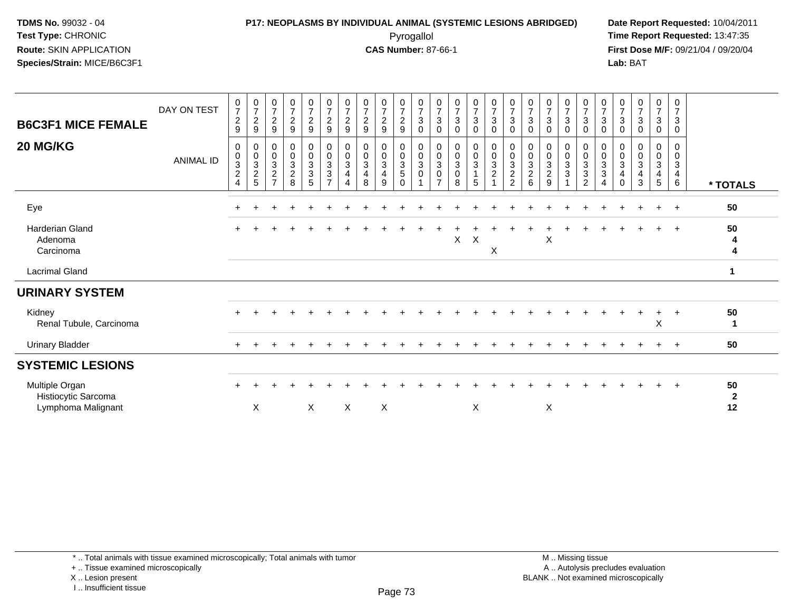#### **P17: NEOPLASMS BY INDIVIDUAL ANIMAL (SYSTEMIC LESIONS ABRIDGED) Date Report Requested:** 10/04/2011 Pyrogallol **Time Report Requested:** 13:47:35

**First Dose M/F:** 09/21/04 / 09/20/04<br>Lab: BAT **Lab:** BAT

| <b>B6C3F1 MICE FEMALE</b>                                   | DAY ON TEST      | $\frac{0}{7}$<br>$\overline{2}$<br>9 | $\frac{0}{7}$<br>$\sqrt{2}$<br>9                     | $\frac{0}{7}$<br>$\sqrt{2}$<br>9     | $\frac{0}{7}$<br>$\boldsymbol{2}$<br>$\boldsymbol{9}$                           | $\begin{smallmatrix}0\\7\end{smallmatrix}$<br>$\frac{2}{9}$        | $\frac{0}{7}$<br>$\boldsymbol{2}$<br>$\boldsymbol{9}$                              | $\frac{0}{7}$<br>$\sqrt{2}$<br>9                    | $\begin{array}{c} 0 \\ 7 \end{array}$<br>$\sqrt{2}$<br>9 | $\frac{0}{7}$<br>$\overline{c}$<br>9                | 0729                                                                      | $\frac{0}{7}$<br>$\ensuremath{\mathsf{3}}$<br>$\mathbf 0$ | $\frac{0}{7}$<br>$\sqrt{3}$<br>$\mathbf 0$                  | $\frac{0}{7}$<br>$\sqrt{3}$<br>0       | $\frac{0}{7}$<br>3<br>0            | $\begin{smallmatrix}0\\7\end{smallmatrix}$<br>3<br>0            | $\frac{0}{7}$<br>$\sqrt{3}$<br>0                                                      | $\begin{array}{c} 0 \\ 7 \end{array}$<br>$\sqrt{3}$<br>$\mathbf 0$ | $\frac{0}{7}$<br>$\mathbf{3}$<br>0                                     | $\frac{0}{7}$<br>3<br>0 | $\frac{0}{7}$<br>3<br>0                       | $\frac{0}{7}$<br>$\sqrt{3}$<br>$\mathbf 0$          | $\frac{0}{7}$<br>$\sqrt{3}$<br>0                           | $\frac{0}{7}$<br>3<br>0         | $\frac{0}{7}$<br>3<br>0 | $\begin{array}{c} 0 \\ 7 \end{array}$<br>$\mathbf{3}$<br>0 |                          |
|-------------------------------------------------------------|------------------|--------------------------------------|------------------------------------------------------|--------------------------------------|---------------------------------------------------------------------------------|--------------------------------------------------------------------|------------------------------------------------------------------------------------|-----------------------------------------------------|----------------------------------------------------------|-----------------------------------------------------|---------------------------------------------------------------------------|-----------------------------------------------------------|-------------------------------------------------------------|----------------------------------------|------------------------------------|-----------------------------------------------------------------|---------------------------------------------------------------------------------------|--------------------------------------------------------------------|------------------------------------------------------------------------|-------------------------|-----------------------------------------------|-----------------------------------------------------|------------------------------------------------------------|---------------------------------|-------------------------|------------------------------------------------------------|--------------------------|
| 20 MG/KG                                                    | <b>ANIMAL ID</b> | 0<br>0<br>3<br>$\overline{c}$<br>4   | 0<br>0<br>$\ensuremath{\mathsf{3}}$<br>$\frac{2}{5}$ | 0<br>$_{3}^{\rm 0}$<br>$\frac{2}{7}$ | $\pmb{0}$<br>$\overline{0}$<br>$\ensuremath{\mathsf{3}}$<br>$\overline{c}$<br>8 | $\begin{smallmatrix} 0\\0\\3 \end{smallmatrix}$<br>$\sqrt{3}$<br>5 | $\begin{matrix}0\\0\\3\end{matrix}$<br>$\ensuremath{\mathsf{3}}$<br>$\overline{ }$ | 0<br>$\pmb{0}$<br>$\sqrt{3}$<br>$\overline{4}$<br>4 | 0<br>$\frac{0}{3}$<br>$\overline{\mathbf{4}}$<br>8       | 0<br>$_{3}^{\rm 0}$<br>$\overline{\mathbf{4}}$<br>9 | $\begin{smallmatrix} 0\\0\\3 \end{smallmatrix}$<br>$\sqrt{5}$<br>$\Omega$ | 0<br>$\frac{0}{3}$<br>$\pmb{0}$                           | 0<br>$\frac{0}{3}$<br>$\pmb{0}$<br>$\overline{\phantom{a}}$ | 0<br>$\frac{0}{3}$<br>$\mathbf 0$<br>8 | 0<br>$\ddot{\mathbf{0}}$<br>3<br>5 | $\begin{smallmatrix}0\\0\\3\end{smallmatrix}$<br>$\overline{c}$ | $\begin{smallmatrix} 0\\0\\3 \end{smallmatrix}$<br>$\boldsymbol{2}$<br>$\overline{c}$ | $\begin{smallmatrix} 0\\0\\3 \end{smallmatrix}$<br>$\frac{2}{6}$   | 0<br>$\begin{smallmatrix}0\\3\end{smallmatrix}$<br>$\overline{2}$<br>9 | 0<br>0<br>3<br>3        | 0<br>$_3^0$<br>$\mathbf{3}$<br>$\overline{2}$ | 0<br>$_{3}^{\rm 0}$<br>$\sqrt{3}$<br>$\overline{4}$ | 0<br>$\pmb{0}$<br>$\sqrt{3}$<br>$\overline{4}$<br>$\Omega$ | 0<br>$\mathbf 0$<br>3<br>4<br>3 | 0<br>0<br>3<br>4<br>5   | 0<br>0<br>$\mathsf 3$<br>$\overline{4}$<br>$6\phantom{1}$  | * TOTALS                 |
| Eye                                                         |                  |                                      |                                                      |                                      |                                                                                 |                                                                    |                                                                                    |                                                     |                                                          |                                                     |                                                                           |                                                           |                                                             |                                        |                                    |                                                                 |                                                                                       |                                                                    |                                                                        |                         |                                               |                                                     |                                                            |                                 |                         | $+$                                                        | 50                       |
| <b>Harderian Gland</b><br>Adenoma<br>Carcinoma              |                  |                                      |                                                      |                                      |                                                                                 |                                                                    |                                                                                    |                                                     |                                                          |                                                     |                                                                           |                                                           |                                                             | X                                      | X                                  | X                                                               |                                                                                       |                                                                    | X                                                                      |                         |                                               |                                                     |                                                            |                                 |                         |                                                            | 50<br>4<br>4             |
| <b>Lacrimal Gland</b>                                       |                  |                                      |                                                      |                                      |                                                                                 |                                                                    |                                                                                    |                                                     |                                                          |                                                     |                                                                           |                                                           |                                                             |                                        |                                    |                                                                 |                                                                                       |                                                                    |                                                                        |                         |                                               |                                                     |                                                            |                                 |                         |                                                            | 1                        |
| <b>URINARY SYSTEM</b>                                       |                  |                                      |                                                      |                                      |                                                                                 |                                                                    |                                                                                    |                                                     |                                                          |                                                     |                                                                           |                                                           |                                                             |                                        |                                    |                                                                 |                                                                                       |                                                                    |                                                                        |                         |                                               |                                                     |                                                            |                                 |                         |                                                            |                          |
| Kidney<br>Renal Tubule, Carcinoma                           |                  |                                      |                                                      |                                      |                                                                                 |                                                                    |                                                                                    |                                                     |                                                          |                                                     |                                                                           |                                                           |                                                             |                                        |                                    |                                                                 |                                                                                       |                                                                    |                                                                        |                         |                                               |                                                     |                                                            |                                 | $\ddot{}$<br>X          | $\ddot{}$                                                  | 50<br>1                  |
| <b>Urinary Bladder</b>                                      |                  |                                      |                                                      |                                      |                                                                                 |                                                                    |                                                                                    |                                                     |                                                          |                                                     |                                                                           |                                                           |                                                             |                                        |                                    |                                                                 |                                                                                       |                                                                    |                                                                        |                         |                                               |                                                     |                                                            |                                 |                         | $+$                                                        | 50                       |
| <b>SYSTEMIC LESIONS</b>                                     |                  |                                      |                                                      |                                      |                                                                                 |                                                                    |                                                                                    |                                                     |                                                          |                                                     |                                                                           |                                                           |                                                             |                                        |                                    |                                                                 |                                                                                       |                                                                    |                                                                        |                         |                                               |                                                     |                                                            |                                 |                         |                                                            |                          |
| Multiple Organ<br>Histiocytic Sarcoma<br>Lymphoma Malignant |                  |                                      | X                                                    |                                      |                                                                                 | X                                                                  |                                                                                    | X                                                   |                                                          | X                                                   |                                                                           |                                                           |                                                             |                                        | X                                  |                                                                 |                                                                                       |                                                                    | X                                                                      |                         |                                               |                                                     |                                                            |                                 |                         | $\div$                                                     | 50<br>$\mathbf{2}$<br>12 |

+ .. Tissue examined microscopically

X .. Lesion present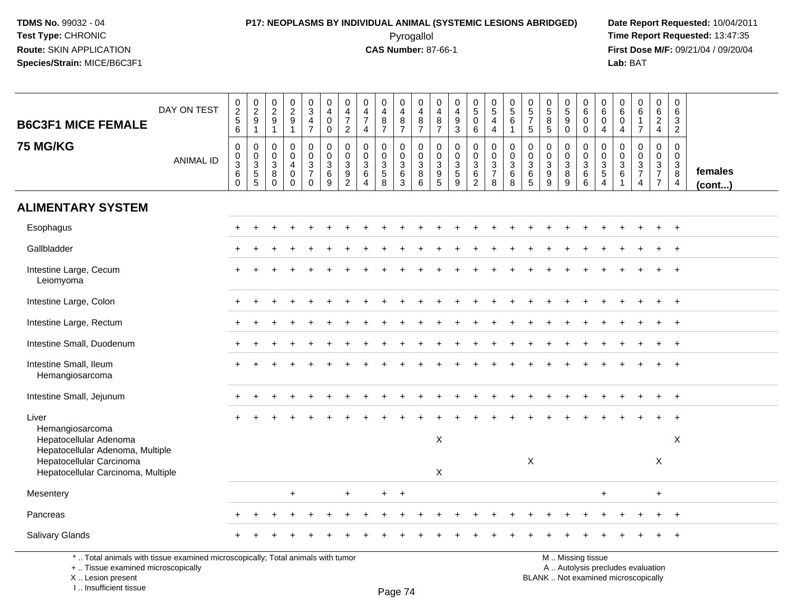# **P17: NEOPLASMS BY INDIVIDUAL ANIMAL (SYSTEMIC LESIONS ABRIDGED) Date Report Requested:** 10/04/2011

 Pyrogallol **Time Report Requested:** 13:47:35 **First Dose M/F:** 09/21/04 / 09/20/04<br>Lab: BAT **Lab:** BAT

| <b>B6C3F1 MICE FEMALE</b>                                      | DAY ON TEST      | 0 2 5 6                                                  | 0291                                  | $\begin{smallmatrix} 0\\2\\9 \end{smallmatrix}$<br>$\overline{1}$ | $\begin{smallmatrix} 0\\2\\9 \end{smallmatrix}$<br>$\overline{1}$          | $_{3}^{\rm 0}$<br>$\frac{4}{7}$                  | $\boldsymbol{0}$<br>$\overline{4}$<br>$\mathsf{O}\xspace$<br>$\mathbf 0$ | $\begin{array}{c} 0 \\ 4 \\ 7 \end{array}$<br>$\overline{2}$ | $\mathbf 0$<br>$\frac{4}{7}$<br>$\overline{4}$         | $\pmb{0}$<br>4<br>$\frac{8}{7}$                   | $\boldsymbol{0}$<br>4<br>$\frac{8}{7}$                             | 0<br>$\overline{4}$<br>$\frac{8}{7}$               | $\pmb{0}$<br>$\overline{4}$<br>$\overline{8}$<br>$\overline{7}$                   | 0<br>4<br>$\frac{9}{3}$                                                  | $\begin{smallmatrix}0\5\0\end{smallmatrix}$<br>$6^{\circ}$ | $\begin{array}{c} 0 \\ 5 \\ 4 \\ 4 \end{array}$                     | $\begin{array}{c} 0 \\ 5 \end{array}$<br>$\overline{6}$<br>$\mathbf{1}$ | $\begin{array}{c} 0 \\ 5 \\ 7 \end{array}$<br>$\sqrt{5}$               | $\begin{array}{c} 0 \\ 5 \\ 8 \end{array}$<br>$\overline{5}$ | $\begin{array}{c} 0 \\ 5 \end{array}$<br>$\overline{9}$<br>$\ddot{\mathbf{0}}$ | $\begin{array}{c} 0 \\ 6 \end{array}$<br>$\mathsf 0$<br>$\overline{0}$ | 0<br>$6\overline{6}$<br>0<br>$\overline{4}$ | 0<br>6<br>$\pmb{0}$<br>$\overline{4}$ | $\begin{array}{c} 0 \\ 6 \end{array}$<br>$\mathbf{1}$<br>$\overline{7}$ | $\begin{array}{c} 0 \\ 6 \\ 2 \\ 4 \end{array}$               | $\begin{array}{c} 0 \\ 6 \end{array}$<br>$\mathbf 3$<br>$\overline{2}$ |                   |
|----------------------------------------------------------------|------------------|----------------------------------------------------------|---------------------------------------|-------------------------------------------------------------------|----------------------------------------------------------------------------|--------------------------------------------------|--------------------------------------------------------------------------|--------------------------------------------------------------|--------------------------------------------------------|---------------------------------------------------|--------------------------------------------------------------------|----------------------------------------------------|-----------------------------------------------------------------------------------|--------------------------------------------------------------------------|------------------------------------------------------------|---------------------------------------------------------------------|-------------------------------------------------------------------------|------------------------------------------------------------------------|--------------------------------------------------------------|--------------------------------------------------------------------------------|------------------------------------------------------------------------|---------------------------------------------|---------------------------------------|-------------------------------------------------------------------------|---------------------------------------------------------------|------------------------------------------------------------------------|-------------------|
| <b>75 MG/KG</b>                                                | <b>ANIMAL ID</b> | $\mathbf 0$<br>$\pmb{0}$<br>$\mathbf{3}$<br>$\,6\,$<br>0 | $\,0\,$<br>$\pmb{0}$<br>$\frac{3}{5}$ | $\mathbf 0$<br>$\mathbf 0$<br>3<br>8<br>$\mathbf 0$               | $\mathbf 0$<br>$\mathbf 0$<br>$\overline{4}$<br>$\mathbf 0$<br>$\mathbf 0$ | 0<br>$\mathbf 0$<br>$\frac{3}{7}$<br>$\mathbf 0$ | 0<br>$\mathbf 0$<br>$\ensuremath{\mathsf{3}}$<br>6<br>9                  | 0<br>$\pmb{0}$<br>$\begin{array}{c} 3 \\ 9 \\ 2 \end{array}$ | $\mathbf 0$<br>$\mathbf 0$<br>3<br>6<br>$\overline{4}$ | 0<br>$\pmb{0}$<br>$\frac{3}{5}$<br>$\overline{8}$ | 0<br>$\mathbf 0$<br>$\ensuremath{\mathsf{3}}$<br>6<br>$\mathbf{3}$ | $\mathbf 0$<br>$\mathbf 0$<br>$\sqrt{3}$<br>8<br>6 | $\mathbf 0$<br>$\mathbf 0$<br>$\sqrt{3}$<br>$\begin{array}{c} 9 \\ 5 \end{array}$ | $\pmb{0}$<br>$\mathbf 0$<br>$\ensuremath{\mathsf{3}}$<br>$\sqrt{5}$<br>9 | 0<br>$\mathsf{O}\xspace$<br>$\frac{3}{6}$                  | $\pmb{0}$<br>$\mathsf{O}\xspace$<br>$\frac{3}{7}$<br>$\overline{8}$ | $\pmb{0}$<br>$\pmb{0}$<br>$^3$ 6<br>$\overline{8}$                      | $\mathbf 0$<br>$\pmb{0}$<br>$\begin{array}{c} 3 \\ 6 \\ 5 \end{array}$ | $\pmb{0}$<br>$\mathbf 0$<br>$\sqrt{3}$<br>9<br>9             | 0<br>$\mathbf 0$<br>$\ensuremath{\mathsf{3}}$<br>8<br>$\overline{9}$           | $\mathbf 0$<br>$\mathbf 0$<br>$\sqrt{3}$<br>$\,6\,$<br>$6\overline{6}$ | 0<br>$\mathbf 0$<br>$\frac{3}{5}$           | 0<br>0<br>$^3$ 6<br>$\overline{1}$    | $\pmb{0}$<br>$\pmb{0}$<br>$\frac{3}{7}$<br>$\overline{4}$               | $\mathbf 0$<br>$\mathbf 0$<br>$\frac{3}{7}$<br>$\overline{7}$ | $\mathbf 0$<br>$\mathbf 0$<br>$_{8}^{3}$<br>$\overline{4}$             | females<br>(cont) |
| <b>ALIMENTARY SYSTEM</b>                                       |                  |                                                          |                                       |                                                                   |                                                                            |                                                  |                                                                          |                                                              |                                                        |                                                   |                                                                    |                                                    |                                                                                   |                                                                          |                                                            |                                                                     |                                                                         |                                                                        |                                                              |                                                                                |                                                                        |                                             |                                       |                                                                         |                                                               |                                                                        |                   |
| Esophagus                                                      |                  |                                                          |                                       |                                                                   |                                                                            |                                                  |                                                                          |                                                              |                                                        |                                                   |                                                                    |                                                    |                                                                                   |                                                                          |                                                            |                                                                     |                                                                         |                                                                        |                                                              |                                                                                |                                                                        |                                             |                                       |                                                                         |                                                               |                                                                        |                   |
| Gallbladder                                                    |                  |                                                          |                                       |                                                                   |                                                                            |                                                  |                                                                          |                                                              |                                                        |                                                   |                                                                    |                                                    |                                                                                   |                                                                          |                                                            |                                                                     |                                                                         |                                                                        |                                                              |                                                                                |                                                                        |                                             |                                       |                                                                         |                                                               |                                                                        |                   |
| Intestine Large, Cecum<br>Leiomyoma                            |                  |                                                          |                                       |                                                                   |                                                                            |                                                  |                                                                          |                                                              |                                                        |                                                   |                                                                    |                                                    |                                                                                   |                                                                          |                                                            |                                                                     |                                                                         |                                                                        |                                                              |                                                                                |                                                                        |                                             |                                       |                                                                         |                                                               | $+$                                                                    |                   |
| Intestine Large, Colon                                         |                  |                                                          |                                       |                                                                   |                                                                            |                                                  |                                                                          |                                                              |                                                        |                                                   |                                                                    |                                                    |                                                                                   |                                                                          |                                                            |                                                                     |                                                                         |                                                                        |                                                              |                                                                                |                                                                        |                                             |                                       |                                                                         |                                                               | $^{+}$                                                                 |                   |
| Intestine Large, Rectum                                        |                  |                                                          |                                       |                                                                   |                                                                            |                                                  |                                                                          |                                                              |                                                        |                                                   |                                                                    |                                                    |                                                                                   |                                                                          |                                                            |                                                                     |                                                                         |                                                                        |                                                              |                                                                                |                                                                        |                                             |                                       |                                                                         |                                                               |                                                                        |                   |
| Intestine Small, Duodenum                                      |                  |                                                          |                                       |                                                                   |                                                                            |                                                  |                                                                          |                                                              |                                                        |                                                   |                                                                    |                                                    |                                                                                   |                                                                          |                                                            |                                                                     |                                                                         |                                                                        |                                                              |                                                                                |                                                                        |                                             |                                       |                                                                         | $+$                                                           | $+$                                                                    |                   |
| Intestine Small, Ileum<br>Hemangiosarcoma                      |                  |                                                          |                                       |                                                                   |                                                                            |                                                  |                                                                          |                                                              |                                                        |                                                   |                                                                    |                                                    |                                                                                   |                                                                          |                                                            |                                                                     |                                                                         |                                                                        |                                                              |                                                                                |                                                                        |                                             |                                       |                                                                         |                                                               |                                                                        |                   |
| Intestine Small, Jejunum                                       |                  |                                                          |                                       |                                                                   |                                                                            |                                                  |                                                                          |                                                              |                                                        |                                                   |                                                                    |                                                    |                                                                                   |                                                                          |                                                            |                                                                     |                                                                         |                                                                        |                                                              |                                                                                |                                                                        |                                             |                                       |                                                                         |                                                               | $+$                                                                    |                   |
| Liver<br>Hemangiosarcoma                                       |                  |                                                          |                                       |                                                                   |                                                                            |                                                  |                                                                          |                                                              |                                                        |                                                   |                                                                    |                                                    |                                                                                   |                                                                          |                                                            |                                                                     |                                                                         |                                                                        |                                                              |                                                                                |                                                                        |                                             |                                       |                                                                         | $\ddot{}$                                                     | $\overline{+}$                                                         |                   |
| Hepatocellular Adenoma<br>Hepatocellular Adenoma, Multiple     |                  |                                                          |                                       |                                                                   |                                                                            |                                                  |                                                                          |                                                              |                                                        |                                                   |                                                                    |                                                    | $\times$                                                                          |                                                                          |                                                            |                                                                     |                                                                         |                                                                        |                                                              |                                                                                |                                                                        |                                             |                                       |                                                                         |                                                               | X                                                                      |                   |
| Hepatocellular Carcinoma<br>Hepatocellular Carcinoma, Multiple |                  |                                                          |                                       |                                                                   |                                                                            |                                                  |                                                                          |                                                              |                                                        |                                                   |                                                                    |                                                    | $\times$                                                                          |                                                                          |                                                            |                                                                     |                                                                         | $\boldsymbol{\mathsf{X}}$                                              |                                                              |                                                                                |                                                                        |                                             |                                       |                                                                         | X                                                             |                                                                        |                   |
| Mesentery                                                      |                  |                                                          |                                       |                                                                   | $\ddot{}$                                                                  |                                                  |                                                                          | $\ddot{}$                                                    |                                                        | $+$                                               | $\overline{+}$                                                     |                                                    |                                                                                   |                                                                          |                                                            |                                                                     |                                                                         |                                                                        |                                                              |                                                                                |                                                                        | $\ddot{}$                                   |                                       |                                                                         | $+$                                                           |                                                                        |                   |
| Pancreas                                                       |                  | ÷                                                        |                                       |                                                                   |                                                                            |                                                  |                                                                          |                                                              |                                                        |                                                   |                                                                    |                                                    |                                                                                   |                                                                          |                                                            |                                                                     |                                                                         |                                                                        |                                                              |                                                                                |                                                                        |                                             |                                       |                                                                         | $\ddot{}$                                                     | $+$                                                                    |                   |
| Salivary Glands                                                |                  |                                                          |                                       |                                                                   |                                                                            |                                                  |                                                                          |                                                              |                                                        |                                                   |                                                                    |                                                    |                                                                                   |                                                                          |                                                            |                                                                     |                                                                         |                                                                        |                                                              |                                                                                |                                                                        |                                             |                                       |                                                                         |                                                               |                                                                        |                   |

\* .. Total animals with tissue examined microscopically; Total animals with tumor

+ .. Tissue examined microscopically

X .. Lesion present

I .. Insufficient tissue

M .. Missing tissue

y the contract of the contract of the contract of the contract of the contract of  $\mathsf A$  . Autolysis precludes evaluation Lesion present BLANK .. Not examined microscopically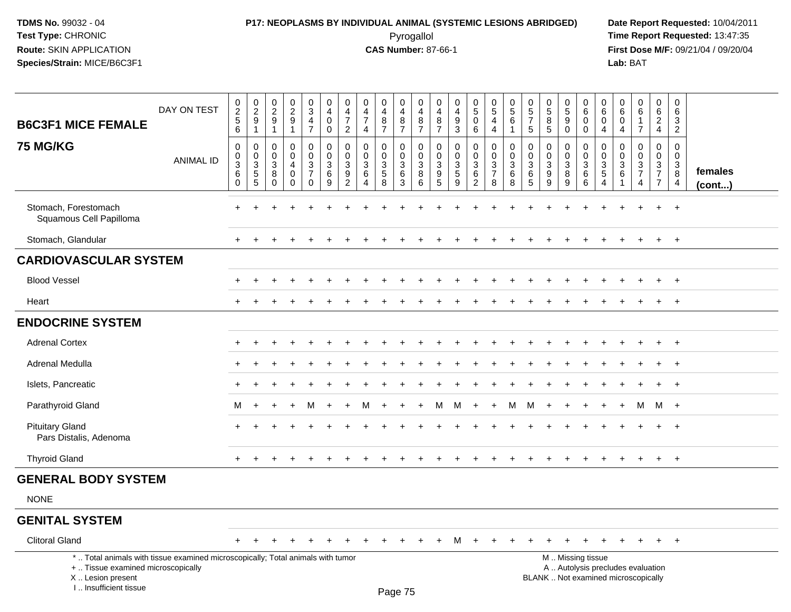#### **P17: NEOPLASMS BY INDIVIDUAL ANIMAL (SYSTEMIC LESIONS ABRIDGED) Date Report Requested:** 10/04/2011 Pyrogallol **Time Report Requested:** 13:47:35

**First Dose M/F:** 09/21/04 / 09/20/04<br>Lab: BAT **Lab:** BAT

| <b>B6C3F1 MICE FEMALE</b>                                                                                                                  | DAY ON TEST      | $\begin{array}{c} 0 \\ 2 \\ 5 \end{array}$<br>$6\phantom{1}$ | $\begin{smallmatrix} 0\\2\\9 \end{smallmatrix}$<br>$\overline{1}$ | 0<br>$\frac{2}{9}$<br>$\mathbf{1}$                   | $\pmb{0}$<br>$\frac{2}{9}$<br>1                            | $\begin{array}{c} 0 \\ 3 \\ 4 \end{array}$<br>$\overline{7}$ | $\begin{smallmatrix}0\0\4\end{smallmatrix}$<br>$\mathsf{O}\xspace$<br>$\mathbf 0$ | 0<br>$\frac{4}{7}$<br>$\overline{c}$                      | $\mathbf 0$<br>$\frac{4}{7}$<br>$\overline{4}$                                                | $\pmb{0}$<br>$\overline{4}$<br>$\, 8$<br>$\overline{7}$                 | 0<br>$\overline{4}$<br>$\bf 8$<br>$\overline{7}$              | 0<br>$\overline{4}$<br>$\bf 8$<br>$\overline{7}$              | 0<br>$\overline{4}$<br>8<br>$\overline{7}$                                | 0<br>$\overline{4}$<br>$\boldsymbol{9}$<br>$\mathfrak{Z}$        | $\begin{smallmatrix}0\5\0\end{smallmatrix}$<br>$6\phantom{1}6$ | $\begin{smallmatrix}0\5\end{smallmatrix}$<br>$\overline{4}$<br>$\overline{4}$ | 0<br>$\overline{5}$<br>6<br>$\overline{1}$                       | 0<br>$\frac{5}{7}$<br>5                                 | 0<br>$\overline{5}$<br>$\bf8$<br>5                                                | $\begin{array}{c} 0 \\ 5 \\ 9 \end{array}$<br>$\Omega$ | 0<br>$6\phantom{1}$<br>$\mathbf 0$<br>$\mathbf 0$                     | $\mathbf 0$<br>$\,6\,$<br>$\mathbf 0$<br>$\overline{4}$     | 0<br>$\,6\,$<br>$\mathbf 0$<br>$\overline{4}$                        | 0<br>6<br>$\mathbf{1}$<br>$\overline{7}$                                 | 0<br>$\frac{6}{2}$<br>$\overline{4}$                | 0<br>$6\overline{6}$<br>$\mathbf{3}$<br>$\overline{2}$        |                   |
|--------------------------------------------------------------------------------------------------------------------------------------------|------------------|--------------------------------------------------------------|-------------------------------------------------------------------|------------------------------------------------------|------------------------------------------------------------|--------------------------------------------------------------|-----------------------------------------------------------------------------------|-----------------------------------------------------------|-----------------------------------------------------------------------------------------------|-------------------------------------------------------------------------|---------------------------------------------------------------|---------------------------------------------------------------|---------------------------------------------------------------------------|------------------------------------------------------------------|----------------------------------------------------------------|-------------------------------------------------------------------------------|------------------------------------------------------------------|---------------------------------------------------------|-----------------------------------------------------------------------------------|--------------------------------------------------------|-----------------------------------------------------------------------|-------------------------------------------------------------|----------------------------------------------------------------------|--------------------------------------------------------------------------|-----------------------------------------------------|---------------------------------------------------------------|-------------------|
| 75 MG/KG                                                                                                                                   | <b>ANIMAL ID</b> | $\mathbf 0$<br>$\mathbf 0$<br>$\frac{3}{6}$<br>$\mathbf 0$   | $\mathbf 0$<br>$\begin{array}{c} 0 \\ 3 \\ 5 \\ 5 \end{array}$    | $\mathbf 0$<br>0<br>$\mathbf{3}$<br>8<br>$\mathbf 0$ | $\mathbf 0$<br>$\Omega$<br>4<br>$\mathbf 0$<br>$\mathbf 0$ | 0<br>0<br>$\frac{3}{7}$<br>0                                 | 0<br>$\mathbf 0$<br>$\mathsf 3$<br>$\overline{6}$<br>9                            | $\mathbf 0$<br>$\mathbf 0$<br>$\sqrt{3}$<br>$\frac{9}{2}$ | $\mathbf 0$<br>$\mathbf{0}$<br>$\ensuremath{\mathsf{3}}$<br>$\,6\,$<br>$\boldsymbol{\Lambda}$ | $\mathbf 0$<br>$\Omega$<br>$\ensuremath{\mathsf{3}}$<br>$\sqrt{5}$<br>8 | 0<br>$\mathbf 0$<br>$\ensuremath{\mathsf{3}}$<br>$\,6\,$<br>3 | 0<br>$\mathbf 0$<br>$\ensuremath{\mathsf{3}}$<br>$\bf 8$<br>6 | 0<br>$\mathbf{0}$<br>$\mathsf 3$<br>$\begin{array}{c} 9 \\ 5 \end{array}$ | $\mathbf 0$<br>0<br>$\mathbf{3}$<br>$\sqrt{5}$<br>$\overline{9}$ | $\mathbf 0$<br>$\mathbf 0$<br>$\frac{3}{6}$<br>$\overline{2}$  | $\mathbf 0$<br>0<br>$\frac{3}{7}$<br>8                                        | $\mathbf 0$<br>$\mathsf{O}\xspace$<br>$\mathbf{3}$<br>$\,6$<br>8 | $\mathbf 0$<br>$\Omega$<br>$\mathbf{3}$<br>$\,6\,$<br>5 | $\mathbf 0$<br>$\mathbf{0}$<br>$\ensuremath{\mathsf{3}}$<br>$\boldsymbol{9}$<br>9 | $\mathbf 0$<br>0<br>$_8^3$<br>9                        | $\mathbf{0}$<br>$\Omega$<br>$\ensuremath{\mathsf{3}}$<br>$\,6\,$<br>6 | $\mathbf 0$<br>$\pmb{0}$<br>$\frac{3}{5}$<br>$\overline{4}$ | $\mathbf 0$<br>$\Omega$<br>$\mathbf{3}$<br>6<br>$\blacktriangleleft$ | $\Omega$<br>$\Omega$<br>$\sqrt{3}$<br>$\boldsymbol{7}$<br>$\overline{4}$ | 0<br>$\mathbf 0$<br>$\frac{3}{7}$<br>$\overline{7}$ | $\mathbf 0$<br>$\mathbf 0$<br>$\frac{3}{8}$<br>$\overline{4}$ | females<br>(cont) |
| Stomach, Forestomach<br>Squamous Cell Papilloma                                                                                            |                  |                                                              |                                                                   |                                                      |                                                            |                                                              |                                                                                   |                                                           |                                                                                               |                                                                         |                                                               |                                                               |                                                                           |                                                                  |                                                                |                                                                               |                                                                  |                                                         |                                                                                   |                                                        |                                                                       |                                                             |                                                                      |                                                                          |                                                     | $\ddot{}$                                                     |                   |
| Stomach, Glandular                                                                                                                         |                  |                                                              |                                                                   |                                                      |                                                            |                                                              |                                                                                   |                                                           |                                                                                               |                                                                         |                                                               |                                                               |                                                                           |                                                                  |                                                                |                                                                               |                                                                  |                                                         |                                                                                   |                                                        |                                                                       |                                                             |                                                                      |                                                                          |                                                     | $+$                                                           |                   |
| <b>CARDIOVASCULAR SYSTEM</b>                                                                                                               |                  |                                                              |                                                                   |                                                      |                                                            |                                                              |                                                                                   |                                                           |                                                                                               |                                                                         |                                                               |                                                               |                                                                           |                                                                  |                                                                |                                                                               |                                                                  |                                                         |                                                                                   |                                                        |                                                                       |                                                             |                                                                      |                                                                          |                                                     |                                                               |                   |
| <b>Blood Vessel</b>                                                                                                                        |                  |                                                              |                                                                   |                                                      |                                                            |                                                              |                                                                                   |                                                           |                                                                                               |                                                                         |                                                               |                                                               |                                                                           |                                                                  |                                                                |                                                                               |                                                                  |                                                         |                                                                                   |                                                        |                                                                       |                                                             |                                                                      |                                                                          |                                                     |                                                               |                   |
| Heart                                                                                                                                      |                  |                                                              |                                                                   |                                                      |                                                            |                                                              |                                                                                   |                                                           |                                                                                               |                                                                         |                                                               |                                                               |                                                                           |                                                                  |                                                                |                                                                               |                                                                  |                                                         |                                                                                   |                                                        |                                                                       |                                                             |                                                                      |                                                                          |                                                     | $\overline{+}$                                                |                   |
| <b>ENDOCRINE SYSTEM</b>                                                                                                                    |                  |                                                              |                                                                   |                                                      |                                                            |                                                              |                                                                                   |                                                           |                                                                                               |                                                                         |                                                               |                                                               |                                                                           |                                                                  |                                                                |                                                                               |                                                                  |                                                         |                                                                                   |                                                        |                                                                       |                                                             |                                                                      |                                                                          |                                                     |                                                               |                   |
| <b>Adrenal Cortex</b>                                                                                                                      |                  | $\div$                                                       |                                                                   |                                                      |                                                            |                                                              |                                                                                   |                                                           |                                                                                               |                                                                         |                                                               |                                                               |                                                                           |                                                                  |                                                                |                                                                               |                                                                  |                                                         |                                                                                   |                                                        |                                                                       |                                                             |                                                                      |                                                                          | $\ddot{}$                                           | $+$                                                           |                   |
| Adrenal Medulla                                                                                                                            |                  |                                                              |                                                                   |                                                      |                                                            |                                                              |                                                                                   |                                                           |                                                                                               |                                                                         |                                                               |                                                               |                                                                           |                                                                  |                                                                |                                                                               |                                                                  |                                                         |                                                                                   |                                                        |                                                                       |                                                             |                                                                      |                                                                          |                                                     | $\ddot{}$                                                     |                   |
| Islets, Pancreatic                                                                                                                         |                  | $\div$                                                       |                                                                   |                                                      |                                                            |                                                              |                                                                                   |                                                           |                                                                                               |                                                                         |                                                               |                                                               |                                                                           |                                                                  |                                                                |                                                                               |                                                                  |                                                         |                                                                                   |                                                        |                                                                       |                                                             |                                                                      |                                                                          | $\div$                                              | $\ddot{}$                                                     |                   |
| Parathyroid Gland                                                                                                                          |                  | М                                                            |                                                                   |                                                      |                                                            | М                                                            |                                                                                   |                                                           |                                                                                               |                                                                         |                                                               |                                                               | м                                                                         | м                                                                | $\overline{+}$                                                 | $\ddot{}$                                                                     | М                                                                | м                                                       |                                                                                   |                                                        |                                                                       |                                                             |                                                                      | м                                                                        | M                                                   | $+$                                                           |                   |
| <b>Pituitary Gland</b><br>Pars Distalis, Adenoma                                                                                           |                  |                                                              |                                                                   |                                                      |                                                            |                                                              |                                                                                   |                                                           |                                                                                               |                                                                         |                                                               |                                                               |                                                                           |                                                                  |                                                                |                                                                               |                                                                  |                                                         |                                                                                   |                                                        |                                                                       |                                                             |                                                                      |                                                                          |                                                     | $\overline{+}$                                                |                   |
| <b>Thyroid Gland</b>                                                                                                                       |                  |                                                              |                                                                   |                                                      |                                                            |                                                              |                                                                                   |                                                           |                                                                                               |                                                                         |                                                               |                                                               |                                                                           |                                                                  |                                                                |                                                                               |                                                                  |                                                         |                                                                                   |                                                        |                                                                       |                                                             |                                                                      |                                                                          |                                                     | $\overline{+}$                                                |                   |
| <b>GENERAL BODY SYSTEM</b>                                                                                                                 |                  |                                                              |                                                                   |                                                      |                                                            |                                                              |                                                                                   |                                                           |                                                                                               |                                                                         |                                                               |                                                               |                                                                           |                                                                  |                                                                |                                                                               |                                                                  |                                                         |                                                                                   |                                                        |                                                                       |                                                             |                                                                      |                                                                          |                                                     |                                                               |                   |
| <b>NONE</b>                                                                                                                                |                  |                                                              |                                                                   |                                                      |                                                            |                                                              |                                                                                   |                                                           |                                                                                               |                                                                         |                                                               |                                                               |                                                                           |                                                                  |                                                                |                                                                               |                                                                  |                                                         |                                                                                   |                                                        |                                                                       |                                                             |                                                                      |                                                                          |                                                     |                                                               |                   |
| <b>GENITAL SYSTEM</b>                                                                                                                      |                  |                                                              |                                                                   |                                                      |                                                            |                                                              |                                                                                   |                                                           |                                                                                               |                                                                         |                                                               |                                                               |                                                                           |                                                                  |                                                                |                                                                               |                                                                  |                                                         |                                                                                   |                                                        |                                                                       |                                                             |                                                                      |                                                                          |                                                     |                                                               |                   |
| <b>Clitoral Gland</b>                                                                                                                      |                  | $\pm$                                                        |                                                                   |                                                      |                                                            |                                                              |                                                                                   |                                                           |                                                                                               |                                                                         |                                                               |                                                               |                                                                           | M                                                                | <b>+</b>                                                       | $\ddot{}$                                                                     |                                                                  |                                                         |                                                                                   |                                                        | $\ddot{}$                                                             |                                                             |                                                                      |                                                                          | $+$                                                 | $+$                                                           |                   |
| *  Total animals with tissue examined microscopically; Total animals with tumor<br>+  Tissue examined microscopically<br>X  Lesion present |                  |                                                              |                                                                   |                                                      |                                                            |                                                              |                                                                                   |                                                           |                                                                                               |                                                                         |                                                               |                                                               |                                                                           |                                                                  |                                                                |                                                                               |                                                                  |                                                         |                                                                                   |                                                        | M  Missing tissue                                                     |                                                             |                                                                      | A  Autolysis precludes evaluation<br>BLANK  Not examined microscopically |                                                     |                                                               |                   |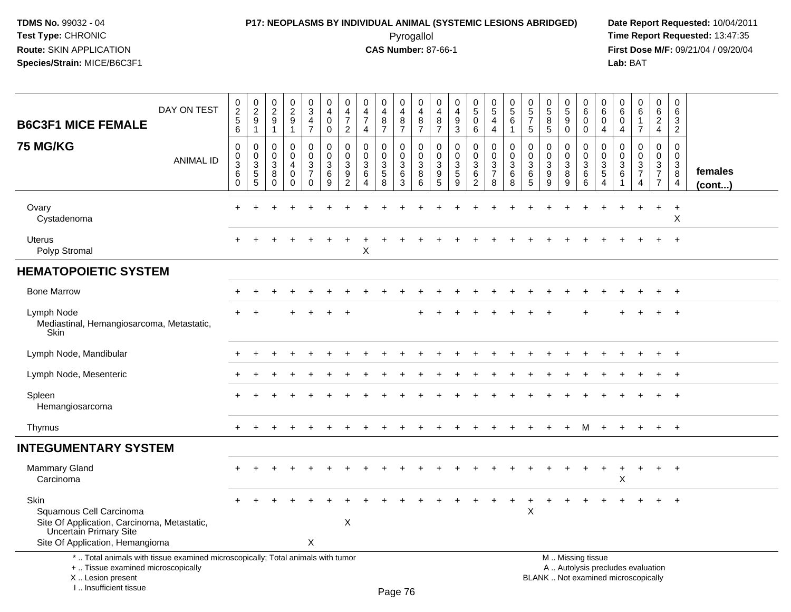#### **P17: NEOPLASMS BY INDIVIDUAL ANIMAL (SYSTEMIC LESIONS ABRIDGED) Date Report Requested:** 10/04/2011 Pyrogallol **Time Report Requested:** 13:47:35

**First Dose M/F:** 09/21/04 / 09/20/04<br>Lab: BAT **Lab:** BAT

| <b>B6C3F1 MICE FEMALE</b>                                                                                                                                           | DAY ON TEST      | 0<br>$\sqrt{2}$<br>$\sqrt{5}$<br>6        | $\begin{smallmatrix} 0\\2 \end{smallmatrix}$<br>9<br>$\mathbf{1}$ | $\begin{smallmatrix} 0\\2\\9 \end{smallmatrix}$<br>$\mathbf{1}$ | $\frac{0}{2}$<br>$\mathbf 1$                  | $\pmb{0}$<br>$\mathbf{3}$<br>4<br>$\overline{7}$ | $\mathbf 0$<br>$\overline{a}$<br>$\mathbf 0$<br>0    | 0<br>$\overline{4}$<br>$\overline{7}$<br>$\overline{2}$ | $\mathbf 0$<br>4<br>$\overline{7}$<br>4 | 0<br>$\overline{\mathbf{4}}$<br>8<br>$\overline{7}$ | 0<br>$\overline{4}$<br>8<br>$\overline{7}$               | $\mathbf 0$<br>$\overline{4}$<br>$\, 8$<br>$\overline{7}$ | 0<br>$\overline{4}$<br>8<br>$\overline{7}$         | $\mathbf 0$<br>$\overline{4}$<br>$\boldsymbol{9}$<br>3    | $\begin{matrix} 0 \\ 5 \end{matrix}$<br>$\mathbf 0$<br>6 | $\begin{matrix} 0 \\ 5 \end{matrix}$<br>$\overline{4}$<br>4        | $\mathbf 0$<br>$\sqrt{5}$<br>$6\phantom{1}6$<br>$\mathbf 1$ | 0<br>5<br>$\overline{7}$<br>5   | 0<br>$\sqrt{5}$<br>8<br>5                 | 0<br>$\sqrt{5}$<br>9<br>$\mathbf 0$ | $\mathbf 0$<br>6<br>$\mathbf 0$<br>$\mathbf 0$                                                | 0<br>6<br>$\mathbf 0$<br>$\overline{4}$                                    | $\mathbf 0$<br>6<br>$\mathbf 0$<br>$\overline{4}$ | $\mathbf 0$<br>6<br>$\mathbf{1}$<br>$\overline{7}$                   | 0<br>6<br>$\sqrt{2}$<br>$\overline{4}$                                                        | $\mathbf 0$<br>6<br>3<br>$\overline{2}$                        |                   |
|---------------------------------------------------------------------------------------------------------------------------------------------------------------------|------------------|-------------------------------------------|-------------------------------------------------------------------|-----------------------------------------------------------------|-----------------------------------------------|--------------------------------------------------|------------------------------------------------------|---------------------------------------------------------|-----------------------------------------|-----------------------------------------------------|----------------------------------------------------------|-----------------------------------------------------------|----------------------------------------------------|-----------------------------------------------------------|----------------------------------------------------------|--------------------------------------------------------------------|-------------------------------------------------------------|---------------------------------|-------------------------------------------|-------------------------------------|-----------------------------------------------------------------------------------------------|----------------------------------------------------------------------------|---------------------------------------------------|----------------------------------------------------------------------|-----------------------------------------------------------------------------------------------|----------------------------------------------------------------|-------------------|
| <b>75 MG/KG</b>                                                                                                                                                     | <b>ANIMAL ID</b> | $\mathbf 0$<br>0<br>3<br>6<br>$\mathbf 0$ | $\mathbf 0$<br>$\mathbf 0$<br>3<br>$\overline{5}$<br>5            | $\mathbf 0$<br>$\mathbf 0$<br>$\sqrt{3}$<br>8<br>$\Omega$       | $\Omega$<br>0<br>4<br>$\mathbf 0$<br>$\Omega$ | 0<br>0<br>3<br>$\overline{7}$<br>$\mathbf 0$     | $\mathbf 0$<br>$\pmb{0}$<br>$\sqrt{3}$<br>$\,6$<br>9 | $\Omega$<br>$\mathbf 0$<br>3<br>9<br>$\overline{c}$     | $\Omega$<br>$\mathbf 0$<br>3<br>6<br>Δ  | $\Omega$<br>0<br>$\sqrt{3}$<br>$\sqrt{5}$<br>8      | $\mathbf 0$<br>$\mathbf 0$<br>$\mathbf{3}$<br>$\,6$<br>3 | $\mathbf 0$<br>0<br>$\mathbf{3}$<br>8<br>6                | $\mathbf 0$<br>$\mathbf 0$<br>$\sqrt{3}$<br>9<br>5 | $\Omega$<br>$\mathbf 0$<br>$\sqrt{3}$<br>$\,$ 5 $\,$<br>9 | 0<br>0<br>3<br>6<br>$\overline{c}$                       | 0<br>$\pmb{0}$<br>$\ensuremath{\mathsf{3}}$<br>$\overline{7}$<br>8 | $\mathbf 0$<br>$\pmb{0}$<br>$\mathfrak{S}$<br>6<br>8        | $\mathbf 0$<br>0<br>3<br>6<br>5 | $\mathbf 0$<br>$\mathbf 0$<br>3<br>9<br>9 | 0<br>0<br>$\mathbf{3}$<br>8<br>9    | $\Omega$<br>$\mathbf 0$<br>3<br>6<br>6                                                        | $\Omega$<br>0<br>$\ensuremath{\mathsf{3}}$<br>$\sqrt{5}$<br>$\overline{4}$ | $\Omega$<br>$\mathbf 0$<br>3<br>$6\phantom{1}6$   | $\mathbf 0$<br>0<br>$\ensuremath{\mathsf{3}}$<br>$\overline{7}$<br>4 | $\mathbf 0$<br>$\mathbf 0$<br>$\ensuremath{\mathsf{3}}$<br>$\boldsymbol{7}$<br>$\overline{7}$ | $\Omega$<br>$\mathbf 0$<br>$\mathbf{3}$<br>8<br>$\overline{4}$ | females<br>(cont) |
| Ovary<br>Cystadenoma                                                                                                                                                |                  |                                           |                                                                   |                                                                 |                                               |                                                  |                                                      |                                                         |                                         |                                                     |                                                          |                                                           |                                                    |                                                           |                                                          |                                                                    |                                                             |                                 |                                           |                                     |                                                                                               |                                                                            |                                                   |                                                                      | $\ddot{}$                                                                                     | $\ddot{}$<br>X                                                 |                   |
| Uterus<br>Polyp Stromal                                                                                                                                             |                  |                                           |                                                                   |                                                                 |                                               |                                                  |                                                      |                                                         | х                                       |                                                     |                                                          |                                                           |                                                    |                                                           |                                                          |                                                                    |                                                             |                                 |                                           |                                     |                                                                                               |                                                                            |                                                   |                                                                      |                                                                                               |                                                                |                   |
| <b>HEMATOPOIETIC SYSTEM</b>                                                                                                                                         |                  |                                           |                                                                   |                                                                 |                                               |                                                  |                                                      |                                                         |                                         |                                                     |                                                          |                                                           |                                                    |                                                           |                                                          |                                                                    |                                                             |                                 |                                           |                                     |                                                                                               |                                                                            |                                                   |                                                                      |                                                                                               |                                                                |                   |
| <b>Bone Marrow</b>                                                                                                                                                  |                  |                                           |                                                                   |                                                                 |                                               |                                                  |                                                      |                                                         |                                         |                                                     |                                                          |                                                           |                                                    |                                                           |                                                          |                                                                    |                                                             |                                 |                                           |                                     |                                                                                               |                                                                            |                                                   |                                                                      |                                                                                               | $+$                                                            |                   |
| Lymph Node<br>Mediastinal, Hemangiosarcoma, Metastatic,<br>Skin                                                                                                     |                  |                                           |                                                                   |                                                                 |                                               |                                                  |                                                      |                                                         |                                         |                                                     |                                                          |                                                           |                                                    |                                                           |                                                          |                                                                    |                                                             |                                 |                                           |                                     |                                                                                               |                                                                            |                                                   |                                                                      |                                                                                               |                                                                |                   |
| Lymph Node, Mandibular                                                                                                                                              |                  |                                           |                                                                   |                                                                 |                                               |                                                  |                                                      |                                                         |                                         |                                                     |                                                          |                                                           |                                                    |                                                           |                                                          |                                                                    |                                                             |                                 |                                           |                                     |                                                                                               |                                                                            |                                                   |                                                                      |                                                                                               |                                                                |                   |
| Lymph Node, Mesenteric                                                                                                                                              |                  |                                           |                                                                   |                                                                 |                                               |                                                  |                                                      |                                                         |                                         |                                                     |                                                          |                                                           |                                                    |                                                           |                                                          |                                                                    |                                                             |                                 |                                           |                                     |                                                                                               |                                                                            |                                                   |                                                                      |                                                                                               |                                                                |                   |
| Spleen<br>Hemangiosarcoma                                                                                                                                           |                  |                                           |                                                                   |                                                                 |                                               |                                                  |                                                      |                                                         |                                         |                                                     |                                                          |                                                           |                                                    |                                                           |                                                          |                                                                    |                                                             |                                 |                                           |                                     |                                                                                               |                                                                            |                                                   |                                                                      |                                                                                               | $\overline{+}$                                                 |                   |
| Thymus                                                                                                                                                              |                  |                                           |                                                                   |                                                                 |                                               |                                                  |                                                      |                                                         |                                         |                                                     |                                                          |                                                           |                                                    |                                                           |                                                          |                                                                    |                                                             |                                 |                                           |                                     |                                                                                               |                                                                            |                                                   |                                                                      |                                                                                               | $\overline{+}$                                                 |                   |
| <b>INTEGUMENTARY SYSTEM</b>                                                                                                                                         |                  |                                           |                                                                   |                                                                 |                                               |                                                  |                                                      |                                                         |                                         |                                                     |                                                          |                                                           |                                                    |                                                           |                                                          |                                                                    |                                                             |                                 |                                           |                                     |                                                                                               |                                                                            |                                                   |                                                                      |                                                                                               |                                                                |                   |
| Mammary Gland<br>Carcinoma                                                                                                                                          |                  |                                           |                                                                   |                                                                 |                                               |                                                  |                                                      |                                                         |                                         |                                                     |                                                          |                                                           |                                                    |                                                           |                                                          |                                                                    |                                                             |                                 |                                           |                                     |                                                                                               |                                                                            | X                                                 |                                                                      | $\ddot{}$                                                                                     | $^{+}$                                                         |                   |
| Skin<br>Squamous Cell Carcinoma<br>Site Of Application, Carcinoma, Metastatic,<br><b>Uncertain Primary Site</b><br>Site Of Application, Hemangioma                  |                  |                                           |                                                                   |                                                                 |                                               | Χ                                                |                                                      | X                                                       |                                         |                                                     |                                                          |                                                           |                                                    |                                                           |                                                          |                                                                    |                                                             | Χ                               |                                           |                                     |                                                                                               |                                                                            |                                                   |                                                                      |                                                                                               |                                                                |                   |
| *  Total animals with tissue examined microscopically; Total animals with tumor<br>+  Tissue examined microscopically<br>X  Lesion present<br>I Insufficient tissue |                  |                                           |                                                                   |                                                                 |                                               |                                                  |                                                      |                                                         |                                         |                                                     | Dao 76                                                   |                                                           |                                                    |                                                           |                                                          |                                                                    |                                                             |                                 |                                           |                                     | M  Missing tissue<br>A  Autolysis precludes evaluation<br>BLANK  Not examined microscopically |                                                                            |                                                   |                                                                      |                                                                                               |                                                                |                   |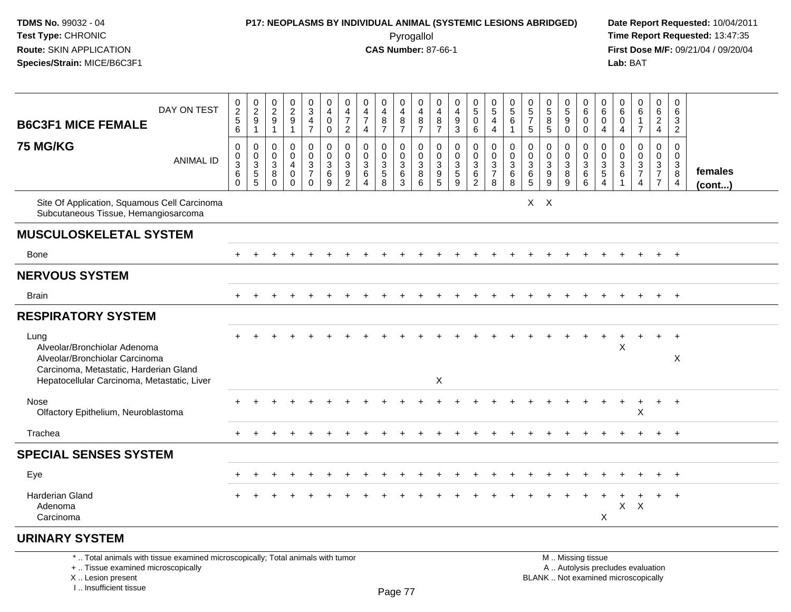# **P17: NEOPLASMS BY INDIVIDUAL ANIMAL (SYSTEMIC LESIONS ABRIDGED) Date Report Requested:** 10/04/2011

 Pyrogallol **Time Report Requested:** 13:47:35 **First Dose M/F:** 09/21/04 / 09/20/04<br>Lab: BAT **Lab:** BAT

| <b>B6C3F1 MICE FEMALE</b>                                                                                                                                       | DAY ON TEST      | $\frac{0}{2}$<br>$\mathbf 5$<br>6                         | $\begin{smallmatrix} 0\\2 \end{smallmatrix}$<br>9<br>$\overline{1}$ | $\begin{smallmatrix} 0\\2 \end{smallmatrix}$<br>$9\,$<br>$\overline{1}$ | $\begin{smallmatrix} 0\\2\\9 \end{smallmatrix}$<br>$\mathbf{1}$ | 0<br>$\overline{3}$<br>$\overline{4}$<br>$\overline{7}$ | 0<br>$\overline{4}$<br>$\mathbf 0$<br>$\mathbf 0$ | 0<br>$\overline{4}$<br>$\overline{7}$<br>$\overline{2}$                        | 0<br>$\overline{4}$<br>$\overline{7}$<br>4 | 0<br>$\overline{4}$<br>$\bf 8$<br>$\overline{7}$                 | 0<br>4<br>$\bf 8$<br>$\overline{7}$                           | 0<br>4<br>8<br>$\overline{7}$                                 | 0<br>4<br>8<br>$\overline{7}$                                          | 0<br>$\overline{4}$<br>$\boldsymbol{9}$<br>$\mathbf{3}$ | $\begin{array}{c} 0 \\ 5 \end{array}$<br>$\mathbf 0$<br>6      | 0<br>$\overline{5}$<br>$\overline{4}$<br>4 | 0<br>5<br>6<br>1                              | $\begin{matrix} 0 \\ 5 \end{matrix}$<br>$\overline{7}$<br>5    | 0<br>$\overline{5}$<br>8<br>5   | $\begin{array}{c} 0 \\ 5 \end{array}$<br>9<br>$\mathbf 0$        | 0<br>6<br>$\mathbf 0$<br>$\mathbf 0$ | 0<br>6<br>0<br>$\overline{4}$                          | 0<br>$\,6\,$<br>$\mathbf 0$<br>$\overline{4}$                     | 0<br>6<br>1<br>$\overline{7}$                      | 0<br>$\,6\,$<br>$\overline{a}$<br>$\overline{4}$ | 0<br>6<br>3<br>$\overline{2}$                   |                         |
|-----------------------------------------------------------------------------------------------------------------------------------------------------------------|------------------|-----------------------------------------------------------|---------------------------------------------------------------------|-------------------------------------------------------------------------|-----------------------------------------------------------------|---------------------------------------------------------|---------------------------------------------------|--------------------------------------------------------------------------------|--------------------------------------------|------------------------------------------------------------------|---------------------------------------------------------------|---------------------------------------------------------------|------------------------------------------------------------------------|---------------------------------------------------------|----------------------------------------------------------------|--------------------------------------------|-----------------------------------------------|----------------------------------------------------------------|---------------------------------|------------------------------------------------------------------|--------------------------------------|--------------------------------------------------------|-------------------------------------------------------------------|----------------------------------------------------|--------------------------------------------------|-------------------------------------------------|-------------------------|
| <b>75 MG/KG</b>                                                                                                                                                 | <b>ANIMAL ID</b> | 0<br>$\mathbf 0$<br>$\overline{3}$<br>$\,6\,$<br>$\Omega$ | 0<br>$\mathbf 0$<br>$\sqrt{3}$<br>$\sqrt{5}$<br>5                   | $\mathbf 0$<br>$\mathbf 0$<br>3<br>8<br>$\Omega$                        | 0<br>$\mathbf 0$<br>$\overline{4}$<br>$\mathbf 0$<br>$\Omega$   | 0<br>$\mathbf 0$<br>$\frac{3}{7}$<br>$\Omega$           | 0<br>0<br>$\ensuremath{\mathsf{3}}$<br>$\,6$<br>9 | $\mathbf 0$<br>$\mathbf 0$<br>$\sqrt{3}$<br>$\boldsymbol{9}$<br>$\overline{2}$ | 0<br>$\Omega$<br>3<br>$\,6\,$<br>$\Delta$  | 0<br>$\mathbf 0$<br>$\ensuremath{\mathsf{3}}$<br>$\sqrt{5}$<br>8 | 0<br>$\mathbf 0$<br>$\ensuremath{\mathsf{3}}$<br>$\,6\,$<br>3 | 0<br>$\mathbf 0$<br>$\ensuremath{\mathsf{3}}$<br>$\,8\,$<br>6 | 0<br>$\mathbf 0$<br>$\ensuremath{\mathsf{3}}$<br>$\boldsymbol{9}$<br>5 | 0<br>$\mathbf 0$<br>$\frac{3}{5}$<br>9                  | 0<br>$\mathbf 0$<br>$\begin{array}{c} 3 \\ 6 \\ 2 \end{array}$ | 0<br>$\Omega$<br>$\frac{3}{7}$<br>8        | 0<br>$\mathbf 0$<br>3<br>$6\phantom{.}6$<br>8 | 0<br>$\mathbf 0$<br>$\ensuremath{\mathsf{3}}$<br>$\frac{6}{5}$ | 0<br>$\mathbf 0$<br>3<br>9<br>9 | 0<br>0<br>$\ensuremath{\mathsf{3}}$<br>$\bf 8$<br>$\overline{9}$ | 0<br>$\Omega$<br>$^3$ 6<br>6         | 0<br>$\mathbf{0}$<br>3<br>$\sqrt{5}$<br>$\overline{4}$ | $\mathbf 0$<br>$\mathbf 0$<br>$\ensuremath{\mathsf{3}}$<br>6<br>1 | 0<br>$\mathbf 0$<br>$\frac{3}{7}$<br>4             | 0<br>0<br>$\frac{3}{7}$<br>$\overline{7}$        | $\mathbf 0$<br>$\mathbf 0$<br>3<br>$\bf 8$<br>4 | females<br>$($ cont $)$ |
| Site Of Application, Squamous Cell Carcinoma<br>Subcutaneous Tissue, Hemangiosarcoma                                                                            |                  |                                                           |                                                                     |                                                                         |                                                                 |                                                         |                                                   |                                                                                |                                            |                                                                  |                                                               |                                                               |                                                                        |                                                         |                                                                |                                            |                                               |                                                                | $X$ $X$                         |                                                                  |                                      |                                                        |                                                                   |                                                    |                                                  |                                                 |                         |
| <b>MUSCULOSKELETAL SYSTEM</b>                                                                                                                                   |                  |                                                           |                                                                     |                                                                         |                                                                 |                                                         |                                                   |                                                                                |                                            |                                                                  |                                                               |                                                               |                                                                        |                                                         |                                                                |                                            |                                               |                                                                |                                 |                                                                  |                                      |                                                        |                                                                   |                                                    |                                                  |                                                 |                         |
| <b>Bone</b>                                                                                                                                                     |                  |                                                           |                                                                     |                                                                         |                                                                 |                                                         |                                                   |                                                                                |                                            |                                                                  |                                                               |                                                               |                                                                        |                                                         |                                                                |                                            |                                               |                                                                |                                 |                                                                  |                                      |                                                        |                                                                   |                                                    |                                                  | $+$                                             |                         |
| <b>NERVOUS SYSTEM</b>                                                                                                                                           |                  |                                                           |                                                                     |                                                                         |                                                                 |                                                         |                                                   |                                                                                |                                            |                                                                  |                                                               |                                                               |                                                                        |                                                         |                                                                |                                            |                                               |                                                                |                                 |                                                                  |                                      |                                                        |                                                                   |                                                    |                                                  |                                                 |                         |
| <b>Brain</b>                                                                                                                                                    |                  |                                                           |                                                                     |                                                                         |                                                                 |                                                         |                                                   |                                                                                |                                            |                                                                  |                                                               |                                                               |                                                                        |                                                         |                                                                |                                            |                                               |                                                                |                                 |                                                                  |                                      |                                                        |                                                                   |                                                    |                                                  | $+$                                             |                         |
| <b>RESPIRATORY SYSTEM</b>                                                                                                                                       |                  |                                                           |                                                                     |                                                                         |                                                                 |                                                         |                                                   |                                                                                |                                            |                                                                  |                                                               |                                                               |                                                                        |                                                         |                                                                |                                            |                                               |                                                                |                                 |                                                                  |                                      |                                                        |                                                                   |                                                    |                                                  |                                                 |                         |
| Lung<br>Alveolar/Bronchiolar Adenoma<br>Alveolar/Bronchiolar Carcinoma<br>Carcinoma, Metastatic, Harderian Gland<br>Hepatocellular Carcinoma, Metastatic, Liver |                  |                                                           |                                                                     |                                                                         |                                                                 |                                                         |                                                   |                                                                                |                                            |                                                                  |                                                               |                                                               | X                                                                      |                                                         |                                                                |                                            |                                               |                                                                |                                 |                                                                  |                                      |                                                        | Χ                                                                 |                                                    | $\ddot{}$                                        | $+$<br>X                                        |                         |
| Nose<br>Olfactory Epithelium, Neuroblastoma                                                                                                                     |                  |                                                           |                                                                     |                                                                         |                                                                 |                                                         |                                                   |                                                                                |                                            |                                                                  |                                                               |                                                               |                                                                        |                                                         |                                                                |                                            |                                               |                                                                |                                 |                                                                  |                                      |                                                        |                                                                   | $\overline{1}$<br>X                                | $\ddot{}$                                        | $+$                                             |                         |
| Trachea                                                                                                                                                         |                  |                                                           |                                                                     |                                                                         |                                                                 |                                                         |                                                   |                                                                                |                                            |                                                                  |                                                               |                                                               |                                                                        |                                                         |                                                                |                                            |                                               |                                                                |                                 |                                                                  |                                      |                                                        |                                                                   |                                                    |                                                  | $+$                                             |                         |
| <b>SPECIAL SENSES SYSTEM</b>                                                                                                                                    |                  |                                                           |                                                                     |                                                                         |                                                                 |                                                         |                                                   |                                                                                |                                            |                                                                  |                                                               |                                                               |                                                                        |                                                         |                                                                |                                            |                                               |                                                                |                                 |                                                                  |                                      |                                                        |                                                                   |                                                    |                                                  |                                                 |                         |
| Eye                                                                                                                                                             |                  |                                                           |                                                                     |                                                                         |                                                                 |                                                         |                                                   |                                                                                |                                            |                                                                  |                                                               |                                                               |                                                                        |                                                         |                                                                |                                            |                                               |                                                                |                                 |                                                                  |                                      |                                                        |                                                                   |                                                    |                                                  | $+$                                             |                         |
| <b>Harderian Gland</b><br>Adenoma<br>Carcinoma                                                                                                                  |                  |                                                           |                                                                     |                                                                         |                                                                 |                                                         |                                                   |                                                                                |                                            |                                                                  |                                                               |                                                               |                                                                        |                                                         |                                                                |                                            |                                               |                                                                |                                 |                                                                  |                                      | X                                                      | X                                                                 | $\mathsf{X}$                                       |                                                  | $+$                                             |                         |
| <b>URINARY SYSTEM</b>                                                                                                                                           |                  |                                                           |                                                                     |                                                                         |                                                                 |                                                         |                                                   |                                                                                |                                            |                                                                  |                                                               |                                                               |                                                                        |                                                         |                                                                |                                            |                                               |                                                                |                                 |                                                                  |                                      |                                                        |                                                                   |                                                    |                                                  |                                                 |                         |
| *  Total animals with tissue examined microscopically; Total animals with tumor                                                                                 | and the will be  |                                                           |                                                                     |                                                                         |                                                                 |                                                         |                                                   |                                                                                |                                            |                                                                  |                                                               |                                                               |                                                                        |                                                         |                                                                |                                            |                                               |                                                                |                                 | $A \cup A \cup B \cup C$                                         | M  Missing tissue                    |                                                        |                                                                   | والمتلاف والمستنقص والمستنقل والمتناوية والمتناوية |                                                  |                                                 |                         |

+ .. Tissue examined microscopically

X .. Lesion present

I .. Insufficient tissue

y the contract of the contract of the contract of the contract of the contract of  $\mathsf A$  . Autolysis precludes evaluation Lesion present BLANK .. Not examined microscopically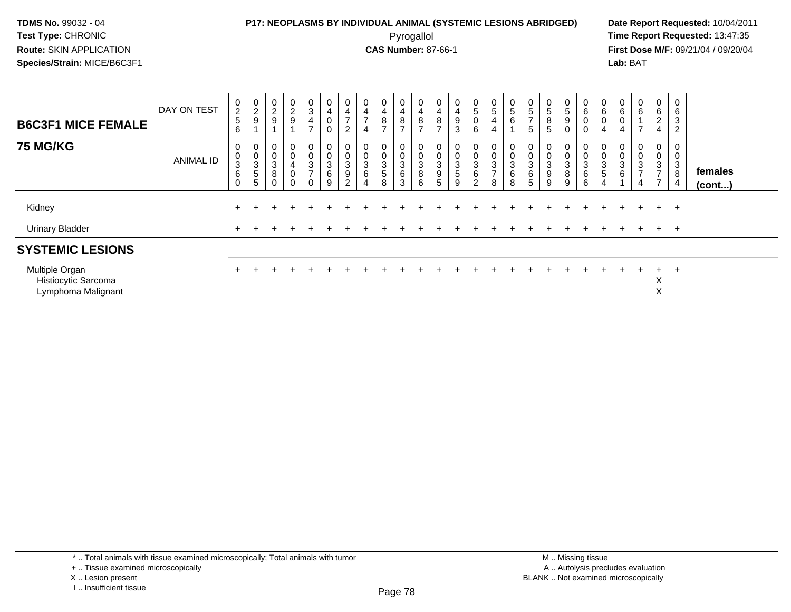### **P17: NEOPLASMS BY INDIVIDUAL ANIMAL (SYSTEMIC LESIONS ABRIDGED) Date Report Requested:** 10/04/2011

 Pyrogallol **Time Report Requested:** 13:47:35 **First Dose M/F:** 09/21/04 / 09/20/04<br>Lab: BAT **Lab:** BAT

| <b>B6C3F1 MICE FEMALE</b>                                   | DAY ON TEST      | $\frac{0}{2}$<br>5<br>6             | $\frac{0}{2}$<br>9                      | $\frac{0}{2}$<br>$\boldsymbol{9}$                                    | $\frac{0}{2}$<br>9                    | 0<br>$\ensuremath{\mathsf{3}}$<br>$\overline{4}$<br>$\overline{ }$ | 0<br>$\overline{\mathbf{4}}$<br>$\pmb{0}$<br>$\mathbf 0$ | $\mathsf{o}$<br>$\overline{\mathbf{4}}$<br>$\rightarrow$<br>$\overline{c}$ | 0<br>$\overline{4}$<br>$\overline{ }$                                  | 0<br>$\overline{\mathbf{4}}$<br>8<br>$\overline{ }$ | 0<br>4<br>8<br>$\rightarrow$ | $\frac{0}{4}$<br>8<br>$\overline{ }$ | U<br>$\overline{4}$<br>8<br>$\overline{ }$                             | 0<br>$\overline{4}$<br>$\boldsymbol{9}$<br>$\mathbf{3}$               | $\frac{0}{5}$<br>0<br>6            | 0<br>5<br>4<br>$\overline{4}$                                             | $\frac{0}{5}$<br>6 | $\frac{0}{5}$<br>$\overline{ }$<br>5 | 0<br>$\sqrt{5}$<br>8<br>$\sqrt{5}$             | 0<br>$\sqrt{5}$<br>$\boldsymbol{9}$<br>0      | 0<br>$\,6\,$<br>$\pmb{0}$<br>$\mathbf 0$       | 0<br>$\,6\,$<br>0<br>4   | $\begin{matrix} 0 \\ 6 \end{matrix}$<br>$\mathbf 0$<br>$\overline{4}$ | 0<br>$\,6\,$<br>$\rightarrow$      | $\mathbf 0$<br>$\,6\,$<br>$\boldsymbol{2}$<br>$\overline{\mathbf{4}}$ | $\mathbf 0$<br>$\,6\,$<br>3<br>$\overline{2}$         |                   |
|-------------------------------------------------------------|------------------|-------------------------------------|-----------------------------------------|----------------------------------------------------------------------|---------------------------------------|--------------------------------------------------------------------|----------------------------------------------------------|----------------------------------------------------------------------------|------------------------------------------------------------------------|-----------------------------------------------------|------------------------------|--------------------------------------|------------------------------------------------------------------------|-----------------------------------------------------------------------|------------------------------------|---------------------------------------------------------------------------|--------------------|--------------------------------------|------------------------------------------------|-----------------------------------------------|------------------------------------------------|--------------------------|-----------------------------------------------------------------------|------------------------------------|-----------------------------------------------------------------------|-------------------------------------------------------|-------------------|
| <b>75 MG/KG</b>                                             | <b>ANIMAL ID</b> | 0<br>$\pmb{0}$<br>3<br>$\,6\,$<br>0 | $_0^0$<br>$\sqrt{3}$<br>$\sqrt{5}$<br>5 | 0<br>$\mathbf 0$<br>$\ensuremath{\mathsf{3}}$<br>$\bf 8$<br>$\Omega$ | 0<br>$\pmb{0}$<br>4<br>$\pmb{0}$<br>0 | 0<br>$\pmb{0}$<br>3<br>$\overline{z}$<br>$\Omega$                  | $_0^0$<br>3<br>6<br>9                                    | $\mathsf 0$<br>$\mathbf{3}$<br>9<br>$\overline{2}$                         | 0<br>$\pmb{0}$<br>$\ensuremath{\mathsf{3}}$<br>$\,6$<br>$\overline{4}$ | $\mathbf{0}$<br>$\mathsf 0$<br>3<br>5<br>8          | $\mathbf 0$<br>3<br>6<br>3   | $^0_0$<br>3<br>8<br>6                | υ<br>$\mathbf 0$<br>$\ensuremath{\mathsf{3}}$<br>$\boldsymbol{9}$<br>5 | 0<br>$\mathbf 0$<br>$\ensuremath{\mathsf{3}}$<br>$\,$ 5 $\,$<br>$9\,$ | 0<br>0<br>3<br>6<br>$\overline{2}$ | 0<br>$\boldsymbol{0}$<br>$\ensuremath{\mathsf{3}}$<br>$\overline{7}$<br>8 | 0<br>3<br>6<br>8   | $\pmb{0}$<br>3<br>6<br>5             | 0<br>$\mathbf 0$<br>3<br>9<br>$\boldsymbol{9}$ | 0<br>0<br>$\ensuremath{\mathsf{3}}$<br>8<br>9 | 0<br>$\boldsymbol{0}$<br>3<br>$\,6\,$<br>$\,6$ | $\pmb{0}$<br>3<br>5<br>4 | 0<br>$\boldsymbol{0}$<br>$\sqrt{3}$<br>$\,6$                          | 0<br>0<br>3<br>$\overline{ }$<br>4 | $\mathbf 0$<br>$\pmb{0}$<br>$\frac{3}{7}$<br>$\overline{7}$           | 0<br>$\pmb{0}$<br>$\mathbf{3}$<br>8<br>$\overline{4}$ | females<br>(cont) |
| Kidney                                                      |                  |                                     |                                         |                                                                      |                                       |                                                                    |                                                          |                                                                            |                                                                        |                                                     |                              |                                      |                                                                        |                                                                       |                                    |                                                                           |                    |                                      |                                                |                                               |                                                |                          |                                                                       |                                    | $+$                                                                   | $+$                                                   |                   |
| <b>Urinary Bladder</b>                                      |                  | $+$                                 |                                         |                                                                      |                                       |                                                                    |                                                          |                                                                            |                                                                        |                                                     |                              |                                      |                                                                        |                                                                       |                                    |                                                                           |                    |                                      |                                                |                                               |                                                |                          | $+$                                                                   | $\pm$                              | $+$ $+$                                                               |                                                       |                   |
| <b>SYSTEMIC LESIONS</b>                                     |                  |                                     |                                         |                                                                      |                                       |                                                                    |                                                          |                                                                            |                                                                        |                                                     |                              |                                      |                                                                        |                                                                       |                                    |                                                                           |                    |                                      |                                                |                                               |                                                |                          |                                                                       |                                    |                                                                       |                                                       |                   |
| Multiple Organ<br>Histiocytic Sarcoma<br>Lymphoma Malignant |                  |                                     |                                         |                                                                      |                                       |                                                                    |                                                          |                                                                            |                                                                        |                                                     |                              |                                      |                                                                        |                                                                       |                                    |                                                                           |                    |                                      |                                                |                                               |                                                |                          |                                                                       |                                    | $+$<br>∧<br>∧                                                         | $+$                                                   |                   |

\* .. Total animals with tissue examined microscopically; Total animals with tumor

X .. Lesion present

<sup>+ ..</sup> Tissue examined microscopically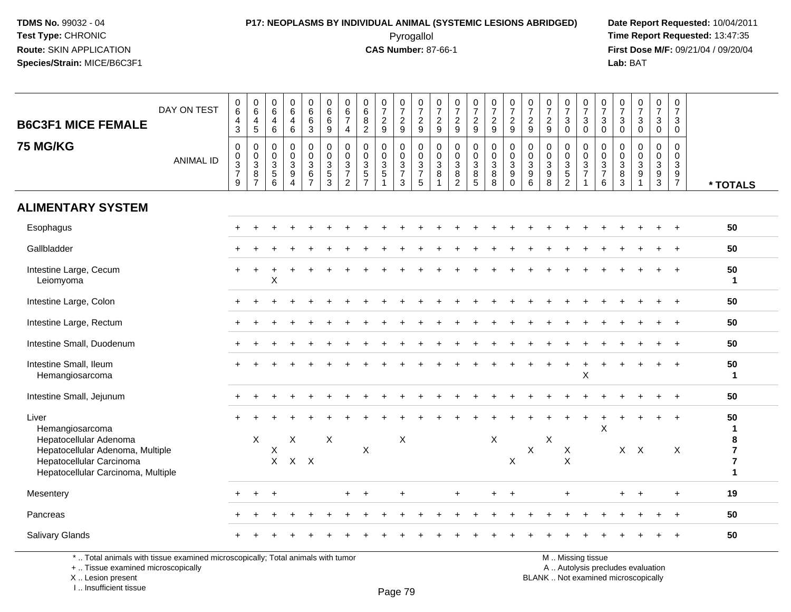#### **P17: NEOPLASMS BY INDIVIDUAL ANIMAL (SYSTEMIC LESIONS ABRIDGED) Date Report Requested:** 10/04/2011 Pyrogallol **Time Report Requested:** 13:47:35

**First Dose M/F:** 09/21/04 / 09/20/04<br>Lab: BAT **Lab:** BAT

| <b>B6C3F1 MICE FEMALE</b><br><b>75 MG/KG</b>                                                       | DAY ON TEST<br><b>ANIMAL ID</b> | $\begin{array}{c} 0 \\ 6 \end{array}$<br>$\overline{\mathbf{4}}$<br>$\mathbf{3}$<br>$\pmb{0}$<br>$\frac{0}{3}$<br>$\overline{9}$ | $\begin{array}{c} 0 \\ 6 \end{array}$<br>4<br>$\sqrt{5}$<br>$\mathbf 0$<br>$\mathbf 0$<br>3<br>$\, 8$<br>$\overline{7}$ | $\begin{array}{c} 0 \\ 6 \end{array}$<br>$\overline{\mathbf{4}}$<br>$6\phantom{1}$<br>$\mathbf 0$<br>$\mathbf 0$<br>$\begin{array}{c} 3 \\ 5 \\ 6 \end{array}$ | $_{6}^{\rm 0}$<br>4<br>6<br>$\mathbf 0$<br>$\mathsf{O}$<br>3<br>9<br>$\overline{A}$ | $066$<br>3<br>0<br>$\pmb{0}$<br>$\ensuremath{\mathsf{3}}$<br>$rac{6}{7}$ | $\begin{array}{c} 0 \\ 6 \end{array}$<br>$\,6\,$<br>$\boldsymbol{9}$<br>$\pmb{0}$<br>$\pmb{0}$<br>$\frac{3}{5}$ | $\begin{array}{c} 0 \\ 6 \end{array}$<br>$\overline{7}$<br>$\overline{4}$<br>$\pmb{0}$<br>$\pmb{0}$<br>$\frac{3}{7}$<br>$\overline{2}$ | $\begin{array}{c} 0 \\ 6 \end{array}$<br>$\bf 8$<br>$\overline{2}$<br>$\mathbf 0$<br>$\mathbf 0$<br>$\sqrt{3}$<br>$\frac{5}{7}$ | $\frac{0}{7}$<br>$\overline{c}$<br>9<br>$\mathbf 0$<br>$\mathbf 0$<br>$\frac{3}{5}$<br>$\mathbf{1}$ | $\frac{0}{7}$<br>$\boldsymbol{2}$<br>9<br>$\mathbf 0$<br>$\mathbf 0$<br>$\ensuremath{\mathsf{3}}$<br>$\overline{7}$<br>3 | $\frac{0}{7}$<br>$\overline{c}$<br>9<br>0<br>$\pmb{0}$<br>$\ensuremath{\mathsf{3}}$<br>$\overline{7}$<br>5 | $\frac{0}{7}$<br>$\overline{c}$<br>9<br>$\mathbf 0$<br>$\mathbf 0$<br>3<br>$\bf 8$ | $\frac{0}{7}$<br>$\overline{c}$<br>9<br>$\pmb{0}$<br>$\pmb{0}$<br>$\ensuremath{\mathsf{3}}$<br>$\frac{8}{2}$ | $\frac{0}{7}$<br>$\overline{2}$<br>9<br>0<br>$\mathbf 0$<br>3<br>8<br>5 | $\frac{0}{7}$<br>$\boldsymbol{2}$<br>9<br>$\pmb{0}$<br>$\frac{0}{3}$<br>$\bf 8$<br>8 | $\frac{0}{7}$<br>$\sqrt{2}$<br>9<br>$\mathbf 0$<br>$\mathbf 0$<br>$\mathsf 3$<br>9<br>$\Omega$ | $\frac{0}{7}$<br>$\sqrt{2}$<br>9<br>$\mathbf 0$<br>$\mathbf 0$<br>$\sqrt{3}$<br>$9\,$<br>6 | $\frac{0}{7}$<br>$\overline{c}$<br>$9\,$<br>0<br>$\mathbf 0$<br>3<br>$\boldsymbol{9}$<br>8 | $\frac{0}{7}$<br>$\mathbf{3}$<br>$\mathbf 0$<br>0<br>$\pmb{0}$<br>$\frac{3}{5}$ | $\frac{0}{7}$<br>3<br>$\mathbf 0$<br>$\mathbf 0$<br>$\mathbf 0$<br>3<br>$\overline{7}$ | $\frac{0}{7}$<br>$\ensuremath{\mathsf{3}}$<br>$\overline{0}$<br>0<br>$\pmb{0}$<br>$\frac{3}{7}$<br>6 | $\begin{array}{c} 0 \\ 7 \end{array}$<br>$\ensuremath{\mathsf{3}}$<br>$\mathsf{O}\xspace$<br>$\mathsf{O}\xspace$<br>$\mathbf 0$<br>$\begin{array}{c} 3 \\ 8 \\ 3 \end{array}$ | $\frac{0}{7}$<br>$_{\rm 0}^3$<br>$\mathbf 0$<br>$\mathsf{O}\xspace$<br>$_9^3$<br>$\overline{1}$ | $\begin{smallmatrix}0\\7\end{smallmatrix}$<br>$\mathbf 3$<br>$\mathbf 0$<br>$\mathbf 0$<br>$\mathbf 0$<br>$\mathbf{3}$<br>$\frac{9}{3}$ | $\pmb{0}$<br>$\overline{7}$<br>3<br>$\mathbf 0$<br>$\Omega$<br>$\mathbf 0$<br>3<br>9<br>$\overline{7}$ | * TOTALS                                              |
|----------------------------------------------------------------------------------------------------|---------------------------------|----------------------------------------------------------------------------------------------------------------------------------|-------------------------------------------------------------------------------------------------------------------------|----------------------------------------------------------------------------------------------------------------------------------------------------------------|-------------------------------------------------------------------------------------|--------------------------------------------------------------------------|-----------------------------------------------------------------------------------------------------------------|----------------------------------------------------------------------------------------------------------------------------------------|---------------------------------------------------------------------------------------------------------------------------------|-----------------------------------------------------------------------------------------------------|--------------------------------------------------------------------------------------------------------------------------|------------------------------------------------------------------------------------------------------------|------------------------------------------------------------------------------------|--------------------------------------------------------------------------------------------------------------|-------------------------------------------------------------------------|--------------------------------------------------------------------------------------|------------------------------------------------------------------------------------------------|--------------------------------------------------------------------------------------------|--------------------------------------------------------------------------------------------|---------------------------------------------------------------------------------|----------------------------------------------------------------------------------------|------------------------------------------------------------------------------------------------------|-------------------------------------------------------------------------------------------------------------------------------------------------------------------------------|-------------------------------------------------------------------------------------------------|-----------------------------------------------------------------------------------------------------------------------------------------|--------------------------------------------------------------------------------------------------------|-------------------------------------------------------|
| <b>ALIMENTARY SYSTEM</b>                                                                           |                                 |                                                                                                                                  |                                                                                                                         |                                                                                                                                                                |                                                                                     |                                                                          |                                                                                                                 |                                                                                                                                        |                                                                                                                                 |                                                                                                     |                                                                                                                          |                                                                                                            |                                                                                    |                                                                                                              |                                                                         |                                                                                      |                                                                                                |                                                                                            |                                                                                            |                                                                                 |                                                                                        |                                                                                                      |                                                                                                                                                                               |                                                                                                 |                                                                                                                                         |                                                                                                        |                                                       |
| Esophagus                                                                                          |                                 |                                                                                                                                  |                                                                                                                         |                                                                                                                                                                |                                                                                     |                                                                          |                                                                                                                 |                                                                                                                                        |                                                                                                                                 |                                                                                                     |                                                                                                                          |                                                                                                            |                                                                                    |                                                                                                              |                                                                         |                                                                                      |                                                                                                |                                                                                            |                                                                                            |                                                                                 |                                                                                        |                                                                                                      |                                                                                                                                                                               |                                                                                                 |                                                                                                                                         |                                                                                                        | 50                                                    |
| Gallbladder                                                                                        |                                 |                                                                                                                                  |                                                                                                                         |                                                                                                                                                                |                                                                                     |                                                                          |                                                                                                                 |                                                                                                                                        |                                                                                                                                 |                                                                                                     |                                                                                                                          |                                                                                                            |                                                                                    |                                                                                                              |                                                                         |                                                                                      |                                                                                                |                                                                                            |                                                                                            |                                                                                 |                                                                                        |                                                                                                      |                                                                                                                                                                               |                                                                                                 |                                                                                                                                         |                                                                                                        | 50                                                    |
| Intestine Large, Cecum<br>Leiomyoma                                                                |                                 |                                                                                                                                  |                                                                                                                         | X                                                                                                                                                              |                                                                                     |                                                                          |                                                                                                                 |                                                                                                                                        |                                                                                                                                 |                                                                                                     |                                                                                                                          |                                                                                                            |                                                                                    |                                                                                                              |                                                                         |                                                                                      |                                                                                                |                                                                                            |                                                                                            |                                                                                 |                                                                                        |                                                                                                      |                                                                                                                                                                               |                                                                                                 |                                                                                                                                         | $\div$                                                                                                 | 50<br>1                                               |
| Intestine Large, Colon                                                                             |                                 |                                                                                                                                  |                                                                                                                         |                                                                                                                                                                |                                                                                     |                                                                          |                                                                                                                 |                                                                                                                                        |                                                                                                                                 |                                                                                                     |                                                                                                                          |                                                                                                            |                                                                                    |                                                                                                              |                                                                         |                                                                                      |                                                                                                |                                                                                            |                                                                                            |                                                                                 |                                                                                        |                                                                                                      |                                                                                                                                                                               |                                                                                                 |                                                                                                                                         | $\div$                                                                                                 | 50                                                    |
| Intestine Large, Rectum                                                                            |                                 |                                                                                                                                  |                                                                                                                         |                                                                                                                                                                |                                                                                     |                                                                          |                                                                                                                 |                                                                                                                                        |                                                                                                                                 |                                                                                                     |                                                                                                                          |                                                                                                            |                                                                                    |                                                                                                              |                                                                         |                                                                                      |                                                                                                |                                                                                            |                                                                                            |                                                                                 |                                                                                        |                                                                                                      |                                                                                                                                                                               |                                                                                                 |                                                                                                                                         | $\ddot{}$                                                                                              | 50                                                    |
| Intestine Small, Duodenum                                                                          |                                 |                                                                                                                                  |                                                                                                                         |                                                                                                                                                                |                                                                                     |                                                                          |                                                                                                                 |                                                                                                                                        |                                                                                                                                 |                                                                                                     |                                                                                                                          |                                                                                                            |                                                                                    |                                                                                                              |                                                                         |                                                                                      |                                                                                                |                                                                                            |                                                                                            |                                                                                 |                                                                                        |                                                                                                      |                                                                                                                                                                               |                                                                                                 |                                                                                                                                         |                                                                                                        | 50                                                    |
| Intestine Small, Ileum<br>Hemangiosarcoma                                                          |                                 |                                                                                                                                  |                                                                                                                         |                                                                                                                                                                |                                                                                     |                                                                          |                                                                                                                 |                                                                                                                                        |                                                                                                                                 |                                                                                                     |                                                                                                                          |                                                                                                            |                                                                                    |                                                                                                              |                                                                         |                                                                                      |                                                                                                |                                                                                            |                                                                                            |                                                                                 | $\mathsf X$                                                                            |                                                                                                      |                                                                                                                                                                               |                                                                                                 |                                                                                                                                         |                                                                                                        | 50<br>1                                               |
| Intestine Small, Jejunum                                                                           |                                 |                                                                                                                                  |                                                                                                                         |                                                                                                                                                                |                                                                                     |                                                                          |                                                                                                                 |                                                                                                                                        |                                                                                                                                 |                                                                                                     |                                                                                                                          |                                                                                                            |                                                                                    |                                                                                                              |                                                                         |                                                                                      |                                                                                                |                                                                                            |                                                                                            |                                                                                 |                                                                                        |                                                                                                      |                                                                                                                                                                               |                                                                                                 |                                                                                                                                         | $+$                                                                                                    | 50                                                    |
| Liver<br>Hemangiosarcoma<br>Hepatocellular Adenoma                                                 |                                 |                                                                                                                                  | $\mathsf{X}$                                                                                                            |                                                                                                                                                                | X                                                                                   |                                                                          | $\boldsymbol{\mathsf{X}}$                                                                                       |                                                                                                                                        |                                                                                                                                 |                                                                                                     | $\times$                                                                                                                 |                                                                                                            |                                                                                    |                                                                                                              |                                                                         | X                                                                                    |                                                                                                |                                                                                            | X                                                                                          |                                                                                 | $\div$                                                                                 | X                                                                                                    |                                                                                                                                                                               |                                                                                                 |                                                                                                                                         | $\ddot{}$                                                                                              | 50<br>1                                               |
| Hepatocellular Adenoma, Multiple<br>Hepatocellular Carcinoma<br>Hepatocellular Carcinoma, Multiple |                                 |                                                                                                                                  |                                                                                                                         | Х<br>$\mathsf{X}$                                                                                                                                              | $X$ $X$                                                                             |                                                                          |                                                                                                                 |                                                                                                                                        | $\sf X$                                                                                                                         |                                                                                                     |                                                                                                                          |                                                                                                            |                                                                                    |                                                                                                              |                                                                         |                                                                                      | X                                                                                              | $\mathsf X$                                                                                |                                                                                            | X<br>$\times$                                                                   |                                                                                        |                                                                                                      |                                                                                                                                                                               | $X$ $X$                                                                                         |                                                                                                                                         | X                                                                                                      | 8<br>$\overline{7}$<br>$\overline{7}$<br>$\mathbf{1}$ |
| Mesentery                                                                                          |                                 | $\pm$                                                                                                                            | $\ddot{}$                                                                                                               | ٠                                                                                                                                                              |                                                                                     |                                                                          |                                                                                                                 | $+$                                                                                                                                    | $\overline{+}$                                                                                                                  |                                                                                                     | $\ddot{}$                                                                                                                |                                                                                                            |                                                                                    | $\ddot{}$                                                                                                    |                                                                         | $\ddot{}$                                                                            | $+$                                                                                            |                                                                                            |                                                                                            | $\ddot{}$                                                                       |                                                                                        |                                                                                                      | $\ddot{}$                                                                                                                                                                     | $+$                                                                                             |                                                                                                                                         | $\ddot{}$                                                                                              | 19                                                    |
| Pancreas                                                                                           |                                 |                                                                                                                                  |                                                                                                                         |                                                                                                                                                                |                                                                                     |                                                                          |                                                                                                                 |                                                                                                                                        |                                                                                                                                 |                                                                                                     |                                                                                                                          |                                                                                                            |                                                                                    |                                                                                                              |                                                                         |                                                                                      |                                                                                                |                                                                                            |                                                                                            |                                                                                 |                                                                                        |                                                                                                      |                                                                                                                                                                               |                                                                                                 |                                                                                                                                         |                                                                                                        | 50                                                    |
| Salivary Glands                                                                                    |                                 |                                                                                                                                  |                                                                                                                         |                                                                                                                                                                |                                                                                     |                                                                          |                                                                                                                 |                                                                                                                                        |                                                                                                                                 |                                                                                                     |                                                                                                                          |                                                                                                            |                                                                                    |                                                                                                              |                                                                         |                                                                                      |                                                                                                |                                                                                            |                                                                                            |                                                                                 |                                                                                        |                                                                                                      |                                                                                                                                                                               |                                                                                                 |                                                                                                                                         |                                                                                                        | 50                                                    |

\* .. Total animals with tissue examined microscopically; Total animals with tumor

+ .. Tissue examined microscopically

X .. Lesion present

I .. Insufficient tissue

M .. Missing tissue

y the contract of the contract of the contract of the contract of the contract of  $\mathsf A$  . Autolysis precludes evaluation

Lesion present BLANK .. Not examined microscopically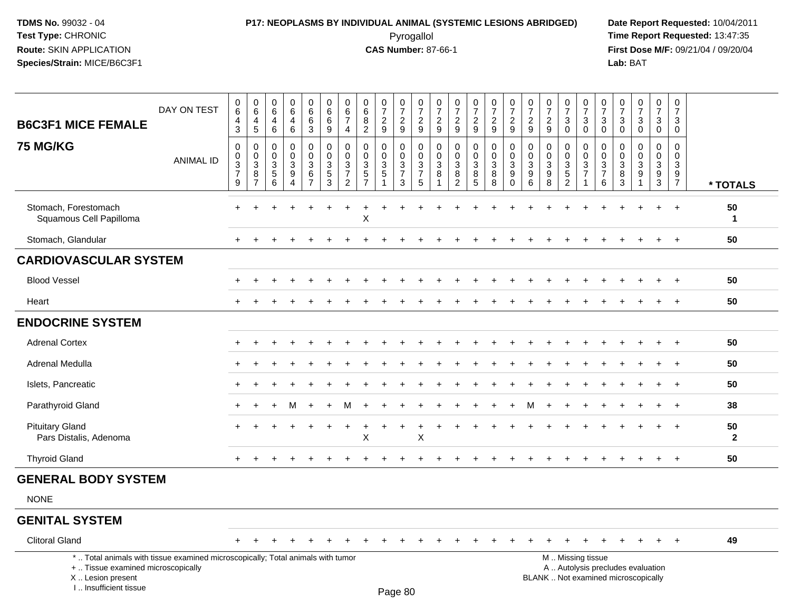I .. Insufficient tissue

#### **P17: NEOPLASMS BY INDIVIDUAL ANIMAL (SYSTEMIC LESIONS ABRIDGED) Date Report Requested:** 10/04/2011 Pyrogallol **Time Report Requested:** 13:47:35

**First Dose M/F:** 09/21/04 / 09/20/04<br>Lab: BAT **Lab:** BAT

| <b>B6C3F1 MICE FEMALE</b>                                                                                                                  | DAY ON TEST      | $\,0\,$<br>$\,6$<br>4<br>$\mathbf{3}$                          | $\boldsymbol{0}$<br>$\,6\,$<br>$\overline{4}$<br>$\,$ 5 $\,$ | 0<br>6<br>$\overline{4}$<br>6                     | 0<br>$6\phantom{.}6$<br>4<br>6            | $\begin{array}{c} 0 \\ 6 \end{array}$<br>$\,6\,$<br>3                      | $\pmb{0}$<br>6<br>6<br>9                                             | $\mathbf 0$<br>6<br>$\overline{7}$<br>$\overline{4}$              | $\pmb{0}$<br>6<br>8<br>2                                     | $\begin{array}{c} 0 \\ 7 \end{array}$<br>$\sqrt{2}$<br>9                        | $\frac{0}{7}$<br>$\sqrt{2}$<br>9                                             | 0<br>$\overline{7}$<br>$\overline{a}$<br>9 | 0<br>$\overline{7}$<br>$\sqrt{2}$<br>9       | $\begin{array}{c} 0 \\ 7 \end{array}$<br>$\sqrt{2}$<br>9            | $\frac{0}{7}$<br>$\sqrt{2}$<br>9                                           | $\frac{0}{7}$<br>$\overline{c}$<br>9          | 0<br>$\overline{7}$<br>$\overline{c}$<br>9 | $\pmb{0}$<br>$\overline{7}$<br>$\overline{c}$<br>9 | $\begin{array}{c} 0 \\ 7 \end{array}$<br>$\sqrt{2}$<br>9                            | $\frac{0}{7}$<br>$\ensuremath{\mathsf{3}}$<br>$\mathbf 0$                     | $\frac{0}{7}$<br>$\sqrt{3}$<br>$\mathbf 0$                              | 0<br>$\overline{7}$<br>$\ensuremath{\mathsf{3}}$<br>$\mathbf 0$ | $\pmb{0}$<br>$\overline{7}$<br>$\sqrt{3}$<br>$\mathbf 0$     | $\begin{smallmatrix}0\\7\end{smallmatrix}$<br>$\sqrt{3}$<br>$\mathbf 0$  | $\frac{0}{7}$<br>3<br>$\mathbf 0$                         | $\pmb{0}$<br>$\overline{7}$<br>3<br>$\mathbf 0$                             |                      |
|--------------------------------------------------------------------------------------------------------------------------------------------|------------------|----------------------------------------------------------------|--------------------------------------------------------------|---------------------------------------------------|-------------------------------------------|----------------------------------------------------------------------------|----------------------------------------------------------------------|-------------------------------------------------------------------|--------------------------------------------------------------|---------------------------------------------------------------------------------|------------------------------------------------------------------------------|--------------------------------------------|----------------------------------------------|---------------------------------------------------------------------|----------------------------------------------------------------------------|-----------------------------------------------|--------------------------------------------|----------------------------------------------------|-------------------------------------------------------------------------------------|-------------------------------------------------------------------------------|-------------------------------------------------------------------------|-----------------------------------------------------------------|--------------------------------------------------------------|--------------------------------------------------------------------------|-----------------------------------------------------------|-----------------------------------------------------------------------------|----------------------|
| 75 MG/KG                                                                                                                                   | <b>ANIMAL ID</b> | $\mathbf 0$<br>$\pmb{0}$<br>$\overline{3}$<br>7<br>$\mathsf g$ | $\mathbf 0$<br>0<br>$\overline{3}$<br>8<br>$\overline{7}$    | $\Omega$<br>$\mathbf 0$<br>$\mathbf{3}$<br>5<br>6 | $\mathbf 0$<br>$\mathbf 0$<br>3<br>9<br>4 | $\mathbf 0$<br>0<br>$\ensuremath{\mathsf{3}}$<br>$\,6\,$<br>$\overline{7}$ | $\mathbf 0$<br>0<br>$\ensuremath{\mathsf{3}}$<br>5<br>$\overline{3}$ | $\mathbf{0}$<br>$\Omega$<br>3<br>$\overline{7}$<br>$\overline{2}$ | $\Omega$<br>$\mathbf 0$<br>3<br>$\sqrt{5}$<br>$\overline{7}$ | 0<br>$\mathbf 0$<br>$\ensuremath{\mathsf{3}}$<br>$\overline{5}$<br>$\mathbf{1}$ | $\mathbf 0$<br>$\mathbf 0$<br>$\sqrt{3}$<br>$\boldsymbol{7}$<br>$\mathbf{3}$ | $\Omega$<br>0<br>3<br>$\overline{7}$<br>5  | $\Omega$<br>$\mathbf 0$<br>$\mathbf{3}$<br>8 | $\mathbf 0$<br>$\mathbf 0$<br>$\overline{3}$<br>8<br>$\overline{2}$ | $\mathbf 0$<br>0<br>$\ensuremath{\mathsf{3}}$<br>$\bf 8$<br>$\overline{5}$ | 0<br>0<br>$\ensuremath{\mathsf{3}}$<br>8<br>8 | 0<br>$\mathbf 0$<br>3<br>9<br>$\bar{0}$    | $\Omega$<br>$\Omega$<br>3<br>9<br>$6\phantom{1}$   | $\mathbf{0}$<br>$\mathbf 0$<br>$\ensuremath{\mathsf{3}}$<br>$9\,$<br>$\overline{8}$ | 0<br>$\mathbf 0$<br>$\ensuremath{\mathsf{3}}$<br>$\sqrt{5}$<br>$\overline{2}$ | $\Omega$<br>$\mathbf 0$<br>$\sqrt{3}$<br>$\overline{7}$<br>$\mathbf{1}$ | $\Omega$<br>$\Omega$<br>$\ensuremath{\mathsf{3}}$<br>7<br>6     | $\Omega$<br>$\mathbf 0$<br>$\sqrt{3}$<br>8<br>$\overline{3}$ | $\Omega$<br>$\mathbf 0$<br>$\overline{3}$<br>9                           | $\mathbf 0$<br>$\mathbf 0$<br>$\sqrt{3}$<br>$\frac{9}{3}$ | $\Omega$<br>$\mathbf 0$<br>$\ensuremath{\mathsf{3}}$<br>9<br>$\overline{7}$ | * TOTALS             |
| Stomach, Forestomach<br>Squamous Cell Papilloma                                                                                            |                  | $\ddot{}$                                                      |                                                              |                                                   |                                           |                                                                            |                                                                      | $\pm$                                                             | $\ddot{}$<br>X                                               |                                                                                 |                                                                              |                                            |                                              |                                                                     |                                                                            |                                               |                                            |                                                    |                                                                                     |                                                                               |                                                                         |                                                                 |                                                              |                                                                          | $\ddot{}$                                                 | $+$                                                                         | 50<br>$\mathbf{1}$   |
| Stomach, Glandular                                                                                                                         |                  |                                                                |                                                              |                                                   |                                           |                                                                            |                                                                      |                                                                   |                                                              |                                                                                 |                                                                              |                                            |                                              |                                                                     |                                                                            |                                               |                                            |                                                    |                                                                                     |                                                                               |                                                                         |                                                                 |                                                              |                                                                          | $\ddot{}$                                                 | $+$                                                                         | 50                   |
| <b>CARDIOVASCULAR SYSTEM</b>                                                                                                               |                  |                                                                |                                                              |                                                   |                                           |                                                                            |                                                                      |                                                                   |                                                              |                                                                                 |                                                                              |                                            |                                              |                                                                     |                                                                            |                                               |                                            |                                                    |                                                                                     |                                                                               |                                                                         |                                                                 |                                                              |                                                                          |                                                           |                                                                             |                      |
| <b>Blood Vessel</b>                                                                                                                        |                  |                                                                |                                                              |                                                   |                                           |                                                                            |                                                                      |                                                                   |                                                              |                                                                                 |                                                                              |                                            |                                              |                                                                     |                                                                            |                                               |                                            |                                                    |                                                                                     |                                                                               |                                                                         |                                                                 |                                                              |                                                                          |                                                           | $\overline{+}$                                                              | 50                   |
| Heart                                                                                                                                      |                  |                                                                |                                                              |                                                   |                                           |                                                                            |                                                                      |                                                                   |                                                              |                                                                                 |                                                                              |                                            |                                              |                                                                     |                                                                            |                                               |                                            |                                                    |                                                                                     |                                                                               |                                                                         |                                                                 |                                                              |                                                                          |                                                           |                                                                             | 50                   |
| <b>ENDOCRINE SYSTEM</b>                                                                                                                    |                  |                                                                |                                                              |                                                   |                                           |                                                                            |                                                                      |                                                                   |                                                              |                                                                                 |                                                                              |                                            |                                              |                                                                     |                                                                            |                                               |                                            |                                                    |                                                                                     |                                                                               |                                                                         |                                                                 |                                                              |                                                                          |                                                           |                                                                             |                      |
| <b>Adrenal Cortex</b>                                                                                                                      |                  |                                                                |                                                              |                                                   |                                           |                                                                            |                                                                      |                                                                   |                                                              |                                                                                 |                                                                              |                                            |                                              |                                                                     |                                                                            |                                               |                                            |                                                    |                                                                                     |                                                                               |                                                                         |                                                                 |                                                              |                                                                          |                                                           |                                                                             | 50                   |
| Adrenal Medulla                                                                                                                            |                  |                                                                |                                                              |                                                   |                                           |                                                                            |                                                                      |                                                                   |                                                              |                                                                                 |                                                                              |                                            |                                              |                                                                     |                                                                            |                                               |                                            |                                                    |                                                                                     |                                                                               |                                                                         |                                                                 |                                                              |                                                                          |                                                           |                                                                             | 50                   |
| Islets, Pancreatic                                                                                                                         |                  | $\ddot{}$                                                      |                                                              |                                                   |                                           |                                                                            |                                                                      |                                                                   |                                                              |                                                                                 |                                                                              |                                            |                                              |                                                                     |                                                                            |                                               |                                            |                                                    |                                                                                     |                                                                               |                                                                         |                                                                 |                                                              |                                                                          | $\ddot{}$                                                 | $\ddot{}$                                                                   | 50                   |
| Parathyroid Gland                                                                                                                          |                  | $\ddot{}$                                                      |                                                              |                                                   | м                                         |                                                                            |                                                                      |                                                                   |                                                              |                                                                                 |                                                                              |                                            |                                              |                                                                     |                                                                            |                                               |                                            |                                                    |                                                                                     |                                                                               |                                                                         |                                                                 |                                                              |                                                                          |                                                           | $\overline{+}$                                                              | 38                   |
| <b>Pituitary Gland</b><br>Pars Distalis, Adenoma                                                                                           |                  | $\ddot{}$                                                      |                                                              |                                                   |                                           |                                                                            | ÷                                                                    | ÷                                                                 | $\times$                                                     | ÷                                                                               | $\ddot{}$                                                                    | +<br>X                                     |                                              |                                                                     |                                                                            |                                               |                                            |                                                    |                                                                                     |                                                                               |                                                                         |                                                                 |                                                              |                                                                          | +                                                         | $+$                                                                         | 50<br>$\overline{2}$ |
| <b>Thyroid Gland</b>                                                                                                                       |                  |                                                                |                                                              |                                                   |                                           |                                                                            |                                                                      |                                                                   |                                                              |                                                                                 |                                                                              |                                            |                                              |                                                                     |                                                                            |                                               |                                            |                                                    |                                                                                     |                                                                               |                                                                         |                                                                 |                                                              |                                                                          |                                                           | $\ddot{}$                                                                   | 50                   |
| <b>GENERAL BODY SYSTEM</b>                                                                                                                 |                  |                                                                |                                                              |                                                   |                                           |                                                                            |                                                                      |                                                                   |                                                              |                                                                                 |                                                                              |                                            |                                              |                                                                     |                                                                            |                                               |                                            |                                                    |                                                                                     |                                                                               |                                                                         |                                                                 |                                                              |                                                                          |                                                           |                                                                             |                      |
| <b>NONE</b>                                                                                                                                |                  |                                                                |                                                              |                                                   |                                           |                                                                            |                                                                      |                                                                   |                                                              |                                                                                 |                                                                              |                                            |                                              |                                                                     |                                                                            |                                               |                                            |                                                    |                                                                                     |                                                                               |                                                                         |                                                                 |                                                              |                                                                          |                                                           |                                                                             |                      |
| <b>GENITAL SYSTEM</b>                                                                                                                      |                  |                                                                |                                                              |                                                   |                                           |                                                                            |                                                                      |                                                                   |                                                              |                                                                                 |                                                                              |                                            |                                              |                                                                     |                                                                            |                                               |                                            |                                                    |                                                                                     |                                                                               |                                                                         |                                                                 |                                                              |                                                                          |                                                           |                                                                             |                      |
| <b>Clitoral Gland</b>                                                                                                                      |                  |                                                                |                                                              |                                                   |                                           |                                                                            |                                                                      |                                                                   |                                                              |                                                                                 |                                                                              |                                            |                                              |                                                                     |                                                                            |                                               |                                            |                                                    |                                                                                     | $\ddot{}$                                                                     |                                                                         |                                                                 |                                                              |                                                                          | $\ddot{}$                                                 | $+$                                                                         | 49                   |
| *  Total animals with tissue examined microscopically; Total animals with tumor<br>+  Tissue examined microscopically<br>X  Lesion present |                  |                                                                |                                                              |                                                   |                                           |                                                                            |                                                                      |                                                                   |                                                              |                                                                                 |                                                                              |                                            |                                              |                                                                     |                                                                            |                                               |                                            |                                                    | M  Missing tissue                                                                   |                                                                               |                                                                         |                                                                 |                                                              | A  Autolysis precludes evaluation<br>BLANK  Not examined microscopically |                                                           |                                                                             |                      |

Lesion present BLANK .. Not examined microscopically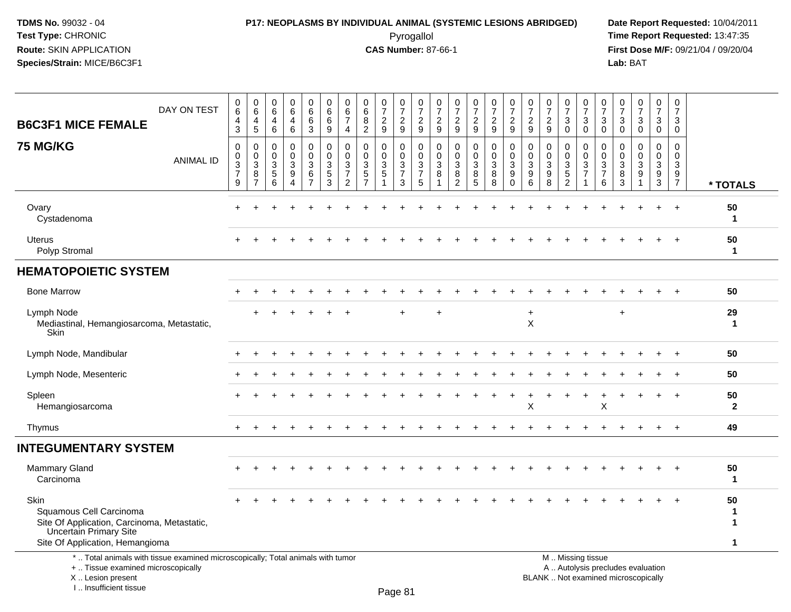I .. Insufficient tissue

#### **P17: NEOPLASMS BY INDIVIDUAL ANIMAL (SYSTEMIC LESIONS ABRIDGED) Date Report Requested:** 10/04/2011 Pyrogallol **Time Report Requested:** 13:47:35

**First Dose M/F:** 09/21/04 / 09/20/04<br>Lab: BAT **Lab:** BAT

| <b>B6C3F1 MICE FEMALE</b>                                                                                                                          | DAY ON TEST      | $\,0\,$<br>$\,6$<br>$\overline{4}$<br>$\mathbf{3}$                       | 0<br>6<br>4<br>5                             | 0<br>$\,6\,$<br>$\overline{4}$<br>6        | $\pmb{0}$<br>$6\phantom{a}$<br>$\overline{4}$<br>6                        | $\mathbf 0$<br>$6\phantom{1}$<br>6<br>3                         | $\pmb{0}$<br>$\,6\,$<br>6<br>9                                      | 0<br>$6\phantom{1}6$<br>$\overline{7}$<br>4               | $\pmb{0}$<br>$6\phantom{a}$<br>8<br>$\overline{c}$                           | $\frac{0}{7}$<br>$\overline{c}$<br>9              | $\frac{0}{7}$<br>$\overline{c}$<br>9                                 | $\begin{array}{c} 0 \\ 7 \end{array}$<br>$\boldsymbol{2}$<br>9       | 0<br>$\overline{7}$<br>$\overline{c}$<br>9           | $\frac{0}{7}$<br>$\boldsymbol{2}$<br>9                              | $\frac{0}{7}$<br>$\overline{c}$<br>9       | $\begin{array}{c} 0 \\ 7 \end{array}$<br>$\overline{c}$<br>9 | $\frac{0}{7}$<br>$\boldsymbol{2}$<br>9                     | $\begin{array}{c} 0 \\ 7 \end{array}$<br>$\boldsymbol{2}$<br>9 | $\begin{matrix} 0 \\ 7 \end{matrix}$<br>$\sqrt{2}$<br>9 | $\pmb{0}$<br>$\overline{7}$<br>3<br>$\mathbf 0$       | $\frac{0}{7}$<br>$\mathbf{3}$<br>$\mathbf 0$               | $\frac{0}{7}$<br>$\mathbf{3}$<br>$\mathbf 0$                                 | $\begin{array}{c} 0 \\ 7 \end{array}$<br>3<br>$\mathbf 0$ | $\begin{smallmatrix} 0\\7 \end{smallmatrix}$<br>$\mathbf{3}$<br>$\mathbf 0$ | $\frac{0}{7}$<br>3<br>$\mathbf 0$                                     | $\frac{0}{7}$<br>$\mathbf{3}$<br>$\mathbf 0$                                       |                                |
|----------------------------------------------------------------------------------------------------------------------------------------------------|------------------|--------------------------------------------------------------------------|----------------------------------------------|--------------------------------------------|---------------------------------------------------------------------------|-----------------------------------------------------------------|---------------------------------------------------------------------|-----------------------------------------------------------|------------------------------------------------------------------------------|---------------------------------------------------|----------------------------------------------------------------------|----------------------------------------------------------------------|------------------------------------------------------|---------------------------------------------------------------------|--------------------------------------------|--------------------------------------------------------------|------------------------------------------------------------|----------------------------------------------------------------|---------------------------------------------------------|-------------------------------------------------------|------------------------------------------------------------|------------------------------------------------------------------------------|-----------------------------------------------------------|-----------------------------------------------------------------------------|-----------------------------------------------------------------------|------------------------------------------------------------------------------------|--------------------------------|
| <b>75 MG/KG</b>                                                                                                                                    | <b>ANIMAL ID</b> | $\mathbf 0$<br>$\boldsymbol{0}$<br>$\overline{3}$<br>$\overline{7}$<br>9 | 0<br>0<br>$\mathbf 3$<br>8<br>$\overline{7}$ | 0<br>$\mathbf 0$<br>$\mathbf{3}$<br>5<br>6 | $\mathbf 0$<br>$\pmb{0}$<br>$\mathfrak{S}$<br>9<br>$\boldsymbol{\Lambda}$ | $\mathbf 0$<br>$\mathbf 0$<br>$\sqrt{3}$<br>6<br>$\overline{7}$ | $\mathbf 0$<br>$\mathbf 0$<br>$\mathfrak{Z}$<br>5<br>$\overline{3}$ | $\mathbf 0$<br>0<br>3<br>$\overline{7}$<br>$\overline{2}$ | $\mathbf 0$<br>$\pmb{0}$<br>$\ensuremath{\mathsf{3}}$<br>5<br>$\overline{7}$ | $\mathbf 0$<br>$\mathbf 0$<br>$\overline{3}$<br>5 | $\mathbf 0$<br>0<br>$\ensuremath{\mathsf{3}}$<br>$\overline{7}$<br>3 | $\mathbf 0$<br>$\boldsymbol{0}$<br>$\sqrt{3}$<br>$\overline{7}$<br>5 | $\mathbf 0$<br>$\mathbf 0$<br>$\mathbf{3}$<br>8<br>1 | $\mathbf 0$<br>$\mathbf 0$<br>$\mathfrak{Z}$<br>8<br>$\overline{2}$ | 0<br>$\pmb{0}$<br>$\mathfrak{Z}$<br>8<br>5 | $\mathbf 0$<br>$\mathbf 0$<br>$\overline{3}$<br>8<br>8       | $\mathbf 0$<br>$\pmb{0}$<br>$\sqrt{3}$<br>9<br>$\mathbf 0$ | $\mathbf 0$<br>$\mathbf 0$<br>$\mathbf{3}$<br>9<br>6           | $\mathbf 0$<br>$\mathbf 0$<br>$\sqrt{3}$<br>9<br>8      | 0<br>$\mathbf 0$<br>$\sqrt{3}$<br>5<br>$\overline{2}$ | 0<br>0<br>$\overline{3}$<br>$\overline{7}$<br>$\mathbf{1}$ | 0<br>$\mathsf{O}\xspace$<br>$\ensuremath{\mathsf{3}}$<br>$\overline{7}$<br>6 | $\mathbf 0$<br>$\mathbf 0$<br>$\sqrt{3}$<br>8<br>3        | $\mathbf 0$<br>$\Omega$<br>$\mathbf{3}$<br>9<br>1                           | $\mathbf 0$<br>$\mathbf 0$<br>3<br>$\boldsymbol{9}$<br>$\overline{3}$ | $\mathbf 0$<br>$\mathbf 0$<br>$\ensuremath{\mathsf{3}}$<br>$9\,$<br>$\overline{7}$ | * TOTALS                       |
| Ovary<br>Cystadenoma                                                                                                                               |                  | +                                                                        |                                              |                                            |                                                                           |                                                                 |                                                                     |                                                           |                                                                              |                                                   |                                                                      |                                                                      |                                                      |                                                                     |                                            |                                                              |                                                            |                                                                |                                                         |                                                       |                                                            |                                                                              |                                                           |                                                                             | $\div$                                                                | $\overline{1}$                                                                     | 50<br>$\mathbf 1$              |
| <b>Uterus</b><br>Polyp Stromal                                                                                                                     |                  |                                                                          |                                              |                                            |                                                                           |                                                                 |                                                                     |                                                           |                                                                              |                                                   |                                                                      |                                                                      |                                                      |                                                                     |                                            |                                                              |                                                            |                                                                |                                                         |                                                       |                                                            |                                                                              |                                                           |                                                                             |                                                                       |                                                                                    | 50<br>$\mathbf{1}$             |
| <b>HEMATOPOIETIC SYSTEM</b>                                                                                                                        |                  |                                                                          |                                              |                                            |                                                                           |                                                                 |                                                                     |                                                           |                                                                              |                                                   |                                                                      |                                                                      |                                                      |                                                                     |                                            |                                                              |                                                            |                                                                |                                                         |                                                       |                                                            |                                                                              |                                                           |                                                                             |                                                                       |                                                                                    |                                |
| <b>Bone Marrow</b>                                                                                                                                 |                  |                                                                          |                                              |                                            |                                                                           |                                                                 |                                                                     |                                                           |                                                                              |                                                   |                                                                      |                                                                      |                                                      |                                                                     |                                            |                                                              |                                                            |                                                                |                                                         |                                                       |                                                            |                                                                              |                                                           |                                                                             |                                                                       | $+$                                                                                | 50                             |
| Lymph Node<br>Mediastinal, Hemangiosarcoma, Metastatic,<br><b>Skin</b>                                                                             |                  |                                                                          |                                              |                                            |                                                                           |                                                                 |                                                                     |                                                           |                                                                              |                                                   |                                                                      |                                                                      | $\ddot{}$                                            |                                                                     |                                            |                                                              |                                                            | $\ddot{}$<br>$\times$                                          |                                                         |                                                       |                                                            |                                                                              | $\ddot{}$                                                 |                                                                             |                                                                       |                                                                                    | 29<br>$\mathbf{1}$             |
| Lymph Node, Mandibular                                                                                                                             |                  |                                                                          |                                              |                                            |                                                                           |                                                                 |                                                                     |                                                           |                                                                              |                                                   |                                                                      |                                                                      |                                                      |                                                                     |                                            |                                                              |                                                            |                                                                |                                                         |                                                       |                                                            |                                                                              |                                                           |                                                                             |                                                                       |                                                                                    | 50                             |
| Lymph Node, Mesenteric                                                                                                                             |                  |                                                                          |                                              |                                            |                                                                           |                                                                 |                                                                     |                                                           |                                                                              |                                                   |                                                                      |                                                                      |                                                      |                                                                     |                                            |                                                              |                                                            |                                                                |                                                         |                                                       |                                                            |                                                                              |                                                           |                                                                             |                                                                       |                                                                                    | 50                             |
| Spleen<br>Hemangiosarcoma                                                                                                                          |                  |                                                                          |                                              |                                            |                                                                           |                                                                 |                                                                     |                                                           |                                                                              |                                                   |                                                                      |                                                                      |                                                      |                                                                     |                                            |                                                              |                                                            | X                                                              |                                                         |                                                       |                                                            | X                                                                            |                                                           |                                                                             | ÷.                                                                    | $\overline{ }$                                                                     | 50<br>$\mathbf{2}$             |
| Thymus                                                                                                                                             |                  |                                                                          |                                              |                                            |                                                                           |                                                                 |                                                                     |                                                           |                                                                              |                                                   |                                                                      |                                                                      |                                                      |                                                                     |                                            |                                                              |                                                            |                                                                |                                                         |                                                       |                                                            |                                                                              |                                                           |                                                                             |                                                                       | $\overline{1}$                                                                     | 49                             |
| <b>INTEGUMENTARY SYSTEM</b>                                                                                                                        |                  |                                                                          |                                              |                                            |                                                                           |                                                                 |                                                                     |                                                           |                                                                              |                                                   |                                                                      |                                                                      |                                                      |                                                                     |                                            |                                                              |                                                            |                                                                |                                                         |                                                       |                                                            |                                                                              |                                                           |                                                                             |                                                                       |                                                                                    |                                |
| <b>Mammary Gland</b><br>Carcinoma                                                                                                                  |                  |                                                                          |                                              |                                            |                                                                           |                                                                 |                                                                     |                                                           |                                                                              |                                                   |                                                                      |                                                                      |                                                      |                                                                     |                                            |                                                              |                                                            |                                                                |                                                         |                                                       |                                                            |                                                                              |                                                           |                                                                             |                                                                       |                                                                                    | 50<br>$\mathbf{1}$             |
| Skin<br>Squamous Cell Carcinoma<br>Site Of Application, Carcinoma, Metastatic,<br><b>Uncertain Primary Site</b><br>Site Of Application, Hemangioma |                  |                                                                          |                                              |                                            |                                                                           |                                                                 |                                                                     |                                                           |                                                                              |                                                   |                                                                      |                                                                      |                                                      |                                                                     |                                            |                                                              |                                                            |                                                                |                                                         |                                                       |                                                            |                                                                              |                                                           |                                                                             |                                                                       |                                                                                    | 50<br>-1<br>-1<br>$\mathbf{1}$ |
| *  Total animals with tissue examined microscopically; Total animals with tumor<br>+  Tissue examined microscopically<br>X  Lesion present         |                  |                                                                          |                                              |                                            |                                                                           |                                                                 |                                                                     |                                                           |                                                                              |                                                   |                                                                      |                                                                      |                                                      |                                                                     |                                            |                                                              |                                                            |                                                                |                                                         |                                                       | M  Missing tissue                                          |                                                                              |                                                           | A  Autolysis precludes evaluation<br>BLANK  Not examined microscopically    |                                                                       |                                                                                    |                                |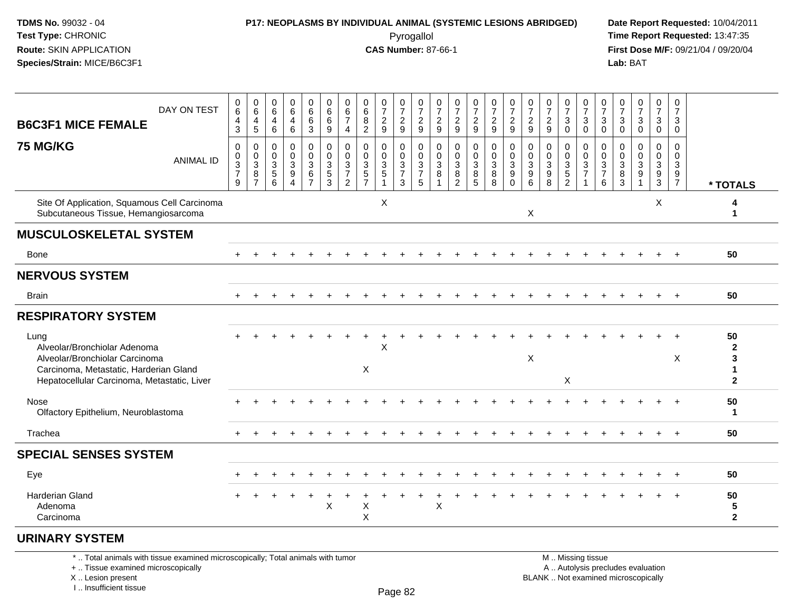### **P17: NEOPLASMS BY INDIVIDUAL ANIMAL (SYSTEMIC LESIONS ABRIDGED) Date Report Requested:** 10/04/2011

 Pyrogallol **Time Report Requested:** 13:47:35 **First Dose M/F:** 09/21/04 / 09/20/04<br>Lab: BAT **Lab:** BAT

|                                                                                                                         | DAY ON TEST      | 0<br>$\,6$<br>4                                                 | 0<br>$6\phantom{1}6$<br>4  | 0<br>$\,6$<br>4                                     | 0<br>6<br>4                                                         | 0<br>6<br>6                                        | 0<br>$\,6$<br>6                   | 0<br>6<br>7                                                          | 0<br>6<br>8                                      | 0<br>$\overline{7}$<br>$\overline{c}$ | 0<br>$\boldsymbol{7}$        | 0<br>$\overline{7}$                    | 0<br>$\overline{7}$         | 0<br>$\overline{7}$<br>$\overline{c}$                       | $\frac{0}{7}$                         | 0<br>$\overline{7}$                   | $\frac{0}{7}$<br>$\overline{c}$                      | $\frac{0}{7}$                                             | $\frac{0}{7}$<br>$\overline{c}$                           | $\frac{0}{7}$<br>3                                        | 0<br>$\boldsymbol{7}$             | 0<br>$\overline{7}$<br>3                  | 0<br>7<br>3                  | $\frac{0}{7}$<br>$\sqrt{3}$                                | 0<br>$\overline{7}$<br>3                       | 0<br>$\overline{7}$<br>3                                          |                                 |
|-------------------------------------------------------------------------------------------------------------------------|------------------|-----------------------------------------------------------------|----------------------------|-----------------------------------------------------|---------------------------------------------------------------------|----------------------------------------------------|-----------------------------------|----------------------------------------------------------------------|--------------------------------------------------|---------------------------------------|------------------------------|----------------------------------------|-----------------------------|-------------------------------------------------------------|---------------------------------------|---------------------------------------|------------------------------------------------------|-----------------------------------------------------------|-----------------------------------------------------------|-----------------------------------------------------------|-----------------------------------|-------------------------------------------|------------------------------|------------------------------------------------------------|------------------------------------------------|-------------------------------------------------------------------|---------------------------------|
| <b>B6C3F1 MICE FEMALE</b>                                                                                               |                  | $\mathbf{3}$                                                    | 5                          | 6                                                   | 6                                                                   | 3                                                  | 9                                 | $\overline{4}$                                                       | $\overline{2}$                                   | 9                                     | $\frac{2}{9}$                | $\frac{2}{9}$                          | $\frac{2}{9}$               | $\mathsf g$                                                 | $\frac{2}{9}$                         | $\frac{2}{9}$                         | $\overline{9}$                                       | $\frac{2}{9}$                                             | 9                                                         | $\mathbf 0$                                               | $_0^3$                            | $\mathbf 0$                               | 0                            | $\overline{0}$                                             | $\mathbf 0$                                    | $\mathbf 0$                                                       |                                 |
| <b>75 MG/KG</b>                                                                                                         | <b>ANIMAL ID</b> | $\mathbf 0$<br>$\mathbf 0$<br>$\sqrt{3}$<br>$\overline{7}$<br>9 | 0<br>$\mathbf 0$<br>3<br>8 | $\mathbf 0$<br>$\mathbf 0$<br>3<br>$\,$ 5 $\,$<br>6 | 0<br>0<br>$\ensuremath{\mathsf{3}}$<br>$\boldsymbol{9}$<br>$\Delta$ | 0<br>$\mathbf 0$<br>3<br>$\,6\,$<br>$\overline{7}$ | 0<br>$\mathbf 0$<br>$\frac{3}{5}$ | $\mathbf 0$<br>$\mathbf{0}$<br>3<br>$\overline{7}$<br>$\overline{2}$ | $\mathbf 0$<br>$\mathbf 0$<br>3<br>$\frac{5}{7}$ | 0<br>$\mathbf 0$<br>$\frac{3}{5}$     | 0<br>0<br>$\frac{3}{7}$<br>3 | 0<br>$\mathbf 0$<br>$\frac{3}{7}$<br>5 | 0<br>$\mathbf{0}$<br>3<br>8 | $\mathbf 0$<br>$\mathbf 0$<br>3<br>$\, 8$<br>$\overline{2}$ | 0<br>$\mathbf 0$<br>3<br>$\bf 8$<br>5 | 0<br>$\mathbf 0$<br>3<br>$\bf 8$<br>8 | 0<br>0<br>$\sqrt{3}$<br>$\boldsymbol{9}$<br>$\Omega$ | 0<br>$\mathbf 0$<br>$\mathbf{3}$<br>$\boldsymbol{9}$<br>6 | $\mathbf 0$<br>$\mathbf{0}$<br>3<br>$\boldsymbol{9}$<br>8 | 0<br>$\mathbf 0$<br>3<br>$\overline{5}$<br>$\overline{2}$ | 0<br>$\mathbf 0$<br>$\frac{3}{7}$ | 0<br>$\Omega$<br>3<br>$\overline{7}$<br>6 | 0<br>$\Omega$<br>3<br>8<br>3 | $\mathbf 0$<br>$\mathbf 0$<br>$\sqrt{3}$<br>$\overline{9}$ | 0<br>$\mathbf 0$<br>3<br>$\boldsymbol{9}$<br>3 | $\mathbf 0$<br>$\mathbf 0$<br>$\mathbf{3}$<br>9<br>$\overline{7}$ | * TOTALS                        |
| Site Of Application, Squamous Cell Carcinoma<br>Subcutaneous Tissue, Hemangiosarcoma                                    |                  |                                                                 |                            |                                                     |                                                                     |                                                    |                                   |                                                                      |                                                  | X                                     |                              |                                        |                             |                                                             |                                       |                                       |                                                      | X                                                         |                                                           |                                                           |                                   |                                           |                              |                                                            | X                                              |                                                                   | 4<br>1                          |
| <b>MUSCULOSKELETAL SYSTEM</b>                                                                                           |                  |                                                                 |                            |                                                     |                                                                     |                                                    |                                   |                                                                      |                                                  |                                       |                              |                                        |                             |                                                             |                                       |                                       |                                                      |                                                           |                                                           |                                                           |                                   |                                           |                              |                                                            |                                                |                                                                   |                                 |
| <b>Bone</b>                                                                                                             |                  |                                                                 |                            |                                                     |                                                                     |                                                    |                                   |                                                                      |                                                  |                                       |                              |                                        |                             |                                                             |                                       |                                       |                                                      |                                                           |                                                           |                                                           |                                   |                                           |                              |                                                            |                                                |                                                                   | 50                              |
| <b>NERVOUS SYSTEM</b>                                                                                                   |                  |                                                                 |                            |                                                     |                                                                     |                                                    |                                   |                                                                      |                                                  |                                       |                              |                                        |                             |                                                             |                                       |                                       |                                                      |                                                           |                                                           |                                                           |                                   |                                           |                              |                                                            |                                                |                                                                   |                                 |
| <b>Brain</b>                                                                                                            |                  |                                                                 |                            |                                                     |                                                                     |                                                    |                                   |                                                                      |                                                  |                                       |                              |                                        |                             |                                                             |                                       |                                       |                                                      |                                                           |                                                           |                                                           |                                   |                                           |                              |                                                            |                                                | $\div$                                                            | 50                              |
| <b>RESPIRATORY SYSTEM</b>                                                                                               |                  |                                                                 |                            |                                                     |                                                                     |                                                    |                                   |                                                                      |                                                  |                                       |                              |                                        |                             |                                                             |                                       |                                       |                                                      |                                                           |                                                           |                                                           |                                   |                                           |                              |                                                            |                                                |                                                                   |                                 |
| Lung<br>Alveolar/Bronchiolar Adenoma                                                                                    |                  |                                                                 |                            |                                                     |                                                                     |                                                    |                                   |                                                                      |                                                  | X                                     |                              |                                        |                             |                                                             |                                       |                                       |                                                      |                                                           |                                                           |                                                           |                                   |                                           |                              |                                                            |                                                |                                                                   | 50<br>2                         |
| Alveolar/Bronchiolar Carcinoma<br>Carcinoma, Metastatic, Harderian Gland<br>Hepatocellular Carcinoma, Metastatic, Liver |                  |                                                                 |                            |                                                     |                                                                     |                                                    |                                   |                                                                      | $\pmb{\times}$                                   |                                       |                              |                                        |                             |                                                             |                                       |                                       |                                                      | $\pmb{\times}$                                            |                                                           | X                                                         |                                   |                                           |                              |                                                            |                                                | X                                                                 | 3<br>$\mathbf{2}$               |
| Nose<br>Olfactory Epithelium, Neuroblastoma                                                                             |                  |                                                                 |                            |                                                     |                                                                     |                                                    |                                   |                                                                      |                                                  |                                       |                              |                                        |                             |                                                             |                                       |                                       |                                                      |                                                           |                                                           |                                                           |                                   |                                           |                              |                                                            |                                                |                                                                   | 50<br>1                         |
| Trachea                                                                                                                 |                  |                                                                 |                            |                                                     |                                                                     |                                                    |                                   |                                                                      |                                                  |                                       |                              |                                        |                             |                                                             |                                       |                                       |                                                      |                                                           |                                                           |                                                           |                                   |                                           |                              |                                                            |                                                |                                                                   | 50                              |
| <b>SPECIAL SENSES SYSTEM</b>                                                                                            |                  |                                                                 |                            |                                                     |                                                                     |                                                    |                                   |                                                                      |                                                  |                                       |                              |                                        |                             |                                                             |                                       |                                       |                                                      |                                                           |                                                           |                                                           |                                   |                                           |                              |                                                            |                                                |                                                                   |                                 |
| Eye                                                                                                                     |                  |                                                                 |                            |                                                     |                                                                     |                                                    |                                   |                                                                      |                                                  |                                       |                              |                                        |                             |                                                             |                                       |                                       |                                                      |                                                           |                                                           |                                                           |                                   |                                           |                              |                                                            |                                                |                                                                   | 50                              |
| Harderian Gland<br>Adenoma<br>Carcinoma                                                                                 |                  |                                                                 |                            |                                                     |                                                                     |                                                    | $\boldsymbol{\mathsf{X}}$         |                                                                      | X<br>X                                           |                                       |                              |                                        | $\mathsf X$                 |                                                             |                                       |                                       |                                                      |                                                           |                                                           |                                                           |                                   |                                           |                              |                                                            | $+$                                            | $\ddot{}$                                                         | 50<br>${\bf 5}$<br>$\mathbf{2}$ |
| <b>URINARY SYSTEM</b>                                                                                                   |                  |                                                                 |                            |                                                     |                                                                     |                                                    |                                   |                                                                      |                                                  |                                       |                              |                                        |                             |                                                             |                                       |                                       |                                                      |                                                           |                                                           |                                                           |                                   |                                           |                              |                                                            |                                                |                                                                   |                                 |
| *  Total animals with tissue examined microscopically; Total animals with tumor                                         |                  |                                                                 |                            |                                                     |                                                                     |                                                    |                                   |                                                                      |                                                  |                                       |                              |                                        |                             |                                                             |                                       |                                       |                                                      |                                                           | M  Missing tissue                                         |                                                           |                                   |                                           |                              |                                                            |                                                |                                                                   |                                 |

+ .. Tissue examined microscopically

 Lesion present BLANK .. Not examined microscopicallyX .. Lesion present

I .. Insufficient tissue

 M .. Missing tissuey the contract of the contract of the contract of the contract of the contract of  $\mathsf A$  . Autolysis precludes evaluation